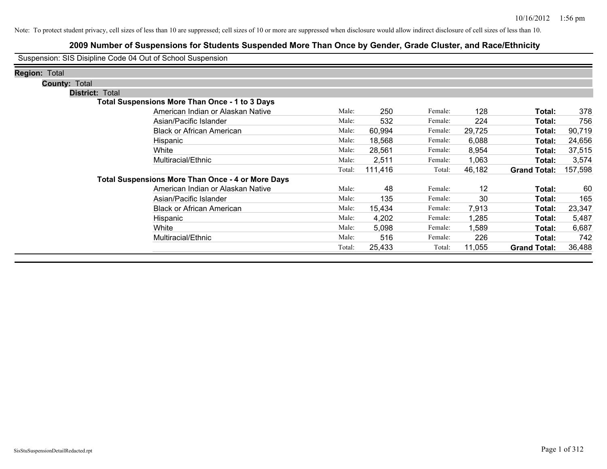| Suspension: SIS Disipline Code 04 Out of School Suspension |                                                          |        |         |         |        |                     |         |
|------------------------------------------------------------|----------------------------------------------------------|--------|---------|---------|--------|---------------------|---------|
| <b>Region: Total</b>                                       |                                                          |        |         |         |        |                     |         |
| <b>County: Total</b>                                       |                                                          |        |         |         |        |                     |         |
| <b>District: Total</b>                                     |                                                          |        |         |         |        |                     |         |
|                                                            | <b>Total Suspensions More Than Once - 1 to 3 Days</b>    |        |         |         |        |                     |         |
|                                                            | American Indian or Alaskan Native                        | Male:  | 250     | Female: | 128    | Total:              | 378     |
|                                                            | Asian/Pacific Islander                                   | Male:  | 532     | Female: | 224    | Total:              | 756     |
|                                                            | <b>Black or African American</b>                         | Male:  | 60,994  | Female: | 29,725 | Total:              | 90,719  |
|                                                            | Hispanic                                                 | Male:  | 18,568  | Female: | 6,088  | Total:              | 24,656  |
|                                                            | White                                                    | Male:  | 28,561  | Female: | 8,954  | Total:              | 37,515  |
|                                                            | Multiracial/Ethnic                                       | Male:  | 2,511   | Female: | 1,063  | Total:              | 3,574   |
|                                                            |                                                          | Total: | 111,416 | Total:  | 46,182 | <b>Grand Total:</b> | 157,598 |
|                                                            | <b>Total Suspensions More Than Once - 4 or More Days</b> |        |         |         |        |                     |         |
|                                                            | American Indian or Alaskan Native                        | Male:  | 48      | Female: | 12     | Total:              | 60      |
|                                                            | Asian/Pacific Islander                                   | Male:  | 135     | Female: | 30     | Total:              | 165     |
|                                                            | <b>Black or African American</b>                         | Male:  | 15,434  | Female: | 7,913  | Total:              | 23,347  |
|                                                            | Hispanic                                                 | Male:  | 4,202   | Female: | 1,285  | Total:              | 5,487   |
|                                                            | White                                                    | Male:  | 5,098   | Female: | 1,589  | Total:              | 6,687   |
|                                                            | Multiracial/Ethnic                                       | Male:  | 516     | Female: | 226    | Total:              | 742     |
|                                                            |                                                          | Total: | 25,433  | Total:  | 11,055 | <b>Grand Total:</b> | 36,488  |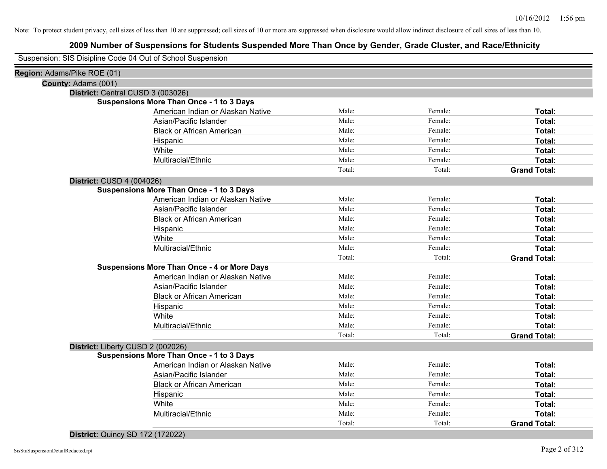### **2009 Number of Suspensions for Students Suspended More Than Once by Gender, Grade Cluster, and Race/Ethnicity**

Suspension: SIS Disipline Code 04 Out of School Suspension

| Region: Adams/Pike ROE (01) |                                                    |        |         |                     |
|-----------------------------|----------------------------------------------------|--------|---------|---------------------|
| County: Adams (001)         |                                                    |        |         |                     |
|                             | District: Central CUSD 3 (003026)                  |        |         |                     |
|                             | <b>Suspensions More Than Once - 1 to 3 Days</b>    |        |         |                     |
|                             | American Indian or Alaskan Native                  | Male:  | Female: | Total:              |
|                             | Asian/Pacific Islander                             | Male:  | Female: | Total:              |
|                             | <b>Black or African American</b>                   | Male:  | Female: | Total:              |
|                             | Hispanic                                           | Male:  | Female: | Total:              |
|                             | White                                              | Male:  | Female: | Total:              |
|                             | Multiracial/Ethnic                                 | Male:  | Female: | Total:              |
|                             |                                                    | Total: | Total:  | <b>Grand Total:</b> |
|                             | District: CUSD 4 (004026)                          |        |         |                     |
|                             | <b>Suspensions More Than Once - 1 to 3 Days</b>    |        |         |                     |
|                             | American Indian or Alaskan Native                  | Male:  | Female: | Total:              |
|                             | Asian/Pacific Islander                             | Male:  | Female: | Total:              |
|                             | <b>Black or African American</b>                   | Male:  | Female: | Total:              |
|                             | Hispanic                                           | Male:  | Female: | Total:              |
|                             | White                                              | Male:  | Female: | Total:              |
|                             | Multiracial/Ethnic                                 | Male:  | Female: | Total:              |
|                             |                                                    | Total: | Total:  | <b>Grand Total:</b> |
|                             | <b>Suspensions More Than Once - 4 or More Days</b> |        |         |                     |
|                             | American Indian or Alaskan Native                  | Male:  | Female: | Total:              |
|                             | Asian/Pacific Islander                             | Male:  | Female: | Total:              |
|                             | <b>Black or African American</b>                   | Male:  | Female: | Total:              |
|                             | Hispanic                                           | Male:  | Female: | Total:              |
|                             | White                                              | Male:  | Female: | Total:              |
|                             | Multiracial/Ethnic                                 | Male:  | Female: | Total:              |
|                             |                                                    | Total: | Total:  | <b>Grand Total:</b> |
|                             | District: Liberty CUSD 2 (002026)                  |        |         |                     |
|                             | <b>Suspensions More Than Once - 1 to 3 Days</b>    |        |         |                     |
|                             | American Indian or Alaskan Native                  | Male:  | Female: | Total:              |
|                             | Asian/Pacific Islander                             | Male:  | Female: | Total:              |
|                             | <b>Black or African American</b>                   | Male:  | Female: | Total:              |
|                             | Hispanic                                           | Male:  | Female: | Total:              |
|                             | White                                              | Male:  | Female: | Total:              |
|                             | Multiracial/Ethnic                                 | Male:  | Female: | Total:              |
|                             |                                                    | Total: | Total:  | <b>Grand Total:</b> |
|                             |                                                    |        |         |                     |

#### **District:** Quincy SD 172 (172022)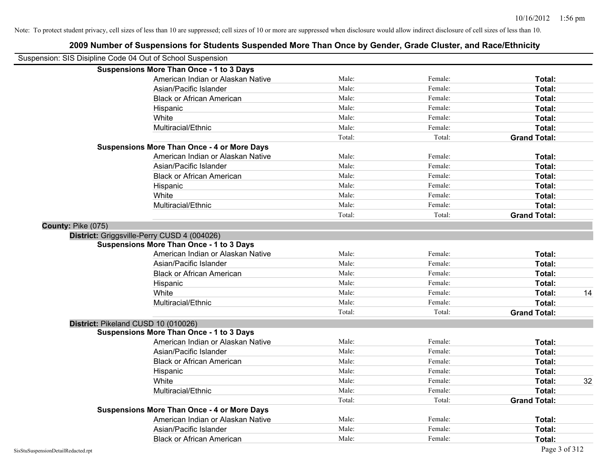| <b>Suspensions More Than Once - 1 to 3 Days</b><br>American Indian or Alaskan Native<br>Male:<br>Female:<br>Total:<br>Male:<br>Female:<br>Asian/Pacific Islander<br>Total:<br>Male:<br>Female:<br><b>Black or African American</b><br>Total:<br>Male:<br>Female:<br>Total:<br>Hispanic<br>Male:<br>Female:<br>White<br>Total:<br>Male:<br>Female:<br>Multiracial/Ethnic<br>Total:<br>Total:<br>Total:<br><b>Grand Total:</b><br><b>Suspensions More Than Once - 4 or More Days</b><br>Male:<br>Female:<br>American Indian or Alaskan Native<br>Total:<br>Male:<br>Asian/Pacific Islander<br>Female:<br>Total:<br>Male:<br>Female:<br>Total:<br><b>Black or African American</b><br>Male:<br>Female:<br>Total:<br>Hispanic<br>Male:<br>Female:<br>White<br>Total:<br>Multiracial/Ethnic<br>Male:<br>Female:<br>Total:<br>Total:<br>Total:<br><b>Grand Total:</b><br>County: Pike (075)<br>District: Griggsville-Perry CUSD 4 (004026)<br><b>Suspensions More Than Once - 1 to 3 Days</b><br>Male:<br>Female:<br>American Indian or Alaskan Native<br>Total:<br>Male:<br>Female:<br>Asian/Pacific Islander<br>Total:<br>Male:<br>Female:<br><b>Black or African American</b><br>Total:<br>Male:<br>Female:<br>Hispanic<br>Total:<br>White<br>Male:<br>Female:<br>14<br>Total:<br>Male:<br>Multiracial/Ethnic<br>Female:<br><b>Total:</b><br>Total:<br>Total:<br><b>Grand Total:</b><br>District: Pikeland CUSD 10 (010026)<br><b>Suspensions More Than Once - 1 to 3 Days</b><br>American Indian or Alaskan Native<br>Male:<br>Female:<br>Total:<br>Asian/Pacific Islander<br>Male:<br>Female:<br>Total:<br>Male:<br>Female:<br><b>Black or African American</b><br>Total:<br>Male:<br>Female:<br>Hispanic<br>Total:<br>White<br>Male:<br>Female:<br>Total:<br>32<br>Male:<br>Multiracial/Ethnic<br>Female:<br>Total:<br>Total:<br>Total:<br><b>Grand Total:</b><br><b>Suspensions More Than Once - 4 or More Days</b><br>American Indian or Alaskan Native<br>Male:<br>Female:<br>Total:<br>Male:<br>Asian/Pacific Islander<br>Female:<br><b>Total:</b><br>Male:<br><b>Black or African American</b><br>Female:<br>Total: | Suspension: SIS Disipline Code 04 Out of School Suspension |  |  |
|--------------------------------------------------------------------------------------------------------------------------------------------------------------------------------------------------------------------------------------------------------------------------------------------------------------------------------------------------------------------------------------------------------------------------------------------------------------------------------------------------------------------------------------------------------------------------------------------------------------------------------------------------------------------------------------------------------------------------------------------------------------------------------------------------------------------------------------------------------------------------------------------------------------------------------------------------------------------------------------------------------------------------------------------------------------------------------------------------------------------------------------------------------------------------------------------------------------------------------------------------------------------------------------------------------------------------------------------------------------------------------------------------------------------------------------------------------------------------------------------------------------------------------------------------------------------------------------------------------------------------------------------------------------------------------------------------------------------------------------------------------------------------------------------------------------------------------------------------------------------------------------------------------------------------------------------------------------------------------------------------------------------------------------------------------------------------------------------------------------------------|------------------------------------------------------------|--|--|
|                                                                                                                                                                                                                                                                                                                                                                                                                                                                                                                                                                                                                                                                                                                                                                                                                                                                                                                                                                                                                                                                                                                                                                                                                                                                                                                                                                                                                                                                                                                                                                                                                                                                                                                                                                                                                                                                                                                                                                                                                                                                                                                          |                                                            |  |  |
|                                                                                                                                                                                                                                                                                                                                                                                                                                                                                                                                                                                                                                                                                                                                                                                                                                                                                                                                                                                                                                                                                                                                                                                                                                                                                                                                                                                                                                                                                                                                                                                                                                                                                                                                                                                                                                                                                                                                                                                                                                                                                                                          |                                                            |  |  |
|                                                                                                                                                                                                                                                                                                                                                                                                                                                                                                                                                                                                                                                                                                                                                                                                                                                                                                                                                                                                                                                                                                                                                                                                                                                                                                                                                                                                                                                                                                                                                                                                                                                                                                                                                                                                                                                                                                                                                                                                                                                                                                                          |                                                            |  |  |
|                                                                                                                                                                                                                                                                                                                                                                                                                                                                                                                                                                                                                                                                                                                                                                                                                                                                                                                                                                                                                                                                                                                                                                                                                                                                                                                                                                                                                                                                                                                                                                                                                                                                                                                                                                                                                                                                                                                                                                                                                                                                                                                          |                                                            |  |  |
|                                                                                                                                                                                                                                                                                                                                                                                                                                                                                                                                                                                                                                                                                                                                                                                                                                                                                                                                                                                                                                                                                                                                                                                                                                                                                                                                                                                                                                                                                                                                                                                                                                                                                                                                                                                                                                                                                                                                                                                                                                                                                                                          |                                                            |  |  |
|                                                                                                                                                                                                                                                                                                                                                                                                                                                                                                                                                                                                                                                                                                                                                                                                                                                                                                                                                                                                                                                                                                                                                                                                                                                                                                                                                                                                                                                                                                                                                                                                                                                                                                                                                                                                                                                                                                                                                                                                                                                                                                                          |                                                            |  |  |
|                                                                                                                                                                                                                                                                                                                                                                                                                                                                                                                                                                                                                                                                                                                                                                                                                                                                                                                                                                                                                                                                                                                                                                                                                                                                                                                                                                                                                                                                                                                                                                                                                                                                                                                                                                                                                                                                                                                                                                                                                                                                                                                          |                                                            |  |  |
|                                                                                                                                                                                                                                                                                                                                                                                                                                                                                                                                                                                                                                                                                                                                                                                                                                                                                                                                                                                                                                                                                                                                                                                                                                                                                                                                                                                                                                                                                                                                                                                                                                                                                                                                                                                                                                                                                                                                                                                                                                                                                                                          |                                                            |  |  |
|                                                                                                                                                                                                                                                                                                                                                                                                                                                                                                                                                                                                                                                                                                                                                                                                                                                                                                                                                                                                                                                                                                                                                                                                                                                                                                                                                                                                                                                                                                                                                                                                                                                                                                                                                                                                                                                                                                                                                                                                                                                                                                                          |                                                            |  |  |
|                                                                                                                                                                                                                                                                                                                                                                                                                                                                                                                                                                                                                                                                                                                                                                                                                                                                                                                                                                                                                                                                                                                                                                                                                                                                                                                                                                                                                                                                                                                                                                                                                                                                                                                                                                                                                                                                                                                                                                                                                                                                                                                          |                                                            |  |  |
|                                                                                                                                                                                                                                                                                                                                                                                                                                                                                                                                                                                                                                                                                                                                                                                                                                                                                                                                                                                                                                                                                                                                                                                                                                                                                                                                                                                                                                                                                                                                                                                                                                                                                                                                                                                                                                                                                                                                                                                                                                                                                                                          |                                                            |  |  |
|                                                                                                                                                                                                                                                                                                                                                                                                                                                                                                                                                                                                                                                                                                                                                                                                                                                                                                                                                                                                                                                                                                                                                                                                                                                                                                                                                                                                                                                                                                                                                                                                                                                                                                                                                                                                                                                                                                                                                                                                                                                                                                                          |                                                            |  |  |
|                                                                                                                                                                                                                                                                                                                                                                                                                                                                                                                                                                                                                                                                                                                                                                                                                                                                                                                                                                                                                                                                                                                                                                                                                                                                                                                                                                                                                                                                                                                                                                                                                                                                                                                                                                                                                                                                                                                                                                                                                                                                                                                          |                                                            |  |  |
|                                                                                                                                                                                                                                                                                                                                                                                                                                                                                                                                                                                                                                                                                                                                                                                                                                                                                                                                                                                                                                                                                                                                                                                                                                                                                                                                                                                                                                                                                                                                                                                                                                                                                                                                                                                                                                                                                                                                                                                                                                                                                                                          |                                                            |  |  |
|                                                                                                                                                                                                                                                                                                                                                                                                                                                                                                                                                                                                                                                                                                                                                                                                                                                                                                                                                                                                                                                                                                                                                                                                                                                                                                                                                                                                                                                                                                                                                                                                                                                                                                                                                                                                                                                                                                                                                                                                                                                                                                                          |                                                            |  |  |
|                                                                                                                                                                                                                                                                                                                                                                                                                                                                                                                                                                                                                                                                                                                                                                                                                                                                                                                                                                                                                                                                                                                                                                                                                                                                                                                                                                                                                                                                                                                                                                                                                                                                                                                                                                                                                                                                                                                                                                                                                                                                                                                          |                                                            |  |  |
|                                                                                                                                                                                                                                                                                                                                                                                                                                                                                                                                                                                                                                                                                                                                                                                                                                                                                                                                                                                                                                                                                                                                                                                                                                                                                                                                                                                                                                                                                                                                                                                                                                                                                                                                                                                                                                                                                                                                                                                                                                                                                                                          |                                                            |  |  |
|                                                                                                                                                                                                                                                                                                                                                                                                                                                                                                                                                                                                                                                                                                                                                                                                                                                                                                                                                                                                                                                                                                                                                                                                                                                                                                                                                                                                                                                                                                                                                                                                                                                                                                                                                                                                                                                                                                                                                                                                                                                                                                                          |                                                            |  |  |
|                                                                                                                                                                                                                                                                                                                                                                                                                                                                                                                                                                                                                                                                                                                                                                                                                                                                                                                                                                                                                                                                                                                                                                                                                                                                                                                                                                                                                                                                                                                                                                                                                                                                                                                                                                                                                                                                                                                                                                                                                                                                                                                          |                                                            |  |  |
|                                                                                                                                                                                                                                                                                                                                                                                                                                                                                                                                                                                                                                                                                                                                                                                                                                                                                                                                                                                                                                                                                                                                                                                                                                                                                                                                                                                                                                                                                                                                                                                                                                                                                                                                                                                                                                                                                                                                                                                                                                                                                                                          |                                                            |  |  |
|                                                                                                                                                                                                                                                                                                                                                                                                                                                                                                                                                                                                                                                                                                                                                                                                                                                                                                                                                                                                                                                                                                                                                                                                                                                                                                                                                                                                                                                                                                                                                                                                                                                                                                                                                                                                                                                                                                                                                                                                                                                                                                                          |                                                            |  |  |
|                                                                                                                                                                                                                                                                                                                                                                                                                                                                                                                                                                                                                                                                                                                                                                                                                                                                                                                                                                                                                                                                                                                                                                                                                                                                                                                                                                                                                                                                                                                                                                                                                                                                                                                                                                                                                                                                                                                                                                                                                                                                                                                          |                                                            |  |  |
|                                                                                                                                                                                                                                                                                                                                                                                                                                                                                                                                                                                                                                                                                                                                                                                                                                                                                                                                                                                                                                                                                                                                                                                                                                                                                                                                                                                                                                                                                                                                                                                                                                                                                                                                                                                                                                                                                                                                                                                                                                                                                                                          |                                                            |  |  |
|                                                                                                                                                                                                                                                                                                                                                                                                                                                                                                                                                                                                                                                                                                                                                                                                                                                                                                                                                                                                                                                                                                                                                                                                                                                                                                                                                                                                                                                                                                                                                                                                                                                                                                                                                                                                                                                                                                                                                                                                                                                                                                                          |                                                            |  |  |
|                                                                                                                                                                                                                                                                                                                                                                                                                                                                                                                                                                                                                                                                                                                                                                                                                                                                                                                                                                                                                                                                                                                                                                                                                                                                                                                                                                                                                                                                                                                                                                                                                                                                                                                                                                                                                                                                                                                                                                                                                                                                                                                          |                                                            |  |  |
|                                                                                                                                                                                                                                                                                                                                                                                                                                                                                                                                                                                                                                                                                                                                                                                                                                                                                                                                                                                                                                                                                                                                                                                                                                                                                                                                                                                                                                                                                                                                                                                                                                                                                                                                                                                                                                                                                                                                                                                                                                                                                                                          |                                                            |  |  |
|                                                                                                                                                                                                                                                                                                                                                                                                                                                                                                                                                                                                                                                                                                                                                                                                                                                                                                                                                                                                                                                                                                                                                                                                                                                                                                                                                                                                                                                                                                                                                                                                                                                                                                                                                                                                                                                                                                                                                                                                                                                                                                                          |                                                            |  |  |
|                                                                                                                                                                                                                                                                                                                                                                                                                                                                                                                                                                                                                                                                                                                                                                                                                                                                                                                                                                                                                                                                                                                                                                                                                                                                                                                                                                                                                                                                                                                                                                                                                                                                                                                                                                                                                                                                                                                                                                                                                                                                                                                          |                                                            |  |  |
|                                                                                                                                                                                                                                                                                                                                                                                                                                                                                                                                                                                                                                                                                                                                                                                                                                                                                                                                                                                                                                                                                                                                                                                                                                                                                                                                                                                                                                                                                                                                                                                                                                                                                                                                                                                                                                                                                                                                                                                                                                                                                                                          |                                                            |  |  |
|                                                                                                                                                                                                                                                                                                                                                                                                                                                                                                                                                                                                                                                                                                                                                                                                                                                                                                                                                                                                                                                                                                                                                                                                                                                                                                                                                                                                                                                                                                                                                                                                                                                                                                                                                                                                                                                                                                                                                                                                                                                                                                                          |                                                            |  |  |
|                                                                                                                                                                                                                                                                                                                                                                                                                                                                                                                                                                                                                                                                                                                                                                                                                                                                                                                                                                                                                                                                                                                                                                                                                                                                                                                                                                                                                                                                                                                                                                                                                                                                                                                                                                                                                                                                                                                                                                                                                                                                                                                          |                                                            |  |  |
|                                                                                                                                                                                                                                                                                                                                                                                                                                                                                                                                                                                                                                                                                                                                                                                                                                                                                                                                                                                                                                                                                                                                                                                                                                                                                                                                                                                                                                                                                                                                                                                                                                                                                                                                                                                                                                                                                                                                                                                                                                                                                                                          |                                                            |  |  |
|                                                                                                                                                                                                                                                                                                                                                                                                                                                                                                                                                                                                                                                                                                                                                                                                                                                                                                                                                                                                                                                                                                                                                                                                                                                                                                                                                                                                                                                                                                                                                                                                                                                                                                                                                                                                                                                                                                                                                                                                                                                                                                                          |                                                            |  |  |
|                                                                                                                                                                                                                                                                                                                                                                                                                                                                                                                                                                                                                                                                                                                                                                                                                                                                                                                                                                                                                                                                                                                                                                                                                                                                                                                                                                                                                                                                                                                                                                                                                                                                                                                                                                                                                                                                                                                                                                                                                                                                                                                          |                                                            |  |  |
|                                                                                                                                                                                                                                                                                                                                                                                                                                                                                                                                                                                                                                                                                                                                                                                                                                                                                                                                                                                                                                                                                                                                                                                                                                                                                                                                                                                                                                                                                                                                                                                                                                                                                                                                                                                                                                                                                                                                                                                                                                                                                                                          |                                                            |  |  |
|                                                                                                                                                                                                                                                                                                                                                                                                                                                                                                                                                                                                                                                                                                                                                                                                                                                                                                                                                                                                                                                                                                                                                                                                                                                                                                                                                                                                                                                                                                                                                                                                                                                                                                                                                                                                                                                                                                                                                                                                                                                                                                                          |                                                            |  |  |
|                                                                                                                                                                                                                                                                                                                                                                                                                                                                                                                                                                                                                                                                                                                                                                                                                                                                                                                                                                                                                                                                                                                                                                                                                                                                                                                                                                                                                                                                                                                                                                                                                                                                                                                                                                                                                                                                                                                                                                                                                                                                                                                          |                                                            |  |  |
|                                                                                                                                                                                                                                                                                                                                                                                                                                                                                                                                                                                                                                                                                                                                                                                                                                                                                                                                                                                                                                                                                                                                                                                                                                                                                                                                                                                                                                                                                                                                                                                                                                                                                                                                                                                                                                                                                                                                                                                                                                                                                                                          |                                                            |  |  |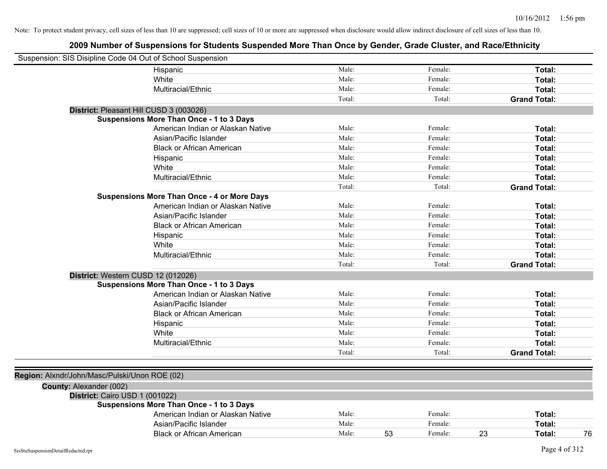| Suspension: SIS Disipline Code 04 Out of School Suspension |                                                    |        |    |         |    |                     |    |
|------------------------------------------------------------|----------------------------------------------------|--------|----|---------|----|---------------------|----|
|                                                            | Hispanic                                           | Male:  |    | Female: |    | Total:              |    |
|                                                            | White                                              | Male:  |    | Female: |    | Total:              |    |
|                                                            | Multiracial/Ethnic                                 | Male:  |    | Female: |    | Total:              |    |
|                                                            |                                                    | Total: |    | Total:  |    | <b>Grand Total:</b> |    |
|                                                            | District: Pleasant Hill CUSD 3 (003026)            |        |    |         |    |                     |    |
|                                                            | <b>Suspensions More Than Once - 1 to 3 Days</b>    |        |    |         |    |                     |    |
|                                                            | American Indian or Alaskan Native                  | Male:  |    | Female: |    | Total:              |    |
|                                                            | Asian/Pacific Islander                             | Male:  |    | Female: |    | Total:              |    |
|                                                            | <b>Black or African American</b>                   | Male:  |    | Female: |    | Total:              |    |
|                                                            | Hispanic                                           | Male:  |    | Female: |    | Total:              |    |
|                                                            | White                                              | Male:  |    | Female: |    | Total:              |    |
|                                                            | Multiracial/Ethnic                                 | Male:  |    | Female: |    | Total:              |    |
|                                                            |                                                    | Total: |    | Total:  |    | <b>Grand Total:</b> |    |
|                                                            | <b>Suspensions More Than Once - 4 or More Days</b> |        |    |         |    |                     |    |
|                                                            | American Indian or Alaskan Native                  | Male:  |    | Female: |    | Total:              |    |
|                                                            | Asian/Pacific Islander                             | Male:  |    | Female: |    | Total:              |    |
|                                                            | <b>Black or African American</b>                   | Male:  |    | Female: |    | Total:              |    |
|                                                            | Hispanic                                           | Male:  |    | Female: |    | Total:              |    |
|                                                            | White                                              | Male:  |    | Female: |    | Total:              |    |
|                                                            | Multiracial/Ethnic                                 | Male:  |    | Female: |    | Total:              |    |
|                                                            |                                                    | Total: |    | Total:  |    | <b>Grand Total:</b> |    |
|                                                            | District: Western CUSD 12 (012026)                 |        |    |         |    |                     |    |
|                                                            | <b>Suspensions More Than Once - 1 to 3 Days</b>    |        |    |         |    |                     |    |
|                                                            | American Indian or Alaskan Native                  | Male:  |    | Female: |    | Total:              |    |
|                                                            | Asian/Pacific Islander                             | Male:  |    | Female: |    | Total:              |    |
|                                                            | <b>Black or African American</b>                   | Male:  |    | Female: |    | Total:              |    |
|                                                            | Hispanic                                           | Male:  |    | Female: |    | Total:              |    |
|                                                            | White                                              | Male:  |    | Female: |    | Total:              |    |
|                                                            | Multiracial/Ethnic                                 | Male:  |    | Female: |    | Total:              |    |
|                                                            |                                                    | Total: |    | Total:  |    | <b>Grand Total:</b> |    |
|                                                            |                                                    |        |    |         |    |                     |    |
| Region: Alxndr/John/Masc/Pulski/Unon ROE (02)              |                                                    |        |    |         |    |                     |    |
| County: Alexander (002)                                    |                                                    |        |    |         |    |                     |    |
| District: Cairo USD 1 (001022)                             |                                                    |        |    |         |    |                     |    |
|                                                            | <b>Suspensions More Than Once - 1 to 3 Days</b>    |        |    |         |    |                     |    |
|                                                            | American Indian or Alaskan Native                  | Male:  |    | Female: |    | Total:              |    |
|                                                            | Asian/Pacific Islander                             | Male:  |    | Female: |    | Total:              |    |
|                                                            | <b>Black or African American</b>                   | Male:  | 53 | Female: | 23 | Total:              | 76 |
|                                                            |                                                    |        |    |         |    |                     |    |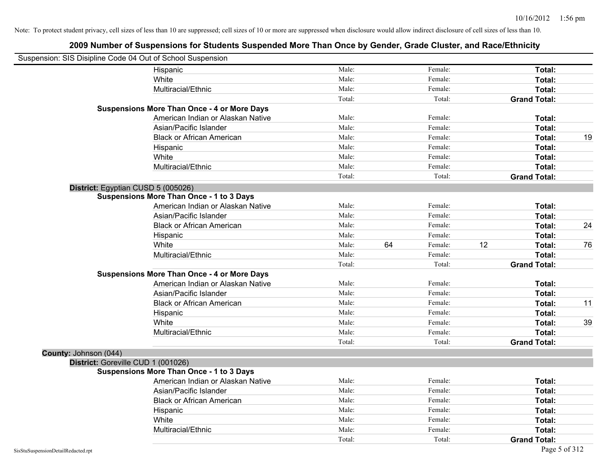| Suspension: SIS Disipline Code 04 Out of School Suspension |                                                    |        |    |         |    |                     |    |
|------------------------------------------------------------|----------------------------------------------------|--------|----|---------|----|---------------------|----|
|                                                            | Hispanic                                           | Male:  |    | Female: |    | Total:              |    |
|                                                            | White                                              | Male:  |    | Female: |    | Total:              |    |
|                                                            | Multiracial/Ethnic                                 | Male:  |    | Female: |    | Total:              |    |
|                                                            |                                                    | Total: |    | Total:  |    | <b>Grand Total:</b> |    |
|                                                            | <b>Suspensions More Than Once - 4 or More Days</b> |        |    |         |    |                     |    |
|                                                            | American Indian or Alaskan Native                  | Male:  |    | Female: |    | Total:              |    |
|                                                            | Asian/Pacific Islander                             | Male:  |    | Female: |    | Total:              |    |
|                                                            | <b>Black or African American</b>                   | Male:  |    | Female: |    | Total:              | 19 |
|                                                            | Hispanic                                           | Male:  |    | Female: |    | Total:              |    |
|                                                            | White                                              | Male:  |    | Female: |    | Total:              |    |
|                                                            | Multiracial/Ethnic                                 | Male:  |    | Female: |    | Total:              |    |
|                                                            |                                                    | Total: |    | Total:  |    | <b>Grand Total:</b> |    |
| District: Egyptian CUSD 5 (005026)                         |                                                    |        |    |         |    |                     |    |
|                                                            | <b>Suspensions More Than Once - 1 to 3 Days</b>    |        |    |         |    |                     |    |
|                                                            | American Indian or Alaskan Native                  | Male:  |    | Female: |    | Total:              |    |
|                                                            | Asian/Pacific Islander                             | Male:  |    | Female: |    | Total:              |    |
|                                                            | <b>Black or African American</b>                   | Male:  |    | Female: |    | Total:              | 24 |
|                                                            | Hispanic                                           | Male:  |    | Female: |    | Total:              |    |
|                                                            | White                                              | Male:  | 64 | Female: | 12 | Total:              | 76 |
|                                                            | Multiracial/Ethnic                                 | Male:  |    | Female: |    | Total:              |    |
|                                                            |                                                    | Total: |    | Total:  |    | <b>Grand Total:</b> |    |
|                                                            | <b>Suspensions More Than Once - 4 or More Days</b> |        |    |         |    |                     |    |
|                                                            | American Indian or Alaskan Native                  | Male:  |    | Female: |    | Total:              |    |
|                                                            | Asian/Pacific Islander                             | Male:  |    | Female: |    | Total:              |    |
|                                                            | <b>Black or African American</b>                   | Male:  |    | Female: |    | Total:              | 11 |
|                                                            | Hispanic                                           | Male:  |    | Female: |    | Total:              |    |
|                                                            | White                                              | Male:  |    | Female: |    | Total:              | 39 |
|                                                            | Multiracial/Ethnic                                 | Male:  |    | Female: |    | Total:              |    |
|                                                            |                                                    | Total: |    | Total:  |    | <b>Grand Total:</b> |    |
| County: Johnson (044)                                      |                                                    |        |    |         |    |                     |    |
| District: Goreville CUD 1 (001026)                         |                                                    |        |    |         |    |                     |    |
|                                                            | <b>Suspensions More Than Once - 1 to 3 Days</b>    |        |    |         |    |                     |    |
|                                                            | American Indian or Alaskan Native                  | Male:  |    | Female: |    | Total:              |    |
|                                                            | Asian/Pacific Islander                             | Male:  |    | Female: |    | Total:              |    |
|                                                            | <b>Black or African American</b>                   | Male:  |    | Female: |    | Total:              |    |
|                                                            | Hispanic                                           | Male:  |    | Female: |    | Total:              |    |
|                                                            | White                                              | Male:  |    | Female: |    | Total:              |    |
|                                                            | Multiracial/Ethnic                                 | Male:  |    | Female: |    | Total:              |    |
|                                                            |                                                    | Total: |    | Total:  |    | <b>Grand Total:</b> |    |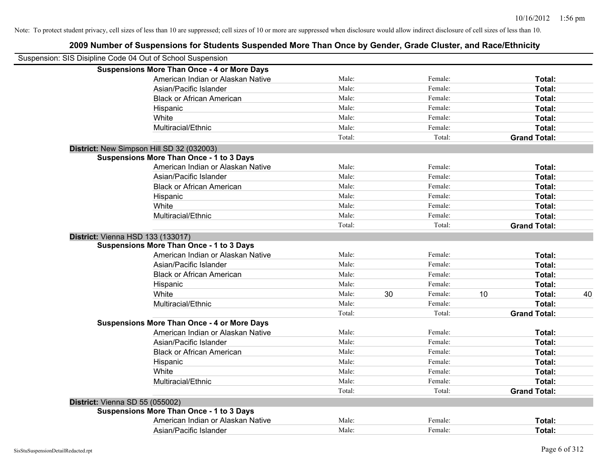### **2009 Number of Suspensions for Students Suspended More Than Once by Gender, Grade Cluster, and Race/Ethnicity** Suspension: SIS Disipline Code 04 Out of School Suspension **Suspensions More Than Once - 4 or More Days** American Indian or Alaskan Native **Male:** Male: Female: Female: **Total:** Total: Asian/Pacific Islander **Figure 1.1 Contact Contact Contact Contact Contact Contact Contact Contact Contact Conta** Black or African American **Figure 1.1 and Total:** Male: Female: Female: **Total:** Total: Hispanic **Total:** Male: Female: **Total:** Female: **Total:** Total: **Total:** Female: **Total:** Total: **Total:** Total: **Total:** Total: **Total:** Total: **Total:** Total: **Total:** Total: **Total:** Total: **Total:** Total: **Total:** Tot White **Total:** Male: Female: **Total:** Female: **Total:** Total: Multiracial/Ethnic **Total:** Male: Female: **Total:** Female: **Total:** Female: **Total:** Female: **Total:** Female: **Total:** Female: **Total:** Female: **Total:** Female: **Total:** Female: **Total:** Female: **Total:** Female: **Total:** F Total: Total: **Grand Total: District:** New Simpson Hill SD 32 (032003) **Suspensions More Than Once - 1 to 3 Days** American Indian or Alaskan Native **Male:** Male: Female: Female: **Total:** Total: Asian/Pacific Islander **Figure 1.1 Contained Asian** Male: Female: **Female: Total: Total: Total: Total: Total: Total: Total: Total: Total: Total: Total: Total: Total: Total: Total: Total: T** Black or African American **Figure 1.1 and Total:** Male: Female: Female: **Total: Total:** Total: Hispanic **Total:** Male: Female: **Total:** Female: **Total:** Total: White **Total:** Male: Female: **Total:** Total: **Total:** Female: **Total:** Total: Multiracial/Ethnic **Total:** Male: Female: **Female: Total:** Total: **Total:** Female: **Total:** Total: Total: Total: **Grand Total: District:** Vienna HSD 133 (133017) **Suspensions More Than Once - 1 to 3 Days** American Indian or Alaskan Native **Male:** Male: Female: Female: **Total:** Total: Asian/Pacific Islander **Figure 1.1 Contained Asian** Male: Female: **Female: Total: Total: Total: Total: Total: Total: Total: Total: Total: Total: Total: Total: Total: Total: Total: Total: T** Black or African American **Figure 1.1 and Total:** Male: Female: Female: **Total:** Total: Hispanic **Total:** Male: Female: **Total:** Female: **Total:** Total: **Total:** Female: **Total:** Total: **Total:** Total: **Total:** Total: **Total:** Total: **Total:** Total: **Total:** Total: **Total:** Total: **Total:** Total: **Total:** Tot White **Male:** 30 Female: 10 Total: 40 Multiracial/Ethnic **Total:** Male: Female: **Female: Total:** Total: **Total:** Female: **Total:** Total: **Female:** Total: **Total:** Total: **Total:** Total: **Total:** Total: **Total:** Total: **Total:** Total: **Total:** Total: **Total:** Total: Total: **Grand Total: Suspensions More Than Once - 4 or More Days** American Indian or Alaskan Native **Male:** Male: Female: Female: **Total:** Total: Asian/Pacific Islander **Figure 1.1 Contained Asian** Male: Female: **Female: Total: Total: Total: Total: Total: Total: Total: Total: Total: Total: Total: Total: Total: Total: Total: Total: T** Black or African American **American Contract Contract Contract Male:** Female: **Female: Total: Total:** Total: Hispanic **Total:** Male: Female: **Total:** Female: **Total:** Total: **Total:** Female: **Total:** Total: **Total:** Total: **Total:** Total: **Total:** Total: **Total:** Total: **Total:** Total: **Total:** Total: **Total:** Total: **Total:** Tot White **Total:** Male: Female: **Total:** Female: **Total:** Total: Multiracial/Ethnic **Total:** Male: Male: Female: **Total:** Total: Total: Total: **Grand Total: District:** Vienna SD 55 (055002) **Suspensions More Than Once - 1 to 3 Days** American Indian or Alaskan Native **Male:** Male: Female: Female: **Total:** Total: Asian/Pacific Islander **Figure 1.1 Contained Asian** Male: Female: **Female: Total: Total: Total: Total: Total: Total: Total: Total: Total: Total: Total: Total: Total: Total: Total: Total: T**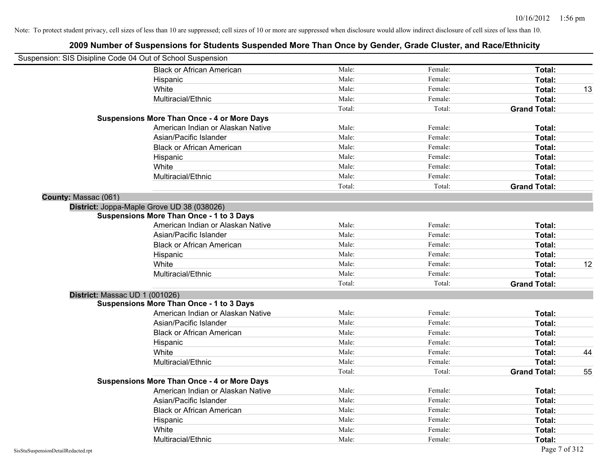| Suspension: SIS Disipline Code 04 Out of School Suspension |                                                    |        |         |                     |    |
|------------------------------------------------------------|----------------------------------------------------|--------|---------|---------------------|----|
|                                                            | <b>Black or African American</b>                   | Male:  | Female: | Total:              |    |
|                                                            | Hispanic                                           | Male:  | Female: | Total:              |    |
|                                                            | White                                              | Male:  | Female: | Total:              | 13 |
|                                                            | Multiracial/Ethnic                                 | Male:  | Female: | Total:              |    |
|                                                            |                                                    | Total: | Total:  | <b>Grand Total:</b> |    |
|                                                            | <b>Suspensions More Than Once - 4 or More Days</b> |        |         |                     |    |
|                                                            | American Indian or Alaskan Native                  | Male:  | Female: | Total:              |    |
|                                                            | Asian/Pacific Islander                             | Male:  | Female: | Total:              |    |
|                                                            | <b>Black or African American</b>                   | Male:  | Female: | Total:              |    |
|                                                            | Hispanic                                           | Male:  | Female: | Total:              |    |
|                                                            | White                                              | Male:  | Female: | Total:              |    |
|                                                            | Multiracial/Ethnic                                 | Male:  | Female: | Total:              |    |
|                                                            |                                                    | Total: | Total:  | <b>Grand Total:</b> |    |
| County: Massac (061)                                       |                                                    |        |         |                     |    |
|                                                            | District: Joppa-Maple Grove UD 38 (038026)         |        |         |                     |    |
|                                                            | <b>Suspensions More Than Once - 1 to 3 Days</b>    |        |         |                     |    |
|                                                            | American Indian or Alaskan Native                  | Male:  | Female: | Total:              |    |
|                                                            | Asian/Pacific Islander                             | Male:  | Female: | Total:              |    |
|                                                            | <b>Black or African American</b>                   | Male:  | Female: | Total:              |    |
|                                                            | Hispanic                                           | Male:  | Female: | Total:              |    |
|                                                            | White                                              | Male:  | Female: | Total:              | 12 |
|                                                            | Multiracial/Ethnic                                 | Male:  | Female: | Total:              |    |
|                                                            |                                                    | Total: | Total:  | <b>Grand Total:</b> |    |
| District: Massac UD 1 (001026)                             |                                                    |        |         |                     |    |
|                                                            | <b>Suspensions More Than Once - 1 to 3 Days</b>    |        |         |                     |    |
|                                                            | American Indian or Alaskan Native                  | Male:  | Female: | Total:              |    |
|                                                            | Asian/Pacific Islander                             | Male:  | Female: | Total:              |    |
|                                                            | <b>Black or African American</b>                   | Male:  | Female: | Total:              |    |
|                                                            | Hispanic                                           | Male:  | Female: | Total:              |    |
|                                                            | White                                              | Male:  | Female: | Total:              | 44 |
|                                                            | Multiracial/Ethnic                                 | Male:  | Female: | Total:              |    |
|                                                            |                                                    | Total: | Total:  | <b>Grand Total:</b> | 55 |
|                                                            | <b>Suspensions More Than Once - 4 or More Days</b> |        |         |                     |    |
|                                                            | American Indian or Alaskan Native                  | Male:  | Female: | Total:              |    |
|                                                            | Asian/Pacific Islander                             | Male:  | Female: | Total:              |    |
|                                                            | <b>Black or African American</b>                   | Male:  | Female: | Total:              |    |
|                                                            | Hispanic                                           | Male:  | Female: | Total:              |    |
|                                                            | White                                              | Male:  | Female: | Total:              |    |
|                                                            | Multiracial/Ethnic                                 | Male:  | Female: | Total:              |    |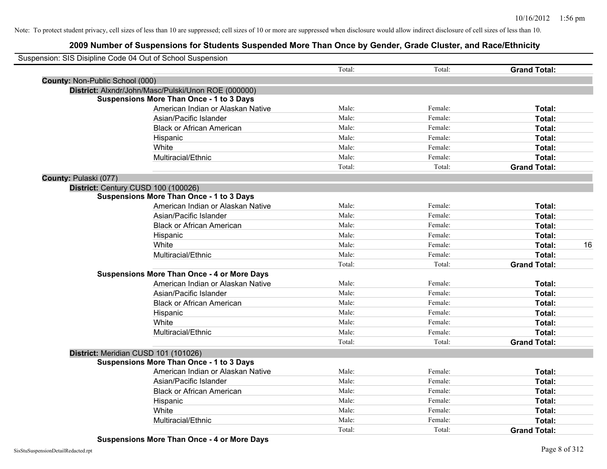### **2009 Number of Suspensions for Students Suspended More Than Once by Gender, Grade Cluster, and Race/Ethnicity**

| Suspension: SIS Disipline Code 04 Out of School Suspension |                                                     |        |         |                     |    |
|------------------------------------------------------------|-----------------------------------------------------|--------|---------|---------------------|----|
|                                                            |                                                     | Total: | Total:  | <b>Grand Total:</b> |    |
| County: Non-Public School (000)                            |                                                     |        |         |                     |    |
|                                                            | District: Alxndr/John/Masc/Pulski/Unon ROE (000000) |        |         |                     |    |
|                                                            | <b>Suspensions More Than Once - 1 to 3 Days</b>     |        |         |                     |    |
|                                                            | American Indian or Alaskan Native                   | Male:  | Female: | Total:              |    |
|                                                            | Asian/Pacific Islander                              | Male:  | Female: | Total:              |    |
|                                                            | <b>Black or African American</b>                    | Male:  | Female: | Total:              |    |
|                                                            | Hispanic                                            | Male:  | Female: | Total:              |    |
|                                                            | White                                               | Male:  | Female: | Total:              |    |
|                                                            | Multiracial/Ethnic                                  | Male:  | Female: | Total:              |    |
|                                                            |                                                     | Total: | Total:  | <b>Grand Total:</b> |    |
| County: Pulaski (077)                                      |                                                     |        |         |                     |    |
|                                                            | District: Century CUSD 100 (100026)                 |        |         |                     |    |
|                                                            | <b>Suspensions More Than Once - 1 to 3 Days</b>     |        |         |                     |    |
|                                                            | American Indian or Alaskan Native                   | Male:  | Female: | Total:              |    |
|                                                            | Asian/Pacific Islander                              | Male:  | Female: | Total:              |    |
|                                                            | <b>Black or African American</b>                    | Male:  | Female: | Total:              |    |
|                                                            | Hispanic                                            | Male:  | Female: | Total:              |    |
|                                                            | White                                               | Male:  | Female: | Total:              | 16 |
|                                                            | Multiracial/Ethnic                                  | Male:  | Female: | Total:              |    |
|                                                            |                                                     | Total: | Total:  | <b>Grand Total:</b> |    |
|                                                            | <b>Suspensions More Than Once - 4 or More Days</b>  |        |         |                     |    |
|                                                            | American Indian or Alaskan Native                   | Male:  | Female: | Total:              |    |
|                                                            | Asian/Pacific Islander                              | Male:  | Female: | Total:              |    |
|                                                            | <b>Black or African American</b>                    | Male:  | Female: | Total:              |    |
|                                                            | Hispanic                                            | Male:  | Female: | Total:              |    |
|                                                            | White                                               | Male:  | Female: | Total:              |    |
|                                                            | Multiracial/Ethnic                                  | Male:  | Female: | Total:              |    |
|                                                            |                                                     | Total: | Total:  | <b>Grand Total:</b> |    |
|                                                            | District: Meridian CUSD 101 (101026)                |        |         |                     |    |
|                                                            | <b>Suspensions More Than Once - 1 to 3 Days</b>     |        |         |                     |    |
|                                                            | American Indian or Alaskan Native                   | Male:  | Female: | Total:              |    |
|                                                            | Asian/Pacific Islander                              | Male:  | Female: | Total:              |    |
|                                                            | <b>Black or African American</b>                    | Male:  | Female: | Total:              |    |
|                                                            | Hispanic                                            | Male:  | Female: | Total:              |    |
|                                                            | White                                               | Male:  | Female: | Total:              |    |
|                                                            | Multiracial/Ethnic                                  | Male:  | Female: | Total:              |    |
|                                                            |                                                     | Total: | Total:  | <b>Grand Total:</b> |    |

**Suspensions More Than Once - 4 or More Days**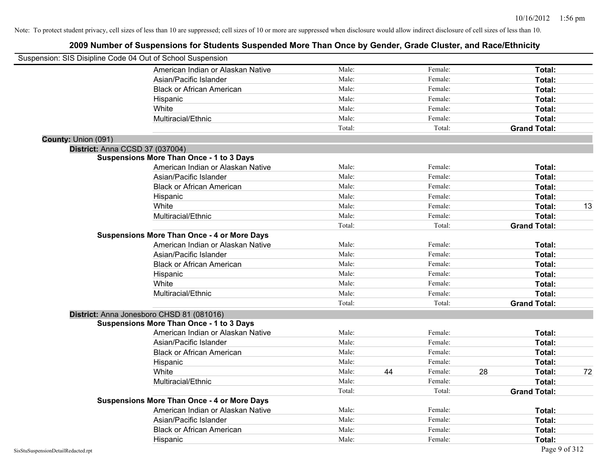| Suspension: SIS Disipline Code 04 Out of School Suspension |                                                    |        |    |         |    |                     |    |
|------------------------------------------------------------|----------------------------------------------------|--------|----|---------|----|---------------------|----|
|                                                            | American Indian or Alaskan Native                  | Male:  |    | Female: |    | Total:              |    |
|                                                            | Asian/Pacific Islander                             | Male:  |    | Female: |    | Total:              |    |
|                                                            | <b>Black or African American</b>                   | Male:  |    | Female: |    | Total:              |    |
|                                                            | Hispanic                                           | Male:  |    | Female: |    | Total:              |    |
|                                                            | White                                              | Male:  |    | Female: |    | Total:              |    |
|                                                            | Multiracial/Ethnic                                 | Male:  |    | Female: |    | Total:              |    |
|                                                            |                                                    | Total: |    | Total:  |    | <b>Grand Total:</b> |    |
| County: Union (091)                                        |                                                    |        |    |         |    |                     |    |
| District: Anna CCSD 37 (037004)                            |                                                    |        |    |         |    |                     |    |
|                                                            | <b>Suspensions More Than Once - 1 to 3 Days</b>    |        |    |         |    |                     |    |
|                                                            | American Indian or Alaskan Native                  | Male:  |    | Female: |    | Total:              |    |
|                                                            | Asian/Pacific Islander                             | Male:  |    | Female: |    | Total:              |    |
|                                                            | <b>Black or African American</b>                   | Male:  |    | Female: |    | Total:              |    |
|                                                            | Hispanic                                           | Male:  |    | Female: |    | Total:              |    |
|                                                            | White                                              | Male:  |    | Female: |    | Total:              | 13 |
|                                                            | Multiracial/Ethnic                                 | Male:  |    | Female: |    | Total:              |    |
|                                                            |                                                    | Total: |    | Total:  |    | <b>Grand Total:</b> |    |
|                                                            | <b>Suspensions More Than Once - 4 or More Days</b> |        |    |         |    |                     |    |
|                                                            | American Indian or Alaskan Native                  | Male:  |    | Female: |    | Total:              |    |
|                                                            | Asian/Pacific Islander                             | Male:  |    | Female: |    | Total:              |    |
|                                                            | <b>Black or African American</b>                   | Male:  |    | Female: |    | Total:              |    |
|                                                            | Hispanic                                           | Male:  |    | Female: |    | Total:              |    |
|                                                            | White                                              | Male:  |    | Female: |    | Total:              |    |
|                                                            | Multiracial/Ethnic                                 | Male:  |    | Female: |    | Total:              |    |
|                                                            |                                                    | Total: |    | Total:  |    | <b>Grand Total:</b> |    |
|                                                            | District: Anna Jonesboro CHSD 81 (081016)          |        |    |         |    |                     |    |
|                                                            | <b>Suspensions More Than Once - 1 to 3 Days</b>    |        |    |         |    |                     |    |
|                                                            | American Indian or Alaskan Native                  | Male:  |    | Female: |    | Total:              |    |
|                                                            | Asian/Pacific Islander                             | Male:  |    | Female: |    | Total:              |    |
|                                                            | <b>Black or African American</b>                   | Male:  |    | Female: |    | Total:              |    |
|                                                            | Hispanic                                           | Male:  |    | Female: |    | Total:              |    |
|                                                            | White                                              | Male:  | 44 | Female: | 28 | Total:              | 72 |
|                                                            | Multiracial/Ethnic                                 | Male:  |    | Female: |    | Total:              |    |
|                                                            |                                                    | Total: |    | Total:  |    | <b>Grand Total:</b> |    |
|                                                            | <b>Suspensions More Than Once - 4 or More Days</b> |        |    |         |    |                     |    |
|                                                            | American Indian or Alaskan Native                  | Male:  |    | Female: |    | Total:              |    |
|                                                            | Asian/Pacific Islander                             | Male:  |    | Female: |    | Total:              |    |
|                                                            | <b>Black or African American</b>                   | Male:  |    | Female: |    | Total:              |    |
|                                                            | Hispanic                                           | Male:  |    | Female: |    | Total:              |    |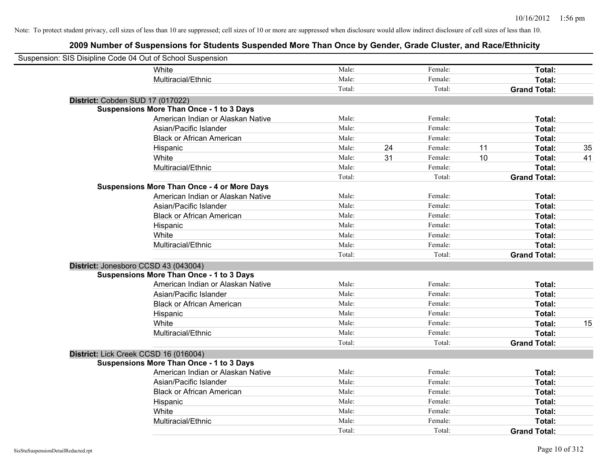| Suspension: SIS Disipline Code 04 Out of School Suspension |                                                    |        |    |         |    |                     |    |
|------------------------------------------------------------|----------------------------------------------------|--------|----|---------|----|---------------------|----|
|                                                            | White                                              | Male:  |    | Female: |    | Total:              |    |
|                                                            | Multiracial/Ethnic                                 | Male:  |    | Female: |    | Total:              |    |
|                                                            |                                                    | Total: |    | Total:  |    | <b>Grand Total:</b> |    |
| District: Cobden SUD 17 (017022)                           |                                                    |        |    |         |    |                     |    |
|                                                            | <b>Suspensions More Than Once - 1 to 3 Days</b>    |        |    |         |    |                     |    |
|                                                            | American Indian or Alaskan Native                  | Male:  |    | Female: |    | Total:              |    |
|                                                            | Asian/Pacific Islander                             | Male:  |    | Female: |    | Total:              |    |
|                                                            | <b>Black or African American</b>                   | Male:  |    | Female: |    | Total:              |    |
|                                                            | Hispanic                                           | Male:  | 24 | Female: | 11 | Total:              | 35 |
|                                                            | White                                              | Male:  | 31 | Female: | 10 | Total:              | 41 |
|                                                            | Multiracial/Ethnic                                 | Male:  |    | Female: |    | Total:              |    |
|                                                            |                                                    | Total: |    | Total:  |    | <b>Grand Total:</b> |    |
|                                                            | <b>Suspensions More Than Once - 4 or More Days</b> |        |    |         |    |                     |    |
|                                                            | American Indian or Alaskan Native                  | Male:  |    | Female: |    | Total:              |    |
|                                                            | Asian/Pacific Islander                             | Male:  |    | Female: |    | Total:              |    |
|                                                            | <b>Black or African American</b>                   | Male:  |    | Female: |    | Total:              |    |
|                                                            | Hispanic                                           | Male:  |    | Female: |    | Total:              |    |
|                                                            | White                                              | Male:  |    | Female: |    | Total:              |    |
|                                                            | Multiracial/Ethnic                                 | Male:  |    | Female: |    | Total:              |    |
|                                                            |                                                    | Total: |    | Total:  |    | <b>Grand Total:</b> |    |
| District: Jonesboro CCSD 43 (043004)                       |                                                    |        |    |         |    |                     |    |
|                                                            | <b>Suspensions More Than Once - 1 to 3 Days</b>    |        |    |         |    |                     |    |
|                                                            | American Indian or Alaskan Native                  | Male:  |    | Female: |    | Total:              |    |
|                                                            | Asian/Pacific Islander                             | Male:  |    | Female: |    | Total:              |    |
|                                                            | <b>Black or African American</b>                   | Male:  |    | Female: |    | Total:              |    |
|                                                            | Hispanic                                           | Male:  |    | Female: |    | Total:              |    |
|                                                            | White                                              | Male:  |    | Female: |    | Total:              | 15 |
|                                                            | Multiracial/Ethnic                                 | Male:  |    | Female: |    | Total:              |    |
|                                                            |                                                    | Total: |    | Total:  |    | <b>Grand Total:</b> |    |
| District: Lick Creek CCSD 16 (016004)                      |                                                    |        |    |         |    |                     |    |
|                                                            | <b>Suspensions More Than Once - 1 to 3 Days</b>    |        |    |         |    |                     |    |
|                                                            | American Indian or Alaskan Native                  | Male:  |    | Female: |    | Total:              |    |
|                                                            | Asian/Pacific Islander                             | Male:  |    | Female: |    | Total:              |    |
|                                                            | <b>Black or African American</b>                   | Male:  |    | Female: |    | Total:              |    |
|                                                            | Hispanic                                           | Male:  |    | Female: |    | Total:              |    |
|                                                            | White                                              | Male:  |    | Female: |    | Total:              |    |
|                                                            | Multiracial/Ethnic                                 | Male:  |    | Female: |    | Total:              |    |
|                                                            |                                                    | Total: |    | Total:  |    | <b>Grand Total:</b> |    |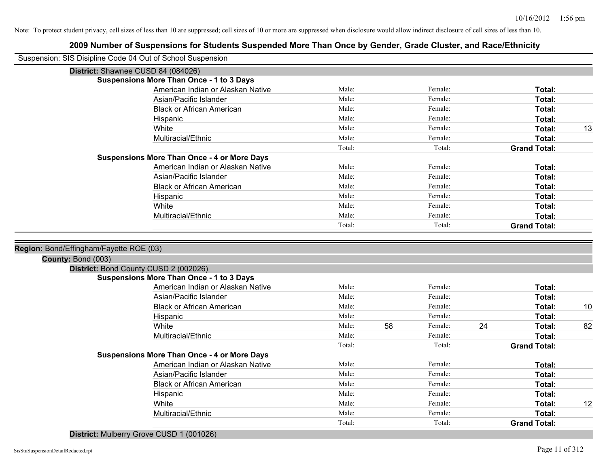| Suspension: SIS Disipline Code 04 Out of School Suspension    |                                                    |                |    |         |    |                               |    |
|---------------------------------------------------------------|----------------------------------------------------|----------------|----|---------|----|-------------------------------|----|
| District: Shawnee CUSD 84 (084026)                            |                                                    |                |    |         |    |                               |    |
|                                                               | <b>Suspensions More Than Once - 1 to 3 Days</b>    |                |    |         |    |                               |    |
|                                                               | American Indian or Alaskan Native                  | Male:          |    | Female: |    | Total:                        |    |
|                                                               | Asian/Pacific Islander                             | Male:          |    | Female: |    | Total:                        |    |
|                                                               | <b>Black or African American</b>                   | Male:          |    | Female: |    | Total:                        |    |
|                                                               | Hispanic                                           | Male:          |    | Female: |    | Total:                        |    |
|                                                               | White                                              | Male:          |    | Female: |    | Total:                        | 13 |
|                                                               | Multiracial/Ethnic                                 | Male:          |    | Female: |    | Total:                        |    |
|                                                               |                                                    | Total:         |    | Total:  |    | <b>Grand Total:</b>           |    |
|                                                               | <b>Suspensions More Than Once - 4 or More Days</b> |                |    |         |    |                               |    |
|                                                               | American Indian or Alaskan Native                  | Male:          |    | Female: |    | Total:                        |    |
|                                                               | Asian/Pacific Islander                             | Male:          |    | Female: |    | Total:                        |    |
|                                                               | <b>Black or African American</b>                   | Male:          |    | Female: |    | Total:                        |    |
|                                                               | Hispanic                                           | Male:          |    | Female: |    | Total:                        |    |
|                                                               | White                                              | Male:          |    | Female: |    | Total:                        |    |
|                                                               | Multiracial/Ethnic                                 | Male:          |    | Female: |    | Total:                        |    |
|                                                               |                                                    | Total:         |    | Total:  |    | <b>Grand Total:</b>           |    |
|                                                               |                                                    |                |    |         |    |                               |    |
| Region: Bond/Effingham/Fayette ROE (03)<br>County: Bond (003) |                                                    |                |    |         |    |                               |    |
|                                                               | District: Bond County CUSD 2 (002026)              |                |    |         |    |                               |    |
|                                                               | <b>Suspensions More Than Once - 1 to 3 Days</b>    | Male:          |    | Female: |    |                               |    |
|                                                               | American Indian or Alaskan Native                  | Male:          |    | Female: |    | Total:                        |    |
|                                                               | Asian/Pacific Islander                             |                |    | Female: |    | Total:                        |    |
|                                                               | <b>Black or African American</b>                   | Male:<br>Male: |    | Female: |    | Total:                        | 10 |
|                                                               | Hispanic<br>White                                  | Male:          | 58 | Female: | 24 | Total:                        |    |
|                                                               | Multiracial/Ethnic                                 | Male:          |    | Female: |    | Total:<br>Total:              | 82 |
|                                                               |                                                    | Total:         |    | Total:  |    | <b>Grand Total:</b>           |    |
|                                                               | <b>Suspensions More Than Once - 4 or More Days</b> |                |    |         |    |                               |    |
|                                                               | American Indian or Alaskan Native                  | Male:          |    | Female: |    | Total:                        |    |
|                                                               | Asian/Pacific Islander                             | Male:          |    | Female: |    | Total:                        |    |
|                                                               | <b>Black or African American</b>                   | Male:          |    | Female: |    | Total:                        |    |
|                                                               | Hispanic                                           | Male:          |    | Female: |    | Total:                        |    |
|                                                               | White                                              | Male:          |    | Female: |    | Total:                        | 12 |
|                                                               | Multiracial/Ethnic                                 | Male:          |    | Female: |    | Total:<br><b>Grand Total:</b> |    |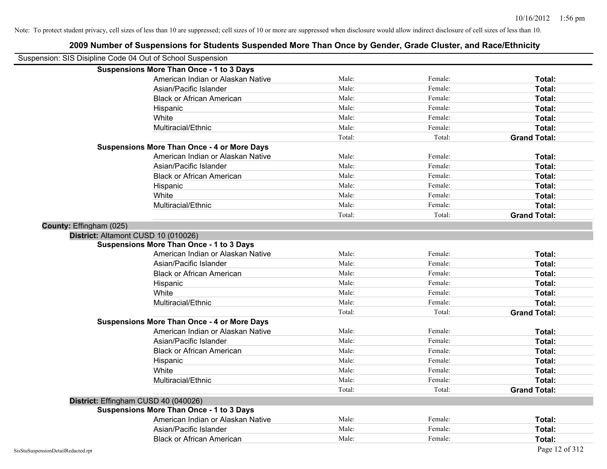|                                      | <b>Suspensions More Than Once - 1 to 3 Days</b>    |        |         |                     |
|--------------------------------------|----------------------------------------------------|--------|---------|---------------------|
|                                      | American Indian or Alaskan Native                  | Male:  | Female: | Total:              |
|                                      | Asian/Pacific Islander                             | Male:  | Female: | Total:              |
|                                      | <b>Black or African American</b>                   | Male:  | Female: | Total:              |
|                                      | Hispanic                                           | Male:  | Female: | Total:              |
|                                      | White                                              | Male:  | Female: | Total:              |
|                                      | Multiracial/Ethnic                                 | Male:  | Female: | Total:              |
|                                      |                                                    | Total: | Total:  | <b>Grand Total:</b> |
|                                      | <b>Suspensions More Than Once - 4 or More Days</b> |        |         |                     |
|                                      | American Indian or Alaskan Native                  | Male:  | Female: | Total:              |
|                                      | Asian/Pacific Islander                             | Male:  | Female: | Total:              |
|                                      | <b>Black or African American</b>                   | Male:  | Female: | Total:              |
|                                      | Hispanic                                           | Male:  | Female: | Total:              |
|                                      | White                                              | Male:  | Female: | Total:              |
|                                      | Multiracial/Ethnic                                 | Male:  | Female: | <b>Total:</b>       |
|                                      |                                                    | Total: | Total:  | <b>Grand Total:</b> |
| County: Effingham (025)              |                                                    |        |         |                     |
| District: Altamont CUSD 10 (010026)  |                                                    |        |         |                     |
|                                      | <b>Suspensions More Than Once - 1 to 3 Days</b>    |        |         |                     |
|                                      | American Indian or Alaskan Native                  | Male:  | Female: | Total:              |
|                                      | Asian/Pacific Islander                             | Male:  | Female: | Total:              |
|                                      | <b>Black or African American</b>                   | Male:  | Female: | Total:              |
|                                      | Hispanic                                           | Male:  | Female: | Total:              |
|                                      | White                                              | Male:  | Female: | Total:              |
|                                      | Multiracial/Ethnic                                 | Male:  | Female: | Total:              |
|                                      |                                                    | Total: | Total:  | <b>Grand Total:</b> |
|                                      | <b>Suspensions More Than Once - 4 or More Days</b> |        |         |                     |
|                                      | American Indian or Alaskan Native                  | Male:  | Female: | Total:              |
|                                      | Asian/Pacific Islander                             | Male:  | Female: | Total:              |
|                                      | <b>Black or African American</b>                   | Male:  | Female: | Total:              |
|                                      | Hispanic                                           | Male:  | Female: | Total:              |
|                                      | White                                              | Male:  | Female: | Total:              |
|                                      | Multiracial/Ethnic                                 | Male:  | Female: | Total:              |
|                                      |                                                    | Total: | Total:  | <b>Grand Total:</b> |
| District: Effingham CUSD 40 (040026) |                                                    |        |         |                     |
|                                      | <b>Suspensions More Than Once - 1 to 3 Days</b>    |        |         |                     |
|                                      | American Indian or Alaskan Native                  | Male:  | Female: | Total:              |
|                                      | Asian/Pacific Islander                             | Male:  | Female: | Total:              |
|                                      | <b>Black or African American</b>                   | Male:  | Female: | Total:              |
| SisStuSuspensionDetailRedacted.rpt   |                                                    |        |         | Page 12 of 312      |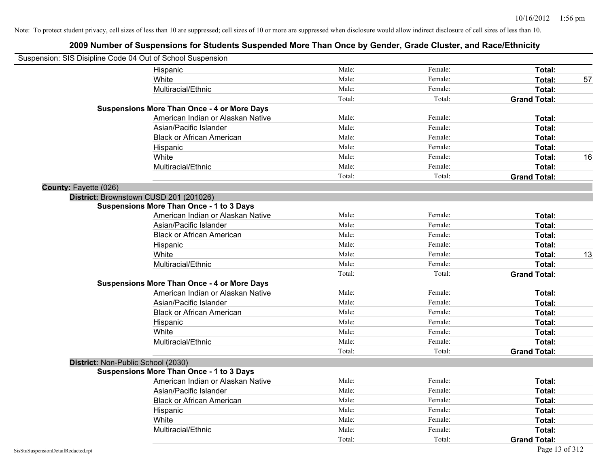|                       | Suspension: SIS Disipline Code 04 Out of School Suspension |        |         |                     |    |
|-----------------------|------------------------------------------------------------|--------|---------|---------------------|----|
|                       | Hispanic                                                   | Male:  | Female: | Total:              |    |
|                       | White                                                      | Male:  | Female: | Total:              | 57 |
|                       | Multiracial/Ethnic                                         | Male:  | Female: | Total:              |    |
|                       |                                                            | Total: | Total:  | <b>Grand Total:</b> |    |
|                       | <b>Suspensions More Than Once - 4 or More Days</b>         |        |         |                     |    |
|                       | American Indian or Alaskan Native                          | Male:  | Female: | Total:              |    |
|                       | Asian/Pacific Islander                                     | Male:  | Female: | Total:              |    |
|                       | <b>Black or African American</b>                           | Male:  | Female: | Total:              |    |
|                       | Hispanic                                                   | Male:  | Female: | Total:              |    |
|                       | White                                                      | Male:  | Female: | Total:              | 16 |
|                       | Multiracial/Ethnic                                         | Male:  | Female: | Total:              |    |
|                       |                                                            | Total: | Total:  | <b>Grand Total:</b> |    |
| County: Fayette (026) |                                                            |        |         |                     |    |
|                       | District: Brownstown CUSD 201 (201026)                     |        |         |                     |    |
|                       | <b>Suspensions More Than Once - 1 to 3 Days</b>            |        |         |                     |    |
|                       | American Indian or Alaskan Native                          | Male:  | Female: | Total:              |    |
|                       | Asian/Pacific Islander                                     | Male:  | Female: | Total:              |    |
|                       | <b>Black or African American</b>                           | Male:  | Female: | Total:              |    |
|                       | Hispanic                                                   | Male:  | Female: | Total:              |    |
|                       | White                                                      | Male:  | Female: | Total:              | 13 |
|                       | Multiracial/Ethnic                                         | Male:  | Female: | Total:              |    |
|                       |                                                            | Total: | Total:  | <b>Grand Total:</b> |    |
|                       | <b>Suspensions More Than Once - 4 or More Days</b>         |        |         |                     |    |
|                       | American Indian or Alaskan Native                          | Male:  | Female: | Total:              |    |
|                       | Asian/Pacific Islander                                     | Male:  | Female: | Total:              |    |
|                       | <b>Black or African American</b>                           | Male:  | Female: | Total:              |    |
|                       | Hispanic                                                   | Male:  | Female: | Total:              |    |
|                       | White                                                      | Male:  | Female: | Total:              |    |
|                       | Multiracial/Ethnic                                         | Male:  | Female: | Total:              |    |
|                       |                                                            | Total: | Total:  | <b>Grand Total:</b> |    |
|                       | District: Non-Public School (2030)                         |        |         |                     |    |
|                       | <b>Suspensions More Than Once - 1 to 3 Days</b>            |        |         |                     |    |
|                       | American Indian or Alaskan Native                          | Male:  | Female: | Total:              |    |
|                       | Asian/Pacific Islander                                     | Male:  | Female: | Total:              |    |
|                       | <b>Black or African American</b>                           | Male:  | Female: | Total:              |    |
|                       | Hispanic                                                   | Male:  | Female: | Total:              |    |
|                       | White                                                      | Male:  | Female: | Total:              |    |
|                       | Multiracial/Ethnic                                         | Male:  | Female: | Total:              |    |
|                       |                                                            | Total: | Total:  | <b>Grand Total:</b> |    |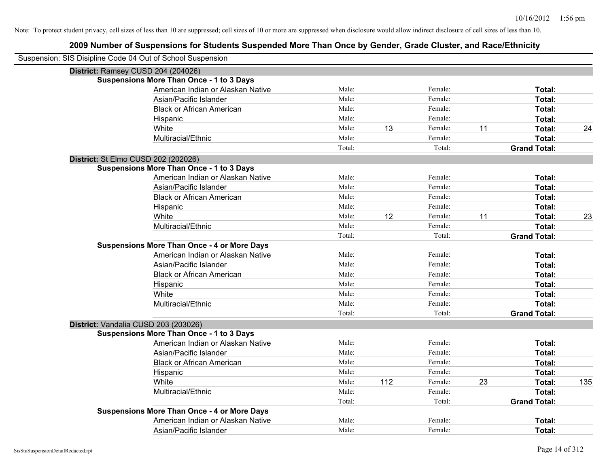| Suspension: SIS Disipline Code 04 Out of School Suspension |        |     |         |    |                     |     |
|------------------------------------------------------------|--------|-----|---------|----|---------------------|-----|
| District: Ramsey CUSD 204 (204026)                         |        |     |         |    |                     |     |
| <b>Suspensions More Than Once - 1 to 3 Days</b>            |        |     |         |    |                     |     |
| American Indian or Alaskan Native                          | Male:  |     | Female: |    | Total:              |     |
| Asian/Pacific Islander                                     | Male:  |     | Female: |    | Total:              |     |
| <b>Black or African American</b>                           | Male:  |     | Female: |    | Total:              |     |
| Hispanic                                                   | Male:  |     | Female: |    | Total:              |     |
| White                                                      | Male:  | 13  | Female: | 11 | Total:              | 24  |
| Multiracial/Ethnic                                         | Male:  |     | Female: |    | Total:              |     |
|                                                            | Total: |     | Total:  |    | <b>Grand Total:</b> |     |
| District: St Elmo CUSD 202 (202026)                        |        |     |         |    |                     |     |
| <b>Suspensions More Than Once - 1 to 3 Days</b>            |        |     |         |    |                     |     |
| American Indian or Alaskan Native                          | Male:  |     | Female: |    | Total:              |     |
| Asian/Pacific Islander                                     | Male:  |     | Female: |    | Total:              |     |
| <b>Black or African American</b>                           | Male:  |     | Female: |    | Total:              |     |
| Hispanic                                                   | Male:  |     | Female: |    | Total:              |     |
| White                                                      | Male:  | 12  | Female: | 11 | Total:              | 23  |
| Multiracial/Ethnic                                         | Male:  |     | Female: |    | Total:              |     |
|                                                            | Total: |     | Total:  |    | <b>Grand Total:</b> |     |
| <b>Suspensions More Than Once - 4 or More Days</b>         |        |     |         |    |                     |     |
| American Indian or Alaskan Native                          | Male:  |     | Female: |    | Total:              |     |
| Asian/Pacific Islander                                     | Male:  |     | Female: |    | Total:              |     |
| <b>Black or African American</b>                           | Male:  |     | Female: |    | Total:              |     |
| Hispanic                                                   | Male:  |     | Female: |    | Total:              |     |
| White                                                      | Male:  |     | Female: |    | Total:              |     |
| Multiracial/Ethnic                                         | Male:  |     | Female: |    | Total:              |     |
|                                                            | Total: |     | Total:  |    | <b>Grand Total:</b> |     |
| District: Vandalia CUSD 203 (203026)                       |        |     |         |    |                     |     |
| <b>Suspensions More Than Once - 1 to 3 Days</b>            |        |     |         |    |                     |     |
| American Indian or Alaskan Native                          | Male:  |     | Female: |    | Total:              |     |
| Asian/Pacific Islander                                     | Male:  |     | Female: |    | Total:              |     |
| <b>Black or African American</b>                           | Male:  |     | Female: |    | Total:              |     |
| Hispanic                                                   | Male:  |     | Female: |    | Total:              |     |
| White                                                      | Male:  | 112 | Female: | 23 | Total:              | 135 |
| Multiracial/Ethnic                                         | Male:  |     | Female: |    | Total:              |     |
|                                                            | Total: |     | Total:  |    | <b>Grand Total:</b> |     |
| <b>Suspensions More Than Once - 4 or More Days</b>         |        |     |         |    |                     |     |
| American Indian or Alaskan Native                          | Male:  |     | Female: |    | Total:              |     |
| Asian/Pacific Islander                                     | Male:  |     | Female: |    | Total:              |     |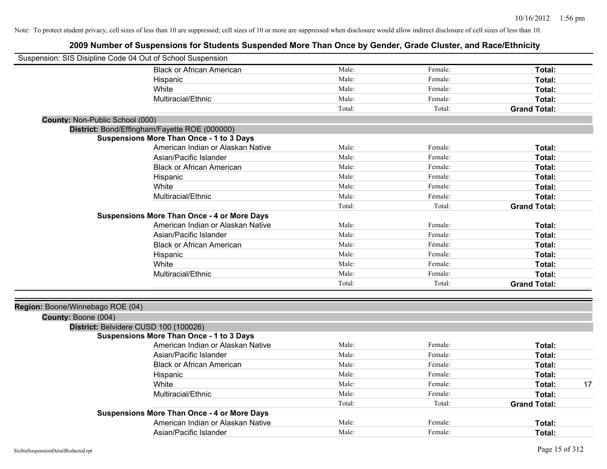| Suspension: SIS Disipline Code 04 Out of School Suspension   |                                                    |        |         |                     |
|--------------------------------------------------------------|----------------------------------------------------|--------|---------|---------------------|
|                                                              | <b>Black or African American</b>                   | Male:  | Female: | Total:              |
|                                                              | Hispanic                                           | Male:  | Female: | Total:              |
|                                                              | White                                              | Male:  | Female: | Total:              |
|                                                              | Multiracial/Ethnic                                 | Male:  | Female: | Total:              |
|                                                              |                                                    | Total: | Total:  | <b>Grand Total:</b> |
| County: Non-Public School (000)                              |                                                    |        |         |                     |
|                                                              | District: Bond/Effingham/Fayette ROE (000000)      |        |         |                     |
|                                                              | <b>Suspensions More Than Once - 1 to 3 Days</b>    |        |         |                     |
|                                                              | American Indian or Alaskan Native                  | Male:  | Female: | Total:              |
|                                                              | Asian/Pacific Islander                             | Male:  | Female: | Total:              |
|                                                              | <b>Black or African American</b>                   | Male:  | Female: | Total:              |
|                                                              | Hispanic                                           | Male:  | Female: | Total:              |
|                                                              | White                                              | Male:  | Female: | Total:              |
|                                                              | Multiracial/Ethnic                                 | Male:  | Female: | Total:              |
|                                                              |                                                    | Total: | Total:  | <b>Grand Total:</b> |
|                                                              | <b>Suspensions More Than Once - 4 or More Days</b> |        |         |                     |
|                                                              | American Indian or Alaskan Native                  | Male:  | Female: | Total:              |
|                                                              | Asian/Pacific Islander                             | Male:  | Female: | Total:              |
|                                                              | <b>Black or African American</b>                   | Male:  | Female: | Total:              |
|                                                              | Hispanic                                           | Male:  | Female: | Total:              |
|                                                              | White                                              | Male:  | Female: | Total:              |
|                                                              | Multiracial/Ethnic                                 | Male:  | Female: | Total:              |
|                                                              |                                                    | Total: | Total:  | <b>Grand Total:</b> |
|                                                              |                                                    |        |         |                     |
| Region: Boone/Winnebago ROE (04)                             |                                                    |        |         |                     |
| County: Boone (004)<br>District: Belvidere CUSD 100 (100026) |                                                    |        |         |                     |
|                                                              | Suspensions More Than Once - 1 to 3 Days           |        |         |                     |
|                                                              | American Indian or Alaskan Native                  | Male:  | Female: | Total:              |
|                                                              | Asian/Pacific Islander                             | Male:  | Female: | Total:              |
|                                                              | <b>Black or African American</b>                   | Male:  | Female: | Total:              |
|                                                              | Hispanic                                           | Male:  | Female: | Total:              |
|                                                              | White                                              | Male:  | Female: | 17<br>Total:        |
|                                                              | Multiracial/Ethnic                                 | Male:  | Female: | Total:              |
|                                                              |                                                    | Total: | Total:  | <b>Grand Total:</b> |
|                                                              | <b>Suspensions More Than Once - 4 or More Days</b> |        |         |                     |
|                                                              | American Indian or Alaskan Native                  | Male:  | Female: | <b>Total:</b>       |
|                                                              | Asian/Pacific Islander                             | Male:  | Female: | Total:              |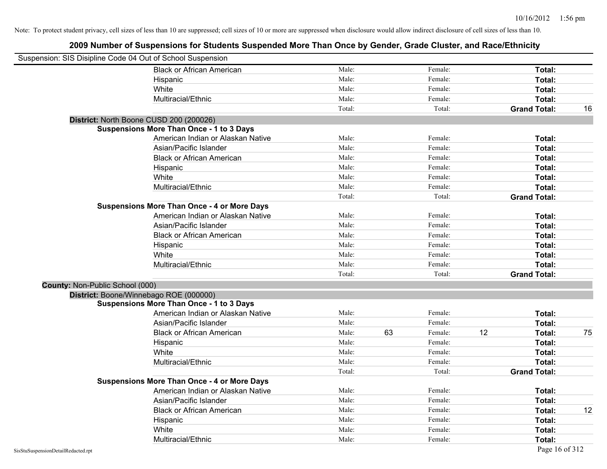| Suspension: SIS Disipline Code 04 Out of School Suspension |                                                    |        |    |         |                     |               |
|------------------------------------------------------------|----------------------------------------------------|--------|----|---------|---------------------|---------------|
|                                                            | <b>Black or African American</b>                   | Male:  |    | Female: |                     | Total:        |
|                                                            | Hispanic                                           | Male:  |    | Female: |                     | Total:        |
|                                                            | White                                              | Male:  |    | Female: |                     | <b>Total:</b> |
|                                                            | Multiracial/Ethnic                                 | Male:  |    | Female: |                     | Total:        |
|                                                            |                                                    | Total: |    | Total:  | <b>Grand Total:</b> | 16            |
|                                                            | District: North Boone CUSD 200 (200026)            |        |    |         |                     |               |
|                                                            | <b>Suspensions More Than Once - 1 to 3 Days</b>    |        |    |         |                     |               |
|                                                            | American Indian or Alaskan Native                  | Male:  |    | Female: |                     | Total:        |
|                                                            | Asian/Pacific Islander                             | Male:  |    | Female: |                     | Total:        |
|                                                            | <b>Black or African American</b>                   | Male:  |    | Female: |                     | Total:        |
|                                                            | Hispanic                                           | Male:  |    | Female: |                     | Total:        |
|                                                            | White                                              | Male:  |    | Female: |                     | Total:        |
|                                                            | Multiracial/Ethnic                                 | Male:  |    | Female: |                     | Total:        |
|                                                            |                                                    | Total: |    | Total:  | <b>Grand Total:</b> |               |
|                                                            | <b>Suspensions More Than Once - 4 or More Days</b> |        |    |         |                     |               |
|                                                            | American Indian or Alaskan Native                  | Male:  |    | Female: |                     | Total:        |
|                                                            | Asian/Pacific Islander                             | Male:  |    | Female: |                     | Total:        |
|                                                            | <b>Black or African American</b>                   | Male:  |    | Female: |                     | Total:        |
|                                                            | Hispanic                                           | Male:  |    | Female: |                     | Total:        |
|                                                            | White                                              | Male:  |    | Female: |                     | Total:        |
|                                                            | Multiracial/Ethnic                                 | Male:  |    | Female: |                     | Total:        |
|                                                            |                                                    | Total: |    | Total:  | <b>Grand Total:</b> |               |
| County: Non-Public School (000)                            |                                                    |        |    |         |                     |               |
|                                                            | District: Boone/Winnebago ROE (000000)             |        |    |         |                     |               |
|                                                            | <b>Suspensions More Than Once - 1 to 3 Days</b>    |        |    |         |                     |               |
|                                                            | American Indian or Alaskan Native                  | Male:  |    | Female: |                     | Total:        |
|                                                            | Asian/Pacific Islander                             | Male:  |    | Female: |                     | Total:        |
|                                                            | <b>Black or African American</b>                   | Male:  | 63 | Female: | 12                  | 75<br>Total:  |
|                                                            | Hispanic                                           | Male:  |    | Female: |                     | Total:        |
|                                                            | White                                              | Male:  |    | Female: |                     | Total:        |
|                                                            | Multiracial/Ethnic                                 | Male:  |    | Female: |                     | Total:        |
|                                                            |                                                    | Total: |    | Total:  | <b>Grand Total:</b> |               |
|                                                            | <b>Suspensions More Than Once - 4 or More Days</b> |        |    |         |                     |               |
|                                                            | American Indian or Alaskan Native                  | Male:  |    | Female: |                     | Total:        |
|                                                            | Asian/Pacific Islander                             | Male:  |    | Female: |                     | Total:        |
|                                                            | <b>Black or African American</b>                   | Male:  |    | Female: |                     | 12<br>Total:  |
|                                                            | Hispanic                                           | Male:  |    | Female: |                     | Total:        |
|                                                            | White                                              | Male:  |    | Female: |                     | Total:        |
|                                                            | Multiracial/Ethnic                                 | Male:  |    | Female: |                     | Total:        |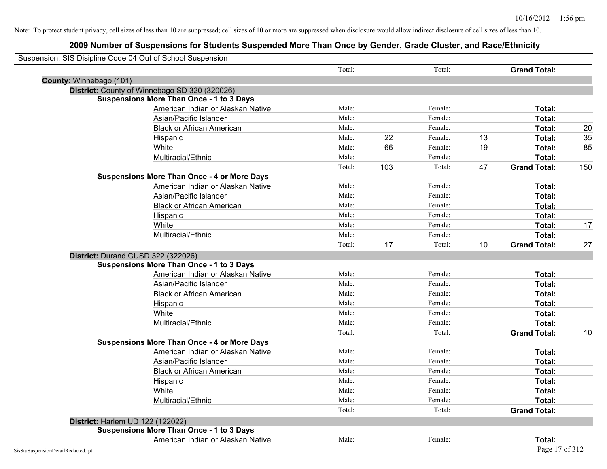| Suspension: SIS Disipline Code 04 Out of School Suspension |                                                    |        |     |         |    |                     |                 |
|------------------------------------------------------------|----------------------------------------------------|--------|-----|---------|----|---------------------|-----------------|
|                                                            |                                                    | Total: |     | Total:  |    | <b>Grand Total:</b> |                 |
| County: Winnebago (101)                                    |                                                    |        |     |         |    |                     |                 |
|                                                            | District: County of Winnebago SD 320 (320026)      |        |     |         |    |                     |                 |
|                                                            | Suspensions More Than Once - 1 to 3 Days           |        |     |         |    |                     |                 |
|                                                            | American Indian or Alaskan Native                  | Male:  |     | Female: |    | Total:              |                 |
|                                                            | Asian/Pacific Islander                             | Male:  |     | Female: |    | Total:              |                 |
|                                                            | <b>Black or African American</b>                   | Male:  |     | Female: |    | Total:              | 20              |
|                                                            | Hispanic                                           | Male:  | 22  | Female: | 13 | Total:              | 35              |
|                                                            | White                                              | Male:  | 66  | Female: | 19 | Total:              | 85              |
|                                                            | Multiracial/Ethnic                                 | Male:  |     | Female: |    | Total:              |                 |
|                                                            |                                                    | Total: | 103 | Total:  | 47 | <b>Grand Total:</b> | 150             |
|                                                            | <b>Suspensions More Than Once - 4 or More Days</b> |        |     |         |    |                     |                 |
|                                                            | American Indian or Alaskan Native                  | Male:  |     | Female: |    | Total:              |                 |
|                                                            | Asian/Pacific Islander                             | Male:  |     | Female: |    | Total:              |                 |
|                                                            | <b>Black or African American</b>                   | Male:  |     | Female: |    | Total:              |                 |
|                                                            | Hispanic                                           | Male:  |     | Female: |    | Total:              |                 |
|                                                            | White                                              | Male:  |     | Female: |    | Total:              | 17              |
|                                                            | Multiracial/Ethnic                                 | Male:  |     | Female: |    | Total:              |                 |
|                                                            |                                                    | Total: | 17  | Total:  | 10 | <b>Grand Total:</b> | 27              |
|                                                            | District: Durand CUSD 322 (322026)                 |        |     |         |    |                     |                 |
|                                                            | <b>Suspensions More Than Once - 1 to 3 Days</b>    |        |     |         |    |                     |                 |
|                                                            | American Indian or Alaskan Native                  | Male:  |     | Female: |    | Total:              |                 |
|                                                            | Asian/Pacific Islander                             | Male:  |     | Female: |    | Total:              |                 |
|                                                            | <b>Black or African American</b>                   | Male:  |     | Female: |    | Total:              |                 |
|                                                            | Hispanic                                           | Male:  |     | Female: |    | Total:              |                 |
|                                                            | White                                              | Male:  |     | Female: |    | Total:              |                 |
|                                                            | Multiracial/Ethnic                                 | Male:  |     | Female: |    | Total:              |                 |
|                                                            |                                                    | Total: |     | Total:  |    | <b>Grand Total:</b> | 10 <sup>°</sup> |
|                                                            | <b>Suspensions More Than Once - 4 or More Days</b> |        |     |         |    |                     |                 |
|                                                            | American Indian or Alaskan Native                  | Male:  |     | Female: |    | Total:              |                 |
|                                                            | Asian/Pacific Islander                             | Male:  |     | Female: |    | Total:              |                 |
|                                                            | <b>Black or African American</b>                   | Male:  |     | Female: |    | Total:              |                 |
|                                                            | Hispanic                                           | Male:  |     | Female: |    | Total:              |                 |
|                                                            | White                                              | Male:  |     | Female: |    | Total:              |                 |
|                                                            | Multiracial/Ethnic                                 | Male:  |     | Female: |    | Total:              |                 |
|                                                            |                                                    | Total: |     | Total:  |    | <b>Grand Total:</b> |                 |
|                                                            | District: Harlem UD 122 (122022)                   |        |     |         |    |                     |                 |
|                                                            | <b>Suspensions More Than Once - 1 to 3 Days</b>    |        |     |         |    |                     |                 |
|                                                            | American Indian or Alaskan Native                  | Male:  |     | Female: |    | Total:              |                 |
| SisStuSuspensionDetailRedacted.rpt                         |                                                    |        |     |         |    | Page 17 of 312      |                 |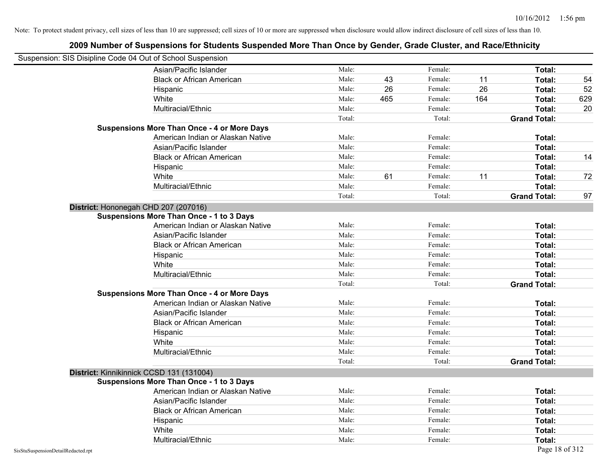| Suspension: SIS Disipline Code 04 Out of School Suspension |                                                    |        |     |         |     |                     |     |
|------------------------------------------------------------|----------------------------------------------------|--------|-----|---------|-----|---------------------|-----|
|                                                            | Asian/Pacific Islander                             | Male:  |     | Female: |     | Total:              |     |
|                                                            | <b>Black or African American</b>                   | Male:  | 43  | Female: | 11  | Total:              | 54  |
|                                                            | Hispanic                                           | Male:  | 26  | Female: | 26  | Total:              | 52  |
|                                                            | White                                              | Male:  | 465 | Female: | 164 | Total:              | 629 |
|                                                            | Multiracial/Ethnic                                 | Male:  |     | Female: |     | Total:              | 20  |
|                                                            |                                                    | Total: |     | Total:  |     | <b>Grand Total:</b> |     |
|                                                            | <b>Suspensions More Than Once - 4 or More Days</b> |        |     |         |     |                     |     |
|                                                            | American Indian or Alaskan Native                  | Male:  |     | Female: |     | Total:              |     |
|                                                            | Asian/Pacific Islander                             | Male:  |     | Female: |     | Total:              |     |
|                                                            | <b>Black or African American</b>                   | Male:  |     | Female: |     | Total:              | 14  |
|                                                            | Hispanic                                           | Male:  |     | Female: |     | Total:              |     |
|                                                            | White                                              | Male:  | 61  | Female: | 11  | Total:              | 72  |
|                                                            | Multiracial/Ethnic                                 | Male:  |     | Female: |     | Total:              |     |
|                                                            |                                                    | Total: |     | Total:  |     | <b>Grand Total:</b> | 97  |
|                                                            | District: Hononegah CHD 207 (207016)               |        |     |         |     |                     |     |
|                                                            | <b>Suspensions More Than Once - 1 to 3 Days</b>    |        |     |         |     |                     |     |
|                                                            | American Indian or Alaskan Native                  | Male:  |     | Female: |     | Total:              |     |
|                                                            | Asian/Pacific Islander                             | Male:  |     | Female: |     | Total:              |     |
|                                                            | <b>Black or African American</b>                   | Male:  |     | Female: |     | Total:              |     |
|                                                            | Hispanic                                           | Male:  |     | Female: |     | Total:              |     |
|                                                            | White                                              | Male:  |     | Female: |     | Total:              |     |
|                                                            | Multiracial/Ethnic                                 | Male:  |     | Female: |     | Total:              |     |
|                                                            |                                                    | Total: |     | Total:  |     | <b>Grand Total:</b> |     |
|                                                            | <b>Suspensions More Than Once - 4 or More Days</b> |        |     |         |     |                     |     |
|                                                            | American Indian or Alaskan Native                  | Male:  |     | Female: |     | Total:              |     |
|                                                            | Asian/Pacific Islander                             | Male:  |     | Female: |     | Total:              |     |
|                                                            | <b>Black or African American</b>                   | Male:  |     | Female: |     | Total:              |     |
|                                                            | Hispanic                                           | Male:  |     | Female: |     | Total:              |     |
|                                                            | White                                              | Male:  |     | Female: |     | Total:              |     |
|                                                            | Multiracial/Ethnic                                 | Male:  |     | Female: |     | Total:              |     |
|                                                            |                                                    | Total: |     | Total:  |     | <b>Grand Total:</b> |     |
|                                                            | District: Kinnikinnick CCSD 131 (131004)           |        |     |         |     |                     |     |
|                                                            | <b>Suspensions More Than Once - 1 to 3 Days</b>    |        |     |         |     |                     |     |
|                                                            | American Indian or Alaskan Native                  | Male:  |     | Female: |     | Total:              |     |
|                                                            | Asian/Pacific Islander                             | Male:  |     | Female: |     | Total:              |     |
|                                                            | <b>Black or African American</b>                   | Male:  |     | Female: |     | Total:              |     |
|                                                            | Hispanic                                           | Male:  |     | Female: |     | Total:              |     |
|                                                            | White                                              | Male:  |     | Female: |     | Total:              |     |
|                                                            | Multiracial/Ethnic                                 | Male:  |     | Female: |     | Total:              |     |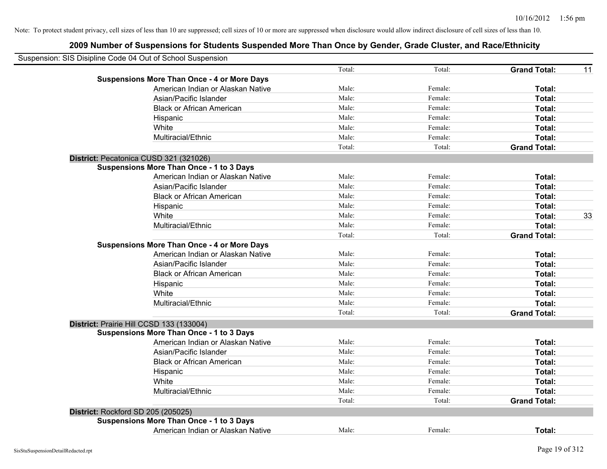|                                    | Suspension: SIS Disipline Code 04 Out of School Suspension |        |         |                     |    |
|------------------------------------|------------------------------------------------------------|--------|---------|---------------------|----|
|                                    |                                                            | Total: | Total:  | <b>Grand Total:</b> | 11 |
|                                    | <b>Suspensions More Than Once - 4 or More Days</b>         |        |         |                     |    |
|                                    | American Indian or Alaskan Native                          | Male:  | Female: | Total:              |    |
|                                    | Asian/Pacific Islander                                     | Male:  | Female: | Total:              |    |
|                                    | <b>Black or African American</b>                           | Male:  | Female: | Total:              |    |
|                                    | Hispanic                                                   | Male:  | Female: | Total:              |    |
|                                    | White                                                      | Male:  | Female: | Total:              |    |
|                                    | Multiracial/Ethnic                                         | Male:  | Female: | Total:              |    |
|                                    |                                                            | Total: | Total:  | <b>Grand Total:</b> |    |
|                                    | District: Pecatonica CUSD 321 (321026)                     |        |         |                     |    |
|                                    | <b>Suspensions More Than Once - 1 to 3 Days</b>            |        |         |                     |    |
|                                    | American Indian or Alaskan Native                          | Male:  | Female: | Total:              |    |
|                                    | Asian/Pacific Islander                                     | Male:  | Female: | Total:              |    |
|                                    | <b>Black or African American</b>                           | Male:  | Female: | Total:              |    |
|                                    | Hispanic                                                   | Male:  | Female: | Total:              |    |
|                                    | White                                                      | Male:  | Female: | Total:              | 33 |
|                                    | Multiracial/Ethnic                                         | Male:  | Female: | Total:              |    |
|                                    |                                                            | Total: | Total:  | <b>Grand Total:</b> |    |
|                                    | <b>Suspensions More Than Once - 4 or More Days</b>         |        |         |                     |    |
|                                    | American Indian or Alaskan Native                          | Male:  | Female: | Total:              |    |
|                                    | Asian/Pacific Islander                                     | Male:  | Female: | Total:              |    |
|                                    | <b>Black or African American</b>                           | Male:  | Female: | Total:              |    |
|                                    | Hispanic                                                   | Male:  | Female: | Total:              |    |
|                                    | White                                                      | Male:  | Female: | Total:              |    |
|                                    | Multiracial/Ethnic                                         | Male:  | Female: | Total:              |    |
|                                    |                                                            | Total: | Total:  | <b>Grand Total:</b> |    |
|                                    | District: Prairie Hill CCSD 133 (133004)                   |        |         |                     |    |
|                                    | <b>Suspensions More Than Once - 1 to 3 Days</b>            |        |         |                     |    |
|                                    | American Indian or Alaskan Native                          | Male:  | Female: | Total:              |    |
|                                    | Asian/Pacific Islander                                     | Male:  | Female: | Total:              |    |
|                                    | <b>Black or African American</b>                           | Male:  | Female: | Total:              |    |
|                                    | Hispanic                                                   | Male:  | Female: | Total:              |    |
|                                    | White                                                      | Male:  | Female: | Total:              |    |
|                                    | Multiracial/Ethnic                                         | Male:  | Female: | Total:              |    |
|                                    |                                                            | Total: | Total:  | <b>Grand Total:</b> |    |
| District: Rockford SD 205 (205025) |                                                            |        |         |                     |    |
|                                    | <b>Suspensions More Than Once - 1 to 3 Days</b>            |        |         |                     |    |
|                                    | American Indian or Alaskan Native                          | Male:  | Female: | Total:              |    |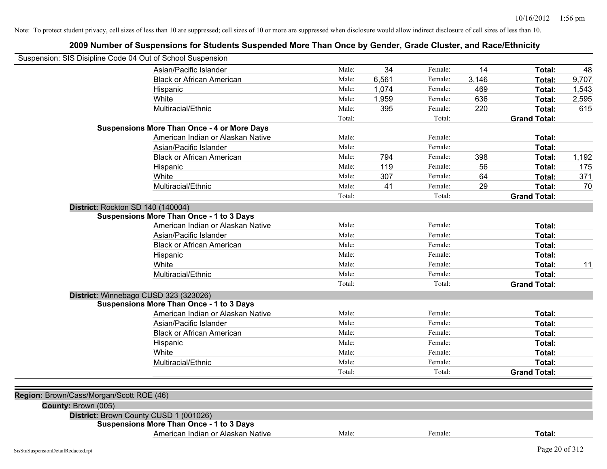| Suspension: SIS Disipline Code 04 Out of School Suspension |                                                    |        |       |         |       |                     |       |
|------------------------------------------------------------|----------------------------------------------------|--------|-------|---------|-------|---------------------|-------|
|                                                            | Asian/Pacific Islander                             | Male:  | 34    | Female: | 14    | Total:              | 48    |
|                                                            | <b>Black or African American</b>                   | Male:  | 6,561 | Female: | 3,146 | Total:              | 9,707 |
|                                                            | Hispanic                                           | Male:  | 1,074 | Female: | 469   | Total:              | 1,543 |
|                                                            | White                                              | Male:  | 1,959 | Female: | 636   | Total:              | 2,595 |
|                                                            | Multiracial/Ethnic                                 | Male:  | 395   | Female: | 220   | Total:              | 615   |
|                                                            |                                                    | Total: |       | Total:  |       | <b>Grand Total:</b> |       |
|                                                            | <b>Suspensions More Than Once - 4 or More Days</b> |        |       |         |       |                     |       |
|                                                            | American Indian or Alaskan Native                  | Male:  |       | Female: |       | Total:              |       |
|                                                            | Asian/Pacific Islander                             | Male:  |       | Female: |       | Total:              |       |
|                                                            | <b>Black or African American</b>                   | Male:  | 794   | Female: | 398   | Total:              | 1,192 |
|                                                            | Hispanic                                           | Male:  | 119   | Female: | 56    | Total:              | 175   |
|                                                            | White                                              | Male:  | 307   | Female: | 64    | Total:              | 371   |
|                                                            | Multiracial/Ethnic                                 | Male:  | 41    | Female: | 29    | Total:              | 70    |
|                                                            |                                                    | Total: |       | Total:  |       | <b>Grand Total:</b> |       |
|                                                            | District: Rockton SD 140 (140004)                  |        |       |         |       |                     |       |
|                                                            | Suspensions More Than Once - 1 to 3 Days           |        |       |         |       |                     |       |
|                                                            | American Indian or Alaskan Native                  | Male:  |       | Female: |       | Total:              |       |
|                                                            | Asian/Pacific Islander                             | Male:  |       | Female: |       | Total:              |       |
|                                                            | <b>Black or African American</b>                   | Male:  |       | Female: |       | Total:              |       |
|                                                            | Hispanic                                           | Male:  |       | Female: |       | Total:              |       |
|                                                            | White                                              | Male:  |       | Female: |       | Total:              | 11    |
|                                                            | Multiracial/Ethnic                                 | Male:  |       | Female: |       | Total:              |       |
|                                                            |                                                    | Total: |       | Total:  |       | <b>Grand Total:</b> |       |
|                                                            | District: Winnebago CUSD 323 (323026)              |        |       |         |       |                     |       |
|                                                            | <b>Suspensions More Than Once - 1 to 3 Days</b>    |        |       |         |       |                     |       |
|                                                            | American Indian or Alaskan Native                  | Male:  |       | Female: |       | Total:              |       |
|                                                            | Asian/Pacific Islander                             | Male:  |       | Female: |       | Total:              |       |
|                                                            | <b>Black or African American</b>                   | Male:  |       | Female: |       | Total:              |       |
|                                                            | Hispanic                                           | Male:  |       | Female: |       | Total:              |       |
|                                                            | White                                              | Male:  |       | Female: |       | Total:              |       |
|                                                            | Multiracial/Ethnic                                 | Male:  |       | Female: |       | Total:              |       |
|                                                            |                                                    | Total: |       | Total:  |       | <b>Grand Total:</b> |       |
|                                                            |                                                    |        |       |         |       |                     |       |
| Region: Brown/Cass/Morgan/Scott ROE (46)                   |                                                    |        |       |         |       |                     |       |
| County: Brown (005)                                        |                                                    |        |       |         |       |                     |       |
|                                                            | District: Brown County CUSD 1 (001026)             |        |       |         |       |                     |       |
|                                                            | Suspensions More Than Once - 1 to 3 Days           |        |       |         |       |                     |       |
|                                                            | American Indian or Alaskan Native                  | Male:  |       | Female: |       | Total:              |       |
| SisStuSuspensionDetailRedacted.rpt                         |                                                    |        |       |         |       | Page 20 of 312      |       |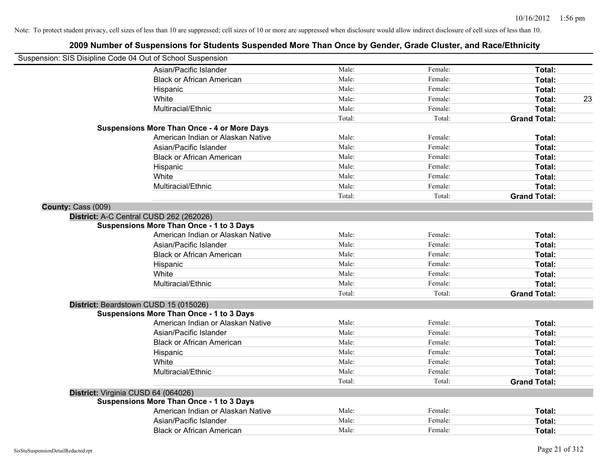|                    | Suspension: SIS Disipline Code 04 Out of School Suspension |        |         |                     |
|--------------------|------------------------------------------------------------|--------|---------|---------------------|
|                    | Asian/Pacific Islander                                     | Male:  | Female: | Total:              |
|                    | <b>Black or African American</b>                           | Male:  | Female: | Total:              |
|                    | Hispanic                                                   | Male:  | Female: | Total:              |
|                    | White                                                      | Male:  | Female: | <b>Total:</b><br>23 |
|                    | Multiracial/Ethnic                                         | Male:  | Female: | Total:              |
|                    |                                                            | Total: | Total:  | <b>Grand Total:</b> |
|                    | <b>Suspensions More Than Once - 4 or More Days</b>         |        |         |                     |
|                    | American Indian or Alaskan Native                          | Male:  | Female: | Total:              |
|                    | Asian/Pacific Islander                                     | Male:  | Female: | Total:              |
|                    | <b>Black or African American</b>                           | Male:  | Female: | Total:              |
|                    | Hispanic                                                   | Male:  | Female: | Total:              |
|                    | White                                                      | Male:  | Female: | Total:              |
|                    | Multiracial/Ethnic                                         | Male:  | Female: | Total:              |
|                    |                                                            | Total: | Total:  | <b>Grand Total:</b> |
| County: Cass (009) |                                                            |        |         |                     |
|                    | District: A-C Central CUSD 262 (262026)                    |        |         |                     |
|                    | <b>Suspensions More Than Once - 1 to 3 Days</b>            |        |         |                     |
|                    | American Indian or Alaskan Native                          | Male:  | Female: | Total:              |
|                    | Asian/Pacific Islander                                     | Male:  | Female: | Total:              |
|                    | <b>Black or African American</b>                           | Male:  | Female: | Total:              |
|                    | Hispanic                                                   | Male:  | Female: | Total:              |
|                    | White                                                      | Male:  | Female: | Total:              |
|                    | Multiracial/Ethnic                                         | Male:  | Female: | Total:              |
|                    |                                                            | Total: | Total:  | <b>Grand Total:</b> |
|                    | District: Beardstown CUSD 15 (015026)                      |        |         |                     |
|                    | <b>Suspensions More Than Once - 1 to 3 Days</b>            |        |         |                     |
|                    | American Indian or Alaskan Native                          | Male:  | Female: | Total:              |
|                    | Asian/Pacific Islander                                     | Male:  | Female: | Total:              |
|                    | <b>Black or African American</b>                           | Male:  | Female: | Total:              |
|                    | Hispanic                                                   | Male:  | Female: | Total:              |
|                    | White                                                      | Male:  | Female: | Total:              |
|                    | Multiracial/Ethnic                                         | Male:  | Female: | Total:              |
|                    |                                                            | Total: | Total:  | <b>Grand Total:</b> |
|                    | District: Virginia CUSD 64 (064026)                        |        |         |                     |
|                    | Suspensions More Than Once - 1 to 3 Days                   |        |         |                     |
|                    | American Indian or Alaskan Native                          | Male:  | Female: | Total:              |
|                    | Asian/Pacific Islander                                     | Male:  | Female: | Total:              |
|                    | <b>Black or African American</b>                           | Male:  | Female: | Total:              |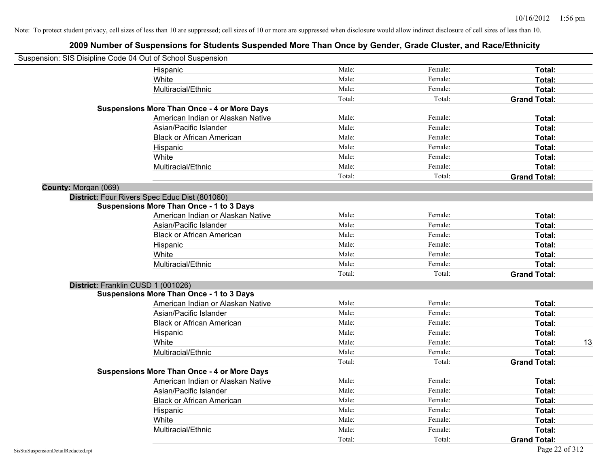| Suspension: SIS Disipline Code 04 Out of School Suspension |                                                    |        |         |                     |    |
|------------------------------------------------------------|----------------------------------------------------|--------|---------|---------------------|----|
|                                                            | Hispanic                                           | Male:  | Female: | Total:              |    |
|                                                            | White                                              | Male:  | Female: | Total:              |    |
|                                                            | Multiracial/Ethnic                                 | Male:  | Female: | Total:              |    |
|                                                            |                                                    | Total: | Total:  | <b>Grand Total:</b> |    |
|                                                            | <b>Suspensions More Than Once - 4 or More Days</b> |        |         |                     |    |
|                                                            | American Indian or Alaskan Native                  | Male:  | Female: | Total:              |    |
|                                                            | Asian/Pacific Islander                             | Male:  | Female: | Total:              |    |
|                                                            | <b>Black or African American</b>                   | Male:  | Female: | Total:              |    |
|                                                            | Hispanic                                           | Male:  | Female: | Total:              |    |
|                                                            | White                                              | Male:  | Female: | Total:              |    |
|                                                            | Multiracial/Ethnic                                 | Male:  | Female: | Total:              |    |
|                                                            |                                                    | Total: | Total:  | <b>Grand Total:</b> |    |
| County: Morgan (069)                                       |                                                    |        |         |                     |    |
|                                                            | District: Four Rivers Spec Educ Dist (801060)      |        |         |                     |    |
|                                                            | <b>Suspensions More Than Once - 1 to 3 Days</b>    |        |         |                     |    |
|                                                            | American Indian or Alaskan Native                  | Male:  | Female: | Total:              |    |
|                                                            | Asian/Pacific Islander                             | Male:  | Female: | Total:              |    |
|                                                            | <b>Black or African American</b>                   | Male:  | Female: | Total:              |    |
|                                                            | Hispanic                                           | Male:  | Female: | Total:              |    |
|                                                            | White                                              | Male:  | Female: | Total:              |    |
|                                                            | Multiracial/Ethnic                                 | Male:  | Female: | Total:              |    |
|                                                            |                                                    | Total: | Total:  | <b>Grand Total:</b> |    |
| District: Franklin CUSD 1 (001026)                         |                                                    |        |         |                     |    |
|                                                            | <b>Suspensions More Than Once - 1 to 3 Days</b>    |        |         |                     |    |
|                                                            | American Indian or Alaskan Native                  | Male:  | Female: | Total:              |    |
|                                                            | Asian/Pacific Islander                             | Male:  | Female: | Total:              |    |
|                                                            | <b>Black or African American</b>                   | Male:  | Female: | Total:              |    |
|                                                            | Hispanic                                           | Male:  | Female: | Total:              |    |
|                                                            | White                                              | Male:  | Female: | Total:              | 13 |
|                                                            | Multiracial/Ethnic                                 | Male:  | Female: | Total:              |    |
|                                                            |                                                    | Total: | Total:  | <b>Grand Total:</b> |    |
|                                                            | <b>Suspensions More Than Once - 4 or More Days</b> |        |         |                     |    |
|                                                            | American Indian or Alaskan Native                  | Male:  | Female: | Total:              |    |
|                                                            | Asian/Pacific Islander                             | Male:  | Female: | Total:              |    |
|                                                            | <b>Black or African American</b>                   | Male:  | Female: | Total:              |    |
|                                                            | Hispanic                                           | Male:  | Female: | Total:              |    |
|                                                            | White                                              | Male:  | Female: | Total:              |    |
|                                                            | Multiracial/Ethnic                                 | Male:  | Female: | Total:              |    |
|                                                            |                                                    | Total: | Total:  | <b>Grand Total:</b> |    |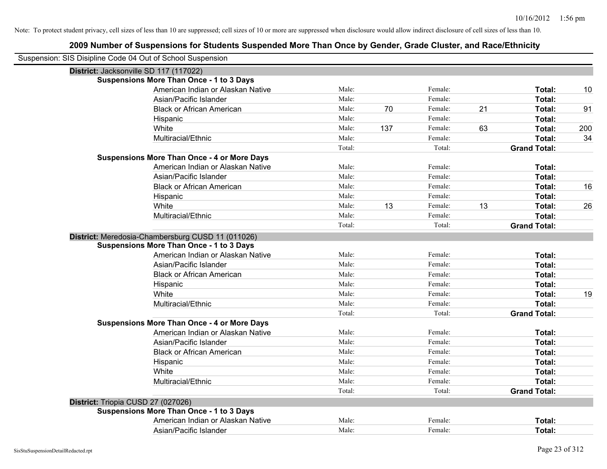| Suspension: SIS Disipline Code 04 Out of School Suspension |                                                    |        |     |         |    |                     |     |
|------------------------------------------------------------|----------------------------------------------------|--------|-----|---------|----|---------------------|-----|
|                                                            | District: Jacksonville SD 117 (117022)             |        |     |         |    |                     |     |
|                                                            | <b>Suspensions More Than Once - 1 to 3 Days</b>    |        |     |         |    |                     |     |
|                                                            | American Indian or Alaskan Native                  | Male:  |     | Female: |    | Total:              | 10  |
|                                                            | Asian/Pacific Islander                             | Male:  |     | Female: |    | Total:              |     |
|                                                            | <b>Black or African American</b>                   | Male:  | 70  | Female: | 21 | <b>Total:</b>       | 91  |
|                                                            | Hispanic                                           | Male:  |     | Female: |    | Total:              |     |
|                                                            | White                                              | Male:  | 137 | Female: | 63 | Total:              | 200 |
|                                                            | Multiracial/Ethnic                                 | Male:  |     | Female: |    | Total:              | 34  |
|                                                            |                                                    | Total: |     | Total:  |    | <b>Grand Total:</b> |     |
|                                                            | <b>Suspensions More Than Once - 4 or More Days</b> |        |     |         |    |                     |     |
|                                                            | American Indian or Alaskan Native                  | Male:  |     | Female: |    | Total:              |     |
|                                                            | Asian/Pacific Islander                             | Male:  |     | Female: |    | Total:              |     |
|                                                            | <b>Black or African American</b>                   | Male:  |     | Female: |    | Total:              | 16  |
|                                                            | Hispanic                                           | Male:  |     | Female: |    | Total:              |     |
|                                                            | White                                              | Male:  | 13  | Female: | 13 | Total:              | 26  |
|                                                            | Multiracial/Ethnic                                 | Male:  |     | Female: |    | Total:              |     |
|                                                            |                                                    | Total: |     | Total:  |    | <b>Grand Total:</b> |     |
|                                                            | District: Meredosia-Chambersburg CUSD 11 (011026)  |        |     |         |    |                     |     |
|                                                            | <b>Suspensions More Than Once - 1 to 3 Days</b>    |        |     |         |    |                     |     |
|                                                            | American Indian or Alaskan Native                  | Male:  |     | Female: |    | Total:              |     |
|                                                            | Asian/Pacific Islander                             | Male:  |     | Female: |    | Total:              |     |
|                                                            | <b>Black or African American</b>                   | Male:  |     | Female: |    | Total:              |     |
|                                                            | Hispanic                                           | Male:  |     | Female: |    | Total:              |     |
|                                                            | White                                              | Male:  |     | Female: |    | Total:              | 19  |
|                                                            | Multiracial/Ethnic                                 | Male:  |     | Female: |    | Total:              |     |
|                                                            |                                                    | Total: |     | Total:  |    | <b>Grand Total:</b> |     |
|                                                            | <b>Suspensions More Than Once - 4 or More Days</b> |        |     |         |    |                     |     |
|                                                            | American Indian or Alaskan Native                  | Male:  |     | Female: |    | Total:              |     |
|                                                            | Asian/Pacific Islander                             | Male:  |     | Female: |    | Total:              |     |
|                                                            | <b>Black or African American</b>                   | Male:  |     | Female: |    | Total:              |     |
|                                                            | Hispanic                                           | Male:  |     | Female: |    | Total:              |     |
|                                                            | White                                              | Male:  |     | Female: |    | Total:              |     |
|                                                            | Multiracial/Ethnic                                 | Male:  |     | Female: |    | Total:              |     |
|                                                            |                                                    | Total: |     | Total:  |    | <b>Grand Total:</b> |     |
|                                                            | District: Triopia CUSD 27 (027026)                 |        |     |         |    |                     |     |
|                                                            | <b>Suspensions More Than Once - 1 to 3 Days</b>    |        |     |         |    |                     |     |
|                                                            | American Indian or Alaskan Native                  | Male:  |     | Female: |    | <b>Total:</b>       |     |
|                                                            | Asian/Pacific Islander                             | Male:  |     | Female: |    | Total:              |     |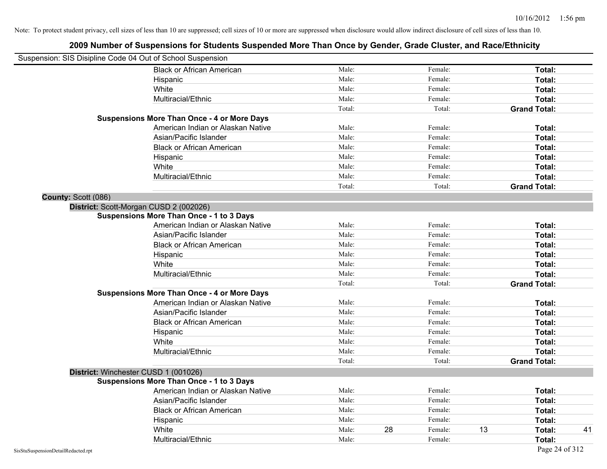| Suspension: SIS Disipline Code 04 Out of School Suspension |                                                    |        |    |         |    |                     |    |
|------------------------------------------------------------|----------------------------------------------------|--------|----|---------|----|---------------------|----|
|                                                            | <b>Black or African American</b>                   | Male:  |    | Female: |    | Total:              |    |
|                                                            | Hispanic                                           | Male:  |    | Female: |    | Total:              |    |
|                                                            | White                                              | Male:  |    | Female: |    | Total:              |    |
|                                                            | Multiracial/Ethnic                                 | Male:  |    | Female: |    | Total:              |    |
|                                                            |                                                    | Total: |    | Total:  |    | <b>Grand Total:</b> |    |
|                                                            | <b>Suspensions More Than Once - 4 or More Days</b> |        |    |         |    |                     |    |
|                                                            | American Indian or Alaskan Native                  | Male:  |    | Female: |    | Total:              |    |
|                                                            | Asian/Pacific Islander                             | Male:  |    | Female: |    | Total:              |    |
|                                                            | <b>Black or African American</b>                   | Male:  |    | Female: |    | Total:              |    |
|                                                            | Hispanic                                           | Male:  |    | Female: |    | Total:              |    |
|                                                            | White                                              | Male:  |    | Female: |    | Total:              |    |
|                                                            | Multiracial/Ethnic                                 | Male:  |    | Female: |    | Total:              |    |
|                                                            |                                                    | Total: |    | Total:  |    | <b>Grand Total:</b> |    |
| County: Scott (086)                                        |                                                    |        |    |         |    |                     |    |
| District: Scott-Morgan CUSD 2 (002026)                     |                                                    |        |    |         |    |                     |    |
|                                                            | <b>Suspensions More Than Once - 1 to 3 Days</b>    |        |    |         |    |                     |    |
|                                                            | American Indian or Alaskan Native                  | Male:  |    | Female: |    | Total:              |    |
|                                                            | Asian/Pacific Islander                             | Male:  |    | Female: |    | Total:              |    |
|                                                            | <b>Black or African American</b>                   | Male:  |    | Female: |    | Total:              |    |
|                                                            | Hispanic                                           | Male:  |    | Female: |    | Total:              |    |
|                                                            | White                                              | Male:  |    | Female: |    | Total:              |    |
|                                                            | Multiracial/Ethnic                                 | Male:  |    | Female: |    | Total:              |    |
|                                                            |                                                    | Total: |    | Total:  |    | <b>Grand Total:</b> |    |
|                                                            | <b>Suspensions More Than Once - 4 or More Days</b> |        |    |         |    |                     |    |
|                                                            | American Indian or Alaskan Native                  | Male:  |    | Female: |    | Total:              |    |
|                                                            | Asian/Pacific Islander                             | Male:  |    | Female: |    | Total:              |    |
|                                                            | <b>Black or African American</b>                   | Male:  |    | Female: |    | Total:              |    |
|                                                            | Hispanic                                           | Male:  |    | Female: |    | Total:              |    |
|                                                            | White                                              | Male:  |    | Female: |    | Total:              |    |
|                                                            | Multiracial/Ethnic                                 | Male:  |    | Female: |    | Total:              |    |
|                                                            |                                                    | Total: |    | Total:  |    | <b>Grand Total:</b> |    |
| District: Winchester CUSD 1 (001026)                       |                                                    |        |    |         |    |                     |    |
|                                                            | <b>Suspensions More Than Once - 1 to 3 Days</b>    |        |    |         |    |                     |    |
|                                                            | American Indian or Alaskan Native                  | Male:  |    | Female: |    | Total:              |    |
|                                                            | Asian/Pacific Islander                             | Male:  |    | Female: |    | Total:              |    |
|                                                            | <b>Black or African American</b>                   | Male:  |    | Female: |    | Total:              |    |
|                                                            | Hispanic                                           | Male:  |    | Female: |    | Total:              |    |
|                                                            | White                                              | Male:  | 28 | Female: | 13 | Total:              | 41 |
|                                                            | Multiracial/Ethnic                                 | Male:  |    | Female: |    | Total:              |    |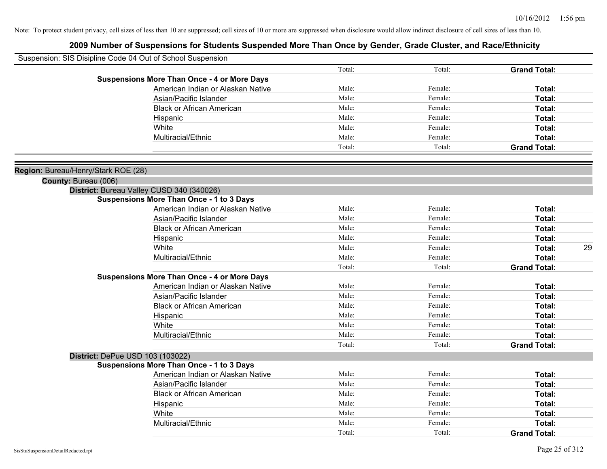| Suspension: SIS Disipline Code 04 Out of School Suspension |                                                    |        |         |                     |    |
|------------------------------------------------------------|----------------------------------------------------|--------|---------|---------------------|----|
|                                                            |                                                    | Total: | Total:  | <b>Grand Total:</b> |    |
|                                                            | <b>Suspensions More Than Once - 4 or More Days</b> |        |         |                     |    |
|                                                            | American Indian or Alaskan Native                  | Male:  | Female: | Total:              |    |
|                                                            | Asian/Pacific Islander                             | Male:  | Female: | Total:              |    |
|                                                            | <b>Black or African American</b>                   | Male:  | Female: | Total:              |    |
|                                                            | Hispanic                                           | Male:  | Female: | Total:              |    |
|                                                            | White                                              | Male:  | Female: | Total:              |    |
|                                                            | Multiracial/Ethnic                                 | Male:  | Female: | Total:              |    |
|                                                            |                                                    | Total: | Total:  | <b>Grand Total:</b> |    |
| Region: Bureau/Henry/Stark ROE (28)                        |                                                    |        |         |                     |    |
| County: Bureau (006)                                       |                                                    |        |         |                     |    |
| District: Bureau Valley CUSD 340 (340026)                  | <b>Suspensions More Than Once - 1 to 3 Days</b>    |        |         |                     |    |
|                                                            | American Indian or Alaskan Native                  | Male:  | Female: | Total:              |    |
|                                                            | Asian/Pacific Islander                             | Male:  | Female: | Total:              |    |
|                                                            | <b>Black or African American</b>                   | Male:  | Female: | Total:              |    |
|                                                            | Hispanic                                           | Male:  | Female: | Total:              |    |
|                                                            | White                                              | Male:  | Female: | Total:              | 29 |
|                                                            | Multiracial/Ethnic                                 | Male:  | Female: | Total:              |    |
|                                                            |                                                    | Total: | Total:  | <b>Grand Total:</b> |    |
|                                                            | <b>Suspensions More Than Once - 4 or More Days</b> |        |         |                     |    |
|                                                            | American Indian or Alaskan Native                  | Male:  | Female: | Total:              |    |
|                                                            | Asian/Pacific Islander                             | Male:  | Female: | Total:              |    |
|                                                            | <b>Black or African American</b>                   | Male:  | Female: | Total:              |    |
|                                                            | Hispanic                                           | Male:  | Female: | Total:              |    |
|                                                            | White                                              | Male:  | Female: | Total:              |    |
|                                                            | Multiracial/Ethnic                                 | Male:  | Female: | Total:              |    |
|                                                            |                                                    | Total: | Total:  | <b>Grand Total:</b> |    |
| District: DePue USD 103 (103022)                           |                                                    |        |         |                     |    |
|                                                            | <b>Suspensions More Than Once - 1 to 3 Days</b>    |        |         |                     |    |
|                                                            | American Indian or Alaskan Native                  | Male:  | Female: | Total:              |    |
|                                                            | Asian/Pacific Islander                             | Male:  | Female: | Total:              |    |
|                                                            | <b>Black or African American</b>                   | Male:  | Female: | Total:              |    |
|                                                            | Hispanic                                           | Male:  | Female: | Total:              |    |
|                                                            | White                                              | Male:  | Female: | Total:              |    |
|                                                            | Multiracial/Ethnic                                 | Male:  | Female: | Total:              |    |
|                                                            |                                                    | Total: | Total:  | <b>Grand Total:</b> |    |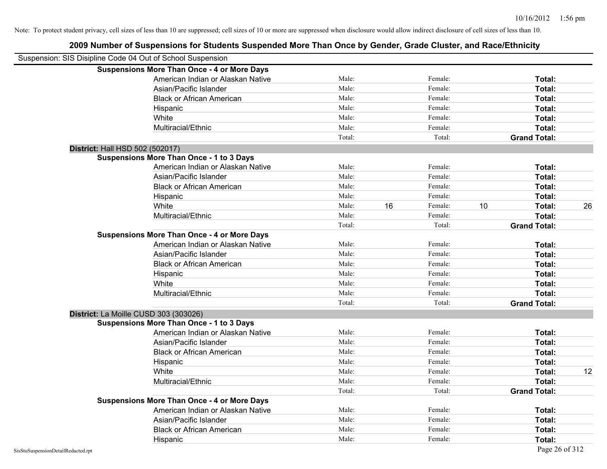| Suspension: SIS Disipline Code 04 Out of School Suspension |                                                    |        |    |         |    |                     |    |
|------------------------------------------------------------|----------------------------------------------------|--------|----|---------|----|---------------------|----|
|                                                            | <b>Suspensions More Than Once - 4 or More Days</b> |        |    |         |    |                     |    |
|                                                            | American Indian or Alaskan Native                  | Male:  |    | Female: |    | Total:              |    |
|                                                            | Asian/Pacific Islander                             | Male:  |    | Female: |    | Total:              |    |
|                                                            | <b>Black or African American</b>                   | Male:  |    | Female: |    | Total:              |    |
|                                                            | Hispanic                                           | Male:  |    | Female: |    | Total:              |    |
|                                                            | White                                              | Male:  |    | Female: |    | Total:              |    |
|                                                            | Multiracial/Ethnic                                 | Male:  |    | Female: |    | Total:              |    |
|                                                            |                                                    | Total: |    | Total:  |    | <b>Grand Total:</b> |    |
| District: Hall HSD 502 (502017)                            |                                                    |        |    |         |    |                     |    |
|                                                            | <b>Suspensions More Than Once - 1 to 3 Days</b>    |        |    |         |    |                     |    |
|                                                            | American Indian or Alaskan Native                  | Male:  |    | Female: |    | Total:              |    |
|                                                            | Asian/Pacific Islander                             | Male:  |    | Female: |    | Total:              |    |
|                                                            | <b>Black or African American</b>                   | Male:  |    | Female: |    | Total:              |    |
|                                                            | Hispanic                                           | Male:  |    | Female: |    | Total:              |    |
|                                                            | White                                              | Male:  | 16 | Female: | 10 | Total:              | 26 |
|                                                            | Multiracial/Ethnic                                 | Male:  |    | Female: |    | Total:              |    |
|                                                            |                                                    | Total: |    | Total:  |    | <b>Grand Total:</b> |    |
|                                                            | <b>Suspensions More Than Once - 4 or More Days</b> |        |    |         |    |                     |    |
|                                                            | American Indian or Alaskan Native                  | Male:  |    | Female: |    | Total:              |    |
|                                                            | Asian/Pacific Islander                             | Male:  |    | Female: |    | Total:              |    |
|                                                            | <b>Black or African American</b>                   | Male:  |    | Female: |    | Total:              |    |
|                                                            | Hispanic                                           | Male:  |    | Female: |    | Total:              |    |
|                                                            | White                                              | Male:  |    | Female: |    | Total:              |    |
|                                                            | Multiracial/Ethnic                                 | Male:  |    | Female: |    | Total:              |    |
|                                                            |                                                    | Total: |    | Total:  |    | <b>Grand Total:</b> |    |
| District: La Moille CUSD 303 (303026)                      |                                                    |        |    |         |    |                     |    |
|                                                            | <b>Suspensions More Than Once - 1 to 3 Days</b>    |        |    |         |    |                     |    |
|                                                            | American Indian or Alaskan Native                  | Male:  |    | Female: |    | Total:              |    |
|                                                            | Asian/Pacific Islander                             | Male:  |    | Female: |    | Total:              |    |
|                                                            | <b>Black or African American</b>                   | Male:  |    | Female: |    | Total:              |    |
|                                                            | Hispanic                                           | Male:  |    | Female: |    | Total:              |    |
|                                                            | White                                              | Male:  |    | Female: |    | Total:              | 12 |
|                                                            | Multiracial/Ethnic                                 | Male:  |    | Female: |    | Total:              |    |
|                                                            |                                                    | Total: |    | Total:  |    | <b>Grand Total:</b> |    |
|                                                            | <b>Suspensions More Than Once - 4 or More Days</b> |        |    |         |    |                     |    |
|                                                            | American Indian or Alaskan Native                  | Male:  |    | Female: |    | Total:              |    |
|                                                            | Asian/Pacific Islander                             | Male:  |    | Female: |    | Total:              |    |
|                                                            | <b>Black or African American</b>                   | Male:  |    | Female: |    | Total:              |    |
|                                                            | Hispanic                                           | Male:  |    | Female: |    | Total:              |    |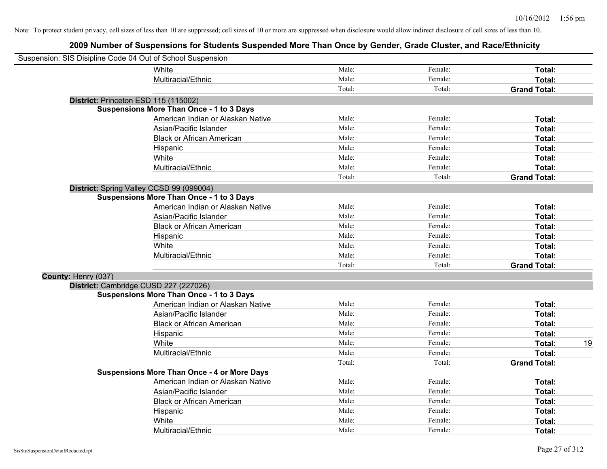| Suspension: SIS Disipline Code 04 Out of School Suspension |                                                    |        |         |                     |    |
|------------------------------------------------------------|----------------------------------------------------|--------|---------|---------------------|----|
|                                                            | White                                              | Male:  | Female: | Total:              |    |
|                                                            | Multiracial/Ethnic                                 | Male:  | Female: | Total:              |    |
|                                                            |                                                    | Total: | Total:  | <b>Grand Total:</b> |    |
|                                                            | District: Princeton ESD 115 (115002)               |        |         |                     |    |
|                                                            | <b>Suspensions More Than Once - 1 to 3 Days</b>    |        |         |                     |    |
|                                                            | American Indian or Alaskan Native                  | Male:  | Female: | Total:              |    |
|                                                            | Asian/Pacific Islander                             | Male:  | Female: | Total:              |    |
|                                                            | <b>Black or African American</b>                   | Male:  | Female: | Total:              |    |
|                                                            | Hispanic                                           | Male:  | Female: | Total:              |    |
|                                                            | White                                              | Male:  | Female: | Total:              |    |
|                                                            | Multiracial/Ethnic                                 | Male:  | Female: | Total:              |    |
|                                                            |                                                    | Total: | Total:  | <b>Grand Total:</b> |    |
|                                                            | District: Spring Valley CCSD 99 (099004)           |        |         |                     |    |
|                                                            | <b>Suspensions More Than Once - 1 to 3 Days</b>    |        |         |                     |    |
|                                                            | American Indian or Alaskan Native                  | Male:  | Female: | Total:              |    |
|                                                            | Asian/Pacific Islander                             | Male:  | Female: | Total:              |    |
|                                                            | <b>Black or African American</b>                   | Male:  | Female: | Total:              |    |
|                                                            | Hispanic                                           | Male:  | Female: | Total:              |    |
|                                                            | White                                              | Male:  | Female: | Total:              |    |
|                                                            | Multiracial/Ethnic                                 | Male:  | Female: | Total:              |    |
|                                                            |                                                    | Total: | Total:  | <b>Grand Total:</b> |    |
| County: Henry (037)                                        |                                                    |        |         |                     |    |
|                                                            | District: Cambridge CUSD 227 (227026)              |        |         |                     |    |
|                                                            | <b>Suspensions More Than Once - 1 to 3 Days</b>    |        |         |                     |    |
|                                                            | American Indian or Alaskan Native                  | Male:  | Female: | Total:              |    |
|                                                            | Asian/Pacific Islander                             | Male:  | Female: | Total:              |    |
|                                                            | <b>Black or African American</b>                   | Male:  | Female: | Total:              |    |
|                                                            | Hispanic                                           | Male:  | Female: | Total:              |    |
|                                                            | White                                              | Male:  | Female: | Total:              | 19 |
|                                                            | Multiracial/Ethnic                                 | Male:  | Female: | Total:              |    |
|                                                            |                                                    | Total: | Total:  | <b>Grand Total:</b> |    |
|                                                            | <b>Suspensions More Than Once - 4 or More Days</b> |        |         |                     |    |
|                                                            | American Indian or Alaskan Native                  | Male:  | Female: | Total:              |    |
|                                                            | Asian/Pacific Islander                             | Male:  | Female: | Total:              |    |
|                                                            | <b>Black or African American</b>                   | Male:  | Female: | Total:              |    |
|                                                            | Hispanic                                           | Male:  | Female: | Total:              |    |
|                                                            | White                                              | Male:  | Female: | Total:              |    |
|                                                            | Multiracial/Ethnic                                 | Male:  | Female: | Total:              |    |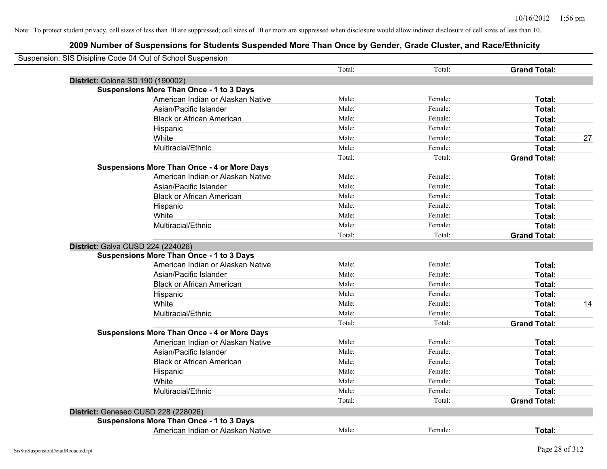|                                                    | Total: | Total:  | <b>Grand Total:</b> |    |
|----------------------------------------------------|--------|---------|---------------------|----|
| District: Colona SD 190 (190002)                   |        |         |                     |    |
| <b>Suspensions More Than Once - 1 to 3 Days</b>    |        |         |                     |    |
| American Indian or Alaskan Native                  | Male:  | Female: | Total:              |    |
| Asian/Pacific Islander                             | Male:  | Female: | Total:              |    |
| <b>Black or African American</b>                   | Male:  | Female: | Total:              |    |
| Hispanic                                           | Male:  | Female: | Total:              |    |
| White                                              | Male:  | Female: | Total:              | 27 |
| Multiracial/Ethnic                                 | Male:  | Female: | Total:              |    |
|                                                    | Total: | Total:  | <b>Grand Total:</b> |    |
| <b>Suspensions More Than Once - 4 or More Days</b> |        |         |                     |    |
| American Indian or Alaskan Native                  | Male:  | Female: | Total:              |    |
| Asian/Pacific Islander                             | Male:  | Female: | Total:              |    |
| <b>Black or African American</b>                   | Male:  | Female: | Total:              |    |
| Hispanic                                           | Male:  | Female: | Total:              |    |
| White                                              | Male:  | Female: | Total:              |    |
| Multiracial/Ethnic                                 | Male:  | Female: | Total:              |    |
|                                                    | Total: | Total:  | <b>Grand Total:</b> |    |
| District: Galva CUSD 224 (224026)                  |        |         |                     |    |
| <b>Suspensions More Than Once - 1 to 3 Days</b>    |        |         |                     |    |
| American Indian or Alaskan Native                  | Male:  | Female: | Total:              |    |
| Asian/Pacific Islander                             | Male:  | Female: | Total:              |    |
| <b>Black or African American</b>                   | Male:  | Female: | Total:              |    |
| Hispanic                                           | Male:  | Female: | Total:              |    |
| White                                              | Male:  | Female: | Total:              | 14 |
| Multiracial/Ethnic                                 | Male:  | Female: | Total:              |    |
|                                                    | Total: | Total:  | <b>Grand Total:</b> |    |
| <b>Suspensions More Than Once - 4 or More Days</b> |        |         |                     |    |
| American Indian or Alaskan Native                  | Male:  | Female: | Total:              |    |
| Asian/Pacific Islander                             | Male:  | Female: | Total:              |    |
| <b>Black or African American</b>                   | Male:  | Female: | Total:              |    |
| Hispanic                                           | Male:  | Female: | Total:              |    |
| White                                              | Male:  | Female: | Total:              |    |
| Multiracial/Ethnic                                 | Male:  | Female: | Total:              |    |
|                                                    | Total: | Total:  | <b>Grand Total:</b> |    |
| District: Geneseo CUSD 228 (228026)                |        |         |                     |    |
| <b>Suspensions More Than Once - 1 to 3 Days</b>    |        |         |                     |    |
| American Indian or Alaskan Native                  | Male:  | Female: | Total:              |    |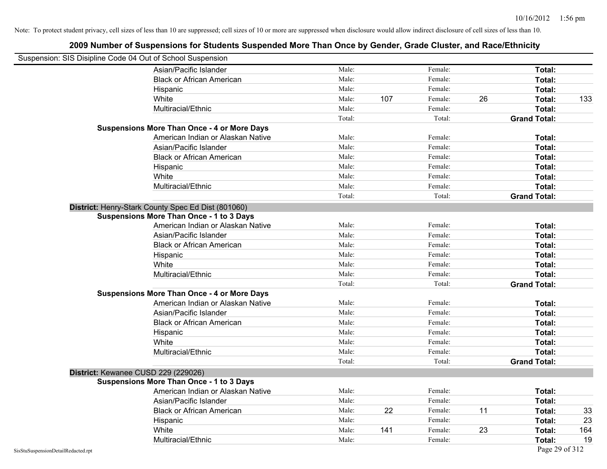| Suspension: SIS Disipline Code 04 Out of School Suspension |                                                    |        |     |         |    |                     |     |
|------------------------------------------------------------|----------------------------------------------------|--------|-----|---------|----|---------------------|-----|
|                                                            | Asian/Pacific Islander                             | Male:  |     | Female: |    | Total:              |     |
|                                                            | <b>Black or African American</b>                   | Male:  |     | Female: |    | Total:              |     |
|                                                            | Hispanic                                           | Male:  |     | Female: |    | Total:              |     |
|                                                            | White                                              | Male:  | 107 | Female: | 26 | Total:              | 133 |
|                                                            | Multiracial/Ethnic                                 | Male:  |     | Female: |    | Total:              |     |
|                                                            |                                                    | Total: |     | Total:  |    | <b>Grand Total:</b> |     |
|                                                            | <b>Suspensions More Than Once - 4 or More Days</b> |        |     |         |    |                     |     |
|                                                            | American Indian or Alaskan Native                  | Male:  |     | Female: |    | Total:              |     |
|                                                            | Asian/Pacific Islander                             | Male:  |     | Female: |    | Total:              |     |
|                                                            | <b>Black or African American</b>                   | Male:  |     | Female: |    | Total:              |     |
|                                                            | Hispanic                                           | Male:  |     | Female: |    | Total:              |     |
|                                                            | White                                              | Male:  |     | Female: |    | Total:              |     |
|                                                            | Multiracial/Ethnic                                 | Male:  |     | Female: |    | Total:              |     |
|                                                            |                                                    | Total: |     | Total:  |    | <b>Grand Total:</b> |     |
|                                                            | District: Henry-Stark County Spec Ed Dist (801060) |        |     |         |    |                     |     |
|                                                            | <b>Suspensions More Than Once - 1 to 3 Days</b>    |        |     |         |    |                     |     |
|                                                            | American Indian or Alaskan Native                  | Male:  |     | Female: |    | Total:              |     |
|                                                            | Asian/Pacific Islander                             | Male:  |     | Female: |    | Total:              |     |
|                                                            | <b>Black or African American</b>                   | Male:  |     | Female: |    | Total:              |     |
|                                                            | Hispanic                                           | Male:  |     | Female: |    | Total:              |     |
|                                                            | White                                              | Male:  |     | Female: |    | Total:              |     |
|                                                            | Multiracial/Ethnic                                 | Male:  |     | Female: |    | Total:              |     |
|                                                            |                                                    | Total: |     | Total:  |    | <b>Grand Total:</b> |     |
|                                                            | <b>Suspensions More Than Once - 4 or More Days</b> |        |     |         |    |                     |     |
|                                                            | American Indian or Alaskan Native                  | Male:  |     | Female: |    | Total:              |     |
|                                                            | Asian/Pacific Islander                             | Male:  |     | Female: |    | Total:              |     |
|                                                            | <b>Black or African American</b>                   | Male:  |     | Female: |    | Total:              |     |
|                                                            | Hispanic                                           | Male:  |     | Female: |    | Total:              |     |
|                                                            | White                                              | Male:  |     | Female: |    | Total:              |     |
|                                                            | Multiracial/Ethnic                                 | Male:  |     | Female: |    | Total:              |     |
|                                                            |                                                    | Total: |     | Total:  |    | <b>Grand Total:</b> |     |
|                                                            | District: Kewanee CUSD 229 (229026)                |        |     |         |    |                     |     |
|                                                            | <b>Suspensions More Than Once - 1 to 3 Days</b>    |        |     |         |    |                     |     |
|                                                            | American Indian or Alaskan Native                  | Male:  |     | Female: |    | Total:              |     |
|                                                            | Asian/Pacific Islander                             | Male:  |     | Female: |    | Total:              |     |
|                                                            | <b>Black or African American</b>                   | Male:  | 22  | Female: | 11 | Total:              | 33  |
|                                                            | Hispanic                                           | Male:  |     | Female: |    | Total:              | 23  |
|                                                            | White                                              | Male:  | 141 | Female: | 23 | Total:              | 164 |
|                                                            | Multiracial/Ethnic                                 | Male:  |     | Female: |    | Total:              | 19  |
| SisStuSuspensionDetailRedacted.rpt                         |                                                    |        |     |         |    | Page 29 of 312      |     |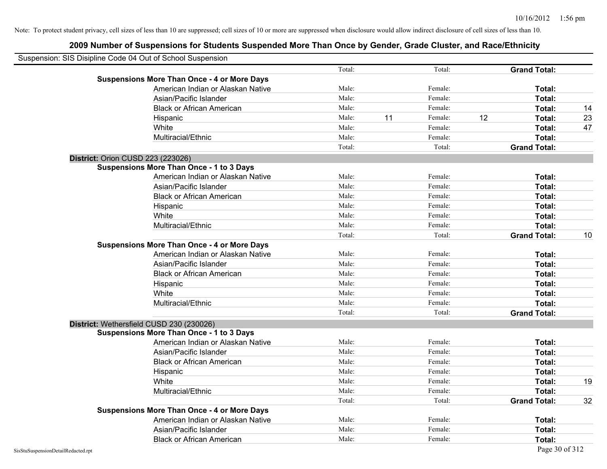| Suspension: SIS Disipline Code 04 Out of School Suspension |        |    |         |    |                     |    |
|------------------------------------------------------------|--------|----|---------|----|---------------------|----|
|                                                            | Total: |    | Total:  |    | <b>Grand Total:</b> |    |
| <b>Suspensions More Than Once - 4 or More Days</b>         |        |    |         |    |                     |    |
| American Indian or Alaskan Native                          | Male:  |    | Female: |    | Total:              |    |
| Asian/Pacific Islander                                     | Male:  |    | Female: |    | Total:              |    |
| <b>Black or African American</b>                           | Male:  |    | Female: |    | Total:              | 14 |
| Hispanic                                                   | Male:  | 11 | Female: | 12 | Total:              | 23 |
| White                                                      | Male:  |    | Female: |    | Total:              | 47 |
| Multiracial/Ethnic                                         | Male:  |    | Female: |    | Total:              |    |
|                                                            | Total: |    | Total:  |    | <b>Grand Total:</b> |    |
| District: Orion CUSD 223 (223026)                          |        |    |         |    |                     |    |
| <b>Suspensions More Than Once - 1 to 3 Days</b>            |        |    |         |    |                     |    |
| American Indian or Alaskan Native                          | Male:  |    | Female: |    | Total:              |    |
| Asian/Pacific Islander                                     | Male:  |    | Female: |    | Total:              |    |
| <b>Black or African American</b>                           | Male:  |    | Female: |    | Total:              |    |
| Hispanic                                                   | Male:  |    | Female: |    | Total:              |    |
| White                                                      | Male:  |    | Female: |    | Total:              |    |
| Multiracial/Ethnic                                         | Male:  |    | Female: |    | Total:              |    |
|                                                            | Total: |    | Total:  |    | <b>Grand Total:</b> | 10 |
| <b>Suspensions More Than Once - 4 or More Days</b>         |        |    |         |    |                     |    |
| American Indian or Alaskan Native                          | Male:  |    | Female: |    | Total:              |    |
| Asian/Pacific Islander                                     | Male:  |    | Female: |    | Total:              |    |
| <b>Black or African American</b>                           | Male:  |    | Female: |    | Total:              |    |
| Hispanic                                                   | Male:  |    | Female: |    | Total:              |    |
| White                                                      | Male:  |    | Female: |    | Total:              |    |
| Multiracial/Ethnic                                         | Male:  |    | Female: |    | Total:              |    |
|                                                            | Total: |    | Total:  |    | <b>Grand Total:</b> |    |
| District: Wethersfield CUSD 230 (230026)                   |        |    |         |    |                     |    |
| <b>Suspensions More Than Once - 1 to 3 Days</b>            |        |    |         |    |                     |    |
| American Indian or Alaskan Native                          | Male:  |    | Female: |    | Total:              |    |
| Asian/Pacific Islander                                     | Male:  |    | Female: |    | Total:              |    |
| <b>Black or African American</b>                           | Male:  |    | Female: |    | Total:              |    |
| Hispanic                                                   | Male:  |    | Female: |    | Total:              |    |
| White                                                      | Male:  |    | Female: |    | Total:              | 19 |
| Multiracial/Ethnic                                         | Male:  |    | Female: |    | Total:              |    |
|                                                            | Total: |    | Total:  |    | <b>Grand Total:</b> | 32 |
| <b>Suspensions More Than Once - 4 or More Days</b>         |        |    |         |    |                     |    |
| American Indian or Alaskan Native                          | Male:  |    | Female: |    | Total:              |    |
| Asian/Pacific Islander                                     | Male:  |    | Female: |    | Total:              |    |
| <b>Black or African American</b>                           | Male:  |    | Female: |    | Total:              |    |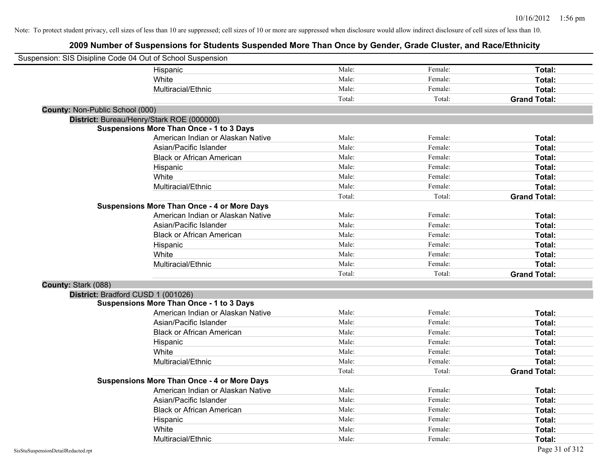| Suspension: SIS Disipline Code 04 Out of School Suspension |                                                    |        |         |                     |
|------------------------------------------------------------|----------------------------------------------------|--------|---------|---------------------|
|                                                            | Hispanic                                           | Male:  | Female: | Total:              |
|                                                            | White                                              | Male:  | Female: | Total:              |
|                                                            | Multiracial/Ethnic                                 | Male:  | Female: | Total:              |
|                                                            |                                                    | Total: | Total:  | <b>Grand Total:</b> |
| <b>County: Non-Public School (000)</b>                     |                                                    |        |         |                     |
|                                                            | District: Bureau/Henry/Stark ROE (000000)          |        |         |                     |
|                                                            | Suspensions More Than Once - 1 to 3 Days           |        |         |                     |
|                                                            | American Indian or Alaskan Native                  | Male:  | Female: | Total:              |
|                                                            | Asian/Pacific Islander                             | Male:  | Female: | Total:              |
|                                                            | <b>Black or African American</b>                   | Male:  | Female: | Total:              |
|                                                            | Hispanic                                           | Male:  | Female: | Total:              |
|                                                            | White                                              | Male:  | Female: | Total:              |
|                                                            | Multiracial/Ethnic                                 | Male:  | Female: | Total:              |
|                                                            |                                                    | Total: | Total:  | <b>Grand Total:</b> |
|                                                            | <b>Suspensions More Than Once - 4 or More Days</b> |        |         |                     |
|                                                            | American Indian or Alaskan Native                  | Male:  | Female: | Total:              |
|                                                            | Asian/Pacific Islander                             | Male:  | Female: | Total:              |
|                                                            | <b>Black or African American</b>                   | Male:  | Female: | Total:              |
|                                                            | Hispanic                                           | Male:  | Female: | Total:              |
|                                                            | White                                              | Male:  | Female: | Total:              |
|                                                            | Multiracial/Ethnic                                 | Male:  | Female: | Total:              |
|                                                            |                                                    | Total: | Total:  | <b>Grand Total:</b> |
| County: Stark (088)                                        |                                                    |        |         |                     |
| District: Bradford CUSD 1 (001026)                         |                                                    |        |         |                     |
|                                                            | Suspensions More Than Once - 1 to 3 Days           |        |         |                     |
|                                                            | American Indian or Alaskan Native                  | Male:  | Female: | Total:              |
|                                                            | Asian/Pacific Islander                             | Male:  | Female: | Total:              |
|                                                            | <b>Black or African American</b>                   | Male:  | Female: | Total:              |
|                                                            | Hispanic                                           | Male:  | Female: | Total:              |
|                                                            | White                                              | Male:  | Female: | Total:              |
|                                                            | Multiracial/Ethnic                                 | Male:  | Female: | Total:              |
|                                                            |                                                    | Total: | Total:  | <b>Grand Total:</b> |
|                                                            | <b>Suspensions More Than Once - 4 or More Days</b> |        |         |                     |
|                                                            | American Indian or Alaskan Native                  | Male:  | Female: | Total:              |
|                                                            | Asian/Pacific Islander                             | Male:  | Female: | Total:              |
|                                                            | <b>Black or African American</b>                   | Male:  | Female: | Total:              |
|                                                            | Hispanic                                           | Male:  | Female: | Total:              |
|                                                            | White                                              | Male:  | Female: | Total:              |
|                                                            | Multiracial/Ethnic                                 | Male:  | Female: | Total:              |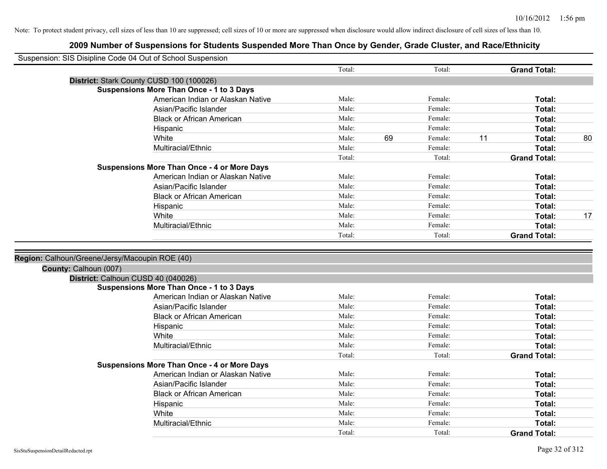| Suspension: SIS Disipline Code 04 Out of School Suspension |                                                    |        |    |         |    |                     |    |
|------------------------------------------------------------|----------------------------------------------------|--------|----|---------|----|---------------------|----|
|                                                            |                                                    | Total: |    | Total:  |    | <b>Grand Total:</b> |    |
|                                                            | District: Stark County CUSD 100 (100026)           |        |    |         |    |                     |    |
|                                                            | <b>Suspensions More Than Once - 1 to 3 Days</b>    |        |    |         |    |                     |    |
|                                                            | American Indian or Alaskan Native                  | Male:  |    | Female: |    | Total:              |    |
|                                                            | Asian/Pacific Islander                             | Male:  |    | Female: |    | Total:              |    |
|                                                            | <b>Black or African American</b>                   | Male:  |    | Female: |    | Total:              |    |
|                                                            | Hispanic                                           | Male:  |    | Female: |    | Total:              |    |
|                                                            | White                                              | Male:  | 69 | Female: | 11 | Total:              | 80 |
|                                                            | Multiracial/Ethnic                                 | Male:  |    | Female: |    | Total:              |    |
|                                                            |                                                    | Total: |    | Total:  |    | <b>Grand Total:</b> |    |
|                                                            | <b>Suspensions More Than Once - 4 or More Days</b> |        |    |         |    |                     |    |
|                                                            | American Indian or Alaskan Native                  | Male:  |    | Female: |    | Total:              |    |
|                                                            | Asian/Pacific Islander                             | Male:  |    | Female: |    | Total:              |    |
|                                                            | <b>Black or African American</b>                   | Male:  |    | Female: |    | Total:              |    |
|                                                            | Hispanic                                           | Male:  |    | Female: |    | Total:              |    |
|                                                            | White                                              | Male:  |    | Female: |    | Total:              | 17 |
|                                                            | Multiracial/Ethnic                                 | Male:  |    | Female: |    | Total:              |    |
|                                                            |                                                    | Total: |    | Total:  |    | <b>Grand Total:</b> |    |
|                                                            |                                                    |        |    |         |    |                     |    |
| Region: Calhoun/Greene/Jersy/Macoupin ROE (40)             |                                                    |        |    |         |    |                     |    |
| County: Calhoun (007)                                      |                                                    |        |    |         |    |                     |    |
|                                                            | District: Calhoun CUSD 40 (040026)                 |        |    |         |    |                     |    |
|                                                            | <b>Suspensions More Than Once - 1 to 3 Days</b>    |        |    |         |    |                     |    |
|                                                            | American Indian or Alaskan Native                  | Male:  |    | Female: |    | Total:              |    |
|                                                            | Asian/Pacific Islander                             | Male:  |    | Female: |    | Total:              |    |
|                                                            | <b>Black or African American</b>                   | Male:  |    | Female: |    | Total:              |    |
|                                                            | Hispanic                                           | Male:  |    | Female: |    | Total:              |    |
|                                                            | White                                              | Male:  |    | Female: |    | Total:              |    |
|                                                            | Multiracial/Ethnic                                 | Male:  |    | Female: |    | Total:              |    |
|                                                            |                                                    | Total: |    | Total:  |    | <b>Grand Total:</b> |    |
|                                                            | <b>Suspensions More Than Once - 4 or More Days</b> |        |    |         |    |                     |    |
|                                                            | American Indian or Alaskan Native                  | Male:  |    | Female: |    | Total:              |    |
|                                                            | Asian/Pacific Islander                             | Male:  |    | Female: |    | Total:              |    |
|                                                            | <b>Black or African American</b>                   | Male:  |    | Female: |    | Total:              |    |
|                                                            | Hispanic                                           | Male:  |    | Female: |    | Total:              |    |
|                                                            | White                                              | Male:  |    | Female: |    | Total:              |    |
|                                                            | Multiracial/Ethnic                                 | Male:  |    | Female: |    | Total:              |    |
|                                                            |                                                    | Total: |    | Total:  |    | <b>Grand Total:</b> |    |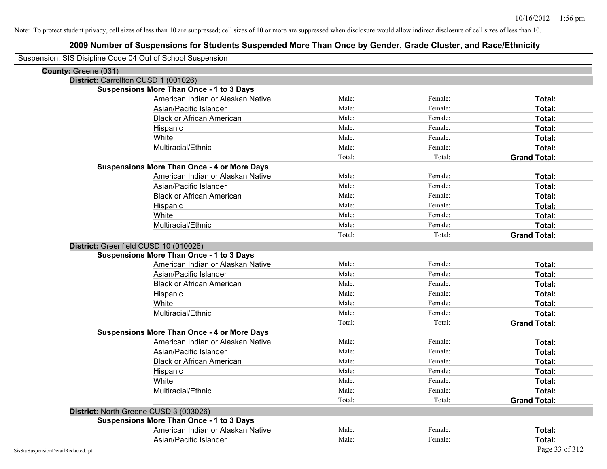| Suspension: SIS Disipline Code 04 Out of School Suspension |                                                    |        |         |                     |
|------------------------------------------------------------|----------------------------------------------------|--------|---------|---------------------|
| County: Greene (031)                                       |                                                    |        |         |                     |
|                                                            | District: Carrollton CUSD 1 (001026)               |        |         |                     |
|                                                            | <b>Suspensions More Than Once - 1 to 3 Days</b>    |        |         |                     |
|                                                            | American Indian or Alaskan Native                  | Male:  | Female: | Total:              |
|                                                            | Asian/Pacific Islander                             | Male:  | Female: | Total:              |
|                                                            | <b>Black or African American</b>                   | Male:  | Female: | Total:              |
|                                                            | Hispanic                                           | Male:  | Female: | Total:              |
|                                                            | White                                              | Male:  | Female: | Total:              |
|                                                            | Multiracial/Ethnic                                 | Male:  | Female: | Total:              |
|                                                            |                                                    | Total: | Total:  | <b>Grand Total:</b> |
|                                                            | <b>Suspensions More Than Once - 4 or More Days</b> |        |         |                     |
|                                                            | American Indian or Alaskan Native                  | Male:  | Female: | Total:              |
|                                                            | Asian/Pacific Islander                             | Male:  | Female: | Total:              |
|                                                            | <b>Black or African American</b>                   | Male:  | Female: | Total:              |
|                                                            | Hispanic                                           | Male:  | Female: | Total:              |
|                                                            | White                                              | Male:  | Female: | Total:              |
|                                                            | Multiracial/Ethnic                                 | Male:  | Female: | Total:              |
|                                                            |                                                    | Total: | Total:  | <b>Grand Total:</b> |
|                                                            | District: Greenfield CUSD 10 (010026)              |        |         |                     |
|                                                            | <b>Suspensions More Than Once - 1 to 3 Days</b>    |        |         |                     |
|                                                            | American Indian or Alaskan Native                  | Male:  | Female: | Total:              |
|                                                            | Asian/Pacific Islander                             | Male:  | Female: | Total:              |
|                                                            | <b>Black or African American</b>                   | Male:  | Female: | Total:              |
|                                                            | Hispanic                                           | Male:  | Female: | Total:              |
|                                                            | White                                              | Male:  | Female: | Total:              |
|                                                            | Multiracial/Ethnic                                 | Male:  | Female: | Total:              |
|                                                            |                                                    | Total: | Total:  | <b>Grand Total:</b> |
|                                                            | <b>Suspensions More Than Once - 4 or More Days</b> |        |         |                     |
|                                                            | American Indian or Alaskan Native                  | Male:  | Female: | Total:              |
|                                                            | Asian/Pacific Islander                             | Male:  | Female: | Total:              |
|                                                            | <b>Black or African American</b>                   | Male:  | Female: | Total:              |
|                                                            | Hispanic                                           | Male:  | Female: | Total:              |
|                                                            | White                                              | Male:  | Female: | <b>Total:</b>       |
|                                                            | Multiracial/Ethnic                                 | Male:  | Female: | Total:              |
|                                                            |                                                    | Total: | Total:  | <b>Grand Total:</b> |
|                                                            | District: North Greene CUSD 3 (003026)             |        |         |                     |
|                                                            | <b>Suspensions More Than Once - 1 to 3 Days</b>    |        |         |                     |
|                                                            | American Indian or Alaskan Native                  | Male:  | Female: | Total:              |
|                                                            | Asian/Pacific Islander                             | Male:  | Female: | Total:              |
| SisStuSuspensionDetailRedacted.rpt                         |                                                    |        |         | Page 33 of 312      |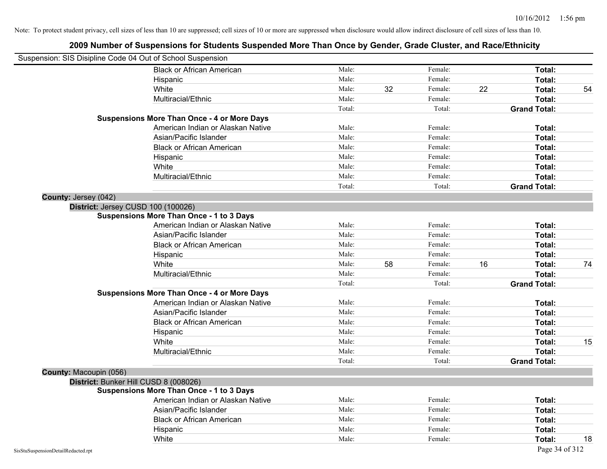| Suspension: SIS Disipline Code 04 Out of School Suspension |                                                    |        |    |         |    |                     |    |
|------------------------------------------------------------|----------------------------------------------------|--------|----|---------|----|---------------------|----|
|                                                            | <b>Black or African American</b>                   | Male:  |    | Female: |    | Total:              |    |
|                                                            | Hispanic                                           | Male:  |    | Female: |    | Total:              |    |
|                                                            | White                                              | Male:  | 32 | Female: | 22 | Total:              | 54 |
|                                                            | Multiracial/Ethnic                                 | Male:  |    | Female: |    | Total:              |    |
|                                                            |                                                    | Total: |    | Total:  |    | <b>Grand Total:</b> |    |
|                                                            | <b>Suspensions More Than Once - 4 or More Days</b> |        |    |         |    |                     |    |
|                                                            | American Indian or Alaskan Native                  | Male:  |    | Female: |    | Total:              |    |
|                                                            | Asian/Pacific Islander                             | Male:  |    | Female: |    | Total:              |    |
|                                                            | <b>Black or African American</b>                   | Male:  |    | Female: |    | Total:              |    |
|                                                            | Hispanic                                           | Male:  |    | Female: |    | Total:              |    |
|                                                            | White                                              | Male:  |    | Female: |    | Total:              |    |
|                                                            | Multiracial/Ethnic                                 | Male:  |    | Female: |    | Total:              |    |
|                                                            |                                                    | Total: |    | Total:  |    | <b>Grand Total:</b> |    |
| County: Jersey (042)                                       |                                                    |        |    |         |    |                     |    |
|                                                            | District: Jersey CUSD 100 (100026)                 |        |    |         |    |                     |    |
|                                                            | <b>Suspensions More Than Once - 1 to 3 Days</b>    |        |    |         |    |                     |    |
|                                                            | American Indian or Alaskan Native                  | Male:  |    | Female: |    | Total:              |    |
|                                                            | Asian/Pacific Islander                             | Male:  |    | Female: |    | Total:              |    |
|                                                            | <b>Black or African American</b>                   | Male:  |    | Female: |    | Total:              |    |
|                                                            | Hispanic                                           | Male:  |    | Female: |    | Total:              |    |
|                                                            | White                                              | Male:  | 58 | Female: | 16 | Total:              | 74 |
|                                                            | Multiracial/Ethnic                                 | Male:  |    | Female: |    | Total:              |    |
|                                                            |                                                    | Total: |    | Total:  |    | <b>Grand Total:</b> |    |
|                                                            | <b>Suspensions More Than Once - 4 or More Days</b> |        |    |         |    |                     |    |
|                                                            | American Indian or Alaskan Native                  | Male:  |    | Female: |    | Total:              |    |
|                                                            | Asian/Pacific Islander                             | Male:  |    | Female: |    | Total:              |    |
|                                                            | <b>Black or African American</b>                   | Male:  |    | Female: |    | Total:              |    |
|                                                            | Hispanic                                           | Male:  |    | Female: |    | Total:              |    |
|                                                            | White                                              | Male:  |    | Female: |    | Total:              | 15 |
|                                                            | Multiracial/Ethnic                                 | Male:  |    | Female: |    | Total:              |    |
|                                                            |                                                    | Total: |    | Total:  |    | <b>Grand Total:</b> |    |
| County: Macoupin (056)                                     |                                                    |        |    |         |    |                     |    |
|                                                            | District: Bunker Hill CUSD 8 (008026)              |        |    |         |    |                     |    |
|                                                            | <b>Suspensions More Than Once - 1 to 3 Days</b>    |        |    |         |    |                     |    |
|                                                            | American Indian or Alaskan Native                  | Male:  |    | Female: |    | Total:              |    |
|                                                            | Asian/Pacific Islander                             | Male:  |    | Female: |    | Total:              |    |
|                                                            | <b>Black or African American</b>                   | Male:  |    | Female: |    | Total:              |    |
|                                                            | Hispanic                                           | Male:  |    | Female: |    | Total:              |    |
|                                                            | White                                              | Male:  |    | Female: |    | Total:              | 18 |
| SisStuSuspensionDetailRedacted.rpt                         |                                                    |        |    |         |    | Page 34 of 312      |    |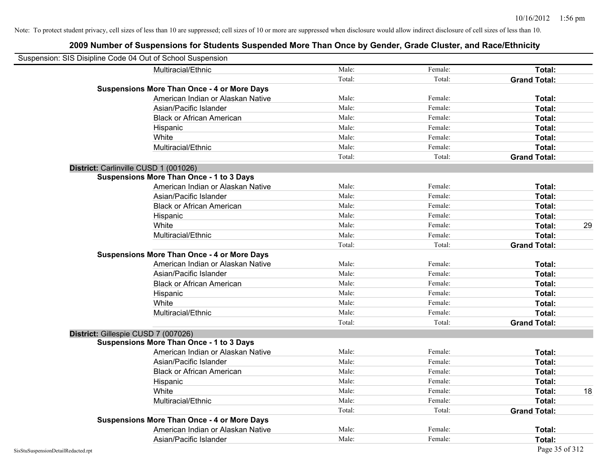| Suspension: SIS Disipline Code 04 Out of School Suspension |                                                    |        |         |                     |    |
|------------------------------------------------------------|----------------------------------------------------|--------|---------|---------------------|----|
|                                                            | Multiracial/Ethnic                                 | Male:  | Female: | Total:              |    |
|                                                            |                                                    | Total: | Total:  | <b>Grand Total:</b> |    |
|                                                            | <b>Suspensions More Than Once - 4 or More Days</b> |        |         |                     |    |
|                                                            | American Indian or Alaskan Native                  | Male:  | Female: | Total:              |    |
|                                                            | Asian/Pacific Islander                             | Male:  | Female: | Total:              |    |
|                                                            | <b>Black or African American</b>                   | Male:  | Female: | Total:              |    |
|                                                            | Hispanic                                           | Male:  | Female: | Total:              |    |
|                                                            | White                                              | Male:  | Female: | Total:              |    |
|                                                            | Multiracial/Ethnic                                 | Male:  | Female: | Total:              |    |
|                                                            |                                                    | Total: | Total:  | <b>Grand Total:</b> |    |
| District: Carlinville CUSD 1 (001026)                      |                                                    |        |         |                     |    |
|                                                            | <b>Suspensions More Than Once - 1 to 3 Days</b>    |        |         |                     |    |
|                                                            | American Indian or Alaskan Native                  | Male:  | Female: | Total:              |    |
|                                                            | Asian/Pacific Islander                             | Male:  | Female: | Total:              |    |
|                                                            | <b>Black or African American</b>                   | Male:  | Female: | Total:              |    |
|                                                            | Hispanic                                           | Male:  | Female: | Total:              |    |
|                                                            | White                                              | Male:  | Female: | Total:              | 29 |
|                                                            | Multiracial/Ethnic                                 | Male:  | Female: | Total:              |    |
|                                                            |                                                    | Total: | Total:  | <b>Grand Total:</b> |    |
|                                                            | <b>Suspensions More Than Once - 4 or More Days</b> |        |         |                     |    |
|                                                            | American Indian or Alaskan Native                  | Male:  | Female: | Total:              |    |
|                                                            | Asian/Pacific Islander                             | Male:  | Female: | Total:              |    |
|                                                            | <b>Black or African American</b>                   | Male:  | Female: | Total:              |    |
|                                                            | Hispanic                                           | Male:  | Female: | Total:              |    |
|                                                            | White                                              | Male:  | Female: | Total:              |    |
|                                                            | Multiracial/Ethnic                                 | Male:  | Female: | Total:              |    |
|                                                            |                                                    | Total: | Total:  | <b>Grand Total:</b> |    |
| District: Gillespie CUSD 7 (007026)                        |                                                    |        |         |                     |    |
|                                                            | <b>Suspensions More Than Once - 1 to 3 Days</b>    |        |         |                     |    |
|                                                            | American Indian or Alaskan Native                  | Male:  | Female: | Total:              |    |
|                                                            | Asian/Pacific Islander                             | Male:  | Female: | Total:              |    |
|                                                            | <b>Black or African American</b>                   | Male:  | Female: | Total:              |    |
|                                                            | Hispanic                                           | Male:  | Female: | Total:              |    |
|                                                            | White                                              | Male:  | Female: | Total:              | 18 |
|                                                            | Multiracial/Ethnic                                 | Male:  | Female: | Total:              |    |
|                                                            |                                                    | Total: | Total:  | <b>Grand Total:</b> |    |
|                                                            | <b>Suspensions More Than Once - 4 or More Days</b> |        |         |                     |    |
|                                                            | American Indian or Alaskan Native                  | Male:  | Female: | Total:              |    |
|                                                            | Asian/Pacific Islander                             | Male:  | Female: | Total:              |    |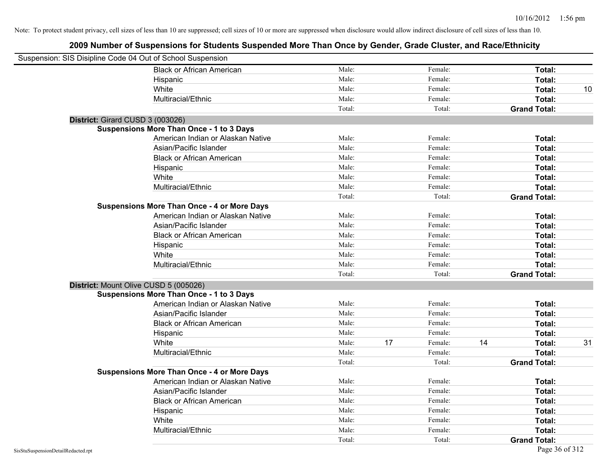| Suspension: SIS Disipline Code 04 Out of School Suspension |                                                    |        |    |         |    |                     |    |
|------------------------------------------------------------|----------------------------------------------------|--------|----|---------|----|---------------------|----|
|                                                            | <b>Black or African American</b>                   | Male:  |    | Female: |    | Total:              |    |
|                                                            | Hispanic                                           | Male:  |    | Female: |    | Total:              |    |
|                                                            | White                                              | Male:  |    | Female: |    | Total:              | 10 |
|                                                            | Multiracial/Ethnic                                 | Male:  |    | Female: |    | Total:              |    |
|                                                            |                                                    | Total: |    | Total:  |    | <b>Grand Total:</b> |    |
| District: Girard CUSD 3 (003026)                           |                                                    |        |    |         |    |                     |    |
|                                                            | Suspensions More Than Once - 1 to 3 Days           |        |    |         |    |                     |    |
|                                                            | American Indian or Alaskan Native                  | Male:  |    | Female: |    | Total:              |    |
|                                                            | Asian/Pacific Islander                             | Male:  |    | Female: |    | Total:              |    |
|                                                            | <b>Black or African American</b>                   | Male:  |    | Female: |    | Total:              |    |
|                                                            | Hispanic                                           | Male:  |    | Female: |    | Total:              |    |
|                                                            | White                                              | Male:  |    | Female: |    | Total:              |    |
|                                                            | Multiracial/Ethnic                                 | Male:  |    | Female: |    | Total:              |    |
|                                                            |                                                    | Total: |    | Total:  |    | <b>Grand Total:</b> |    |
|                                                            | <b>Suspensions More Than Once - 4 or More Days</b> |        |    |         |    |                     |    |
|                                                            | American Indian or Alaskan Native                  | Male:  |    | Female: |    | Total:              |    |
|                                                            | Asian/Pacific Islander                             | Male:  |    | Female: |    | Total:              |    |
|                                                            | <b>Black or African American</b>                   | Male:  |    | Female: |    | Total:              |    |
|                                                            | Hispanic                                           | Male:  |    | Female: |    | Total:              |    |
|                                                            | White                                              | Male:  |    | Female: |    | Total:              |    |
|                                                            | Multiracial/Ethnic                                 | Male:  |    | Female: |    | Total:              |    |
|                                                            |                                                    | Total: |    | Total:  |    | <b>Grand Total:</b> |    |
| District: Mount Olive CUSD 5 (005026)                      |                                                    |        |    |         |    |                     |    |
|                                                            | <b>Suspensions More Than Once - 1 to 3 Days</b>    |        |    |         |    |                     |    |
|                                                            | American Indian or Alaskan Native                  | Male:  |    | Female: |    | Total:              |    |
|                                                            | Asian/Pacific Islander                             | Male:  |    | Female: |    | Total:              |    |
|                                                            | <b>Black or African American</b>                   | Male:  |    | Female: |    | Total:              |    |
|                                                            | Hispanic                                           | Male:  |    | Female: |    | Total:              |    |
|                                                            | White                                              | Male:  | 17 | Female: | 14 | Total:              | 31 |
|                                                            | Multiracial/Ethnic                                 | Male:  |    | Female: |    | Total:              |    |
|                                                            |                                                    | Total: |    | Total:  |    | <b>Grand Total:</b> |    |
|                                                            | <b>Suspensions More Than Once - 4 or More Days</b> |        |    |         |    |                     |    |
|                                                            | American Indian or Alaskan Native                  | Male:  |    | Female: |    | Total:              |    |
|                                                            | Asian/Pacific Islander                             | Male:  |    | Female: |    | Total:              |    |
|                                                            | <b>Black or African American</b>                   | Male:  |    | Female: |    | Total:              |    |
|                                                            | Hispanic                                           | Male:  |    | Female: |    | Total:              |    |
|                                                            | White                                              | Male:  |    | Female: |    | Total:              |    |
|                                                            | Multiracial/Ethnic                                 | Male:  |    | Female: |    | Total:              |    |
|                                                            |                                                    | Total: |    | Total:  |    | <b>Grand Total:</b> |    |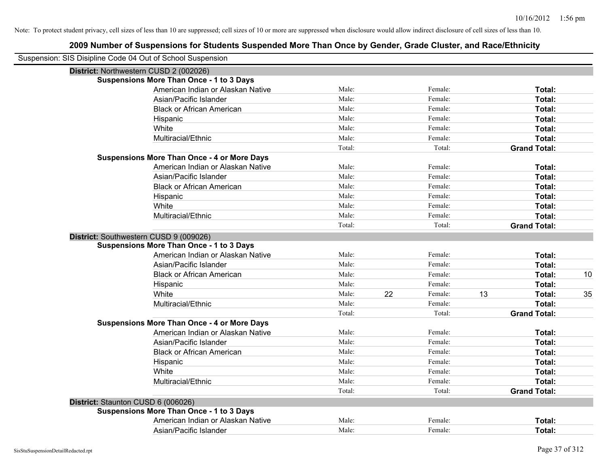| Suspension: SIS Disipline Code 04 Out of School Suspension |                                                    |        |    |         |    |                     |    |
|------------------------------------------------------------|----------------------------------------------------|--------|----|---------|----|---------------------|----|
| District: Northwestern CUSD 2 (002026)                     |                                                    |        |    |         |    |                     |    |
|                                                            | <b>Suspensions More Than Once - 1 to 3 Days</b>    |        |    |         |    |                     |    |
|                                                            | American Indian or Alaskan Native                  | Male:  |    | Female: |    | Total:              |    |
|                                                            | Asian/Pacific Islander                             | Male:  |    | Female: |    | Total:              |    |
|                                                            | <b>Black or African American</b>                   | Male:  |    | Female: |    | Total:              |    |
|                                                            | Hispanic                                           | Male:  |    | Female: |    | Total:              |    |
|                                                            | White                                              | Male:  |    | Female: |    | Total:              |    |
|                                                            | Multiracial/Ethnic                                 | Male:  |    | Female: |    | Total:              |    |
|                                                            |                                                    | Total: |    | Total:  |    | <b>Grand Total:</b> |    |
|                                                            | <b>Suspensions More Than Once - 4 or More Days</b> |        |    |         |    |                     |    |
|                                                            | American Indian or Alaskan Native                  | Male:  |    | Female: |    | Total:              |    |
|                                                            | Asian/Pacific Islander                             | Male:  |    | Female: |    | Total:              |    |
|                                                            | <b>Black or African American</b>                   | Male:  |    | Female: |    | Total:              |    |
|                                                            | Hispanic                                           | Male:  |    | Female: |    | Total:              |    |
|                                                            | White                                              | Male:  |    | Female: |    | Total:              |    |
|                                                            | Multiracial/Ethnic                                 | Male:  |    | Female: |    | Total:              |    |
|                                                            |                                                    | Total: |    | Total:  |    | <b>Grand Total:</b> |    |
| District: Southwestern CUSD 9 (009026)                     |                                                    |        |    |         |    |                     |    |
|                                                            | <b>Suspensions More Than Once - 1 to 3 Days</b>    |        |    |         |    |                     |    |
|                                                            | American Indian or Alaskan Native                  | Male:  |    | Female: |    | Total:              |    |
|                                                            | Asian/Pacific Islander                             | Male:  |    | Female: |    | Total:              |    |
|                                                            | <b>Black or African American</b>                   | Male:  |    | Female: |    | Total:              | 10 |
|                                                            | Hispanic                                           | Male:  |    | Female: |    | Total:              |    |
|                                                            | White                                              | Male:  | 22 | Female: | 13 | Total:              | 35 |
|                                                            | Multiracial/Ethnic                                 | Male:  |    | Female: |    | Total:              |    |
|                                                            |                                                    | Total: |    | Total:  |    | <b>Grand Total:</b> |    |
|                                                            | <b>Suspensions More Than Once - 4 or More Days</b> |        |    |         |    |                     |    |
|                                                            | American Indian or Alaskan Native                  | Male:  |    | Female: |    | Total:              |    |
|                                                            | Asian/Pacific Islander                             | Male:  |    | Female: |    | Total:              |    |
|                                                            | <b>Black or African American</b>                   | Male:  |    | Female: |    | Total:              |    |
|                                                            | Hispanic                                           | Male:  |    | Female: |    | Total:              |    |
|                                                            | White                                              | Male:  |    | Female: |    | Total:              |    |
|                                                            | Multiracial/Ethnic                                 | Male:  |    | Female: |    | Total:              |    |
|                                                            |                                                    | Total: |    | Total:  |    | <b>Grand Total:</b> |    |
| District: Staunton CUSD 6 (006026)                         |                                                    |        |    |         |    |                     |    |
|                                                            | Suspensions More Than Once - 1 to 3 Days           |        |    |         |    |                     |    |
|                                                            | American Indian or Alaskan Native                  | Male:  |    | Female: |    | Total:              |    |
|                                                            | Asian/Pacific Islander                             | Male:  |    | Female: |    | Total:              |    |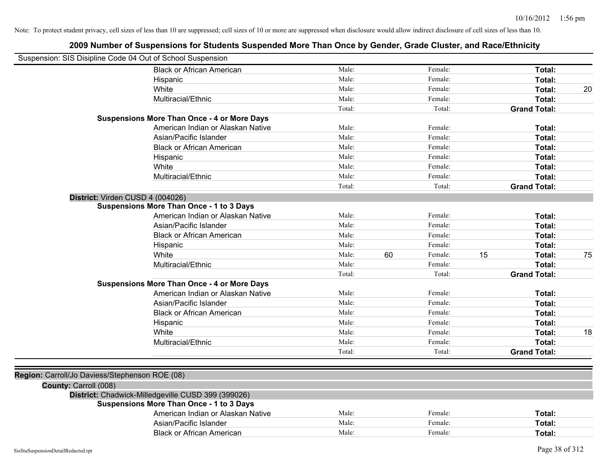| Suspension: SIS Disipline Code 04 Out of School Suspension |                                                    |        |    |         |    |                     |    |
|------------------------------------------------------------|----------------------------------------------------|--------|----|---------|----|---------------------|----|
|                                                            | <b>Black or African American</b>                   | Male:  |    | Female: |    | Total:              |    |
|                                                            | Hispanic                                           | Male:  |    | Female: |    | Total:              |    |
|                                                            | White                                              | Male:  |    | Female: |    | Total:              | 20 |
|                                                            | Multiracial/Ethnic                                 | Male:  |    | Female: |    | Total:              |    |
|                                                            |                                                    | Total: |    | Total:  |    | <b>Grand Total:</b> |    |
|                                                            | <b>Suspensions More Than Once - 4 or More Days</b> |        |    |         |    |                     |    |
|                                                            | American Indian or Alaskan Native                  | Male:  |    | Female: |    | Total:              |    |
|                                                            | Asian/Pacific Islander                             | Male:  |    | Female: |    | Total:              |    |
|                                                            | <b>Black or African American</b>                   | Male:  |    | Female: |    | Total:              |    |
|                                                            | Hispanic                                           | Male:  |    | Female: |    | Total:              |    |
|                                                            | White                                              | Male:  |    | Female: |    | Total:              |    |
|                                                            | Multiracial/Ethnic                                 | Male:  |    | Female: |    | Total:              |    |
|                                                            |                                                    | Total: |    | Total:  |    | <b>Grand Total:</b> |    |
| District: Virden CUSD 4 (004026)                           |                                                    |        |    |         |    |                     |    |
|                                                            | <b>Suspensions More Than Once - 1 to 3 Days</b>    |        |    |         |    |                     |    |
|                                                            | American Indian or Alaskan Native                  | Male:  |    | Female: |    | Total:              |    |
|                                                            | Asian/Pacific Islander                             | Male:  |    | Female: |    | Total:              |    |
|                                                            | <b>Black or African American</b>                   | Male:  |    | Female: |    | Total:              |    |
|                                                            | Hispanic                                           | Male:  |    | Female: |    | Total:              |    |
|                                                            | White                                              | Male:  | 60 | Female: | 15 | Total:              | 75 |
|                                                            | Multiracial/Ethnic                                 | Male:  |    | Female: |    | Total:              |    |
|                                                            |                                                    | Total: |    | Total:  |    | <b>Grand Total:</b> |    |
|                                                            | <b>Suspensions More Than Once - 4 or More Days</b> |        |    |         |    |                     |    |
|                                                            | American Indian or Alaskan Native                  | Male:  |    | Female: |    | Total:              |    |
|                                                            | Asian/Pacific Islander                             | Male:  |    | Female: |    | Total:              |    |
|                                                            | <b>Black or African American</b>                   | Male:  |    | Female: |    | Total:              |    |
|                                                            | Hispanic                                           | Male:  |    | Female: |    | Total:              |    |
|                                                            | White                                              | Male:  |    | Female: |    | Total:              | 18 |
|                                                            | Multiracial/Ethnic                                 | Male:  |    | Female: |    | Total:              |    |
|                                                            |                                                    | Total: |    | Total:  |    | <b>Grand Total:</b> |    |
|                                                            |                                                    |        |    |         |    |                     |    |
| Region: Carroll/Jo Daviess/Stephenson ROE (08)             |                                                    |        |    |         |    |                     |    |
| County: Carroll (008)                                      |                                                    |        |    |         |    |                     |    |
|                                                            | District: Chadwick-Milledgeville CUSD 399 (399026) |        |    |         |    |                     |    |
|                                                            | <b>Suspensions More Than Once - 1 to 3 Days</b>    |        |    |         |    |                     |    |
|                                                            | American Indian or Alaskan Native                  | Male:  |    | Female: |    | Total:              |    |
|                                                            | Asian/Pacific Islander                             | Male:  |    | Female: |    | Total:              |    |
|                                                            | <b>Black or African American</b>                   | Male:  |    | Female: |    | Total:              |    |
|                                                            |                                                    |        |    |         |    |                     |    |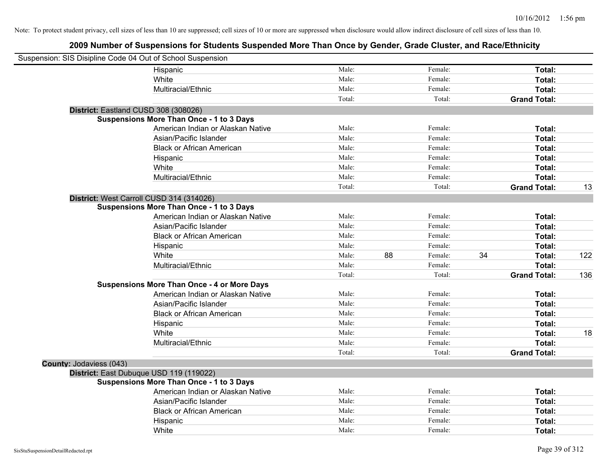| Suspension: SIS Disipline Code 04 Out of School Suspension |                                                    |        |    |         |    |                     |     |
|------------------------------------------------------------|----------------------------------------------------|--------|----|---------|----|---------------------|-----|
|                                                            | Hispanic                                           | Male:  |    | Female: |    | Total:              |     |
|                                                            | White                                              | Male:  |    | Female: |    | Total:              |     |
|                                                            | Multiracial/Ethnic                                 | Male:  |    | Female: |    | <b>Total:</b>       |     |
|                                                            |                                                    | Total: |    | Total:  |    | <b>Grand Total:</b> |     |
| District: Eastland CUSD 308 (308026)                       |                                                    |        |    |         |    |                     |     |
|                                                            | <b>Suspensions More Than Once - 1 to 3 Days</b>    |        |    |         |    |                     |     |
|                                                            | American Indian or Alaskan Native                  | Male:  |    | Female: |    | Total:              |     |
|                                                            | Asian/Pacific Islander                             | Male:  |    | Female: |    | Total:              |     |
|                                                            | <b>Black or African American</b>                   | Male:  |    | Female: |    | Total:              |     |
|                                                            | Hispanic                                           | Male:  |    | Female: |    | Total:              |     |
|                                                            | White                                              | Male:  |    | Female: |    | Total:              |     |
|                                                            | Multiracial/Ethnic                                 | Male:  |    | Female: |    | Total:              |     |
|                                                            |                                                    | Total: |    | Total:  |    | <b>Grand Total:</b> | 13  |
| District: West Carroll CUSD 314 (314026)                   |                                                    |        |    |         |    |                     |     |
|                                                            | <b>Suspensions More Than Once - 1 to 3 Days</b>    |        |    |         |    |                     |     |
|                                                            | American Indian or Alaskan Native                  | Male:  |    | Female: |    | Total:              |     |
|                                                            | Asian/Pacific Islander                             | Male:  |    | Female: |    | Total:              |     |
|                                                            | <b>Black or African American</b>                   | Male:  |    | Female: |    | Total:              |     |
|                                                            | Hispanic                                           | Male:  |    | Female: |    | Total:              |     |
|                                                            | White                                              | Male:  | 88 | Female: | 34 | Total:              | 122 |
|                                                            | Multiracial/Ethnic                                 | Male:  |    | Female: |    | Total:              |     |
|                                                            |                                                    | Total: |    | Total:  |    | <b>Grand Total:</b> | 136 |
|                                                            | <b>Suspensions More Than Once - 4 or More Days</b> |        |    |         |    |                     |     |
|                                                            | American Indian or Alaskan Native                  | Male:  |    | Female: |    | Total:              |     |
|                                                            | Asian/Pacific Islander                             | Male:  |    | Female: |    | Total:              |     |
|                                                            | <b>Black or African American</b>                   | Male:  |    | Female: |    | Total:              |     |
|                                                            | Hispanic                                           | Male:  |    | Female: |    | Total:              |     |
|                                                            | White                                              | Male:  |    | Female: |    | Total:              | 18  |
|                                                            | Multiracial/Ethnic                                 | Male:  |    | Female: |    | Total:              |     |
|                                                            |                                                    | Total: |    | Total:  |    | <b>Grand Total:</b> |     |
| County: Jodaviess (043)                                    |                                                    |        |    |         |    |                     |     |
| District: East Dubuque USD 119 (119022)                    |                                                    |        |    |         |    |                     |     |
|                                                            | <b>Suspensions More Than Once - 1 to 3 Days</b>    |        |    |         |    |                     |     |
|                                                            | American Indian or Alaskan Native                  | Male:  |    | Female: |    | Total:              |     |
|                                                            | Asian/Pacific Islander                             | Male:  |    | Female: |    | Total:              |     |
|                                                            | <b>Black or African American</b>                   | Male:  |    | Female: |    | Total:              |     |
|                                                            | Hispanic                                           | Male:  |    | Female: |    | Total:              |     |
|                                                            | White                                              | Male:  |    | Female: |    | Total:              |     |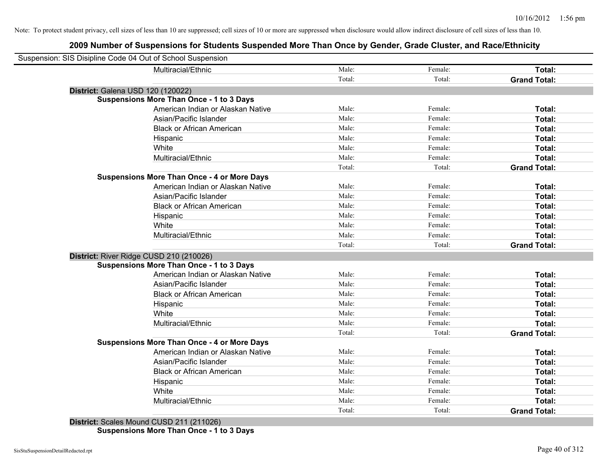# **2009 Number of Suspensions for Students Suspended More Than Once by Gender, Grade Cluster, and Race/Ethnicity**

| Suspension: SIS Disipline Code 04 Out of School Suspension |        |         |                     |
|------------------------------------------------------------|--------|---------|---------------------|
| Multiracial/Ethnic                                         | Male:  | Female: | Total:              |
|                                                            | Total: | Total:  | <b>Grand Total:</b> |
| District: Galena USD 120 (120022)                          |        |         |                     |
| <b>Suspensions More Than Once - 1 to 3 Days</b>            |        |         |                     |
| American Indian or Alaskan Native                          | Male:  | Female: | Total:              |
| Asian/Pacific Islander                                     | Male:  | Female: | Total:              |
| <b>Black or African American</b>                           | Male:  | Female: | Total:              |
| Hispanic                                                   | Male:  | Female: | Total:              |
| White                                                      | Male:  | Female: | Total:              |
| Multiracial/Ethnic                                         | Male:  | Female: | Total:              |
|                                                            | Total: | Total:  | <b>Grand Total:</b> |
| <b>Suspensions More Than Once - 4 or More Days</b>         |        |         |                     |
| American Indian or Alaskan Native                          | Male:  | Female: | Total:              |
| Asian/Pacific Islander                                     | Male:  | Female: | Total:              |
| <b>Black or African American</b>                           | Male:  | Female: | Total:              |
| Hispanic                                                   | Male:  | Female: | Total:              |
| White                                                      | Male:  | Female: | Total:              |
| Multiracial/Ethnic                                         | Male:  | Female: | Total:              |
|                                                            | Total: | Total:  | <b>Grand Total:</b> |
| District: River Ridge CUSD 210 (210026)                    |        |         |                     |
| <b>Suspensions More Than Once - 1 to 3 Days</b>            |        |         |                     |
| American Indian or Alaskan Native                          | Male:  | Female: | Total:              |
| Asian/Pacific Islander                                     | Male:  | Female: | Total:              |
| <b>Black or African American</b>                           | Male:  | Female: | Total:              |
| Hispanic                                                   | Male:  | Female: | Total:              |
| White                                                      | Male:  | Female: | Total:              |
| Multiracial/Ethnic                                         | Male:  | Female: | Total:              |
|                                                            | Total: | Total:  | <b>Grand Total:</b> |
| <b>Suspensions More Than Once - 4 or More Days</b>         |        |         |                     |
| American Indian or Alaskan Native                          | Male:  | Female: | Total:              |
| Asian/Pacific Islander                                     | Male:  | Female: | Total:              |
| <b>Black or African American</b>                           | Male:  | Female: | Total:              |
| Hispanic                                                   | Male:  | Female: | Total:              |
| White                                                      | Male:  | Female: | Total:              |
| Multiracial/Ethnic                                         | Male:  | Female: | Total:              |
|                                                            | Total: | Total:  | <b>Grand Total:</b> |
|                                                            |        |         |                     |

**District:** Scales Mound CUSD 211 (211026) **Suspensions More Than Once - 1 to 3 Days**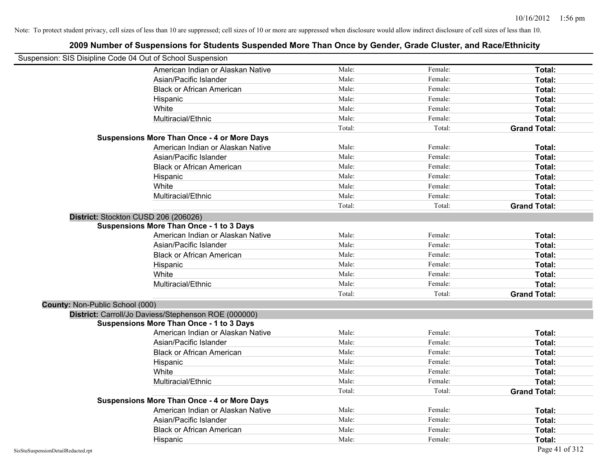|                                        | Suspension: SIS Disipline Code 04 Out of School Suspension |        |         |                     |
|----------------------------------------|------------------------------------------------------------|--------|---------|---------------------|
|                                        | American Indian or Alaskan Native                          | Male:  | Female: | Total:              |
|                                        | Asian/Pacific Islander                                     | Male:  | Female: | Total:              |
|                                        | <b>Black or African American</b>                           | Male:  | Female: | Total:              |
|                                        | Hispanic                                                   | Male:  | Female: | Total:              |
|                                        | White                                                      | Male:  | Female: | Total:              |
|                                        | Multiracial/Ethnic                                         | Male:  | Female: | Total:              |
|                                        |                                                            | Total: | Total:  | <b>Grand Total:</b> |
|                                        | <b>Suspensions More Than Once - 4 or More Days</b>         |        |         |                     |
|                                        | American Indian or Alaskan Native                          | Male:  | Female: | Total:              |
|                                        | Asian/Pacific Islander                                     | Male:  | Female: | Total:              |
|                                        | <b>Black or African American</b>                           | Male:  | Female: | Total:              |
|                                        | Hispanic                                                   | Male:  | Female: | Total:              |
|                                        | White                                                      | Male:  | Female: | Total:              |
|                                        | Multiracial/Ethnic                                         | Male:  | Female: | Total:              |
|                                        |                                                            | Total: | Total:  | <b>Grand Total:</b> |
|                                        | District: Stockton CUSD 206 (206026)                       |        |         |                     |
|                                        | <b>Suspensions More Than Once - 1 to 3 Days</b>            |        |         |                     |
|                                        | American Indian or Alaskan Native                          | Male:  | Female: | Total:              |
|                                        | Asian/Pacific Islander                                     | Male:  | Female: | Total:              |
|                                        | <b>Black or African American</b>                           | Male:  | Female: | Total:              |
|                                        | Hispanic                                                   | Male:  | Female: | Total:              |
|                                        | White                                                      | Male:  | Female: | Total:              |
|                                        | Multiracial/Ethnic                                         | Male:  | Female: | Total:              |
|                                        |                                                            | Total: | Total:  | <b>Grand Total:</b> |
| <b>County: Non-Public School (000)</b> |                                                            |        |         |                     |
|                                        | District: Carroll/Jo Daviess/Stephenson ROE (000000)       |        |         |                     |
|                                        | <b>Suspensions More Than Once - 1 to 3 Days</b>            |        |         |                     |
|                                        | American Indian or Alaskan Native                          | Male:  | Female: | Total:              |
|                                        | Asian/Pacific Islander                                     | Male:  | Female: | Total:              |
|                                        | <b>Black or African American</b>                           | Male:  | Female: | Total:              |
|                                        | Hispanic                                                   | Male:  | Female: | Total:              |
|                                        | White                                                      | Male:  | Female: | Total:              |
|                                        | Multiracial/Ethnic                                         | Male:  | Female: | Total:              |
|                                        |                                                            | Total: | Total:  | <b>Grand Total:</b> |
|                                        | <b>Suspensions More Than Once - 4 or More Days</b>         |        |         |                     |
|                                        | American Indian or Alaskan Native                          | Male:  | Female: | Total:              |
|                                        | Asian/Pacific Islander                                     | Male:  | Female: | Total:              |
|                                        | <b>Black or African American</b>                           | Male:  | Female: | Total:              |
|                                        | Hispanic                                                   | Male:  | Female: | Total:              |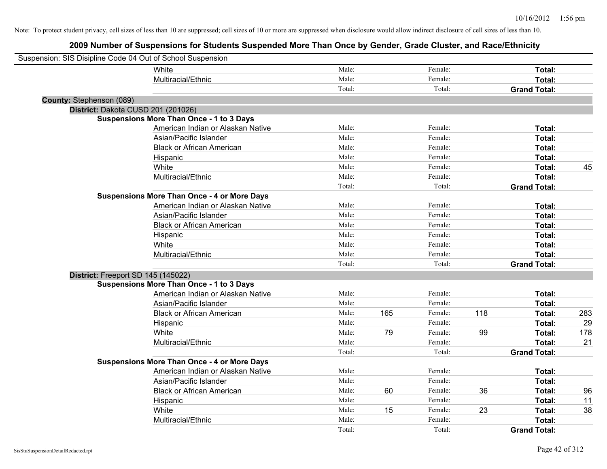| Suspension: SIS Disipline Code 04 Out of School Suspension |                                                    |        |     |         |     |                     |     |
|------------------------------------------------------------|----------------------------------------------------|--------|-----|---------|-----|---------------------|-----|
|                                                            | White                                              | Male:  |     | Female: |     | Total:              |     |
|                                                            | Multiracial/Ethnic                                 | Male:  |     | Female: |     | Total:              |     |
|                                                            |                                                    | Total: |     | Total:  |     | <b>Grand Total:</b> |     |
| <b>County: Stephenson (089)</b>                            |                                                    |        |     |         |     |                     |     |
| District: Dakota CUSD 201 (201026)                         |                                                    |        |     |         |     |                     |     |
|                                                            | <b>Suspensions More Than Once - 1 to 3 Days</b>    |        |     |         |     |                     |     |
|                                                            | American Indian or Alaskan Native                  | Male:  |     | Female: |     | Total:              |     |
|                                                            | Asian/Pacific Islander                             | Male:  |     | Female: |     | Total:              |     |
|                                                            | <b>Black or African American</b>                   | Male:  |     | Female: |     | Total:              |     |
|                                                            | Hispanic                                           | Male:  |     | Female: |     | Total:              |     |
|                                                            | White                                              | Male:  |     | Female: |     | Total:              | 45  |
|                                                            | Multiracial/Ethnic                                 | Male:  |     | Female: |     | Total:              |     |
|                                                            |                                                    | Total: |     | Total:  |     | <b>Grand Total:</b> |     |
|                                                            | <b>Suspensions More Than Once - 4 or More Days</b> |        |     |         |     |                     |     |
|                                                            | American Indian or Alaskan Native                  | Male:  |     | Female: |     | Total:              |     |
|                                                            | Asian/Pacific Islander                             | Male:  |     | Female: |     | Total:              |     |
|                                                            | <b>Black or African American</b>                   | Male:  |     | Female: |     | Total:              |     |
|                                                            | Hispanic                                           | Male:  |     | Female: |     | Total:              |     |
|                                                            | White                                              | Male:  |     | Female: |     | Total:              |     |
|                                                            | Multiracial/Ethnic                                 | Male:  |     | Female: |     | Total:              |     |
|                                                            |                                                    | Total: |     | Total:  |     | <b>Grand Total:</b> |     |
| District: Freeport SD 145 (145022)                         |                                                    |        |     |         |     |                     |     |
|                                                            | <b>Suspensions More Than Once - 1 to 3 Days</b>    |        |     |         |     |                     |     |
|                                                            | American Indian or Alaskan Native                  | Male:  |     | Female: |     | Total:              |     |
|                                                            | Asian/Pacific Islander                             | Male:  |     | Female: |     | Total:              |     |
|                                                            | <b>Black or African American</b>                   | Male:  | 165 | Female: | 118 | Total:              | 283 |
|                                                            | Hispanic                                           | Male:  |     | Female: |     | Total:              | 29  |
|                                                            | White                                              | Male:  | 79  | Female: | 99  | Total:              | 178 |
|                                                            | Multiracial/Ethnic                                 | Male:  |     | Female: |     | Total:              | 21  |
|                                                            |                                                    | Total: |     | Total:  |     | <b>Grand Total:</b> |     |
|                                                            | <b>Suspensions More Than Once - 4 or More Days</b> |        |     |         |     |                     |     |
|                                                            | American Indian or Alaskan Native                  | Male:  |     | Female: |     | Total:              |     |
|                                                            | Asian/Pacific Islander                             | Male:  |     | Female: |     | Total:              |     |
|                                                            | <b>Black or African American</b>                   | Male:  | 60  | Female: | 36  | Total:              | 96  |
|                                                            | Hispanic                                           | Male:  |     | Female: |     | Total:              | 11  |
|                                                            | White                                              | Male:  | 15  | Female: | 23  | Total:              | 38  |
|                                                            | Multiracial/Ethnic                                 | Male:  |     | Female: |     | Total:              |     |
|                                                            |                                                    | Total: |     | Total:  |     | <b>Grand Total:</b> |     |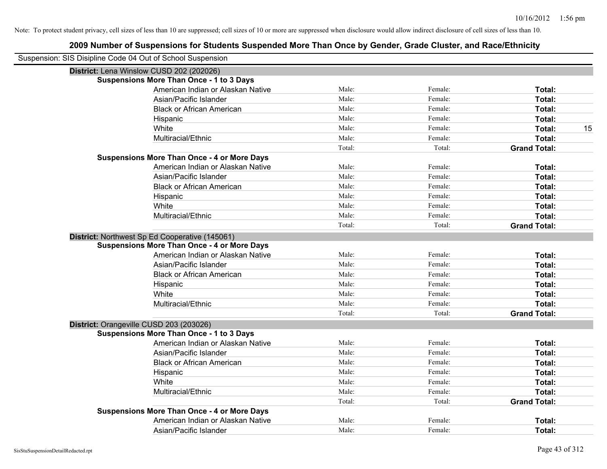# **2009 Number of Suspensions for Students Suspended More Than Once by Gender, Grade Cluster, and Race/Ethnicity** Suspension: SIS Disipline Code 04 Out of School Suspension **District:** Lena Winslow CUSD 202 (202026) **Suspensions More Than Once - 1 to 3 Days** American Indian or Alaskan Native **Male:** Male: Female: Female: **Total:** Total: Asian/Pacific Islander **Figure 1.1 Contained Asian** Male: Female: **Female: Total: Total: Total: Total: Total: Total: Total: Total: Total: Total: Total: Total: Total: Total: Total: Total: T** Black or African American **Figure 1.1 and Total:** Male: Female: Female: **Total: Total:** Total: Hispanic **Total:** Male: Female: **Total:** Female: **Total:** Total: White **Male:** Male: **Total: 15** Male: **Total: 15** Male: **Total: 15** Multiracial/Ethnic **Total:** Male: Female: **Total:** Female: **Total:** Female: **Total:** Female: **Total:** Female: **Total:** Female: **Total:** Female: **Total:** Female: **Total:** Female: **Total:** Female: **Total:** Female: **Total:** F Total: Total: **Grand Total: Suspensions More Than Once - 4 or More Days** American Indian or Alaskan Native **Male:** Male: Female: Female: **Total:** Total: Asian/Pacific Islander **Figure 1.1 Contact Contact Contact Contact Contact Contact Contact Contact Contact Conta** Black or African American **Figure 1.1 and Total:** Male: Female: Female: **Total: Total:** Total: Hispanic **Total:** Male: Female: **Total:** Female: **Total:** Total: White **Total:** Male: Female: **Total:** Total: **Total:** Female: **Total:** Total: Multiracial/Ethnic **Total:** Male: Female: **Female: Total:** Total: **Total:** Female: **Total:** Total: Total: Total: **Grand Total: District:** Northwest Sp Ed Cooperative (145061) **Suspensions More Than Once - 4 or More Days** American Indian or Alaskan Native **Male:** Male: Female: Female: **Total:** Total: Asian/Pacific Islander **Figure 1.1 Contact Contact Contact Contact Contact Contact Contact Contact Contact Contact Contact Contact Contact Contact Contact Contact Contact Contact Contact Contact Contact Contact Contact Con** Black or African American **Figure 1.1 and Total:** Male: Female: Female: **Total:** Total: Hispanic **Total:** Male: Female: **Total:** Female: **Total:** Total: **Total:** Female: **Total:** Total: **Total:** Total: **Total:** Total: **Total:** Total: **Total:** Total: **Total:** Total: **Total:** Total: **Total:** Total: **Total:** Tot White **Total:** Male: Female: **Total:** Female: **Total:** Total: Multiracial/Ethnic **Total:** Male: Female: **Female: Total:** Female: **Total:** Female: **Total:** Female: **Total:** Female: **Total:** Female: **Total:** Female: **Total:** Female: **Total:** Female: **Total:** Female: **Total:** Female: Total: Total: **Grand Total: District:** Orangeville CUSD 203 (203026) **Suspensions More Than Once - 1 to 3 Days** American Indian or Alaskan Native **Male:** Male: Female: Female: **Total:** Total: Asian/Pacific Islander **Figure 1.1 Contact Contact Contact Contact Contact Contact Contact Contact Contact Contact Contact Contact Contact Contact Contact Contact Contact Contact Contact Contact Contact Contact Contact Con** Black or African American **Figure 1.1 and Total:** Male: Female: Female: **Total:** Total: Hispanic **Total:** Male: Female: **Total:** Female: **Total:** Total: White **Total:** Male: Female: **Total:** Total: **Total:** Female: **Total:** Total: Multiracial/Ethnic **Total:** Male: Female: **Female: Total:** Total: **Total:** Female: **Total:** Total: Total: Total: **Grand Total: Suspensions More Than Once - 4 or More Days** American Indian or Alaskan Native **Male:** Male: Female: Female: **Total:** Total: Asian/Pacific Islander **Figure 1.1 Contained Asian** Male: Female: **Female: Total: Total: Total: Total: Total: Total: Total: Total: Total: Total: Total: Total: Total: Total: Total: Total: T**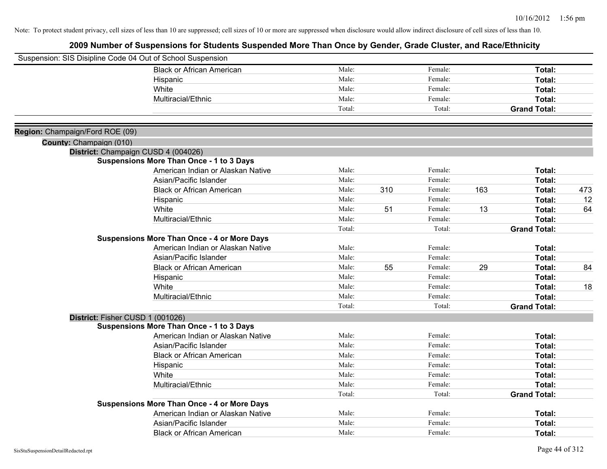|                                 | Suspension: SIS Disipline Code 04 Out of School Suspension |        |     |         |     |                     |     |
|---------------------------------|------------------------------------------------------------|--------|-----|---------|-----|---------------------|-----|
|                                 | <b>Black or African American</b>                           | Male:  |     | Female: |     | Total:              |     |
|                                 | Hispanic                                                   | Male:  |     | Female: |     | Total:              |     |
|                                 | White                                                      | Male:  |     | Female: |     | Total:              |     |
|                                 | Multiracial/Ethnic                                         | Male:  |     | Female: |     | Total:              |     |
|                                 |                                                            | Total: |     | Total:  |     | <b>Grand Total:</b> |     |
| Region: Champaign/Ford ROE (09) |                                                            |        |     |         |     |                     |     |
| County: Champaign (010)         |                                                            |        |     |         |     |                     |     |
|                                 | District: Champaign CUSD 4 (004026)                        |        |     |         |     |                     |     |
|                                 | <b>Suspensions More Than Once - 1 to 3 Days</b>            |        |     |         |     |                     |     |
|                                 | American Indian or Alaskan Native                          | Male:  |     | Female: |     | Total:              |     |
|                                 | Asian/Pacific Islander                                     | Male:  |     | Female: |     | Total:              |     |
|                                 | <b>Black or African American</b>                           | Male:  | 310 | Female: | 163 | Total:              | 473 |
|                                 | Hispanic                                                   | Male:  |     | Female: |     | Total:              | 12  |
|                                 | White                                                      | Male:  | 51  | Female: | 13  | Total:              | 64  |
|                                 | Multiracial/Ethnic                                         | Male:  |     | Female: |     | Total:              |     |
|                                 |                                                            | Total: |     | Total:  |     | <b>Grand Total:</b> |     |
|                                 | <b>Suspensions More Than Once - 4 or More Days</b>         |        |     |         |     |                     |     |
|                                 | American Indian or Alaskan Native                          | Male:  |     | Female: |     | Total:              |     |
|                                 | Asian/Pacific Islander                                     | Male:  |     | Female: |     | Total:              |     |
|                                 | <b>Black or African American</b>                           | Male:  | 55  | Female: | 29  | Total:              | 84  |
|                                 | Hispanic                                                   | Male:  |     | Female: |     | Total:              |     |
|                                 | White                                                      | Male:  |     | Female: |     | Total:              | 18  |
|                                 | Multiracial/Ethnic                                         | Male:  |     | Female: |     | Total:              |     |
|                                 |                                                            | Total: |     | Total:  |     | <b>Grand Total:</b> |     |
|                                 | District: Fisher CUSD 1 (001026)                           |        |     |         |     |                     |     |
|                                 | <b>Suspensions More Than Once - 1 to 3 Days</b>            |        |     |         |     |                     |     |
|                                 | American Indian or Alaskan Native                          | Male:  |     | Female: |     | Total:              |     |
|                                 | Asian/Pacific Islander                                     | Male:  |     | Female: |     | Total:              |     |
|                                 | <b>Black or African American</b>                           | Male:  |     | Female: |     | Total:              |     |
|                                 | Hispanic                                                   | Male:  |     | Female: |     | Total:              |     |
|                                 | White                                                      | Male:  |     | Female: |     | Total:              |     |
|                                 | Multiracial/Ethnic                                         | Male:  |     | Female: |     | Total:              |     |
|                                 |                                                            | Total: |     | Total:  |     | <b>Grand Total:</b> |     |
|                                 | <b>Suspensions More Than Once - 4 or More Days</b>         |        |     |         |     |                     |     |
|                                 | American Indian or Alaskan Native                          | Male:  |     | Female: |     | Total:              |     |
|                                 | Asian/Pacific Islander                                     | Male:  |     | Female: |     | <b>Total:</b>       |     |
|                                 | <b>Black or African American</b>                           | Male:  |     | Female: |     | Total:              |     |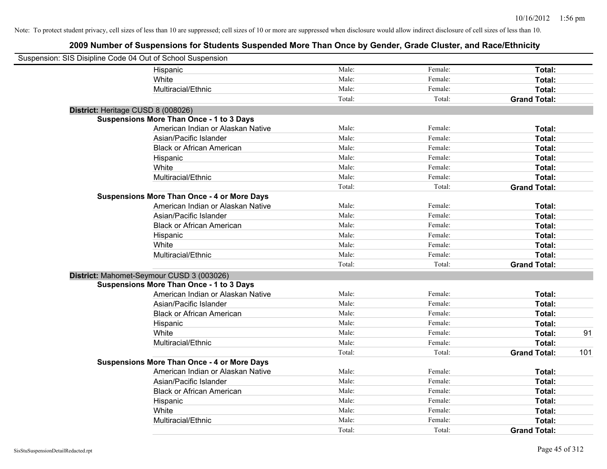| Suspension: SIS Disipline Code 04 Out of School Suspension |                                                    |        |         |                     |     |
|------------------------------------------------------------|----------------------------------------------------|--------|---------|---------------------|-----|
|                                                            | Hispanic                                           | Male:  | Female: | Total:              |     |
|                                                            | White                                              | Male:  | Female: | Total:              |     |
|                                                            | Multiracial/Ethnic                                 | Male:  | Female: | Total:              |     |
|                                                            |                                                    | Total: | Total:  | <b>Grand Total:</b> |     |
| District: Heritage CUSD 8 (008026)                         |                                                    |        |         |                     |     |
|                                                            | <b>Suspensions More Than Once - 1 to 3 Days</b>    |        |         |                     |     |
|                                                            | American Indian or Alaskan Native                  | Male:  | Female: | Total:              |     |
|                                                            | Asian/Pacific Islander                             | Male:  | Female: | Total:              |     |
|                                                            | <b>Black or African American</b>                   | Male:  | Female: | Total:              |     |
|                                                            | Hispanic                                           | Male:  | Female: | Total:              |     |
|                                                            | White                                              | Male:  | Female: | Total:              |     |
|                                                            | Multiracial/Ethnic                                 | Male:  | Female: | Total:              |     |
|                                                            |                                                    | Total: | Total:  | <b>Grand Total:</b> |     |
|                                                            | <b>Suspensions More Than Once - 4 or More Days</b> |        |         |                     |     |
|                                                            | American Indian or Alaskan Native                  | Male:  | Female: | Total:              |     |
|                                                            | Asian/Pacific Islander                             | Male:  | Female: | Total:              |     |
|                                                            | <b>Black or African American</b>                   | Male:  | Female: | Total:              |     |
|                                                            | Hispanic                                           | Male:  | Female: | Total:              |     |
|                                                            | White                                              | Male:  | Female: | Total:              |     |
|                                                            | Multiracial/Ethnic                                 | Male:  | Female: | Total:              |     |
|                                                            |                                                    | Total: | Total:  | <b>Grand Total:</b> |     |
| District: Mahomet-Seymour CUSD 3 (003026)                  |                                                    |        |         |                     |     |
|                                                            | <b>Suspensions More Than Once - 1 to 3 Days</b>    |        |         |                     |     |
|                                                            | American Indian or Alaskan Native                  | Male:  | Female: | Total:              |     |
|                                                            | Asian/Pacific Islander                             | Male:  | Female: | Total:              |     |
|                                                            | <b>Black or African American</b>                   | Male:  | Female: | Total:              |     |
|                                                            | Hispanic                                           | Male:  | Female: | Total:              |     |
|                                                            | White                                              | Male:  | Female: | Total:              | 91  |
|                                                            | Multiracial/Ethnic                                 | Male:  | Female: | Total:              |     |
|                                                            |                                                    | Total: | Total:  | <b>Grand Total:</b> | 101 |
|                                                            | <b>Suspensions More Than Once - 4 or More Days</b> |        |         |                     |     |
|                                                            | American Indian or Alaskan Native                  | Male:  | Female: | Total:              |     |
|                                                            | Asian/Pacific Islander                             | Male:  | Female: | Total:              |     |
|                                                            | <b>Black or African American</b>                   | Male:  | Female: | Total:              |     |
|                                                            | Hispanic                                           | Male:  | Female: | Total:              |     |
|                                                            | White                                              | Male:  | Female: | Total:              |     |
|                                                            | Multiracial/Ethnic                                 | Male:  | Female: | Total:              |     |
|                                                            |                                                    | Total: | Total:  | <b>Grand Total:</b> |     |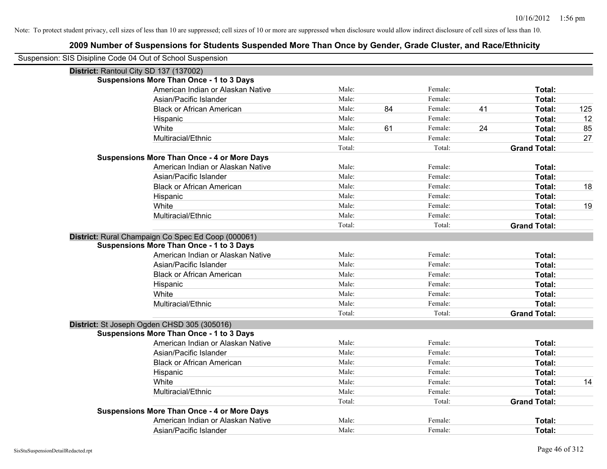| Suspension: SIS Disipline Code 04 Out of School Suspension |                                                    |        |    |         |    |                     |     |
|------------------------------------------------------------|----------------------------------------------------|--------|----|---------|----|---------------------|-----|
|                                                            | District: Rantoul City SD 137 (137002)             |        |    |         |    |                     |     |
|                                                            | <b>Suspensions More Than Once - 1 to 3 Days</b>    |        |    |         |    |                     |     |
|                                                            | American Indian or Alaskan Native                  | Male:  |    | Female: |    | Total:              |     |
|                                                            | Asian/Pacific Islander                             | Male:  |    | Female: |    | Total:              |     |
|                                                            | <b>Black or African American</b>                   | Male:  | 84 | Female: | 41 | Total:              | 125 |
|                                                            | Hispanic                                           | Male:  |    | Female: |    | Total:              | 12  |
|                                                            | White                                              | Male:  | 61 | Female: | 24 | Total:              | 85  |
|                                                            | Multiracial/Ethnic                                 | Male:  |    | Female: |    | Total:              | 27  |
|                                                            |                                                    | Total: |    | Total:  |    | <b>Grand Total:</b> |     |
|                                                            | <b>Suspensions More Than Once - 4 or More Days</b> |        |    |         |    |                     |     |
|                                                            | American Indian or Alaskan Native                  | Male:  |    | Female: |    | Total:              |     |
|                                                            | Asian/Pacific Islander                             | Male:  |    | Female: |    | Total:              |     |
|                                                            | <b>Black or African American</b>                   | Male:  |    | Female: |    | Total:              | 18  |
|                                                            | Hispanic                                           | Male:  |    | Female: |    | Total:              |     |
|                                                            | White                                              | Male:  |    | Female: |    | Total:              | 19  |
|                                                            | Multiracial/Ethnic                                 | Male:  |    | Female: |    | Total:              |     |
|                                                            |                                                    | Total: |    | Total:  |    | <b>Grand Total:</b> |     |
|                                                            | District: Rural Champaign Co Spec Ed Coop (000061) |        |    |         |    |                     |     |
|                                                            | <b>Suspensions More Than Once - 1 to 3 Days</b>    |        |    |         |    |                     |     |
|                                                            | American Indian or Alaskan Native                  | Male:  |    | Female: |    | Total:              |     |
|                                                            | Asian/Pacific Islander                             | Male:  |    | Female: |    | Total:              |     |
|                                                            | <b>Black or African American</b>                   | Male:  |    | Female: |    | Total:              |     |
|                                                            | Hispanic                                           | Male:  |    | Female: |    | Total:              |     |
|                                                            | White                                              | Male:  |    | Female: |    | Total:              |     |
|                                                            | Multiracial/Ethnic                                 | Male:  |    | Female: |    | Total:              |     |
|                                                            |                                                    | Total: |    | Total:  |    | <b>Grand Total:</b> |     |
|                                                            | District: St Joseph Ogden CHSD 305 (305016)        |        |    |         |    |                     |     |
|                                                            | <b>Suspensions More Than Once - 1 to 3 Days</b>    |        |    |         |    |                     |     |
|                                                            | American Indian or Alaskan Native                  | Male:  |    | Female: |    | Total:              |     |
|                                                            | Asian/Pacific Islander                             | Male:  |    | Female: |    | Total:              |     |
|                                                            | <b>Black or African American</b>                   | Male:  |    | Female: |    | Total:              |     |
|                                                            | Hispanic                                           | Male:  |    | Female: |    | Total:              |     |
|                                                            | White                                              | Male:  |    | Female: |    | Total:              | 14  |
|                                                            | Multiracial/Ethnic                                 | Male:  |    | Female: |    | Total:              |     |
|                                                            |                                                    | Total: |    | Total:  |    | <b>Grand Total:</b> |     |
|                                                            | <b>Suspensions More Than Once - 4 or More Days</b> |        |    |         |    |                     |     |
|                                                            | American Indian or Alaskan Native                  | Male:  |    | Female: |    | Total:              |     |
|                                                            | Asian/Pacific Islander                             | Male:  |    | Female: |    | Total:              |     |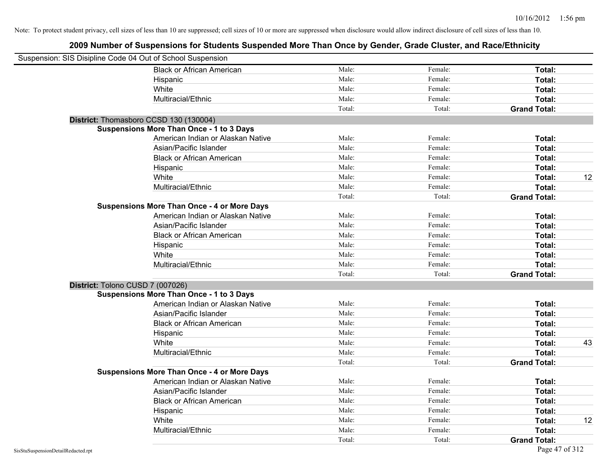| Suspension: SIS Disipline Code 04 Out of School Suspension |                                                    |        |         |                     |    |
|------------------------------------------------------------|----------------------------------------------------|--------|---------|---------------------|----|
|                                                            | <b>Black or African American</b>                   | Male:  | Female: | Total:              |    |
|                                                            | Hispanic                                           | Male:  | Female: | Total:              |    |
|                                                            | White                                              | Male:  | Female: | Total:              |    |
|                                                            | Multiracial/Ethnic                                 | Male:  | Female: | Total:              |    |
|                                                            |                                                    | Total: | Total:  | <b>Grand Total:</b> |    |
|                                                            | District: Thomasboro CCSD 130 (130004)             |        |         |                     |    |
|                                                            | <b>Suspensions More Than Once - 1 to 3 Days</b>    |        |         |                     |    |
|                                                            | American Indian or Alaskan Native                  | Male:  | Female: | Total:              |    |
|                                                            | Asian/Pacific Islander                             | Male:  | Female: | Total:              |    |
|                                                            | <b>Black or African American</b>                   | Male:  | Female: | Total:              |    |
|                                                            | Hispanic                                           | Male:  | Female: | Total:              |    |
|                                                            | White                                              | Male:  | Female: | Total:              | 12 |
|                                                            | Multiracial/Ethnic                                 | Male:  | Female: | Total:              |    |
|                                                            |                                                    | Total: | Total:  | <b>Grand Total:</b> |    |
|                                                            | <b>Suspensions More Than Once - 4 or More Days</b> |        |         |                     |    |
|                                                            | American Indian or Alaskan Native                  | Male:  | Female: | Total:              |    |
|                                                            | Asian/Pacific Islander                             | Male:  | Female: | Total:              |    |
|                                                            | <b>Black or African American</b>                   | Male:  | Female: | Total:              |    |
|                                                            | Hispanic                                           | Male:  | Female: | Total:              |    |
|                                                            | White                                              | Male:  | Female: | Total:              |    |
|                                                            | Multiracial/Ethnic                                 | Male:  | Female: | Total:              |    |
|                                                            |                                                    | Total: | Total:  | <b>Grand Total:</b> |    |
|                                                            | District: Tolono CUSD 7 (007026)                   |        |         |                     |    |
|                                                            | <b>Suspensions More Than Once - 1 to 3 Days</b>    |        |         |                     |    |
|                                                            | American Indian or Alaskan Native                  | Male:  | Female: | Total:              |    |
|                                                            | Asian/Pacific Islander                             | Male:  | Female: | Total:              |    |
|                                                            | <b>Black or African American</b>                   | Male:  | Female: | Total:              |    |
|                                                            | Hispanic                                           | Male:  | Female: | Total:              |    |
|                                                            | White                                              | Male:  | Female: | Total:              | 43 |
|                                                            | Multiracial/Ethnic                                 | Male:  | Female: | Total:              |    |
|                                                            |                                                    | Total: | Total:  | <b>Grand Total:</b> |    |
|                                                            | <b>Suspensions More Than Once - 4 or More Days</b> |        |         |                     |    |
|                                                            | American Indian or Alaskan Native                  | Male:  | Female: | Total:              |    |
|                                                            | Asian/Pacific Islander                             | Male:  | Female: | Total:              |    |
|                                                            | <b>Black or African American</b>                   | Male:  | Female: | Total:              |    |
|                                                            | Hispanic                                           | Male:  | Female: | Total:              |    |
|                                                            | White                                              | Male:  | Female: | Total:              | 12 |
|                                                            | Multiracial/Ethnic                                 | Male:  | Female: | Total:              |    |
|                                                            |                                                    | Total: | Total:  | <b>Grand Total:</b> |    |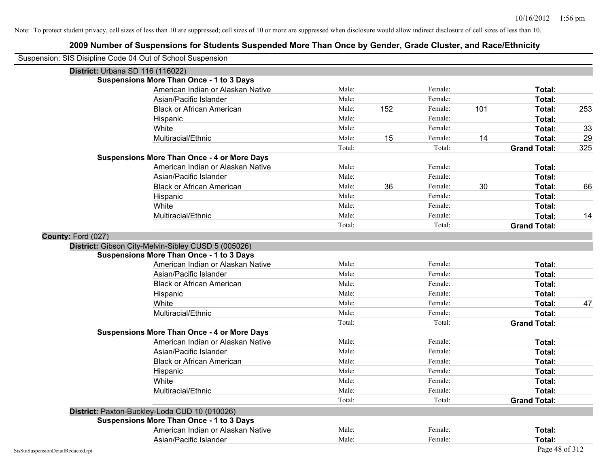| Suspension: SIS Disipline Code 04 Out of School Suspension |                                                     |        |     |         |     |                     |     |
|------------------------------------------------------------|-----------------------------------------------------|--------|-----|---------|-----|---------------------|-----|
| District: Urbana SD 116 (116022)                           |                                                     |        |     |         |     |                     |     |
|                                                            | <b>Suspensions More Than Once - 1 to 3 Days</b>     |        |     |         |     |                     |     |
|                                                            | American Indian or Alaskan Native                   | Male:  |     | Female: |     | Total:              |     |
|                                                            | Asian/Pacific Islander                              | Male:  |     | Female: |     | Total:              |     |
|                                                            | <b>Black or African American</b>                    | Male:  | 152 | Female: | 101 | Total:              | 253 |
|                                                            | Hispanic                                            | Male:  |     | Female: |     | Total:              |     |
|                                                            | White                                               | Male:  |     | Female: |     | Total:              | 33  |
|                                                            | Multiracial/Ethnic                                  | Male:  | 15  | Female: | 14  | Total:              | 29  |
|                                                            |                                                     | Total: |     | Total:  |     | <b>Grand Total:</b> | 325 |
|                                                            | <b>Suspensions More Than Once - 4 or More Days</b>  |        |     |         |     |                     |     |
|                                                            | American Indian or Alaskan Native                   | Male:  |     | Female: |     | Total:              |     |
|                                                            | Asian/Pacific Islander                              | Male:  |     | Female: |     | Total:              |     |
|                                                            | <b>Black or African American</b>                    | Male:  | 36  | Female: | 30  | Total:              | 66  |
|                                                            | Hispanic                                            | Male:  |     | Female: |     | Total:              |     |
|                                                            | White                                               | Male:  |     | Female: |     | Total:              |     |
|                                                            | Multiracial/Ethnic                                  | Male:  |     | Female: |     | Total:              | 14  |
|                                                            |                                                     | Total: |     | Total:  |     | <b>Grand Total:</b> |     |
| County: Ford (027)                                         |                                                     |        |     |         |     |                     |     |
|                                                            | District: Gibson City-Melvin-Sibley CUSD 5 (005026) |        |     |         |     |                     |     |
|                                                            | <b>Suspensions More Than Once - 1 to 3 Days</b>     |        |     |         |     |                     |     |
|                                                            | American Indian or Alaskan Native                   | Male:  |     | Female: |     | Total:              |     |
|                                                            | Asian/Pacific Islander                              | Male:  |     | Female: |     | Total:              |     |
|                                                            | <b>Black or African American</b>                    | Male:  |     | Female: |     | Total:              |     |
|                                                            | Hispanic                                            | Male:  |     | Female: |     | Total:              |     |
|                                                            | White                                               | Male:  |     | Female: |     | Total:              | 47  |
|                                                            | Multiracial/Ethnic                                  | Male:  |     | Female: |     | Total:              |     |
|                                                            |                                                     | Total: |     | Total:  |     | <b>Grand Total:</b> |     |
|                                                            | <b>Suspensions More Than Once - 4 or More Days</b>  |        |     |         |     |                     |     |
|                                                            | American Indian or Alaskan Native                   | Male:  |     | Female: |     | Total:              |     |
|                                                            | Asian/Pacific Islander                              | Male:  |     | Female: |     | <b>Total:</b>       |     |
|                                                            | <b>Black or African American</b>                    | Male:  |     | Female: |     | Total:              |     |
|                                                            | Hispanic                                            | Male:  |     | Female: |     | Total:              |     |
|                                                            | White                                               | Male:  |     | Female: |     | Total:              |     |
|                                                            | Multiracial/Ethnic                                  | Male:  |     | Female: |     | Total:              |     |
|                                                            |                                                     | Total: |     | Total:  |     | <b>Grand Total:</b> |     |
|                                                            | District: Paxton-Buckley-Loda CUD 10 (010026)       |        |     |         |     |                     |     |
|                                                            | <b>Suspensions More Than Once - 1 to 3 Days</b>     |        |     |         |     |                     |     |
|                                                            | American Indian or Alaskan Native                   | Male:  |     | Female: |     | Total:              |     |
|                                                            | Asian/Pacific Islander                              | Male:  |     | Female: |     | Total:              |     |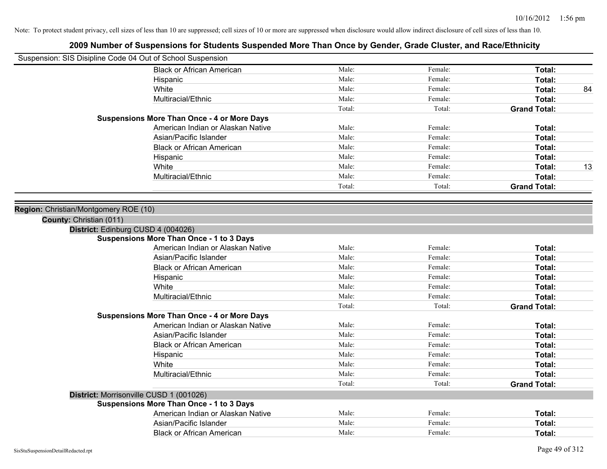| Suspension: SIS Disipline Code 04 Out of School Suspension |                                                    |        |         |                     |    |
|------------------------------------------------------------|----------------------------------------------------|--------|---------|---------------------|----|
|                                                            | <b>Black or African American</b>                   | Male:  | Female: | Total:              |    |
|                                                            | Hispanic                                           | Male:  | Female: | Total:              |    |
|                                                            | White                                              | Male:  | Female: | Total:              | 84 |
|                                                            | Multiracial/Ethnic                                 | Male:  | Female: | Total:              |    |
|                                                            |                                                    | Total: | Total:  | <b>Grand Total:</b> |    |
|                                                            | <b>Suspensions More Than Once - 4 or More Days</b> |        |         |                     |    |
|                                                            | American Indian or Alaskan Native                  | Male:  | Female: | Total:              |    |
|                                                            | Asian/Pacific Islander                             | Male:  | Female: | Total:              |    |
|                                                            | <b>Black or African American</b>                   | Male:  | Female: | Total:              |    |
|                                                            | Hispanic                                           | Male:  | Female: | Total:              |    |
|                                                            | White                                              | Male:  | Female: | Total:              | 13 |
|                                                            | Multiracial/Ethnic                                 | Male:  | Female: | Total:              |    |
|                                                            |                                                    | Total: | Total:  | <b>Grand Total:</b> |    |
|                                                            |                                                    |        |         |                     |    |
| Region: Christian/Montgomery ROE (10)                      |                                                    |        |         |                     |    |
| County: Christian (011)                                    |                                                    |        |         |                     |    |
| District: Edinburg CUSD 4 (004026)                         |                                                    |        |         |                     |    |
|                                                            | <b>Suspensions More Than Once - 1 to 3 Days</b>    |        |         |                     |    |
|                                                            | American Indian or Alaskan Native                  | Male:  | Female: | Total:              |    |
|                                                            | Asian/Pacific Islander                             | Male:  | Female: | Total:              |    |
|                                                            | <b>Black or African American</b>                   | Male:  | Female: | Total:              |    |
|                                                            | Hispanic                                           | Male:  | Female: | Total:              |    |
|                                                            | White                                              | Male:  | Female: | Total:              |    |
|                                                            | Multiracial/Ethnic                                 | Male:  | Female: | Total:              |    |
|                                                            |                                                    | Total: | Total:  | <b>Grand Total:</b> |    |
|                                                            | <b>Suspensions More Than Once - 4 or More Days</b> |        |         |                     |    |
|                                                            | American Indian or Alaskan Native                  | Male:  | Female: | <b>Total:</b>       |    |
|                                                            | Asian/Pacific Islander                             | Male:  | Female: | Total:              |    |
|                                                            | <b>Black or African American</b>                   | Male:  | Female: | Total:              |    |
|                                                            | Hispanic                                           | Male:  | Female: | Total:              |    |
|                                                            | White                                              | Male:  | Female: | Total:              |    |
|                                                            | Multiracial/Ethnic                                 | Male:  | Female: | Total:              |    |
|                                                            |                                                    | Total: | Total:  | <b>Grand Total:</b> |    |
| District: Morrisonville CUSD 1 (001026)                    |                                                    |        |         |                     |    |
|                                                            | <b>Suspensions More Than Once - 1 to 3 Days</b>    |        |         |                     |    |
|                                                            | American Indian or Alaskan Native                  | Male:  | Female: | Total:              |    |
|                                                            | Asian/Pacific Islander                             | Male:  | Female: | Total:              |    |
|                                                            | <b>Black or African American</b>                   | Male:  | Female: | Total:              |    |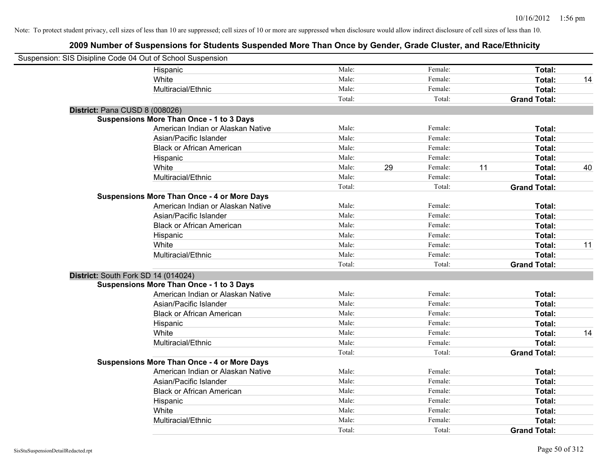| Suspension: SIS Disipline Code 04 Out of School Suspension |                                                    |        |    |         |    |                     |    |
|------------------------------------------------------------|----------------------------------------------------|--------|----|---------|----|---------------------|----|
|                                                            | Hispanic                                           | Male:  |    | Female: |    | Total:              |    |
|                                                            | White                                              | Male:  |    | Female: |    | Total:              | 14 |
|                                                            | Multiracial/Ethnic                                 | Male:  |    | Female: |    | Total:              |    |
|                                                            |                                                    | Total: |    | Total:  |    | <b>Grand Total:</b> |    |
| District: Pana CUSD 8 (008026)                             |                                                    |        |    |         |    |                     |    |
|                                                            | Suspensions More Than Once - 1 to 3 Days           |        |    |         |    |                     |    |
|                                                            | American Indian or Alaskan Native                  | Male:  |    | Female: |    | Total:              |    |
|                                                            | Asian/Pacific Islander                             | Male:  |    | Female: |    | Total:              |    |
|                                                            | <b>Black or African American</b>                   | Male:  |    | Female: |    | Total:              |    |
|                                                            | Hispanic                                           | Male:  |    | Female: |    | Total:              |    |
|                                                            | White                                              | Male:  | 29 | Female: | 11 | Total:              | 40 |
|                                                            | Multiracial/Ethnic                                 | Male:  |    | Female: |    | Total:              |    |
|                                                            |                                                    | Total: |    | Total:  |    | <b>Grand Total:</b> |    |
|                                                            | <b>Suspensions More Than Once - 4 or More Days</b> |        |    |         |    |                     |    |
|                                                            | American Indian or Alaskan Native                  | Male:  |    | Female: |    | Total:              |    |
|                                                            | Asian/Pacific Islander                             | Male:  |    | Female: |    | Total:              |    |
|                                                            | <b>Black or African American</b>                   | Male:  |    | Female: |    | Total:              |    |
|                                                            | Hispanic                                           | Male:  |    | Female: |    | Total:              |    |
|                                                            | White                                              | Male:  |    | Female: |    | Total:              | 11 |
|                                                            | Multiracial/Ethnic                                 | Male:  |    | Female: |    | Total:              |    |
|                                                            |                                                    | Total: |    | Total:  |    | <b>Grand Total:</b> |    |
| District: South Fork SD 14 (014024)                        |                                                    |        |    |         |    |                     |    |
|                                                            | <b>Suspensions More Than Once - 1 to 3 Days</b>    |        |    |         |    |                     |    |
|                                                            | American Indian or Alaskan Native                  | Male:  |    | Female: |    | Total:              |    |
|                                                            | Asian/Pacific Islander                             | Male:  |    | Female: |    | Total:              |    |
|                                                            | <b>Black or African American</b>                   | Male:  |    | Female: |    | Total:              |    |
|                                                            | Hispanic                                           | Male:  |    | Female: |    | Total:              |    |
|                                                            | White                                              | Male:  |    | Female: |    | Total:              | 14 |
|                                                            | Multiracial/Ethnic                                 | Male:  |    | Female: |    | Total:              |    |
|                                                            |                                                    | Total: |    | Total:  |    | <b>Grand Total:</b> |    |
|                                                            | <b>Suspensions More Than Once - 4 or More Days</b> |        |    |         |    |                     |    |
|                                                            | American Indian or Alaskan Native                  | Male:  |    | Female: |    | Total:              |    |
|                                                            | Asian/Pacific Islander                             | Male:  |    | Female: |    | Total:              |    |
|                                                            | <b>Black or African American</b>                   | Male:  |    | Female: |    | Total:              |    |
|                                                            | Hispanic                                           | Male:  |    | Female: |    | Total:              |    |
|                                                            | White                                              | Male:  |    | Female: |    | Total:              |    |
|                                                            | Multiracial/Ethnic                                 | Male:  |    | Female: |    | Total:              |    |
|                                                            |                                                    | Total: |    | Total:  |    | <b>Grand Total:</b> |    |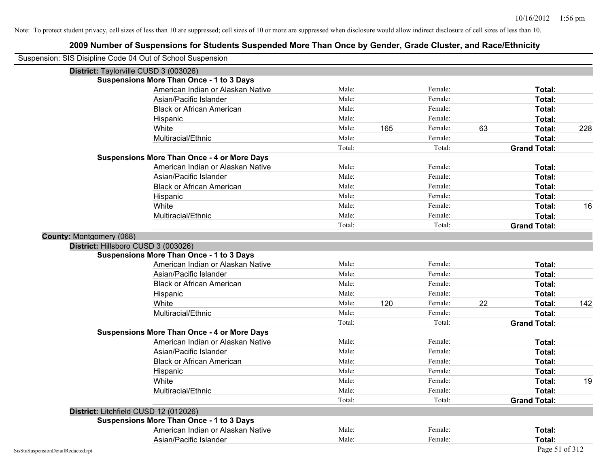| Suspension: SIS Disipline Code 04 Out of School Suspension |                                                    |        |     |         |    |                     |     |
|------------------------------------------------------------|----------------------------------------------------|--------|-----|---------|----|---------------------|-----|
| District: Taylorville CUSD 3 (003026)                      |                                                    |        |     |         |    |                     |     |
|                                                            | <b>Suspensions More Than Once - 1 to 3 Days</b>    |        |     |         |    |                     |     |
|                                                            | American Indian or Alaskan Native                  | Male:  |     | Female: |    | Total:              |     |
|                                                            | Asian/Pacific Islander                             | Male:  |     | Female: |    | Total:              |     |
|                                                            | <b>Black or African American</b>                   | Male:  |     | Female: |    | Total:              |     |
|                                                            | Hispanic                                           | Male:  |     | Female: |    | Total:              |     |
|                                                            | White                                              | Male:  | 165 | Female: | 63 | Total:              | 228 |
|                                                            | Multiracial/Ethnic                                 | Male:  |     | Female: |    | Total:              |     |
|                                                            |                                                    | Total: |     | Total:  |    | <b>Grand Total:</b> |     |
|                                                            | <b>Suspensions More Than Once - 4 or More Days</b> |        |     |         |    |                     |     |
|                                                            | American Indian or Alaskan Native                  | Male:  |     | Female: |    | Total:              |     |
|                                                            | Asian/Pacific Islander                             | Male:  |     | Female: |    | Total:              |     |
|                                                            | <b>Black or African American</b>                   | Male:  |     | Female: |    | Total:              |     |
|                                                            | Hispanic                                           | Male:  |     | Female: |    | Total:              |     |
|                                                            | White                                              | Male:  |     | Female: |    | Total:              | 16  |
|                                                            | Multiracial/Ethnic                                 | Male:  |     | Female: |    | Total:              |     |
|                                                            |                                                    | Total: |     | Total:  |    | <b>Grand Total:</b> |     |
| <b>County: Montgomery (068)</b>                            |                                                    |        |     |         |    |                     |     |
| District: Hillsboro CUSD 3 (003026)                        |                                                    |        |     |         |    |                     |     |
|                                                            | <b>Suspensions More Than Once - 1 to 3 Days</b>    |        |     |         |    |                     |     |
|                                                            | American Indian or Alaskan Native                  | Male:  |     | Female: |    | Total:              |     |
|                                                            | Asian/Pacific Islander                             | Male:  |     | Female: |    | Total:              |     |
|                                                            | <b>Black or African American</b>                   | Male:  |     | Female: |    | Total:              |     |
|                                                            | Hispanic                                           | Male:  |     | Female: |    | Total:              |     |
|                                                            | White                                              | Male:  | 120 | Female: | 22 | Total:              | 142 |
|                                                            | Multiracial/Ethnic                                 | Male:  |     | Female: |    | Total:              |     |
|                                                            |                                                    | Total: |     | Total:  |    | <b>Grand Total:</b> |     |
|                                                            | <b>Suspensions More Than Once - 4 or More Days</b> |        |     |         |    |                     |     |
|                                                            | American Indian or Alaskan Native                  | Male:  |     | Female: |    | Total:              |     |
|                                                            | Asian/Pacific Islander                             | Male:  |     | Female: |    | Total:              |     |
|                                                            | <b>Black or African American</b>                   | Male:  |     | Female: |    | Total:              |     |
|                                                            | Hispanic                                           | Male:  |     | Female: |    | Total:              |     |
|                                                            | White                                              | Male:  |     | Female: |    | Total:              | 19  |
|                                                            | Multiracial/Ethnic                                 | Male:  |     | Female: |    | Total:              |     |
|                                                            |                                                    | Total: |     | Total:  |    | <b>Grand Total:</b> |     |
| District: Litchfield CUSD 12 (012026)                      |                                                    |        |     |         |    |                     |     |
|                                                            | <b>Suspensions More Than Once - 1 to 3 Days</b>    |        |     |         |    |                     |     |
|                                                            | American Indian or Alaskan Native                  | Male:  |     | Female: |    | Total:              |     |
|                                                            | Asian/Pacific Islander                             | Male:  |     | Female: |    | Total:              |     |
| SisStuSuspensionDetailRedacted.rpt                         |                                                    |        |     |         |    | Page 51 of 312      |     |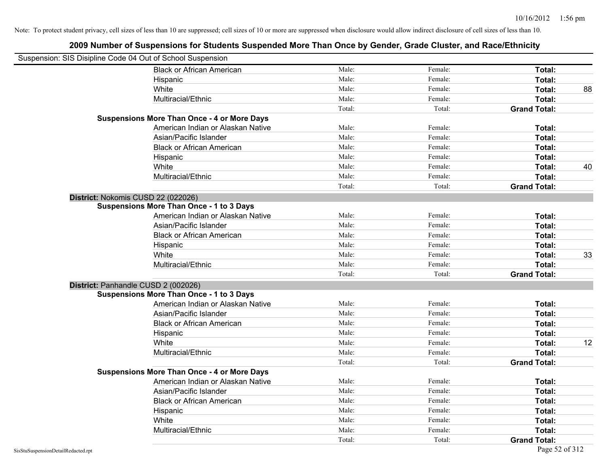| Suspension: SIS Disipline Code 04 Out of School Suspension |                                                    |        |         |                     |    |
|------------------------------------------------------------|----------------------------------------------------|--------|---------|---------------------|----|
|                                                            | <b>Black or African American</b>                   | Male:  | Female: | Total:              |    |
|                                                            | Hispanic                                           | Male:  | Female: | Total:              |    |
|                                                            | White                                              | Male:  | Female: | Total:              | 88 |
|                                                            | Multiracial/Ethnic                                 | Male:  | Female: | Total:              |    |
|                                                            |                                                    | Total: | Total:  | <b>Grand Total:</b> |    |
|                                                            | <b>Suspensions More Than Once - 4 or More Days</b> |        |         |                     |    |
|                                                            | American Indian or Alaskan Native                  | Male:  | Female: | Total:              |    |
|                                                            | Asian/Pacific Islander                             | Male:  | Female: | Total:              |    |
|                                                            | <b>Black or African American</b>                   | Male:  | Female: | Total:              |    |
|                                                            | Hispanic                                           | Male:  | Female: | Total:              |    |
|                                                            | White                                              | Male:  | Female: | Total:              | 40 |
|                                                            | Multiracial/Ethnic                                 | Male:  | Female: | Total:              |    |
|                                                            |                                                    | Total: | Total:  | <b>Grand Total:</b> |    |
| District: Nokomis CUSD 22 (022026)                         |                                                    |        |         |                     |    |
|                                                            | <b>Suspensions More Than Once - 1 to 3 Days</b>    |        |         |                     |    |
|                                                            | American Indian or Alaskan Native                  | Male:  | Female: | Total:              |    |
|                                                            | Asian/Pacific Islander                             | Male:  | Female: | Total:              |    |
|                                                            | <b>Black or African American</b>                   | Male:  | Female: | Total:              |    |
|                                                            | Hispanic                                           | Male:  | Female: | Total:              |    |
|                                                            | White                                              | Male:  | Female: | Total:              | 33 |
|                                                            | Multiracial/Ethnic                                 | Male:  | Female: | Total:              |    |
|                                                            |                                                    | Total: | Total:  | <b>Grand Total:</b> |    |
| District: Panhandle CUSD 2 (002026)                        |                                                    |        |         |                     |    |
|                                                            | <b>Suspensions More Than Once - 1 to 3 Days</b>    |        |         |                     |    |
|                                                            | American Indian or Alaskan Native                  | Male:  | Female: | Total:              |    |
|                                                            | Asian/Pacific Islander                             | Male:  | Female: | Total:              |    |
|                                                            | <b>Black or African American</b>                   | Male:  | Female: | Total:              |    |
|                                                            | Hispanic                                           | Male:  | Female: | Total:              |    |
|                                                            | White                                              | Male:  | Female: | Total:              | 12 |
|                                                            | Multiracial/Ethnic                                 | Male:  | Female: | Total:              |    |
|                                                            |                                                    | Total: | Total:  | <b>Grand Total:</b> |    |
|                                                            | <b>Suspensions More Than Once - 4 or More Days</b> |        |         |                     |    |
|                                                            | American Indian or Alaskan Native                  | Male:  | Female: | Total:              |    |
|                                                            | Asian/Pacific Islander                             | Male:  | Female: | Total:              |    |
|                                                            | <b>Black or African American</b>                   | Male:  | Female: | Total:              |    |
|                                                            | Hispanic                                           | Male:  | Female: | Total:              |    |
|                                                            | White                                              | Male:  | Female: | Total:              |    |
|                                                            | Multiracial/Ethnic                                 | Male:  | Female: | Total:              |    |
|                                                            |                                                    | Total: | Total:  | <b>Grand Total:</b> |    |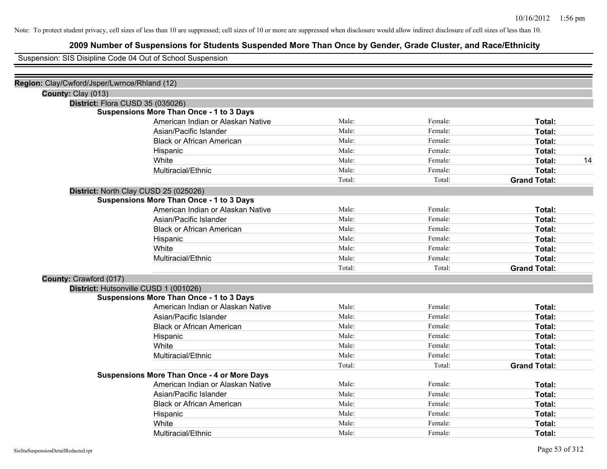# **2009 Number of Suspensions for Students Suspended More Than Once by Gender, Grade Cluster, and Race/Ethnicity**

Suspension: SIS Disipline Code 04 Out of School Suspension

| Region: Clay/Cwford/Jsper/Lwrnce/Rhland (12) |                                                    |        |         |                     |    |
|----------------------------------------------|----------------------------------------------------|--------|---------|---------------------|----|
| County: Clay (013)                           |                                                    |        |         |                     |    |
|                                              | District: Flora CUSD 35 (035026)                   |        |         |                     |    |
|                                              | <b>Suspensions More Than Once - 1 to 3 Days</b>    |        |         |                     |    |
|                                              | American Indian or Alaskan Native                  | Male:  | Female: | Total:              |    |
|                                              | Asian/Pacific Islander                             | Male:  | Female: | Total:              |    |
|                                              | <b>Black or African American</b>                   | Male:  | Female: | Total:              |    |
|                                              | Hispanic                                           | Male:  | Female: | Total:              |    |
|                                              | White                                              | Male:  | Female: | Total:              | 14 |
|                                              | Multiracial/Ethnic                                 | Male:  | Female: | Total:              |    |
|                                              |                                                    | Total: | Total:  | <b>Grand Total:</b> |    |
|                                              | District: North Clay CUSD 25 (025026)              |        |         |                     |    |
|                                              | <b>Suspensions More Than Once - 1 to 3 Days</b>    |        |         |                     |    |
|                                              | American Indian or Alaskan Native                  | Male:  | Female: | Total:              |    |
|                                              | Asian/Pacific Islander                             | Male:  | Female: | Total:              |    |
|                                              | <b>Black or African American</b>                   | Male:  | Female: | Total:              |    |
|                                              | Hispanic                                           | Male:  | Female: | Total:              |    |
|                                              | White                                              | Male:  | Female: | Total:              |    |
|                                              | Multiracial/Ethnic                                 | Male:  | Female: | Total:              |    |
|                                              |                                                    | Total: | Total:  | <b>Grand Total:</b> |    |
| County: Crawford (017)                       |                                                    |        |         |                     |    |
|                                              | District: Hutsonville CUSD 1 (001026)              |        |         |                     |    |
|                                              | <b>Suspensions More Than Once - 1 to 3 Days</b>    |        |         |                     |    |
|                                              | American Indian or Alaskan Native                  | Male:  | Female: | Total:              |    |
|                                              | Asian/Pacific Islander                             | Male:  | Female: | Total:              |    |
|                                              | <b>Black or African American</b>                   | Male:  | Female: | Total:              |    |
|                                              | Hispanic                                           | Male:  | Female: | Total:              |    |
|                                              | White                                              | Male:  | Female: | Total:              |    |
|                                              | Multiracial/Ethnic                                 | Male:  | Female: | Total:              |    |
|                                              |                                                    | Total: | Total:  | <b>Grand Total:</b> |    |
|                                              | <b>Suspensions More Than Once - 4 or More Days</b> |        |         |                     |    |
|                                              | American Indian or Alaskan Native                  | Male:  | Female: | Total:              |    |
|                                              | Asian/Pacific Islander                             | Male:  | Female: | Total:              |    |
|                                              | <b>Black or African American</b>                   | Male:  | Female: | Total:              |    |
|                                              | Hispanic                                           | Male:  | Female: | Total:              |    |
|                                              | White                                              | Male:  | Female: | Total:              |    |
|                                              | Multiracial/Ethnic                                 | Male:  | Female: | Total:              |    |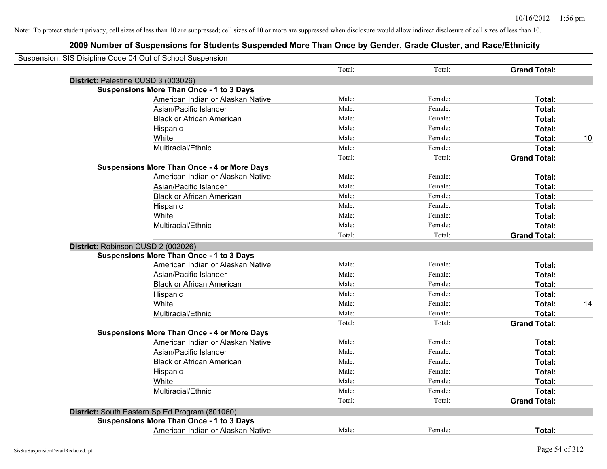|                                                    | Total: | Total:  | <b>Grand Total:</b> |
|----------------------------------------------------|--------|---------|---------------------|
| District: Palestine CUSD 3 (003026)                |        |         |                     |
| <b>Suspensions More Than Once - 1 to 3 Days</b>    |        |         |                     |
| American Indian or Alaskan Native                  | Male:  | Female: | Total:              |
| Asian/Pacific Islander                             | Male:  | Female: | Total:              |
| <b>Black or African American</b>                   | Male:  | Female: | Total:              |
| Hispanic                                           | Male:  | Female: | Total:              |
| White                                              | Male:  | Female: | Total:              |
| Multiracial/Ethnic                                 | Male:  | Female: | Total:              |
|                                                    | Total: | Total:  | <b>Grand Total:</b> |
| <b>Suspensions More Than Once - 4 or More Days</b> |        |         |                     |
| American Indian or Alaskan Native                  | Male:  | Female: | Total:              |
| Asian/Pacific Islander                             | Male:  | Female: | Total:              |
| <b>Black or African American</b>                   | Male:  | Female: | Total:              |
| Hispanic                                           | Male:  | Female: | Total:              |
| White                                              | Male:  | Female: | Total:              |
| Multiracial/Ethnic                                 | Male:  | Female: | Total:              |
|                                                    | Total: | Total:  | <b>Grand Total:</b> |
| District: Robinson CUSD 2 (002026)                 |        |         |                     |
| <b>Suspensions More Than Once - 1 to 3 Days</b>    |        |         |                     |
| American Indian or Alaskan Native                  | Male:  | Female: | Total:              |
| Asian/Pacific Islander                             | Male:  | Female: | Total:              |
| <b>Black or African American</b>                   | Male:  | Female: | Total:              |
| Hispanic                                           | Male:  | Female: | Total:              |
| White                                              | Male:  | Female: | Total:              |
| Multiracial/Ethnic                                 | Male:  | Female: | Total:              |
|                                                    | Total: | Total:  | <b>Grand Total:</b> |
| <b>Suspensions More Than Once - 4 or More Days</b> |        |         |                     |
| American Indian or Alaskan Native                  | Male:  | Female: | Total:              |
| Asian/Pacific Islander                             | Male:  | Female: | Total:              |
| <b>Black or African American</b>                   | Male:  | Female: | Total:              |
| Hispanic                                           | Male:  | Female: | Total:              |
| White                                              | Male:  | Female: | Total:              |
| Multiracial/Ethnic                                 | Male:  | Female: | Total:              |
|                                                    | Total: | Total:  | <b>Grand Total:</b> |
| District: South Eastern Sp Ed Program (801060)     |        |         |                     |
| <b>Suspensions More Than Once - 1 to 3 Days</b>    |        |         |                     |
| American Indian or Alaskan Native                  | Male:  | Female: | Total:              |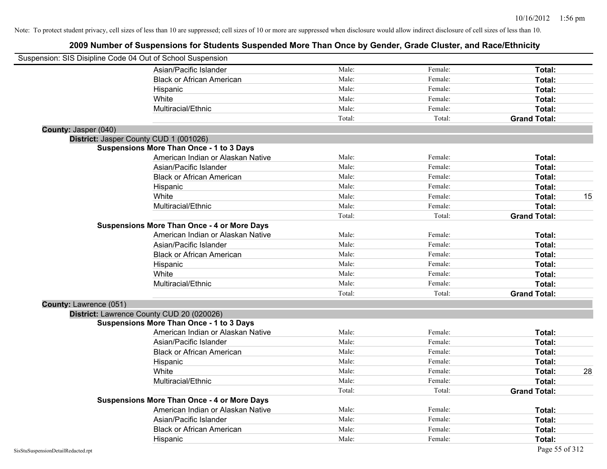| Suspension: SIS Disipline Code 04 Out of School Suspension |                                                    |        |         |                     |    |
|------------------------------------------------------------|----------------------------------------------------|--------|---------|---------------------|----|
|                                                            | Asian/Pacific Islander                             | Male:  | Female: | Total:              |    |
|                                                            | <b>Black or African American</b>                   | Male:  | Female: | Total:              |    |
|                                                            | Hispanic                                           | Male:  | Female: | Total:              |    |
|                                                            | White                                              | Male:  | Female: | Total:              |    |
|                                                            | Multiracial/Ethnic                                 | Male:  | Female: | Total:              |    |
|                                                            |                                                    | Total: | Total:  | <b>Grand Total:</b> |    |
| County: Jasper (040)                                       |                                                    |        |         |                     |    |
| District: Jasper County CUD 1 (001026)                     |                                                    |        |         |                     |    |
|                                                            | <b>Suspensions More Than Once - 1 to 3 Days</b>    |        |         |                     |    |
|                                                            | American Indian or Alaskan Native                  | Male:  | Female: | Total:              |    |
|                                                            | Asian/Pacific Islander                             | Male:  | Female: | Total:              |    |
|                                                            | <b>Black or African American</b>                   | Male:  | Female: | Total:              |    |
|                                                            | Hispanic                                           | Male:  | Female: | Total:              |    |
|                                                            | White                                              | Male:  | Female: | Total:              | 15 |
|                                                            | Multiracial/Ethnic                                 | Male:  | Female: | Total:              |    |
|                                                            |                                                    | Total: | Total:  | <b>Grand Total:</b> |    |
|                                                            | <b>Suspensions More Than Once - 4 or More Days</b> |        |         |                     |    |
|                                                            | American Indian or Alaskan Native                  | Male:  | Female: | Total:              |    |
|                                                            | Asian/Pacific Islander                             | Male:  | Female: | Total:              |    |
|                                                            | <b>Black or African American</b>                   | Male:  | Female: | Total:              |    |
|                                                            | Hispanic                                           | Male:  | Female: | Total:              |    |
|                                                            | White                                              | Male:  | Female: | Total:              |    |
|                                                            | Multiracial/Ethnic                                 | Male:  | Female: | Total:              |    |
|                                                            |                                                    | Total: | Total:  | <b>Grand Total:</b> |    |
| County: Lawrence (051)                                     |                                                    |        |         |                     |    |
| District: Lawrence County CUD 20 (020026)                  |                                                    |        |         |                     |    |
|                                                            | <b>Suspensions More Than Once - 1 to 3 Days</b>    |        |         |                     |    |
|                                                            | American Indian or Alaskan Native                  | Male:  | Female: | Total:              |    |
|                                                            | Asian/Pacific Islander                             | Male:  | Female: | Total:              |    |
|                                                            | <b>Black or African American</b>                   | Male:  | Female: | Total:              |    |
|                                                            | Hispanic                                           | Male:  | Female: | Total:              |    |
|                                                            | White                                              | Male:  | Female: | Total:              | 28 |
|                                                            | Multiracial/Ethnic                                 | Male:  | Female: | Total:              |    |
|                                                            |                                                    | Total: | Total:  | <b>Grand Total:</b> |    |
|                                                            | <b>Suspensions More Than Once - 4 or More Days</b> |        |         |                     |    |
|                                                            | American Indian or Alaskan Native                  | Male:  | Female: | Total:              |    |
|                                                            | Asian/Pacific Islander                             | Male:  | Female: | Total:              |    |
|                                                            | <b>Black or African American</b>                   | Male:  | Female: | Total:              |    |
|                                                            | Hispanic                                           | Male:  | Female: | Total:              |    |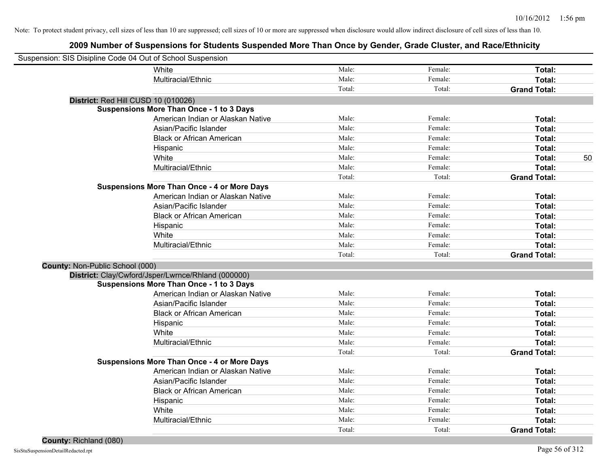| Suspension: SIS Disipline Code 04 Out of School Suspension |        |         |                     |    |
|------------------------------------------------------------|--------|---------|---------------------|----|
| White                                                      | Male:  | Female: | Total:              |    |
| Multiracial/Ethnic                                         | Male:  | Female: | Total:              |    |
|                                                            | Total: | Total:  | <b>Grand Total:</b> |    |
| District: Red Hill CUSD 10 (010026)                        |        |         |                     |    |
| <b>Suspensions More Than Once - 1 to 3 Days</b>            |        |         |                     |    |
| American Indian or Alaskan Native                          | Male:  | Female: | Total:              |    |
| Asian/Pacific Islander                                     | Male:  | Female: | Total:              |    |
| <b>Black or African American</b>                           | Male:  | Female: | Total:              |    |
| Hispanic                                                   | Male:  | Female: | Total:              |    |
| White                                                      | Male:  | Female: | Total:              | 50 |
| Multiracial/Ethnic                                         | Male:  | Female: | Total:              |    |
|                                                            | Total: | Total:  | <b>Grand Total:</b> |    |
| <b>Suspensions More Than Once - 4 or More Days</b>         |        |         |                     |    |
| American Indian or Alaskan Native                          | Male:  | Female: | Total:              |    |
| Asian/Pacific Islander                                     | Male:  | Female: | Total:              |    |
| <b>Black or African American</b>                           | Male:  | Female: | Total:              |    |
| Hispanic                                                   | Male:  | Female: | Total:              |    |
| White                                                      | Male:  | Female: | Total:              |    |
| Multiracial/Ethnic                                         | Male:  | Female: | Total:              |    |
|                                                            | Total: | Total:  | <b>Grand Total:</b> |    |
| County: Non-Public School (000)                            |        |         |                     |    |
| District: Clay/Cwford/Jsper/Lwrnce/Rhland (000000)         |        |         |                     |    |
| <b>Suspensions More Than Once - 1 to 3 Days</b>            |        |         |                     |    |
| American Indian or Alaskan Native                          | Male:  | Female: | Total:              |    |
| Asian/Pacific Islander                                     | Male:  | Female: | Total:              |    |
| <b>Black or African American</b>                           | Male:  | Female: | Total:              |    |
| Hispanic                                                   | Male:  | Female: | Total:              |    |
| White                                                      | Male:  | Female: | Total:              |    |
| Multiracial/Ethnic                                         | Male:  | Female: | Total:              |    |
|                                                            | Total: | Total:  | <b>Grand Total:</b> |    |
| <b>Suspensions More Than Once - 4 or More Days</b>         |        |         |                     |    |
| American Indian or Alaskan Native                          | Male:  | Female: | Total:              |    |
| Asian/Pacific Islander                                     | Male:  | Female: | Total:              |    |
| <b>Black or African American</b>                           | Male:  | Female: | Total:              |    |
| Hispanic                                                   | Male:  | Female: | Total:              |    |
| White                                                      | Male:  | Female: | Total:              |    |
| Multiracial/Ethnic                                         | Male:  | Female: | Total:              |    |
|                                                            | Total: | Total:  | <b>Grand Total:</b> |    |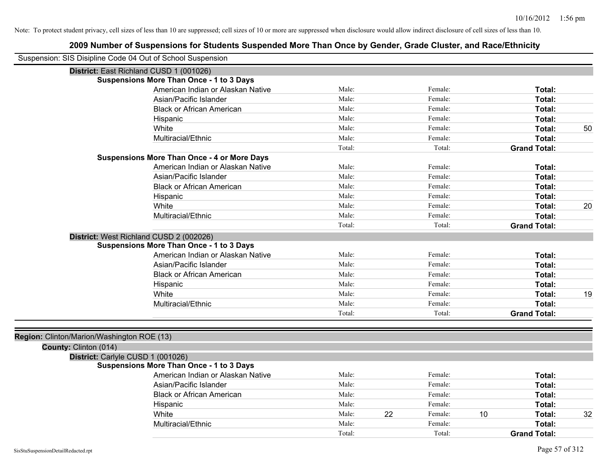|                                            | 2009 Number of Suspensions for Students Suspended More Than Once by Gender, Grade Cluster, and Race/Ethnicity |        |    |         |    |                     |    |
|--------------------------------------------|---------------------------------------------------------------------------------------------------------------|--------|----|---------|----|---------------------|----|
|                                            | Suspension: SIS Disipline Code 04 Out of School Suspension                                                    |        |    |         |    |                     |    |
|                                            | District: East Richland CUSD 1 (001026)                                                                       |        |    |         |    |                     |    |
|                                            | <b>Suspensions More Than Once - 1 to 3 Days</b>                                                               |        |    |         |    |                     |    |
|                                            | American Indian or Alaskan Native                                                                             | Male:  |    | Female: |    | Total:              |    |
|                                            | Asian/Pacific Islander                                                                                        | Male:  |    | Female: |    | Total:              |    |
|                                            | <b>Black or African American</b>                                                                              | Male:  |    | Female: |    | Total:              |    |
|                                            | Hispanic                                                                                                      | Male:  |    | Female: |    | Total:              |    |
|                                            | White                                                                                                         | Male:  |    | Female: |    | Total:              | 50 |
|                                            | Multiracial/Ethnic                                                                                            | Male:  |    | Female: |    | Total:              |    |
|                                            |                                                                                                               | Total: |    | Total:  |    | <b>Grand Total:</b> |    |
|                                            | <b>Suspensions More Than Once - 4 or More Days</b>                                                            |        |    |         |    |                     |    |
|                                            | American Indian or Alaskan Native                                                                             | Male:  |    | Female: |    | Total:              |    |
|                                            | Asian/Pacific Islander                                                                                        | Male:  |    | Female: |    | Total:              |    |
|                                            | <b>Black or African American</b>                                                                              | Male:  |    | Female: |    | Total:              |    |
|                                            | Hispanic                                                                                                      | Male:  |    | Female: |    | Total:              |    |
|                                            | White                                                                                                         | Male:  |    | Female: |    | Total:              | 20 |
|                                            | Multiracial/Ethnic                                                                                            | Male:  |    | Female: |    | Total:              |    |
|                                            |                                                                                                               | Total: |    | Total:  |    | <b>Grand Total:</b> |    |
|                                            | District: West Richland CUSD 2 (002026)                                                                       |        |    |         |    |                     |    |
|                                            | <b>Suspensions More Than Once - 1 to 3 Days</b>                                                               |        |    |         |    |                     |    |
|                                            | American Indian or Alaskan Native                                                                             | Male:  |    | Female: |    | Total:              |    |
|                                            | Asian/Pacific Islander                                                                                        | Male:  |    | Female: |    | Total:              |    |
|                                            | <b>Black or African American</b>                                                                              | Male:  |    | Female: |    | Total:              |    |
|                                            | Hispanic                                                                                                      | Male:  |    | Female: |    | Total:              |    |
|                                            | White                                                                                                         | Male:  |    | Female: |    | Total:              | 19 |
|                                            | Multiracial/Ethnic                                                                                            | Male:  |    | Female: |    | Total:              |    |
|                                            |                                                                                                               | Total: |    | Total:  |    | <b>Grand Total:</b> |    |
|                                            |                                                                                                               |        |    |         |    |                     |    |
| Region: Clinton/Marion/Washington ROE (13) |                                                                                                               |        |    |         |    |                     |    |
| County: Clinton (014)                      |                                                                                                               |        |    |         |    |                     |    |
|                                            | District: Carlyle CUSD 1 (001026)                                                                             |        |    |         |    |                     |    |
|                                            | <b>Suspensions More Than Once - 1 to 3 Days</b>                                                               |        |    |         |    |                     |    |
|                                            | American Indian or Alaskan Native                                                                             | Male:  |    | Female: |    | Total:              |    |
|                                            | Asian/Pacific Islander                                                                                        | Male:  |    | Female: |    | Total:              |    |
|                                            | <b>Black or African American</b>                                                                              | Male:  |    | Female: |    | Total:              |    |
|                                            | Hispanic                                                                                                      | Male:  |    | Female: |    | Total:              |    |
|                                            | White                                                                                                         | Male:  | 22 | Female: | 10 | Total:              | 32 |
|                                            | Multiracial/Ethnic                                                                                            | Male:  |    | Female: |    | Total:              |    |
|                                            |                                                                                                               | Total: |    | Total:  |    | <b>Grand Total:</b> |    |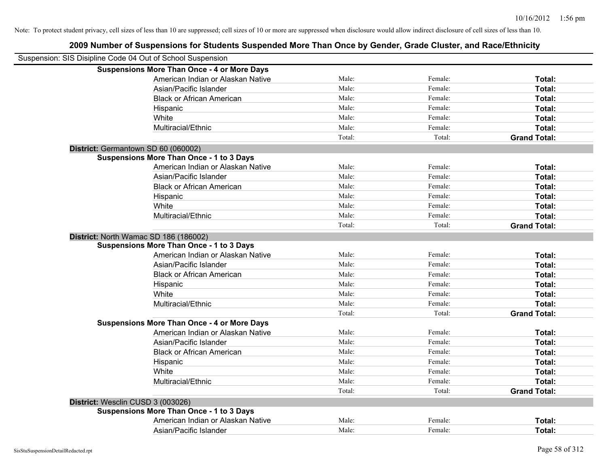# **2009 Number of Suspensions for Students Suspended More Than Once by Gender, Grade Cluster, and Race/Ethnicity** Suspension: SIS Disipline Code 04 Out of School Suspension **Suspensions More Than Once - 4 or More Days** American Indian or Alaskan Native **Male:** Male: Female: Female: **Total:** Total: Asian/Pacific Islander **Figure 1.1 Contact Contact Contact Contact Contact Contact Contact Contact Contact Conta** Black or African American **Figure 1.1 and Total:** Male: Female: Female: **Total:** Total: Hispanic **Total:** Male: Female: **Total:** Female: **Total:** Total: **Total:** Female: **Total:** Total: **Total:** Total: **Total:** Total: **Total:** Total: **Total:** Total: **Total:** Total: **Total:** Total: **Total:** Total: **Total:** Tot White **Total:** Male: Female: **Total:** Female: **Total:** Total: Multiracial/Ethnic **Total:** Male: Female: **Total:** Female: **Total:** Female: **Total:** Female: **Total:** Female: **Total:** Female: **Total:** Female: **Total:** Female: **Total:** Female: **Total:** Female: **Total:** Female: **Total:** F Total: Total: **Grand Total: District:** Germantown SD 60 (060002) **Suspensions More Than Once - 1 to 3 Days** American Indian or Alaskan Native **Male:** Male: Female: Female: **Total:** Total: Asian/Pacific Islander **Figure 1.1 Contained Asian** Male: Female: **Female: Total: Total: Total: Total: Total: Total: Total: Total: Total: Total: Total: Total: Total: Total: Total: Total: T** Black or African American **Figure 1.1 and Total:** Male: Female: Female: **Total:** Total: Hispanic **Total:** Male: Female: **Total:** Female: **Total:** Total: White **Total:** Male: Female: **Total:** Total: **Total:** Female: **Total:** Total: Multiracial/Ethnic **Total:** Male: Female: **Female: Total:** Total: **Total:** Female: **Total:** Total: Total: Total: **Grand Total: District:** North Wamac SD 186 (186002) **Suspensions More Than Once - 1 to 3 Days** American Indian or Alaskan Native **Male:** Male: Female: Female: **Total:** Total: Asian/Pacific Islander **Figure 1.1 Contained Asian** Male: Female: **Female: Total: Total: Total: Total: Total: Total: Total: Total: Total: Total: Total: Total: Total: Total: Total: Total: T** Black or African American **Figure 1.1 and Total:** Male: Female: Female: **Total: Total:** Total: Hispanic **Total:** Male: Female: **Total:** Female: **Total:** Total: **Total:** Female: **Total:** Total: **Total:** Total: **Total:** Total: **Total:** Total: **Total:** Total: **Total:** Total: **Total:** Total: **Total:** Total: **Total:** Tot White **Total:** Male: Female: **Total:** Female: **Total:** Total: Multiracial/Ethnic **Total:** Male: Female: **Female: Total:** Total: **Total:** Female: **Total:** Total: **Female:** Total: **Total:** Total: **Total:** Total: **Total:** Total: **Total:** Total: **Total:** Total: **Total:** Total: **Total:** Total: Total: **Grand Total: Suspensions More Than Once - 4 or More Days** American Indian or Alaskan Native **Male:** Male: Female: Female: **Total:** Total: Asian/Pacific Islander **Figure 1.1 Contained Asian** Male: Female: **Female: Total: Total: Total: Total: Total: Total: Total: Total: Total: Total: Total: Total: Total: Total: Total: Total: T** Black or African American **American Contract Contract Contract Male:** Female: **Female: Total: Total:** Total: Hispanic **Total:** Male: Female: **Total:** Female: **Total:** Total: **Total:** Female: **Total:** Total: **Total:** Total: **Total:** Total: **Total:** Total: **Total:** Total: **Total:** Total: **Total:** Total: **Total:** Total: **Total:** Tot White **Total:** Male: Female: **Total:** Female: **Total:** Total: Multiracial/Ethnic **Total:** Male: Male: Female: **Total:** Total: Total: Total: **Grand Total: District:** Wesclin CUSD 3 (003026) **Suspensions More Than Once - 1 to 3 Days** American Indian or Alaskan Native **Male:** Male: Female: Female: **Total:** Total:

Asian/Pacific Islander **Figure 1.1 Contained Asian** Male: Female: **Female: Total: Total: Total: Total: Total: Total: Total: Total: Total: Total: Total: Total: Total: Total: Total: Total: T**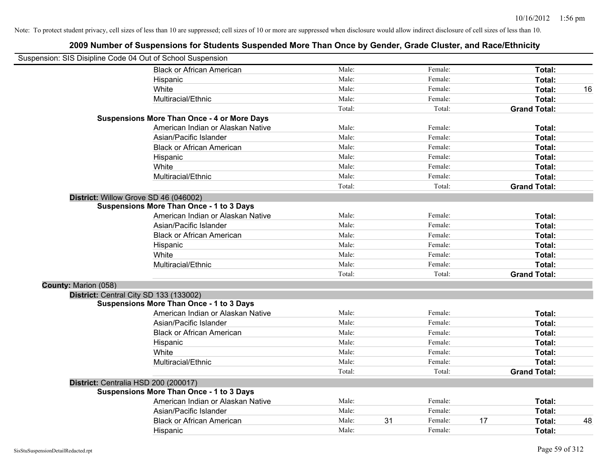| Suspension: SIS Disipline Code 04 Out of School Suspension |                                                    |        |    |         |                     |    |
|------------------------------------------------------------|----------------------------------------------------|--------|----|---------|---------------------|----|
|                                                            | <b>Black or African American</b>                   | Male:  |    | Female: | Total:              |    |
|                                                            | Hispanic                                           | Male:  |    | Female: | Total:              |    |
|                                                            | White                                              | Male:  |    | Female: | Total:              | 16 |
|                                                            | Multiracial/Ethnic                                 | Male:  |    | Female: | Total:              |    |
|                                                            |                                                    | Total: |    | Total:  | <b>Grand Total:</b> |    |
|                                                            | <b>Suspensions More Than Once - 4 or More Days</b> |        |    |         |                     |    |
|                                                            | American Indian or Alaskan Native                  | Male:  |    | Female: | Total:              |    |
|                                                            | Asian/Pacific Islander                             | Male:  |    | Female: | Total:              |    |
|                                                            | <b>Black or African American</b>                   | Male:  |    | Female: | Total:              |    |
|                                                            | Hispanic                                           | Male:  |    | Female: | Total:              |    |
|                                                            | White                                              | Male:  |    | Female: | Total:              |    |
|                                                            | Multiracial/Ethnic                                 | Male:  |    | Female: | Total:              |    |
|                                                            |                                                    | Total: |    | Total:  | <b>Grand Total:</b> |    |
|                                                            | District: Willow Grove SD 46 (046002)              |        |    |         |                     |    |
|                                                            | <b>Suspensions More Than Once - 1 to 3 Days</b>    |        |    |         |                     |    |
|                                                            | American Indian or Alaskan Native                  | Male:  |    | Female: | Total:              |    |
|                                                            | Asian/Pacific Islander                             | Male:  |    | Female: | Total:              |    |
|                                                            | <b>Black or African American</b>                   | Male:  |    | Female: | Total:              |    |
|                                                            | Hispanic                                           | Male:  |    | Female: | Total:              |    |
|                                                            | White                                              | Male:  |    | Female: | Total:              |    |
|                                                            | Multiracial/Ethnic                                 | Male:  |    | Female: | Total:              |    |
|                                                            |                                                    | Total: |    | Total:  | <b>Grand Total:</b> |    |
| County: Marion (058)                                       |                                                    |        |    |         |                     |    |
|                                                            | District: Central City SD 133 (133002)             |        |    |         |                     |    |
|                                                            | <b>Suspensions More Than Once - 1 to 3 Days</b>    |        |    |         |                     |    |
|                                                            | American Indian or Alaskan Native                  | Male:  |    | Female: | Total:              |    |
|                                                            | Asian/Pacific Islander                             | Male:  |    | Female: | Total:              |    |
|                                                            | <b>Black or African American</b>                   | Male:  |    | Female: | Total:              |    |
|                                                            | Hispanic                                           | Male:  |    | Female: | Total:              |    |
|                                                            | White                                              | Male:  |    | Female: | Total:              |    |
|                                                            | Multiracial/Ethnic                                 | Male:  |    | Female: | Total:              |    |
|                                                            |                                                    | Total: |    | Total:  | <b>Grand Total:</b> |    |
|                                                            | District: Centralia HSD 200 (200017)               |        |    |         |                     |    |
|                                                            | <b>Suspensions More Than Once - 1 to 3 Days</b>    |        |    |         |                     |    |
|                                                            | American Indian or Alaskan Native                  | Male:  |    | Female: | Total:              |    |
|                                                            | Asian/Pacific Islander                             | Male:  |    | Female: | Total:              |    |
|                                                            | <b>Black or African American</b>                   | Male:  | 31 | Female: | 17<br>Total:        | 48 |
|                                                            | Hispanic                                           | Male:  |    | Female: | Total:              |    |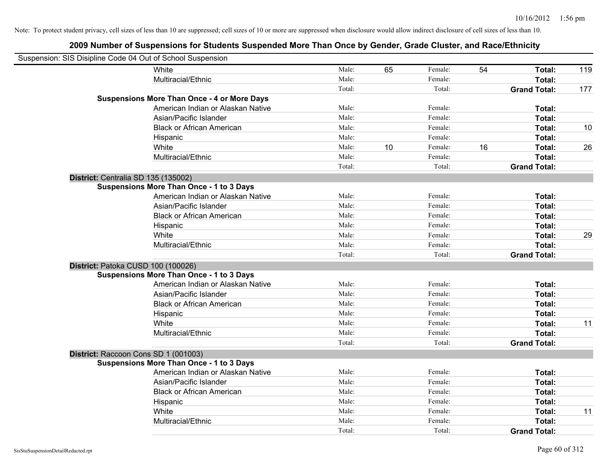| Suspension: SIS Disipline Code 04 Out of School Suspension |                                                    |        |    |         |    |                     |     |
|------------------------------------------------------------|----------------------------------------------------|--------|----|---------|----|---------------------|-----|
|                                                            | White                                              | Male:  | 65 | Female: | 54 | Total:              | 119 |
|                                                            | Multiracial/Ethnic                                 | Male:  |    | Female: |    | Total:              |     |
|                                                            |                                                    | Total: |    | Total:  |    | <b>Grand Total:</b> | 177 |
|                                                            | <b>Suspensions More Than Once - 4 or More Days</b> |        |    |         |    |                     |     |
|                                                            | American Indian or Alaskan Native                  | Male:  |    | Female: |    | Total:              |     |
|                                                            | Asian/Pacific Islander                             | Male:  |    | Female: |    | Total:              |     |
|                                                            | <b>Black or African American</b>                   | Male:  |    | Female: |    | Total:              | 10  |
|                                                            | Hispanic                                           | Male:  |    | Female: |    | Total:              |     |
|                                                            | White                                              | Male:  | 10 | Female: | 16 | Total:              | 26  |
|                                                            | Multiracial/Ethnic                                 | Male:  |    | Female: |    | Total:              |     |
|                                                            |                                                    | Total: |    | Total:  |    | <b>Grand Total:</b> |     |
| District: Centralia SD 135 (135002)                        |                                                    |        |    |         |    |                     |     |
|                                                            | <b>Suspensions More Than Once - 1 to 3 Days</b>    |        |    |         |    |                     |     |
|                                                            | American Indian or Alaskan Native                  | Male:  |    | Female: |    | Total:              |     |
|                                                            | Asian/Pacific Islander                             | Male:  |    | Female: |    | Total:              |     |
|                                                            | <b>Black or African American</b>                   | Male:  |    | Female: |    | Total:              |     |
|                                                            | Hispanic                                           | Male:  |    | Female: |    | Total:              |     |
|                                                            | White                                              | Male:  |    | Female: |    | Total:              | 29  |
|                                                            | Multiracial/Ethnic                                 | Male:  |    | Female: |    | Total:              |     |
|                                                            |                                                    | Total: |    | Total:  |    | <b>Grand Total:</b> |     |
| District: Patoka CUSD 100 (100026)                         |                                                    |        |    |         |    |                     |     |
|                                                            | <b>Suspensions More Than Once - 1 to 3 Days</b>    |        |    |         |    |                     |     |
|                                                            | American Indian or Alaskan Native                  | Male:  |    | Female: |    | Total:              |     |
|                                                            | Asian/Pacific Islander                             | Male:  |    | Female: |    | Total:              |     |
|                                                            | <b>Black or African American</b>                   | Male:  |    | Female: |    | Total:              |     |
|                                                            | Hispanic                                           | Male:  |    | Female: |    | Total:              |     |
|                                                            | White                                              | Male:  |    | Female: |    | Total:              | 11  |
|                                                            | Multiracial/Ethnic                                 | Male:  |    | Female: |    | Total:              |     |
|                                                            |                                                    | Total: |    | Total:  |    | <b>Grand Total:</b> |     |
| District: Raccoon Cons SD 1 (001003)                       |                                                    |        |    |         |    |                     |     |
|                                                            | <b>Suspensions More Than Once - 1 to 3 Days</b>    |        |    |         |    |                     |     |
|                                                            | American Indian or Alaskan Native                  | Male:  |    | Female: |    | Total:              |     |
|                                                            | Asian/Pacific Islander                             | Male:  |    | Female: |    | Total:              |     |
|                                                            | <b>Black or African American</b>                   | Male:  |    | Female: |    | Total:              |     |
|                                                            | Hispanic                                           | Male:  |    | Female: |    | Total:              |     |
|                                                            | White                                              | Male:  |    | Female: |    | Total:              | 11  |
|                                                            | Multiracial/Ethnic                                 | Male:  |    | Female: |    | Total:              |     |
|                                                            |                                                    | Total: |    | Total:  |    | <b>Grand Total:</b> |     |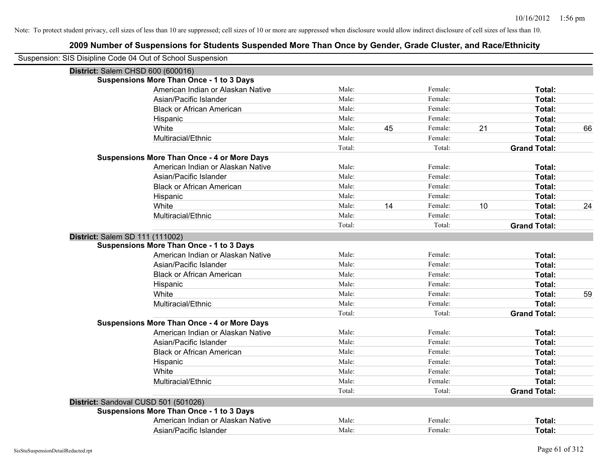| Suspension: SIS Disipline Code 04 Out of School Suspension |        |    |         |    |                     |    |
|------------------------------------------------------------|--------|----|---------|----|---------------------|----|
| District: Salem CHSD 600 (600016)                          |        |    |         |    |                     |    |
| <b>Suspensions More Than Once - 1 to 3 Days</b>            |        |    |         |    |                     |    |
| American Indian or Alaskan Native                          | Male:  |    | Female: |    | Total:              |    |
| Asian/Pacific Islander                                     | Male:  |    | Female: |    | Total:              |    |
| <b>Black or African American</b>                           | Male:  |    | Female: |    | Total:              |    |
| Hispanic                                                   | Male:  |    | Female: |    | Total:              |    |
| White                                                      | Male:  | 45 | Female: | 21 | Total:              | 66 |
| Multiracial/Ethnic                                         | Male:  |    | Female: |    | Total:              |    |
|                                                            | Total: |    | Total:  |    | <b>Grand Total:</b> |    |
| <b>Suspensions More Than Once - 4 or More Days</b>         |        |    |         |    |                     |    |
| American Indian or Alaskan Native                          | Male:  |    | Female: |    | Total:              |    |
| Asian/Pacific Islander                                     | Male:  |    | Female: |    | Total:              |    |
| <b>Black or African American</b>                           | Male:  |    | Female: |    | Total:              |    |
| Hispanic                                                   | Male:  |    | Female: |    | Total:              |    |
| White                                                      | Male:  | 14 | Female: | 10 | Total:              | 24 |
| Multiracial/Ethnic                                         | Male:  |    | Female: |    | Total:              |    |
|                                                            | Total: |    | Total:  |    | <b>Grand Total:</b> |    |
| District: Salem SD 111 (111002)                            |        |    |         |    |                     |    |
| <b>Suspensions More Than Once - 1 to 3 Days</b>            |        |    |         |    |                     |    |
| American Indian or Alaskan Native                          | Male:  |    | Female: |    | Total:              |    |
| Asian/Pacific Islander                                     | Male:  |    | Female: |    | Total:              |    |
| <b>Black or African American</b>                           | Male:  |    | Female: |    | Total:              |    |
| Hispanic                                                   | Male:  |    | Female: |    | Total:              |    |
| White                                                      | Male:  |    | Female: |    | Total:              | 59 |
| Multiracial/Ethnic                                         | Male:  |    | Female: |    | Total:              |    |
|                                                            | Total: |    | Total:  |    | <b>Grand Total:</b> |    |
| <b>Suspensions More Than Once - 4 or More Days</b>         |        |    |         |    |                     |    |
| American Indian or Alaskan Native                          | Male:  |    | Female: |    | Total:              |    |
| Asian/Pacific Islander                                     | Male:  |    | Female: |    | Total:              |    |
| <b>Black or African American</b>                           | Male:  |    | Female: |    | Total:              |    |
| Hispanic                                                   | Male:  |    | Female: |    | Total:              |    |
| White                                                      | Male:  |    | Female: |    | Total:              |    |
| Multiracial/Ethnic                                         | Male:  |    | Female: |    | Total:              |    |
|                                                            | Total: |    | Total:  |    | <b>Grand Total:</b> |    |
| District: Sandoval CUSD 501 (501026)                       |        |    |         |    |                     |    |
| <b>Suspensions More Than Once - 1 to 3 Days</b>            |        |    |         |    |                     |    |
| American Indian or Alaskan Native                          | Male:  |    | Female: |    | Total:              |    |
| Asian/Pacific Islander                                     | Male:  |    | Female: |    | Total:              |    |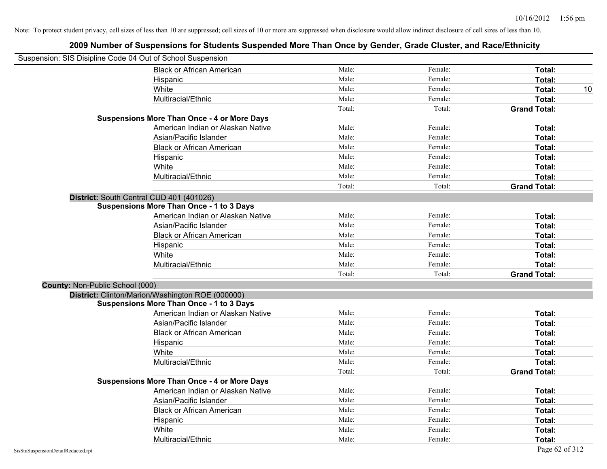| Suspension: SIS Disipline Code 04 Out of School Suspension |                                                    |        |         |                     |    |
|------------------------------------------------------------|----------------------------------------------------|--------|---------|---------------------|----|
|                                                            | <b>Black or African American</b>                   | Male:  | Female: | Total:              |    |
|                                                            | Hispanic                                           | Male:  | Female: | Total:              |    |
|                                                            | White                                              | Male:  | Female: | <b>Total:</b>       | 10 |
|                                                            | Multiracial/Ethnic                                 | Male:  | Female: | Total:              |    |
|                                                            |                                                    | Total: | Total:  | <b>Grand Total:</b> |    |
|                                                            | <b>Suspensions More Than Once - 4 or More Days</b> |        |         |                     |    |
|                                                            | American Indian or Alaskan Native                  | Male:  | Female: | Total:              |    |
|                                                            | Asian/Pacific Islander                             | Male:  | Female: | Total:              |    |
|                                                            | <b>Black or African American</b>                   | Male:  | Female: | Total:              |    |
|                                                            | Hispanic                                           | Male:  | Female: | Total:              |    |
|                                                            | White                                              | Male:  | Female: | Total:              |    |
|                                                            | Multiracial/Ethnic                                 | Male:  | Female: | Total:              |    |
|                                                            |                                                    | Total: | Total:  | <b>Grand Total:</b> |    |
| District: South Central CUD 401 (401026)                   |                                                    |        |         |                     |    |
|                                                            | <b>Suspensions More Than Once - 1 to 3 Days</b>    |        |         |                     |    |
|                                                            | American Indian or Alaskan Native                  | Male:  | Female: | Total:              |    |
|                                                            | Asian/Pacific Islander                             | Male:  | Female: | Total:              |    |
|                                                            | <b>Black or African American</b>                   | Male:  | Female: | Total:              |    |
|                                                            | Hispanic                                           | Male:  | Female: | Total:              |    |
|                                                            | White                                              | Male:  | Female: | Total:              |    |
|                                                            | Multiracial/Ethnic                                 | Male:  | Female: | Total:              |    |
|                                                            |                                                    | Total: | Total:  | <b>Grand Total:</b> |    |
| County: Non-Public School (000)                            |                                                    |        |         |                     |    |
| District: Clinton/Marion/Washington ROE (000000)           |                                                    |        |         |                     |    |
|                                                            | <b>Suspensions More Than Once - 1 to 3 Days</b>    |        |         |                     |    |
|                                                            | American Indian or Alaskan Native                  | Male:  | Female: | Total:              |    |
|                                                            | Asian/Pacific Islander                             | Male:  | Female: | Total:              |    |
|                                                            | <b>Black or African American</b>                   | Male:  | Female: | Total:              |    |
|                                                            | Hispanic                                           | Male:  | Female: | Total:              |    |
|                                                            | White                                              | Male:  | Female: | Total:              |    |
|                                                            | Multiracial/Ethnic                                 | Male:  | Female: | Total:              |    |
|                                                            |                                                    | Total: | Total:  | <b>Grand Total:</b> |    |
|                                                            | <b>Suspensions More Than Once - 4 or More Days</b> |        |         |                     |    |
|                                                            | American Indian or Alaskan Native                  | Male:  | Female: | Total:              |    |
|                                                            | Asian/Pacific Islander                             | Male:  | Female: | Total:              |    |
|                                                            | <b>Black or African American</b>                   | Male:  | Female: | Total:              |    |
|                                                            | Hispanic                                           | Male:  | Female: | Total:              |    |
|                                                            | White                                              | Male:  | Female: | Total:              |    |
|                                                            | Multiracial/Ethnic                                 | Male:  | Female: | Total:              |    |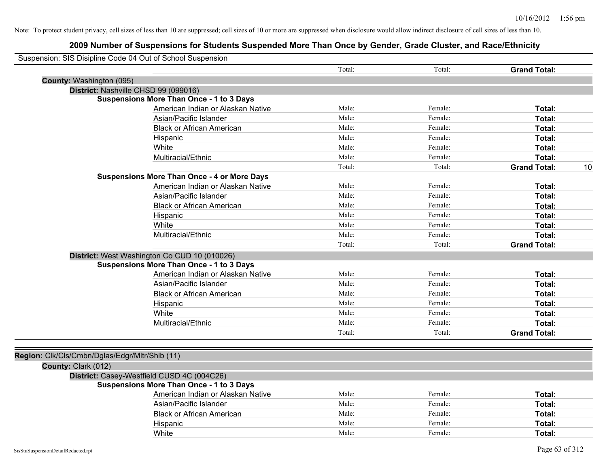|                                                | Suspension: SIS Disipline Code 04 Out of School Suspension |        |         |                           |
|------------------------------------------------|------------------------------------------------------------|--------|---------|---------------------------|
|                                                |                                                            | Total: | Total:  | <b>Grand Total:</b>       |
| County: Washington (095)                       |                                                            |        |         |                           |
|                                                | District: Nashville CHSD 99 (099016)                       |        |         |                           |
|                                                | Suspensions More Than Once - 1 to 3 Days                   |        |         |                           |
|                                                | American Indian or Alaskan Native                          | Male:  | Female: | Total:                    |
|                                                | Asian/Pacific Islander                                     | Male:  | Female: | Total:                    |
|                                                | <b>Black or African American</b>                           | Male:  | Female: | Total:                    |
|                                                | Hispanic                                                   | Male:  | Female: | Total:                    |
|                                                | White                                                      | Male:  | Female: | Total:                    |
|                                                | Multiracial/Ethnic                                         | Male:  | Female: | Total:                    |
|                                                |                                                            | Total: | Total:  | <b>Grand Total:</b><br>10 |
|                                                | <b>Suspensions More Than Once - 4 or More Days</b>         |        |         |                           |
|                                                | American Indian or Alaskan Native                          | Male:  | Female: | Total:                    |
|                                                | Asian/Pacific Islander                                     | Male:  | Female: | Total:                    |
|                                                | <b>Black or African American</b>                           | Male:  | Female: | Total:                    |
|                                                | Hispanic                                                   | Male:  | Female: | Total:                    |
|                                                | White                                                      | Male:  | Female: | Total:                    |
|                                                | Multiracial/Ethnic                                         | Male:  | Female: | Total:                    |
|                                                |                                                            | Total: | Total:  | <b>Grand Total:</b>       |
|                                                | District: West Washington Co CUD 10 (010026)               |        |         |                           |
|                                                | <b>Suspensions More Than Once - 1 to 3 Days</b>            |        |         |                           |
|                                                | American Indian or Alaskan Native                          | Male:  | Female: | Total:                    |
|                                                | Asian/Pacific Islander                                     | Male:  | Female: | Total:                    |
|                                                | <b>Black or African American</b>                           | Male:  | Female: | Total:                    |
|                                                | Hispanic                                                   | Male:  | Female: | Total:                    |
|                                                | White                                                      | Male:  | Female: | Total:                    |
|                                                | Multiracial/Ethnic                                         | Male:  | Female: | Total:                    |
|                                                |                                                            | Total: | Total:  | <b>Grand Total:</b>       |
|                                                |                                                            |        |         |                           |
| Region: Clk/Cls/Cmbn/Dglas/Edgr/Mltr/Shlb (11) |                                                            |        |         |                           |
| County: Clark (012)                            |                                                            |        |         |                           |
|                                                | District: Casey-Westfield CUSD 4C (004C26)                 |        |         |                           |
|                                                | <b>Suspensions More Than Once - 1 to 3 Days</b>            |        |         |                           |
|                                                | American Indian or Alaskan Native                          | Male:  | Female: | Total:                    |
|                                                | Asian/Pacific Islander                                     | Male:  | Female: | Total:                    |
|                                                | <b>Black or African American</b>                           | Male:  | Female: | Total:                    |
|                                                | Hispanic                                                   | Male:  | Female: | Total:                    |
|                                                | White                                                      | Male:  | Female: | Total:                    |
|                                                |                                                            |        |         |                           |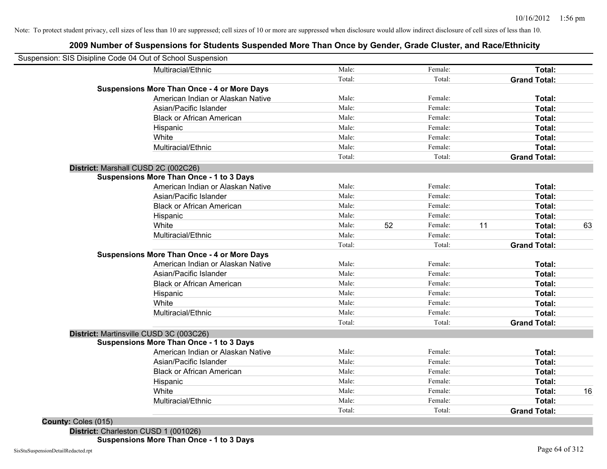# **2009 Number of Suspensions for Students Suspended More Than Once by Gender, Grade Cluster, and Race/Ethnicity**

| Suspension: SIS Disipline Code 04 Out of School Suspension |        |    |         |    |                     |    |
|------------------------------------------------------------|--------|----|---------|----|---------------------|----|
| Multiracial/Ethnic                                         | Male:  |    | Female: |    | Total:              |    |
|                                                            | Total: |    | Total:  |    | <b>Grand Total:</b> |    |
| <b>Suspensions More Than Once - 4 or More Days</b>         |        |    |         |    |                     |    |
| American Indian or Alaskan Native                          | Male:  |    | Female: |    | Total:              |    |
| Asian/Pacific Islander                                     | Male:  |    | Female: |    | Total:              |    |
| <b>Black or African American</b>                           | Male:  |    | Female: |    | Total:              |    |
| Hispanic                                                   | Male:  |    | Female: |    | Total:              |    |
| White                                                      | Male:  |    | Female: |    | Total:              |    |
| Multiracial/Ethnic                                         | Male:  |    | Female: |    | Total:              |    |
|                                                            | Total: |    | Total:  |    | <b>Grand Total:</b> |    |
| District: Marshall CUSD 2C (002C26)                        |        |    |         |    |                     |    |
| <b>Suspensions More Than Once - 1 to 3 Days</b>            |        |    |         |    |                     |    |
| American Indian or Alaskan Native                          | Male:  |    | Female: |    | Total:              |    |
| Asian/Pacific Islander                                     | Male:  |    | Female: |    | Total:              |    |
| <b>Black or African American</b>                           | Male:  |    | Female: |    | Total:              |    |
| Hispanic                                                   | Male:  |    | Female: |    | Total:              |    |
| White                                                      | Male:  | 52 | Female: | 11 | Total:              | 63 |
| Multiracial/Ethnic                                         | Male:  |    | Female: |    | Total:              |    |
|                                                            | Total: |    | Total:  |    | <b>Grand Total:</b> |    |
| <b>Suspensions More Than Once - 4 or More Days</b>         |        |    |         |    |                     |    |
| American Indian or Alaskan Native                          | Male:  |    | Female: |    | Total:              |    |
| Asian/Pacific Islander                                     | Male:  |    | Female: |    | Total:              |    |
| <b>Black or African American</b>                           | Male:  |    | Female: |    | Total:              |    |
| Hispanic                                                   | Male:  |    | Female: |    | Total:              |    |
| White                                                      | Male:  |    | Female: |    | Total:              |    |
| Multiracial/Ethnic                                         | Male:  |    | Female: |    | Total:              |    |
|                                                            | Total: |    | Total:  |    | <b>Grand Total:</b> |    |
| District: Martinsville CUSD 3C (003C26)                    |        |    |         |    |                     |    |
| <b>Suspensions More Than Once - 1 to 3 Days</b>            |        |    |         |    |                     |    |
| American Indian or Alaskan Native                          | Male:  |    | Female: |    | Total:              |    |
| Asian/Pacific Islander                                     | Male:  |    | Female: |    | Total:              |    |
| <b>Black or African American</b>                           | Male:  |    | Female: |    | Total:              |    |
| Hispanic                                                   | Male:  |    | Female: |    | Total:              |    |
| White                                                      | Male:  |    | Female: |    | Total:              | 16 |
| Multiracial/Ethnic                                         | Male:  |    | Female: |    | Total:              |    |
|                                                            | Total: |    | Total:  |    | <b>Grand Total:</b> |    |

**District:** Charleston CUSD 1 (001026) **Suspensions More Than Once - 1 to 3 Days**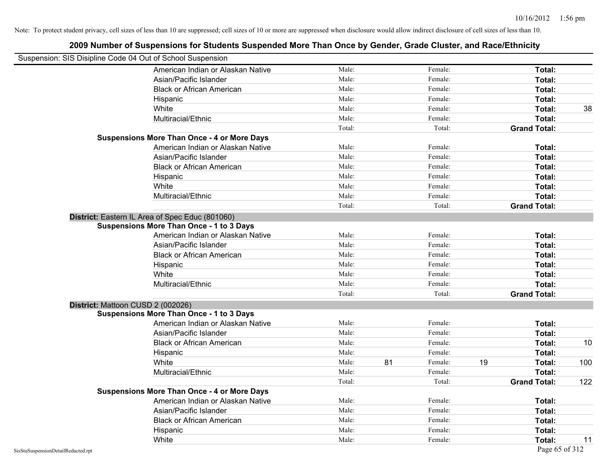|                                                            | 2009 Number of Suspensions for Students Suspended More Than Once by Gender, Grade Cluster, and Race/Ethnicity |        |    |         |    |                     |     |
|------------------------------------------------------------|---------------------------------------------------------------------------------------------------------------|--------|----|---------|----|---------------------|-----|
| Suspension: SIS Disipline Code 04 Out of School Suspension |                                                                                                               |        |    |         |    |                     |     |
|                                                            | American Indian or Alaskan Native                                                                             | Male:  |    | Female: |    | Total:              |     |
|                                                            | Asian/Pacific Islander                                                                                        | Male:  |    | Female: |    | Total:              |     |
|                                                            | <b>Black or African American</b>                                                                              | Male:  |    | Female: |    | Total:              |     |
|                                                            | Hispanic                                                                                                      | Male:  |    | Female: |    | Total:              |     |
|                                                            | White                                                                                                         | Male:  |    | Female: |    | Total:              | 38  |
|                                                            | Multiracial/Ethnic                                                                                            | Male:  |    | Female: |    | Total:              |     |
|                                                            |                                                                                                               | Total: |    | Total:  |    | <b>Grand Total:</b> |     |
|                                                            | <b>Suspensions More Than Once - 4 or More Days</b>                                                            |        |    |         |    |                     |     |
|                                                            | American Indian or Alaskan Native                                                                             | Male:  |    | Female: |    | Total:              |     |
|                                                            | Asian/Pacific Islander                                                                                        | Male:  |    | Female: |    | Total:              |     |
|                                                            | <b>Black or African American</b>                                                                              | Male:  |    | Female: |    | Total:              |     |
|                                                            | Hispanic                                                                                                      | Male:  |    | Female: |    | Total:              |     |
|                                                            | White                                                                                                         | Male:  |    | Female: |    | Total:              |     |
|                                                            | Multiracial/Ethnic                                                                                            | Male:  |    | Female: |    | Total:              |     |
|                                                            |                                                                                                               | Total: |    | Total:  |    | <b>Grand Total:</b> |     |
|                                                            | District: Eastern IL Area of Spec Educ (801060)                                                               |        |    |         |    |                     |     |
|                                                            | <b>Suspensions More Than Once - 1 to 3 Days</b>                                                               |        |    |         |    |                     |     |
|                                                            | American Indian or Alaskan Native                                                                             | Male:  |    | Female: |    | Total:              |     |
|                                                            | Asian/Pacific Islander                                                                                        | Male:  |    | Female: |    | Total:              |     |
|                                                            | <b>Black or African American</b>                                                                              | Male:  |    | Female: |    | Total:              |     |
|                                                            | Hispanic                                                                                                      | Male:  |    | Female: |    | Total:              |     |
|                                                            | White                                                                                                         | Male:  |    | Female: |    | Total:              |     |
|                                                            | Multiracial/Ethnic                                                                                            | Male:  |    | Female: |    | Total:              |     |
|                                                            |                                                                                                               | Total: |    | Total:  |    | <b>Grand Total:</b> |     |
|                                                            | District: Mattoon CUSD 2 (002026)                                                                             |        |    |         |    |                     |     |
|                                                            | <b>Suspensions More Than Once - 1 to 3 Days</b>                                                               |        |    |         |    |                     |     |
|                                                            | American Indian or Alaskan Native                                                                             | Male:  |    | Female: |    | Total:              |     |
|                                                            | Asian/Pacific Islander                                                                                        | Male:  |    | Female: |    | Total:              |     |
|                                                            | <b>Black or African American</b>                                                                              | Male:  |    | Female: |    | Total:              | 10  |
|                                                            | Hispanic                                                                                                      | Male:  |    | Female: |    | Total:              |     |
|                                                            | White                                                                                                         | Male:  | 81 | Female: | 19 | Total:              | 100 |
|                                                            | Multiracial/Ethnic                                                                                            | Male:  |    | Female: |    | Total:              |     |
|                                                            |                                                                                                               | Total: |    | Total:  |    | <b>Grand Total:</b> | 122 |
|                                                            | <b>Suspensions More Than Once - 4 or More Days</b>                                                            |        |    |         |    |                     |     |
|                                                            | American Indian or Alaskan Native                                                                             | Male:  |    | Female: |    | Total:              |     |
|                                                            | Asian/Pacific Islander                                                                                        | Male:  |    | Female: |    | Total:              |     |
|                                                            | <b>Black or African American</b>                                                                              | Male:  |    | Female: |    | Total:              |     |
|                                                            | Hispanic                                                                                                      | Male:  |    | Female: |    | Total:              |     |
|                                                            | White                                                                                                         | Male:  |    | Female: |    | Total:              | 11  |
|                                                            |                                                                                                               |        |    |         |    |                     |     |

#### SisStuSuspensionDetailRedacted.rpt Page 65 of 312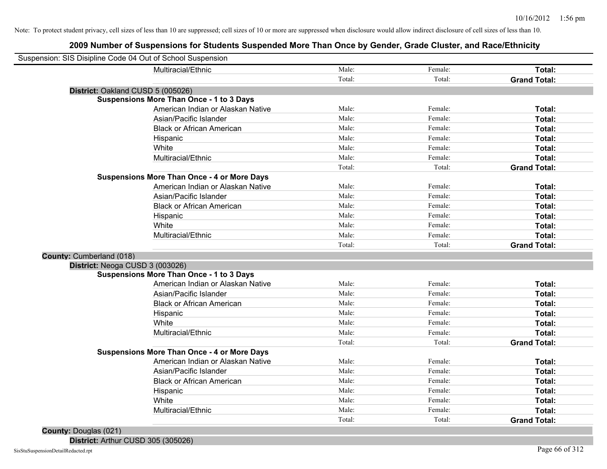# **2009 Number of Suspensions for Students Suspended More Than Once by Gender, Grade Cluster, and Race/Ethnicity**

| Suspension: SIS Disipline Code 04 Out of School Suspension |                                                    |        |         |                     |
|------------------------------------------------------------|----------------------------------------------------|--------|---------|---------------------|
|                                                            | Multiracial/Ethnic                                 | Male:  | Female: | Total:              |
|                                                            |                                                    | Total: | Total:  | <b>Grand Total:</b> |
| District: Oakland CUSD 5 (005026)                          |                                                    |        |         |                     |
|                                                            | <b>Suspensions More Than Once - 1 to 3 Days</b>    |        |         |                     |
|                                                            | American Indian or Alaskan Native                  | Male:  | Female: | Total:              |
|                                                            | Asian/Pacific Islander                             | Male:  | Female: | Total:              |
|                                                            | <b>Black or African American</b>                   | Male:  | Female: | Total:              |
|                                                            | Hispanic                                           | Male:  | Female: | Total:              |
|                                                            | White                                              | Male:  | Female: | Total:              |
|                                                            | Multiracial/Ethnic                                 | Male:  | Female: | Total:              |
|                                                            |                                                    | Total: | Total:  | <b>Grand Total:</b> |
|                                                            | <b>Suspensions More Than Once - 4 or More Days</b> |        |         |                     |
|                                                            | American Indian or Alaskan Native                  | Male:  | Female: | Total:              |
|                                                            | Asian/Pacific Islander                             | Male:  | Female: | Total:              |
|                                                            | <b>Black or African American</b>                   | Male:  | Female: | Total:              |
|                                                            | Hispanic                                           | Male:  | Female: | Total:              |
|                                                            | White                                              | Male:  | Female: | Total:              |
|                                                            | Multiracial/Ethnic                                 | Male:  | Female: | Total:              |
|                                                            |                                                    | Total: | Total:  | <b>Grand Total:</b> |
| County: Cumberland (018)                                   |                                                    |        |         |                     |
| District: Neoga CUSD 3 (003026)                            |                                                    |        |         |                     |
|                                                            | <b>Suspensions More Than Once - 1 to 3 Days</b>    |        |         |                     |
|                                                            | American Indian or Alaskan Native                  | Male:  | Female: | Total:              |
|                                                            | Asian/Pacific Islander                             | Male:  | Female: | Total:              |
|                                                            | <b>Black or African American</b>                   | Male:  | Female: | Total:              |
|                                                            | Hispanic                                           | Male:  | Female: | Total:              |
|                                                            | White                                              | Male:  | Female: | Total:              |
|                                                            | Multiracial/Ethnic                                 | Male:  | Female: | Total:              |
|                                                            |                                                    | Total: | Total:  | <b>Grand Total:</b> |
|                                                            | <b>Suspensions More Than Once - 4 or More Days</b> |        |         |                     |
|                                                            | American Indian or Alaskan Native                  | Male:  | Female: | Total:              |
|                                                            | Asian/Pacific Islander                             | Male:  | Female: | Total:              |
|                                                            | <b>Black or African American</b>                   | Male:  | Female: | Total:              |
|                                                            | Hispanic                                           | Male:  | Female: | Total:              |
|                                                            | White                                              | Male:  | Female: | Total:              |
|                                                            | Multiracial/Ethnic                                 | Male:  | Female: | Total:              |
|                                                            |                                                    | Total: | Total:  | <b>Grand Total:</b> |

**County:** Douglas (021)

**District:** Arthur CUSD 305 (305026)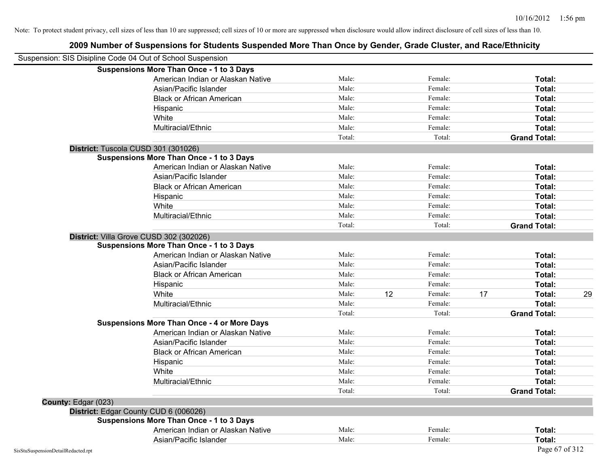# **2009 Number of Suspensions for Students Suspended More Than Once by Gender, Grade Cluster, and Race/Ethnicity** Suspension: SIS Disipline Code 04 Out of School Suspension **Suspensions More Than Once - 1 to 3 Days** American Indian or Alaskan Native **Male:** Male: Female: Female: **Total:** Total: Asian/Pacific Islander **Figure 1.1 Contact Contact Contact Contact Contact Contact Contact Contact Total: Total:** Black or African American **Figure 1.1 and Total:** Male: Female: Female: **Total:** Total: Hispanic **Total:** Male: Female: **Total:** Female: **Total:** Total: **Total:** Female: **Total:** Total: **Total:** Total: **Total:** Total: **Total:** Total: **Total:** Total: **Total:** Total: **Total:** Total: **Total:** Total: **Total:** Tot White **Total:** Male: Female: **Total:** Female: **Total:** Total: Multiracial/Ethnic **Total:** Male: Female: **Total:** Female: **Total:** Female: **Total:** Female: **Total:** Female: **Total:** Female: **Total:** Female: **Total:** Female: **Total:** Female: **Total:** Female: **Total:** Female: **Total:** F Total: Total: **Grand Total: District:** Tuscola CUSD 301 (301026) **Suspensions More Than Once - 1 to 3 Days** American Indian or Alaskan Native **Male:** Male: Female: Female: **Total:** Total: Asian/Pacific Islander **Figure 1.1 Contact Contact Contact Contact Contact Contact Contact Contact Contact Conta** Black or African American **Figure 1.1 and Total:** Male: Female: Female: **Total: Total:** Total: Hispanic **Total:** Male: Female: **Total:** Female: **Total:** Total: White **Total:** Male: Female: **Total:** Total: **Total:** Female: **Total:** Total: Multiracial/Ethnic **Total:** Male: Female: **Female: Total:** Total: **Total:** Female: **Total:** Total: Total: Total: **Grand Total: District:** Villa Grove CUSD 302 (302026) **Suspensions More Than Once - 1 to 3 Days** American Indian or Alaskan Native **Male:** Male: Female: Female: **Total:** Total: Asian/Pacific Islander **Figure 1.1 Contact Contact Contact Contact Contact Contact Contact Contact Contact Contact Contact Contact Contact Contact Contact Contact Contact Contact Contact Contact Contact Contact Contact Con** Black or African American **Figure 1.1 and Total:** Male: Female: Female: **Total:** Total: Hispanic **Total:** Male: Female: **Total:** Female: **Total:** Total: **Total:** Female: **Total:** Total: **Total:** Total: **Total:** Total: **Total:** Total: **Total:** Total: **Total:** Total: **Total:** Total: **Total:** Total: **Total:** Tot White **Male:** 12 Female: 17 Total: 29 and 17 Total: 29 Multiracial/Ethnic **Total:** Male: Female: **Female: Total:** Total: **Total:** Female: **Total:** Total: **Female:** Total: **Total:** Total: **Total:** Total: **Total:** Total: **Total:** Total: **Total:** Total: **Total:** Total: **Total:** Total: Total: **Grand Total: Suspensions More Than Once - 4 or More Days** American Indian or Alaskan Native **Male:** Male: Female: Female: **Total:** Total: Asian/Pacific Islander **Figure 1.1 Contact Contact Contact Contact Contact Contact Contact Contact Contact Contact Contact Contact Contact Contact Contact Contact Contact Contact Contact Contact Contact Contact Contact Con** Black or African American **American Contract Contract Contract Male:** Female: **Female: Total: Total:** Total: Hispanic **Total:** Male: Female: **Total:** Female: **Total:** Total: **Total:** Female: **Total:** Total: **Total:** Total: **Total:** Total: **Total:** Total: **Total:** Total: **Total:** Total: **Total:** Total: **Total:** Total: **Total:** Tot White **Total:** Male: Female: **Total:** Female: **Total:** Total: Multiracial/Ethnic **Total:** Male: Male: Female: **Total:** Total: Total: Total: **Grand Total: County:** Edgar (023) **District:** Edgar County CUD 6 (006026) **Suspensions More Than Once - 1 to 3 Days** American Indian or Alaskan Native **Male:** Male: Female: Female: **Total:** Total: Asian/Pacific Islander **Figure 1.1 Contained Asian/Pacific Islander Female:** Female: **Total:** Total: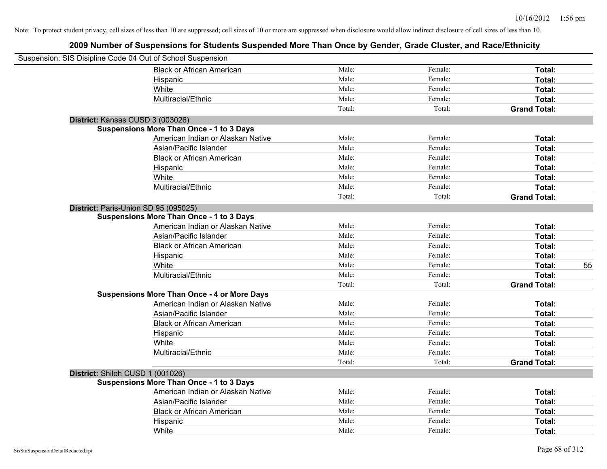| Suspension: SIS Disipline Code 04 Out of School Suspension |                                                    |        |         |                     |
|------------------------------------------------------------|----------------------------------------------------|--------|---------|---------------------|
|                                                            | <b>Black or African American</b>                   | Male:  | Female: | Total:              |
|                                                            | Hispanic                                           | Male:  | Female: | Total:              |
|                                                            | White                                              | Male:  | Female: | Total:              |
|                                                            | Multiracial/Ethnic                                 | Male:  | Female: | Total:              |
|                                                            |                                                    | Total: | Total:  | <b>Grand Total:</b> |
|                                                            | District: Kansas CUSD 3 (003026)                   |        |         |                     |
|                                                            | Suspensions More Than Once - 1 to 3 Days           |        |         |                     |
|                                                            | American Indian or Alaskan Native                  | Male:  | Female: | Total:              |
|                                                            | Asian/Pacific Islander                             | Male:  | Female: | Total:              |
|                                                            | <b>Black or African American</b>                   | Male:  | Female: | Total:              |
|                                                            | Hispanic                                           | Male:  | Female: | Total:              |
|                                                            | White                                              | Male:  | Female: | Total:              |
|                                                            | Multiracial/Ethnic                                 | Male:  | Female: | Total:              |
|                                                            |                                                    | Total: | Total:  | <b>Grand Total:</b> |
|                                                            | District: Paris-Union SD 95 (095025)               |        |         |                     |
|                                                            | <b>Suspensions More Than Once - 1 to 3 Days</b>    |        |         |                     |
|                                                            | American Indian or Alaskan Native                  | Male:  | Female: | Total:              |
|                                                            | Asian/Pacific Islander                             | Male:  | Female: | Total:              |
|                                                            | <b>Black or African American</b>                   | Male:  | Female: | Total:              |
|                                                            | Hispanic                                           | Male:  | Female: | Total:              |
|                                                            | White                                              | Male:  | Female: | Total:<br>55        |
|                                                            | Multiracial/Ethnic                                 | Male:  | Female: | Total:              |
|                                                            |                                                    | Total: | Total:  | <b>Grand Total:</b> |
|                                                            | <b>Suspensions More Than Once - 4 or More Days</b> |        |         |                     |
|                                                            | American Indian or Alaskan Native                  | Male:  | Female: | Total:              |
|                                                            | Asian/Pacific Islander                             | Male:  | Female: | Total:              |
|                                                            | <b>Black or African American</b>                   | Male:  | Female: | Total:              |
|                                                            | Hispanic                                           | Male:  | Female: | Total:              |
|                                                            | White                                              | Male:  | Female: | Total:              |
|                                                            | Multiracial/Ethnic                                 | Male:  | Female: | Total:              |
|                                                            |                                                    | Total: | Total:  | <b>Grand Total:</b> |
|                                                            | District: Shiloh CUSD 1 (001026)                   |        |         |                     |
|                                                            | <b>Suspensions More Than Once - 1 to 3 Days</b>    |        |         |                     |
|                                                            | American Indian or Alaskan Native                  | Male:  | Female: | Total:              |
|                                                            | Asian/Pacific Islander                             | Male:  | Female: | Total:              |
|                                                            | <b>Black or African American</b>                   | Male:  | Female: | Total:              |
|                                                            | Hispanic                                           | Male:  | Female: | Total:              |
|                                                            | White                                              | Male:  | Female: | Total:              |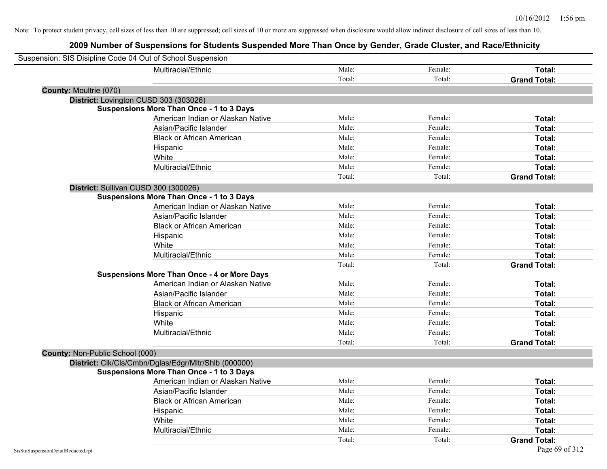| Suspension: SIS Disipline Code 04 Out of School Suspension |                                                      |        |         |                     |
|------------------------------------------------------------|------------------------------------------------------|--------|---------|---------------------|
|                                                            | Multiracial/Ethnic                                   | Male:  | Female: | Total:              |
|                                                            |                                                      | Total: | Total:  | <b>Grand Total:</b> |
| <b>County: Moultrie (070)</b>                              |                                                      |        |         |                     |
| District: Lovington CUSD 303 (303026)                      |                                                      |        |         |                     |
|                                                            | <b>Suspensions More Than Once - 1 to 3 Days</b>      |        |         |                     |
|                                                            | American Indian or Alaskan Native                    | Male:  | Female: | Total:              |
|                                                            | Asian/Pacific Islander                               | Male:  | Female: | Total:              |
|                                                            | <b>Black or African American</b>                     | Male:  | Female: | Total:              |
|                                                            | Hispanic                                             | Male:  | Female: | Total:              |
|                                                            | White                                                | Male:  | Female: | Total:              |
|                                                            | Multiracial/Ethnic                                   | Male:  | Female: | Total:              |
|                                                            |                                                      | Total: | Total:  | <b>Grand Total:</b> |
| District: Sullivan CUSD 300 (300026)                       |                                                      |        |         |                     |
|                                                            | <b>Suspensions More Than Once - 1 to 3 Days</b>      |        |         |                     |
|                                                            | American Indian or Alaskan Native                    | Male:  | Female: | Total:              |
|                                                            | Asian/Pacific Islander                               | Male:  | Female: | Total:              |
|                                                            | <b>Black or African American</b>                     | Male:  | Female: | Total:              |
|                                                            | Hispanic                                             | Male:  | Female: | Total:              |
|                                                            | White                                                | Male:  | Female: | Total:              |
|                                                            | Multiracial/Ethnic                                   | Male:  | Female: | Total:              |
|                                                            |                                                      | Total: | Total:  | <b>Grand Total:</b> |
|                                                            | <b>Suspensions More Than Once - 4 or More Days</b>   |        |         |                     |
|                                                            | American Indian or Alaskan Native                    | Male:  | Female: | Total:              |
|                                                            | Asian/Pacific Islander                               | Male:  | Female: | Total:              |
|                                                            | <b>Black or African American</b>                     | Male:  | Female: | Total:              |
|                                                            | Hispanic                                             | Male:  | Female: | Total:              |
|                                                            | White                                                | Male:  | Female: | Total:              |
|                                                            | Multiracial/Ethnic                                   | Male:  | Female: | Total:              |
|                                                            |                                                      | Total: | Total:  | <b>Grand Total:</b> |
| County: Non-Public School (000)                            |                                                      |        |         |                     |
|                                                            | District: Clk/Cls/Cmbn/Dglas/Edgr/Mltr/Shlb (000000) |        |         |                     |
|                                                            | <b>Suspensions More Than Once - 1 to 3 Days</b>      |        |         |                     |
|                                                            | American Indian or Alaskan Native                    | Male:  | Female: | Total:              |
|                                                            | Asian/Pacific Islander                               | Male:  | Female: | Total:              |
|                                                            | <b>Black or African American</b>                     | Male:  | Female: | Total:              |
|                                                            | Hispanic                                             | Male:  | Female: | Total:              |
|                                                            | White                                                | Male:  | Female: | Total:              |
|                                                            | Multiracial/Ethnic                                   | Male:  | Female: | Total:              |
|                                                            |                                                      | Total: | Total:  | <b>Grand Total:</b> |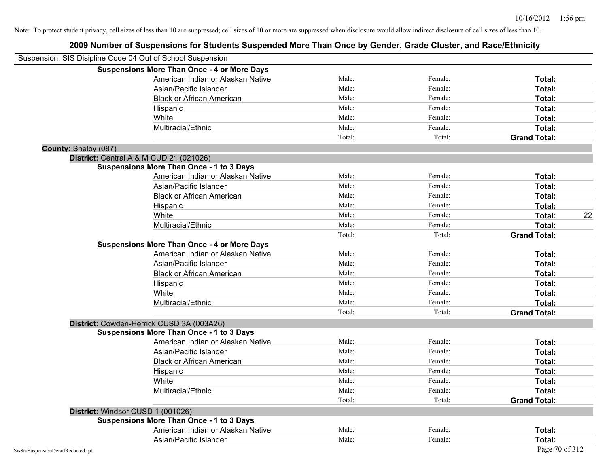| Suspension: SIS Disipline Code 04 Out of School Suspension |                                                    |        |         |                     |    |
|------------------------------------------------------------|----------------------------------------------------|--------|---------|---------------------|----|
|                                                            | <b>Suspensions More Than Once - 4 or More Days</b> |        |         |                     |    |
|                                                            | American Indian or Alaskan Native                  | Male:  | Female: | Total:              |    |
|                                                            | Asian/Pacific Islander                             | Male:  | Female: | Total:              |    |
|                                                            | <b>Black or African American</b>                   | Male:  | Female: | Total:              |    |
|                                                            | Hispanic                                           | Male:  | Female: | Total:              |    |
|                                                            | White                                              | Male:  | Female: | Total:              |    |
|                                                            | Multiracial/Ethnic                                 | Male:  | Female: | Total:              |    |
|                                                            |                                                    | Total: | Total:  | <b>Grand Total:</b> |    |
| County: Shelby (087)                                       |                                                    |        |         |                     |    |
|                                                            | District: Central A & M CUD 21 (021026)            |        |         |                     |    |
|                                                            | <b>Suspensions More Than Once - 1 to 3 Days</b>    |        |         |                     |    |
|                                                            | American Indian or Alaskan Native                  | Male:  | Female: | Total:              |    |
|                                                            | Asian/Pacific Islander                             | Male:  | Female: | Total:              |    |
|                                                            | <b>Black or African American</b>                   | Male:  | Female: | Total:              |    |
|                                                            | Hispanic                                           | Male:  | Female: | Total:              |    |
|                                                            | White                                              | Male:  | Female: | Total:              | 22 |
|                                                            | Multiracial/Ethnic                                 | Male:  | Female: | Total:              |    |
|                                                            |                                                    | Total: | Total:  | <b>Grand Total:</b> |    |
|                                                            | <b>Suspensions More Than Once - 4 or More Days</b> |        |         |                     |    |
|                                                            | American Indian or Alaskan Native                  | Male:  | Female: | Total:              |    |
|                                                            | Asian/Pacific Islander                             | Male:  | Female: | Total:              |    |
|                                                            | <b>Black or African American</b>                   | Male:  | Female: | Total:              |    |
|                                                            | Hispanic                                           | Male:  | Female: | Total:              |    |
|                                                            | White                                              | Male:  | Female: | Total:              |    |
|                                                            | Multiracial/Ethnic                                 | Male:  | Female: | Total:              |    |
|                                                            |                                                    | Total: | Total:  | <b>Grand Total:</b> |    |
|                                                            | District: Cowden-Herrick CUSD 3A (003A26)          |        |         |                     |    |
|                                                            | <b>Suspensions More Than Once - 1 to 3 Days</b>    |        |         |                     |    |
|                                                            | American Indian or Alaskan Native                  | Male:  | Female: | Total:              |    |
|                                                            | Asian/Pacific Islander                             | Male:  | Female: | Total:              |    |
|                                                            | <b>Black or African American</b>                   | Male:  | Female: | Total:              |    |
|                                                            | Hispanic                                           | Male:  | Female: | Total:              |    |
|                                                            | White                                              | Male:  | Female: | Total:              |    |
|                                                            | Multiracial/Ethnic                                 | Male:  | Female: | Total:              |    |
|                                                            |                                                    | Total: | Total:  | <b>Grand Total:</b> |    |
|                                                            | District: Windsor CUSD 1 (001026)                  |        |         |                     |    |
|                                                            | <b>Suspensions More Than Once - 1 to 3 Days</b>    |        |         |                     |    |
|                                                            | American Indian or Alaskan Native                  | Male:  | Female: | Total:              |    |
|                                                            | Asian/Pacific Islander                             | Male:  | Female: | Total:              |    |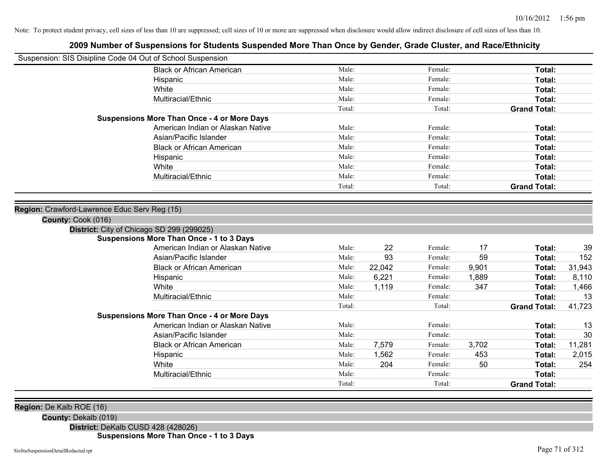# **2009 Number of Suspensions for Students Suspended More Than Once by Gender, Grade Cluster, and Race/Ethnicity**

| Suspension: SIS Disipline Code 04 Out of School Suspension |                                                    |        |        |         |       |                     |        |
|------------------------------------------------------------|----------------------------------------------------|--------|--------|---------|-------|---------------------|--------|
|                                                            | <b>Black or African American</b>                   | Male:  |        | Female: |       | Total:              |        |
|                                                            | Hispanic                                           | Male:  |        | Female: |       | Total:              |        |
|                                                            | White                                              | Male:  |        | Female: |       | Total:              |        |
|                                                            | Multiracial/Ethnic                                 | Male:  |        | Female: |       | Total:              |        |
|                                                            |                                                    | Total: |        | Total:  |       | <b>Grand Total:</b> |        |
|                                                            | <b>Suspensions More Than Once - 4 or More Days</b> |        |        |         |       |                     |        |
|                                                            | American Indian or Alaskan Native                  | Male:  |        | Female: |       | Total:              |        |
|                                                            | Asian/Pacific Islander                             | Male:  |        | Female: |       | Total:              |        |
|                                                            | <b>Black or African American</b>                   | Male:  |        | Female: |       | Total:              |        |
|                                                            | Hispanic                                           | Male:  |        | Female: |       | Total:              |        |
|                                                            | White                                              | Male:  |        | Female: |       | Total:              |        |
|                                                            | Multiracial/Ethnic                                 | Male:  |        | Female: |       | Total:              |        |
|                                                            |                                                    | Total: |        | Total:  |       | <b>Grand Total:</b> |        |
|                                                            |                                                    |        |        |         |       |                     |        |
| Region: Crawford-Lawrence Educ Serv Reg (15)               |                                                    |        |        |         |       |                     |        |
| County: Cook (016)                                         |                                                    |        |        |         |       |                     |        |
|                                                            | District: City of Chicago SD 299 (299025)          |        |        |         |       |                     |        |
|                                                            | <b>Suspensions More Than Once - 1 to 3 Days</b>    |        |        |         |       |                     |        |
|                                                            | American Indian or Alaskan Native                  | Male:  | 22     | Female: | 17    | Total:              | 39     |
|                                                            | Asian/Pacific Islander                             | Male:  | 93     | Female: | 59    | Total:              | 152    |
|                                                            | <b>Black or African American</b>                   | Male:  | 22,042 | Female: | 9,901 | Total:              | 31,943 |
|                                                            | Hispanic                                           | Male:  | 6,221  | Female: | 1,889 | Total:              | 8,110  |
|                                                            | White                                              | Male:  | 1,119  | Female: | 347   | Total:              | 1,466  |
|                                                            | Multiracial/Ethnic                                 | Male:  |        | Female: |       | Total:              | 13     |
|                                                            |                                                    | Total: |        | Total:  |       | <b>Grand Total:</b> | 41,723 |
|                                                            | <b>Suspensions More Than Once - 4 or More Days</b> |        |        |         |       |                     |        |
|                                                            | American Indian or Alaskan Native                  | Male:  |        | Female: |       | Total:              | 13     |
|                                                            | Asian/Pacific Islander                             | Male:  |        | Female: |       | Total:              | 30     |
|                                                            | <b>Black or African American</b>                   | Male:  | 7,579  | Female: | 3,702 | Total:              | 11,281 |
|                                                            | Hispanic                                           | Male:  | 1,562  | Female: | 453   | Total:              | 2,015  |
|                                                            | White                                              | Male:  | 204    | Female: | 50    | Total:              | 254    |
|                                                            | Multiracial/Ethnic                                 | Male:  |        | Female: |       | Total:              |        |
|                                                            |                                                    | Total: |        | Total:  |       | <b>Grand Total:</b> |        |
|                                                            |                                                    |        |        |         |       |                     |        |
|                                                            |                                                    |        |        |         |       |                     |        |

**Region:** De Kalb ROE (16)

**County:** Dekalb (019)

**District:** DeKalb CUSD 428 (428026)

**Suspensions More Than Once - 1 to 3 Days**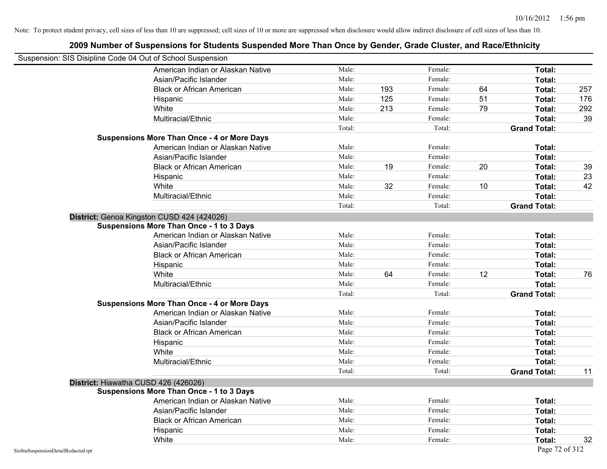|                                                            | 2009 Number of Suspensions for Students Suspended More Than Once by Gender, Grade Cluster, and Race/Ethnicity |        |     |         |    |                     |     |
|------------------------------------------------------------|---------------------------------------------------------------------------------------------------------------|--------|-----|---------|----|---------------------|-----|
| Suspension: SIS Disipline Code 04 Out of School Suspension |                                                                                                               |        |     |         |    |                     |     |
|                                                            | American Indian or Alaskan Native                                                                             | Male:  |     | Female: |    | Total:              |     |
|                                                            | Asian/Pacific Islander                                                                                        | Male:  |     | Female: |    | Total:              |     |
|                                                            | <b>Black or African American</b>                                                                              | Male:  | 193 | Female: | 64 | Total:              | 257 |
|                                                            | Hispanic                                                                                                      | Male:  | 125 | Female: | 51 | Total:              | 176 |
|                                                            | White                                                                                                         | Male:  | 213 | Female: | 79 | Total:              | 292 |
|                                                            | Multiracial/Ethnic                                                                                            | Male:  |     | Female: |    | Total:              | 39  |
|                                                            |                                                                                                               | Total: |     | Total:  |    | <b>Grand Total:</b> |     |
|                                                            | <b>Suspensions More Than Once - 4 or More Days</b>                                                            |        |     |         |    |                     |     |
|                                                            | American Indian or Alaskan Native                                                                             | Male:  |     | Female: |    | Total:              |     |
|                                                            | Asian/Pacific Islander                                                                                        | Male:  |     | Female: |    | Total:              |     |
|                                                            | <b>Black or African American</b>                                                                              | Male:  | 19  | Female: | 20 | Total:              | 39  |
|                                                            | Hispanic                                                                                                      | Male:  |     | Female: |    | Total:              | 23  |
|                                                            | White                                                                                                         | Male:  | 32  | Female: | 10 | Total:              | 42  |
|                                                            | Multiracial/Ethnic                                                                                            | Male:  |     | Female: |    | Total:              |     |
|                                                            |                                                                                                               | Total: |     | Total:  |    | <b>Grand Total:</b> |     |
|                                                            | District: Genoa Kingston CUSD 424 (424026)                                                                    |        |     |         |    |                     |     |
|                                                            | <b>Suspensions More Than Once - 1 to 3 Days</b>                                                               |        |     |         |    |                     |     |
|                                                            | American Indian or Alaskan Native                                                                             | Male:  |     | Female: |    | Total:              |     |
|                                                            | Asian/Pacific Islander                                                                                        | Male:  |     | Female: |    | Total:              |     |
|                                                            | <b>Black or African American</b>                                                                              | Male:  |     | Female: |    | Total:              |     |
|                                                            | Hispanic                                                                                                      | Male:  |     | Female: |    | Total:              |     |
|                                                            | White                                                                                                         | Male:  | 64  | Female: | 12 | Total:              | 76  |
|                                                            | Multiracial/Ethnic                                                                                            | Male:  |     | Female: |    | <b>Total:</b>       |     |
|                                                            |                                                                                                               | Total: |     | Total:  |    | <b>Grand Total:</b> |     |
|                                                            | <b>Suspensions More Than Once - 4 or More Days</b>                                                            |        |     |         |    |                     |     |
|                                                            | American Indian or Alaskan Native                                                                             | Male:  |     | Female: |    | Total:              |     |
|                                                            | Asian/Pacific Islander                                                                                        | Male:  |     | Female: |    | Total:              |     |
|                                                            | <b>Black or African American</b>                                                                              | Male:  |     | Female: |    | Total:              |     |
|                                                            | Hispanic                                                                                                      | Male:  |     | Female: |    | Total:              |     |
|                                                            | White                                                                                                         | Male:  |     | Female: |    | Total:              |     |
|                                                            | Multiracial/Ethnic                                                                                            | Male:  |     | Female: |    | Total:              |     |
|                                                            |                                                                                                               | Total: |     | Total:  |    | <b>Grand Total:</b> | 11  |
|                                                            | District: Hiawatha CUSD 426 (426026)                                                                          |        |     |         |    |                     |     |
|                                                            | <b>Suspensions More Than Once - 1 to 3 Days</b>                                                               |        |     |         |    |                     |     |
|                                                            | American Indian or Alaskan Native                                                                             | Male:  |     | Female: |    | Total:              |     |
|                                                            | Asian/Pacific Islander                                                                                        | Male:  |     | Female: |    | Total:              |     |
|                                                            | <b>Black or African American</b>                                                                              | Male:  |     | Female: |    | Total:              |     |
|                                                            | Hispanic                                                                                                      | Male:  |     | Female: |    | Total:              |     |
|                                                            | White                                                                                                         | Male:  |     | Female: |    | Total:              | 32  |

#### SisStuSuspensionDetailRedacted.rpt Page 72 of 312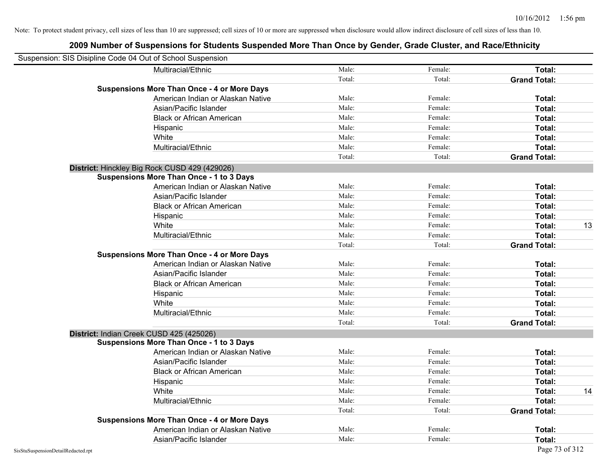| Suspension: SIS Disipline Code 04 Out of School Suspension |                                                    |        |         |                     |    |
|------------------------------------------------------------|----------------------------------------------------|--------|---------|---------------------|----|
|                                                            | Multiracial/Ethnic                                 | Male:  | Female: | Total:              |    |
|                                                            |                                                    | Total: | Total:  | <b>Grand Total:</b> |    |
|                                                            | <b>Suspensions More Than Once - 4 or More Days</b> |        |         |                     |    |
|                                                            | American Indian or Alaskan Native                  | Male:  | Female: | Total:              |    |
|                                                            | Asian/Pacific Islander                             | Male:  | Female: | Total:              |    |
|                                                            | <b>Black or African American</b>                   | Male:  | Female: | Total:              |    |
|                                                            | Hispanic                                           | Male:  | Female: | Total:              |    |
|                                                            | White                                              | Male:  | Female: | Total:              |    |
|                                                            | Multiracial/Ethnic                                 | Male:  | Female: | Total:              |    |
|                                                            |                                                    | Total: | Total:  | <b>Grand Total:</b> |    |
|                                                            | District: Hinckley Big Rock CUSD 429 (429026)      |        |         |                     |    |
|                                                            | <b>Suspensions More Than Once - 1 to 3 Days</b>    |        |         |                     |    |
|                                                            | American Indian or Alaskan Native                  | Male:  | Female: | Total:              |    |
|                                                            | Asian/Pacific Islander                             | Male:  | Female: | Total:              |    |
|                                                            | <b>Black or African American</b>                   | Male:  | Female: | Total:              |    |
|                                                            | Hispanic                                           | Male:  | Female: | Total:              |    |
|                                                            | White                                              | Male:  | Female: | Total:              | 13 |
|                                                            | Multiracial/Ethnic                                 | Male:  | Female: | Total:              |    |
|                                                            |                                                    | Total: | Total:  | <b>Grand Total:</b> |    |
|                                                            | <b>Suspensions More Than Once - 4 or More Days</b> |        |         |                     |    |
|                                                            | American Indian or Alaskan Native                  | Male:  | Female: | Total:              |    |
|                                                            | Asian/Pacific Islander                             | Male:  | Female: | Total:              |    |
|                                                            | <b>Black or African American</b>                   | Male:  | Female: | Total:              |    |
|                                                            | Hispanic                                           | Male:  | Female: | Total:              |    |
|                                                            | White                                              | Male:  | Female: | Total:              |    |
|                                                            | Multiracial/Ethnic                                 | Male:  | Female: | Total:              |    |
|                                                            |                                                    | Total: | Total:  | <b>Grand Total:</b> |    |
| District: Indian Creek CUSD 425 (425026)                   |                                                    |        |         |                     |    |
|                                                            | <b>Suspensions More Than Once - 1 to 3 Days</b>    |        |         |                     |    |
|                                                            | American Indian or Alaskan Native                  | Male:  | Female: | Total:              |    |
|                                                            | Asian/Pacific Islander                             | Male:  | Female: | Total:              |    |
|                                                            | <b>Black or African American</b>                   | Male:  | Female: | Total:              |    |
|                                                            | Hispanic                                           | Male:  | Female: | Total:              |    |
|                                                            | White                                              | Male:  | Female: | Total:              | 14 |
|                                                            | Multiracial/Ethnic                                 | Male:  | Female: | Total:              |    |
|                                                            |                                                    | Total: | Total:  | <b>Grand Total:</b> |    |
|                                                            | <b>Suspensions More Than Once - 4 or More Days</b> |        |         |                     |    |
|                                                            | American Indian or Alaskan Native                  | Male:  | Female: | Total:              |    |
|                                                            | Asian/Pacific Islander                             | Male:  | Female: | Total:              |    |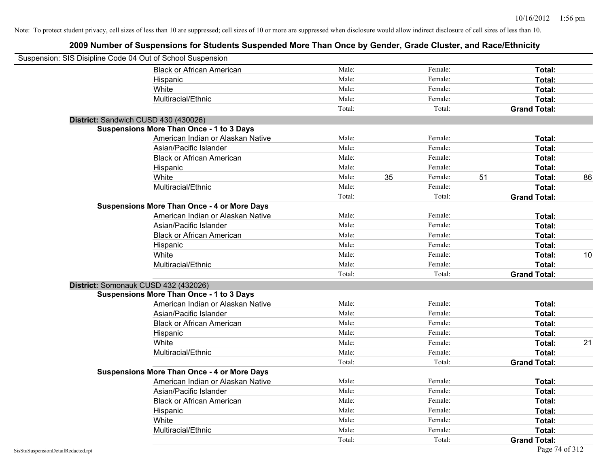| Suspension: SIS Disipline Code 04 Out of School Suspension |                                                    |        |    |         |    |                     |    |
|------------------------------------------------------------|----------------------------------------------------|--------|----|---------|----|---------------------|----|
|                                                            | <b>Black or African American</b>                   | Male:  |    | Female: |    | Total:              |    |
|                                                            | Hispanic                                           | Male:  |    | Female: |    | Total:              |    |
|                                                            | White                                              | Male:  |    | Female: |    | Total:              |    |
|                                                            | Multiracial/Ethnic                                 | Male:  |    | Female: |    | Total:              |    |
|                                                            |                                                    | Total: |    | Total:  |    | <b>Grand Total:</b> |    |
| District: Sandwich CUSD 430 (430026)                       |                                                    |        |    |         |    |                     |    |
|                                                            | <b>Suspensions More Than Once - 1 to 3 Days</b>    |        |    |         |    |                     |    |
|                                                            | American Indian or Alaskan Native                  | Male:  |    | Female: |    | Total:              |    |
|                                                            | Asian/Pacific Islander                             | Male:  |    | Female: |    | Total:              |    |
|                                                            | <b>Black or African American</b>                   | Male:  |    | Female: |    | Total:              |    |
|                                                            | Hispanic                                           | Male:  |    | Female: |    | Total:              |    |
|                                                            | White                                              | Male:  | 35 | Female: | 51 | Total:              | 86 |
|                                                            | Multiracial/Ethnic                                 | Male:  |    | Female: |    | Total:              |    |
|                                                            |                                                    | Total: |    | Total:  |    | <b>Grand Total:</b> |    |
|                                                            | <b>Suspensions More Than Once - 4 or More Days</b> |        |    |         |    |                     |    |
|                                                            | American Indian or Alaskan Native                  | Male:  |    | Female: |    | Total:              |    |
|                                                            | Asian/Pacific Islander                             | Male:  |    | Female: |    | Total:              |    |
|                                                            | <b>Black or African American</b>                   | Male:  |    | Female: |    | Total:              |    |
|                                                            | Hispanic                                           | Male:  |    | Female: |    | Total:              |    |
|                                                            | White                                              | Male:  |    | Female: |    | Total:              | 10 |
|                                                            | Multiracial/Ethnic                                 | Male:  |    | Female: |    | Total:              |    |
|                                                            |                                                    | Total: |    | Total:  |    | <b>Grand Total:</b> |    |
| District: Somonauk CUSD 432 (432026)                       |                                                    |        |    |         |    |                     |    |
|                                                            | <b>Suspensions More Than Once - 1 to 3 Days</b>    |        |    |         |    |                     |    |
|                                                            | American Indian or Alaskan Native                  | Male:  |    | Female: |    | Total:              |    |
|                                                            | Asian/Pacific Islander                             | Male:  |    | Female: |    | Total:              |    |
|                                                            | <b>Black or African American</b>                   | Male:  |    | Female: |    | Total:              |    |
|                                                            | Hispanic                                           | Male:  |    | Female: |    | Total:              |    |
|                                                            | White                                              | Male:  |    | Female: |    | Total:              | 21 |
|                                                            | Multiracial/Ethnic                                 | Male:  |    | Female: |    | Total:              |    |
|                                                            |                                                    | Total: |    | Total:  |    | <b>Grand Total:</b> |    |
|                                                            | <b>Suspensions More Than Once - 4 or More Days</b> |        |    |         |    |                     |    |
|                                                            | American Indian or Alaskan Native                  | Male:  |    | Female: |    | Total:              |    |
|                                                            | Asian/Pacific Islander                             | Male:  |    | Female: |    | Total:              |    |
|                                                            | <b>Black or African American</b>                   | Male:  |    | Female: |    | Total:              |    |
|                                                            | Hispanic                                           | Male:  |    | Female: |    | Total:              |    |
|                                                            | White                                              | Male:  |    | Female: |    | Total:              |    |
|                                                            | Multiracial/Ethnic                                 | Male:  |    | Female: |    | Total:              |    |
|                                                            |                                                    | Total: |    | Total:  |    | <b>Grand Total:</b> |    |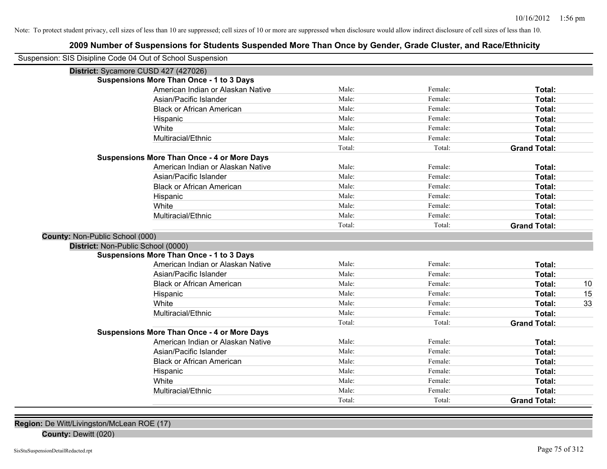### **2009 Number of Suspensions for Students Suspended More Than Once by Gender, Grade Cluster, and Race/Ethnicity**

| District: Sycamore CUSD 427 (427026)<br><b>Suspensions More Than Once - 1 to 3 Days</b><br>American Indian or Alaskan Native<br>Male:<br>Female:<br>Total:<br>Asian/Pacific Islander<br>Male:<br>Female:<br>Total:<br>Male:<br><b>Black or African American</b><br>Female:<br>Total:<br>Male:<br>Female:<br>Total:<br>Hispanic<br>White<br>Male:<br>Female:<br>Total:<br>Male:<br>Female:<br>Multiracial/Ethnic<br>Total:<br>Total:<br>Total:<br><b>Grand Total:</b><br><b>Suspensions More Than Once - 4 or More Days</b><br>American Indian or Alaskan Native<br>Male:<br>Female:<br>Total:<br>Asian/Pacific Islander<br>Male:<br>Female:<br>Total:<br><b>Black or African American</b><br>Male:<br>Female:<br>Total:<br>Male:<br>Female:<br>Hispanic<br>Total:<br>White<br>Male:<br>Female:<br><b>Total:</b><br>Multiracial/Ethnic<br>Male:<br>Female:<br>Total:<br><b>Grand Total:</b><br>Total:<br>Total:<br>County: Non-Public School (000)<br>District: Non-Public School (0000)<br><b>Suspensions More Than Once - 1 to 3 Days</b><br>American Indian or Alaskan Native<br>Male:<br>Female:<br>Total:<br>Asian/Pacific Islander<br>Male:<br>Female:<br>Total:<br>10<br><b>Black or African American</b><br>Male:<br>Female:<br>Total:<br>Male:<br>Female:<br>15<br>Total:<br>Hispanic<br>White<br>Male:<br>Female:<br>33<br>Total:<br>Multiracial/Ethnic<br>Male:<br>Female:<br>Total:<br>Total:<br>Total:<br><b>Grand Total:</b><br><b>Suspensions More Than Once - 4 or More Days</b><br>American Indian or Alaskan Native<br>Male:<br>Female:<br>Total:<br>Asian/Pacific Islander<br>Male:<br>Female:<br>Total:<br>Male:<br>Female:<br><b>Black or African American</b><br>Total:<br>Male:<br>Female:<br>Hispanic<br>Total:<br>White<br>Male:<br>Female:<br>Total:<br>Multiracial/Ethnic<br>Male:<br>Female:<br>Total:<br>Total:<br>Total:<br><b>Grand Total:</b> | Suspension: SIS Disipline Code 04 Out of School Suspension |  |  |
|------------------------------------------------------------------------------------------------------------------------------------------------------------------------------------------------------------------------------------------------------------------------------------------------------------------------------------------------------------------------------------------------------------------------------------------------------------------------------------------------------------------------------------------------------------------------------------------------------------------------------------------------------------------------------------------------------------------------------------------------------------------------------------------------------------------------------------------------------------------------------------------------------------------------------------------------------------------------------------------------------------------------------------------------------------------------------------------------------------------------------------------------------------------------------------------------------------------------------------------------------------------------------------------------------------------------------------------------------------------------------------------------------------------------------------------------------------------------------------------------------------------------------------------------------------------------------------------------------------------------------------------------------------------------------------------------------------------------------------------------------------------------------------------------------------------------------------------------------------------------------|------------------------------------------------------------|--|--|
|                                                                                                                                                                                                                                                                                                                                                                                                                                                                                                                                                                                                                                                                                                                                                                                                                                                                                                                                                                                                                                                                                                                                                                                                                                                                                                                                                                                                                                                                                                                                                                                                                                                                                                                                                                                                                                                                              |                                                            |  |  |
|                                                                                                                                                                                                                                                                                                                                                                                                                                                                                                                                                                                                                                                                                                                                                                                                                                                                                                                                                                                                                                                                                                                                                                                                                                                                                                                                                                                                                                                                                                                                                                                                                                                                                                                                                                                                                                                                              |                                                            |  |  |
|                                                                                                                                                                                                                                                                                                                                                                                                                                                                                                                                                                                                                                                                                                                                                                                                                                                                                                                                                                                                                                                                                                                                                                                                                                                                                                                                                                                                                                                                                                                                                                                                                                                                                                                                                                                                                                                                              |                                                            |  |  |
|                                                                                                                                                                                                                                                                                                                                                                                                                                                                                                                                                                                                                                                                                                                                                                                                                                                                                                                                                                                                                                                                                                                                                                                                                                                                                                                                                                                                                                                                                                                                                                                                                                                                                                                                                                                                                                                                              |                                                            |  |  |
|                                                                                                                                                                                                                                                                                                                                                                                                                                                                                                                                                                                                                                                                                                                                                                                                                                                                                                                                                                                                                                                                                                                                                                                                                                                                                                                                                                                                                                                                                                                                                                                                                                                                                                                                                                                                                                                                              |                                                            |  |  |
|                                                                                                                                                                                                                                                                                                                                                                                                                                                                                                                                                                                                                                                                                                                                                                                                                                                                                                                                                                                                                                                                                                                                                                                                                                                                                                                                                                                                                                                                                                                                                                                                                                                                                                                                                                                                                                                                              |                                                            |  |  |
|                                                                                                                                                                                                                                                                                                                                                                                                                                                                                                                                                                                                                                                                                                                                                                                                                                                                                                                                                                                                                                                                                                                                                                                                                                                                                                                                                                                                                                                                                                                                                                                                                                                                                                                                                                                                                                                                              |                                                            |  |  |
|                                                                                                                                                                                                                                                                                                                                                                                                                                                                                                                                                                                                                                                                                                                                                                                                                                                                                                                                                                                                                                                                                                                                                                                                                                                                                                                                                                                                                                                                                                                                                                                                                                                                                                                                                                                                                                                                              |                                                            |  |  |
|                                                                                                                                                                                                                                                                                                                                                                                                                                                                                                                                                                                                                                                                                                                                                                                                                                                                                                                                                                                                                                                                                                                                                                                                                                                                                                                                                                                                                                                                                                                                                                                                                                                                                                                                                                                                                                                                              |                                                            |  |  |
|                                                                                                                                                                                                                                                                                                                                                                                                                                                                                                                                                                                                                                                                                                                                                                                                                                                                                                                                                                                                                                                                                                                                                                                                                                                                                                                                                                                                                                                                                                                                                                                                                                                                                                                                                                                                                                                                              |                                                            |  |  |
|                                                                                                                                                                                                                                                                                                                                                                                                                                                                                                                                                                                                                                                                                                                                                                                                                                                                                                                                                                                                                                                                                                                                                                                                                                                                                                                                                                                                                                                                                                                                                                                                                                                                                                                                                                                                                                                                              |                                                            |  |  |
|                                                                                                                                                                                                                                                                                                                                                                                                                                                                                                                                                                                                                                                                                                                                                                                                                                                                                                                                                                                                                                                                                                                                                                                                                                                                                                                                                                                                                                                                                                                                                                                                                                                                                                                                                                                                                                                                              |                                                            |  |  |
|                                                                                                                                                                                                                                                                                                                                                                                                                                                                                                                                                                                                                                                                                                                                                                                                                                                                                                                                                                                                                                                                                                                                                                                                                                                                                                                                                                                                                                                                                                                                                                                                                                                                                                                                                                                                                                                                              |                                                            |  |  |
|                                                                                                                                                                                                                                                                                                                                                                                                                                                                                                                                                                                                                                                                                                                                                                                                                                                                                                                                                                                                                                                                                                                                                                                                                                                                                                                                                                                                                                                                                                                                                                                                                                                                                                                                                                                                                                                                              |                                                            |  |  |
|                                                                                                                                                                                                                                                                                                                                                                                                                                                                                                                                                                                                                                                                                                                                                                                                                                                                                                                                                                                                                                                                                                                                                                                                                                                                                                                                                                                                                                                                                                                                                                                                                                                                                                                                                                                                                                                                              |                                                            |  |  |
|                                                                                                                                                                                                                                                                                                                                                                                                                                                                                                                                                                                                                                                                                                                                                                                                                                                                                                                                                                                                                                                                                                                                                                                                                                                                                                                                                                                                                                                                                                                                                                                                                                                                                                                                                                                                                                                                              |                                                            |  |  |
|                                                                                                                                                                                                                                                                                                                                                                                                                                                                                                                                                                                                                                                                                                                                                                                                                                                                                                                                                                                                                                                                                                                                                                                                                                                                                                                                                                                                                                                                                                                                                                                                                                                                                                                                                                                                                                                                              |                                                            |  |  |
|                                                                                                                                                                                                                                                                                                                                                                                                                                                                                                                                                                                                                                                                                                                                                                                                                                                                                                                                                                                                                                                                                                                                                                                                                                                                                                                                                                                                                                                                                                                                                                                                                                                                                                                                                                                                                                                                              |                                                            |  |  |
|                                                                                                                                                                                                                                                                                                                                                                                                                                                                                                                                                                                                                                                                                                                                                                                                                                                                                                                                                                                                                                                                                                                                                                                                                                                                                                                                                                                                                                                                                                                                                                                                                                                                                                                                                                                                                                                                              |                                                            |  |  |
|                                                                                                                                                                                                                                                                                                                                                                                                                                                                                                                                                                                                                                                                                                                                                                                                                                                                                                                                                                                                                                                                                                                                                                                                                                                                                                                                                                                                                                                                                                                                                                                                                                                                                                                                                                                                                                                                              |                                                            |  |  |
|                                                                                                                                                                                                                                                                                                                                                                                                                                                                                                                                                                                                                                                                                                                                                                                                                                                                                                                                                                                                                                                                                                                                                                                                                                                                                                                                                                                                                                                                                                                                                                                                                                                                                                                                                                                                                                                                              |                                                            |  |  |
|                                                                                                                                                                                                                                                                                                                                                                                                                                                                                                                                                                                                                                                                                                                                                                                                                                                                                                                                                                                                                                                                                                                                                                                                                                                                                                                                                                                                                                                                                                                                                                                                                                                                                                                                                                                                                                                                              |                                                            |  |  |
|                                                                                                                                                                                                                                                                                                                                                                                                                                                                                                                                                                                                                                                                                                                                                                                                                                                                                                                                                                                                                                                                                                                                                                                                                                                                                                                                                                                                                                                                                                                                                                                                                                                                                                                                                                                                                                                                              |                                                            |  |  |
|                                                                                                                                                                                                                                                                                                                                                                                                                                                                                                                                                                                                                                                                                                                                                                                                                                                                                                                                                                                                                                                                                                                                                                                                                                                                                                                                                                                                                                                                                                                                                                                                                                                                                                                                                                                                                                                                              |                                                            |  |  |
|                                                                                                                                                                                                                                                                                                                                                                                                                                                                                                                                                                                                                                                                                                                                                                                                                                                                                                                                                                                                                                                                                                                                                                                                                                                                                                                                                                                                                                                                                                                                                                                                                                                                                                                                                                                                                                                                              |                                                            |  |  |
|                                                                                                                                                                                                                                                                                                                                                                                                                                                                                                                                                                                                                                                                                                                                                                                                                                                                                                                                                                                                                                                                                                                                                                                                                                                                                                                                                                                                                                                                                                                                                                                                                                                                                                                                                                                                                                                                              |                                                            |  |  |
|                                                                                                                                                                                                                                                                                                                                                                                                                                                                                                                                                                                                                                                                                                                                                                                                                                                                                                                                                                                                                                                                                                                                                                                                                                                                                                                                                                                                                                                                                                                                                                                                                                                                                                                                                                                                                                                                              |                                                            |  |  |
|                                                                                                                                                                                                                                                                                                                                                                                                                                                                                                                                                                                                                                                                                                                                                                                                                                                                                                                                                                                                                                                                                                                                                                                                                                                                                                                                                                                                                                                                                                                                                                                                                                                                                                                                                                                                                                                                              |                                                            |  |  |
|                                                                                                                                                                                                                                                                                                                                                                                                                                                                                                                                                                                                                                                                                                                                                                                                                                                                                                                                                                                                                                                                                                                                                                                                                                                                                                                                                                                                                                                                                                                                                                                                                                                                                                                                                                                                                                                                              |                                                            |  |  |
|                                                                                                                                                                                                                                                                                                                                                                                                                                                                                                                                                                                                                                                                                                                                                                                                                                                                                                                                                                                                                                                                                                                                                                                                                                                                                                                                                                                                                                                                                                                                                                                                                                                                                                                                                                                                                                                                              |                                                            |  |  |
|                                                                                                                                                                                                                                                                                                                                                                                                                                                                                                                                                                                                                                                                                                                                                                                                                                                                                                                                                                                                                                                                                                                                                                                                                                                                                                                                                                                                                                                                                                                                                                                                                                                                                                                                                                                                                                                                              |                                                            |  |  |
|                                                                                                                                                                                                                                                                                                                                                                                                                                                                                                                                                                                                                                                                                                                                                                                                                                                                                                                                                                                                                                                                                                                                                                                                                                                                                                                                                                                                                                                                                                                                                                                                                                                                                                                                                                                                                                                                              |                                                            |  |  |
|                                                                                                                                                                                                                                                                                                                                                                                                                                                                                                                                                                                                                                                                                                                                                                                                                                                                                                                                                                                                                                                                                                                                                                                                                                                                                                                                                                                                                                                                                                                                                                                                                                                                                                                                                                                                                                                                              |                                                            |  |  |
|                                                                                                                                                                                                                                                                                                                                                                                                                                                                                                                                                                                                                                                                                                                                                                                                                                                                                                                                                                                                                                                                                                                                                                                                                                                                                                                                                                                                                                                                                                                                                                                                                                                                                                                                                                                                                                                                              |                                                            |  |  |
|                                                                                                                                                                                                                                                                                                                                                                                                                                                                                                                                                                                                                                                                                                                                                                                                                                                                                                                                                                                                                                                                                                                                                                                                                                                                                                                                                                                                                                                                                                                                                                                                                                                                                                                                                                                                                                                                              |                                                            |  |  |

**Region:** De Witt/Livingston/McLean ROE (17)

**County:** Dewitt (020)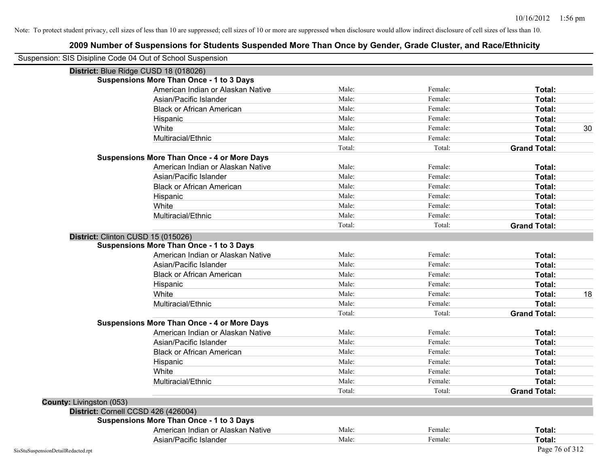| Suspension: SIS Disipline Code 04 Out of School Suspension |                                                    |        |         |                     |
|------------------------------------------------------------|----------------------------------------------------|--------|---------|---------------------|
|                                                            | District: Blue Ridge CUSD 18 (018026)              |        |         |                     |
|                                                            | Suspensions More Than Once - 1 to 3 Days           |        |         |                     |
|                                                            | American Indian or Alaskan Native                  | Male:  | Female: | Total:              |
|                                                            | Asian/Pacific Islander                             | Male:  | Female: | Total:              |
|                                                            | <b>Black or African American</b>                   | Male:  | Female: | Total:              |
|                                                            | Hispanic                                           | Male:  | Female: | Total:              |
|                                                            | White                                              | Male:  | Female: | 30<br>Total:        |
|                                                            | Multiracial/Ethnic                                 | Male:  | Female: | Total:              |
|                                                            |                                                    | Total: | Total:  | <b>Grand Total:</b> |
|                                                            | <b>Suspensions More Than Once - 4 or More Days</b> |        |         |                     |
|                                                            | American Indian or Alaskan Native                  | Male:  | Female: | Total:              |
|                                                            | Asian/Pacific Islander                             | Male:  | Female: | Total:              |
|                                                            | <b>Black or African American</b>                   | Male:  | Female: | Total:              |
|                                                            | Hispanic                                           | Male:  | Female: | Total:              |
|                                                            | White                                              | Male:  | Female: | Total:              |
|                                                            | Multiracial/Ethnic                                 | Male:  | Female: | Total:              |
|                                                            |                                                    | Total: | Total:  | <b>Grand Total:</b> |
|                                                            | District: Clinton CUSD 15 (015026)                 |        |         |                     |
|                                                            | <b>Suspensions More Than Once - 1 to 3 Days</b>    |        |         |                     |
|                                                            | American Indian or Alaskan Native                  | Male:  | Female: | Total:              |
|                                                            | Asian/Pacific Islander                             | Male:  | Female: | Total:              |
|                                                            | <b>Black or African American</b>                   | Male:  | Female: | Total:              |
|                                                            | Hispanic                                           | Male:  | Female: | Total:              |
|                                                            | White                                              | Male:  | Female: | Total:<br>18        |
|                                                            | Multiracial/Ethnic                                 | Male:  | Female: | Total:              |
|                                                            |                                                    | Total: | Total:  | <b>Grand Total:</b> |
|                                                            | <b>Suspensions More Than Once - 4 or More Days</b> |        |         |                     |
|                                                            | American Indian or Alaskan Native                  | Male:  | Female: | Total:              |
|                                                            | Asian/Pacific Islander                             | Male:  | Female: | Total:              |
|                                                            | <b>Black or African American</b>                   | Male:  | Female: | Total:              |
|                                                            | Hispanic                                           | Male:  | Female: | Total:              |
|                                                            | White                                              | Male:  | Female: | Total:              |
|                                                            | Multiracial/Ethnic                                 | Male:  | Female: | Total:              |
|                                                            |                                                    | Total: | Total:  | <b>Grand Total:</b> |
| County: Livingston (053)                                   |                                                    |        |         |                     |
|                                                            | District: Cornell CCSD 426 (426004)                |        |         |                     |
|                                                            | <b>Suspensions More Than Once - 1 to 3 Days</b>    |        |         |                     |
|                                                            | American Indian or Alaskan Native                  | Male:  | Female: | Total:              |
|                                                            | Asian/Pacific Islander                             | Male:  | Female: | Total:              |
| SisStuSuspensionDetailRedacted.rpt                         |                                                    |        |         | Page 76 of 312      |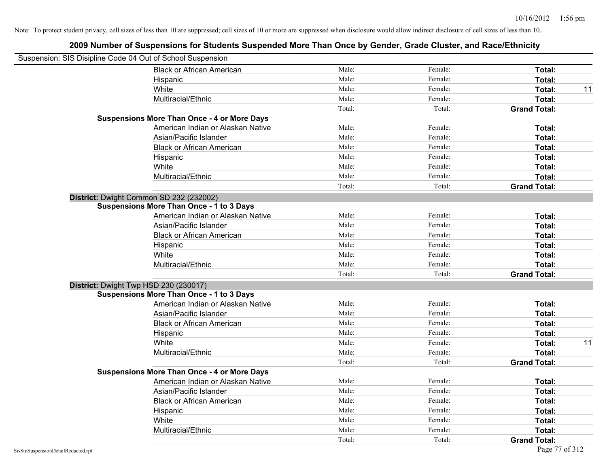| Suspension: SIS Disipline Code 04 Out of School Suspension |                                                    |        |         |                     |    |
|------------------------------------------------------------|----------------------------------------------------|--------|---------|---------------------|----|
|                                                            | <b>Black or African American</b>                   | Male:  | Female: | Total:              |    |
|                                                            | Hispanic                                           | Male:  | Female: | Total:              |    |
|                                                            | White                                              | Male:  | Female: | Total:              | 11 |
|                                                            | Multiracial/Ethnic                                 | Male:  | Female: | Total:              |    |
|                                                            |                                                    | Total: | Total:  | <b>Grand Total:</b> |    |
|                                                            | <b>Suspensions More Than Once - 4 or More Days</b> |        |         |                     |    |
|                                                            | American Indian or Alaskan Native                  | Male:  | Female: | Total:              |    |
|                                                            | Asian/Pacific Islander                             | Male:  | Female: | Total:              |    |
|                                                            | <b>Black or African American</b>                   | Male:  | Female: | Total:              |    |
|                                                            | Hispanic                                           | Male:  | Female: | Total:              |    |
|                                                            | White                                              | Male:  | Female: | Total:              |    |
|                                                            | Multiracial/Ethnic                                 | Male:  | Female: | Total:              |    |
|                                                            |                                                    | Total: | Total:  | <b>Grand Total:</b> |    |
| District: Dwight Common SD 232 (232002)                    |                                                    |        |         |                     |    |
|                                                            | <b>Suspensions More Than Once - 1 to 3 Days</b>    |        |         |                     |    |
|                                                            | American Indian or Alaskan Native                  | Male:  | Female: | Total:              |    |
|                                                            | Asian/Pacific Islander                             | Male:  | Female: | Total:              |    |
|                                                            | <b>Black or African American</b>                   | Male:  | Female: | Total:              |    |
|                                                            | Hispanic                                           | Male:  | Female: | Total:              |    |
|                                                            | White                                              | Male:  | Female: | Total:              |    |
|                                                            | Multiracial/Ethnic                                 | Male:  | Female: | Total:              |    |
|                                                            |                                                    | Total: | Total:  | <b>Grand Total:</b> |    |
| District: Dwight Twp HSD 230 (230017)                      |                                                    |        |         |                     |    |
|                                                            | <b>Suspensions More Than Once - 1 to 3 Days</b>    |        |         |                     |    |
|                                                            | American Indian or Alaskan Native                  | Male:  | Female: | Total:              |    |
|                                                            | Asian/Pacific Islander                             | Male:  | Female: | Total:              |    |
|                                                            | <b>Black or African American</b>                   | Male:  | Female: | Total:              |    |
|                                                            | Hispanic                                           | Male:  | Female: | Total:              |    |
|                                                            | White                                              | Male:  | Female: | Total:              | 11 |
|                                                            | Multiracial/Ethnic                                 | Male:  | Female: | Total:              |    |
|                                                            |                                                    | Total: | Total:  | <b>Grand Total:</b> |    |
|                                                            | <b>Suspensions More Than Once - 4 or More Days</b> |        |         |                     |    |
|                                                            | American Indian or Alaskan Native                  | Male:  | Female: | Total:              |    |
|                                                            | Asian/Pacific Islander                             | Male:  | Female: | Total:              |    |
|                                                            | <b>Black or African American</b>                   | Male:  | Female: | Total:              |    |
|                                                            | Hispanic                                           | Male:  | Female: | Total:              |    |
|                                                            | White                                              | Male:  | Female: | Total:              |    |
|                                                            | Multiracial/Ethnic                                 | Male:  | Female: | Total:              |    |
|                                                            |                                                    | Total: | Total:  | <b>Grand Total:</b> |    |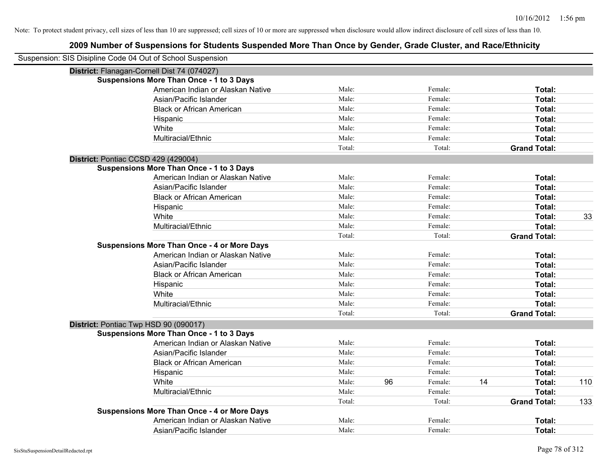| Suspension: SIS Disipline Code 04 Out of School Suspension |                                                    |        |    |         |    |                     |     |
|------------------------------------------------------------|----------------------------------------------------|--------|----|---------|----|---------------------|-----|
|                                                            | District: Flanagan-Cornell Dist 74 (074027)        |        |    |         |    |                     |     |
|                                                            | <b>Suspensions More Than Once - 1 to 3 Days</b>    |        |    |         |    |                     |     |
|                                                            | American Indian or Alaskan Native                  | Male:  |    | Female: |    | Total:              |     |
|                                                            | Asian/Pacific Islander                             | Male:  |    | Female: |    | Total:              |     |
|                                                            | <b>Black or African American</b>                   | Male:  |    | Female: |    | Total:              |     |
|                                                            | Hispanic                                           | Male:  |    | Female: |    | Total:              |     |
|                                                            | White                                              | Male:  |    | Female: |    | Total:              |     |
|                                                            | Multiracial/Ethnic                                 | Male:  |    | Female: |    | Total:              |     |
|                                                            |                                                    | Total: |    | Total:  |    | <b>Grand Total:</b> |     |
| District: Pontiac CCSD 429 (429004)                        |                                                    |        |    |         |    |                     |     |
|                                                            | <b>Suspensions More Than Once - 1 to 3 Days</b>    |        |    |         |    |                     |     |
|                                                            | American Indian or Alaskan Native                  | Male:  |    | Female: |    | Total:              |     |
|                                                            | Asian/Pacific Islander                             | Male:  |    | Female: |    | Total:              |     |
|                                                            | <b>Black or African American</b>                   | Male:  |    | Female: |    | Total:              |     |
|                                                            | Hispanic                                           | Male:  |    | Female: |    | Total:              |     |
|                                                            | White                                              | Male:  |    | Female: |    | Total:              | 33  |
|                                                            | Multiracial/Ethnic                                 | Male:  |    | Female: |    | Total:              |     |
|                                                            |                                                    | Total: |    | Total:  |    | <b>Grand Total:</b> |     |
|                                                            | <b>Suspensions More Than Once - 4 or More Days</b> |        |    |         |    |                     |     |
|                                                            | American Indian or Alaskan Native                  | Male:  |    | Female: |    | Total:              |     |
|                                                            | Asian/Pacific Islander                             | Male:  |    | Female: |    | Total:              |     |
|                                                            | <b>Black or African American</b>                   | Male:  |    | Female: |    | Total:              |     |
|                                                            | Hispanic                                           | Male:  |    | Female: |    | Total:              |     |
|                                                            | White                                              | Male:  |    | Female: |    | Total:              |     |
|                                                            | Multiracial/Ethnic                                 | Male:  |    | Female: |    | Total:              |     |
|                                                            |                                                    | Total: |    | Total:  |    | <b>Grand Total:</b> |     |
|                                                            | District: Pontiac Twp HSD 90 (090017)              |        |    |         |    |                     |     |
|                                                            | <b>Suspensions More Than Once - 1 to 3 Days</b>    |        |    |         |    |                     |     |
|                                                            | American Indian or Alaskan Native                  | Male:  |    | Female: |    | Total:              |     |
|                                                            | Asian/Pacific Islander                             | Male:  |    | Female: |    | Total:              |     |
|                                                            | <b>Black or African American</b>                   | Male:  |    | Female: |    | Total:              |     |
|                                                            | Hispanic                                           | Male:  |    | Female: |    | Total:              |     |
|                                                            | White                                              | Male:  | 96 | Female: | 14 | Total:              | 110 |
|                                                            | Multiracial/Ethnic                                 | Male:  |    | Female: |    | <b>Total:</b>       |     |
|                                                            |                                                    | Total: |    | Total:  |    | <b>Grand Total:</b> | 133 |
|                                                            | <b>Suspensions More Than Once - 4 or More Days</b> |        |    |         |    |                     |     |
|                                                            | American Indian or Alaskan Native                  | Male:  |    | Female: |    | <b>Total:</b>       |     |
|                                                            | Asian/Pacific Islander                             | Male:  |    | Female: |    | Total:              |     |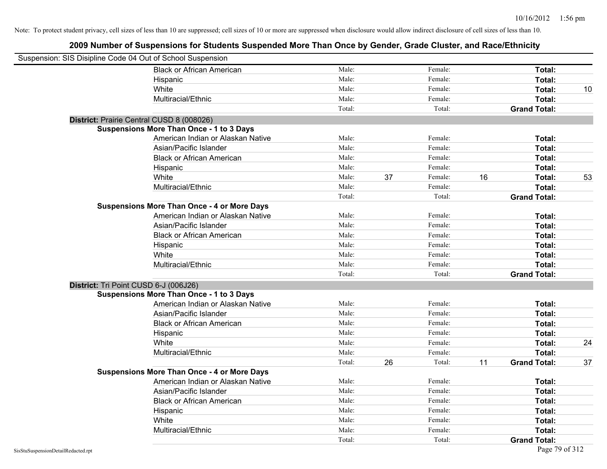| Suspension: SIS Disipline Code 04 Out of School Suspension |                                                    |        |    |         |    |                     |    |
|------------------------------------------------------------|----------------------------------------------------|--------|----|---------|----|---------------------|----|
|                                                            | <b>Black or African American</b>                   | Male:  |    | Female: |    | Total:              |    |
|                                                            | Hispanic                                           | Male:  |    | Female: |    | Total:              |    |
|                                                            | White                                              | Male:  |    | Female: |    | Total:              | 10 |
|                                                            | Multiracial/Ethnic                                 | Male:  |    | Female: |    | Total:              |    |
|                                                            |                                                    | Total: |    | Total:  |    | <b>Grand Total:</b> |    |
| District: Prairie Central CUSD 8 (008026)                  |                                                    |        |    |         |    |                     |    |
|                                                            | <b>Suspensions More Than Once - 1 to 3 Days</b>    |        |    |         |    |                     |    |
|                                                            | American Indian or Alaskan Native                  | Male:  |    | Female: |    | Total:              |    |
|                                                            | Asian/Pacific Islander                             | Male:  |    | Female: |    | Total:              |    |
|                                                            | <b>Black or African American</b>                   | Male:  |    | Female: |    | Total:              |    |
|                                                            | Hispanic                                           | Male:  |    | Female: |    | Total:              |    |
|                                                            | White                                              | Male:  | 37 | Female: | 16 | Total:              | 53 |
|                                                            | Multiracial/Ethnic                                 | Male:  |    | Female: |    | Total:              |    |
|                                                            |                                                    | Total: |    | Total:  |    | <b>Grand Total:</b> |    |
|                                                            | <b>Suspensions More Than Once - 4 or More Days</b> |        |    |         |    |                     |    |
|                                                            | American Indian or Alaskan Native                  | Male:  |    | Female: |    | Total:              |    |
|                                                            | Asian/Pacific Islander                             | Male:  |    | Female: |    | Total:              |    |
|                                                            | <b>Black or African American</b>                   | Male:  |    | Female: |    | Total:              |    |
|                                                            | Hispanic                                           | Male:  |    | Female: |    | Total:              |    |
|                                                            | White                                              | Male:  |    | Female: |    | Total:              |    |
|                                                            | Multiracial/Ethnic                                 | Male:  |    | Female: |    | Total:              |    |
|                                                            |                                                    | Total: |    | Total:  |    | <b>Grand Total:</b> |    |
| District: Tri Point CUSD 6-J (006J26)                      |                                                    |        |    |         |    |                     |    |
|                                                            | <b>Suspensions More Than Once - 1 to 3 Days</b>    |        |    |         |    |                     |    |
|                                                            | American Indian or Alaskan Native                  | Male:  |    | Female: |    | Total:              |    |
|                                                            | Asian/Pacific Islander                             | Male:  |    | Female: |    | Total:              |    |
|                                                            | <b>Black or African American</b>                   | Male:  |    | Female: |    | Total:              |    |
|                                                            | Hispanic                                           | Male:  |    | Female: |    | Total:              |    |
|                                                            | White                                              | Male:  |    | Female: |    | Total:              | 24 |
|                                                            | Multiracial/Ethnic                                 | Male:  |    | Female: |    | Total:              |    |
|                                                            |                                                    | Total: | 26 | Total:  | 11 | <b>Grand Total:</b> | 37 |
|                                                            | <b>Suspensions More Than Once - 4 or More Days</b> |        |    |         |    |                     |    |
|                                                            | American Indian or Alaskan Native                  | Male:  |    | Female: |    | Total:              |    |
|                                                            | Asian/Pacific Islander                             | Male:  |    | Female: |    | Total:              |    |
|                                                            | <b>Black or African American</b>                   | Male:  |    | Female: |    | Total:              |    |
|                                                            | Hispanic                                           | Male:  |    | Female: |    | Total:              |    |
|                                                            | White                                              | Male:  |    | Female: |    | Total:              |    |
|                                                            | Multiracial/Ethnic                                 | Male:  |    | Female: |    | Total:              |    |
|                                                            |                                                    | Total: |    | Total:  |    | <b>Grand Total:</b> |    |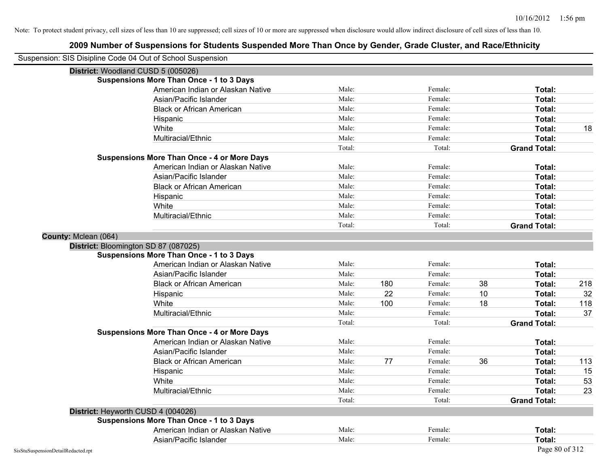| Suspension: SIS Disipline Code 04 Out of School Suspension |                                                    |        |     |         |    |                     |     |
|------------------------------------------------------------|----------------------------------------------------|--------|-----|---------|----|---------------------|-----|
| District: Woodland CUSD 5 (005026)                         |                                                    |        |     |         |    |                     |     |
|                                                            | <b>Suspensions More Than Once - 1 to 3 Days</b>    |        |     |         |    |                     |     |
|                                                            | American Indian or Alaskan Native                  | Male:  |     | Female: |    | Total:              |     |
|                                                            | Asian/Pacific Islander                             | Male:  |     | Female: |    | Total:              |     |
|                                                            | <b>Black or African American</b>                   | Male:  |     | Female: |    | Total:              |     |
|                                                            | Hispanic                                           | Male:  |     | Female: |    | Total:              |     |
|                                                            | White                                              | Male:  |     | Female: |    | Total:              | 18  |
|                                                            | Multiracial/Ethnic                                 | Male:  |     | Female: |    | Total:              |     |
|                                                            |                                                    | Total: |     | Total:  |    | <b>Grand Total:</b> |     |
|                                                            | <b>Suspensions More Than Once - 4 or More Days</b> |        |     |         |    |                     |     |
|                                                            | American Indian or Alaskan Native                  | Male:  |     | Female: |    | Total:              |     |
|                                                            | Asian/Pacific Islander                             | Male:  |     | Female: |    | Total:              |     |
|                                                            | <b>Black or African American</b>                   | Male:  |     | Female: |    | Total:              |     |
|                                                            | Hispanic                                           | Male:  |     | Female: |    | Total:              |     |
|                                                            | White                                              | Male:  |     | Female: |    | Total:              |     |
|                                                            | Multiracial/Ethnic                                 | Male:  |     | Female: |    | Total:              |     |
|                                                            |                                                    | Total: |     | Total:  |    | <b>Grand Total:</b> |     |
| County: Mclean (064)                                       |                                                    |        |     |         |    |                     |     |
|                                                            | District: Bloomington SD 87 (087025)               |        |     |         |    |                     |     |
|                                                            | <b>Suspensions More Than Once - 1 to 3 Days</b>    |        |     |         |    |                     |     |
|                                                            | American Indian or Alaskan Native                  | Male:  |     | Female: |    | Total:              |     |
|                                                            | Asian/Pacific Islander                             | Male:  |     | Female: |    | Total:              |     |
|                                                            | <b>Black or African American</b>                   | Male:  | 180 | Female: | 38 | Total:              | 218 |
|                                                            | Hispanic                                           | Male:  | 22  | Female: | 10 | Total:              | 32  |
|                                                            | White                                              | Male:  | 100 | Female: | 18 | Total:              | 118 |
|                                                            | Multiracial/Ethnic                                 | Male:  |     | Female: |    | Total:              | 37  |
|                                                            |                                                    | Total: |     | Total:  |    | <b>Grand Total:</b> |     |
|                                                            | <b>Suspensions More Than Once - 4 or More Days</b> |        |     |         |    |                     |     |
|                                                            | American Indian or Alaskan Native                  | Male:  |     | Female: |    | Total:              |     |
|                                                            | Asian/Pacific Islander                             | Male:  |     | Female: |    | Total:              |     |
|                                                            | <b>Black or African American</b>                   | Male:  | 77  | Female: | 36 | Total:              | 113 |
|                                                            | Hispanic                                           | Male:  |     | Female: |    | Total:              | 15  |
|                                                            | White                                              | Male:  |     | Female: |    | Total:              | 53  |
|                                                            | Multiracial/Ethnic                                 | Male:  |     | Female: |    | Total:              | 23  |
|                                                            |                                                    | Total: |     | Total:  |    | <b>Grand Total:</b> |     |
| District: Heyworth CUSD 4 (004026)                         |                                                    |        |     |         |    |                     |     |
|                                                            | <b>Suspensions More Than Once - 1 to 3 Days</b>    |        |     |         |    |                     |     |
|                                                            | American Indian or Alaskan Native                  | Male:  |     | Female: |    | Total:              |     |
|                                                            | Asian/Pacific Islander                             | Male:  |     | Female: |    | Total:              |     |
| SisStuSuspensionDetailRedacted.rpt                         |                                                    |        |     |         |    | Page 80 of 312      |     |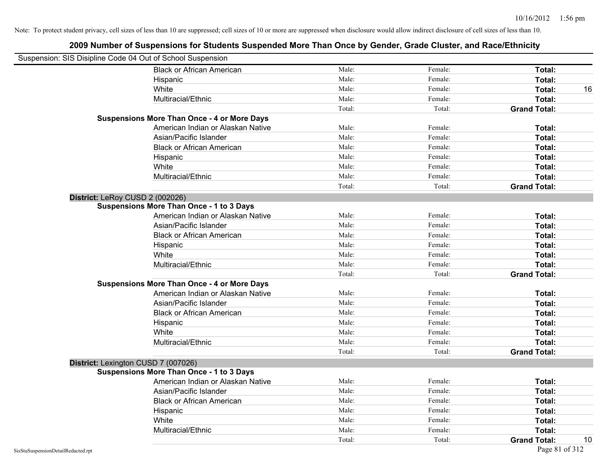| Suspension: SIS Disipline Code 04 Out of School Suspension |                                                    |        |         |                           |
|------------------------------------------------------------|----------------------------------------------------|--------|---------|---------------------------|
|                                                            | <b>Black or African American</b>                   | Male:  | Female: | Total:                    |
|                                                            | Hispanic                                           | Male:  | Female: | Total:                    |
|                                                            | White                                              | Male:  | Female: | 16<br>Total:              |
|                                                            | Multiracial/Ethnic                                 | Male:  | Female: | Total:                    |
|                                                            |                                                    | Total: | Total:  | <b>Grand Total:</b>       |
|                                                            | <b>Suspensions More Than Once - 4 or More Days</b> |        |         |                           |
|                                                            | American Indian or Alaskan Native                  | Male:  | Female: | Total:                    |
|                                                            | Asian/Pacific Islander                             | Male:  | Female: | Total:                    |
|                                                            | <b>Black or African American</b>                   | Male:  | Female: | Total:                    |
|                                                            | Hispanic                                           | Male:  | Female: | Total:                    |
|                                                            | White                                              | Male:  | Female: | Total:                    |
|                                                            | Multiracial/Ethnic                                 | Male:  | Female: | Total:                    |
|                                                            |                                                    | Total: | Total:  | <b>Grand Total:</b>       |
| District: LeRoy CUSD 2 (002026)                            |                                                    |        |         |                           |
|                                                            | <b>Suspensions More Than Once - 1 to 3 Days</b>    |        |         |                           |
|                                                            | American Indian or Alaskan Native                  | Male:  | Female: | Total:                    |
|                                                            | Asian/Pacific Islander                             | Male:  | Female: | Total:                    |
|                                                            | <b>Black or African American</b>                   | Male:  | Female: | Total:                    |
|                                                            | Hispanic                                           | Male:  | Female: | Total:                    |
|                                                            | White                                              | Male:  | Female: | Total:                    |
|                                                            | Multiracial/Ethnic                                 | Male:  | Female: | Total:                    |
|                                                            |                                                    | Total: | Total:  | <b>Grand Total:</b>       |
|                                                            | <b>Suspensions More Than Once - 4 or More Days</b> |        |         |                           |
|                                                            | American Indian or Alaskan Native                  | Male:  | Female: | Total:                    |
|                                                            | Asian/Pacific Islander                             | Male:  | Female: | Total:                    |
|                                                            | <b>Black or African American</b>                   | Male:  | Female: | Total:                    |
|                                                            | Hispanic                                           | Male:  | Female: | Total:                    |
|                                                            | White                                              | Male:  | Female: | Total:                    |
|                                                            | Multiracial/Ethnic                                 | Male:  | Female: | Total:                    |
|                                                            |                                                    | Total: | Total:  | <b>Grand Total:</b>       |
| District: Lexington CUSD 7 (007026)                        |                                                    |        |         |                           |
|                                                            | <b>Suspensions More Than Once - 1 to 3 Days</b>    |        |         |                           |
|                                                            | American Indian or Alaskan Native                  | Male:  | Female: | Total:                    |
|                                                            | Asian/Pacific Islander                             | Male:  | Female: | Total:                    |
|                                                            | <b>Black or African American</b>                   | Male:  | Female: | Total:                    |
|                                                            | Hispanic                                           | Male:  | Female: | Total:                    |
|                                                            | White                                              | Male:  | Female: | Total:                    |
|                                                            | Multiracial/Ethnic                                 | Male:  | Female: | Total:                    |
|                                                            |                                                    | Total: | Total:  | <b>Grand Total:</b><br>10 |
| SisStuSuspensionDetailRedacted.rpt                         |                                                    |        |         | Page 81 of 312            |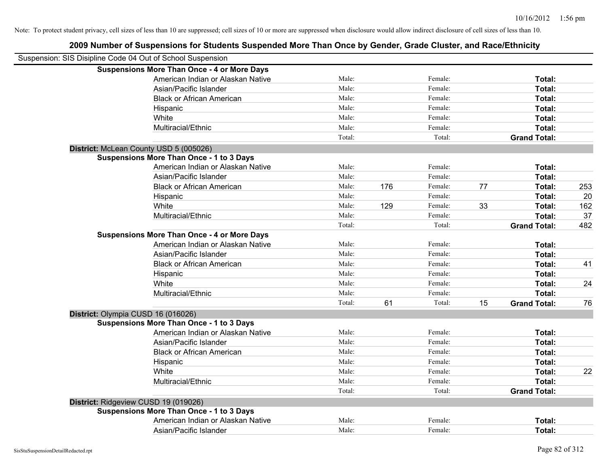| 2009 Number of Suspensions for Students Suspended More Than Once by Gender, Grade Cluster, and Race/Ethnicity |        |     |         |    |                     |     |
|---------------------------------------------------------------------------------------------------------------|--------|-----|---------|----|---------------------|-----|
| Suspension: SIS Disipline Code 04 Out of School Suspension                                                    |        |     |         |    |                     |     |
| <b>Suspensions More Than Once - 4 or More Days</b>                                                            |        |     |         |    |                     |     |
| American Indian or Alaskan Native                                                                             | Male:  |     | Female: |    | Total:              |     |
| Asian/Pacific Islander                                                                                        | Male:  |     | Female: |    | Total:              |     |
| <b>Black or African American</b>                                                                              | Male:  |     | Female: |    | Total:              |     |
| Hispanic                                                                                                      | Male:  |     | Female: |    | Total:              |     |
| White                                                                                                         | Male:  |     | Female: |    | Total:              |     |
| Multiracial/Ethnic                                                                                            | Male:  |     | Female: |    | Total:              |     |
|                                                                                                               | Total: |     | Total:  |    | <b>Grand Total:</b> |     |
| District: McLean County USD 5 (005026)                                                                        |        |     |         |    |                     |     |
| <b>Suspensions More Than Once - 1 to 3 Days</b>                                                               |        |     |         |    |                     |     |
| American Indian or Alaskan Native                                                                             | Male:  |     | Female: |    | Total:              |     |
| Asian/Pacific Islander                                                                                        | Male:  |     | Female: |    | Total:              |     |
| <b>Black or African American</b>                                                                              | Male:  | 176 | Female: | 77 | Total:              | 253 |
| Hispanic                                                                                                      | Male:  |     | Female: |    | Total:              | 20  |
| White                                                                                                         | Male:  | 129 | Female: | 33 | Total:              | 162 |
| Multiracial/Ethnic                                                                                            | Male:  |     | Female: |    | Total:              | 37  |
|                                                                                                               | Total: |     | Total:  |    | <b>Grand Total:</b> | 482 |
| <b>Suspensions More Than Once - 4 or More Days</b>                                                            |        |     |         |    |                     |     |
| American Indian or Alaskan Native                                                                             | Male:  |     | Female: |    | Total:              |     |
| Asian/Pacific Islander                                                                                        | Male:  |     | Female: |    | Total:              |     |
| <b>Black or African American</b>                                                                              | Male:  |     | Female: |    | Total:              | 41  |
| Hispanic                                                                                                      | Male:  |     | Female: |    | Total:              |     |
| White                                                                                                         | Male:  |     | Female: |    | Total:              | 24  |
| Multiracial/Ethnic                                                                                            | Male:  |     | Female: |    | Total:              |     |
|                                                                                                               | Total: | 61  | Total:  | 15 | <b>Grand Total:</b> | 76  |
| District: Olympia CUSD 16 (016026)                                                                            |        |     |         |    |                     |     |
| <b>Suspensions More Than Once - 1 to 3 Days</b>                                                               |        |     |         |    |                     |     |
| American Indian or Alaskan Native                                                                             | Male:  |     | Female: |    | Total:              |     |
| Asian/Pacific Islander                                                                                        | Male:  |     | Female: |    | Total:              |     |
| <b>Black or African American</b>                                                                              | Male:  |     | Female: |    | Total:              |     |
| Hispanic                                                                                                      | Male:  |     | Female: |    | Total:              |     |
| White                                                                                                         | Male:  |     | Female: |    | Total:              | 22  |
| Multiracial/Ethnic                                                                                            | Male:  |     | Female: |    | Total:              |     |
|                                                                                                               | Total: |     | Total:  |    | <b>Grand Total:</b> |     |
| District: Ridgeview CUSD 19 (019026)                                                                          |        |     |         |    |                     |     |
| <b>Suspensions More Than Once - 1 to 3 Days</b>                                                               |        |     |         |    |                     |     |
| American Indian or Alaskan Native                                                                             | Male:  |     | Female: |    | Total:              |     |

Asian/Pacific Islander **Total:** Male: Female: **Total:** Female: **Total:** Total: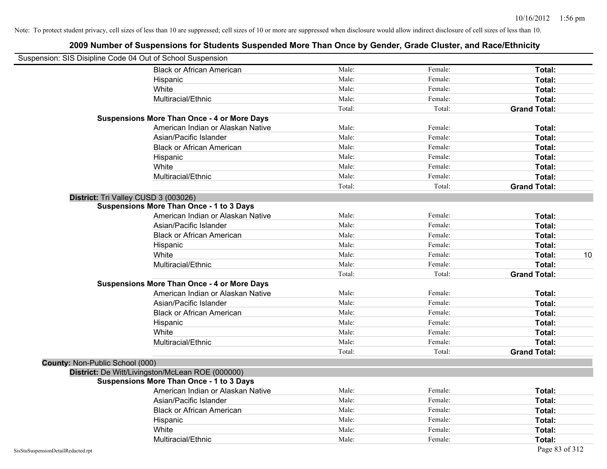| Suspension: SIS Disipline Code 04 Out of School Suspension |                                                    |        |         |                     |
|------------------------------------------------------------|----------------------------------------------------|--------|---------|---------------------|
|                                                            | <b>Black or African American</b>                   | Male:  | Female: | Total:              |
|                                                            | Hispanic                                           | Male:  | Female: | Total:              |
|                                                            | White                                              | Male:  | Female: | Total:              |
|                                                            | Multiracial/Ethnic                                 | Male:  | Female: | Total:              |
|                                                            |                                                    | Total: | Total:  | <b>Grand Total:</b> |
|                                                            | <b>Suspensions More Than Once - 4 or More Days</b> |        |         |                     |
|                                                            | American Indian or Alaskan Native                  | Male:  | Female: | Total:              |
|                                                            | Asian/Pacific Islander                             | Male:  | Female: | Total:              |
|                                                            | <b>Black or African American</b>                   | Male:  | Female: | Total:              |
|                                                            | Hispanic                                           | Male:  | Female: | Total:              |
|                                                            | White                                              | Male:  | Female: | Total:              |
|                                                            | Multiracial/Ethnic                                 | Male:  | Female: | Total:              |
|                                                            |                                                    | Total: | Total:  | <b>Grand Total:</b> |
|                                                            | District: Tri Valley CUSD 3 (003026)               |        |         |                     |
|                                                            | <b>Suspensions More Than Once - 1 to 3 Days</b>    |        |         |                     |
|                                                            | American Indian or Alaskan Native                  | Male:  | Female: | Total:              |
|                                                            | Asian/Pacific Islander                             | Male:  | Female: | Total:              |
|                                                            | <b>Black or African American</b>                   | Male:  | Female: | Total:              |
|                                                            | Hispanic                                           | Male:  | Female: | Total:              |
|                                                            | White                                              | Male:  | Female: | 10<br>Total:        |
|                                                            | Multiracial/Ethnic                                 | Male:  | Female: | Total:              |
|                                                            |                                                    | Total: | Total:  | <b>Grand Total:</b> |
|                                                            | <b>Suspensions More Than Once - 4 or More Days</b> |        |         |                     |
|                                                            | American Indian or Alaskan Native                  | Male:  | Female: | Total:              |
|                                                            | Asian/Pacific Islander                             | Male:  | Female: | Total:              |
|                                                            | <b>Black or African American</b>                   | Male:  | Female: | Total:              |
|                                                            | Hispanic                                           | Male:  | Female: | Total:              |
|                                                            | White                                              | Male:  | Female: | Total:              |
|                                                            | Multiracial/Ethnic                                 | Male:  | Female: | Total:              |
|                                                            |                                                    | Total: | Total:  | <b>Grand Total:</b> |
| County: Non-Public School (000)                            |                                                    |        |         |                     |
|                                                            | District: De Witt/Livingston/McLean ROE (000000)   |        |         |                     |
|                                                            | <b>Suspensions More Than Once - 1 to 3 Days</b>    |        |         |                     |
|                                                            | American Indian or Alaskan Native                  | Male:  | Female: | Total:              |
|                                                            | Asian/Pacific Islander                             | Male:  | Female: | Total:              |
|                                                            | <b>Black or African American</b>                   | Male:  | Female: | Total:              |
|                                                            | Hispanic                                           | Male:  | Female: | Total:              |
|                                                            | White                                              | Male:  | Female: | Total:              |
|                                                            | Multiracial/Ethnic                                 | Male:  | Female: | Total:              |
| SisStuSuspensionDetailRedacted.rpt                         |                                                    |        |         | Page 83 of 312      |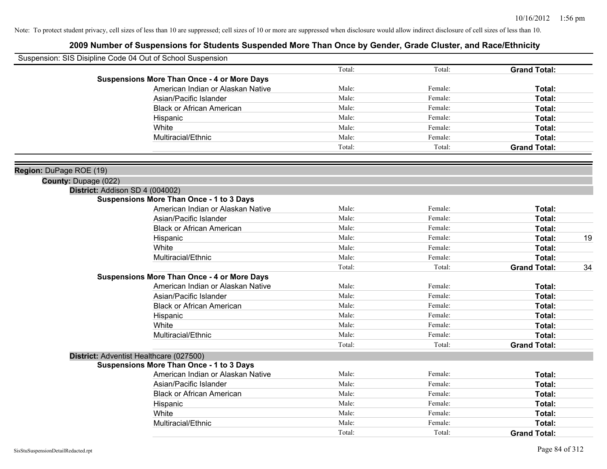|                             | Suspension: SIS Disipline Code 04 Out of School Suspension |        |         |                     |    |
|-----------------------------|------------------------------------------------------------|--------|---------|---------------------|----|
|                             |                                                            | Total: | Total:  | <b>Grand Total:</b> |    |
|                             | <b>Suspensions More Than Once - 4 or More Days</b>         |        |         |                     |    |
|                             | American Indian or Alaskan Native                          | Male:  | Female: | Total:              |    |
|                             | Asian/Pacific Islander                                     | Male:  | Female: | Total:              |    |
|                             | <b>Black or African American</b>                           | Male:  | Female: | Total:              |    |
|                             | Hispanic                                                   | Male:  | Female: | Total:              |    |
|                             | White                                                      | Male:  | Female: | Total:              |    |
|                             | Multiracial/Ethnic                                         | Male:  | Female: | Total:              |    |
|                             |                                                            | Total: | Total:  | <b>Grand Total:</b> |    |
| Region: DuPage ROE (19)     |                                                            |        |         |                     |    |
| <b>County: Dupage (022)</b> |                                                            |        |         |                     |    |
|                             | District: Addison SD 4 (004002)                            |        |         |                     |    |
|                             | <b>Suspensions More Than Once - 1 to 3 Days</b>            |        |         |                     |    |
|                             | American Indian or Alaskan Native                          | Male:  | Female: | Total:              |    |
|                             | Asian/Pacific Islander                                     | Male:  | Female: | Total:              |    |
|                             | <b>Black or African American</b>                           | Male:  | Female: | Total:              |    |
|                             | Hispanic                                                   | Male:  | Female: | Total:              | 19 |
|                             | White                                                      | Male:  | Female: | Total:              |    |
|                             | Multiracial/Ethnic                                         | Male:  | Female: | Total:              |    |
|                             |                                                            | Total: | Total:  | <b>Grand Total:</b> | 34 |
|                             | <b>Suspensions More Than Once - 4 or More Days</b>         |        |         |                     |    |
|                             | American Indian or Alaskan Native                          | Male:  | Female: | Total:              |    |
|                             | Asian/Pacific Islander                                     | Male:  | Female: | Total:              |    |
|                             | <b>Black or African American</b>                           | Male:  | Female: | Total:              |    |
|                             | Hispanic                                                   | Male:  | Female: | <b>Total:</b>       |    |
|                             | White                                                      | Male:  | Female: | Total:              |    |
|                             | Multiracial/Ethnic                                         | Male:  | Female: | Total:              |    |
|                             |                                                            | Total: | Total:  | <b>Grand Total:</b> |    |
|                             | District: Adventist Healthcare (027500)                    |        |         |                     |    |
|                             | <b>Suspensions More Than Once - 1 to 3 Days</b>            |        |         |                     |    |
|                             | American Indian or Alaskan Native                          | Male:  | Female: | Total:              |    |
|                             | Asian/Pacific Islander                                     | Male:  | Female: | Total:              |    |
|                             | <b>Black or African American</b>                           | Male:  | Female: | Total:              |    |
|                             | Hispanic                                                   | Male:  | Female: | Total:              |    |
|                             | White                                                      | Male:  | Female: | Total:              |    |
|                             | Multiracial/Ethnic                                         | Male:  | Female: | Total:              |    |
|                             |                                                            | Total: | Total:  | <b>Grand Total:</b> |    |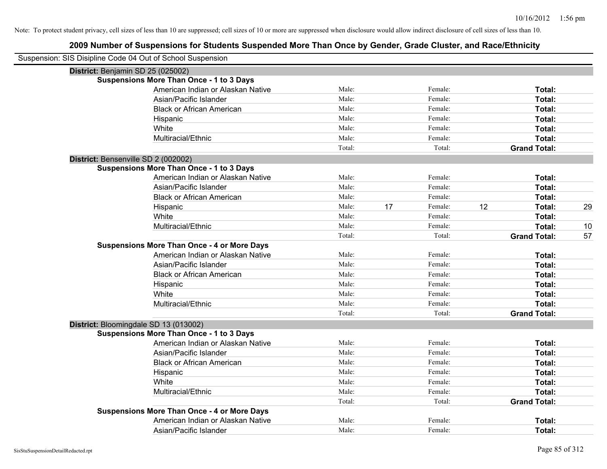| Suspension: SIS Disipline Code 04 Out of School Suspension |        |    |         |    |                     |    |
|------------------------------------------------------------|--------|----|---------|----|---------------------|----|
| District: Benjamin SD 25 (025002)                          |        |    |         |    |                     |    |
| <b>Suspensions More Than Once - 1 to 3 Days</b>            |        |    |         |    |                     |    |
| American Indian or Alaskan Native                          | Male:  |    | Female: |    | Total:              |    |
| Asian/Pacific Islander                                     | Male:  |    | Female: |    | Total:              |    |
| <b>Black or African American</b>                           | Male:  |    | Female: |    | Total:              |    |
| Hispanic                                                   | Male:  |    | Female: |    | Total:              |    |
| White                                                      | Male:  |    | Female: |    | Total:              |    |
| Multiracial/Ethnic                                         | Male:  |    | Female: |    | Total:              |    |
|                                                            | Total: |    | Total:  |    | <b>Grand Total:</b> |    |
| District: Bensenville SD 2 (002002)                        |        |    |         |    |                     |    |
| <b>Suspensions More Than Once - 1 to 3 Days</b>            |        |    |         |    |                     |    |
| American Indian or Alaskan Native                          | Male:  |    | Female: |    | Total:              |    |
| Asian/Pacific Islander                                     | Male:  |    | Female: |    | Total:              |    |
| <b>Black or African American</b>                           | Male:  |    | Female: |    | Total:              |    |
| Hispanic                                                   | Male:  | 17 | Female: | 12 | Total:              | 29 |
| White                                                      | Male:  |    | Female: |    | Total:              |    |
| Multiracial/Ethnic                                         | Male:  |    | Female: |    | Total:              | 10 |
|                                                            | Total: |    | Total:  |    | <b>Grand Total:</b> | 57 |
| <b>Suspensions More Than Once - 4 or More Days</b>         |        |    |         |    |                     |    |
| American Indian or Alaskan Native                          | Male:  |    | Female: |    | Total:              |    |
| Asian/Pacific Islander                                     | Male:  |    | Female: |    | Total:              |    |
| <b>Black or African American</b>                           | Male:  |    | Female: |    | Total:              |    |
| Hispanic                                                   | Male:  |    | Female: |    | Total:              |    |
| White                                                      | Male:  |    | Female: |    | Total:              |    |
| Multiracial/Ethnic                                         | Male:  |    | Female: |    | Total:              |    |
|                                                            | Total: |    | Total:  |    | <b>Grand Total:</b> |    |
| District: Bloomingdale SD 13 (013002)                      |        |    |         |    |                     |    |
| <b>Suspensions More Than Once - 1 to 3 Days</b>            |        |    |         |    |                     |    |
| American Indian or Alaskan Native                          | Male:  |    | Female: |    | Total:              |    |
| Asian/Pacific Islander                                     | Male:  |    | Female: |    | Total:              |    |
| <b>Black or African American</b>                           | Male:  |    | Female: |    | Total:              |    |
| Hispanic                                                   | Male:  |    | Female: |    | Total:              |    |
| White                                                      | Male:  |    | Female: |    | Total:              |    |
| Multiracial/Ethnic                                         | Male:  |    | Female: |    | Total:              |    |
|                                                            | Total: |    | Total:  |    | <b>Grand Total:</b> |    |
| <b>Suspensions More Than Once - 4 or More Days</b>         |        |    |         |    |                     |    |
| American Indian or Alaskan Native                          | Male:  |    | Female: |    | <b>Total:</b>       |    |
| Asian/Pacific Islander                                     | Male:  |    | Female: |    | Total:              |    |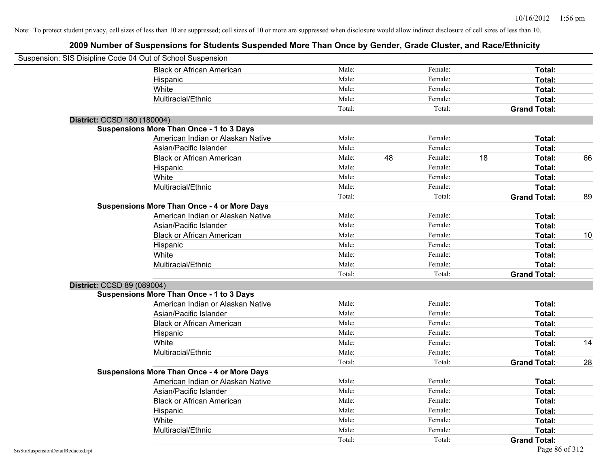| Suspension: SIS Disipline Code 04 Out of School Suspension |                                                    |        |    |         |    |                     |    |
|------------------------------------------------------------|----------------------------------------------------|--------|----|---------|----|---------------------|----|
|                                                            | <b>Black or African American</b>                   | Male:  |    | Female: |    | Total:              |    |
|                                                            | Hispanic                                           | Male:  |    | Female: |    | Total:              |    |
|                                                            | White                                              | Male:  |    | Female: |    | Total:              |    |
|                                                            | Multiracial/Ethnic                                 | Male:  |    | Female: |    | Total:              |    |
|                                                            |                                                    | Total: |    | Total:  |    | <b>Grand Total:</b> |    |
| District: CCSD 180 (180004)                                |                                                    |        |    |         |    |                     |    |
|                                                            | <b>Suspensions More Than Once - 1 to 3 Days</b>    |        |    |         |    |                     |    |
|                                                            | American Indian or Alaskan Native                  | Male:  |    | Female: |    | Total:              |    |
|                                                            | Asian/Pacific Islander                             | Male:  |    | Female: |    | Total:              |    |
|                                                            | <b>Black or African American</b>                   | Male:  | 48 | Female: | 18 | Total:              | 66 |
|                                                            | Hispanic                                           | Male:  |    | Female: |    | Total:              |    |
|                                                            | White                                              | Male:  |    | Female: |    | Total:              |    |
|                                                            | Multiracial/Ethnic                                 | Male:  |    | Female: |    | Total:              |    |
|                                                            |                                                    | Total: |    | Total:  |    | <b>Grand Total:</b> | 89 |
|                                                            | <b>Suspensions More Than Once - 4 or More Days</b> |        |    |         |    |                     |    |
|                                                            | American Indian or Alaskan Native                  | Male:  |    | Female: |    | Total:              |    |
|                                                            | Asian/Pacific Islander                             | Male:  |    | Female: |    | Total:              |    |
|                                                            | <b>Black or African American</b>                   | Male:  |    | Female: |    | Total:              | 10 |
|                                                            | Hispanic                                           | Male:  |    | Female: |    | Total:              |    |
|                                                            | White                                              | Male:  |    | Female: |    | Total:              |    |
|                                                            | Multiracial/Ethnic                                 | Male:  |    | Female: |    | Total:              |    |
|                                                            |                                                    | Total: |    | Total:  |    | <b>Grand Total:</b> |    |
| District: CCSD 89 (089004)                                 |                                                    |        |    |         |    |                     |    |
|                                                            | <b>Suspensions More Than Once - 1 to 3 Days</b>    |        |    |         |    |                     |    |
|                                                            | American Indian or Alaskan Native                  | Male:  |    | Female: |    | Total:              |    |
|                                                            | Asian/Pacific Islander                             | Male:  |    | Female: |    | Total:              |    |
|                                                            | <b>Black or African American</b>                   | Male:  |    | Female: |    | Total:              |    |
|                                                            | Hispanic                                           | Male:  |    | Female: |    | Total:              |    |
|                                                            | White                                              | Male:  |    | Female: |    | Total:              | 14 |
|                                                            | Multiracial/Ethnic                                 | Male:  |    | Female: |    | Total:              |    |
|                                                            |                                                    | Total: |    | Total:  |    | <b>Grand Total:</b> | 28 |
|                                                            | <b>Suspensions More Than Once - 4 or More Days</b> |        |    |         |    |                     |    |
|                                                            | American Indian or Alaskan Native                  | Male:  |    | Female: |    | Total:              |    |
|                                                            | Asian/Pacific Islander                             | Male:  |    | Female: |    | Total:              |    |
|                                                            | <b>Black or African American</b>                   | Male:  |    | Female: |    | Total:              |    |
|                                                            | Hispanic                                           | Male:  |    | Female: |    | Total:              |    |
|                                                            | White                                              | Male:  |    | Female: |    | Total:              |    |
|                                                            | Multiracial/Ethnic                                 | Male:  |    | Female: |    | Total:              |    |
|                                                            |                                                    | Total: |    | Total:  |    | <b>Grand Total:</b> |    |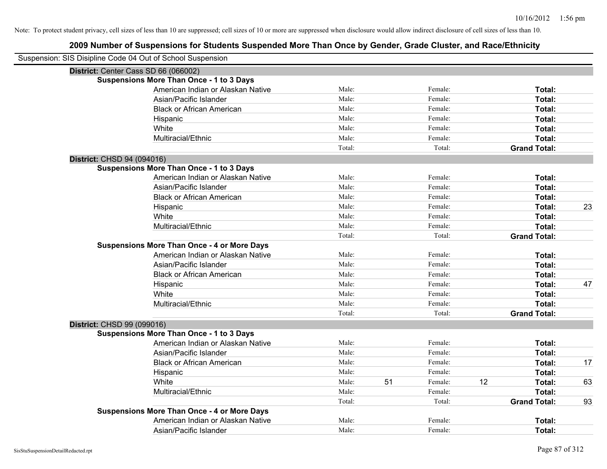| Suspension: SIS Disipline Code 04 Out of School Suspension |                                                    |        |    |         |    |                     |    |
|------------------------------------------------------------|----------------------------------------------------|--------|----|---------|----|---------------------|----|
| District: Center Cass SD 66 (066002)                       |                                                    |        |    |         |    |                     |    |
|                                                            | <b>Suspensions More Than Once - 1 to 3 Days</b>    |        |    |         |    |                     |    |
|                                                            | American Indian or Alaskan Native                  | Male:  |    | Female: |    | Total:              |    |
|                                                            | Asian/Pacific Islander                             | Male:  |    | Female: |    | Total:              |    |
|                                                            | <b>Black or African American</b>                   | Male:  |    | Female: |    | Total:              |    |
|                                                            | Hispanic                                           | Male:  |    | Female: |    | Total:              |    |
|                                                            | White                                              | Male:  |    | Female: |    | Total:              |    |
|                                                            | Multiracial/Ethnic                                 | Male:  |    | Female: |    | Total:              |    |
|                                                            |                                                    | Total: |    | Total:  |    | <b>Grand Total:</b> |    |
| District: CHSD 94 (094016)                                 |                                                    |        |    |         |    |                     |    |
|                                                            | <b>Suspensions More Than Once - 1 to 3 Days</b>    |        |    |         |    |                     |    |
|                                                            | American Indian or Alaskan Native                  | Male:  |    | Female: |    | Total:              |    |
|                                                            | Asian/Pacific Islander                             | Male:  |    | Female: |    | Total:              |    |
|                                                            | <b>Black or African American</b>                   | Male:  |    | Female: |    | Total:              |    |
|                                                            | Hispanic                                           | Male:  |    | Female: |    | Total:              | 23 |
|                                                            | White                                              | Male:  |    | Female: |    | Total:              |    |
|                                                            | Multiracial/Ethnic                                 | Male:  |    | Female: |    | Total:              |    |
|                                                            |                                                    | Total: |    | Total:  |    | <b>Grand Total:</b> |    |
|                                                            | <b>Suspensions More Than Once - 4 or More Days</b> |        |    |         |    |                     |    |
|                                                            | American Indian or Alaskan Native                  | Male:  |    | Female: |    | Total:              |    |
|                                                            | Asian/Pacific Islander                             | Male:  |    | Female: |    | Total:              |    |
|                                                            | <b>Black or African American</b>                   | Male:  |    | Female: |    | Total:              |    |
|                                                            | Hispanic                                           | Male:  |    | Female: |    | Total:              | 47 |
|                                                            | White                                              | Male:  |    | Female: |    | Total:              |    |
|                                                            | Multiracial/Ethnic                                 | Male:  |    | Female: |    | Total:              |    |
|                                                            |                                                    | Total: |    | Total:  |    | <b>Grand Total:</b> |    |
| District: CHSD 99 (099016)                                 |                                                    |        |    |         |    |                     |    |
|                                                            | <b>Suspensions More Than Once - 1 to 3 Days</b>    |        |    |         |    |                     |    |
|                                                            | American Indian or Alaskan Native                  | Male:  |    | Female: |    | <b>Total:</b>       |    |
|                                                            | Asian/Pacific Islander                             | Male:  |    | Female: |    | Total:              |    |
|                                                            | <b>Black or African American</b>                   | Male:  |    | Female: |    | Total:              | 17 |
|                                                            | Hispanic                                           | Male:  |    | Female: |    | Total:              |    |
|                                                            | White                                              | Male:  | 51 | Female: | 12 | Total:              | 63 |
|                                                            | Multiracial/Ethnic                                 | Male:  |    | Female: |    | Total:              |    |
|                                                            |                                                    | Total: |    | Total:  |    | <b>Grand Total:</b> | 93 |
|                                                            | <b>Suspensions More Than Once - 4 or More Days</b> |        |    |         |    |                     |    |
|                                                            | American Indian or Alaskan Native                  | Male:  |    | Female: |    | Total:              |    |
|                                                            | Asian/Pacific Islander                             | Male:  |    | Female: |    | Total:              |    |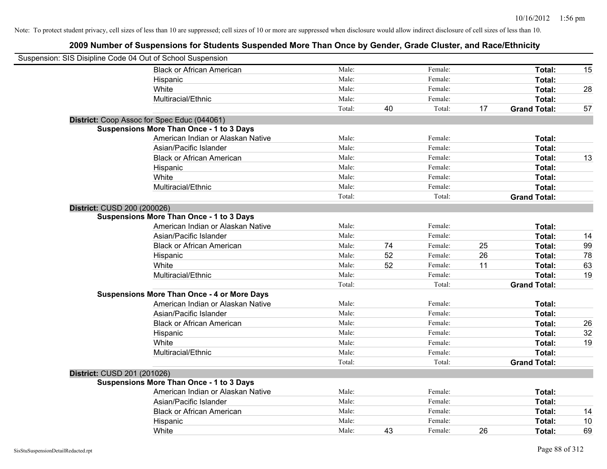| Suspension: SIS Disipline Code 04 Out of School Suspension |                                                    |        |    |         |    |                     |    |
|------------------------------------------------------------|----------------------------------------------------|--------|----|---------|----|---------------------|----|
|                                                            | <b>Black or African American</b>                   | Male:  |    | Female: |    | Total:              | 15 |
|                                                            | Hispanic                                           | Male:  |    | Female: |    | Total:              |    |
|                                                            | White                                              | Male:  |    | Female: |    | Total:              | 28 |
|                                                            | Multiracial/Ethnic                                 | Male:  |    | Female: |    | Total:              |    |
|                                                            |                                                    | Total: | 40 | Total:  | 17 | <b>Grand Total:</b> | 57 |
|                                                            | District: Coop Assoc for Spec Educ (044061)        |        |    |         |    |                     |    |
|                                                            | <b>Suspensions More Than Once - 1 to 3 Days</b>    |        |    |         |    |                     |    |
|                                                            | American Indian or Alaskan Native                  | Male:  |    | Female: |    | Total:              |    |
|                                                            | Asian/Pacific Islander                             | Male:  |    | Female: |    | Total:              |    |
|                                                            | <b>Black or African American</b>                   | Male:  |    | Female: |    | Total:              | 13 |
|                                                            | Hispanic                                           | Male:  |    | Female: |    | Total:              |    |
|                                                            | White                                              | Male:  |    | Female: |    | Total:              |    |
|                                                            | Multiracial/Ethnic                                 | Male:  |    | Female: |    | Total:              |    |
|                                                            |                                                    | Total: |    | Total:  |    | <b>Grand Total:</b> |    |
| District: CUSD 200 (200026)                                |                                                    |        |    |         |    |                     |    |
|                                                            | <b>Suspensions More Than Once - 1 to 3 Days</b>    |        |    |         |    |                     |    |
|                                                            | American Indian or Alaskan Native                  | Male:  |    | Female: |    | Total:              |    |
|                                                            | Asian/Pacific Islander                             | Male:  |    | Female: |    | Total:              | 14 |
|                                                            | <b>Black or African American</b>                   | Male:  | 74 | Female: | 25 | Total:              | 99 |
|                                                            | Hispanic                                           | Male:  | 52 | Female: | 26 | Total:              | 78 |
|                                                            | White                                              | Male:  | 52 | Female: | 11 | Total:              | 63 |
|                                                            | Multiracial/Ethnic                                 | Male:  |    | Female: |    | Total:              | 19 |
|                                                            |                                                    | Total: |    | Total:  |    | <b>Grand Total:</b> |    |
|                                                            | <b>Suspensions More Than Once - 4 or More Days</b> |        |    |         |    |                     |    |
|                                                            | American Indian or Alaskan Native                  | Male:  |    | Female: |    | Total:              |    |
|                                                            | Asian/Pacific Islander                             | Male:  |    | Female: |    | Total:              |    |
|                                                            | <b>Black or African American</b>                   | Male:  |    | Female: |    | Total:              | 26 |
|                                                            | Hispanic                                           | Male:  |    | Female: |    | Total:              | 32 |
|                                                            | White                                              | Male:  |    | Female: |    | Total:              | 19 |
|                                                            | Multiracial/Ethnic                                 | Male:  |    | Female: |    | Total:              |    |
|                                                            |                                                    | Total: |    | Total:  |    | <b>Grand Total:</b> |    |
| District: CUSD 201 (201026)                                |                                                    |        |    |         |    |                     |    |
|                                                            | <b>Suspensions More Than Once - 1 to 3 Days</b>    |        |    |         |    |                     |    |
|                                                            | American Indian or Alaskan Native                  | Male:  |    | Female: |    | Total:              |    |
|                                                            | Asian/Pacific Islander                             | Male:  |    | Female: |    | Total:              |    |
|                                                            | <b>Black or African American</b>                   | Male:  |    | Female: |    | Total:              | 14 |
|                                                            | Hispanic                                           | Male:  |    | Female: |    | Total:              | 10 |
|                                                            | White                                              | Male:  | 43 | Female: | 26 | Total:              | 69 |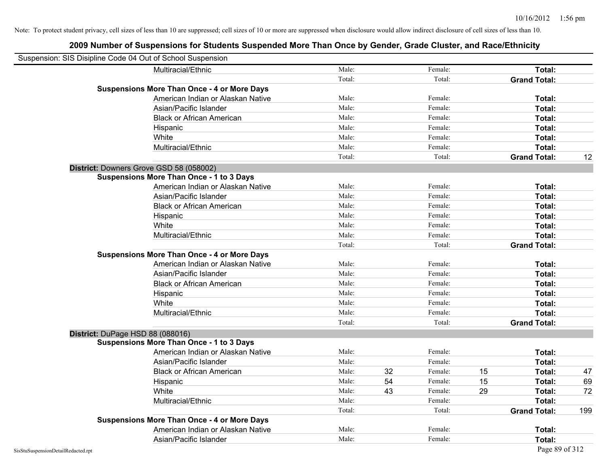| Suspension: SIS Disipline Code 04 Out of School Suspension |                                                    |        |    |         |    |                     |     |
|------------------------------------------------------------|----------------------------------------------------|--------|----|---------|----|---------------------|-----|
|                                                            | Multiracial/Ethnic                                 | Male:  |    | Female: |    | Total:              |     |
|                                                            |                                                    | Total: |    | Total:  |    | <b>Grand Total:</b> |     |
|                                                            | <b>Suspensions More Than Once - 4 or More Days</b> |        |    |         |    |                     |     |
|                                                            | American Indian or Alaskan Native                  | Male:  |    | Female: |    | Total:              |     |
|                                                            | Asian/Pacific Islander                             | Male:  |    | Female: |    | Total:              |     |
|                                                            | <b>Black or African American</b>                   | Male:  |    | Female: |    | Total:              |     |
|                                                            | Hispanic                                           | Male:  |    | Female: |    | Total:              |     |
|                                                            | White                                              | Male:  |    | Female: |    | Total:              |     |
|                                                            | Multiracial/Ethnic                                 | Male:  |    | Female: |    | Total:              |     |
|                                                            |                                                    | Total: |    | Total:  |    | <b>Grand Total:</b> | 12  |
|                                                            | District: Downers Grove GSD 58 (058002)            |        |    |         |    |                     |     |
|                                                            | Suspensions More Than Once - 1 to 3 Days           |        |    |         |    |                     |     |
|                                                            | American Indian or Alaskan Native                  | Male:  |    | Female: |    | Total:              |     |
|                                                            | Asian/Pacific Islander                             | Male:  |    | Female: |    | Total:              |     |
|                                                            | <b>Black or African American</b>                   | Male:  |    | Female: |    | Total:              |     |
|                                                            | Hispanic                                           | Male:  |    | Female: |    | Total:              |     |
|                                                            | White                                              | Male:  |    | Female: |    | Total:              |     |
|                                                            | Multiracial/Ethnic                                 | Male:  |    | Female: |    | Total:              |     |
|                                                            |                                                    | Total: |    | Total:  |    | <b>Grand Total:</b> |     |
|                                                            | <b>Suspensions More Than Once - 4 or More Days</b> |        |    |         |    |                     |     |
|                                                            | American Indian or Alaskan Native                  | Male:  |    | Female: |    | Total:              |     |
|                                                            | Asian/Pacific Islander                             | Male:  |    | Female: |    | Total:              |     |
|                                                            | <b>Black or African American</b>                   | Male:  |    | Female: |    | Total:              |     |
|                                                            | Hispanic                                           | Male:  |    | Female: |    | Total:              |     |
|                                                            | White                                              | Male:  |    | Female: |    | Total:              |     |
|                                                            | Multiracial/Ethnic                                 | Male:  |    | Female: |    | Total:              |     |
|                                                            |                                                    | Total: |    | Total:  |    | <b>Grand Total:</b> |     |
| District: DuPage HSD 88 (088016)                           |                                                    |        |    |         |    |                     |     |
|                                                            | <b>Suspensions More Than Once - 1 to 3 Days</b>    |        |    |         |    |                     |     |
|                                                            | American Indian or Alaskan Native                  | Male:  |    | Female: |    | Total:              |     |
|                                                            | Asian/Pacific Islander                             | Male:  |    | Female: |    | Total:              |     |
|                                                            | <b>Black or African American</b>                   | Male:  | 32 | Female: | 15 | Total:              | 47  |
|                                                            | Hispanic                                           | Male:  | 54 | Female: | 15 | Total:              | 69  |
|                                                            | White                                              | Male:  | 43 | Female: | 29 | Total:              | 72  |
|                                                            | Multiracial/Ethnic                                 | Male:  |    | Female: |    | Total:              |     |
|                                                            |                                                    | Total: |    | Total:  |    | <b>Grand Total:</b> | 199 |
|                                                            | <b>Suspensions More Than Once - 4 or More Days</b> |        |    |         |    |                     |     |
|                                                            | American Indian or Alaskan Native                  | Male:  |    | Female: |    | Total:              |     |
|                                                            | Asian/Pacific Islander                             | Male:  |    | Female: |    | Total:              |     |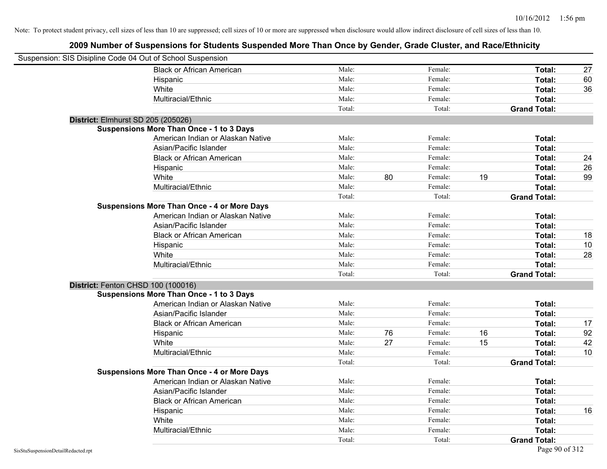| Suspension: SIS Disipline Code 04 Out of School Suspension |                                                    |        |    |         |    |                     |    |
|------------------------------------------------------------|----------------------------------------------------|--------|----|---------|----|---------------------|----|
|                                                            | <b>Black or African American</b>                   | Male:  |    | Female: |    | Total:              | 27 |
|                                                            | Hispanic                                           | Male:  |    | Female: |    | Total:              | 60 |
|                                                            | White                                              | Male:  |    | Female: |    | Total:              | 36 |
|                                                            | Multiracial/Ethnic                                 | Male:  |    | Female: |    | Total:              |    |
|                                                            |                                                    | Total: |    | Total:  |    | <b>Grand Total:</b> |    |
| District: Elmhurst SD 205 (205026)                         |                                                    |        |    |         |    |                     |    |
|                                                            | <b>Suspensions More Than Once - 1 to 3 Days</b>    |        |    |         |    |                     |    |
|                                                            | American Indian or Alaskan Native                  | Male:  |    | Female: |    | Total:              |    |
|                                                            | Asian/Pacific Islander                             | Male:  |    | Female: |    | Total:              |    |
|                                                            | <b>Black or African American</b>                   | Male:  |    | Female: |    | Total:              | 24 |
|                                                            | Hispanic                                           | Male:  |    | Female: |    | Total:              | 26 |
|                                                            | White                                              | Male:  | 80 | Female: | 19 | Total:              | 99 |
|                                                            | Multiracial/Ethnic                                 | Male:  |    | Female: |    | Total:              |    |
|                                                            |                                                    | Total: |    | Total:  |    | <b>Grand Total:</b> |    |
|                                                            | <b>Suspensions More Than Once - 4 or More Days</b> |        |    |         |    |                     |    |
|                                                            | American Indian or Alaskan Native                  | Male:  |    | Female: |    | Total:              |    |
|                                                            | Asian/Pacific Islander                             | Male:  |    | Female: |    | Total:              |    |
|                                                            | <b>Black or African American</b>                   | Male:  |    | Female: |    | Total:              | 18 |
|                                                            | Hispanic                                           | Male:  |    | Female: |    | Total:              | 10 |
|                                                            | White                                              | Male:  |    | Female: |    | Total:              | 28 |
|                                                            | Multiracial/Ethnic                                 | Male:  |    | Female: |    | Total:              |    |
|                                                            |                                                    | Total: |    | Total:  |    | <b>Grand Total:</b> |    |
| District: Fenton CHSD 100 (100016)                         |                                                    |        |    |         |    |                     |    |
|                                                            | <b>Suspensions More Than Once - 1 to 3 Days</b>    |        |    |         |    |                     |    |
|                                                            | American Indian or Alaskan Native                  | Male:  |    | Female: |    | Total:              |    |
|                                                            | Asian/Pacific Islander                             | Male:  |    | Female: |    | Total:              |    |
|                                                            | <b>Black or African American</b>                   | Male:  |    | Female: |    | Total:              | 17 |
|                                                            | Hispanic                                           | Male:  | 76 | Female: | 16 | Total:              | 92 |
|                                                            | White                                              | Male:  | 27 | Female: | 15 | Total:              | 42 |
|                                                            | Multiracial/Ethnic                                 | Male:  |    | Female: |    | Total:              | 10 |
|                                                            |                                                    | Total: |    | Total:  |    | <b>Grand Total:</b> |    |
|                                                            | <b>Suspensions More Than Once - 4 or More Days</b> |        |    |         |    |                     |    |
|                                                            | American Indian or Alaskan Native                  | Male:  |    | Female: |    | Total:              |    |
|                                                            | Asian/Pacific Islander                             | Male:  |    | Female: |    | Total:              |    |
|                                                            | <b>Black or African American</b>                   | Male:  |    | Female: |    | Total:              |    |
|                                                            | Hispanic                                           | Male:  |    | Female: |    | Total:              | 16 |
|                                                            | White                                              | Male:  |    | Female: |    | Total:              |    |
|                                                            | Multiracial/Ethnic                                 | Male:  |    | Female: |    | Total:              |    |
|                                                            |                                                    | Total: |    | Total:  |    | <b>Grand Total:</b> |    |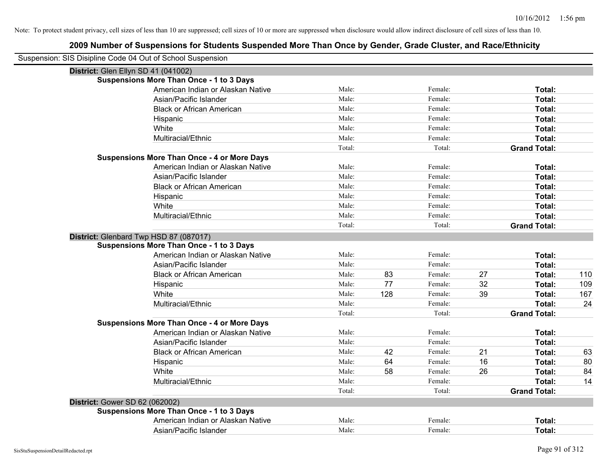| Suspension: SIS Disipline Code 04 Out of School Suspension |        |     |         |    |                     |     |
|------------------------------------------------------------|--------|-----|---------|----|---------------------|-----|
| District: Glen Ellyn SD 41 (041002)                        |        |     |         |    |                     |     |
| <b>Suspensions More Than Once - 1 to 3 Days</b>            |        |     |         |    |                     |     |
| American Indian or Alaskan Native                          | Male:  |     | Female: |    | Total:              |     |
| Asian/Pacific Islander                                     | Male:  |     | Female: |    | Total:              |     |
| <b>Black or African American</b>                           | Male:  |     | Female: |    | Total:              |     |
| Hispanic                                                   | Male:  |     | Female: |    | Total:              |     |
| White                                                      | Male:  |     | Female: |    | Total:              |     |
| Multiracial/Ethnic                                         | Male:  |     | Female: |    | Total:              |     |
|                                                            | Total: |     | Total:  |    | <b>Grand Total:</b> |     |
| <b>Suspensions More Than Once - 4 or More Days</b>         |        |     |         |    |                     |     |
| American Indian or Alaskan Native                          | Male:  |     | Female: |    | Total:              |     |
| Asian/Pacific Islander                                     | Male:  |     | Female: |    | Total:              |     |
| <b>Black or African American</b>                           | Male:  |     | Female: |    | Total:              |     |
| Hispanic                                                   | Male:  |     | Female: |    | Total:              |     |
| White                                                      | Male:  |     | Female: |    | Total:              |     |
| Multiracial/Ethnic                                         | Male:  |     | Female: |    | Total:              |     |
|                                                            | Total: |     | Total:  |    | <b>Grand Total:</b> |     |
| District: Glenbard Twp HSD 87 (087017)                     |        |     |         |    |                     |     |
| <b>Suspensions More Than Once - 1 to 3 Days</b>            |        |     |         |    |                     |     |
| American Indian or Alaskan Native                          | Male:  |     | Female: |    | Total:              |     |
| Asian/Pacific Islander                                     | Male:  |     | Female: |    | Total:              |     |
| <b>Black or African American</b>                           | Male:  | 83  | Female: | 27 | Total:              | 110 |
| Hispanic                                                   | Male:  | 77  | Female: | 32 | Total:              | 109 |
| White                                                      | Male:  | 128 | Female: | 39 | Total:              | 167 |
| Multiracial/Ethnic                                         | Male:  |     | Female: |    | Total:              | 24  |
|                                                            | Total: |     | Total:  |    | <b>Grand Total:</b> |     |
| <b>Suspensions More Than Once - 4 or More Days</b>         |        |     |         |    |                     |     |
| American Indian or Alaskan Native                          | Male:  |     | Female: |    | Total:              |     |
| Asian/Pacific Islander                                     | Male:  |     | Female: |    | Total:              |     |
| <b>Black or African American</b>                           | Male:  | 42  | Female: | 21 | Total:              | 63  |
| Hispanic                                                   | Male:  | 64  | Female: | 16 | Total:              | 80  |
| White                                                      | Male:  | 58  | Female: | 26 | Total:              | 84  |
| Multiracial/Ethnic                                         | Male:  |     | Female: |    | Total:              | 14  |
|                                                            | Total: |     | Total:  |    | <b>Grand Total:</b> |     |
| District: Gower SD 62 (062002)                             |        |     |         |    |                     |     |
| <b>Suspensions More Than Once - 1 to 3 Days</b>            |        |     |         |    |                     |     |
| American Indian or Alaskan Native                          | Male:  |     | Female: |    | Total:              |     |
| Asian/Pacific Islander                                     | Male:  |     | Female: |    | Total:              |     |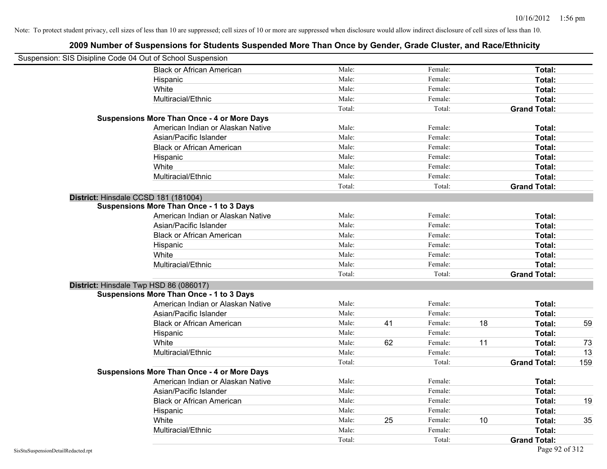| Suspension: SIS Disipline Code 04 Out of School Suspension |                                                    |        |    |         |    |                     |     |
|------------------------------------------------------------|----------------------------------------------------|--------|----|---------|----|---------------------|-----|
|                                                            | <b>Black or African American</b>                   | Male:  |    | Female: |    | Total:              |     |
|                                                            | Hispanic                                           | Male:  |    | Female: |    | Total:              |     |
|                                                            | White                                              | Male:  |    | Female: |    | Total:              |     |
|                                                            | Multiracial/Ethnic                                 | Male:  |    | Female: |    | Total:              |     |
|                                                            |                                                    | Total: |    | Total:  |    | <b>Grand Total:</b> |     |
|                                                            | <b>Suspensions More Than Once - 4 or More Days</b> |        |    |         |    |                     |     |
|                                                            | American Indian or Alaskan Native                  | Male:  |    | Female: |    | Total:              |     |
|                                                            | Asian/Pacific Islander                             | Male:  |    | Female: |    | Total:              |     |
|                                                            | <b>Black or African American</b>                   | Male:  |    | Female: |    | Total:              |     |
|                                                            | Hispanic                                           | Male:  |    | Female: |    | Total:              |     |
|                                                            | White                                              | Male:  |    | Female: |    | Total:              |     |
|                                                            | Multiracial/Ethnic                                 | Male:  |    | Female: |    | Total:              |     |
|                                                            |                                                    | Total: |    | Total:  |    | <b>Grand Total:</b> |     |
| District: Hinsdale CCSD 181 (181004)                       |                                                    |        |    |         |    |                     |     |
|                                                            | <b>Suspensions More Than Once - 1 to 3 Days</b>    |        |    |         |    |                     |     |
|                                                            | American Indian or Alaskan Native                  | Male:  |    | Female: |    | Total:              |     |
|                                                            | Asian/Pacific Islander                             | Male:  |    | Female: |    | Total:              |     |
|                                                            | <b>Black or African American</b>                   | Male:  |    | Female: |    | Total:              |     |
|                                                            | Hispanic                                           | Male:  |    | Female: |    | Total:              |     |
|                                                            | White                                              | Male:  |    | Female: |    | Total:              |     |
|                                                            | Multiracial/Ethnic                                 | Male:  |    | Female: |    | Total:              |     |
|                                                            |                                                    | Total: |    | Total:  |    | <b>Grand Total:</b> |     |
| District: Hinsdale Twp HSD 86 (086017)                     |                                                    |        |    |         |    |                     |     |
|                                                            | <b>Suspensions More Than Once - 1 to 3 Days</b>    |        |    |         |    |                     |     |
|                                                            | American Indian or Alaskan Native                  | Male:  |    | Female: |    | Total:              |     |
|                                                            | Asian/Pacific Islander                             | Male:  |    | Female: |    | Total:              |     |
|                                                            | <b>Black or African American</b>                   | Male:  | 41 | Female: | 18 | Total:              | 59  |
|                                                            | Hispanic                                           | Male:  |    | Female: |    | Total:              |     |
|                                                            | White                                              | Male:  | 62 | Female: | 11 | Total:              | 73  |
|                                                            | Multiracial/Ethnic                                 | Male:  |    | Female: |    | Total:              | 13  |
|                                                            |                                                    | Total: |    | Total:  |    | <b>Grand Total:</b> | 159 |
|                                                            | <b>Suspensions More Than Once - 4 or More Days</b> |        |    |         |    |                     |     |
|                                                            | American Indian or Alaskan Native                  | Male:  |    | Female: |    | Total:              |     |
|                                                            | Asian/Pacific Islander                             | Male:  |    | Female: |    | Total:              |     |
|                                                            | <b>Black or African American</b>                   | Male:  |    | Female: |    | Total:              | 19  |
|                                                            | Hispanic                                           | Male:  |    | Female: |    | Total:              |     |
|                                                            | White                                              | Male:  | 25 | Female: | 10 | Total:              | 35  |
|                                                            | Multiracial/Ethnic                                 | Male:  |    | Female: |    | <b>Total:</b>       |     |
|                                                            |                                                    | Total: |    | Total:  |    | <b>Grand Total:</b> |     |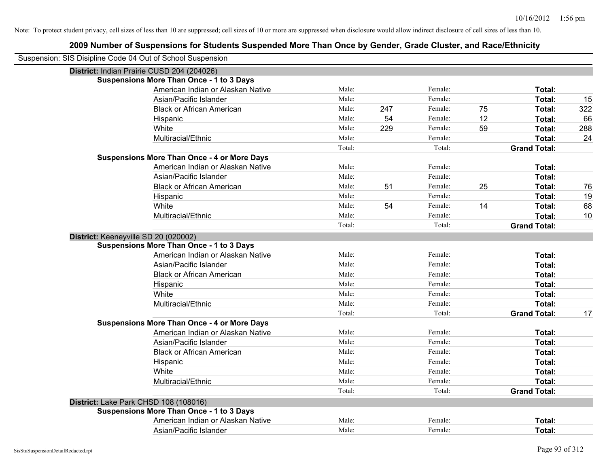| Suspension: SIS Disipline Code 04 Out of School Suspension |                                                    |        |     |         |    |                     |     |
|------------------------------------------------------------|----------------------------------------------------|--------|-----|---------|----|---------------------|-----|
|                                                            | District: Indian Prairie CUSD 204 (204026)         |        |     |         |    |                     |     |
|                                                            | <b>Suspensions More Than Once - 1 to 3 Days</b>    |        |     |         |    |                     |     |
|                                                            | American Indian or Alaskan Native                  | Male:  |     | Female: |    | Total:              |     |
|                                                            | Asian/Pacific Islander                             | Male:  |     | Female: |    | Total:              | 15  |
|                                                            | <b>Black or African American</b>                   | Male:  | 247 | Female: | 75 | Total:              | 322 |
|                                                            | Hispanic                                           | Male:  | 54  | Female: | 12 | Total:              | 66  |
|                                                            | White                                              | Male:  | 229 | Female: | 59 | Total:              | 288 |
|                                                            | Multiracial/Ethnic                                 | Male:  |     | Female: |    | Total:              | 24  |
|                                                            |                                                    | Total: |     | Total:  |    | <b>Grand Total:</b> |     |
|                                                            | <b>Suspensions More Than Once - 4 or More Days</b> |        |     |         |    |                     |     |
|                                                            | American Indian or Alaskan Native                  | Male:  |     | Female: |    | Total:              |     |
|                                                            | Asian/Pacific Islander                             | Male:  |     | Female: |    | Total:              |     |
|                                                            | <b>Black or African American</b>                   | Male:  | 51  | Female: | 25 | Total:              | 76  |
|                                                            | Hispanic                                           | Male:  |     | Female: |    | Total:              | 19  |
|                                                            | White                                              | Male:  | 54  | Female: | 14 | Total:              | 68  |
|                                                            | Multiracial/Ethnic                                 | Male:  |     | Female: |    | Total:              | 10  |
|                                                            |                                                    | Total: |     | Total:  |    | <b>Grand Total:</b> |     |
|                                                            | District: Keeneyville SD 20 (020002)               |        |     |         |    |                     |     |
|                                                            | <b>Suspensions More Than Once - 1 to 3 Days</b>    |        |     |         |    |                     |     |
|                                                            | American Indian or Alaskan Native                  | Male:  |     | Female: |    | Total:              |     |
|                                                            | Asian/Pacific Islander                             | Male:  |     | Female: |    | Total:              |     |
|                                                            | <b>Black or African American</b>                   | Male:  |     | Female: |    | Total:              |     |
|                                                            | Hispanic                                           | Male:  |     | Female: |    | Total:              |     |
|                                                            | White                                              | Male:  |     | Female: |    | Total:              |     |
|                                                            | Multiracial/Ethnic                                 | Male:  |     | Female: |    | Total:              |     |
|                                                            |                                                    | Total: |     | Total:  |    | <b>Grand Total:</b> | 17  |
|                                                            | <b>Suspensions More Than Once - 4 or More Days</b> |        |     |         |    |                     |     |
|                                                            | American Indian or Alaskan Native                  | Male:  |     | Female: |    | Total:              |     |
|                                                            | Asian/Pacific Islander                             | Male:  |     | Female: |    | Total:              |     |
|                                                            | <b>Black or African American</b>                   | Male:  |     | Female: |    | Total:              |     |
|                                                            | Hispanic                                           | Male:  |     | Female: |    | Total:              |     |
|                                                            | White                                              | Male:  |     | Female: |    | Total:              |     |
|                                                            | Multiracial/Ethnic                                 | Male:  |     | Female: |    | Total:              |     |
|                                                            |                                                    | Total: |     | Total:  |    | <b>Grand Total:</b> |     |
|                                                            | District: Lake Park CHSD 108 (108016)              |        |     |         |    |                     |     |
|                                                            | <b>Suspensions More Than Once - 1 to 3 Days</b>    |        |     |         |    |                     |     |
|                                                            | American Indian or Alaskan Native                  | Male:  |     | Female: |    | Total:              |     |
|                                                            | Asian/Pacific Islander                             | Male:  |     | Female: |    | Total:              |     |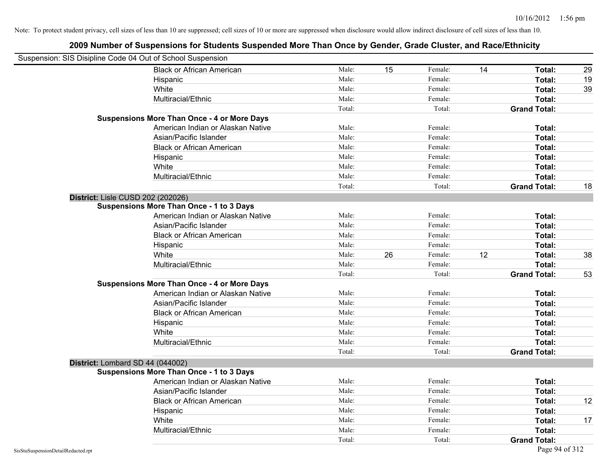|                                    | Suspension: SIS Disipline Code 04 Out of School Suspension |        |    |         |    |                     |    |
|------------------------------------|------------------------------------------------------------|--------|----|---------|----|---------------------|----|
|                                    | <b>Black or African American</b>                           | Male:  | 15 | Female: | 14 | Total:              | 29 |
|                                    | Hispanic                                                   | Male:  |    | Female: |    | Total:              | 19 |
|                                    | White                                                      | Male:  |    | Female: |    | Total:              | 39 |
|                                    | Multiracial/Ethnic                                         | Male:  |    | Female: |    | Total:              |    |
|                                    |                                                            | Total: |    | Total:  |    | <b>Grand Total:</b> |    |
|                                    | <b>Suspensions More Than Once - 4 or More Days</b>         |        |    |         |    |                     |    |
|                                    | American Indian or Alaskan Native                          | Male:  |    | Female: |    | Total:              |    |
|                                    | Asian/Pacific Islander                                     | Male:  |    | Female: |    | Total:              |    |
|                                    | <b>Black or African American</b>                           | Male:  |    | Female: |    | Total:              |    |
|                                    | Hispanic                                                   | Male:  |    | Female: |    | Total:              |    |
|                                    | White                                                      | Male:  |    | Female: |    | Total:              |    |
|                                    | Multiracial/Ethnic                                         | Male:  |    | Female: |    | Total:              |    |
|                                    |                                                            | Total: |    | Total:  |    | <b>Grand Total:</b> | 18 |
|                                    | District: Lisle CUSD 202 (202026)                          |        |    |         |    |                     |    |
|                                    | <b>Suspensions More Than Once - 1 to 3 Days</b>            |        |    |         |    |                     |    |
|                                    | American Indian or Alaskan Native                          | Male:  |    | Female: |    | Total:              |    |
|                                    | Asian/Pacific Islander                                     | Male:  |    | Female: |    | Total:              |    |
|                                    | <b>Black or African American</b>                           | Male:  |    | Female: |    | Total:              |    |
|                                    | Hispanic                                                   | Male:  |    | Female: |    | Total:              |    |
|                                    | White                                                      | Male:  | 26 | Female: | 12 | Total:              | 38 |
|                                    | Multiracial/Ethnic                                         | Male:  |    | Female: |    | Total:              |    |
|                                    |                                                            | Total: |    | Total:  |    | <b>Grand Total:</b> | 53 |
|                                    | <b>Suspensions More Than Once - 4 or More Days</b>         |        |    |         |    |                     |    |
|                                    | American Indian or Alaskan Native                          | Male:  |    | Female: |    | Total:              |    |
|                                    | Asian/Pacific Islander                                     | Male:  |    | Female: |    | Total:              |    |
|                                    | <b>Black or African American</b>                           | Male:  |    | Female: |    | Total:              |    |
|                                    | Hispanic                                                   | Male:  |    | Female: |    | Total:              |    |
|                                    | White                                                      | Male:  |    | Female: |    | Total:              |    |
|                                    | Multiracial/Ethnic                                         | Male:  |    | Female: |    | Total:              |    |
|                                    |                                                            | Total: |    | Total:  |    | <b>Grand Total:</b> |    |
|                                    | District: Lombard SD 44 (044002)                           |        |    |         |    |                     |    |
|                                    | <b>Suspensions More Than Once - 1 to 3 Days</b>            |        |    |         |    |                     |    |
|                                    | American Indian or Alaskan Native                          | Male:  |    | Female: |    | Total:              |    |
|                                    | Asian/Pacific Islander                                     | Male:  |    | Female: |    | Total:              |    |
|                                    | <b>Black or African American</b>                           | Male:  |    | Female: |    | Total:              | 12 |
|                                    | Hispanic                                                   | Male:  |    | Female: |    | Total:              |    |
|                                    | White                                                      | Male:  |    | Female: |    | Total:              | 17 |
|                                    | Multiracial/Ethnic                                         | Male:  |    | Female: |    | Total:              |    |
|                                    |                                                            | Total: |    | Total:  |    | <b>Grand Total:</b> |    |
| SisStuSuspensionDetailRedacted.rpt |                                                            |        |    |         |    | Page 94 of 312      |    |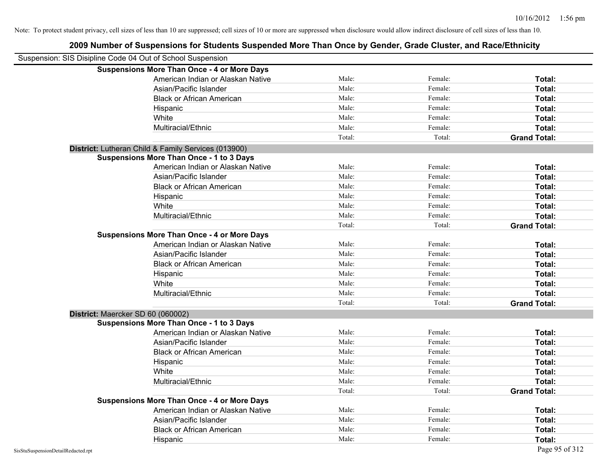## **2009 Number of Suspensions for Students Suspended More Than Once by Gender, Grade Cluster, and Race/Ethnicity** Suspension: SIS Disipline Code 04 Out of School Suspension **Suspensions More Than Once - 4 or More Days** American Indian or Alaskan Native **Male:** Male: Female: Female: **Total:** Total: Asian/Pacific Islander **Figure 1.1 Contact 1.1 Contact 1.1 Contact 1.1 Contact 1.1 Contact 1.1 Contact 1.1 Conta** Black or African American **American** Male: Male: Female: **Female: Total: Total: Total: Female: Total: Total: Total: Total: Total: Total: Total: Total: Total: Total: Total: Total: Total:** Hispanic **Total:** Male: Female: **Total:** Female: **Total:** Total: White **Total:** Male: Female: **Total:** Female: **Total:** Total: Multiracial/Ethnic **Total:** Male: Female: **Total:** Female: **Total:** Female: **Total:** Female: **Total:** Female: **Total:** Female: **Total:** Female: **Total:** Female: **Total:** Female: **Total:** Female: **Total:** Female: **Total:** F Total: Total: **Grand Total: District:** Lutheran Child & Family Services (013900) **Suspensions More Than Once - 1 to 3 Days** American Indian or Alaskan Native **Male:** Male: Female: Female: **Total:** Total: Asian/Pacific Islander **Figure 1.1 Contained Asian** Male: Female: **Female: Total: Total: Total: Total: Total: Total: Total: Total: Total: Total: Total: Total: Total: Total: Total: Total: T** Black or African American **Figure 1.1 and Total:** Male: Female: Female: **Total:** Total: Hispanic **Total:** Male: Female: **Total:** Female: **Total:** Total: White **Total:** Male: Female: **Total:** Total: **Total:** Female: **Total:** Total: Multiracial/Ethnic **Total:** Male: Female: **Total:** Female: **Total:** Female: **Total:** Female: **Total:** Female: **Total:** Female: **Total:** Female: **Total:** Female: **Total:** Female: **Total:** Female: **Total:** Female: **Total:** F Total: Total: **Grand Total: Suspensions More Than Once - 4 or More Days** American Indian or Alaskan Native **Male:** Male: Female: Female: **Total:** Total: Asian/Pacific Islander **Figure 1.1 Contained Asian/Pacific Islander Female:** Female: **Total:** Total: Black or African American **American** Male: Male: Female: **Female: Total: Total: Total: Female: Total: Total: Total: Total: Total: Total: Total: Total: Total: Total: Total: Total: Total:** Hispanic **Total:** Male: Female: **Total:** Female: **Total:** Total: White **Total:** Male: Female: **Total:** Total: **Total:** Female: **Total:** Total: Multiracial/Ethnic **Total:** Male: Male: Female: **Total:** Female: **Total:** Total: Total: Total: **Grand Total: District:** Maercker SD 60 (060002) **Suspensions More Than Once - 1 to 3 Days** American Indian or Alaskan Native **Male:** Male: Female: Female: **Total:** Total: Asian/Pacific Islander **Figure 1.1 Contained Asian** Male: Female: **Female: Total: Total: Total: Total: Total: Total: Total: Total: Total: Total: Total: Total: Total: Total: Total: Total: T** Black or African American **Male:** Male: Female: Female: **Total:** Total: **Total:** Female: **Female:** Total: Total: **Female:** Total: Total: Total: Total: Total: Total: Total: Total: Total: Total: Total: Total: Total: Total: T Hispanic **Total:** Male: Female: **Total:** Female: **Total:** Total: **Total:** Female: **Total:** Total: **Total:** Total: **Total:** Total: **Total:** Total: **Total:** Total: **Total:** Total: **Total:** Total: **Total:** Total: **Total:** Tot White **Total:** Male: Female: **Total:** Female: **Total:** Total: Multiracial/Ethnic **Total:** Male: Female: **Female: Total:** Total: **Total:** Female: **Total:** Total: **Female:** Total: **Total:** Total: **Total:** Total: **Total:** Total: **Total:** Total: **Total:** Total: **Total:** Total: **Total:**

# **Suspensions More**

| ore Than Once - 4 or More Days    |       |         |        |
|-----------------------------------|-------|---------|--------|
| American Indian or Alaskan Native | Male: | Female: | Total: |
| Asian/Pacific Islander            | Male: | Female: | Total: |
| Black or African American         | Male: | Female: | Total: |
| Hispanic                          | Male: | Female: | Total: |

Total: Total: **Grand Total:**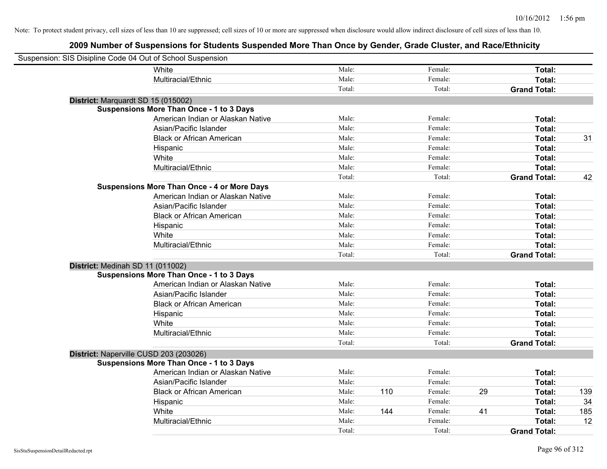| Suspension: SIS Disipline Code 04 Out of School Suspension |        |                |    |                     |     |
|------------------------------------------------------------|--------|----------------|----|---------------------|-----|
| White                                                      | Male:  | Female:        |    | Total:              |     |
| Multiracial/Ethnic                                         | Male:  | Female:        |    | Total:              |     |
|                                                            | Total: | Total:         |    | <b>Grand Total:</b> |     |
| District: Marquardt SD 15 (015002)                         |        |                |    |                     |     |
| Suspensions More Than Once - 1 to 3 Days                   |        |                |    |                     |     |
| American Indian or Alaskan Native                          | Male:  | Female:        |    | Total:              |     |
| Asian/Pacific Islander                                     | Male:  | Female:        |    | Total:              |     |
| <b>Black or African American</b>                           | Male:  | Female:        |    | Total:              | 31  |
| Hispanic                                                   | Male:  | Female:        |    | Total:              |     |
| White                                                      | Male:  | Female:        |    | Total:              |     |
| Multiracial/Ethnic                                         | Male:  | Female:        |    | Total:              |     |
|                                                            | Total: | Total:         |    | <b>Grand Total:</b> | 42  |
| <b>Suspensions More Than Once - 4 or More Days</b>         |        |                |    |                     |     |
| American Indian or Alaskan Native                          | Male:  | Female:        |    | Total:              |     |
| Asian/Pacific Islander                                     | Male:  | Female:        |    | Total:              |     |
| <b>Black or African American</b>                           | Male:  | Female:        |    | Total:              |     |
| Hispanic                                                   | Male:  | Female:        |    | Total:              |     |
| White                                                      | Male:  | Female:        |    | Total:              |     |
| Multiracial/Ethnic                                         | Male:  | Female:        |    | Total:              |     |
|                                                            | Total: | Total:         |    | <b>Grand Total:</b> |     |
| District: Medinah SD 11 (011002)                           |        |                |    |                     |     |
| <b>Suspensions More Than Once - 1 to 3 Days</b>            |        |                |    |                     |     |
| American Indian or Alaskan Native                          | Male:  | Female:        |    | Total:              |     |
| Asian/Pacific Islander                                     | Male:  | Female:        |    | Total:              |     |
| <b>Black or African American</b>                           | Male:  | Female:        |    | Total:              |     |
| Hispanic                                                   | Male:  | Female:        |    | Total:              |     |
| White                                                      | Male:  | Female:        |    | Total:              |     |
| Multiracial/Ethnic                                         | Male:  | Female:        |    | Total:              |     |
|                                                            | Total: | Total:         |    | <b>Grand Total:</b> |     |
| District: Naperville CUSD 203 (203026)                     |        |                |    |                     |     |
| <b>Suspensions More Than Once - 1 to 3 Days</b>            |        |                |    |                     |     |
| American Indian or Alaskan Native                          | Male:  | Female:        |    | Total:              |     |
| Asian/Pacific Islander                                     | Male:  | Female:        |    | Total:              |     |
| <b>Black or African American</b>                           | Male:  | 110<br>Female: | 29 | Total:              | 139 |
| Hispanic                                                   | Male:  | Female:        |    | Total:              | 34  |
| White                                                      | Male:  | 144<br>Female: | 41 | Total:              | 185 |
| Multiracial/Ethnic                                         | Male:  | Female:        |    | Total:              | 12  |
|                                                            | Total: | Total:         |    | <b>Grand Total:</b> |     |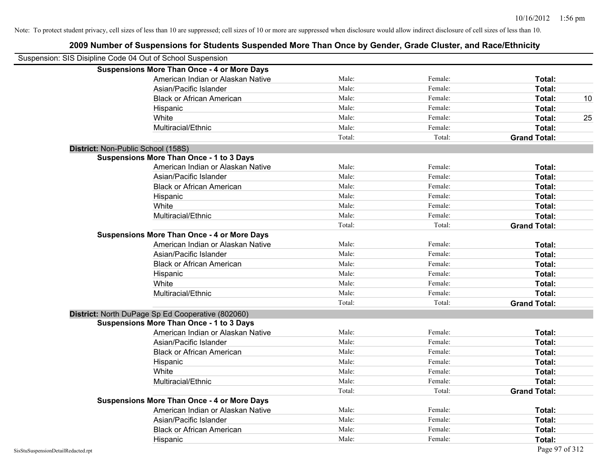Note: To protect student privacy, cell sizes of less than 10 are suppressed; cell sizes of 10 or more are suppressed when disclosure would allow indirect disclosure of cell sizes of less than 10.

|                                                    | Suspension: SIS Disipline Code 04 Out of School Suspension |        |         |                     |    |
|----------------------------------------------------|------------------------------------------------------------|--------|---------|---------------------|----|
|                                                    | <b>Suspensions More Than Once - 4 or More Days</b>         |        |         |                     |    |
|                                                    | American Indian or Alaskan Native                          | Male:  | Female: | Total:              |    |
|                                                    | Asian/Pacific Islander                                     | Male:  | Female: | Total:              |    |
|                                                    | <b>Black or African American</b>                           | Male:  | Female: | Total:              | 10 |
|                                                    | Hispanic                                                   | Male:  | Female: | Total:              |    |
|                                                    | White                                                      | Male:  | Female: | Total:              | 25 |
|                                                    | Multiracial/Ethnic                                         | Male:  | Female: | Total:              |    |
|                                                    |                                                            | Total: | Total:  | <b>Grand Total:</b> |    |
| District: Non-Public School (158S)                 |                                                            |        |         |                     |    |
|                                                    | <b>Suspensions More Than Once - 1 to 3 Days</b>            |        |         |                     |    |
|                                                    | American Indian or Alaskan Native                          | Male:  | Female: | Total:              |    |
|                                                    | Asian/Pacific Islander                                     | Male:  | Female: | Total:              |    |
|                                                    | <b>Black or African American</b>                           | Male:  | Female: | Total:              |    |
|                                                    | Hispanic                                                   | Male:  | Female: | Total:              |    |
|                                                    | White                                                      | Male:  | Female: | Total:              |    |
|                                                    | Multiracial/Ethnic                                         | Male:  | Female: | Total:              |    |
|                                                    |                                                            | Total: | Total:  | <b>Grand Total:</b> |    |
|                                                    | <b>Suspensions More Than Once - 4 or More Days</b>         |        |         |                     |    |
|                                                    | American Indian or Alaskan Native                          | Male:  | Female: | Total:              |    |
|                                                    | Asian/Pacific Islander                                     | Male:  | Female: | Total:              |    |
|                                                    | <b>Black or African American</b>                           | Male:  | Female: | Total:              |    |
|                                                    | Hispanic                                                   | Male:  | Female: | Total:              |    |
|                                                    | White                                                      | Male:  | Female: | Total:              |    |
|                                                    | Multiracial/Ethnic                                         | Male:  | Female: | Total:              |    |
|                                                    |                                                            | Total: | Total:  | <b>Grand Total:</b> |    |
|                                                    | District: North DuPage Sp Ed Cooperative (802060)          |        |         |                     |    |
|                                                    | <b>Suspensions More Than Once - 1 to 3 Days</b>            |        |         |                     |    |
|                                                    | American Indian or Alaskan Native                          | Male:  | Female: | Total:              |    |
|                                                    | Asian/Pacific Islander                                     | Male:  | Female: | Total:              |    |
|                                                    | <b>Black or African American</b>                           | Male:  | Female: | Total:              |    |
|                                                    | Hispanic                                                   | Male:  | Female: | Total:              |    |
|                                                    | White                                                      | Male:  | Female: | Total:              |    |
|                                                    | Multiracial/Ethnic                                         | Male:  | Female: | Total:              |    |
| <b>Suspensions More Than Once - 4 or More Days</b> |                                                            | Total: | Total:  | <b>Grand Total:</b> |    |

American Indian or Alaskan Native **Male:** Male: Female: Female: **Total:** Total: Asian/Pacific Islander **Total:** Male: Female: Female: **Total:** Total: Black or African American **Figure 10** Male: Female: Female: **Total:** Total: Hispanic **Total:** Male: Female: **Total:** Female: **Total:** Total: **Total:** Female: **Total:** Total: **Total:** Total: **Total:** Total: **Total:** Total: **Total:** Total: **Total:** Total: **Total:** Total: **Total:** Total: **Total:** Tot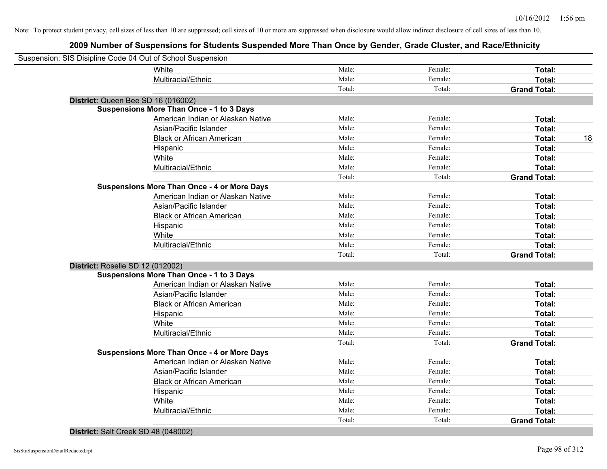### **2009 Number of Suspensions for Students Suspended More Than Once by Gender, Grade Cluster, and Race/Ethnicity**

| Suspension: SIS Disipline Code 04 Out of School Suspension |                                                    |        |         |                     |    |
|------------------------------------------------------------|----------------------------------------------------|--------|---------|---------------------|----|
|                                                            | White                                              | Male:  | Female: | Total:              |    |
|                                                            | Multiracial/Ethnic                                 | Male:  | Female: | Total:              |    |
|                                                            |                                                    | Total: | Total:  | <b>Grand Total:</b> |    |
|                                                            | District: Queen Bee SD 16 (016002)                 |        |         |                     |    |
|                                                            | <b>Suspensions More Than Once - 1 to 3 Days</b>    |        |         |                     |    |
|                                                            | American Indian or Alaskan Native                  | Male:  | Female: | Total:              |    |
|                                                            | Asian/Pacific Islander                             | Male:  | Female: | Total:              |    |
|                                                            | <b>Black or African American</b>                   | Male:  | Female: | Total:              | 18 |
|                                                            | Hispanic                                           | Male:  | Female: | Total:              |    |
|                                                            | White                                              | Male:  | Female: | Total:              |    |
|                                                            | Multiracial/Ethnic                                 | Male:  | Female: | Total:              |    |
|                                                            |                                                    | Total: | Total:  | <b>Grand Total:</b> |    |
|                                                            | <b>Suspensions More Than Once - 4 or More Days</b> |        |         |                     |    |
|                                                            | American Indian or Alaskan Native                  | Male:  | Female: | Total:              |    |
|                                                            | Asian/Pacific Islander                             | Male:  | Female: | Total:              |    |
|                                                            | <b>Black or African American</b>                   | Male:  | Female: | Total:              |    |
|                                                            | Hispanic                                           | Male:  | Female: | Total:              |    |
|                                                            | White                                              | Male:  | Female: | Total:              |    |
|                                                            | Multiracial/Ethnic                                 | Male:  | Female: | Total:              |    |
|                                                            |                                                    | Total: | Total:  | <b>Grand Total:</b> |    |
| District: Roselle SD 12 (012002)                           |                                                    |        |         |                     |    |
|                                                            | <b>Suspensions More Than Once - 1 to 3 Days</b>    |        |         |                     |    |
|                                                            | American Indian or Alaskan Native                  | Male:  | Female: | Total:              |    |
|                                                            | Asian/Pacific Islander                             | Male:  | Female: | Total:              |    |
|                                                            | <b>Black or African American</b>                   | Male:  | Female: | Total:              |    |
|                                                            | Hispanic                                           | Male:  | Female: | Total:              |    |
|                                                            | White                                              | Male:  | Female: | Total:              |    |
|                                                            | Multiracial/Ethnic                                 | Male:  | Female: | Total:              |    |
|                                                            |                                                    | Total: | Total:  | <b>Grand Total:</b> |    |
|                                                            | <b>Suspensions More Than Once - 4 or More Days</b> |        |         |                     |    |
|                                                            | American Indian or Alaskan Native                  | Male:  | Female: | Total:              |    |
|                                                            | Asian/Pacific Islander                             | Male:  | Female: | Total:              |    |
|                                                            | <b>Black or African American</b>                   | Male:  | Female: | Total:              |    |
|                                                            | Hispanic                                           | Male:  | Female: | Total:              |    |
|                                                            | White                                              | Male:  | Female: | Total:              |    |
|                                                            | Multiracial/Ethnic                                 | Male:  | Female: | Total:              |    |
|                                                            |                                                    | Total: | Total:  | <b>Grand Total:</b> |    |
|                                                            |                                                    |        |         |                     |    |

#### **District:** Salt Creek SD 48 (048002)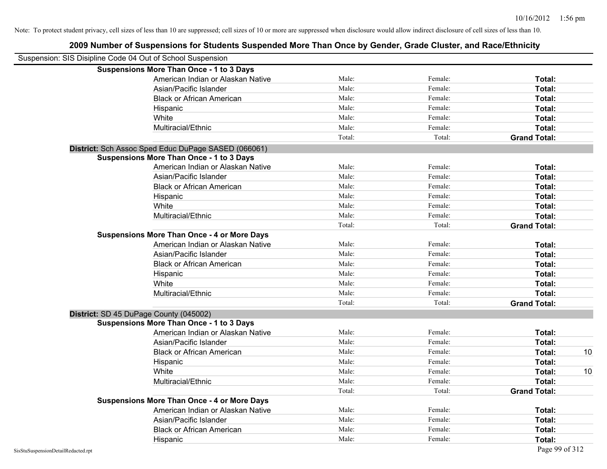| 2009 Number of Suspensions for Students Suspended More Than Once by Gender, Grade Cluster, and Race/Ethnicity |                                   |        |         |                     |    |
|---------------------------------------------------------------------------------------------------------------|-----------------------------------|--------|---------|---------------------|----|
| Suspension: SIS Disipline Code 04 Out of School Suspension                                                    |                                   |        |         |                     |    |
| <b>Suspensions More Than Once - 1 to 3 Days</b>                                                               |                                   |        |         |                     |    |
|                                                                                                               | American Indian or Alaskan Native | Male:  | Female: | Total:              |    |
| Asian/Pacific Islander                                                                                        |                                   | Male:  | Female: | Total:              |    |
|                                                                                                               | <b>Black or African American</b>  | Male:  | Female: | Total:              |    |
| Hispanic                                                                                                      |                                   | Male:  | Female: | Total:              |    |
| White                                                                                                         |                                   | Male:  | Female: | Total:              |    |
| Multiracial/Ethnic                                                                                            |                                   | Male:  | Female: | Total:              |    |
|                                                                                                               |                                   | Total: | Total:  | <b>Grand Total:</b> |    |
| District: Sch Assoc Sped Educ DuPage SASED (066061)                                                           |                                   |        |         |                     |    |
| <b>Suspensions More Than Once - 1 to 3 Days</b>                                                               |                                   |        |         |                     |    |
|                                                                                                               | American Indian or Alaskan Native | Male:  | Female: | Total:              |    |
| Asian/Pacific Islander                                                                                        |                                   | Male:  | Female: | Total:              |    |
|                                                                                                               | <b>Black or African American</b>  | Male:  | Female: | Total:              |    |
| Hispanic                                                                                                      |                                   | Male:  | Female: | Total:              |    |
| White                                                                                                         |                                   | Male:  | Female: | Total:              |    |
| Multiracial/Ethnic                                                                                            |                                   | Male:  | Female: | Total:              |    |
|                                                                                                               |                                   | Total: | Total:  | <b>Grand Total:</b> |    |
| <b>Suspensions More Than Once - 4 or More Days</b>                                                            |                                   |        |         |                     |    |
|                                                                                                               | American Indian or Alaskan Native | Male:  | Female: | Total:              |    |
| Asian/Pacific Islander                                                                                        |                                   | Male:  | Female: | Total:              |    |
|                                                                                                               | <b>Black or African American</b>  | Male:  | Female: | Total:              |    |
| Hispanic                                                                                                      |                                   | Male:  | Female: | Total:              |    |
| White                                                                                                         |                                   | Male:  | Female: | Total:              |    |
| Multiracial/Ethnic                                                                                            |                                   | Male:  | Female: | Total:              |    |
|                                                                                                               |                                   | Total: | Total:  | <b>Grand Total:</b> |    |
| District: SD 45 DuPage County (045002)                                                                        |                                   |        |         |                     |    |
| <b>Suspensions More Than Once - 1 to 3 Days</b>                                                               |                                   |        |         |                     |    |
|                                                                                                               | American Indian or Alaskan Native | Male:  | Female: | Total:              |    |
| Asian/Pacific Islander                                                                                        |                                   | Male:  | Female: | Total:              |    |
|                                                                                                               | <b>Black or African American</b>  | Male:  | Female: | Total:              | 10 |
| Hispanic                                                                                                      |                                   | Male:  | Female: | Total:              |    |
| White                                                                                                         |                                   | Male:  | Female: | Total:              | 10 |
| Multiracial/Ethnic                                                                                            |                                   | Male:  | Female: | Total:              |    |
|                                                                                                               |                                   | Total: | Total:  | <b>Grand Total:</b> |    |
| <b>Suspensions More Than Once - 4 or More Days</b>                                                            |                                   |        |         |                     |    |
|                                                                                                               | American Indian or Alaskan Native | Male:  | Female: | Total:              |    |
| Asian/Pacific Islander                                                                                        |                                   | Male:  | Female: | Total:              |    |
|                                                                                                               | <b>Black or African American</b>  | Male:  | Female: | Total:              |    |
| Hispanic                                                                                                      |                                   | Male:  | Female: | Total:              |    |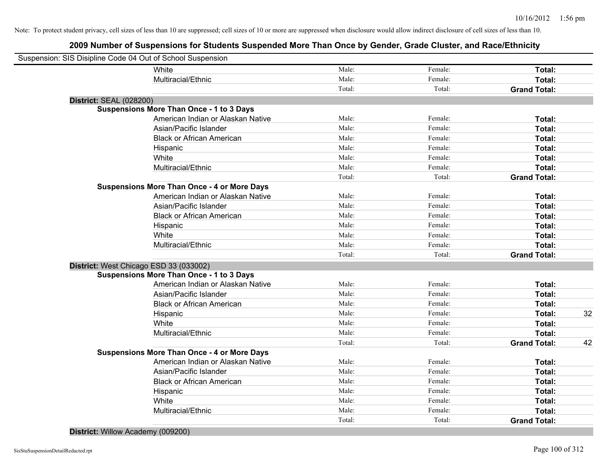### **2009 Number of Suspensions for Students Suspended More Than Once by Gender, Grade Cluster, and Race/Ethnicity**

|                                | Suspension: SIS Disipline Code 04 Out of School Suspension |        |         |                     |    |
|--------------------------------|------------------------------------------------------------|--------|---------|---------------------|----|
|                                | White                                                      | Male:  | Female: | Total:              |    |
|                                | Multiracial/Ethnic                                         | Male:  | Female: | Total:              |    |
|                                |                                                            | Total: | Total:  | <b>Grand Total:</b> |    |
| <b>District: SEAL (028200)</b> |                                                            |        |         |                     |    |
|                                | <b>Suspensions More Than Once - 1 to 3 Days</b>            |        |         |                     |    |
|                                | American Indian or Alaskan Native                          | Male:  | Female: | Total:              |    |
|                                | Asian/Pacific Islander                                     | Male:  | Female: | Total:              |    |
|                                | <b>Black or African American</b>                           | Male:  | Female: | Total:              |    |
|                                | Hispanic                                                   | Male:  | Female: | Total:              |    |
|                                | White                                                      | Male:  | Female: | Total:              |    |
|                                | Multiracial/Ethnic                                         | Male:  | Female: | Total:              |    |
|                                |                                                            | Total: | Total:  | <b>Grand Total:</b> |    |
|                                | <b>Suspensions More Than Once - 4 or More Days</b>         |        |         |                     |    |
|                                | American Indian or Alaskan Native                          | Male:  | Female: | Total:              |    |
|                                | Asian/Pacific Islander                                     | Male:  | Female: | Total:              |    |
|                                | <b>Black or African American</b>                           | Male:  | Female: | Total:              |    |
|                                | Hispanic                                                   | Male:  | Female: | Total:              |    |
|                                | White                                                      | Male:  | Female: | Total:              |    |
|                                | Multiracial/Ethnic                                         | Male:  | Female: | Total:              |    |
|                                |                                                            | Total: | Total:  | <b>Grand Total:</b> |    |
|                                | District: West Chicago ESD 33 (033002)                     |        |         |                     |    |
|                                | <b>Suspensions More Than Once - 1 to 3 Days</b>            |        |         |                     |    |
|                                | American Indian or Alaskan Native                          | Male:  | Female: | Total:              |    |
|                                | Asian/Pacific Islander                                     | Male:  | Female: | Total:              |    |
|                                | <b>Black or African American</b>                           | Male:  | Female: | Total:              |    |
|                                | Hispanic                                                   | Male:  | Female: | Total:              | 32 |
|                                | White                                                      | Male:  | Female: | Total:              |    |
|                                | Multiracial/Ethnic                                         | Male:  | Female: | Total:              |    |
|                                |                                                            | Total: | Total:  | <b>Grand Total:</b> | 42 |
|                                | <b>Suspensions More Than Once - 4 or More Days</b>         |        |         |                     |    |
|                                | American Indian or Alaskan Native                          | Male:  | Female: | Total:              |    |
|                                | Asian/Pacific Islander                                     | Male:  | Female: | Total:              |    |
|                                | <b>Black or African American</b>                           | Male:  | Female: | Total:              |    |
|                                | Hispanic                                                   | Male:  | Female: | Total:              |    |
|                                | White                                                      | Male:  | Female: | Total:              |    |
|                                | Multiracial/Ethnic                                         | Male:  | Female: | Total:              |    |
|                                |                                                            | Total: | Total:  | <b>Grand Total:</b> |    |
| . <b>.</b>                     |                                                            |        |         |                     |    |

**District:** Willow Academy (009200)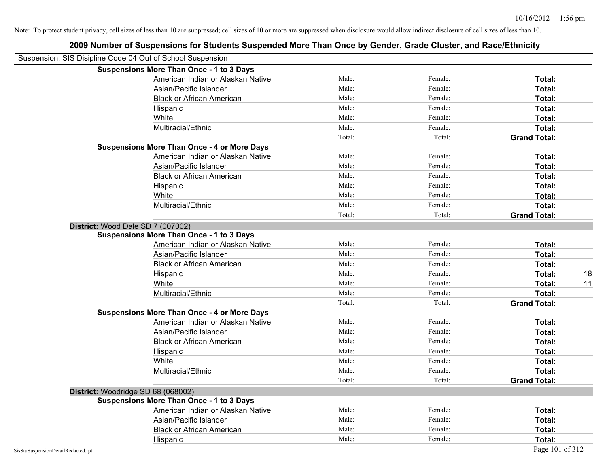|                                    | Suspension: SIS Disipline Code 04 Out of School Suspension |        |         |                     |
|------------------------------------|------------------------------------------------------------|--------|---------|---------------------|
|                                    | <b>Suspensions More Than Once - 1 to 3 Days</b>            |        |         |                     |
|                                    | American Indian or Alaskan Native                          | Male:  | Female: | Total:              |
|                                    | Asian/Pacific Islander                                     | Male:  | Female: | Total:              |
|                                    | <b>Black or African American</b>                           | Male:  | Female: | Total:              |
|                                    | Hispanic                                                   | Male:  | Female: | Total:              |
|                                    | White                                                      | Male:  | Female: | Total:              |
|                                    | Multiracial/Ethnic                                         | Male:  | Female: | Total:              |
|                                    |                                                            | Total: | Total:  | <b>Grand Total:</b> |
|                                    | <b>Suspensions More Than Once - 4 or More Days</b>         |        |         |                     |
|                                    | American Indian or Alaskan Native                          | Male:  | Female: | Total:              |
|                                    | Asian/Pacific Islander                                     | Male:  | Female: | Total:              |
|                                    | <b>Black or African American</b>                           | Male:  | Female: | Total:              |
|                                    | Hispanic                                                   | Male:  | Female: | Total:              |
|                                    | White                                                      | Male:  | Female: | Total:              |
|                                    | Multiracial/Ethnic                                         | Male:  | Female: | Total:              |
|                                    |                                                            | Total: | Total:  | <b>Grand Total:</b> |
|                                    | District: Wood Dale SD 7 (007002)                          |        |         |                     |
|                                    | <b>Suspensions More Than Once - 1 to 3 Days</b>            |        |         |                     |
|                                    | American Indian or Alaskan Native                          | Male:  | Female: | Total:              |
|                                    | Asian/Pacific Islander                                     | Male:  | Female: | Total:              |
|                                    | <b>Black or African American</b>                           | Male:  | Female: | Total:              |
|                                    | Hispanic                                                   | Male:  | Female: | 18<br>Total:        |
|                                    | White                                                      | Male:  | Female: | Total:<br>11        |
|                                    | Multiracial/Ethnic                                         | Male:  | Female: | Total:              |
|                                    |                                                            | Total: | Total:  | <b>Grand Total:</b> |
|                                    | <b>Suspensions More Than Once - 4 or More Days</b>         |        |         |                     |
|                                    | American Indian or Alaskan Native                          | Male:  | Female: | Total:              |
|                                    | Asian/Pacific Islander                                     | Male:  | Female: | Total:              |
|                                    | <b>Black or African American</b>                           | Male:  | Female: | Total:              |
|                                    | Hispanic                                                   | Male:  | Female: | Total:              |
|                                    | White                                                      | Male:  | Female: | Total:              |
|                                    | Multiracial/Ethnic                                         | Male:  | Female: | Total:              |
|                                    |                                                            | Total: | Total:  | <b>Grand Total:</b> |
|                                    | District: Woodridge SD 68 (068002)                         |        |         |                     |
|                                    | Suspensions More Than Once - 1 to 3 Days                   |        |         |                     |
|                                    | American Indian or Alaskan Native                          | Male:  | Female: | Total:              |
|                                    | Asian/Pacific Islander                                     | Male:  | Female: | Total:              |
|                                    | <b>Black or African American</b>                           | Male:  | Female: | Total:              |
|                                    | Hispanic                                                   | Male:  | Female: | Total:              |
| SisStuSuspensionDetailRedacted.rpt |                                                            |        |         | Page 101 of 312     |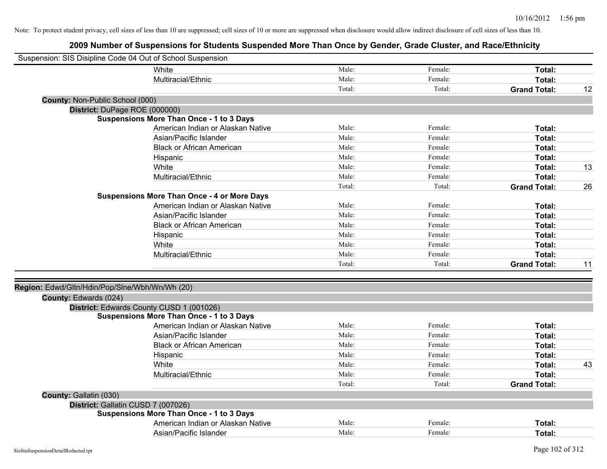| Suspension: SIS Disipline Code 04 Out of School Suspension |                                                    |        |         |                     |    |
|------------------------------------------------------------|----------------------------------------------------|--------|---------|---------------------|----|
|                                                            | White                                              | Male:  | Female: | Total:              |    |
|                                                            | Multiracial/Ethnic                                 | Male:  | Female: | Total:              |    |
|                                                            |                                                    | Total: | Total:  | <b>Grand Total:</b> | 12 |
| County: Non-Public School (000)                            |                                                    |        |         |                     |    |
| District: DuPage ROE (000000)                              |                                                    |        |         |                     |    |
|                                                            | <b>Suspensions More Than Once - 1 to 3 Days</b>    |        |         |                     |    |
|                                                            | American Indian or Alaskan Native                  | Male:  | Female: | Total:              |    |
|                                                            | Asian/Pacific Islander                             | Male:  | Female: | Total:              |    |
|                                                            | <b>Black or African American</b>                   | Male:  | Female: | Total:              |    |
|                                                            | Hispanic                                           | Male:  | Female: | Total:              |    |
|                                                            | White                                              | Male:  | Female: | Total:              | 13 |
|                                                            | Multiracial/Ethnic                                 | Male:  | Female: | Total:              |    |
|                                                            |                                                    | Total: | Total:  | <b>Grand Total:</b> | 26 |
|                                                            | <b>Suspensions More Than Once - 4 or More Days</b> |        |         |                     |    |
|                                                            | American Indian or Alaskan Native                  | Male:  | Female: | Total:              |    |
|                                                            | Asian/Pacific Islander                             | Male:  | Female: | Total:              |    |
|                                                            | <b>Black or African American</b>                   | Male:  | Female: | Total:              |    |
|                                                            | Hispanic                                           | Male:  | Female: | Total:              |    |
|                                                            | White                                              | Male:  | Female: | Total:              |    |
|                                                            | Multiracial/Ethnic                                 | Male:  | Female: | Total:              |    |
|                                                            |                                                    | Total: | Total:  | <b>Grand Total:</b> | 11 |
| Region: Edwd/Gltn/Hdin/Pop/Slne/Wbh/Wn/Wh (20)             |                                                    |        |         |                     |    |
| County: Edwards (024)                                      |                                                    |        |         |                     |    |
|                                                            | District: Edwards County CUSD 1 (001026)           |        |         |                     |    |
|                                                            | <b>Suspensions More Than Once - 1 to 3 Days</b>    |        |         |                     |    |
|                                                            | American Indian or Alaskan Native                  | Male:  | Female: | Total:              |    |
|                                                            | Asian/Pacific Islander                             | Male:  | Female: | Total:              |    |
|                                                            | <b>Black or African American</b>                   | Male:  | Female: | Total:              |    |
|                                                            | Hispanic                                           | Male:  | Female: | Total:              |    |
|                                                            | White                                              | Male:  | Female: | Total:              | 43 |
|                                                            | Multiracial/Ethnic                                 | Male:  | Female: | Total:              |    |
|                                                            |                                                    | Total: | Total:  | <b>Grand Total:</b> |    |
| County: Gallatin (030)                                     |                                                    |        |         |                     |    |
| District: Gallatin CUSD 7 (007026)                         |                                                    |        |         |                     |    |
|                                                            | Suspensions More Than Once - 1 to 3 Days           |        |         |                     |    |
|                                                            | American Indian or Alaskan Native                  | Male:  | Female: | Total:              |    |
|                                                            | Asian/Pacific Islander                             | Male:  | Female: | Total:              |    |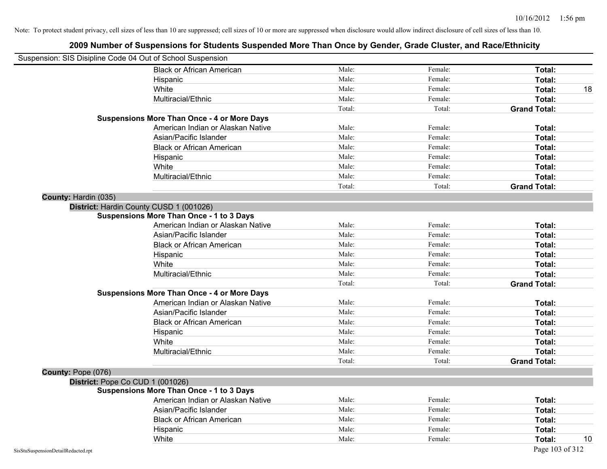| Suspension: SIS Disipline Code 04 Out of School Suspension |                                                    |        |         |                     |    |
|------------------------------------------------------------|----------------------------------------------------|--------|---------|---------------------|----|
|                                                            | <b>Black or African American</b>                   | Male:  | Female: | Total:              |    |
|                                                            | Hispanic                                           | Male:  | Female: | Total:              |    |
|                                                            | White                                              | Male:  | Female: | Total:              | 18 |
|                                                            | Multiracial/Ethnic                                 | Male:  | Female: | Total:              |    |
|                                                            |                                                    | Total: | Total:  | <b>Grand Total:</b> |    |
|                                                            | <b>Suspensions More Than Once - 4 or More Days</b> |        |         |                     |    |
|                                                            | American Indian or Alaskan Native                  | Male:  | Female: | Total:              |    |
|                                                            | Asian/Pacific Islander                             | Male:  | Female: | Total:              |    |
|                                                            | <b>Black or African American</b>                   | Male:  | Female: | Total:              |    |
|                                                            | Hispanic                                           | Male:  | Female: | Total:              |    |
|                                                            | White                                              | Male:  | Female: | Total:              |    |
|                                                            | Multiracial/Ethnic                                 | Male:  | Female: | Total:              |    |
|                                                            |                                                    | Total: | Total:  | <b>Grand Total:</b> |    |
| County: Hardin (035)                                       |                                                    |        |         |                     |    |
|                                                            | District: Hardin County CUSD 1 (001026)            |        |         |                     |    |
|                                                            | <b>Suspensions More Than Once - 1 to 3 Days</b>    |        |         |                     |    |
|                                                            | American Indian or Alaskan Native                  | Male:  | Female: | Total:              |    |
|                                                            | Asian/Pacific Islander                             | Male:  | Female: | Total:              |    |
|                                                            | <b>Black or African American</b>                   | Male:  | Female: | Total:              |    |
|                                                            | Hispanic                                           | Male:  | Female: | Total:              |    |
|                                                            | White                                              | Male:  | Female: | Total:              |    |
|                                                            | Multiracial/Ethnic                                 | Male:  | Female: | Total:              |    |
|                                                            |                                                    | Total: | Total:  | <b>Grand Total:</b> |    |
|                                                            | <b>Suspensions More Than Once - 4 or More Days</b> |        |         |                     |    |
|                                                            | American Indian or Alaskan Native                  | Male:  | Female: | Total:              |    |
|                                                            | Asian/Pacific Islander                             | Male:  | Female: | Total:              |    |
|                                                            | <b>Black or African American</b>                   | Male:  | Female: | Total:              |    |
|                                                            | Hispanic                                           | Male:  | Female: | Total:              |    |
|                                                            | White                                              | Male:  | Female: | Total:              |    |
|                                                            | Multiracial/Ethnic                                 | Male:  | Female: | Total:              |    |
|                                                            |                                                    | Total: | Total:  | <b>Grand Total:</b> |    |
| County: Pope (076)                                         |                                                    |        |         |                     |    |
|                                                            | District: Pope Co CUD 1 (001026)                   |        |         |                     |    |
|                                                            | <b>Suspensions More Than Once - 1 to 3 Days</b>    |        |         |                     |    |
|                                                            | American Indian or Alaskan Native                  | Male:  | Female: | Total:              |    |
|                                                            | Asian/Pacific Islander                             | Male:  | Female: | Total:              |    |
|                                                            | <b>Black or African American</b>                   | Male:  | Female: | Total:              |    |
|                                                            | Hispanic                                           | Male:  | Female: | Total:              |    |
|                                                            | White                                              | Male:  | Female: | Total:              | 10 |
| SisStuSuspensionDetailRedacted.rpt                         |                                                    |        |         | Page 103 of 312     |    |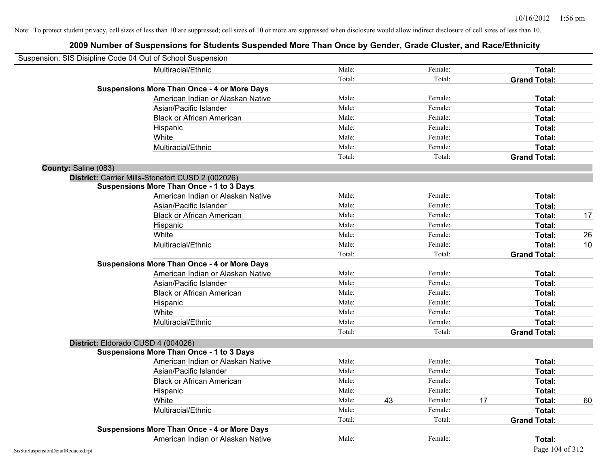|                      | Suspension: SIS Disipline Code 04 Out of School Suspension |        |    |         |    |                     |    |
|----------------------|------------------------------------------------------------|--------|----|---------|----|---------------------|----|
|                      | Multiracial/Ethnic                                         | Male:  |    | Female: |    | Total:              |    |
|                      |                                                            | Total: |    | Total:  |    | <b>Grand Total:</b> |    |
|                      | <b>Suspensions More Than Once - 4 or More Days</b>         |        |    |         |    |                     |    |
|                      | American Indian or Alaskan Native                          | Male:  |    | Female: |    | Total:              |    |
|                      | Asian/Pacific Islander                                     | Male:  |    | Female: |    | Total:              |    |
|                      | <b>Black or African American</b>                           | Male:  |    | Female: |    | Total:              |    |
|                      | Hispanic                                                   | Male:  |    | Female: |    | Total:              |    |
|                      | White                                                      | Male:  |    | Female: |    | Total:              |    |
|                      | Multiracial/Ethnic                                         | Male:  |    | Female: |    | Total:              |    |
|                      |                                                            | Total: |    | Total:  |    | <b>Grand Total:</b> |    |
| County: Saline (083) |                                                            |        |    |         |    |                     |    |
|                      | District: Carrier Mills-Stonefort CUSD 2 (002026)          |        |    |         |    |                     |    |
|                      | <b>Suspensions More Than Once - 1 to 3 Days</b>            |        |    |         |    |                     |    |
|                      | American Indian or Alaskan Native                          | Male:  |    | Female: |    | Total:              |    |
|                      | Asian/Pacific Islander                                     | Male:  |    | Female: |    | Total:              |    |
|                      | <b>Black or African American</b>                           | Male:  |    | Female: |    | Total:              | 17 |
|                      | Hispanic                                                   | Male:  |    | Female: |    | Total:              |    |
|                      | White                                                      | Male:  |    | Female: |    | Total:              | 26 |
|                      | Multiracial/Ethnic                                         | Male:  |    | Female: |    | Total:              | 10 |
|                      |                                                            | Total: |    | Total:  |    | <b>Grand Total:</b> |    |
|                      | <b>Suspensions More Than Once - 4 or More Days</b>         |        |    |         |    |                     |    |
|                      | American Indian or Alaskan Native                          | Male:  |    | Female: |    | Total:              |    |
|                      | Asian/Pacific Islander                                     | Male:  |    | Female: |    | Total:              |    |
|                      | <b>Black or African American</b>                           | Male:  |    | Female: |    | Total:              |    |
|                      | Hispanic                                                   | Male:  |    | Female: |    | Total:              |    |
|                      | White                                                      | Male:  |    | Female: |    | Total:              |    |
|                      | Multiracial/Ethnic                                         | Male:  |    | Female: |    | Total:              |    |
|                      |                                                            | Total: |    | Total:  |    | <b>Grand Total:</b> |    |
|                      | District: Eldorado CUSD 4 (004026)                         |        |    |         |    |                     |    |
|                      | <b>Suspensions More Than Once - 1 to 3 Days</b>            |        |    |         |    |                     |    |
|                      | American Indian or Alaskan Native                          | Male:  |    | Female: |    | Total:              |    |
|                      | Asian/Pacific Islander                                     | Male:  |    | Female: |    | Total:              |    |
|                      | <b>Black or African American</b>                           | Male:  |    | Female: |    | Total:              |    |
|                      | Hispanic                                                   | Male:  |    | Female: |    | Total:              |    |
|                      | White                                                      | Male:  | 43 | Female: | 17 | Total:              | 60 |
|                      | Multiracial/Ethnic                                         | Male:  |    | Female: |    | Total:              |    |
|                      |                                                            | Total: |    | Total:  |    | <b>Grand Total:</b> |    |
|                      | <b>Suspensions More Than Once - 4 or More Days</b>         |        |    |         |    |                     |    |
|                      | American Indian or Alaskan Native                          | Male:  |    | Female: |    | Total:              |    |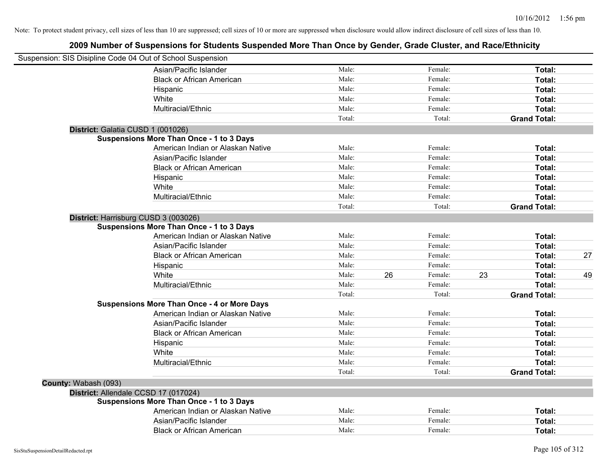| Suspension: SIS Disipline Code 04 Out of School Suspension |                                                    |        |               |        |                     |    |
|------------------------------------------------------------|----------------------------------------------------|--------|---------------|--------|---------------------|----|
|                                                            | Asian/Pacific Islander                             | Male:  | Female:       |        | Total:              |    |
|                                                            | <b>Black or African American</b>                   | Male:  | Female:       |        | Total:              |    |
|                                                            | Hispanic                                           | Male:  | Female:       |        | Total:              |    |
|                                                            | White                                              | Male:  | Female:       |        | Total:              |    |
|                                                            | Multiracial/Ethnic                                 | Male:  | Female:       |        | Total:              |    |
|                                                            |                                                    | Total: |               | Total: | <b>Grand Total:</b> |    |
| District: Galatia CUSD 1 (001026)                          |                                                    |        |               |        |                     |    |
|                                                            | <b>Suspensions More Than Once - 1 to 3 Days</b>    |        |               |        |                     |    |
|                                                            | American Indian or Alaskan Native                  | Male:  | Female:       |        | Total:              |    |
|                                                            | Asian/Pacific Islander                             | Male:  | Female:       |        | Total:              |    |
|                                                            | <b>Black or African American</b>                   | Male:  | Female:       |        | Total:              |    |
|                                                            | Hispanic                                           | Male:  | Female:       |        | Total:              |    |
|                                                            | White                                              | Male:  | Female:       |        | Total:              |    |
|                                                            | Multiracial/Ethnic                                 | Male:  | Female:       |        | Total:              |    |
|                                                            |                                                    | Total: |               | Total: | <b>Grand Total:</b> |    |
| District: Harrisburg CUSD 3 (003026)                       |                                                    |        |               |        |                     |    |
|                                                            | <b>Suspensions More Than Once - 1 to 3 Days</b>    |        |               |        |                     |    |
|                                                            | American Indian or Alaskan Native                  | Male:  | Female:       |        | Total:              |    |
|                                                            | Asian/Pacific Islander                             | Male:  | Female:       |        | Total:              |    |
|                                                            | <b>Black or African American</b>                   | Male:  | Female:       |        | Total:              | 27 |
|                                                            | Hispanic                                           | Male:  | Female:       |        | Total:              |    |
|                                                            | White                                              | Male:  | 26<br>Female: | 23     | Total:              | 49 |
|                                                            | Multiracial/Ethnic                                 | Male:  | Female:       |        | Total:              |    |
|                                                            |                                                    | Total: |               | Total: | <b>Grand Total:</b> |    |
|                                                            | <b>Suspensions More Than Once - 4 or More Days</b> |        |               |        |                     |    |
|                                                            | American Indian or Alaskan Native                  | Male:  | Female:       |        | Total:              |    |
|                                                            | Asian/Pacific Islander                             | Male:  | Female:       |        | Total:              |    |
|                                                            | <b>Black or African American</b>                   | Male:  | Female:       |        | Total:              |    |
|                                                            | Hispanic                                           | Male:  | Female:       |        | Total:              |    |
|                                                            | White                                              | Male:  | Female:       |        | Total:              |    |
|                                                            | Multiracial/Ethnic                                 | Male:  | Female:       |        | Total:              |    |
|                                                            |                                                    | Total: |               | Total: | <b>Grand Total:</b> |    |
| County: Wabash (093)                                       |                                                    |        |               |        |                     |    |
| District: Allendale CCSD 17 (017024)                       |                                                    |        |               |        |                     |    |
|                                                            | <b>Suspensions More Than Once - 1 to 3 Days</b>    |        |               |        |                     |    |
|                                                            | American Indian or Alaskan Native                  | Male:  | Female:       |        | Total:              |    |
|                                                            | Asian/Pacific Islander                             | Male:  | Female:       |        | Total:              |    |
|                                                            | <b>Black or African American</b>                   | Male:  | Female:       |        | Total:              |    |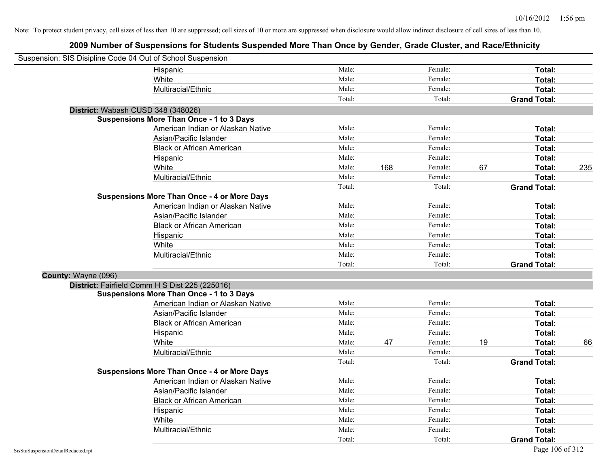| Suspension: SIS Disipline Code 04 Out of School Suspension |                                                    |        |     |         |    |                     |     |
|------------------------------------------------------------|----------------------------------------------------|--------|-----|---------|----|---------------------|-----|
|                                                            | Hispanic                                           | Male:  |     | Female: |    | Total:              |     |
|                                                            | White                                              | Male:  |     | Female: |    | Total:              |     |
|                                                            | Multiracial/Ethnic                                 | Male:  |     | Female: |    | Total:              |     |
|                                                            |                                                    | Total: |     | Total:  |    | <b>Grand Total:</b> |     |
| District: Wabash CUSD 348 (348026)                         |                                                    |        |     |         |    |                     |     |
|                                                            | <b>Suspensions More Than Once - 1 to 3 Days</b>    |        |     |         |    |                     |     |
|                                                            | American Indian or Alaskan Native                  | Male:  |     | Female: |    | Total:              |     |
|                                                            | Asian/Pacific Islander                             | Male:  |     | Female: |    | Total:              |     |
|                                                            | <b>Black or African American</b>                   | Male:  |     | Female: |    | Total:              |     |
|                                                            | Hispanic                                           | Male:  |     | Female: |    | Total:              |     |
|                                                            | White                                              | Male:  | 168 | Female: | 67 | Total:              | 235 |
|                                                            | Multiracial/Ethnic                                 | Male:  |     | Female: |    | Total:              |     |
|                                                            |                                                    | Total: |     | Total:  |    | <b>Grand Total:</b> |     |
|                                                            | <b>Suspensions More Than Once - 4 or More Days</b> |        |     |         |    |                     |     |
|                                                            | American Indian or Alaskan Native                  | Male:  |     | Female: |    | Total:              |     |
|                                                            | Asian/Pacific Islander                             | Male:  |     | Female: |    | Total:              |     |
|                                                            | <b>Black or African American</b>                   | Male:  |     | Female: |    | Total:              |     |
|                                                            | Hispanic                                           | Male:  |     | Female: |    | Total:              |     |
|                                                            | White                                              | Male:  |     | Female: |    | Total:              |     |
|                                                            | Multiracial/Ethnic                                 | Male:  |     | Female: |    | Total:              |     |
|                                                            |                                                    | Total: |     | Total:  |    | <b>Grand Total:</b> |     |
| County: Wayne (096)                                        |                                                    |        |     |         |    |                     |     |
|                                                            | District: Fairfield Comm H S Dist 225 (225016)     |        |     |         |    |                     |     |
|                                                            | <b>Suspensions More Than Once - 1 to 3 Days</b>    |        |     |         |    |                     |     |
|                                                            | American Indian or Alaskan Native                  | Male:  |     | Female: |    | Total:              |     |
|                                                            | Asian/Pacific Islander                             | Male:  |     | Female: |    | Total:              |     |
|                                                            | <b>Black or African American</b>                   | Male:  |     | Female: |    | Total:              |     |
|                                                            | Hispanic                                           | Male:  |     | Female: |    | Total:              |     |
|                                                            | White                                              | Male:  | 47  | Female: | 19 | Total:              | 66  |
|                                                            | Multiracial/Ethnic                                 | Male:  |     | Female: |    | Total:              |     |
|                                                            |                                                    | Total: |     | Total:  |    | <b>Grand Total:</b> |     |
|                                                            | <b>Suspensions More Than Once - 4 or More Days</b> |        |     |         |    |                     |     |
|                                                            | American Indian or Alaskan Native                  | Male:  |     | Female: |    | Total:              |     |
|                                                            | Asian/Pacific Islander                             | Male:  |     | Female: |    | Total:              |     |
|                                                            | <b>Black or African American</b>                   | Male:  |     | Female: |    | Total:              |     |
|                                                            | Hispanic                                           | Male:  |     | Female: |    | Total:              |     |
|                                                            | White                                              | Male:  |     | Female: |    | Total:              |     |
|                                                            | Multiracial/Ethnic                                 | Male:  |     | Female: |    | Total:              |     |
|                                                            |                                                    | Total: |     | Total:  |    | <b>Grand Total:</b> |     |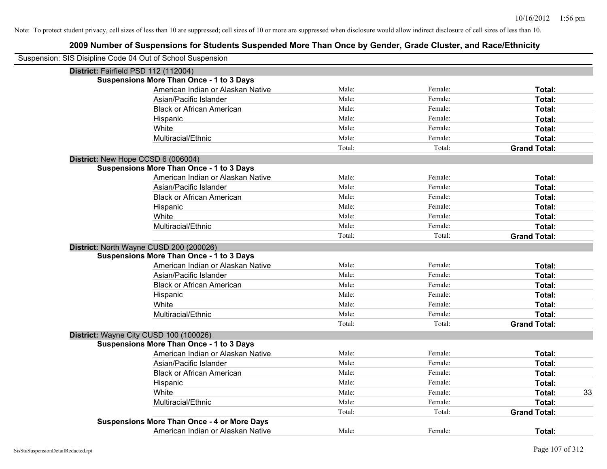| Suspension: SIS Disipline Code 04 Out of School Suspension |        |         |                     |
|------------------------------------------------------------|--------|---------|---------------------|
| District: Fairfield PSD 112 (112004)                       |        |         |                     |
| <b>Suspensions More Than Once - 1 to 3 Days</b>            |        |         |                     |
| American Indian or Alaskan Native                          | Male:  | Female: | Total:              |
| Asian/Pacific Islander                                     | Male:  | Female: | Total:              |
| <b>Black or African American</b>                           | Male:  | Female: | Total:              |
| Hispanic                                                   | Male:  | Female: | Total:              |
| White                                                      | Male:  | Female: | Total:              |
| Multiracial/Ethnic                                         | Male:  | Female: | Total:              |
|                                                            | Total: | Total:  | <b>Grand Total:</b> |
| District: New Hope CCSD 6 (006004)                         |        |         |                     |
| <b>Suspensions More Than Once - 1 to 3 Days</b>            |        |         |                     |
| American Indian or Alaskan Native                          | Male:  | Female: | Total:              |
| Asian/Pacific Islander                                     | Male:  | Female: | Total:              |
| <b>Black or African American</b>                           | Male:  | Female: | Total:              |
| Hispanic                                                   | Male:  | Female: | Total:              |
| White                                                      | Male:  | Female: | Total:              |
| Multiracial/Ethnic                                         | Male:  | Female: | Total:              |
|                                                            | Total: | Total:  | <b>Grand Total:</b> |
| District: North Wayne CUSD 200 (200026)                    |        |         |                     |
| <b>Suspensions More Than Once - 1 to 3 Days</b>            |        |         |                     |
| American Indian or Alaskan Native                          | Male:  | Female: | Total:              |
| Asian/Pacific Islander                                     | Male:  | Female: | Total:              |
| <b>Black or African American</b>                           | Male:  | Female: | Total:              |
| Hispanic                                                   | Male:  | Female: | Total:              |
| White                                                      | Male:  | Female: | Total:              |
| Multiracial/Ethnic                                         | Male:  | Female: | Total:              |
|                                                            | Total: | Total:  | <b>Grand Total:</b> |
| District: Wayne City CUSD 100 (100026)                     |        |         |                     |
| <b>Suspensions More Than Once - 1 to 3 Days</b>            |        |         |                     |
| American Indian or Alaskan Native                          | Male:  | Female: | <b>Total:</b>       |
| Asian/Pacific Islander                                     | Male:  | Female: | Total:              |
| <b>Black or African American</b>                           | Male:  | Female: | Total:              |
| Hispanic                                                   | Male:  | Female: | Total:              |
| White                                                      | Male:  | Female: | Total:<br>33        |
| Multiracial/Ethnic                                         | Male:  | Female: | Total:              |
|                                                            | Total: | Total:  | <b>Grand Total:</b> |
| <b>Suspensions More Than Once - 4 or More Days</b>         |        |         |                     |
| American Indian or Alaskan Native                          | Male:  | Female: | Total:              |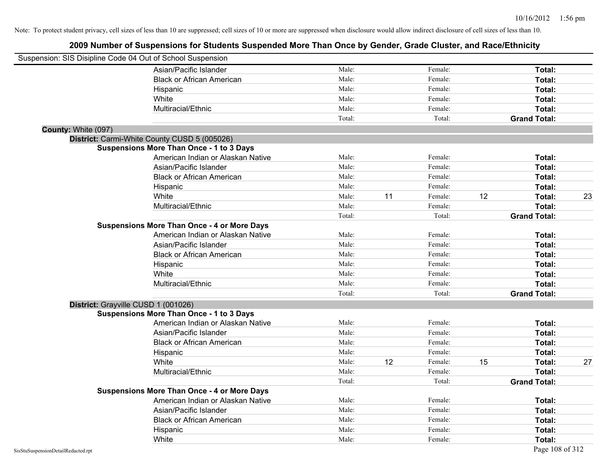|                     | Suspension: SIS Disipline Code 04 Out of School Suspension |        |    |         |    |                     |    |
|---------------------|------------------------------------------------------------|--------|----|---------|----|---------------------|----|
|                     | Asian/Pacific Islander                                     | Male:  |    | Female: |    | Total:              |    |
|                     | <b>Black or African American</b>                           | Male:  |    | Female: |    | Total:              |    |
|                     | Hispanic                                                   | Male:  |    | Female: |    | Total:              |    |
|                     | White                                                      | Male:  |    | Female: |    | Total:              |    |
|                     | Multiracial/Ethnic                                         | Male:  |    | Female: |    | Total:              |    |
|                     |                                                            | Total: |    | Total:  |    | <b>Grand Total:</b> |    |
| County: White (097) |                                                            |        |    |         |    |                     |    |
|                     | District: Carmi-White County CUSD 5 (005026)               |        |    |         |    |                     |    |
|                     | <b>Suspensions More Than Once - 1 to 3 Days</b>            |        |    |         |    |                     |    |
|                     | American Indian or Alaskan Native                          | Male:  |    | Female: |    | Total:              |    |
|                     | Asian/Pacific Islander                                     | Male:  |    | Female: |    | Total:              |    |
|                     | <b>Black or African American</b>                           | Male:  |    | Female: |    | Total:              |    |
|                     | Hispanic                                                   | Male:  |    | Female: |    | Total:              |    |
|                     | White                                                      | Male:  | 11 | Female: | 12 | Total:              | 23 |
|                     | Multiracial/Ethnic                                         | Male:  |    | Female: |    | Total:              |    |
|                     |                                                            | Total: |    | Total:  |    | <b>Grand Total:</b> |    |
|                     | <b>Suspensions More Than Once - 4 or More Days</b>         |        |    |         |    |                     |    |
|                     | American Indian or Alaskan Native                          | Male:  |    | Female: |    | Total:              |    |
|                     | Asian/Pacific Islander                                     | Male:  |    | Female: |    | Total:              |    |
|                     | <b>Black or African American</b>                           | Male:  |    | Female: |    | Total:              |    |
|                     | Hispanic                                                   | Male:  |    | Female: |    | Total:              |    |
|                     | White                                                      | Male:  |    | Female: |    | Total:              |    |
|                     | Multiracial/Ethnic                                         | Male:  |    | Female: |    | Total:              |    |
|                     |                                                            | Total: |    | Total:  |    | <b>Grand Total:</b> |    |
|                     | District: Grayville CUSD 1 (001026)                        |        |    |         |    |                     |    |
|                     | <b>Suspensions More Than Once - 1 to 3 Days</b>            |        |    |         |    |                     |    |
|                     | American Indian or Alaskan Native                          | Male:  |    | Female: |    | Total:              |    |
|                     | Asian/Pacific Islander                                     | Male:  |    | Female: |    | Total:              |    |
|                     | <b>Black or African American</b>                           | Male:  |    | Female: |    | Total:              |    |
|                     | Hispanic                                                   | Male:  |    | Female: |    | Total:              |    |
|                     | White                                                      | Male:  | 12 | Female: | 15 | Total:              | 27 |
|                     | Multiracial/Ethnic                                         | Male:  |    | Female: |    | Total:              |    |
|                     |                                                            | Total: |    | Total:  |    | <b>Grand Total:</b> |    |
|                     | <b>Suspensions More Than Once - 4 or More Days</b>         |        |    |         |    |                     |    |
|                     | American Indian or Alaskan Native                          | Male:  |    | Female: |    | Total:              |    |
|                     | Asian/Pacific Islander                                     | Male:  |    | Female: |    | Total:              |    |
|                     | <b>Black or African American</b>                           | Male:  |    | Female: |    | Total:              |    |
|                     | Hispanic                                                   | Male:  |    | Female: |    | Total:              |    |
|                     | White                                                      | Male:  |    | Female: |    | Total:              |    |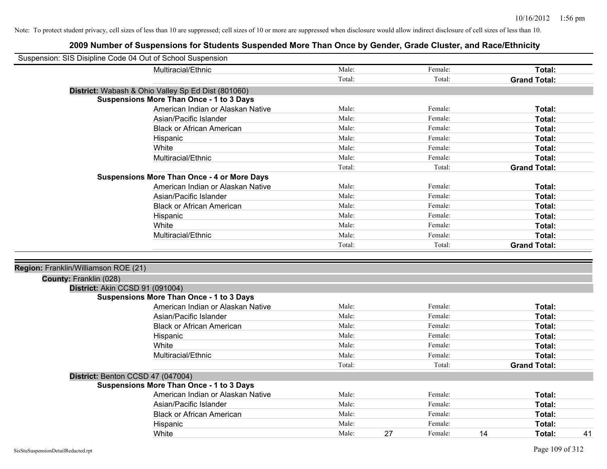| Suspension: SIS Disipline Code 04 Out of School Suspension |                                                    |        |    |         |    |                     |
|------------------------------------------------------------|----------------------------------------------------|--------|----|---------|----|---------------------|
|                                                            | Multiracial/Ethnic                                 | Male:  |    | Female: |    | Total:              |
|                                                            |                                                    | Total: |    | Total:  |    | <b>Grand Total:</b> |
|                                                            | District: Wabash & Ohio Valley Sp Ed Dist (801060) |        |    |         |    |                     |
|                                                            | <b>Suspensions More Than Once - 1 to 3 Days</b>    |        |    |         |    |                     |
|                                                            | American Indian or Alaskan Native                  | Male:  |    | Female: |    | Total:              |
|                                                            | Asian/Pacific Islander                             | Male:  |    | Female: |    | Total:              |
|                                                            | <b>Black or African American</b>                   | Male:  |    | Female: |    | Total:              |
|                                                            | Hispanic                                           | Male:  |    | Female: |    | Total:              |
|                                                            | White                                              | Male:  |    | Female: |    | Total:              |
|                                                            | Multiracial/Ethnic                                 | Male:  |    | Female: |    | Total:              |
|                                                            |                                                    | Total: |    | Total:  |    | <b>Grand Total:</b> |
|                                                            | <b>Suspensions More Than Once - 4 or More Days</b> |        |    |         |    |                     |
|                                                            | American Indian or Alaskan Native                  | Male:  |    | Female: |    | Total:              |
|                                                            | Asian/Pacific Islander                             | Male:  |    | Female: |    | Total:              |
|                                                            | <b>Black or African American</b>                   | Male:  |    | Female: |    | Total:              |
|                                                            | Hispanic                                           | Male:  |    | Female: |    | Total:              |
|                                                            | White                                              | Male:  |    | Female: |    | Total:              |
|                                                            | Multiracial/Ethnic                                 | Male:  |    | Female: |    | Total:              |
|                                                            |                                                    | Total: |    | Total:  |    | <b>Grand Total:</b> |
|                                                            |                                                    |        |    |         |    |                     |
| Region: Franklin/Williamson ROE (21)                       |                                                    |        |    |         |    |                     |
| County: Franklin (028)                                     |                                                    |        |    |         |    |                     |
|                                                            | District: Akin CCSD 91 (091004)                    |        |    |         |    |                     |
|                                                            | <b>Suspensions More Than Once - 1 to 3 Days</b>    |        |    |         |    |                     |
|                                                            | American Indian or Alaskan Native                  | Male:  |    | Female: |    | Total:              |
|                                                            | Asian/Pacific Islander                             | Male:  |    | Female: |    | Total:              |
|                                                            | <b>Black or African American</b>                   | Male:  |    | Female: |    | Total:              |
|                                                            | Hispanic                                           | Male:  |    | Female: |    | Total:              |
|                                                            | White                                              | Male:  |    | Female: |    | Total:              |
|                                                            | Multiracial/Ethnic                                 | Male:  |    | Female: |    | Total:              |
|                                                            |                                                    | Total: |    | Total:  |    | <b>Grand Total:</b> |
|                                                            | District: Benton CCSD 47 (047004)                  |        |    |         |    |                     |
|                                                            | <b>Suspensions More Than Once - 1 to 3 Days</b>    |        |    |         |    |                     |
|                                                            | American Indian or Alaskan Native                  | Male:  |    | Female: |    | Total:              |
|                                                            | Asian/Pacific Islander                             | Male:  |    | Female: |    | Total:              |
|                                                            | <b>Black or African American</b>                   | Male:  |    | Female: |    | Total:              |
|                                                            | Hispanic                                           | Male:  |    | Female: |    | <b>Total:</b>       |
|                                                            | White                                              | Male:  | 27 | Female: | 14 | Total:<br>41        |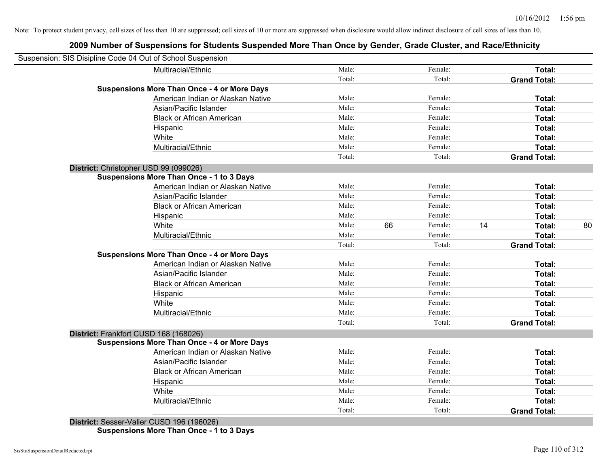## **2009 Number of Suspensions for Students Suspended More Than Once by Gender, Grade Cluster, and Race/Ethnicity**

| Suspension: SIS Disipline Code 04 Out of School Suspension |        |               |                     |    |
|------------------------------------------------------------|--------|---------------|---------------------|----|
| Multiracial/Ethnic                                         | Male:  | Female:       | Total:              |    |
|                                                            | Total: | Total:        | <b>Grand Total:</b> |    |
| <b>Suspensions More Than Once - 4 or More Days</b>         |        |               |                     |    |
| American Indian or Alaskan Native                          | Male:  | Female:       | Total:              |    |
| Asian/Pacific Islander                                     | Male:  | Female:       | Total:              |    |
| <b>Black or African American</b>                           | Male:  | Female:       | Total:              |    |
| Hispanic                                                   | Male:  | Female:       | Total:              |    |
| White                                                      | Male:  | Female:       | Total:              |    |
| Multiracial/Ethnic                                         | Male:  | Female:       | Total:              |    |
|                                                            | Total: | Total:        | <b>Grand Total:</b> |    |
| District: Christopher USD 99 (099026)                      |        |               |                     |    |
| <b>Suspensions More Than Once - 1 to 3 Days</b>            |        |               |                     |    |
| American Indian or Alaskan Native                          | Male:  | Female:       | Total:              |    |
| Asian/Pacific Islander                                     | Male:  | Female:       | Total:              |    |
| <b>Black or African American</b>                           | Male:  | Female:       | Total:              |    |
| Hispanic                                                   | Male:  | Female:       | Total:              |    |
| White                                                      | Male:  | 66<br>Female: | 14<br>Total:        | 80 |
| Multiracial/Ethnic                                         | Male:  | Female:       | Total:              |    |
|                                                            | Total: | Total:        | <b>Grand Total:</b> |    |
| <b>Suspensions More Than Once - 4 or More Days</b>         |        |               |                     |    |
| American Indian or Alaskan Native                          | Male:  | Female:       | Total:              |    |
| Asian/Pacific Islander                                     | Male:  | Female:       | Total:              |    |
| <b>Black or African American</b>                           | Male:  | Female:       | Total:              |    |
| Hispanic                                                   | Male:  | Female:       | Total:              |    |
| White                                                      | Male:  | Female:       | Total:              |    |
| Multiracial/Ethnic                                         | Male:  | Female:       | Total:              |    |
|                                                            | Total: | Total:        | <b>Grand Total:</b> |    |
| District: Frankfort CUSD 168 (168026)                      |        |               |                     |    |
| <b>Suspensions More Than Once - 4 or More Days</b>         |        |               |                     |    |
| American Indian or Alaskan Native                          | Male:  | Female:       | Total:              |    |
| Asian/Pacific Islander                                     | Male:  | Female:       | Total:              |    |
| <b>Black or African American</b>                           | Male:  | Female:       | Total:              |    |
| Hispanic                                                   | Male:  | Female:       | Total:              |    |
| White                                                      | Male:  | Female:       | Total:              |    |
| Multiracial/Ethnic                                         | Male:  | Female:       | Total:              |    |
|                                                            | Total: | Total:        | <b>Grand Total:</b> |    |
| District: Sesser-Valier CUSD 196 (196026)                  |        |               |                     |    |

**Suspensions More Than Once - 1 to 3 Days**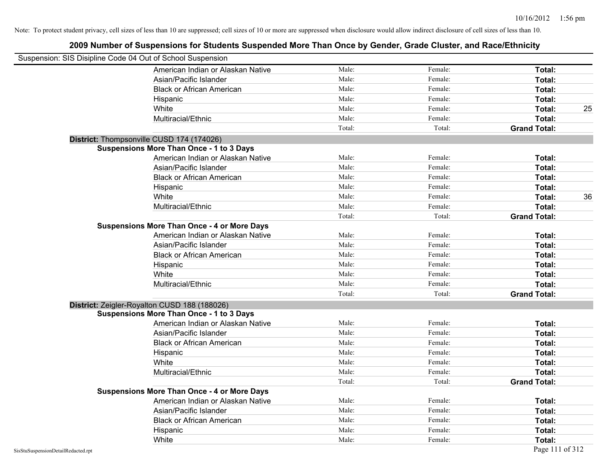| Note: To protect student privacy, cell sizes of less than 10 are suppressed; cell sizes of 10 or more are suppressed when disclosure would allow indirect disclosure of cell sizes of less than 10. |        |         |                     |    |
|-----------------------------------------------------------------------------------------------------------------------------------------------------------------------------------------------------|--------|---------|---------------------|----|
| 2009 Number of Suspensions for Students Suspended More Than Once by Gender, Grade Cluster, and Race/Ethnicity                                                                                       |        |         |                     |    |
| Suspension: SIS Disipline Code 04 Out of School Suspension                                                                                                                                          |        |         |                     |    |
| American Indian or Alaskan Native                                                                                                                                                                   | Male:  | Female: | Total:              |    |
| Asian/Pacific Islander                                                                                                                                                                              | Male:  | Female: | Total:              |    |
| <b>Black or African American</b>                                                                                                                                                                    | Male:  | Female: | Total:              |    |
| Hispanic                                                                                                                                                                                            | Male:  | Female: | Total:              |    |
| White                                                                                                                                                                                               | Male:  | Female: | Total:              | 25 |
| Multiracial/Ethnic                                                                                                                                                                                  | Male:  | Female: | Total:              |    |
|                                                                                                                                                                                                     | Total: | Total:  | <b>Grand Total:</b> |    |
| District: Thompsonville CUSD 174 (174026)                                                                                                                                                           |        |         |                     |    |
| <b>Suspensions More Than Once - 1 to 3 Days</b>                                                                                                                                                     |        |         |                     |    |
| American Indian or Alaskan Native                                                                                                                                                                   | Male:  | Female: | Total:              |    |
| Asian/Pacific Islander                                                                                                                                                                              | Male:  | Female: | Total:              |    |
| <b>Black or African American</b>                                                                                                                                                                    | Male:  | Female: | Total:              |    |
| Hispanic                                                                                                                                                                                            | Male:  | Female: | Total:              |    |
| White                                                                                                                                                                                               | Male:  | Female: | Total:              | 36 |
| Multiracial/Ethnic                                                                                                                                                                                  | Male:  | Female: | Total:              |    |
|                                                                                                                                                                                                     | Total: | Total:  | <b>Grand Total:</b> |    |
| <b>Suspensions More Than Once - 4 or More Days</b>                                                                                                                                                  |        |         |                     |    |
| American Indian or Alaskan Native                                                                                                                                                                   | Male:  | Female: | Total:              |    |
| Asian/Pacific Islander                                                                                                                                                                              | Male:  | Female: | Total:              |    |
| <b>Black or African American</b>                                                                                                                                                                    | Male:  | Female: | Total:              |    |
| Hispanic                                                                                                                                                                                            | Male:  | Female: | Total:              |    |
| White                                                                                                                                                                                               | Male:  | Female: | Total:              |    |
| Multiracial/Ethnic                                                                                                                                                                                  | Male:  | Female: | Total:              |    |
|                                                                                                                                                                                                     | Total: | Total:  | <b>Grand Total:</b> |    |
| District: Zeigler-Royalton CUSD 188 (188026)                                                                                                                                                        |        |         |                     |    |
| <b>Suspensions More Than Once - 1 to 3 Days</b>                                                                                                                                                     |        |         |                     |    |
| American Indian or Alaskan Native                                                                                                                                                                   | Male:  | Female: | Total:              |    |
| Asian/Pacific Islander                                                                                                                                                                              | Male:  | Female: | Total:              |    |
| <b>Black or African American</b>                                                                                                                                                                    | Male:  | Female: | Total:              |    |
| Hispanic                                                                                                                                                                                            | Male:  | Female: | Total:              |    |
| White                                                                                                                                                                                               | Male:  | Female: | Total:              |    |
| Multiracial/Ethnic                                                                                                                                                                                  | Male:  | Female: | Total:              |    |
|                                                                                                                                                                                                     | Total: | Total:  | <b>Grand Total:</b> |    |

#### **Suspensions More Than Once - 4 or More Days**

| 016 THAN 101106 - 4 01 MOTE DAYS  |       |         |        |
|-----------------------------------|-------|---------|--------|
| American Indian or Alaskan Native | Male: | Female: | Total: |
| Asian/Pacific Islander            | Male: | Female: | Total: |
| Black or African American         | Male: | Female: | Total: |
| Hispanic                          | Male: | Female: | Total: |
| White                             | Male: | Female: | Total: |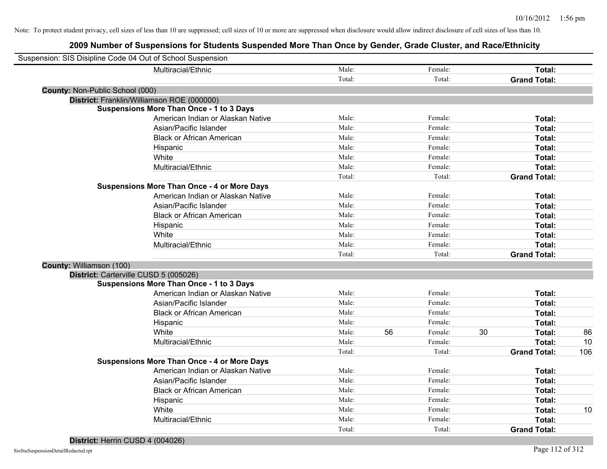## **2009 Number of Suspensions for Students Suspended More Than Once by Gender, Grade Cluster, and Race/Ethnicity**

|                                        | Suspension: SIS Disipline Code 04 Out of School Suspension |        |    |         |    |                     |     |
|----------------------------------------|------------------------------------------------------------|--------|----|---------|----|---------------------|-----|
|                                        | Multiracial/Ethnic                                         | Male:  |    | Female: |    | Total:              |     |
|                                        |                                                            | Total: |    | Total:  |    | <b>Grand Total:</b> |     |
| <b>County: Non-Public School (000)</b> |                                                            |        |    |         |    |                     |     |
|                                        | District: Franklin/Williamson ROE (000000)                 |        |    |         |    |                     |     |
|                                        | <b>Suspensions More Than Once - 1 to 3 Days</b>            |        |    |         |    |                     |     |
|                                        | American Indian or Alaskan Native                          | Male:  |    | Female: |    | Total:              |     |
|                                        | Asian/Pacific Islander                                     | Male:  |    | Female: |    | Total:              |     |
|                                        | <b>Black or African American</b>                           | Male:  |    | Female: |    | Total:              |     |
|                                        | Hispanic                                                   | Male:  |    | Female: |    | Total:              |     |
|                                        | White                                                      | Male:  |    | Female: |    | Total:              |     |
|                                        | Multiracial/Ethnic                                         | Male:  |    | Female: |    | Total:              |     |
|                                        |                                                            | Total: |    | Total:  |    | <b>Grand Total:</b> |     |
|                                        | <b>Suspensions More Than Once - 4 or More Days</b>         |        |    |         |    |                     |     |
|                                        | American Indian or Alaskan Native                          | Male:  |    | Female: |    | Total:              |     |
|                                        | Asian/Pacific Islander                                     | Male:  |    | Female: |    | Total:              |     |
|                                        | <b>Black or African American</b>                           | Male:  |    | Female: |    | Total:              |     |
|                                        | Hispanic                                                   | Male:  |    | Female: |    | Total:              |     |
|                                        | White                                                      | Male:  |    | Female: |    | Total:              |     |
|                                        | Multiracial/Ethnic                                         | Male:  |    | Female: |    | Total:              |     |
|                                        |                                                            | Total: |    | Total:  |    | <b>Grand Total:</b> |     |
| County: Williamson (100)               |                                                            |        |    |         |    |                     |     |
|                                        | District: Carterville CUSD 5 (005026)                      |        |    |         |    |                     |     |
|                                        | <b>Suspensions More Than Once - 1 to 3 Days</b>            |        |    |         |    |                     |     |
|                                        | American Indian or Alaskan Native                          | Male:  |    | Female: |    | Total:              |     |
|                                        | Asian/Pacific Islander                                     | Male:  |    | Female: |    | Total:              |     |
|                                        | <b>Black or African American</b>                           | Male:  |    | Female: |    | Total:              |     |
|                                        | Hispanic                                                   | Male:  |    | Female: |    | Total:              |     |
|                                        | White                                                      | Male:  | 56 | Female: | 30 | Total:              | 86  |
|                                        | Multiracial/Ethnic                                         | Male:  |    | Female: |    | Total:              | 10  |
|                                        |                                                            | Total: |    | Total:  |    | <b>Grand Total:</b> | 106 |
|                                        | <b>Suspensions More Than Once - 4 or More Days</b>         |        |    |         |    |                     |     |
|                                        | American Indian or Alaskan Native                          | Male:  |    | Female: |    | Total:              |     |
|                                        | Asian/Pacific Islander                                     | Male:  |    | Female: |    | Total:              |     |
|                                        | <b>Black or African American</b>                           | Male:  |    | Female: |    | Total:              |     |
|                                        | Hispanic                                                   | Male:  |    | Female: |    | Total:              |     |
|                                        | White                                                      | Male:  |    | Female: |    | Total:              | 10  |
|                                        | Multiracial/Ethnic                                         | Male:  |    | Female: |    | Total:              |     |
|                                        |                                                            | Total: |    | Total:  |    | <b>Grand Total:</b> |     |

**District:** Herrin CUSD 4 (004026)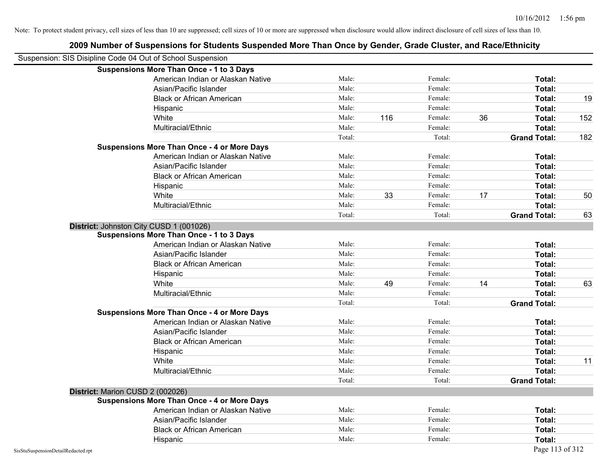|                                    | <b>Suspensions More Than Once - 1 to 3 Days</b>    |        |     |         |    |                     |     |
|------------------------------------|----------------------------------------------------|--------|-----|---------|----|---------------------|-----|
|                                    | American Indian or Alaskan Native                  | Male:  |     | Female: |    | Total:              |     |
|                                    | Asian/Pacific Islander                             | Male:  |     | Female: |    | Total:              |     |
|                                    | <b>Black or African American</b>                   | Male:  |     | Female: |    | Total:              | 19  |
|                                    | Hispanic                                           | Male:  |     | Female: |    | Total:              |     |
|                                    | White                                              | Male:  | 116 | Female: | 36 | Total:              | 152 |
|                                    | Multiracial/Ethnic                                 | Male:  |     | Female: |    | Total:              |     |
|                                    |                                                    | Total: |     | Total:  |    | <b>Grand Total:</b> | 182 |
|                                    | <b>Suspensions More Than Once - 4 or More Days</b> |        |     |         |    |                     |     |
|                                    | American Indian or Alaskan Native                  | Male:  |     | Female: |    | Total:              |     |
|                                    | Asian/Pacific Islander                             | Male:  |     | Female: |    | Total:              |     |
|                                    | <b>Black or African American</b>                   | Male:  |     | Female: |    | Total:              |     |
|                                    | Hispanic                                           | Male:  |     | Female: |    | Total:              |     |
|                                    | White                                              | Male:  | 33  | Female: | 17 | Total:              | 50  |
|                                    | Multiracial/Ethnic                                 | Male:  |     | Female: |    | Total:              |     |
|                                    |                                                    | Total: |     | Total:  |    | <b>Grand Total:</b> | 63  |
|                                    | District: Johnston City CUSD 1 (001026)            |        |     |         |    |                     |     |
|                                    | <b>Suspensions More Than Once - 1 to 3 Days</b>    |        |     |         |    |                     |     |
|                                    | American Indian or Alaskan Native                  | Male:  |     | Female: |    | Total:              |     |
|                                    | Asian/Pacific Islander                             | Male:  |     | Female: |    | Total:              |     |
|                                    | <b>Black or African American</b>                   | Male:  |     | Female: |    | Total:              |     |
|                                    | Hispanic                                           | Male:  |     | Female: |    | Total:              |     |
|                                    | White                                              | Male:  | 49  | Female: | 14 | Total:              | 63  |
|                                    | Multiracial/Ethnic                                 | Male:  |     | Female: |    | Total:              |     |
|                                    |                                                    | Total: |     | Total:  |    | <b>Grand Total:</b> |     |
|                                    | <b>Suspensions More Than Once - 4 or More Days</b> |        |     |         |    |                     |     |
|                                    | American Indian or Alaskan Native                  | Male:  |     | Female: |    | Total:              |     |
|                                    | Asian/Pacific Islander                             | Male:  |     | Female: |    | Total:              |     |
|                                    | <b>Black or African American</b>                   | Male:  |     | Female: |    | Total:              |     |
|                                    | Hispanic                                           | Male:  |     | Female: |    | Total:              |     |
|                                    | White                                              | Male:  |     | Female: |    | Total:              | 11  |
|                                    | Multiracial/Ethnic                                 | Male:  |     | Female: |    | Total:              |     |
|                                    |                                                    | Total: |     | Total:  |    | <b>Grand Total:</b> |     |
|                                    | District: Marion CUSD 2 (002026)                   |        |     |         |    |                     |     |
|                                    | <b>Suspensions More Than Once - 4 or More Days</b> |        |     |         |    |                     |     |
|                                    | American Indian or Alaskan Native                  | Male:  |     | Female: |    | Total:              |     |
|                                    | Asian/Pacific Islander                             | Male:  |     | Female: |    | Total:              |     |
|                                    | <b>Black or African American</b>                   | Male:  |     | Female: |    | Total:              |     |
|                                    | Hispanic                                           | Male:  |     | Female: |    | Total:              |     |
| SisStuSuspensionDetailRedacted.rpt |                                                    |        |     |         |    | Page 113 of 312     |     |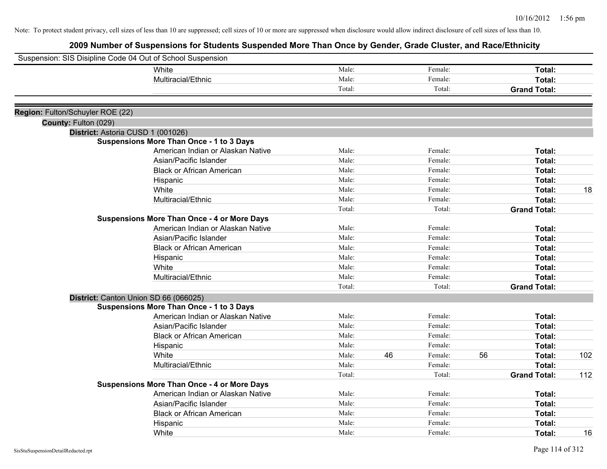| Suspension: SIS Disipline Code 04 Out of School Suspension |                                                                                         |                |    |                    |    |                     |     |
|------------------------------------------------------------|-----------------------------------------------------------------------------------------|----------------|----|--------------------|----|---------------------|-----|
|                                                            | White                                                                                   | Male:          |    | Female:            |    | Total:              |     |
|                                                            | Multiracial/Ethnic                                                                      | Male:          |    | Female:            |    | Total:              |     |
|                                                            |                                                                                         | Total:         |    | Total:             |    | <b>Grand Total:</b> |     |
|                                                            |                                                                                         |                |    |                    |    |                     |     |
| Region: Fulton/Schuyler ROE (22)                           |                                                                                         |                |    |                    |    |                     |     |
| County: Fulton (029)                                       |                                                                                         |                |    |                    |    |                     |     |
|                                                            | District: Astoria CUSD 1 (001026)                                                       |                |    |                    |    |                     |     |
|                                                            | <b>Suspensions More Than Once - 1 to 3 Days</b>                                         |                |    |                    |    |                     |     |
|                                                            | American Indian or Alaskan Native                                                       | Male:<br>Male: |    | Female:<br>Female: |    | Total:              |     |
|                                                            | Asian/Pacific Islander                                                                  | Male:          |    | Female:            |    | Total:              |     |
|                                                            | <b>Black or African American</b>                                                        | Male:          |    | Female:            |    | Total:              |     |
|                                                            | Hispanic<br>White                                                                       | Male:          |    | Female:            |    | Total:<br>Total:    |     |
|                                                            | Multiracial/Ethnic                                                                      | Male:          |    | Female:            |    | Total:              | 18  |
|                                                            |                                                                                         | Total:         |    | Total:             |    |                     |     |
|                                                            | <b>Suspensions More Than Once - 4 or More Days</b>                                      |                |    |                    |    | <b>Grand Total:</b> |     |
|                                                            | American Indian or Alaskan Native                                                       | Male:          |    | Female:            |    | Total:              |     |
|                                                            | Asian/Pacific Islander                                                                  | Male:          |    | Female:            |    | Total:              |     |
|                                                            | <b>Black or African American</b>                                                        | Male:          |    | Female:            |    | Total:              |     |
|                                                            |                                                                                         | Male:          |    | Female:            |    | Total:              |     |
|                                                            | Hispanic<br>White                                                                       | Male:          |    | Female:            |    | Total:              |     |
|                                                            | Multiracial/Ethnic                                                                      | Male:          |    | Female:            |    | Total:              |     |
|                                                            |                                                                                         | Total:         |    | Total:             |    |                     |     |
|                                                            |                                                                                         |                |    |                    |    | <b>Grand Total:</b> |     |
|                                                            | District: Canton Union SD 66 (066025)                                                   |                |    |                    |    |                     |     |
|                                                            | <b>Suspensions More Than Once - 1 to 3 Days</b>                                         | Male:          |    |                    |    |                     |     |
|                                                            | American Indian or Alaskan Native                                                       | Male:          |    | Female:            |    | Total:              |     |
|                                                            | Asian/Pacific Islander                                                                  | Male:          |    | Female:            |    | Total:              |     |
|                                                            | <b>Black or African American</b>                                                        |                |    | Female:            |    | Total:              |     |
|                                                            | Hispanic                                                                                | Male:          |    | Female:            |    | Total:              |     |
|                                                            | White                                                                                   | Male:          | 46 | Female:            | 56 | Total:              | 102 |
|                                                            | Multiracial/Ethnic                                                                      | Male:          |    | Female:            |    | Total:              |     |
|                                                            |                                                                                         | Total:         |    | Total:             |    | <b>Grand Total:</b> | 112 |
|                                                            | <b>Suspensions More Than Once - 4 or More Days</b><br>American Indian or Alaskan Native | Male:          |    | Female:            |    |                     |     |
|                                                            | Asian/Pacific Islander                                                                  | Male:          |    | Female:            |    | Total:              |     |
|                                                            |                                                                                         | Male:          |    | Female:            |    | Total:              |     |
|                                                            | <b>Black or African American</b>                                                        | Male:          |    | Female:            |    | Total:              |     |
|                                                            | Hispanic                                                                                |                |    |                    |    | <b>Total:</b>       |     |
|                                                            | White                                                                                   | Male:          |    | Female:            |    | Total:              | 16  |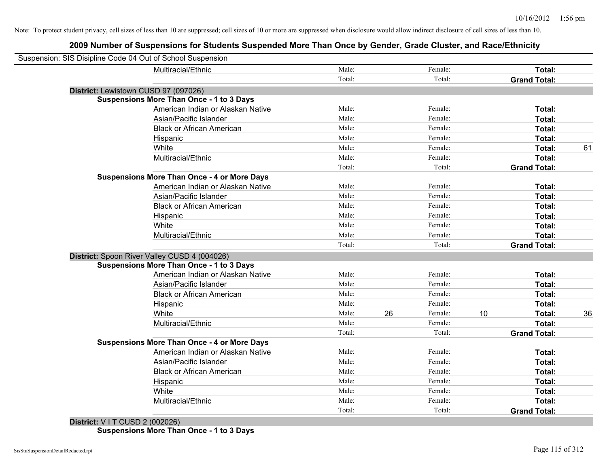## **2009 Number of Suspensions for Students Suspended More Than Once by Gender, Grade Cluster, and Race/Ethnicity**

| Suspension: SIS Disipline Code 04 Out of School Suspension |                                                    |        |    |         |    |                     |    |
|------------------------------------------------------------|----------------------------------------------------|--------|----|---------|----|---------------------|----|
|                                                            | Multiracial/Ethnic                                 | Male:  |    | Female: |    | Total:              |    |
|                                                            |                                                    | Total: |    | Total:  |    | <b>Grand Total:</b> |    |
| District: Lewistown CUSD 97 (097026)                       |                                                    |        |    |         |    |                     |    |
|                                                            | <b>Suspensions More Than Once - 1 to 3 Days</b>    |        |    |         |    |                     |    |
|                                                            | American Indian or Alaskan Native                  | Male:  |    | Female: |    | Total:              |    |
|                                                            | Asian/Pacific Islander                             | Male:  |    | Female: |    | Total:              |    |
|                                                            | <b>Black or African American</b>                   | Male:  |    | Female: |    | Total:              |    |
|                                                            | Hispanic                                           | Male:  |    | Female: |    | Total:              |    |
|                                                            | White                                              | Male:  |    | Female: |    | Total:              | 61 |
|                                                            | Multiracial/Ethnic                                 | Male:  |    | Female: |    | Total:              |    |
|                                                            |                                                    | Total: |    | Total:  |    | <b>Grand Total:</b> |    |
|                                                            | <b>Suspensions More Than Once - 4 or More Days</b> |        |    |         |    |                     |    |
|                                                            | American Indian or Alaskan Native                  | Male:  |    | Female: |    | Total:              |    |
|                                                            | Asian/Pacific Islander                             | Male:  |    | Female: |    | Total:              |    |
|                                                            | <b>Black or African American</b>                   | Male:  |    | Female: |    | Total:              |    |
|                                                            | Hispanic                                           | Male:  |    | Female: |    | Total:              |    |
|                                                            | White                                              | Male:  |    | Female: |    | Total:              |    |
|                                                            | Multiracial/Ethnic                                 | Male:  |    | Female: |    | Total:              |    |
|                                                            |                                                    | Total: |    | Total:  |    | <b>Grand Total:</b> |    |
|                                                            | District: Spoon River Valley CUSD 4 (004026)       |        |    |         |    |                     |    |
|                                                            | <b>Suspensions More Than Once - 1 to 3 Days</b>    |        |    |         |    |                     |    |
|                                                            | American Indian or Alaskan Native                  | Male:  |    | Female: |    | Total:              |    |
|                                                            | Asian/Pacific Islander                             | Male:  |    | Female: |    | Total:              |    |
|                                                            | <b>Black or African American</b>                   | Male:  |    | Female: |    | Total:              |    |
|                                                            | Hispanic                                           | Male:  |    | Female: |    | Total:              |    |
|                                                            | White                                              | Male:  | 26 | Female: | 10 | Total:              | 36 |
|                                                            | Multiracial/Ethnic                                 | Male:  |    | Female: |    | Total:              |    |
|                                                            |                                                    | Total: |    | Total:  |    | <b>Grand Total:</b> |    |
|                                                            | <b>Suspensions More Than Once - 4 or More Days</b> |        |    |         |    |                     |    |
|                                                            | American Indian or Alaskan Native                  | Male:  |    | Female: |    | Total:              |    |
|                                                            | Asian/Pacific Islander                             | Male:  |    | Female: |    | Total:              |    |
|                                                            | <b>Black or African American</b>                   | Male:  |    | Female: |    | Total:              |    |
|                                                            | Hispanic                                           | Male:  |    | Female: |    | Total:              |    |
|                                                            | White                                              | Male:  |    | Female: |    | Total:              |    |
|                                                            | Multiracial/Ethnic                                 | Male:  |    | Female: |    | Total:              |    |
|                                                            |                                                    | Total: |    | Total:  |    | <b>Grand Total:</b> |    |

**District:** V I T CUSD 2 (002026) **Suspensions More Than Once - 1 to 3 Days**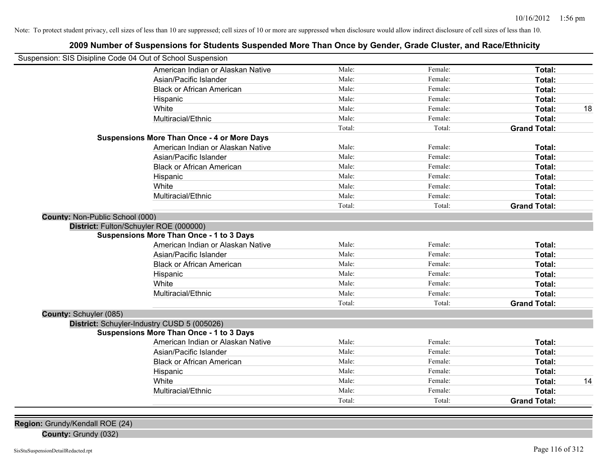|                                        | Suspension: SIS Disipline Code 04 Out of School Suspension |        |         |                     |    |
|----------------------------------------|------------------------------------------------------------|--------|---------|---------------------|----|
|                                        | American Indian or Alaskan Native                          | Male:  | Female: | Total:              |    |
|                                        | Asian/Pacific Islander                                     | Male:  | Female: | Total:              |    |
|                                        | <b>Black or African American</b>                           | Male:  | Female: | Total:              |    |
|                                        | Hispanic                                                   | Male:  | Female: | Total:              |    |
|                                        | White                                                      | Male:  | Female: | Total:              | 18 |
|                                        | Multiracial/Ethnic                                         | Male:  | Female: | Total:              |    |
|                                        |                                                            | Total: | Total:  | <b>Grand Total:</b> |    |
|                                        | <b>Suspensions More Than Once - 4 or More Days</b>         |        |         |                     |    |
|                                        | American Indian or Alaskan Native                          | Male:  | Female: | Total:              |    |
|                                        | Asian/Pacific Islander                                     | Male:  | Female: | Total:              |    |
|                                        | <b>Black or African American</b>                           | Male:  | Female: | Total:              |    |
|                                        | Hispanic                                                   | Male:  | Female: | Total:              |    |
|                                        | White                                                      | Male:  | Female: | Total:              |    |
|                                        | Multiracial/Ethnic                                         | Male:  | Female: | Total:              |    |
|                                        |                                                            | Total: | Total:  | <b>Grand Total:</b> |    |
| <b>County: Non-Public School (000)</b> |                                                            |        |         |                     |    |
|                                        | District: Fulton/Schuyler ROE (000000)                     |        |         |                     |    |
|                                        | <b>Suspensions More Than Once - 1 to 3 Days</b>            |        |         |                     |    |
|                                        | American Indian or Alaskan Native                          | Male:  | Female: | Total:              |    |
|                                        | Asian/Pacific Islander                                     | Male:  | Female: | Total:              |    |
|                                        | <b>Black or African American</b>                           | Male:  | Female: | Total:              |    |
|                                        | Hispanic                                                   | Male:  | Female: | Total:              |    |
|                                        | White                                                      | Male:  | Female: | Total:              |    |
|                                        | Multiracial/Ethnic                                         | Male:  | Female: | Total:              |    |
|                                        |                                                            | Total: | Total:  | <b>Grand Total:</b> |    |
| County: Schuyler (085)                 |                                                            |        |         |                     |    |
|                                        | District: Schuyler-Industry CUSD 5 (005026)                |        |         |                     |    |
|                                        | Suspensions More Than Once - 1 to 3 Days                   |        |         |                     |    |
|                                        | American Indian or Alaskan Native                          | Male:  | Female: | Total:              |    |
|                                        | Asian/Pacific Islander                                     | Male:  | Female: | Total:              |    |
|                                        | <b>Black or African American</b>                           | Male:  | Female: | Total:              |    |
|                                        | Hispanic                                                   | Male:  | Female: | Total:              |    |
|                                        | White                                                      | Male:  | Female: | Total:              | 14 |
|                                        | Multiracial/Ethnic                                         | Male:  | Female: | Total:              |    |
|                                        |                                                            | Total: | Total:  | <b>Grand Total:</b> |    |

**2009 Number of Suspensions for Students Suspended More Than Once by Gender, Grade Cluster, and Race/Ethnicity**

**Region:** Grundy/Kendall ROE (24)

**County:** Grundy (032)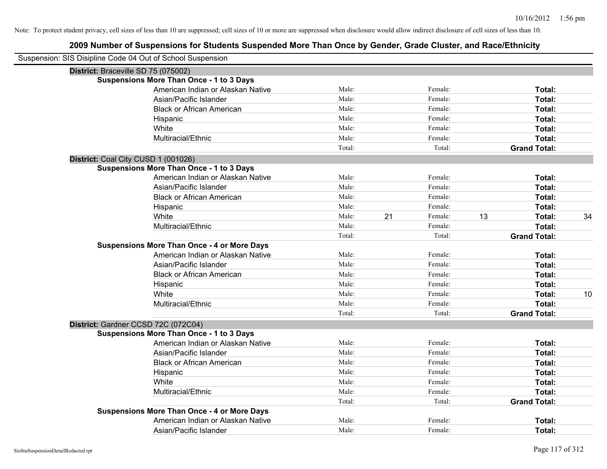| Suspension: SIS Disipline Code 04 Out of School Suspension |        |    |         |    |                     |    |
|------------------------------------------------------------|--------|----|---------|----|---------------------|----|
| District: Braceville SD 75 (075002)                        |        |    |         |    |                     |    |
| <b>Suspensions More Than Once - 1 to 3 Days</b>            |        |    |         |    |                     |    |
| American Indian or Alaskan Native                          | Male:  |    | Female: |    | Total:              |    |
| Asian/Pacific Islander                                     | Male:  |    | Female: |    | Total:              |    |
| <b>Black or African American</b>                           | Male:  |    | Female: |    | Total:              |    |
| Hispanic                                                   | Male:  |    | Female: |    | Total:              |    |
| White                                                      | Male:  |    | Female: |    | Total:              |    |
| Multiracial/Ethnic                                         | Male:  |    | Female: |    | Total:              |    |
|                                                            | Total: |    | Total:  |    | <b>Grand Total:</b> |    |
| District: Coal City CUSD 1 (001026)                        |        |    |         |    |                     |    |
| <b>Suspensions More Than Once - 1 to 3 Days</b>            |        |    |         |    |                     |    |
| American Indian or Alaskan Native                          | Male:  |    | Female: |    | Total:              |    |
| Asian/Pacific Islander                                     | Male:  |    | Female: |    | Total:              |    |
| <b>Black or African American</b>                           | Male:  |    | Female: |    | Total:              |    |
| Hispanic                                                   | Male:  |    | Female: |    | Total:              |    |
| White                                                      | Male:  | 21 | Female: | 13 | Total:              | 34 |
| Multiracial/Ethnic                                         | Male:  |    | Female: |    | Total:              |    |
|                                                            | Total: |    | Total:  |    | <b>Grand Total:</b> |    |
| <b>Suspensions More Than Once - 4 or More Days</b>         |        |    |         |    |                     |    |
| American Indian or Alaskan Native                          | Male:  |    | Female: |    | Total:              |    |
| Asian/Pacific Islander                                     | Male:  |    | Female: |    | Total:              |    |
| <b>Black or African American</b>                           | Male:  |    | Female: |    | Total:              |    |
| Hispanic                                                   | Male:  |    | Female: |    | Total:              |    |
| White                                                      | Male:  |    | Female: |    | Total:              | 10 |
| Multiracial/Ethnic                                         | Male:  |    | Female: |    | Total:              |    |
|                                                            | Total: |    | Total:  |    | <b>Grand Total:</b> |    |
| District: Gardner CCSD 72C (072C04)                        |        |    |         |    |                     |    |
| <b>Suspensions More Than Once - 1 to 3 Days</b>            |        |    |         |    |                     |    |
| American Indian or Alaskan Native                          | Male:  |    | Female: |    | Total:              |    |
| Asian/Pacific Islander                                     | Male:  |    | Female: |    | Total:              |    |
| <b>Black or African American</b>                           | Male:  |    | Female: |    | Total:              |    |
| Hispanic                                                   | Male:  |    | Female: |    | Total:              |    |
| White                                                      | Male:  |    | Female: |    | Total:              |    |
| Multiracial/Ethnic                                         | Male:  |    | Female: |    | Total:              |    |
|                                                            | Total: |    | Total:  |    | <b>Grand Total:</b> |    |
| <b>Suspensions More Than Once - 4 or More Days</b>         |        |    |         |    |                     |    |
| American Indian or Alaskan Native                          | Male:  |    | Female: |    | <b>Total:</b>       |    |
| Asian/Pacific Islander                                     | Male:  |    | Female: |    | Total:              |    |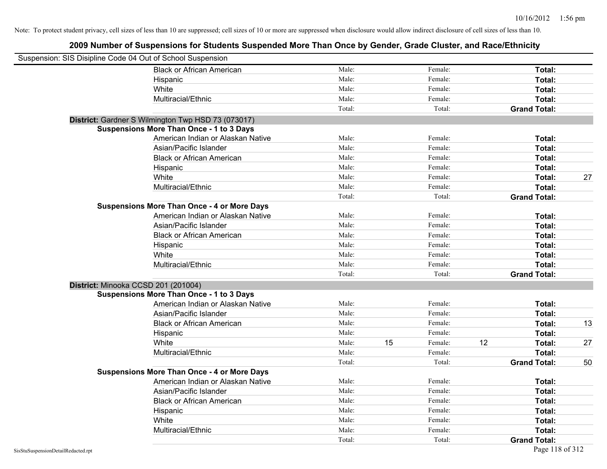| Suspension: SIS Disipline Code 04 Out of School Suspension |                                                    |        |    |         |    |                     |    |
|------------------------------------------------------------|----------------------------------------------------|--------|----|---------|----|---------------------|----|
|                                                            | <b>Black or African American</b>                   | Male:  |    | Female: |    | Total:              |    |
|                                                            | Hispanic                                           | Male:  |    | Female: |    | Total:              |    |
|                                                            | White                                              | Male:  |    | Female: |    | Total:              |    |
|                                                            | Multiracial/Ethnic                                 | Male:  |    | Female: |    | Total:              |    |
|                                                            |                                                    | Total: |    | Total:  |    | <b>Grand Total:</b> |    |
|                                                            | District: Gardner S Wilmington Twp HSD 73 (073017) |        |    |         |    |                     |    |
|                                                            | <b>Suspensions More Than Once - 1 to 3 Days</b>    |        |    |         |    |                     |    |
|                                                            | American Indian or Alaskan Native                  | Male:  |    | Female: |    | Total:              |    |
|                                                            | Asian/Pacific Islander                             | Male:  |    | Female: |    | Total:              |    |
|                                                            | <b>Black or African American</b>                   | Male:  |    | Female: |    | Total:              |    |
|                                                            | Hispanic                                           | Male:  |    | Female: |    | Total:              |    |
|                                                            | White                                              | Male:  |    | Female: |    | Total:              | 27 |
|                                                            | Multiracial/Ethnic                                 | Male:  |    | Female: |    | Total:              |    |
|                                                            |                                                    | Total: |    | Total:  |    | <b>Grand Total:</b> |    |
|                                                            | <b>Suspensions More Than Once - 4 or More Days</b> |        |    |         |    |                     |    |
|                                                            | American Indian or Alaskan Native                  | Male:  |    | Female: |    | Total:              |    |
|                                                            | Asian/Pacific Islander                             | Male:  |    | Female: |    | Total:              |    |
|                                                            | <b>Black or African American</b>                   | Male:  |    | Female: |    | Total:              |    |
|                                                            | Hispanic                                           | Male:  |    | Female: |    | Total:              |    |
|                                                            | White                                              | Male:  |    | Female: |    | Total:              |    |
|                                                            | Multiracial/Ethnic                                 | Male:  |    | Female: |    | Total:              |    |
|                                                            |                                                    | Total: |    | Total:  |    | <b>Grand Total:</b> |    |
| District: Minooka CCSD 201 (201004)                        |                                                    |        |    |         |    |                     |    |
|                                                            | <b>Suspensions More Than Once - 1 to 3 Days</b>    |        |    |         |    |                     |    |
|                                                            | American Indian or Alaskan Native                  | Male:  |    | Female: |    | Total:              |    |
|                                                            | Asian/Pacific Islander                             | Male:  |    | Female: |    | Total:              |    |
|                                                            | <b>Black or African American</b>                   | Male:  |    | Female: |    | Total:              | 13 |
|                                                            | Hispanic                                           | Male:  |    | Female: |    | Total:              |    |
|                                                            | White                                              | Male:  | 15 | Female: | 12 | Total:              | 27 |
|                                                            | Multiracial/Ethnic                                 | Male:  |    | Female: |    | Total:              |    |
|                                                            |                                                    | Total: |    | Total:  |    | <b>Grand Total:</b> | 50 |
|                                                            | <b>Suspensions More Than Once - 4 or More Days</b> |        |    |         |    |                     |    |
|                                                            | American Indian or Alaskan Native                  | Male:  |    | Female: |    | Total:              |    |
|                                                            | Asian/Pacific Islander                             | Male:  |    | Female: |    | Total:              |    |
|                                                            | <b>Black or African American</b>                   | Male:  |    | Female: |    | Total:              |    |
|                                                            | Hispanic                                           | Male:  |    | Female: |    | Total:              |    |
|                                                            | White                                              | Male:  |    | Female: |    | Total:              |    |
|                                                            | Multiracial/Ethnic                                 | Male:  |    | Female: |    | Total:              |    |
|                                                            |                                                    | Total: |    | Total:  |    | <b>Grand Total:</b> |    |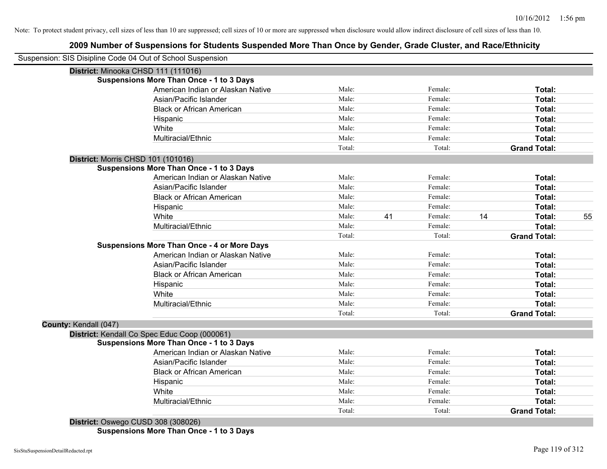## **2009 Number of Suspensions for Students Suspended More Than Once by Gender, Grade Cluster, and Race/Ethnicity**

| Suspension: SIS Disipline Code 04 Out of School Suspension |                                                    |        |    |         |    |                     |    |
|------------------------------------------------------------|----------------------------------------------------|--------|----|---------|----|---------------------|----|
| District: Minooka CHSD 111 (111016)                        |                                                    |        |    |         |    |                     |    |
|                                                            | Suspensions More Than Once - 1 to 3 Days           |        |    |         |    |                     |    |
|                                                            | American Indian or Alaskan Native                  | Male:  |    | Female: |    | Total:              |    |
|                                                            | Asian/Pacific Islander                             | Male:  |    | Female: |    | Total:              |    |
|                                                            | <b>Black or African American</b>                   | Male:  |    | Female: |    | Total:              |    |
|                                                            | Hispanic                                           | Male:  |    | Female: |    | Total:              |    |
|                                                            | White                                              | Male:  |    | Female: |    | Total:              |    |
|                                                            | Multiracial/Ethnic                                 | Male:  |    | Female: |    | Total:              |    |
|                                                            |                                                    | Total: |    | Total:  |    | <b>Grand Total:</b> |    |
| District: Morris CHSD 101 (101016)                         |                                                    |        |    |         |    |                     |    |
|                                                            | <b>Suspensions More Than Once - 1 to 3 Days</b>    |        |    |         |    |                     |    |
|                                                            | American Indian or Alaskan Native                  | Male:  |    | Female: |    | Total:              |    |
|                                                            | Asian/Pacific Islander                             | Male:  |    | Female: |    | Total:              |    |
|                                                            | <b>Black or African American</b>                   | Male:  |    | Female: |    | <b>Total:</b>       |    |
|                                                            | Hispanic                                           | Male:  |    | Female: |    | Total:              |    |
|                                                            | White                                              | Male:  | 41 | Female: | 14 | Total:              | 55 |
|                                                            | Multiracial/Ethnic                                 | Male:  |    | Female: |    | Total:              |    |
|                                                            |                                                    | Total: |    | Total:  |    | <b>Grand Total:</b> |    |
|                                                            | <b>Suspensions More Than Once - 4 or More Days</b> |        |    |         |    |                     |    |
|                                                            | American Indian or Alaskan Native                  | Male:  |    | Female: |    | Total:              |    |
|                                                            | Asian/Pacific Islander                             | Male:  |    | Female: |    | Total:              |    |
|                                                            | <b>Black or African American</b>                   | Male:  |    | Female: |    | Total:              |    |
|                                                            | Hispanic                                           | Male:  |    | Female: |    | Total:              |    |
|                                                            | White                                              | Male:  |    | Female: |    | Total:              |    |
|                                                            | Multiracial/Ethnic                                 | Male:  |    | Female: |    | Total:              |    |
|                                                            |                                                    | Total: |    | Total:  |    | <b>Grand Total:</b> |    |
| County: Kendall (047)                                      |                                                    |        |    |         |    |                     |    |
| District: Kendall Co Spec Educ Coop (000061)               |                                                    |        |    |         |    |                     |    |
|                                                            | <b>Suspensions More Than Once - 1 to 3 Days</b>    |        |    |         |    |                     |    |
|                                                            | American Indian or Alaskan Native                  | Male:  |    | Female: |    | Total:              |    |
|                                                            | Asian/Pacific Islander                             | Male:  |    | Female: |    | Total:              |    |
|                                                            | <b>Black or African American</b>                   | Male:  |    | Female: |    | Total:              |    |
|                                                            | Hispanic                                           | Male:  |    | Female: |    | Total:              |    |
|                                                            | White                                              | Male:  |    | Female: |    | Total:              |    |
|                                                            | Multiracial/Ethnic                                 | Male:  |    | Female: |    | Total:              |    |
|                                                            |                                                    | Total: |    | Total:  |    | <b>Grand Total:</b> |    |
| District: Oswego CUSD 308 (308026)                         |                                                    |        |    |         |    |                     |    |

**Suspensions More Than Once - 1 to 3 Days**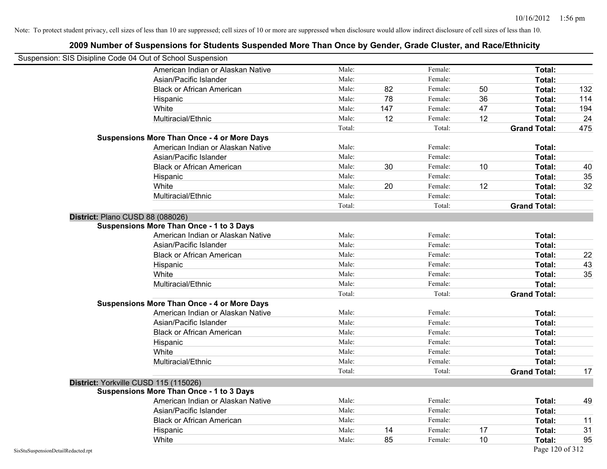| Suspension: SIS Disipline Code 04 Out of School Suspension |                                                    |        |     |         |    |                     |     |
|------------------------------------------------------------|----------------------------------------------------|--------|-----|---------|----|---------------------|-----|
|                                                            | American Indian or Alaskan Native                  | Male:  |     | Female: |    | Total:              |     |
|                                                            | Asian/Pacific Islander                             | Male:  |     | Female: |    | Total:              |     |
|                                                            | <b>Black or African American</b>                   | Male:  | 82  | Female: | 50 | Total:              | 132 |
|                                                            | Hispanic                                           | Male:  | 78  | Female: | 36 | Total:              | 114 |
|                                                            | White                                              | Male:  | 147 | Female: | 47 | Total:              | 194 |
|                                                            | Multiracial/Ethnic                                 | Male:  | 12  | Female: | 12 | Total:              | 24  |
|                                                            |                                                    | Total: |     | Total:  |    | <b>Grand Total:</b> | 475 |
|                                                            | <b>Suspensions More Than Once - 4 or More Days</b> |        |     |         |    |                     |     |
|                                                            | American Indian or Alaskan Native                  | Male:  |     | Female: |    | Total:              |     |
|                                                            | Asian/Pacific Islander                             | Male:  |     | Female: |    | Total:              |     |
|                                                            | <b>Black or African American</b>                   | Male:  | 30  | Female: | 10 | Total:              | 40  |
|                                                            | Hispanic                                           | Male:  |     | Female: |    | Total:              | 35  |
|                                                            | White                                              | Male:  | 20  | Female: | 12 | Total:              | 32  |
|                                                            | Multiracial/Ethnic                                 | Male:  |     | Female: |    | Total:              |     |
|                                                            |                                                    | Total: |     | Total:  |    | <b>Grand Total:</b> |     |
| District: Plano CUSD 88 (088026)                           |                                                    |        |     |         |    |                     |     |
|                                                            | <b>Suspensions More Than Once - 1 to 3 Days</b>    |        |     |         |    |                     |     |
|                                                            | American Indian or Alaskan Native                  | Male:  |     | Female: |    | Total:              |     |
|                                                            | Asian/Pacific Islander                             | Male:  |     | Female: |    | Total:              |     |
|                                                            | <b>Black or African American</b>                   | Male:  |     | Female: |    | Total:              | 22  |
|                                                            | Hispanic                                           | Male:  |     | Female: |    | Total:              | 43  |
|                                                            | White                                              | Male:  |     | Female: |    | Total:              | 35  |
|                                                            | Multiracial/Ethnic                                 | Male:  |     | Female: |    | Total:              |     |
|                                                            |                                                    | Total: |     | Total:  |    | <b>Grand Total:</b> |     |
|                                                            | <b>Suspensions More Than Once - 4 or More Days</b> |        |     |         |    |                     |     |
|                                                            | American Indian or Alaskan Native                  | Male:  |     | Female: |    | Total:              |     |
|                                                            | Asian/Pacific Islander                             | Male:  |     | Female: |    | Total:              |     |
|                                                            | <b>Black or African American</b>                   | Male:  |     | Female: |    | Total:              |     |
|                                                            | Hispanic                                           | Male:  |     | Female: |    | Total:              |     |
|                                                            | White                                              | Male:  |     | Female: |    | Total:              |     |
|                                                            | Multiracial/Ethnic                                 | Male:  |     | Female: |    | Total:              |     |
|                                                            |                                                    | Total: |     | Total:  |    | <b>Grand Total:</b> | 17  |
|                                                            | District: Yorkville CUSD 115 (115026)              |        |     |         |    |                     |     |
|                                                            | <b>Suspensions More Than Once - 1 to 3 Days</b>    |        |     |         |    |                     |     |
|                                                            | American Indian or Alaskan Native                  | Male:  |     | Female: |    | Total:              | 49  |
|                                                            | Asian/Pacific Islander                             | Male:  |     | Female: |    | Total:              |     |
|                                                            | <b>Black or African American</b>                   | Male:  |     | Female: |    | Total:              | 11  |
|                                                            | Hispanic                                           | Male:  | 14  | Female: | 17 | Total:              | 31  |
|                                                            | White                                              | Male:  | 85  | Female: | 10 | Total:              | 95  |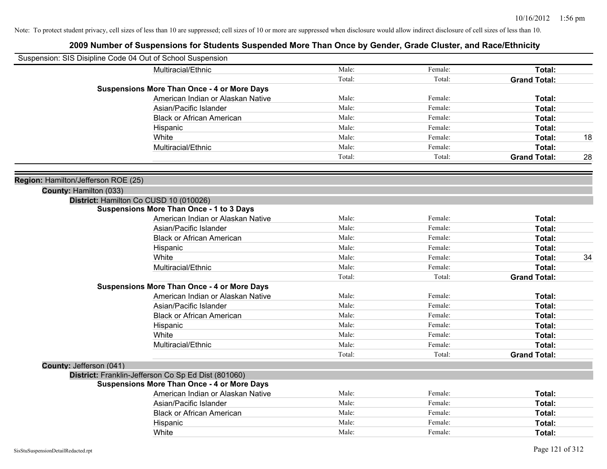| Suspension: SIS Disipline Code 04 Out of School Suspension |                                                     |        |         |                     |    |
|------------------------------------------------------------|-----------------------------------------------------|--------|---------|---------------------|----|
|                                                            | Multiracial/Ethnic                                  | Male:  | Female: | Total:              |    |
|                                                            |                                                     | Total: | Total:  | <b>Grand Total:</b> |    |
|                                                            | <b>Suspensions More Than Once - 4 or More Days</b>  |        |         |                     |    |
|                                                            | American Indian or Alaskan Native                   | Male:  | Female: | Total:              |    |
|                                                            | Asian/Pacific Islander                              | Male:  | Female: | Total:              |    |
|                                                            | <b>Black or African American</b>                    | Male:  | Female: | Total:              |    |
|                                                            | Hispanic                                            | Male:  | Female: | Total:              |    |
|                                                            | White                                               | Male:  | Female: | Total:              | 18 |
|                                                            | Multiracial/Ethnic                                  | Male:  | Female: | Total:              |    |
|                                                            |                                                     | Total: | Total:  | <b>Grand Total:</b> | 28 |
| Region: Hamilton/Jefferson ROE (25)                        |                                                     |        |         |                     |    |
| County: Hamilton (033)                                     |                                                     |        |         |                     |    |
|                                                            | District: Hamilton Co CUSD 10 (010026)              |        |         |                     |    |
|                                                            | <b>Suspensions More Than Once - 1 to 3 Days</b>     |        |         |                     |    |
|                                                            | American Indian or Alaskan Native                   | Male:  | Female: | Total:              |    |
|                                                            | Asian/Pacific Islander                              | Male:  | Female: | Total:              |    |
|                                                            | <b>Black or African American</b>                    | Male:  | Female: | Total:              |    |
|                                                            | Hispanic                                            | Male:  | Female: | Total:              |    |
|                                                            | White                                               | Male:  | Female: | Total:              | 34 |
|                                                            | Multiracial/Ethnic                                  | Male:  | Female: | Total:              |    |
|                                                            |                                                     | Total: | Total:  | <b>Grand Total:</b> |    |
|                                                            | <b>Suspensions More Than Once - 4 or More Days</b>  |        |         |                     |    |
|                                                            | American Indian or Alaskan Native                   | Male:  | Female: | Total:              |    |
|                                                            | Asian/Pacific Islander                              | Male:  | Female: | Total:              |    |
|                                                            | <b>Black or African American</b>                    | Male:  | Female: | Total:              |    |
|                                                            | Hispanic                                            | Male:  | Female: | Total:              |    |
|                                                            | White                                               | Male:  | Female: | Total:              |    |
|                                                            | Multiracial/Ethnic                                  | Male:  | Female: | Total:              |    |
|                                                            |                                                     | Total: | Total:  | <b>Grand Total:</b> |    |
| County: Jefferson (041)                                    |                                                     |        |         |                     |    |
|                                                            | District: Franklin-Jefferson Co Sp Ed Dist (801060) |        |         |                     |    |
|                                                            | <b>Suspensions More Than Once - 4 or More Days</b>  |        |         |                     |    |
|                                                            | American Indian or Alaskan Native                   | Male:  | Female: | Total:              |    |
|                                                            | Asian/Pacific Islander                              | Male:  | Female: | Total:              |    |
|                                                            | <b>Black or African American</b>                    | Male:  | Female: | Total:              |    |
|                                                            | Hispanic                                            | Male:  | Female: | <b>Total:</b>       |    |
|                                                            | White                                               | Male:  | Female: | Total:              |    |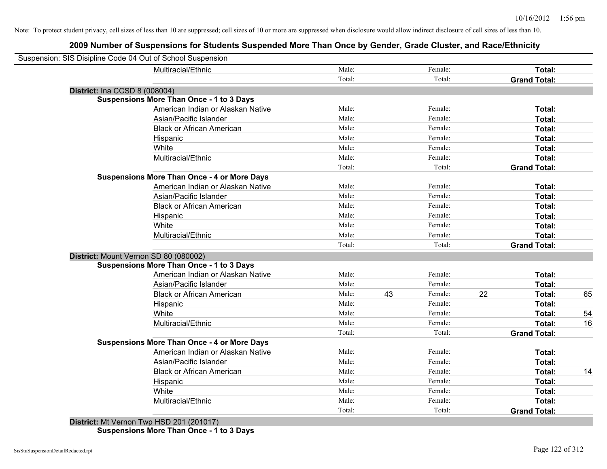|                               | Suspension: SIS Disipline Code 04 Out of School Suspension |        |    |         |    |                     |    |
|-------------------------------|------------------------------------------------------------|--------|----|---------|----|---------------------|----|
|                               | Multiracial/Ethnic                                         | Male:  |    | Female: |    | Total:              |    |
|                               |                                                            | Total: |    | Total:  |    | <b>Grand Total:</b> |    |
| District: Ina CCSD 8 (008004) |                                                            |        |    |         |    |                     |    |
|                               | <b>Suspensions More Than Once - 1 to 3 Days</b>            |        |    |         |    |                     |    |
|                               | American Indian or Alaskan Native                          | Male:  |    | Female: |    | Total:              |    |
|                               | Asian/Pacific Islander                                     | Male:  |    | Female: |    | Total:              |    |
|                               | <b>Black or African American</b>                           | Male:  |    | Female: |    | Total:              |    |
|                               | Hispanic                                                   | Male:  |    | Female: |    | Total:              |    |
|                               | White                                                      | Male:  |    | Female: |    | Total:              |    |
|                               | Multiracial/Ethnic                                         | Male:  |    | Female: |    | Total:              |    |
|                               |                                                            | Total: |    | Total:  |    | <b>Grand Total:</b> |    |
|                               | <b>Suspensions More Than Once - 4 or More Days</b>         |        |    |         |    |                     |    |
|                               | American Indian or Alaskan Native                          | Male:  |    | Female: |    | Total:              |    |
|                               | Asian/Pacific Islander                                     | Male:  |    | Female: |    | Total:              |    |
|                               | <b>Black or African American</b>                           | Male:  |    | Female: |    | <b>Total:</b>       |    |
|                               | Hispanic                                                   | Male:  |    | Female: |    | Total:              |    |
|                               | White                                                      | Male:  |    | Female: |    | Total:              |    |
|                               | Multiracial/Ethnic                                         | Male:  |    | Female: |    | Total:              |    |
|                               |                                                            | Total: |    | Total:  |    | <b>Grand Total:</b> |    |
|                               | District: Mount Vernon SD 80 (080002)                      |        |    |         |    |                     |    |
|                               | <b>Suspensions More Than Once - 1 to 3 Days</b>            |        |    |         |    |                     |    |
|                               | American Indian or Alaskan Native                          | Male:  |    | Female: |    | Total:              |    |
|                               | Asian/Pacific Islander                                     | Male:  |    | Female: |    | Total:              |    |
|                               | <b>Black or African American</b>                           | Male:  | 43 | Female: | 22 | Total:              | 65 |
|                               | Hispanic                                                   | Male:  |    | Female: |    | Total:              |    |
|                               | White                                                      | Male:  |    | Female: |    | Total:              | 54 |
|                               | Multiracial/Ethnic                                         | Male:  |    | Female: |    | Total:              | 16 |
|                               |                                                            | Total: |    | Total:  |    | <b>Grand Total:</b> |    |
|                               | <b>Suspensions More Than Once - 4 or More Days</b>         |        |    |         |    |                     |    |
|                               | American Indian or Alaskan Native                          | Male:  |    | Female: |    | Total:              |    |
|                               | Asian/Pacific Islander                                     | Male:  |    | Female: |    | Total:              |    |
|                               | <b>Black or African American</b>                           | Male:  |    | Female: |    | Total:              | 14 |
|                               | Hispanic                                                   | Male:  |    | Female: |    | Total:              |    |
|                               | White                                                      | Male:  |    | Female: |    | Total:              |    |
|                               | Multiracial/Ethnic                                         | Male:  |    | Female: |    | Total:              |    |
|                               |                                                            | Total: |    | Total:  |    | <b>Grand Total:</b> |    |
|                               |                                                            |        |    |         |    |                     |    |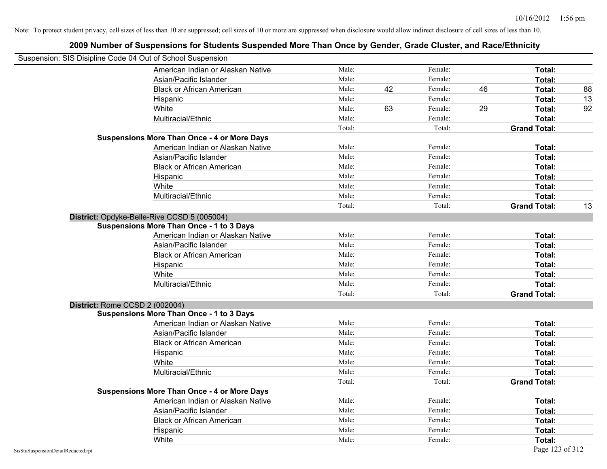| Suspension: SIS Disipline Code 04 Out of School Suspension |        |    |         |    |                     |    |
|------------------------------------------------------------|--------|----|---------|----|---------------------|----|
| American Indian or Alaskan Native                          | Male:  |    | Female: |    | Total:              |    |
| Asian/Pacific Islander                                     | Male:  |    | Female: |    | Total:              |    |
| <b>Black or African American</b>                           | Male:  | 42 | Female: | 46 | Total:              | 88 |
| Hispanic                                                   | Male:  |    | Female: |    | Total:              | 13 |
| White                                                      | Male:  | 63 | Female: | 29 | Total:              | 92 |
| Multiracial/Ethnic                                         | Male:  |    | Female: |    | Total:              |    |
|                                                            | Total: |    | Total:  |    | <b>Grand Total:</b> |    |
| <b>Suspensions More Than Once - 4 or More Days</b>         |        |    |         |    |                     |    |
| American Indian or Alaskan Native                          | Male:  |    | Female: |    | Total:              |    |
| Asian/Pacific Islander                                     | Male:  |    | Female: |    | Total:              |    |
| <b>Black or African American</b>                           | Male:  |    | Female: |    | Total:              |    |
| Hispanic                                                   | Male:  |    | Female: |    | Total:              |    |
| White                                                      | Male:  |    | Female: |    | Total:              |    |
| Multiracial/Ethnic                                         | Male:  |    | Female: |    | Total:              |    |
|                                                            | Total: |    | Total:  |    | <b>Grand Total:</b> | 13 |
| District: Opdyke-Belle-Rive CCSD 5 (005004)                |        |    |         |    |                     |    |
| <b>Suspensions More Than Once - 1 to 3 Days</b>            |        |    |         |    |                     |    |
| American Indian or Alaskan Native                          | Male:  |    | Female: |    | Total:              |    |
| Asian/Pacific Islander                                     | Male:  |    | Female: |    | Total:              |    |
| <b>Black or African American</b>                           | Male:  |    | Female: |    | Total:              |    |
| Hispanic                                                   | Male:  |    | Female: |    | Total:              |    |
| White                                                      | Male:  |    | Female: |    | Total:              |    |
| Multiracial/Ethnic                                         | Male:  |    | Female: |    | Total:              |    |
|                                                            | Total: |    | Total:  |    | <b>Grand Total:</b> |    |
| District: Rome CCSD 2 (002004)                             |        |    |         |    |                     |    |
| <b>Suspensions More Than Once - 1 to 3 Days</b>            |        |    |         |    |                     |    |
| American Indian or Alaskan Native                          | Male:  |    | Female: |    | Total:              |    |
| Asian/Pacific Islander                                     | Male:  |    | Female: |    | Total:              |    |
| <b>Black or African American</b>                           | Male:  |    | Female: |    | Total:              |    |
| Hispanic                                                   | Male:  |    | Female: |    | Total:              |    |
| White                                                      | Male:  |    | Female: |    | Total:              |    |
| Multiracial/Ethnic                                         | Male:  |    | Female: |    | Total:              |    |
|                                                            | Total: |    | Total:  |    | <b>Grand Total:</b> |    |
| <b>Suspensions More Than Once - 4 or More Days</b>         |        |    |         |    |                     |    |
| American Indian or Alaskan Native                          | Male:  |    | Female: |    | Total:              |    |
| Asian/Pacific Islander                                     | Male:  |    | Female: |    | Total:              |    |
| <b>Black or African American</b>                           | Male:  |    | Female: |    | Total:              |    |
| Hispanic                                                   | Male:  |    | Female: |    | Total:              |    |
| White                                                      | Male:  |    | Female: |    | Total:              |    |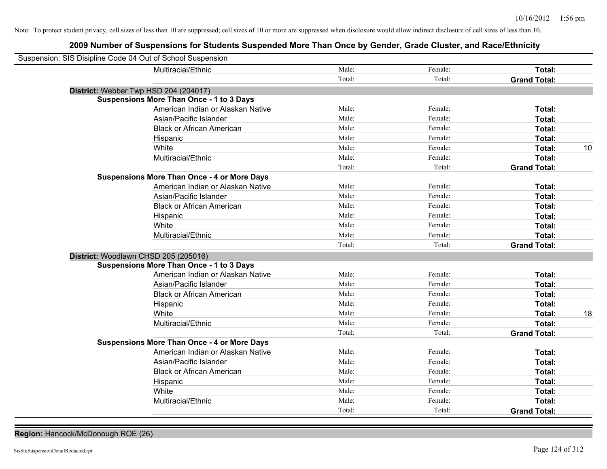## **2009 Number of Suspensions for Students Suspended More Than Once by Gender, Grade Cluster, and Race/Ethnicity**

| Suspension: SIS Disipline Code 04 Out of School Suspension |                                                    |        |         |                     |    |
|------------------------------------------------------------|----------------------------------------------------|--------|---------|---------------------|----|
|                                                            | Multiracial/Ethnic                                 | Male:  | Female: | Total:              |    |
|                                                            |                                                    | Total: | Total:  | <b>Grand Total:</b> |    |
| District: Webber Twp HSD 204 (204017)                      |                                                    |        |         |                     |    |
|                                                            | <b>Suspensions More Than Once - 1 to 3 Days</b>    |        |         |                     |    |
|                                                            | American Indian or Alaskan Native                  | Male:  | Female: | Total:              |    |
|                                                            | Asian/Pacific Islander                             | Male:  | Female: | Total:              |    |
|                                                            | <b>Black or African American</b>                   | Male:  | Female: | Total:              |    |
|                                                            | Hispanic                                           | Male:  | Female: | Total:              |    |
|                                                            | White                                              | Male:  | Female: | Total:              | 10 |
|                                                            | Multiracial/Ethnic                                 | Male:  | Female: | Total:              |    |
|                                                            |                                                    | Total: | Total:  | <b>Grand Total:</b> |    |
|                                                            | <b>Suspensions More Than Once - 4 or More Days</b> |        |         |                     |    |
|                                                            | American Indian or Alaskan Native                  | Male:  | Female: | Total:              |    |
|                                                            | Asian/Pacific Islander                             | Male:  | Female: | Total:              |    |
|                                                            | <b>Black or African American</b>                   | Male:  | Female: | Total:              |    |
|                                                            | Hispanic                                           | Male:  | Female: | Total:              |    |
|                                                            | White                                              | Male:  | Female: | Total:              |    |
|                                                            | Multiracial/Ethnic                                 | Male:  | Female: | Total:              |    |
|                                                            |                                                    | Total: | Total:  | <b>Grand Total:</b> |    |
| District: Woodlawn CHSD 205 (205016)                       |                                                    |        |         |                     |    |
|                                                            | <b>Suspensions More Than Once - 1 to 3 Days</b>    |        |         |                     |    |
|                                                            | American Indian or Alaskan Native                  | Male:  | Female: | Total:              |    |
|                                                            | Asian/Pacific Islander                             | Male:  | Female: | Total:              |    |
|                                                            | <b>Black or African American</b>                   | Male:  | Female: | Total:              |    |
|                                                            | Hispanic                                           | Male:  | Female: | Total:              |    |
|                                                            | White                                              | Male:  | Female: | Total:              | 18 |
|                                                            | Multiracial/Ethnic                                 | Male:  | Female: | Total:              |    |
|                                                            |                                                    | Total: | Total:  | <b>Grand Total:</b> |    |
|                                                            | <b>Suspensions More Than Once - 4 or More Days</b> |        |         |                     |    |
|                                                            | American Indian or Alaskan Native                  | Male:  | Female: | Total:              |    |
|                                                            | Asian/Pacific Islander                             | Male:  | Female: | Total:              |    |
|                                                            | <b>Black or African American</b>                   | Male:  | Female: | Total:              |    |
|                                                            | Hispanic                                           | Male:  | Female: | <b>Total:</b>       |    |
|                                                            | White                                              | Male:  | Female: | <b>Total:</b>       |    |
|                                                            | Multiracial/Ethnic                                 | Male:  | Female: | <b>Total:</b>       |    |
|                                                            |                                                    | Total: | Total:  | <b>Grand Total:</b> |    |

**Region:** Hancock/McDonough ROE (26)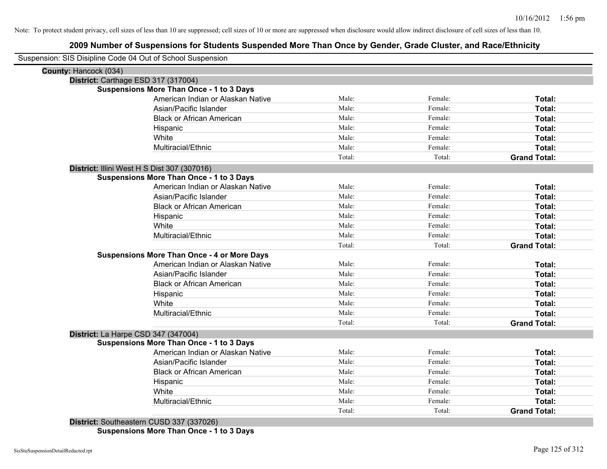### **2009 Number of Suspensions for Students Suspended More Than Once by Gender, Grade Cluster, and Race/Ethnicity**

| Suspension: SIS Disipline Code 04 Out of School Suspension |                                                    |        |         |                     |
|------------------------------------------------------------|----------------------------------------------------|--------|---------|---------------------|
| County: Hancock (034)                                      |                                                    |        |         |                     |
| District: Carthage ESD 317 (317004)                        |                                                    |        |         |                     |
|                                                            | <b>Suspensions More Than Once - 1 to 3 Days</b>    |        |         |                     |
|                                                            | American Indian or Alaskan Native                  | Male:  | Female: | Total:              |
|                                                            | Asian/Pacific Islander                             | Male:  | Female: | Total:              |
|                                                            | <b>Black or African American</b>                   | Male:  | Female: | Total:              |
|                                                            | Hispanic                                           | Male:  | Female: | Total:              |
|                                                            | White                                              | Male:  | Female: | Total:              |
|                                                            | Multiracial/Ethnic                                 | Male:  | Female: | Total:              |
|                                                            |                                                    | Total: | Total:  | <b>Grand Total:</b> |
| District: Illini West H S Dist 307 (307016)                |                                                    |        |         |                     |
|                                                            | <b>Suspensions More Than Once - 1 to 3 Days</b>    |        |         |                     |
|                                                            | American Indian or Alaskan Native                  | Male:  | Female: | Total:              |
|                                                            | Asian/Pacific Islander                             | Male:  | Female: | Total:              |
|                                                            | <b>Black or African American</b>                   | Male:  | Female: | Total:              |
|                                                            | Hispanic                                           | Male:  | Female: | Total:              |
|                                                            | White                                              | Male:  | Female: | Total:              |
|                                                            | Multiracial/Ethnic                                 | Male:  | Female: | Total:              |
|                                                            |                                                    | Total: | Total:  | <b>Grand Total:</b> |
|                                                            | <b>Suspensions More Than Once - 4 or More Days</b> |        |         |                     |
|                                                            | American Indian or Alaskan Native                  | Male:  | Female: | Total:              |
|                                                            | Asian/Pacific Islander                             | Male:  | Female: | Total:              |
|                                                            | <b>Black or African American</b>                   | Male:  | Female: | Total:              |
|                                                            | Hispanic                                           | Male:  | Female: | Total:              |
|                                                            | White                                              | Male:  | Female: | Total:              |
|                                                            | Multiracial/Ethnic                                 | Male:  | Female: | Total:              |
|                                                            |                                                    | Total: | Total:  | <b>Grand Total:</b> |
| District: La Harpe CSD 347 (347004)                        |                                                    |        |         |                     |
|                                                            | <b>Suspensions More Than Once - 1 to 3 Days</b>    |        |         |                     |
|                                                            | American Indian or Alaskan Native                  | Male:  | Female: | Total:              |
|                                                            | Asian/Pacific Islander                             | Male:  | Female: | Total:              |
|                                                            | <b>Black or African American</b>                   | Male:  | Female: | Total:              |
|                                                            | Hispanic                                           | Male:  | Female: | Total:              |
|                                                            | White                                              | Male:  | Female: | Total:              |
|                                                            | Multiracial/Ethnic                                 | Male:  | Female: | <b>Total:</b>       |
|                                                            |                                                    | Total: | Total:  | <b>Grand Total:</b> |
| District: Southeastern CUSD 337 (337026)                   |                                                    |        |         |                     |

**Suspensions More Than Once - 1 to 3 Days**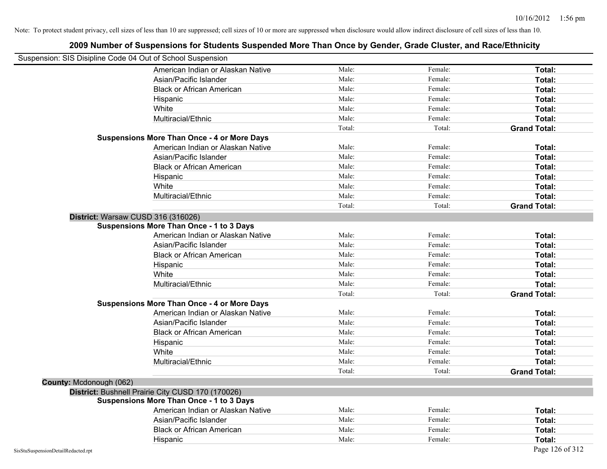| Suspension: SIS Disipline Code 04 Out of School Suspension |                                                    |        |         |                     |
|------------------------------------------------------------|----------------------------------------------------|--------|---------|---------------------|
|                                                            | American Indian or Alaskan Native                  | Male:  | Female: | Total:              |
|                                                            | Asian/Pacific Islander                             | Male:  | Female: | Total:              |
|                                                            | <b>Black or African American</b>                   | Male:  | Female: | Total:              |
|                                                            | Hispanic                                           | Male:  | Female: | Total:              |
|                                                            | White                                              | Male:  | Female: | Total:              |
|                                                            | Multiracial/Ethnic                                 | Male:  | Female: | Total:              |
|                                                            |                                                    | Total: | Total:  | <b>Grand Total:</b> |
|                                                            | <b>Suspensions More Than Once - 4 or More Days</b> |        |         |                     |
|                                                            | American Indian or Alaskan Native                  | Male:  | Female: | Total:              |
|                                                            | Asian/Pacific Islander                             | Male:  | Female: | Total:              |
|                                                            | <b>Black or African American</b>                   | Male:  | Female: | Total:              |
|                                                            | Hispanic                                           | Male:  | Female: | Total:              |
|                                                            | White                                              | Male:  | Female: | Total:              |
|                                                            | Multiracial/Ethnic                                 | Male:  | Female: | Total:              |
|                                                            |                                                    | Total: | Total:  | <b>Grand Total:</b> |
| District: Warsaw CUSD 316 (316026)                         |                                                    |        |         |                     |
|                                                            | <b>Suspensions More Than Once - 1 to 3 Days</b>    |        |         |                     |
|                                                            | American Indian or Alaskan Native                  | Male:  | Female: | Total:              |
|                                                            | Asian/Pacific Islander                             | Male:  | Female: | Total:              |
|                                                            | <b>Black or African American</b>                   | Male:  | Female: | Total:              |
|                                                            | Hispanic                                           | Male:  | Female: | Total:              |
|                                                            | White                                              | Male:  | Female: | Total:              |
|                                                            | Multiracial/Ethnic                                 | Male:  | Female: | Total:              |
|                                                            |                                                    | Total: | Total:  | <b>Grand Total:</b> |
|                                                            | <b>Suspensions More Than Once - 4 or More Days</b> |        |         |                     |
|                                                            | American Indian or Alaskan Native                  | Male:  | Female: | Total:              |
|                                                            | Asian/Pacific Islander                             | Male:  | Female: | Total:              |
|                                                            | <b>Black or African American</b>                   | Male:  | Female: | Total:              |
|                                                            | Hispanic                                           | Male:  | Female: | Total:              |
|                                                            | White                                              | Male:  | Female: | Total:              |
|                                                            | Multiracial/Ethnic                                 | Male:  | Female: | Total:              |
|                                                            |                                                    | Total: | Total:  | <b>Grand Total:</b> |
| County: Mcdonough (062)                                    |                                                    |        |         |                     |
|                                                            | District: Bushnell Prairie City CUSD 170 (170026)  |        |         |                     |
|                                                            | <b>Suspensions More Than Once - 1 to 3 Days</b>    |        |         |                     |
|                                                            | American Indian or Alaskan Native                  | Male:  | Female: | Total:              |
|                                                            | Asian/Pacific Islander                             | Male:  | Female: | Total:              |
|                                                            | <b>Black or African American</b>                   | Male:  | Female: | Total:              |
|                                                            | Hispanic                                           | Male:  | Female: | Total:              |
| SisStuSuspensionDetailRedacted.rpt                         |                                                    |        |         | Page 126 of 312     |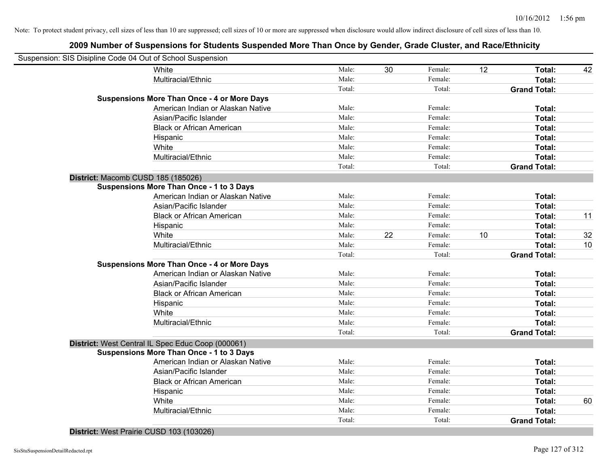| Suspension: SIS Disipline Code 04 Out of School Suspension |                                                    |        |    |         |    |                     |    |
|------------------------------------------------------------|----------------------------------------------------|--------|----|---------|----|---------------------|----|
|                                                            | White                                              | Male:  | 30 | Female: | 12 | Total:              | 42 |
|                                                            | Multiracial/Ethnic                                 | Male:  |    | Female: |    | Total:              |    |
|                                                            |                                                    | Total: |    | Total:  |    | <b>Grand Total:</b> |    |
|                                                            | <b>Suspensions More Than Once - 4 or More Days</b> |        |    |         |    |                     |    |
|                                                            | American Indian or Alaskan Native                  | Male:  |    | Female: |    | Total:              |    |
|                                                            | Asian/Pacific Islander                             | Male:  |    | Female: |    | Total:              |    |
|                                                            | <b>Black or African American</b>                   | Male:  |    | Female: |    | Total:              |    |
|                                                            | Hispanic                                           | Male:  |    | Female: |    | Total:              |    |
|                                                            | White                                              | Male:  |    | Female: |    | Total:              |    |
|                                                            | Multiracial/Ethnic                                 | Male:  |    | Female: |    | Total:              |    |
|                                                            |                                                    | Total: |    | Total:  |    | <b>Grand Total:</b> |    |
| District: Macomb CUSD 185 (185026)                         |                                                    |        |    |         |    |                     |    |
|                                                            | <b>Suspensions More Than Once - 1 to 3 Days</b>    |        |    |         |    |                     |    |
|                                                            | American Indian or Alaskan Native                  | Male:  |    | Female: |    | Total:              |    |
|                                                            | Asian/Pacific Islander                             | Male:  |    | Female: |    | Total:              |    |
|                                                            | <b>Black or African American</b>                   | Male:  |    | Female: |    | Total:              | 11 |
|                                                            | Hispanic                                           | Male:  |    | Female: |    | Total:              |    |
|                                                            | White                                              | Male:  | 22 | Female: | 10 | Total:              | 32 |
|                                                            | Multiracial/Ethnic                                 | Male:  |    | Female: |    | Total:              | 10 |
|                                                            |                                                    | Total: |    | Total:  |    | <b>Grand Total:</b> |    |
|                                                            | <b>Suspensions More Than Once - 4 or More Days</b> |        |    |         |    |                     |    |
|                                                            | American Indian or Alaskan Native                  | Male:  |    | Female: |    | Total:              |    |
|                                                            | Asian/Pacific Islander                             | Male:  |    | Female: |    | Total:              |    |
|                                                            | <b>Black or African American</b>                   | Male:  |    | Female: |    | Total:              |    |
|                                                            | Hispanic                                           | Male:  |    | Female: |    | Total:              |    |
|                                                            | White                                              | Male:  |    | Female: |    | Total:              |    |
|                                                            | Multiracial/Ethnic                                 | Male:  |    | Female: |    | Total:              |    |
|                                                            |                                                    | Total: |    | Total:  |    | <b>Grand Total:</b> |    |
|                                                            | District: West Central IL Spec Educ Coop (000061)  |        |    |         |    |                     |    |
|                                                            | <b>Suspensions More Than Once - 1 to 3 Days</b>    |        |    |         |    |                     |    |
|                                                            | American Indian or Alaskan Native                  | Male:  |    | Female: |    | Total:              |    |
|                                                            | Asian/Pacific Islander                             | Male:  |    | Female: |    | Total:              |    |
|                                                            | <b>Black or African American</b>                   | Male:  |    | Female: |    | Total:              |    |
|                                                            | Hispanic                                           | Male:  |    | Female: |    | Total:              |    |
|                                                            | White                                              | Male:  |    | Female: |    | Total:              | 60 |
|                                                            | Multiracial/Ethnic                                 | Male:  |    | Female: |    | Total:              |    |
|                                                            |                                                    | Total: |    | Total:  |    | <b>Grand Total:</b> |    |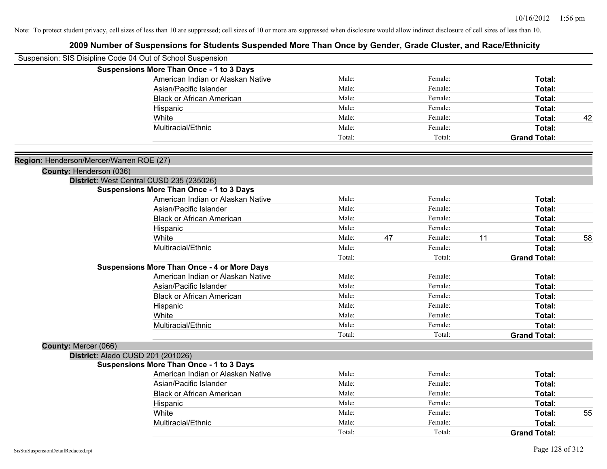|                                          | Suspension: SIS Disipline Code 04 Out of School Suspension |        |    |         |    |                     |    |
|------------------------------------------|------------------------------------------------------------|--------|----|---------|----|---------------------|----|
|                                          | <b>Suspensions More Than Once - 1 to 3 Days</b>            |        |    |         |    |                     |    |
|                                          | American Indian or Alaskan Native                          | Male:  |    | Female: |    | Total:              |    |
|                                          | Asian/Pacific Islander                                     | Male:  |    | Female: |    | Total:              |    |
|                                          | <b>Black or African American</b>                           | Male:  |    | Female: |    | Total:              |    |
|                                          | Hispanic                                                   | Male:  |    | Female: |    | Total:              |    |
|                                          | White                                                      | Male:  |    | Female: |    | Total:              | 42 |
|                                          | Multiracial/Ethnic                                         | Male:  |    | Female: |    | Total:              |    |
|                                          |                                                            | Total: |    | Total:  |    | <b>Grand Total:</b> |    |
| Region: Henderson/Mercer/Warren ROE (27) |                                                            |        |    |         |    |                     |    |
| County: Henderson (036)                  |                                                            |        |    |         |    |                     |    |
|                                          | District: West Central CUSD 235 (235026)                   |        |    |         |    |                     |    |
|                                          | <b>Suspensions More Than Once - 1 to 3 Days</b>            |        |    |         |    |                     |    |
|                                          | American Indian or Alaskan Native                          | Male:  |    | Female: |    | Total:              |    |
|                                          | Asian/Pacific Islander                                     | Male:  |    | Female: |    | Total:              |    |
|                                          | <b>Black or African American</b>                           | Male:  |    | Female: |    | Total:              |    |
|                                          | Hispanic                                                   | Male:  |    | Female: |    | Total:              |    |
|                                          | White                                                      | Male:  | 47 | Female: | 11 | Total:              | 58 |
|                                          | Multiracial/Ethnic                                         | Male:  |    | Female: |    | Total:              |    |
|                                          |                                                            | Total: |    | Total:  |    | <b>Grand Total:</b> |    |
|                                          | <b>Suspensions More Than Once - 4 or More Days</b>         |        |    |         |    |                     |    |
|                                          | American Indian or Alaskan Native                          | Male:  |    | Female: |    | Total:              |    |
|                                          | Asian/Pacific Islander                                     | Male:  |    | Female: |    | Total:              |    |
|                                          | <b>Black or African American</b>                           | Male:  |    | Female: |    | Total:              |    |
|                                          | Hispanic                                                   | Male:  |    | Female: |    | Total:              |    |
|                                          | White                                                      | Male:  |    | Female: |    | Total:              |    |
|                                          | Multiracial/Ethnic                                         | Male:  |    | Female: |    | Total:              |    |
|                                          |                                                            | Total: |    | Total:  |    | <b>Grand Total:</b> |    |
| County: Mercer (066)                     |                                                            |        |    |         |    |                     |    |
|                                          | District: Aledo CUSD 201 (201026)                          |        |    |         |    |                     |    |
|                                          | <b>Suspensions More Than Once - 1 to 3 Days</b>            |        |    |         |    |                     |    |
|                                          | American Indian or Alaskan Native                          | Male:  |    | Female: |    | Total:              |    |
|                                          | Asian/Pacific Islander                                     | Male:  |    | Female: |    | Total:              |    |
|                                          | <b>Black or African American</b>                           | Male:  |    | Female: |    | Total:              |    |
|                                          | Hispanic                                                   | Male:  |    | Female: |    | Total:              |    |
|                                          | White                                                      | Male:  |    | Female: |    | Total:              | 55 |
|                                          | Multiracial/Ethnic                                         | Male:  |    | Female: |    | Total:              |    |
|                                          |                                                            | Total: |    | Total:  |    | <b>Grand Total:</b> |    |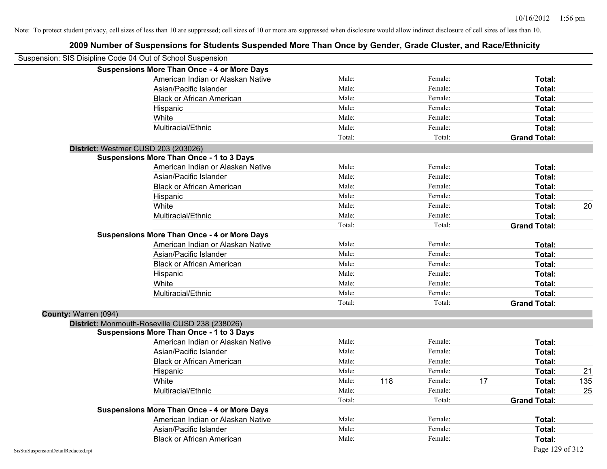| 2009 Number of Suspensions for Students Suspended More Than Once by Gender, Grade Cluster, and Race/Ethnicity |        |     |         |    |                     |     |
|---------------------------------------------------------------------------------------------------------------|--------|-----|---------|----|---------------------|-----|
| Suspension: SIS Disipline Code 04 Out of School Suspension                                                    |        |     |         |    |                     |     |
| <b>Suspensions More Than Once - 4 or More Days</b>                                                            |        |     |         |    |                     |     |
| American Indian or Alaskan Native                                                                             | Male:  |     | Female: |    | Total:              |     |
| Asian/Pacific Islander                                                                                        | Male:  |     | Female: |    | Total:              |     |
| <b>Black or African American</b>                                                                              | Male:  |     | Female: |    | Total:              |     |
| Hispanic                                                                                                      | Male:  |     | Female: |    | Total:              |     |
| White                                                                                                         | Male:  |     | Female: |    | Total:              |     |
| Multiracial/Ethnic                                                                                            | Male:  |     | Female: |    | Total:              |     |
|                                                                                                               | Total: |     | Total:  |    | <b>Grand Total:</b> |     |
| District: Westmer CUSD 203 (203026)                                                                           |        |     |         |    |                     |     |
| <b>Suspensions More Than Once - 1 to 3 Days</b>                                                               |        |     |         |    |                     |     |
| American Indian or Alaskan Native                                                                             | Male:  |     | Female: |    | Total:              |     |
| Asian/Pacific Islander                                                                                        | Male:  |     | Female: |    | Total:              |     |
| <b>Black or African American</b>                                                                              | Male:  |     | Female: |    | Total:              |     |
| Hispanic                                                                                                      | Male:  |     | Female: |    | Total:              |     |
| White                                                                                                         | Male:  |     | Female: |    | Total:              | 20  |
| Multiracial/Ethnic                                                                                            | Male:  |     | Female: |    | Total:              |     |
|                                                                                                               | Total: |     | Total:  |    | <b>Grand Total:</b> |     |
| <b>Suspensions More Than Once - 4 or More Days</b>                                                            |        |     |         |    |                     |     |
| American Indian or Alaskan Native                                                                             | Male:  |     | Female: |    | Total:              |     |
| Asian/Pacific Islander                                                                                        | Male:  |     | Female: |    | Total:              |     |
| <b>Black or African American</b>                                                                              | Male:  |     | Female: |    | Total:              |     |
| Hispanic                                                                                                      | Male:  |     | Female: |    | Total:              |     |
| White                                                                                                         | Male:  |     | Female: |    | Total:              |     |
| Multiracial/Ethnic                                                                                            | Male:  |     | Female: |    | Total:              |     |
|                                                                                                               | Total: |     | Total:  |    | <b>Grand Total:</b> |     |
| County: Warren (094)                                                                                          |        |     |         |    |                     |     |
| District: Monmouth-Roseville CUSD 238 (238026)                                                                |        |     |         |    |                     |     |
| <b>Suspensions More Than Once - 1 to 3 Days</b>                                                               |        |     |         |    |                     |     |
| American Indian or Alaskan Native                                                                             | Male:  |     | Female: |    | Total:              |     |
| Asian/Pacific Islander                                                                                        | Male:  |     | Female: |    | Total:              |     |
| <b>Black or African American</b>                                                                              | Male:  |     | Female: |    | Total:              |     |
| Hispanic                                                                                                      | Male:  |     | Female: |    | Total:              | 21  |
| White                                                                                                         | Male:  | 118 | Female: | 17 | Total:              | 135 |
| Multiracial/Ethnic                                                                                            | Male:  |     | Female: |    | Total:              | 25  |
|                                                                                                               | Total: |     | Total:  |    | <b>Grand Total:</b> |     |
| <b>Suspensions More Than Once - 4 or More Days</b>                                                            |        |     |         |    |                     |     |
| American Indian or Alaskan Native                                                                             | Male:  |     | Female: |    | Total:              |     |
| Asian/Pacific Islander                                                                                        | Male:  |     | Female: |    | Total:              |     |
| <b>Black or African American</b>                                                                              | Male:  |     | Female: |    | Total:              |     |

#### SisStuSuspensionDetailRedacted.rpt Page 129 of 312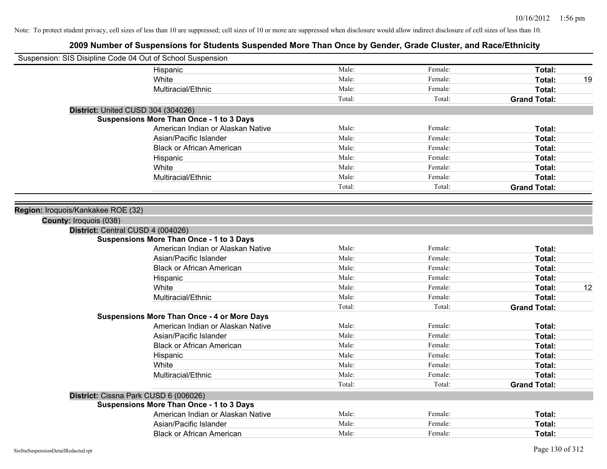| Suspension: SIS Disipline Code 04 Out of School Suspension          |                                                    |                |         |                     |
|---------------------------------------------------------------------|----------------------------------------------------|----------------|---------|---------------------|
|                                                                     | Hispanic                                           | Male:          | Female: | Total:              |
|                                                                     | White                                              | Male:          | Female: | Total:<br>19        |
|                                                                     | Multiracial/Ethnic                                 | Male:          | Female: | Total:              |
|                                                                     |                                                    | Total:         | Total:  | <b>Grand Total:</b> |
| District: United CUSD 304 (304026)                                  |                                                    |                |         |                     |
|                                                                     | Suspensions More Than Once - 1 to 3 Days           |                |         |                     |
|                                                                     | American Indian or Alaskan Native                  | Male:          | Female: | Total:              |
|                                                                     | Asian/Pacific Islander                             | Male:          | Female: | Total:              |
|                                                                     | <b>Black or African American</b>                   | Male:          | Female: | Total:              |
|                                                                     | Hispanic                                           | Male:          | Female: | Total:              |
|                                                                     | White                                              | Male:          | Female: | Total:              |
|                                                                     | Multiracial/Ethnic                                 | Male:          | Female: | Total:              |
|                                                                     |                                                    | Total:         | Total:  | <b>Grand Total:</b> |
|                                                                     |                                                    |                |         |                     |
| Region: Iroquois/Kankakee ROE (32)<br><b>County: Iroquois (038)</b> |                                                    |                |         |                     |
| District: Central CUSD 4 (004026)                                   |                                                    |                |         |                     |
|                                                                     | <b>Suspensions More Than Once - 1 to 3 Days</b>    |                |         |                     |
|                                                                     | American Indian or Alaskan Native                  | Male:          | Female: | Total:              |
|                                                                     | Asian/Pacific Islander                             | Male:          | Female: | Total:              |
|                                                                     | <b>Black or African American</b>                   | Male:          | Female: | Total:              |
|                                                                     | Hispanic                                           | Male:          | Female: | Total:              |
|                                                                     | White                                              | Male:          | Female: | 12<br>Total:        |
|                                                                     | Multiracial/Ethnic                                 | Male:          | Female: | Total:              |
|                                                                     |                                                    | Total:         | Total:  | <b>Grand Total:</b> |
|                                                                     | <b>Suspensions More Than Once - 4 or More Days</b> |                |         |                     |
|                                                                     | American Indian or Alaskan Native                  | Male:          | Female: | Total:              |
|                                                                     | Asian/Pacific Islander                             | Male:          | Female: |                     |
|                                                                     |                                                    |                |         | Total:              |
|                                                                     | <b>Black or African American</b>                   | Male:<br>Male: | Female: | Total:              |
|                                                                     | Hispanic                                           |                | Female: | Total:              |
|                                                                     | White                                              | Male:          | Female: | Total:              |
|                                                                     | Multiracial/Ethnic                                 | Male:          | Female: | Total:              |
|                                                                     |                                                    | Total:         | Total:  | <b>Grand Total:</b> |
|                                                                     | District: Cissna Park CUSD 6 (006026)              |                |         |                     |
|                                                                     | Suspensions More Than Once - 1 to 3 Days           |                |         |                     |
|                                                                     | American Indian or Alaskan Native                  | Male:          | Female: | Total:              |
|                                                                     | Asian/Pacific Islander                             | Male:          | Female: | Total:              |
|                                                                     | <b>Black or African American</b>                   | Male:          | Female: | Total:              |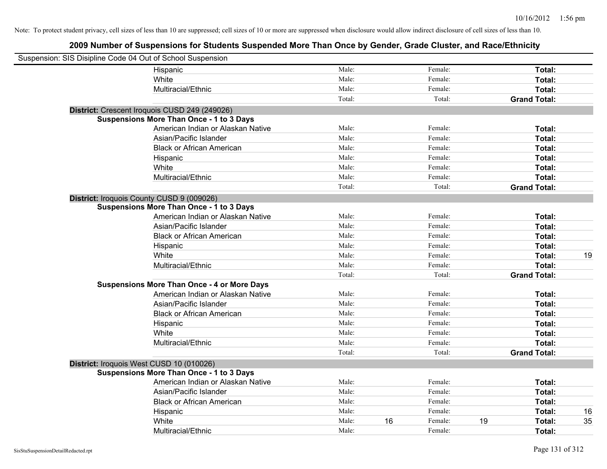| Suspension: SIS Disipline Code 04 Out of School Suspension |                                                    |        |    |         |    |                     |    |
|------------------------------------------------------------|----------------------------------------------------|--------|----|---------|----|---------------------|----|
|                                                            | Hispanic                                           | Male:  |    | Female: |    | Total:              |    |
|                                                            | White                                              | Male:  |    | Female: |    | Total:              |    |
|                                                            | Multiracial/Ethnic                                 | Male:  |    | Female: |    | Total:              |    |
|                                                            |                                                    | Total: |    | Total:  |    | <b>Grand Total:</b> |    |
|                                                            | District: Crescent Iroquois CUSD 249 (249026)      |        |    |         |    |                     |    |
|                                                            | <b>Suspensions More Than Once - 1 to 3 Days</b>    |        |    |         |    |                     |    |
|                                                            | American Indian or Alaskan Native                  | Male:  |    | Female: |    | Total:              |    |
|                                                            | Asian/Pacific Islander                             | Male:  |    | Female: |    | Total:              |    |
|                                                            | <b>Black or African American</b>                   | Male:  |    | Female: |    | Total:              |    |
|                                                            | Hispanic                                           | Male:  |    | Female: |    | Total:              |    |
|                                                            | White                                              | Male:  |    | Female: |    | Total:              |    |
|                                                            | Multiracial/Ethnic                                 | Male:  |    | Female: |    | Total:              |    |
|                                                            |                                                    | Total: |    | Total:  |    | <b>Grand Total:</b> |    |
|                                                            | District: Iroquois County CUSD 9 (009026)          |        |    |         |    |                     |    |
|                                                            | <b>Suspensions More Than Once - 1 to 3 Days</b>    |        |    |         |    |                     |    |
|                                                            | American Indian or Alaskan Native                  | Male:  |    | Female: |    | Total:              |    |
|                                                            | Asian/Pacific Islander                             | Male:  |    | Female: |    | Total:              |    |
|                                                            | <b>Black or African American</b>                   | Male:  |    | Female: |    | Total:              |    |
|                                                            | Hispanic                                           | Male:  |    | Female: |    | Total:              |    |
|                                                            | White                                              | Male:  |    | Female: |    | Total:              | 19 |
|                                                            | Multiracial/Ethnic                                 | Male:  |    | Female: |    | Total:              |    |
|                                                            |                                                    | Total: |    | Total:  |    | <b>Grand Total:</b> |    |
|                                                            | <b>Suspensions More Than Once - 4 or More Days</b> |        |    |         |    |                     |    |
|                                                            | American Indian or Alaskan Native                  | Male:  |    | Female: |    | Total:              |    |
|                                                            | Asian/Pacific Islander                             | Male:  |    | Female: |    | Total:              |    |
|                                                            | <b>Black or African American</b>                   | Male:  |    | Female: |    | Total:              |    |
|                                                            | Hispanic                                           | Male:  |    | Female: |    | Total:              |    |
|                                                            | White                                              | Male:  |    | Female: |    | Total:              |    |
|                                                            | Multiracial/Ethnic                                 | Male:  |    | Female: |    | Total:              |    |
|                                                            |                                                    | Total: |    | Total:  |    | <b>Grand Total:</b> |    |
| District: Iroquois West CUSD 10 (010026)                   |                                                    |        |    |         |    |                     |    |
|                                                            | <b>Suspensions More Than Once - 1 to 3 Days</b>    |        |    |         |    |                     |    |
|                                                            | American Indian or Alaskan Native                  | Male:  |    | Female: |    | Total:              |    |
|                                                            | Asian/Pacific Islander                             | Male:  |    | Female: |    | Total:              |    |
|                                                            | <b>Black or African American</b>                   | Male:  |    | Female: |    | Total:              |    |
|                                                            | Hispanic                                           | Male:  |    | Female: |    | Total:              | 16 |
|                                                            | White                                              | Male:  | 16 | Female: | 19 | <b>Total:</b>       | 35 |
|                                                            | Multiracial/Ethnic                                 | Male:  |    | Female: |    | Total:              |    |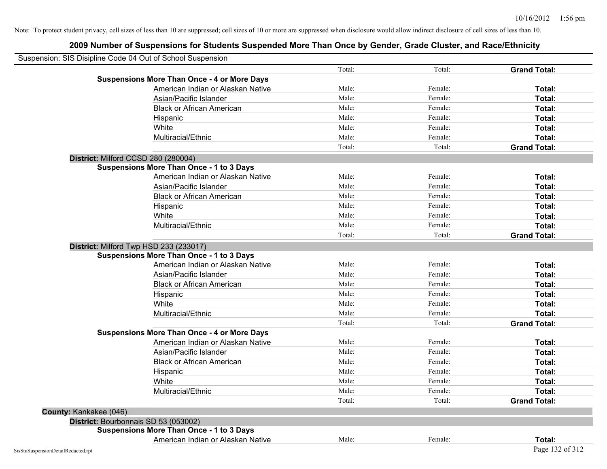| Suspension: SIS Disipline Code 04 Out of School Suspension |                                                    |        |         |                     |
|------------------------------------------------------------|----------------------------------------------------|--------|---------|---------------------|
|                                                            |                                                    | Total: | Total:  | <b>Grand Total:</b> |
|                                                            | <b>Suspensions More Than Once - 4 or More Days</b> |        |         |                     |
|                                                            | American Indian or Alaskan Native                  | Male:  | Female: | Total:              |
|                                                            | Asian/Pacific Islander                             | Male:  | Female: | Total:              |
|                                                            | <b>Black or African American</b>                   | Male:  | Female: | Total:              |
|                                                            | Hispanic                                           | Male:  | Female: | Total:              |
|                                                            | White                                              | Male:  | Female: | Total:              |
|                                                            | Multiracial/Ethnic                                 | Male:  | Female: | Total:              |
|                                                            |                                                    | Total: | Total:  | <b>Grand Total:</b> |
| District: Milford CCSD 280 (280004)                        |                                                    |        |         |                     |
|                                                            | <b>Suspensions More Than Once - 1 to 3 Days</b>    |        |         |                     |
|                                                            | American Indian or Alaskan Native                  | Male:  | Female: | Total:              |
|                                                            | Asian/Pacific Islander                             | Male:  | Female: | Total:              |
|                                                            | <b>Black or African American</b>                   | Male:  | Female: | Total:              |
|                                                            | Hispanic                                           | Male:  | Female: | Total:              |
|                                                            | White                                              | Male:  | Female: | Total:              |
|                                                            | Multiracial/Ethnic                                 | Male:  | Female: | Total:              |
|                                                            |                                                    | Total: | Total:  | <b>Grand Total:</b> |
| District: Milford Twp HSD 233 (233017)                     |                                                    |        |         |                     |
|                                                            | <b>Suspensions More Than Once - 1 to 3 Days</b>    |        |         |                     |
|                                                            | American Indian or Alaskan Native                  | Male:  | Female: | Total:              |
|                                                            | Asian/Pacific Islander                             | Male:  | Female: | Total:              |
|                                                            | <b>Black or African American</b>                   | Male:  | Female: | Total:              |
|                                                            | Hispanic                                           | Male:  | Female: | Total:              |
|                                                            | White                                              | Male:  | Female: | Total:              |
|                                                            | Multiracial/Ethnic                                 | Male:  | Female: | Total:              |
|                                                            |                                                    | Total: | Total:  | <b>Grand Total:</b> |
|                                                            | <b>Suspensions More Than Once - 4 or More Days</b> |        |         |                     |
|                                                            | American Indian or Alaskan Native                  | Male:  | Female: | Total:              |
|                                                            | Asian/Pacific Islander                             | Male:  | Female: | Total:              |
|                                                            | <b>Black or African American</b>                   | Male:  | Female: | Total:              |
|                                                            | Hispanic                                           | Male:  | Female: | Total:              |
|                                                            | White                                              | Male:  | Female: | Total:              |
|                                                            | Multiracial/Ethnic                                 | Male:  | Female: | Total:              |
|                                                            |                                                    | Total: | Total:  | <b>Grand Total:</b> |
| County: Kankakee (046)                                     |                                                    |        |         |                     |
| District: Bourbonnais SD 53 (053002)                       |                                                    |        |         |                     |
|                                                            | <b>Suspensions More Than Once - 1 to 3 Days</b>    |        |         |                     |
|                                                            | American Indian or Alaskan Native                  | Male:  | Female: | Total:              |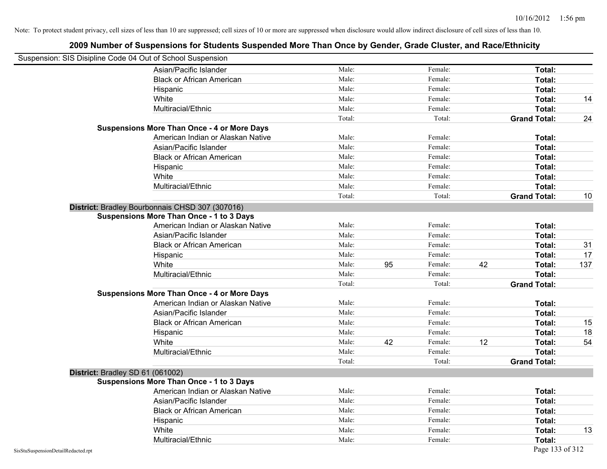| Suspension: SIS Disipline Code 04 Out of School Suspension |                                                    |        |    |         |    |                     |     |
|------------------------------------------------------------|----------------------------------------------------|--------|----|---------|----|---------------------|-----|
|                                                            | Asian/Pacific Islander                             | Male:  |    | Female: |    | Total:              |     |
|                                                            | <b>Black or African American</b>                   | Male:  |    | Female: |    | Total:              |     |
|                                                            | Hispanic                                           | Male:  |    | Female: |    | Total:              |     |
|                                                            | White                                              | Male:  |    | Female: |    | Total:              | 14  |
|                                                            | Multiracial/Ethnic                                 | Male:  |    | Female: |    | Total:              |     |
|                                                            |                                                    | Total: |    | Total:  |    | <b>Grand Total:</b> | 24  |
|                                                            | <b>Suspensions More Than Once - 4 or More Days</b> |        |    |         |    |                     |     |
|                                                            | American Indian or Alaskan Native                  | Male:  |    | Female: |    | Total:              |     |
|                                                            | Asian/Pacific Islander                             | Male:  |    | Female: |    | Total:              |     |
|                                                            | <b>Black or African American</b>                   | Male:  |    | Female: |    | Total:              |     |
|                                                            | Hispanic                                           | Male:  |    | Female: |    | Total:              |     |
|                                                            | White                                              | Male:  |    | Female: |    | Total:              |     |
|                                                            | Multiracial/Ethnic                                 | Male:  |    | Female: |    | Total:              |     |
|                                                            |                                                    | Total: |    | Total:  |    | <b>Grand Total:</b> | 10  |
|                                                            | District: Bradley Bourbonnais CHSD 307 (307016)    |        |    |         |    |                     |     |
|                                                            | <b>Suspensions More Than Once - 1 to 3 Days</b>    |        |    |         |    |                     |     |
|                                                            | American Indian or Alaskan Native                  | Male:  |    | Female: |    | Total:              |     |
|                                                            | Asian/Pacific Islander                             | Male:  |    | Female: |    | Total:              |     |
|                                                            | <b>Black or African American</b>                   | Male:  |    | Female: |    | Total:              | 31  |
|                                                            | Hispanic                                           | Male:  |    | Female: |    | Total:              | 17  |
|                                                            | White                                              | Male:  | 95 | Female: | 42 | Total:              | 137 |
|                                                            | Multiracial/Ethnic                                 | Male:  |    | Female: |    | Total:              |     |
|                                                            |                                                    | Total: |    | Total:  |    | <b>Grand Total:</b> |     |
|                                                            | <b>Suspensions More Than Once - 4 or More Days</b> |        |    |         |    |                     |     |
|                                                            | American Indian or Alaskan Native                  | Male:  |    | Female: |    | Total:              |     |
|                                                            | Asian/Pacific Islander                             | Male:  |    | Female: |    | Total:              |     |
|                                                            | <b>Black or African American</b>                   | Male:  |    | Female: |    | Total:              | 15  |
|                                                            | Hispanic                                           | Male:  |    | Female: |    | Total:              | 18  |
|                                                            | White                                              | Male:  | 42 | Female: | 12 | Total:              | 54  |
|                                                            | Multiracial/Ethnic                                 | Male:  |    | Female: |    | Total:              |     |
|                                                            |                                                    | Total: |    | Total:  |    | <b>Grand Total:</b> |     |
| District: Bradley SD 61 (061002)                           |                                                    |        |    |         |    |                     |     |
|                                                            | <b>Suspensions More Than Once - 1 to 3 Days</b>    |        |    |         |    |                     |     |
|                                                            | American Indian or Alaskan Native                  | Male:  |    | Female: |    | Total:              |     |
|                                                            | Asian/Pacific Islander                             | Male:  |    | Female: |    | Total:              |     |
|                                                            | <b>Black or African American</b>                   | Male:  |    | Female: |    | Total:              |     |
|                                                            | Hispanic                                           | Male:  |    | Female: |    | Total:              |     |
|                                                            | White                                              | Male:  |    | Female: |    | Total:              | 13  |
|                                                            | Multiracial/Ethnic                                 | Male:  |    | Female: |    | Total:              |     |
| SisStuSuspensionDetailRedacted.rpt                         |                                                    |        |    |         |    | Page 133 of 312     |     |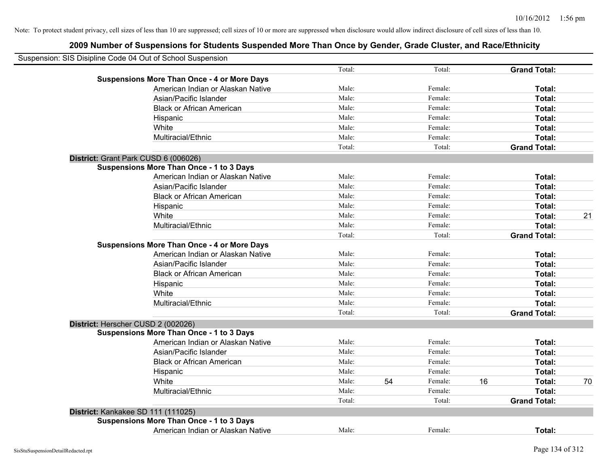| Suspension: SIS Disipline Code 04 Out of School Suspension |        |               |    |                     |    |
|------------------------------------------------------------|--------|---------------|----|---------------------|----|
|                                                            | Total: | Total:        |    | <b>Grand Total:</b> |    |
| <b>Suspensions More Than Once - 4 or More Days</b>         |        |               |    |                     |    |
| American Indian or Alaskan Native                          | Male:  | Female:       |    | Total:              |    |
| Asian/Pacific Islander                                     | Male:  | Female:       |    | Total:              |    |
| <b>Black or African American</b>                           | Male:  | Female:       |    | Total:              |    |
| Hispanic                                                   | Male:  | Female:       |    | Total:              |    |
| White                                                      | Male:  | Female:       |    | Total:              |    |
| Multiracial/Ethnic                                         | Male:  | Female:       |    | Total:              |    |
|                                                            | Total: | Total:        |    | <b>Grand Total:</b> |    |
| District: Grant Park CUSD 6 (006026)                       |        |               |    |                     |    |
| <b>Suspensions More Than Once - 1 to 3 Days</b>            |        |               |    |                     |    |
| American Indian or Alaskan Native                          | Male:  | Female:       |    | Total:              |    |
| Asian/Pacific Islander                                     | Male:  | Female:       |    | Total:              |    |
| <b>Black or African American</b>                           | Male:  | Female:       |    | Total:              |    |
| Hispanic                                                   | Male:  | Female:       |    | Total:              |    |
| White                                                      | Male:  | Female:       |    | Total:              | 21 |
| Multiracial/Ethnic                                         | Male:  | Female:       |    | Total:              |    |
|                                                            | Total: | Total:        |    | <b>Grand Total:</b> |    |
| <b>Suspensions More Than Once - 4 or More Days</b>         |        |               |    |                     |    |
| American Indian or Alaskan Native                          | Male:  | Female:       |    | Total:              |    |
| Asian/Pacific Islander                                     | Male:  | Female:       |    | Total:              |    |
| <b>Black or African American</b>                           | Male:  | Female:       |    | Total:              |    |
| Hispanic                                                   | Male:  | Female:       |    | Total:              |    |
| White                                                      | Male:  | Female:       |    | Total:              |    |
| Multiracial/Ethnic                                         | Male:  | Female:       |    | Total:              |    |
|                                                            | Total: | Total:        |    | <b>Grand Total:</b> |    |
| District: Herscher CUSD 2 (002026)                         |        |               |    |                     |    |
| <b>Suspensions More Than Once - 1 to 3 Days</b>            |        |               |    |                     |    |
| American Indian or Alaskan Native                          | Male:  | Female:       |    | Total:              |    |
| Asian/Pacific Islander                                     | Male:  | Female:       |    | Total:              |    |
| <b>Black or African American</b>                           | Male:  | Female:       |    | Total:              |    |
| Hispanic                                                   | Male:  | Female:       |    | Total:              |    |
| White                                                      | Male:  | 54<br>Female: | 16 | Total:              | 70 |
| Multiracial/Ethnic                                         | Male:  | Female:       |    | Total:              |    |
|                                                            | Total: | Total:        |    | <b>Grand Total:</b> |    |
| District: Kankakee SD 111 (111025)                         |        |               |    |                     |    |
| <b>Suspensions More Than Once - 1 to 3 Days</b>            |        |               |    |                     |    |
| American Indian or Alaskan Native                          | Male:  | Female:       |    | Total:              |    |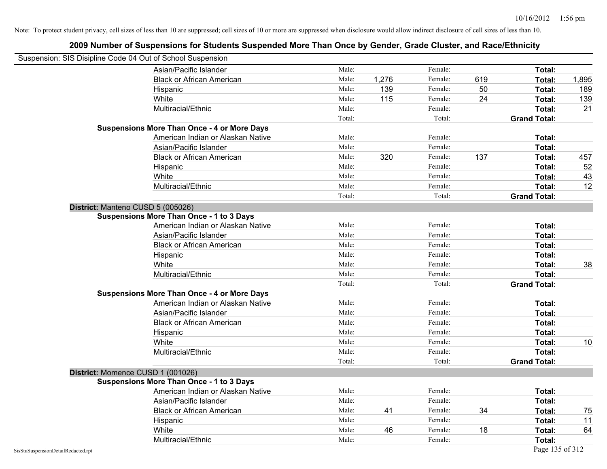| Suspension: SIS Disipline Code 04 Out of School Suspension |                                                    |        |       |         |     |                     |       |
|------------------------------------------------------------|----------------------------------------------------|--------|-------|---------|-----|---------------------|-------|
|                                                            | Asian/Pacific Islander                             | Male:  |       | Female: |     | Total:              |       |
|                                                            | <b>Black or African American</b>                   | Male:  | 1,276 | Female: | 619 | Total:              | 1,895 |
|                                                            | Hispanic                                           | Male:  | 139   | Female: | 50  | Total:              | 189   |
|                                                            | White                                              | Male:  | 115   | Female: | 24  | Total:              | 139   |
|                                                            | Multiracial/Ethnic                                 | Male:  |       | Female: |     | Total:              | 21    |
|                                                            |                                                    | Total: |       | Total:  |     | <b>Grand Total:</b> |       |
|                                                            | <b>Suspensions More Than Once - 4 or More Days</b> |        |       |         |     |                     |       |
|                                                            | American Indian or Alaskan Native                  | Male:  |       | Female: |     | Total:              |       |
|                                                            | Asian/Pacific Islander                             | Male:  |       | Female: |     | Total:              |       |
|                                                            | <b>Black or African American</b>                   | Male:  | 320   | Female: | 137 | Total:              | 457   |
|                                                            | Hispanic                                           | Male:  |       | Female: |     | Total:              | 52    |
|                                                            | White                                              | Male:  |       | Female: |     | Total:              | 43    |
|                                                            | Multiracial/Ethnic                                 | Male:  |       | Female: |     | Total:              | 12    |
|                                                            |                                                    | Total: |       | Total:  |     | <b>Grand Total:</b> |       |
|                                                            | District: Manteno CUSD 5 (005026)                  |        |       |         |     |                     |       |
|                                                            | <b>Suspensions More Than Once - 1 to 3 Days</b>    |        |       |         |     |                     |       |
|                                                            | American Indian or Alaskan Native                  | Male:  |       | Female: |     | Total:              |       |
|                                                            | Asian/Pacific Islander                             | Male:  |       | Female: |     | Total:              |       |
|                                                            | <b>Black or African American</b>                   | Male:  |       | Female: |     | Total:              |       |
|                                                            | Hispanic                                           | Male:  |       | Female: |     | Total:              |       |
|                                                            | White                                              | Male:  |       | Female: |     | Total:              | 38    |
|                                                            | Multiracial/Ethnic                                 | Male:  |       | Female: |     | Total:              |       |
|                                                            |                                                    | Total: |       | Total:  |     | <b>Grand Total:</b> |       |
|                                                            | <b>Suspensions More Than Once - 4 or More Days</b> |        |       |         |     |                     |       |
|                                                            | American Indian or Alaskan Native                  | Male:  |       | Female: |     | Total:              |       |
|                                                            | Asian/Pacific Islander                             | Male:  |       | Female: |     | Total:              |       |
|                                                            | <b>Black or African American</b>                   | Male:  |       | Female: |     | Total:              |       |
|                                                            | Hispanic                                           | Male:  |       | Female: |     | Total:              |       |
|                                                            | White                                              | Male:  |       | Female: |     | Total:              | 10    |
|                                                            | Multiracial/Ethnic                                 | Male:  |       | Female: |     | Total:              |       |
|                                                            |                                                    | Total: |       | Total:  |     | <b>Grand Total:</b> |       |
|                                                            | District: Momence CUSD 1 (001026)                  |        |       |         |     |                     |       |
|                                                            | <b>Suspensions More Than Once - 1 to 3 Days</b>    |        |       |         |     |                     |       |
|                                                            | American Indian or Alaskan Native                  | Male:  |       | Female: |     | Total:              |       |
|                                                            | Asian/Pacific Islander                             | Male:  |       | Female: |     | Total:              |       |
|                                                            | <b>Black or African American</b>                   | Male:  | 41    | Female: | 34  | Total:              | 75    |
|                                                            | Hispanic                                           | Male:  |       | Female: |     | Total:              | 11    |
|                                                            | White                                              | Male:  | 46    | Female: | 18  | Total:              | 64    |
|                                                            | Multiracial/Ethnic                                 | Male:  |       | Female: |     | Total:              |       |
| SisStuSuspensionDetailRedacted.rpt                         |                                                    |        |       |         |     | Page 135 of 312     |       |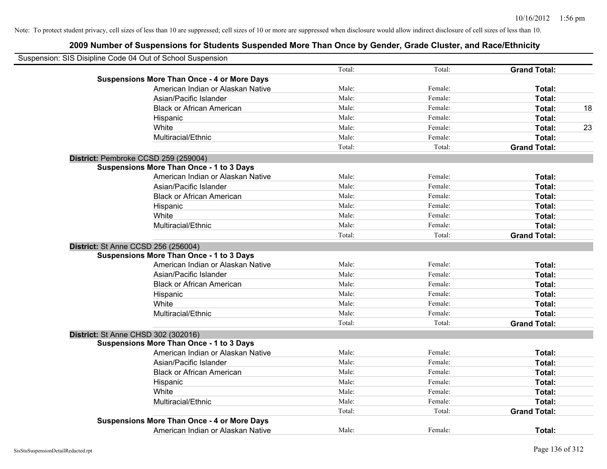| Suspension: SIS Disipline Code 04 Out of School Suspension |                                                    |        |         |                     |    |
|------------------------------------------------------------|----------------------------------------------------|--------|---------|---------------------|----|
|                                                            |                                                    | Total: | Total:  | <b>Grand Total:</b> |    |
|                                                            | <b>Suspensions More Than Once - 4 or More Days</b> |        |         |                     |    |
|                                                            | American Indian or Alaskan Native                  | Male:  | Female: | Total:              |    |
|                                                            | Asian/Pacific Islander                             | Male:  | Female: | Total:              |    |
|                                                            | <b>Black or African American</b>                   | Male:  | Female: | Total:              | 18 |
|                                                            | Hispanic                                           | Male:  | Female: | Total:              |    |
|                                                            | White                                              | Male:  | Female: | Total:              | 23 |
|                                                            | Multiracial/Ethnic                                 | Male:  | Female: | Total:              |    |
|                                                            |                                                    | Total: | Total:  | <b>Grand Total:</b> |    |
| District: Pembroke CCSD 259 (259004)                       |                                                    |        |         |                     |    |
|                                                            | <b>Suspensions More Than Once - 1 to 3 Days</b>    |        |         |                     |    |
|                                                            | American Indian or Alaskan Native                  | Male:  | Female: | Total:              |    |
|                                                            | Asian/Pacific Islander                             | Male:  | Female: | Total:              |    |
|                                                            | <b>Black or African American</b>                   | Male:  | Female: | Total:              |    |
|                                                            | Hispanic                                           | Male:  | Female: | Total:              |    |
|                                                            | White                                              | Male:  | Female: | Total:              |    |
|                                                            | Multiracial/Ethnic                                 | Male:  | Female: | Total:              |    |
|                                                            |                                                    | Total: | Total:  | <b>Grand Total:</b> |    |
| District: St Anne CCSD 256 (256004)                        |                                                    |        |         |                     |    |
|                                                            | <b>Suspensions More Than Once - 1 to 3 Days</b>    |        |         |                     |    |
|                                                            | American Indian or Alaskan Native                  | Male:  | Female: | Total:              |    |
|                                                            | Asian/Pacific Islander                             | Male:  | Female: | Total:              |    |
|                                                            | <b>Black or African American</b>                   | Male:  | Female: | Total:              |    |
|                                                            | Hispanic                                           | Male:  | Female: | Total:              |    |
|                                                            | White                                              | Male:  | Female: | Total:              |    |
|                                                            | Multiracial/Ethnic                                 | Male:  | Female: | Total:              |    |
|                                                            |                                                    | Total: | Total:  | <b>Grand Total:</b> |    |
| <b>District: St Anne CHSD 302 (302016)</b>                 |                                                    |        |         |                     |    |
|                                                            | <b>Suspensions More Than Once - 1 to 3 Days</b>    |        |         |                     |    |
|                                                            | American Indian or Alaskan Native                  | Male:  | Female: | Total:              |    |
|                                                            | Asian/Pacific Islander                             | Male:  | Female: | Total:              |    |
|                                                            | <b>Black or African American</b>                   | Male:  | Female: | Total:              |    |
|                                                            | Hispanic                                           | Male:  | Female: | Total:              |    |
|                                                            | White                                              | Male:  | Female: | Total:              |    |
|                                                            | Multiracial/Ethnic                                 | Male:  | Female: | Total:              |    |
|                                                            |                                                    | Total: | Total:  | <b>Grand Total:</b> |    |
|                                                            | <b>Suspensions More Than Once - 4 or More Days</b> |        |         |                     |    |
|                                                            | American Indian or Alaskan Native                  | Male:  | Female: | Total:              |    |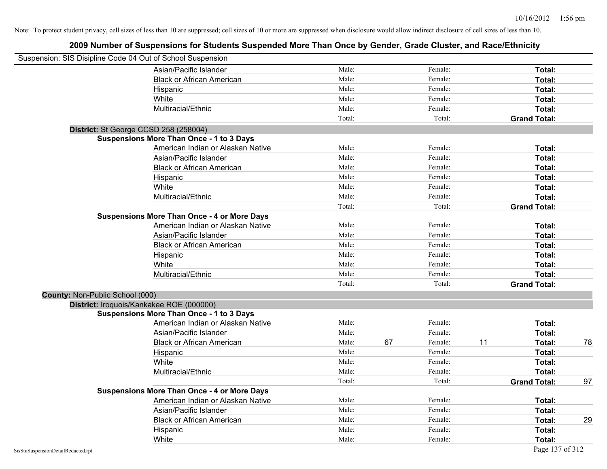| Suspension: SIS Disipline Code 04 Out of School Suspension |                                                    |        |    |         |    |                     |    |
|------------------------------------------------------------|----------------------------------------------------|--------|----|---------|----|---------------------|----|
|                                                            | Asian/Pacific Islander                             | Male:  |    | Female: |    | Total:              |    |
|                                                            | <b>Black or African American</b>                   | Male:  |    | Female: |    | Total:              |    |
|                                                            | Hispanic                                           | Male:  |    | Female: |    | Total:              |    |
|                                                            | White                                              | Male:  |    | Female: |    | Total:              |    |
|                                                            | Multiracial/Ethnic                                 | Male:  |    | Female: |    | Total:              |    |
|                                                            |                                                    | Total: |    | Total:  |    | <b>Grand Total:</b> |    |
|                                                            | District: St George CCSD 258 (258004)              |        |    |         |    |                     |    |
|                                                            | <b>Suspensions More Than Once - 1 to 3 Days</b>    |        |    |         |    |                     |    |
|                                                            | American Indian or Alaskan Native                  | Male:  |    | Female: |    | Total:              |    |
|                                                            | Asian/Pacific Islander                             | Male:  |    | Female: |    | Total:              |    |
|                                                            | <b>Black or African American</b>                   | Male:  |    | Female: |    | Total:              |    |
|                                                            | Hispanic                                           | Male:  |    | Female: |    | Total:              |    |
|                                                            | White                                              | Male:  |    | Female: |    | Total:              |    |
|                                                            | Multiracial/Ethnic                                 | Male:  |    | Female: |    | Total:              |    |
|                                                            |                                                    | Total: |    | Total:  |    | <b>Grand Total:</b> |    |
|                                                            | <b>Suspensions More Than Once - 4 or More Days</b> |        |    |         |    |                     |    |
|                                                            | American Indian or Alaskan Native                  | Male:  |    | Female: |    | Total:              |    |
|                                                            | Asian/Pacific Islander                             | Male:  |    | Female: |    | Total:              |    |
|                                                            | <b>Black or African American</b>                   | Male:  |    | Female: |    | Total:              |    |
|                                                            | Hispanic                                           | Male:  |    | Female: |    | Total:              |    |
|                                                            | White                                              | Male:  |    | Female: |    | Total:              |    |
|                                                            | Multiracial/Ethnic                                 | Male:  |    | Female: |    | Total:              |    |
|                                                            |                                                    | Total: |    | Total:  |    | <b>Grand Total:</b> |    |
| County: Non-Public School (000)                            |                                                    |        |    |         |    |                     |    |
|                                                            | District: Iroquois/Kankakee ROE (000000)           |        |    |         |    |                     |    |
|                                                            | <b>Suspensions More Than Once - 1 to 3 Days</b>    |        |    |         |    |                     |    |
|                                                            | American Indian or Alaskan Native                  | Male:  |    | Female: |    | Total:              |    |
|                                                            | Asian/Pacific Islander                             | Male:  |    | Female: |    | Total:              |    |
|                                                            | <b>Black or African American</b>                   | Male:  | 67 | Female: | 11 | Total:              | 78 |
|                                                            | Hispanic                                           | Male:  |    | Female: |    | Total:              |    |
|                                                            | White                                              | Male:  |    | Female: |    | Total:              |    |
|                                                            | Multiracial/Ethnic                                 | Male:  |    | Female: |    | Total:              |    |
|                                                            |                                                    | Total: |    | Total:  |    | <b>Grand Total:</b> | 97 |
|                                                            | <b>Suspensions More Than Once - 4 or More Days</b> |        |    |         |    |                     |    |
|                                                            | American Indian or Alaskan Native                  | Male:  |    | Female: |    | Total:              |    |
|                                                            | Asian/Pacific Islander                             | Male:  |    | Female: |    | Total:              |    |
|                                                            | <b>Black or African American</b>                   | Male:  |    | Female: |    | Total:              | 29 |
|                                                            | Hispanic                                           | Male:  |    | Female: |    | Total:              |    |
|                                                            | White                                              | Male:  |    | Female: |    | Total:              |    |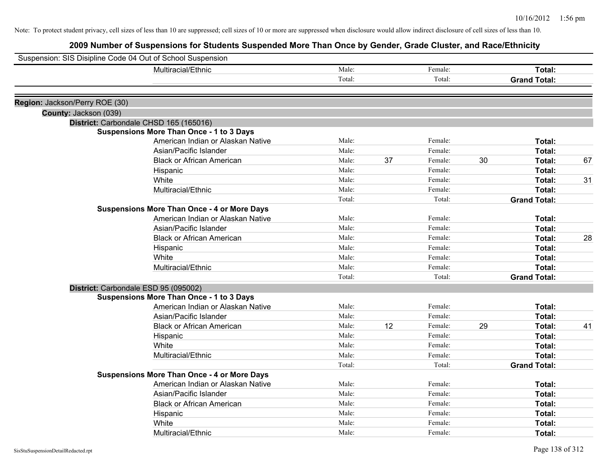| Suspension: SIS Disipline Code 04 Out of School Suspension |                                                    |        |    |         |    |                     |    |
|------------------------------------------------------------|----------------------------------------------------|--------|----|---------|----|---------------------|----|
|                                                            | Multiracial/Ethnic                                 | Male:  |    | Female: |    | Total:              |    |
|                                                            |                                                    | Total: |    | Total:  |    | <b>Grand Total:</b> |    |
| Region: Jackson/Perry ROE (30)                             |                                                    |        |    |         |    |                     |    |
| County: Jackson (039)                                      |                                                    |        |    |         |    |                     |    |
|                                                            | District: Carbondale CHSD 165 (165016)             |        |    |         |    |                     |    |
|                                                            | <b>Suspensions More Than Once - 1 to 3 Days</b>    |        |    |         |    |                     |    |
|                                                            | American Indian or Alaskan Native                  | Male:  |    | Female: |    | Total:              |    |
|                                                            | Asian/Pacific Islander                             | Male:  |    | Female: |    | Total:              |    |
|                                                            | <b>Black or African American</b>                   | Male:  | 37 | Female: | 30 | Total:              | 67 |
|                                                            | Hispanic                                           | Male:  |    | Female: |    | Total:              |    |
|                                                            | White                                              | Male:  |    | Female: |    | Total:              | 31 |
|                                                            | Multiracial/Ethnic                                 | Male:  |    | Female: |    | Total:              |    |
|                                                            |                                                    | Total: |    | Total:  |    | <b>Grand Total:</b> |    |
|                                                            | <b>Suspensions More Than Once - 4 or More Days</b> |        |    |         |    |                     |    |
|                                                            | American Indian or Alaskan Native                  | Male:  |    | Female: |    | Total:              |    |
|                                                            | Asian/Pacific Islander                             | Male:  |    | Female: |    | Total:              |    |
|                                                            | <b>Black or African American</b>                   | Male:  |    | Female: |    | Total:              | 28 |
|                                                            | Hispanic                                           | Male:  |    | Female: |    | Total:              |    |
|                                                            | White                                              | Male:  |    | Female: |    | Total:              |    |
|                                                            | Multiracial/Ethnic                                 | Male:  |    | Female: |    | Total:              |    |
|                                                            |                                                    | Total: |    | Total:  |    | <b>Grand Total:</b> |    |
|                                                            | District: Carbondale ESD 95 (095002)               |        |    |         |    |                     |    |
|                                                            | <b>Suspensions More Than Once - 1 to 3 Days</b>    |        |    |         |    |                     |    |
|                                                            | American Indian or Alaskan Native                  | Male:  |    | Female: |    | Total:              |    |
|                                                            | Asian/Pacific Islander                             | Male:  |    | Female: |    | Total:              |    |
|                                                            | <b>Black or African American</b>                   | Male:  | 12 | Female: | 29 | Total:              | 41 |
|                                                            | Hispanic                                           | Male:  |    | Female: |    | Total:              |    |
|                                                            | White                                              | Male:  |    | Female: |    | Total:              |    |
|                                                            | Multiracial/Ethnic                                 | Male:  |    | Female: |    | Total:              |    |
|                                                            |                                                    | Total: |    | Total:  |    | <b>Grand Total:</b> |    |
|                                                            | <b>Suspensions More Than Once - 4 or More Days</b> |        |    |         |    |                     |    |
|                                                            | American Indian or Alaskan Native                  | Male:  |    | Female: |    | Total:              |    |
|                                                            | Asian/Pacific Islander                             | Male:  |    | Female: |    | Total:              |    |
|                                                            | <b>Black or African American</b>                   | Male:  |    | Female: |    | Total:              |    |
|                                                            | Hispanic                                           | Male:  |    | Female: |    | Total:              |    |
|                                                            | White                                              | Male:  |    | Female: |    | Total:              |    |
|                                                            | Multiracial/Ethnic                                 | Male:  |    | Female: |    | Total:              |    |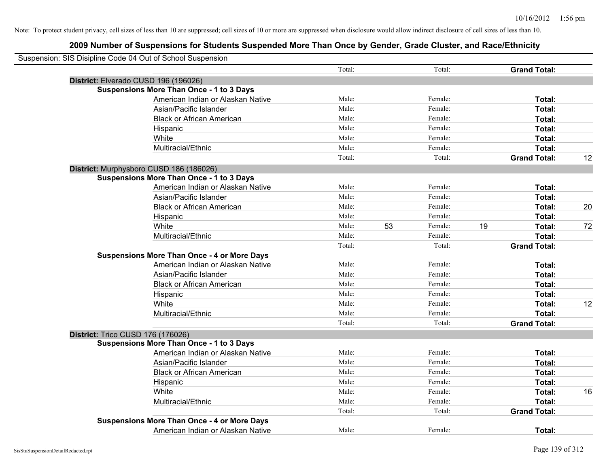| Suspension: SIS Disipline Code 04 Out of School Suspension |        |    |         |    |                     |    |
|------------------------------------------------------------|--------|----|---------|----|---------------------|----|
|                                                            | Total: |    | Total:  |    | <b>Grand Total:</b> |    |
| District: Elverado CUSD 196 (196026)                       |        |    |         |    |                     |    |
| <b>Suspensions More Than Once - 1 to 3 Days</b>            |        |    |         |    |                     |    |
| American Indian or Alaskan Native                          | Male:  |    | Female: |    | Total:              |    |
| Asian/Pacific Islander                                     | Male:  |    | Female: |    | Total:              |    |
| <b>Black or African American</b>                           | Male:  |    | Female: |    | Total:              |    |
| Hispanic                                                   | Male:  |    | Female: |    | Total:              |    |
| White                                                      | Male:  |    | Female: |    | Total:              |    |
| Multiracial/Ethnic                                         | Male:  |    | Female: |    | Total:              |    |
|                                                            | Total: |    | Total:  |    | <b>Grand Total:</b> | 12 |
| District: Murphysboro CUSD 186 (186026)                    |        |    |         |    |                     |    |
| <b>Suspensions More Than Once - 1 to 3 Days</b>            |        |    |         |    |                     |    |
| American Indian or Alaskan Native                          | Male:  |    | Female: |    | Total:              |    |
| Asian/Pacific Islander                                     | Male:  |    | Female: |    | Total:              |    |
| <b>Black or African American</b>                           | Male:  |    | Female: |    | Total:              | 20 |
| Hispanic                                                   | Male:  |    | Female: |    | Total:              |    |
| White                                                      | Male:  | 53 | Female: | 19 | Total:              | 72 |
| Multiracial/Ethnic                                         | Male:  |    | Female: |    | Total:              |    |
|                                                            | Total: |    | Total:  |    | <b>Grand Total:</b> |    |
| <b>Suspensions More Than Once - 4 or More Days</b>         |        |    |         |    |                     |    |
| American Indian or Alaskan Native                          | Male:  |    | Female: |    | Total:              |    |
| Asian/Pacific Islander                                     | Male:  |    | Female: |    | Total:              |    |
| <b>Black or African American</b>                           | Male:  |    | Female: |    | Total:              |    |
| Hispanic                                                   | Male:  |    | Female: |    | Total:              |    |
| White                                                      | Male:  |    | Female: |    | Total:              | 12 |
| Multiracial/Ethnic                                         | Male:  |    | Female: |    | Total:              |    |
|                                                            | Total: |    | Total:  |    | <b>Grand Total:</b> |    |
| District: Trico CUSD 176 (176026)                          |        |    |         |    |                     |    |
| <b>Suspensions More Than Once - 1 to 3 Days</b>            |        |    |         |    |                     |    |
| American Indian or Alaskan Native                          | Male:  |    | Female: |    | Total:              |    |
| Asian/Pacific Islander                                     | Male:  |    | Female: |    | Total:              |    |
| <b>Black or African American</b>                           | Male:  |    | Female: |    | Total:              |    |
| Hispanic                                                   | Male:  |    | Female: |    | Total:              |    |
| White                                                      | Male:  |    | Female: |    | Total:              | 16 |
| Multiracial/Ethnic                                         | Male:  |    | Female: |    | Total:              |    |
|                                                            | Total: |    | Total:  |    | <b>Grand Total:</b> |    |
| <b>Suspensions More Than Once - 4 or More Days</b>         |        |    |         |    |                     |    |
| American Indian or Alaskan Native                          | Male:  |    | Female: |    | Total:              |    |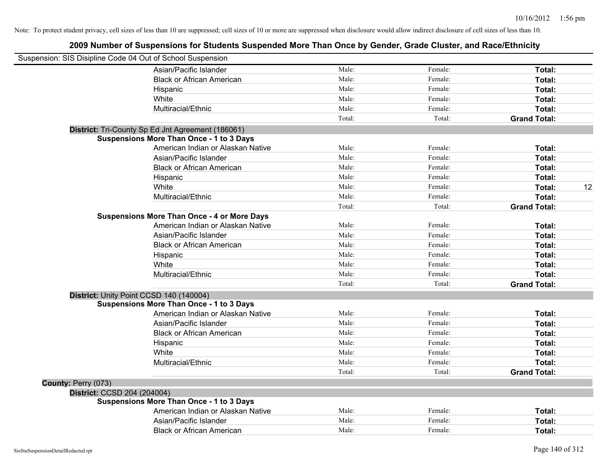| Suspension: SIS Disipline Code 04 Out of School Suspension |        |         |                     |    |
|------------------------------------------------------------|--------|---------|---------------------|----|
| Asian/Pacific Islander                                     | Male:  | Female: | Total:              |    |
| <b>Black or African American</b>                           | Male:  | Female: | Total:              |    |
| Hispanic                                                   | Male:  | Female: | Total:              |    |
| White                                                      | Male:  | Female: | Total:              |    |
| Multiracial/Ethnic                                         | Male:  | Female: | Total:              |    |
|                                                            | Total: | Total:  | <b>Grand Total:</b> |    |
| District: Tri-County Sp Ed Jnt Agreement (186061)          |        |         |                     |    |
| <b>Suspensions More Than Once - 1 to 3 Days</b>            |        |         |                     |    |
| American Indian or Alaskan Native                          | Male:  | Female: | Total:              |    |
| Asian/Pacific Islander                                     | Male:  | Female: | Total:              |    |
| <b>Black or African American</b>                           | Male:  | Female: | Total:              |    |
| Hispanic                                                   | Male:  | Female: | Total:              |    |
| White                                                      | Male:  | Female: | <b>Total:</b>       | 12 |
| Multiracial/Ethnic                                         | Male:  | Female: | Total:              |    |
|                                                            | Total: | Total:  | <b>Grand Total:</b> |    |
| <b>Suspensions More Than Once - 4 or More Days</b>         |        |         |                     |    |
| American Indian or Alaskan Native                          | Male:  | Female: | Total:              |    |
| Asian/Pacific Islander                                     | Male:  | Female: | Total:              |    |
| <b>Black or African American</b>                           | Male:  | Female: | Total:              |    |
| Hispanic                                                   | Male:  | Female: | Total:              |    |
| White                                                      | Male:  | Female: | Total:              |    |
| Multiracial/Ethnic                                         | Male:  | Female: | Total:              |    |
|                                                            | Total: | Total:  | <b>Grand Total:</b> |    |
| District: Unity Point CCSD 140 (140004)                    |        |         |                     |    |
| <b>Suspensions More Than Once - 1 to 3 Days</b>            |        |         |                     |    |
| American Indian or Alaskan Native                          | Male:  | Female: | Total:              |    |
| Asian/Pacific Islander                                     | Male:  | Female: | Total:              |    |
| <b>Black or African American</b>                           | Male:  | Female: | Total:              |    |
| Hispanic                                                   | Male:  | Female: | Total:              |    |
| White                                                      | Male:  | Female: | Total:              |    |
| Multiracial/Ethnic                                         | Male:  | Female: | Total:              |    |
|                                                            | Total: | Total:  | <b>Grand Total:</b> |    |
| County: Perry (073)                                        |        |         |                     |    |
| District: CCSD 204 (204004)                                |        |         |                     |    |
| <b>Suspensions More Than Once - 1 to 3 Days</b>            |        |         |                     |    |
| American Indian or Alaskan Native                          | Male:  | Female: | Total:              |    |
| Asian/Pacific Islander                                     | Male:  | Female: | <b>Total:</b>       |    |
| <b>Black or African American</b>                           | Male:  | Female: | Total:              |    |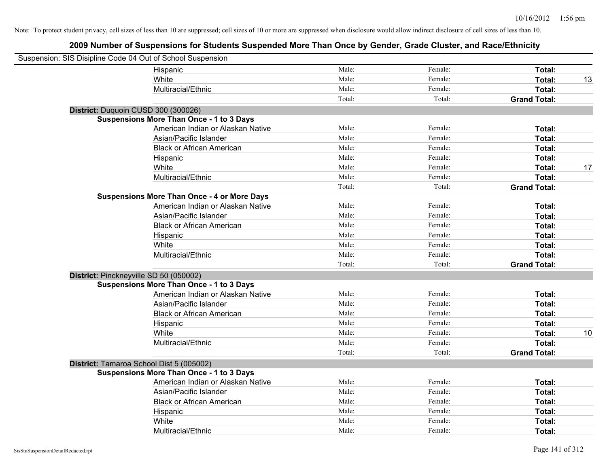| Suspension: SIS Disipline Code 04 Out of School Suspension |                                                    |        |         |                     |    |
|------------------------------------------------------------|----------------------------------------------------|--------|---------|---------------------|----|
|                                                            | Hispanic                                           | Male:  | Female: | Total:              |    |
|                                                            | White                                              | Male:  | Female: | Total:              | 13 |
|                                                            | Multiracial/Ethnic                                 | Male:  | Female: | Total:              |    |
|                                                            |                                                    | Total: | Total:  | <b>Grand Total:</b> |    |
| District: Duquoin CUSD 300 (300026)                        |                                                    |        |         |                     |    |
|                                                            | <b>Suspensions More Than Once - 1 to 3 Days</b>    |        |         |                     |    |
|                                                            | American Indian or Alaskan Native                  | Male:  | Female: | Total:              |    |
|                                                            | Asian/Pacific Islander                             | Male:  | Female: | Total:              |    |
|                                                            | <b>Black or African American</b>                   | Male:  | Female: | Total:              |    |
|                                                            | Hispanic                                           | Male:  | Female: | Total:              |    |
|                                                            | White                                              | Male:  | Female: | Total:              | 17 |
|                                                            | Multiracial/Ethnic                                 | Male:  | Female: | Total:              |    |
|                                                            |                                                    | Total: | Total:  | <b>Grand Total:</b> |    |
|                                                            | <b>Suspensions More Than Once - 4 or More Days</b> |        |         |                     |    |
|                                                            | American Indian or Alaskan Native                  | Male:  | Female: | Total:              |    |
|                                                            | Asian/Pacific Islander                             | Male:  | Female: | Total:              |    |
|                                                            | <b>Black or African American</b>                   | Male:  | Female: | Total:              |    |
|                                                            | Hispanic                                           | Male:  | Female: | Total:              |    |
|                                                            | White                                              | Male:  | Female: | Total:              |    |
|                                                            | Multiracial/Ethnic                                 | Male:  | Female: | Total:              |    |
|                                                            |                                                    | Total: | Total:  | <b>Grand Total:</b> |    |
| District: Pinckneyville SD 50 (050002)                     |                                                    |        |         |                     |    |
|                                                            | <b>Suspensions More Than Once - 1 to 3 Days</b>    |        |         |                     |    |
|                                                            | American Indian or Alaskan Native                  | Male:  | Female: | Total:              |    |
|                                                            | Asian/Pacific Islander                             | Male:  | Female: | Total:              |    |
|                                                            | <b>Black or African American</b>                   | Male:  | Female: | Total:              |    |
|                                                            | Hispanic                                           | Male:  | Female: | Total:              |    |
|                                                            | White                                              | Male:  | Female: | Total:              | 10 |
|                                                            | Multiracial/Ethnic                                 | Male:  | Female: | Total:              |    |
|                                                            |                                                    | Total: | Total:  | <b>Grand Total:</b> |    |
|                                                            | District: Tamaroa School Dist 5 (005002)           |        |         |                     |    |
|                                                            | <b>Suspensions More Than Once - 1 to 3 Days</b>    |        |         |                     |    |
|                                                            | American Indian or Alaskan Native                  | Male:  | Female: | Total:              |    |
|                                                            | Asian/Pacific Islander                             | Male:  | Female: | Total:              |    |
|                                                            | <b>Black or African American</b>                   | Male:  | Female: | Total:              |    |
|                                                            | Hispanic                                           | Male:  | Female: | Total:              |    |
|                                                            | White                                              | Male:  | Female: | Total:              |    |
|                                                            | Multiracial/Ethnic                                 | Male:  | Female: | Total:              |    |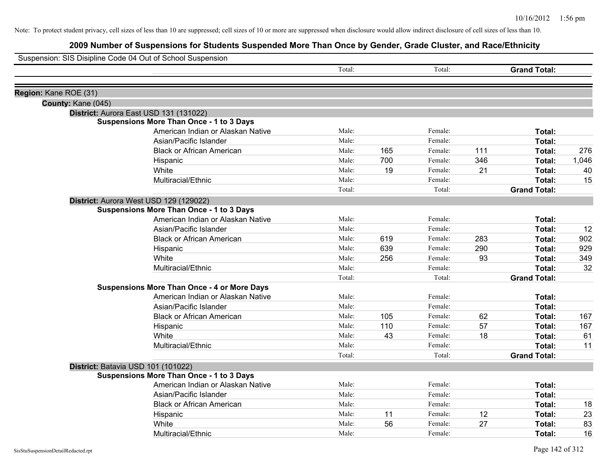| Suspension: SIS Disipline Code 04 Out of School Suspension |                                                    |        |     |         |     |                     |       |
|------------------------------------------------------------|----------------------------------------------------|--------|-----|---------|-----|---------------------|-------|
|                                                            |                                                    | Total: |     | Total:  |     | <b>Grand Total:</b> |       |
| Region: Kane ROE (31)                                      |                                                    |        |     |         |     |                     |       |
| County: Kane (045)                                         |                                                    |        |     |         |     |                     |       |
|                                                            | District: Aurora East USD 131 (131022)             |        |     |         |     |                     |       |
|                                                            | <b>Suspensions More Than Once - 1 to 3 Days</b>    |        |     |         |     |                     |       |
|                                                            | American Indian or Alaskan Native                  | Male:  |     | Female: |     | Total:              |       |
|                                                            | Asian/Pacific Islander                             | Male:  |     | Female: |     | Total:              |       |
|                                                            | <b>Black or African American</b>                   | Male:  | 165 | Female: | 111 | Total:              | 276   |
|                                                            | Hispanic                                           | Male:  | 700 | Female: | 346 | Total:              | 1,046 |
|                                                            | White                                              | Male:  | 19  | Female: | 21  | Total:              | 40    |
|                                                            | Multiracial/Ethnic                                 | Male:  |     | Female: |     | Total:              | 15    |
|                                                            |                                                    | Total: |     | Total:  |     | <b>Grand Total:</b> |       |
|                                                            | District: Aurora West USD 129 (129022)             |        |     |         |     |                     |       |
|                                                            | <b>Suspensions More Than Once - 1 to 3 Days</b>    |        |     |         |     |                     |       |
|                                                            | American Indian or Alaskan Native                  | Male:  |     | Female: |     | Total:              |       |
|                                                            | Asian/Pacific Islander                             | Male:  |     | Female: |     | Total:              | 12    |
|                                                            | <b>Black or African American</b>                   | Male:  | 619 | Female: | 283 | Total:              | 902   |
|                                                            | Hispanic                                           | Male:  | 639 | Female: | 290 | Total:              | 929   |
|                                                            | White                                              | Male:  | 256 | Female: | 93  | Total:              | 349   |
|                                                            | Multiracial/Ethnic                                 | Male:  |     | Female: |     | Total:              | 32    |
|                                                            |                                                    | Total: |     | Total:  |     | <b>Grand Total:</b> |       |
|                                                            | <b>Suspensions More Than Once - 4 or More Days</b> |        |     |         |     |                     |       |
|                                                            | American Indian or Alaskan Native                  | Male:  |     | Female: |     | Total:              |       |
|                                                            | Asian/Pacific Islander                             | Male:  |     | Female: |     | Total:              |       |
|                                                            | <b>Black or African American</b>                   | Male:  | 105 | Female: | 62  | Total:              | 167   |
|                                                            | Hispanic                                           | Male:  | 110 | Female: | 57  | Total:              | 167   |
|                                                            | White                                              | Male:  | 43  | Female: | 18  | Total:              | 61    |
|                                                            | Multiracial/Ethnic                                 | Male:  |     | Female: |     | Total:              | 11    |
|                                                            |                                                    | Total: |     | Total:  |     | <b>Grand Total:</b> |       |
|                                                            | District: Batavia USD 101 (101022)                 |        |     |         |     |                     |       |
|                                                            | <b>Suspensions More Than Once - 1 to 3 Days</b>    |        |     |         |     |                     |       |
|                                                            | American Indian or Alaskan Native                  | Male:  |     | Female: |     | Total:              |       |
|                                                            | Asian/Pacific Islander                             | Male:  |     | Female: |     | Total:              |       |
|                                                            | <b>Black or African American</b>                   | Male:  |     | Female: |     | Total:              | 18    |
|                                                            | Hispanic                                           | Male:  | 11  | Female: | 12  | Total:              | 23    |
|                                                            | White                                              | Male:  | 56  | Female: | 27  | Total:              | 83    |
|                                                            | Multiracial/Ethnic                                 | Male:  |     | Female: |     | Total:              | 16    |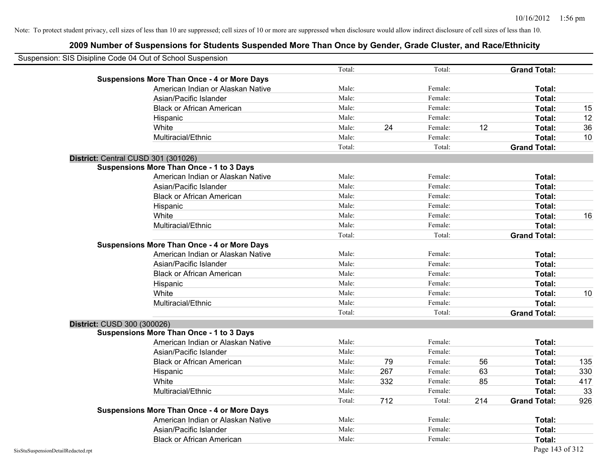| Suspension: SIS Disipline Code 04 Out of School Suspension                              |        |     |         |     |                     |     |
|-----------------------------------------------------------------------------------------|--------|-----|---------|-----|---------------------|-----|
|                                                                                         | Total: |     | Total:  |     | <b>Grand Total:</b> |     |
| <b>Suspensions More Than Once - 4 or More Days</b>                                      |        |     |         |     |                     |     |
| American Indian or Alaskan Native                                                       | Male:  |     | Female: |     | Total:              |     |
| Asian/Pacific Islander                                                                  | Male:  |     | Female: |     | Total:              |     |
| <b>Black or African American</b>                                                        | Male:  |     | Female: |     | Total:              | 15  |
| Hispanic                                                                                | Male:  |     | Female: |     | Total:              | 12  |
| White                                                                                   | Male:  | 24  | Female: | 12  | Total:              | 36  |
| Multiracial/Ethnic                                                                      | Male:  |     | Female: |     | Total:              | 10  |
|                                                                                         | Total: |     | Total:  |     | <b>Grand Total:</b> |     |
| District: Central CUSD 301 (301026)                                                     |        |     |         |     |                     |     |
| <b>Suspensions More Than Once - 1 to 3 Days</b>                                         |        |     |         |     |                     |     |
| American Indian or Alaskan Native                                                       | Male:  |     | Female: |     | Total:              |     |
| Asian/Pacific Islander                                                                  | Male:  |     | Female: |     | Total:              |     |
| <b>Black or African American</b>                                                        | Male:  |     | Female: |     | Total:              |     |
| Hispanic                                                                                | Male:  |     | Female: |     | Total:              |     |
| White                                                                                   | Male:  |     | Female: |     | Total:              | 16  |
| Multiracial/Ethnic                                                                      | Male:  |     | Female: |     | Total:              |     |
|                                                                                         | Total: |     | Total:  |     | <b>Grand Total:</b> |     |
| <b>Suspensions More Than Once - 4 or More Days</b>                                      |        |     |         |     |                     |     |
| American Indian or Alaskan Native                                                       | Male:  |     | Female: |     | Total:              |     |
| Asian/Pacific Islander                                                                  | Male:  |     | Female: |     | Total:              |     |
| <b>Black or African American</b>                                                        | Male:  |     | Female: |     | Total:              |     |
| Hispanic                                                                                | Male:  |     | Female: |     | Total:              |     |
| White                                                                                   | Male:  |     | Female: |     | Total:              | 10  |
| Multiracial/Ethnic                                                                      | Male:  |     | Female: |     | Total:              |     |
|                                                                                         | Total: |     | Total:  |     | <b>Grand Total:</b> |     |
| District: CUSD 300 (300026)                                                             |        |     |         |     |                     |     |
| <b>Suspensions More Than Once - 1 to 3 Days</b>                                         |        |     |         |     |                     |     |
| American Indian or Alaskan Native                                                       | Male:  |     | Female: |     | Total:              |     |
| Asian/Pacific Islander                                                                  | Male:  |     | Female: |     | Total:              |     |
| <b>Black or African American</b>                                                        | Male:  | 79  | Female: | 56  | Total:              | 135 |
| Hispanic                                                                                | Male:  | 267 | Female: | 63  | Total:              | 330 |
| White                                                                                   | Male:  | 332 | Female: | 85  | Total:              | 417 |
| Multiracial/Ethnic                                                                      | Male:  |     | Female: |     | Total:              | 33  |
|                                                                                         | Total: | 712 | Total:  | 214 | <b>Grand Total:</b> | 926 |
| <b>Suspensions More Than Once - 4 or More Days</b><br>American Indian or Alaskan Native | Male:  |     | Female: |     | Total:              |     |
| Asian/Pacific Islander                                                                  | Male:  |     | Female: |     | Total:              |     |
| <b>Black or African American</b>                                                        | Male:  |     | Female: |     | Total:              |     |
|                                                                                         |        |     |         |     |                     |     |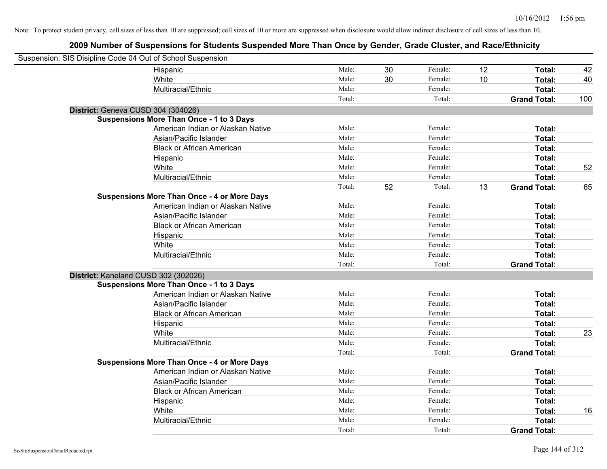| Suspension: SIS Disipline Code 04 Out of School Suspension |                                                    |        |    |         |    |                     |     |
|------------------------------------------------------------|----------------------------------------------------|--------|----|---------|----|---------------------|-----|
|                                                            | Hispanic                                           | Male:  | 30 | Female: | 12 | Total:              | 42  |
|                                                            | White                                              | Male:  | 30 | Female: | 10 | Total:              | 40  |
|                                                            | Multiracial/Ethnic                                 | Male:  |    | Female: |    | Total:              |     |
|                                                            |                                                    | Total: |    | Total:  |    | <b>Grand Total:</b> | 100 |
| District: Geneva CUSD 304 (304026)                         |                                                    |        |    |         |    |                     |     |
|                                                            | <b>Suspensions More Than Once - 1 to 3 Days</b>    |        |    |         |    |                     |     |
|                                                            | American Indian or Alaskan Native                  | Male:  |    | Female: |    | Total:              |     |
|                                                            | Asian/Pacific Islander                             | Male:  |    | Female: |    | Total:              |     |
|                                                            | <b>Black or African American</b>                   | Male:  |    | Female: |    | Total:              |     |
|                                                            | Hispanic                                           | Male:  |    | Female: |    | Total:              |     |
|                                                            | White                                              | Male:  |    | Female: |    | Total:              | 52  |
|                                                            | Multiracial/Ethnic                                 | Male:  |    | Female: |    | Total:              |     |
|                                                            |                                                    | Total: | 52 | Total:  | 13 | <b>Grand Total:</b> | 65  |
|                                                            | <b>Suspensions More Than Once - 4 or More Days</b> |        |    |         |    |                     |     |
|                                                            | American Indian or Alaskan Native                  | Male:  |    | Female: |    | Total:              |     |
|                                                            | Asian/Pacific Islander                             | Male:  |    | Female: |    | Total:              |     |
|                                                            | <b>Black or African American</b>                   | Male:  |    | Female: |    | Total:              |     |
|                                                            | Hispanic                                           | Male:  |    | Female: |    | Total:              |     |
|                                                            | White                                              | Male:  |    | Female: |    | Total:              |     |
|                                                            | Multiracial/Ethnic                                 | Male:  |    | Female: |    | Total:              |     |
|                                                            |                                                    | Total: |    | Total:  |    | <b>Grand Total:</b> |     |
| District: Kaneland CUSD 302 (302026)                       |                                                    |        |    |         |    |                     |     |
|                                                            | <b>Suspensions More Than Once - 1 to 3 Days</b>    |        |    |         |    |                     |     |
|                                                            | American Indian or Alaskan Native                  | Male:  |    | Female: |    | Total:              |     |
|                                                            | Asian/Pacific Islander                             | Male:  |    | Female: |    | Total:              |     |
|                                                            | <b>Black or African American</b>                   | Male:  |    | Female: |    | Total:              |     |
|                                                            | Hispanic                                           | Male:  |    | Female: |    | Total:              |     |
|                                                            | White                                              | Male:  |    | Female: |    | Total:              | 23  |
|                                                            | Multiracial/Ethnic                                 | Male:  |    | Female: |    | Total:              |     |
|                                                            |                                                    | Total: |    | Total:  |    | <b>Grand Total:</b> |     |
|                                                            | <b>Suspensions More Than Once - 4 or More Days</b> |        |    |         |    |                     |     |
|                                                            | American Indian or Alaskan Native                  | Male:  |    | Female: |    | Total:              |     |
|                                                            | Asian/Pacific Islander                             | Male:  |    | Female: |    | Total:              |     |
|                                                            | <b>Black or African American</b>                   | Male:  |    | Female: |    | Total:              |     |
|                                                            | Hispanic                                           | Male:  |    | Female: |    | Total:              |     |
|                                                            | White                                              | Male:  |    | Female: |    | Total:              | 16  |
|                                                            | Multiracial/Ethnic                                 | Male:  |    | Female: |    | Total:              |     |
|                                                            |                                                    | Total: |    | Total:  |    | <b>Grand Total:</b> |     |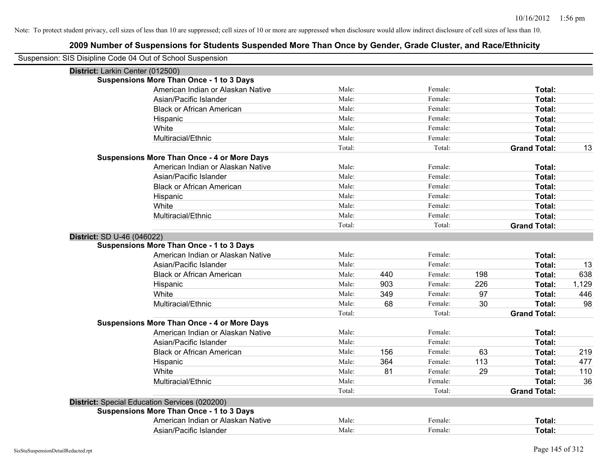|                                  | Suspension: SIS Disipline Code 04 Out of School Suspension |        |     |         |     |                     |       |
|----------------------------------|------------------------------------------------------------|--------|-----|---------|-----|---------------------|-------|
| District: Larkin Center (012500) |                                                            |        |     |         |     |                     |       |
|                                  | Suspensions More Than Once - 1 to 3 Days                   |        |     |         |     |                     |       |
|                                  | American Indian or Alaskan Native                          | Male:  |     | Female: |     | Total:              |       |
|                                  | Asian/Pacific Islander                                     | Male:  |     | Female: |     | Total:              |       |
|                                  | <b>Black or African American</b>                           | Male:  |     | Female: |     | Total:              |       |
|                                  | Hispanic                                                   | Male:  |     | Female: |     | Total:              |       |
|                                  | White                                                      | Male:  |     | Female: |     | Total:              |       |
|                                  | Multiracial/Ethnic                                         | Male:  |     | Female: |     | Total:              |       |
|                                  |                                                            | Total: |     | Total:  |     | <b>Grand Total:</b> | 13    |
|                                  | <b>Suspensions More Than Once - 4 or More Days</b>         |        |     |         |     |                     |       |
|                                  | American Indian or Alaskan Native                          | Male:  |     | Female: |     | Total:              |       |
|                                  | Asian/Pacific Islander                                     | Male:  |     | Female: |     | Total:              |       |
|                                  | <b>Black or African American</b>                           | Male:  |     | Female: |     | Total:              |       |
|                                  | Hispanic                                                   | Male:  |     | Female: |     | Total:              |       |
|                                  | White                                                      | Male:  |     | Female: |     | Total:              |       |
|                                  | Multiracial/Ethnic                                         | Male:  |     | Female: |     | Total:              |       |
|                                  |                                                            | Total: |     | Total:  |     | <b>Grand Total:</b> |       |
| District: SD U-46 (046022)       |                                                            |        |     |         |     |                     |       |
|                                  | <b>Suspensions More Than Once - 1 to 3 Days</b>            |        |     |         |     |                     |       |
|                                  | American Indian or Alaskan Native                          | Male:  |     | Female: |     | Total:              |       |
|                                  | Asian/Pacific Islander                                     | Male:  |     | Female: |     | Total:              | 13    |
|                                  | <b>Black or African American</b>                           | Male:  | 440 | Female: | 198 | Total:              | 638   |
|                                  | Hispanic                                                   | Male:  | 903 | Female: | 226 | Total:              | 1,129 |
|                                  | White                                                      | Male:  | 349 | Female: | 97  | Total:              | 446   |
|                                  | Multiracial/Ethnic                                         | Male:  | 68  | Female: | 30  | Total:              | 98    |
|                                  |                                                            | Total: |     | Total:  |     | <b>Grand Total:</b> |       |
|                                  | <b>Suspensions More Than Once - 4 or More Days</b>         |        |     |         |     |                     |       |
|                                  | American Indian or Alaskan Native                          | Male:  |     | Female: |     | Total:              |       |
|                                  | Asian/Pacific Islander                                     | Male:  |     | Female: |     | Total:              |       |
|                                  | <b>Black or African American</b>                           | Male:  | 156 | Female: | 63  | Total:              | 219   |
|                                  | Hispanic                                                   | Male:  | 364 | Female: | 113 | Total:              | 477   |
|                                  | White                                                      | Male:  | 81  | Female: | 29  | Total:              | 110   |
|                                  | Multiracial/Ethnic                                         | Male:  |     | Female: |     | Total:              | 36    |
|                                  |                                                            | Total: |     | Total:  |     | <b>Grand Total:</b> |       |
|                                  | District: Special Education Services (020200)              |        |     |         |     |                     |       |
|                                  | <b>Suspensions More Than Once - 1 to 3 Days</b>            |        |     |         |     |                     |       |
|                                  | American Indian or Alaskan Native                          | Male:  |     | Female: |     | Total:              |       |
|                                  | Asian/Pacific Islander                                     | Male:  |     | Female: |     | Total:              |       |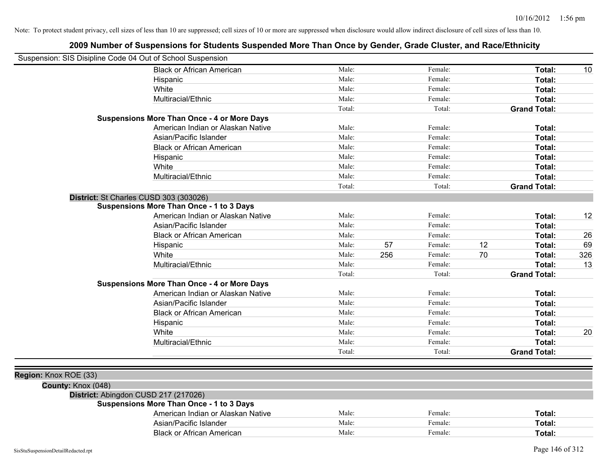| Suspension: SIS Disipline Code 04 Out of School Suspension |                                                    |        |     |         |    |                     |     |
|------------------------------------------------------------|----------------------------------------------------|--------|-----|---------|----|---------------------|-----|
|                                                            | <b>Black or African American</b>                   | Male:  |     | Female: |    | Total:              | 10  |
|                                                            | Hispanic                                           | Male:  |     | Female: |    | Total:              |     |
|                                                            | White                                              | Male:  |     | Female: |    | Total:              |     |
|                                                            | Multiracial/Ethnic                                 | Male:  |     | Female: |    | Total:              |     |
|                                                            |                                                    | Total: |     | Total:  |    | <b>Grand Total:</b> |     |
|                                                            | <b>Suspensions More Than Once - 4 or More Days</b> |        |     |         |    |                     |     |
|                                                            | American Indian or Alaskan Native                  | Male:  |     | Female: |    | Total:              |     |
|                                                            | Asian/Pacific Islander                             | Male:  |     | Female: |    | Total:              |     |
|                                                            | <b>Black or African American</b>                   | Male:  |     | Female: |    | Total:              |     |
|                                                            | Hispanic                                           | Male:  |     | Female: |    | Total:              |     |
|                                                            | White                                              | Male:  |     | Female: |    | Total:              |     |
|                                                            | Multiracial/Ethnic                                 | Male:  |     | Female: |    | Total:              |     |
|                                                            |                                                    | Total: |     | Total:  |    | <b>Grand Total:</b> |     |
|                                                            | District: St Charles CUSD 303 (303026)             |        |     |         |    |                     |     |
|                                                            | <b>Suspensions More Than Once - 1 to 3 Days</b>    |        |     |         |    |                     |     |
|                                                            | American Indian or Alaskan Native                  | Male:  |     | Female: |    | Total:              | 12  |
|                                                            | Asian/Pacific Islander                             | Male:  |     | Female: |    | Total:              |     |
|                                                            | <b>Black or African American</b>                   | Male:  |     | Female: |    | Total:              | 26  |
|                                                            | Hispanic                                           | Male:  | 57  | Female: | 12 | Total:              | 69  |
|                                                            | White                                              | Male:  | 256 | Female: | 70 | Total:              | 326 |
|                                                            | Multiracial/Ethnic                                 | Male:  |     | Female: |    | Total:              | 13  |
|                                                            |                                                    | Total: |     | Total:  |    | <b>Grand Total:</b> |     |
|                                                            | <b>Suspensions More Than Once - 4 or More Days</b> |        |     |         |    |                     |     |
|                                                            | American Indian or Alaskan Native                  | Male:  |     | Female: |    | Total:              |     |
|                                                            | Asian/Pacific Islander                             | Male:  |     | Female: |    | Total:              |     |
|                                                            | <b>Black or African American</b>                   | Male:  |     | Female: |    | Total:              |     |
|                                                            | Hispanic                                           | Male:  |     | Female: |    | Total:              |     |
|                                                            | White                                              | Male:  |     | Female: |    | Total:              | 20  |
|                                                            | Multiracial/Ethnic                                 | Male:  |     | Female: |    | Total:              |     |
|                                                            |                                                    | Total: |     | Total:  |    | <b>Grand Total:</b> |     |
|                                                            |                                                    |        |     |         |    |                     |     |
| Region: Knox ROE (33)                                      |                                                    |        |     |         |    |                     |     |
| County: Knox (048)                                         |                                                    |        |     |         |    |                     |     |
|                                                            | District: Abingdon CUSD 217 (217026)               |        |     |         |    |                     |     |
|                                                            | <b>Suspensions More Than Once - 1 to 3 Days</b>    |        |     |         |    |                     |     |
|                                                            | American Indian or Alaskan Native                  | Male:  |     | Female: |    | Total:              |     |
|                                                            | Asian/Pacific Islander                             | Male:  |     | Female: |    | Total:              |     |
|                                                            | <b>Black or African American</b>                   | Male:  |     | Female: |    | Total:              |     |
|                                                            |                                                    |        |     |         |    |                     |     |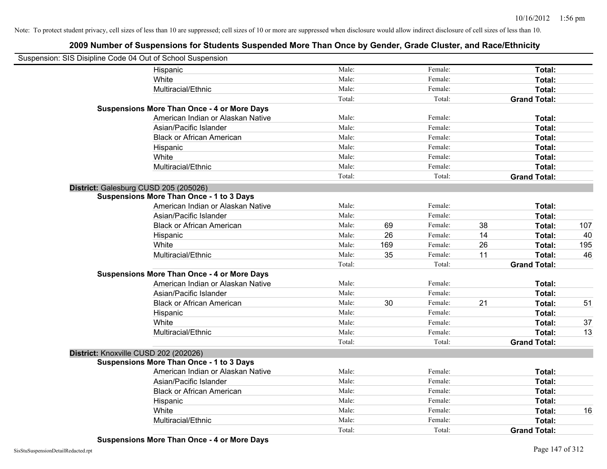# **2009 Number of Suspensions for Students Suspended More Than Once by Gender, Grade Cluster, and Race/Ethnicity**

| Suspension: SIS Disipline Code 04 Out of School Suspension |                                                    |        |     |         |    |                     |     |
|------------------------------------------------------------|----------------------------------------------------|--------|-----|---------|----|---------------------|-----|
|                                                            | Hispanic                                           | Male:  |     | Female: |    | Total:              |     |
|                                                            | White                                              | Male:  |     | Female: |    | Total:              |     |
|                                                            | Multiracial/Ethnic                                 | Male:  |     | Female: |    | Total:              |     |
|                                                            |                                                    | Total: |     | Total:  |    | <b>Grand Total:</b> |     |
|                                                            | <b>Suspensions More Than Once - 4 or More Days</b> |        |     |         |    |                     |     |
|                                                            | American Indian or Alaskan Native                  | Male:  |     | Female: |    | Total:              |     |
|                                                            | Asian/Pacific Islander                             | Male:  |     | Female: |    | Total:              |     |
|                                                            | <b>Black or African American</b>                   | Male:  |     | Female: |    | Total:              |     |
|                                                            | Hispanic                                           | Male:  |     | Female: |    | Total:              |     |
|                                                            | White                                              | Male:  |     | Female: |    | Total:              |     |
|                                                            | Multiracial/Ethnic                                 | Male:  |     | Female: |    | Total:              |     |
|                                                            |                                                    | Total: |     | Total:  |    | <b>Grand Total:</b> |     |
|                                                            | District: Galesburg CUSD 205 (205026)              |        |     |         |    |                     |     |
|                                                            | <b>Suspensions More Than Once - 1 to 3 Days</b>    |        |     |         |    |                     |     |
|                                                            | American Indian or Alaskan Native                  | Male:  |     | Female: |    | Total:              |     |
|                                                            | Asian/Pacific Islander                             | Male:  |     | Female: |    | Total:              |     |
|                                                            | <b>Black or African American</b>                   | Male:  | 69  | Female: | 38 | Total:              | 107 |
|                                                            | Hispanic                                           | Male:  | 26  | Female: | 14 | Total:              | 40  |
|                                                            | White                                              | Male:  | 169 | Female: | 26 | Total:              | 195 |
|                                                            | Multiracial/Ethnic                                 | Male:  | 35  | Female: | 11 | Total:              | 46  |
|                                                            |                                                    | Total: |     | Total:  |    | <b>Grand Total:</b> |     |
|                                                            | <b>Suspensions More Than Once - 4 or More Days</b> |        |     |         |    |                     |     |
|                                                            | American Indian or Alaskan Native                  | Male:  |     | Female: |    | Total:              |     |
|                                                            | Asian/Pacific Islander                             | Male:  |     | Female: |    | Total:              |     |
|                                                            | <b>Black or African American</b>                   | Male:  | 30  | Female: | 21 | Total:              | 51  |
|                                                            | Hispanic                                           | Male:  |     | Female: |    | Total:              |     |
|                                                            | White                                              | Male:  |     | Female: |    | Total:              | 37  |
|                                                            | Multiracial/Ethnic                                 | Male:  |     | Female: |    | Total:              | 13  |
|                                                            |                                                    | Total: |     | Total:  |    | <b>Grand Total:</b> |     |
|                                                            | District: Knoxville CUSD 202 (202026)              |        |     |         |    |                     |     |
|                                                            | <b>Suspensions More Than Once - 1 to 3 Days</b>    |        |     |         |    |                     |     |
|                                                            | American Indian or Alaskan Native                  | Male:  |     | Female: |    | Total:              |     |
|                                                            | Asian/Pacific Islander                             | Male:  |     | Female: |    | Total:              |     |
|                                                            | <b>Black or African American</b>                   | Male:  |     | Female: |    | Total:              |     |
|                                                            | Hispanic                                           | Male:  |     | Female: |    | Total:              |     |
|                                                            | White                                              | Male:  |     | Female: |    | Total:              | 16  |
|                                                            | Multiracial/Ethnic                                 | Male:  |     | Female: |    | Total:              |     |
|                                                            |                                                    | Total: |     | Total:  |    | <b>Grand Total:</b> |     |

**Suspensions More Than Once - 4 or More Days**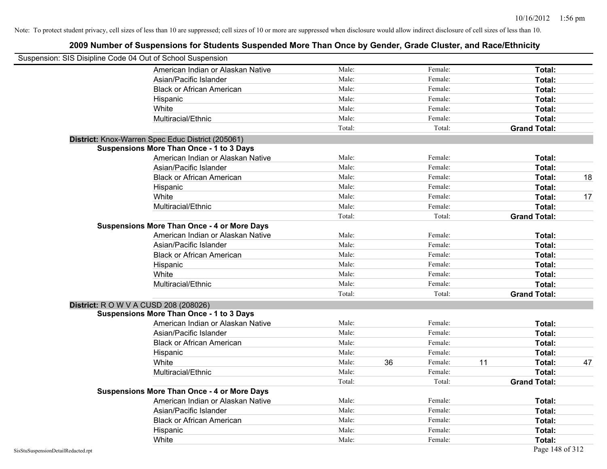| 2009 Number of Suspensions for Students Suspended More Than Once by Gender, Grade Cluster, and Race/Ethnicity |                                                            |        |    |         |    |                     |    |
|---------------------------------------------------------------------------------------------------------------|------------------------------------------------------------|--------|----|---------|----|---------------------|----|
|                                                                                                               | Suspension: SIS Disipline Code 04 Out of School Suspension |        |    |         |    |                     |    |
|                                                                                                               | American Indian or Alaskan Native                          | Male:  |    | Female: |    | Total:              |    |
|                                                                                                               | Asian/Pacific Islander                                     | Male:  |    | Female: |    | Total:              |    |
|                                                                                                               | <b>Black or African American</b>                           | Male:  |    | Female: |    | Total:              |    |
|                                                                                                               | Hispanic                                                   | Male:  |    | Female: |    | Total:              |    |
|                                                                                                               | White                                                      | Male:  |    | Female: |    | Total:              |    |
|                                                                                                               | Multiracial/Ethnic                                         | Male:  |    | Female: |    | Total:              |    |
|                                                                                                               |                                                            | Total: |    | Total:  |    | <b>Grand Total:</b> |    |
|                                                                                                               | District: Knox-Warren Spec Educ District (205061)          |        |    |         |    |                     |    |
|                                                                                                               | <b>Suspensions More Than Once - 1 to 3 Days</b>            |        |    |         |    |                     |    |
|                                                                                                               | American Indian or Alaskan Native                          | Male:  |    | Female: |    | Total:              |    |
|                                                                                                               | Asian/Pacific Islander                                     | Male:  |    | Female: |    | Total:              |    |
|                                                                                                               | <b>Black or African American</b>                           | Male:  |    | Female: |    | Total:              | 18 |
|                                                                                                               | Hispanic                                                   | Male:  |    | Female: |    | Total:              |    |
|                                                                                                               | White                                                      | Male:  |    | Female: |    | Total:              | 17 |
|                                                                                                               | Multiracial/Ethnic                                         | Male:  |    | Female: |    | Total:              |    |
|                                                                                                               |                                                            | Total: |    | Total:  |    | <b>Grand Total:</b> |    |
|                                                                                                               | <b>Suspensions More Than Once - 4 or More Days</b>         |        |    |         |    |                     |    |
|                                                                                                               | American Indian or Alaskan Native                          | Male:  |    | Female: |    | Total:              |    |
|                                                                                                               | Asian/Pacific Islander                                     | Male:  |    | Female: |    | Total:              |    |
|                                                                                                               | <b>Black or African American</b>                           | Male:  |    | Female: |    | Total:              |    |
|                                                                                                               | Hispanic                                                   | Male:  |    | Female: |    | Total:              |    |
|                                                                                                               | White                                                      | Male:  |    | Female: |    | Total:              |    |
|                                                                                                               | Multiracial/Ethnic                                         | Male:  |    | Female: |    | Total:              |    |
|                                                                                                               |                                                            | Total: |    | Total:  |    | <b>Grand Total:</b> |    |
|                                                                                                               | <b>District:</b> R O W V A CUSD 208 (208026)               |        |    |         |    |                     |    |
|                                                                                                               | <b>Suspensions More Than Once - 1 to 3 Days</b>            |        |    |         |    |                     |    |
|                                                                                                               | American Indian or Alaskan Native                          | Male:  |    | Female: |    | Total:              |    |
|                                                                                                               | Asian/Pacific Islander                                     | Male:  |    | Female: |    | Total:              |    |
|                                                                                                               | <b>Black or African American</b>                           | Male:  |    | Female: |    | Total:              |    |
|                                                                                                               | Hispanic                                                   | Male:  |    | Female: |    | Total:              |    |
|                                                                                                               | White                                                      | Male:  | 36 | Female: | 11 | Total:              | 47 |
|                                                                                                               | Multiracial/Ethnic                                         | Male:  |    | Female: |    | Total:              |    |
|                                                                                                               |                                                            | Total: |    | Total:  |    | <b>Grand Total:</b> |    |
|                                                                                                               | <b>Suspensions More Than Once - 4 or More Days</b>         |        |    |         |    |                     |    |
|                                                                                                               | American Indian or Alaskan Native                          | Male:  |    | Female: |    | Total:              |    |
|                                                                                                               | Asian/Pacific Islander                                     | Male:  |    | Female: |    | Total:              |    |
|                                                                                                               | <b>Black or African American</b>                           | Male:  |    | Female: |    | Total:              |    |
|                                                                                                               | Hispanic                                                   | Male:  |    | Female: |    | Total:              |    |
|                                                                                                               | White                                                      | Male:  |    | Female: |    | Total:              |    |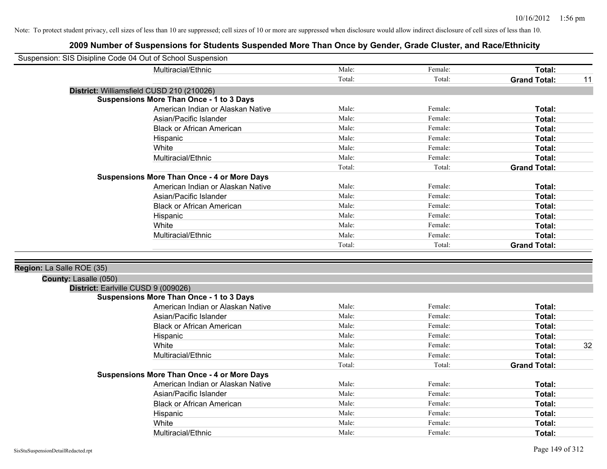|                                                    | Suspension: SIS Disipline Code 04 Out of School Suspension |        |         |                           |
|----------------------------------------------------|------------------------------------------------------------|--------|---------|---------------------------|
|                                                    | Multiracial/Ethnic                                         | Male:  | Female: | Total:                    |
|                                                    |                                                            | Total: | Total:  | <b>Grand Total:</b><br>11 |
|                                                    | District: Williamsfield CUSD 210 (210026)                  |        |         |                           |
|                                                    | <b>Suspensions More Than Once - 1 to 3 Days</b>            |        |         |                           |
|                                                    | American Indian or Alaskan Native                          | Male:  | Female: | Total:                    |
|                                                    | Asian/Pacific Islander                                     | Male:  | Female: | Total:                    |
|                                                    | <b>Black or African American</b>                           | Male:  | Female: | Total:                    |
|                                                    | Hispanic                                                   | Male:  | Female: | Total:                    |
|                                                    | White                                                      | Male:  | Female: | Total:                    |
|                                                    | Multiracial/Ethnic                                         | Male:  | Female: | Total:                    |
|                                                    |                                                            | Total: | Total:  | <b>Grand Total:</b>       |
|                                                    | <b>Suspensions More Than Once - 4 or More Days</b>         |        |         |                           |
|                                                    | American Indian or Alaskan Native                          | Male:  | Female: | Total:                    |
|                                                    | Asian/Pacific Islander                                     | Male:  | Female: | Total:                    |
|                                                    | <b>Black or African American</b>                           | Male:  | Female: | Total:                    |
|                                                    | Hispanic                                                   | Male:  | Female: | Total:                    |
|                                                    | White                                                      | Male:  | Female: | Total:                    |
|                                                    | Multiracial/Ethnic                                         | Male:  | Female: | Total:                    |
|                                                    |                                                            | Total: | Total:  | <b>Grand Total:</b>       |
| Region: La Salle ROE (35)<br>County: Lasalle (050) |                                                            |        |         |                           |
|                                                    | District: Earlville CUSD 9 (009026)                        |        |         |                           |
|                                                    | <b>Suspensions More Than Once - 1 to 3 Days</b>            |        |         |                           |
|                                                    | American Indian or Alaskan Native                          | Male:  | Female: | Total:                    |
|                                                    | Asian/Pacific Islander                                     | Male:  | Female: | Total:                    |
|                                                    | <b>Black or African American</b>                           | Male:  | Female: | Total:                    |
|                                                    | Hispanic                                                   | Male:  | Female: | Total:                    |
|                                                    | White                                                      | Male:  | Female: | 32<br>Total:              |
|                                                    | Multiracial/Ethnic                                         | Male:  | Female: | Total:                    |
|                                                    |                                                            | Total: | Total:  | <b>Grand Total:</b>       |
|                                                    | <b>Suspensions More Than Once - 4 or More Days</b>         |        |         |                           |
|                                                    | American Indian or Alaskan Native                          | Male:  | Female: | Total:                    |
|                                                    | Asian/Pacific Islander                                     | Male:  | Female: | Total:                    |
|                                                    | <b>Black or African American</b>                           | Male:  | Female: | Total:                    |
|                                                    | Hispanic                                                   | Male:  | Female: | Total:                    |
|                                                    | White                                                      | Male:  | Female: | Total:                    |
|                                                    | Multiracial/Ethnic                                         | Male:  | Female: | Total:                    |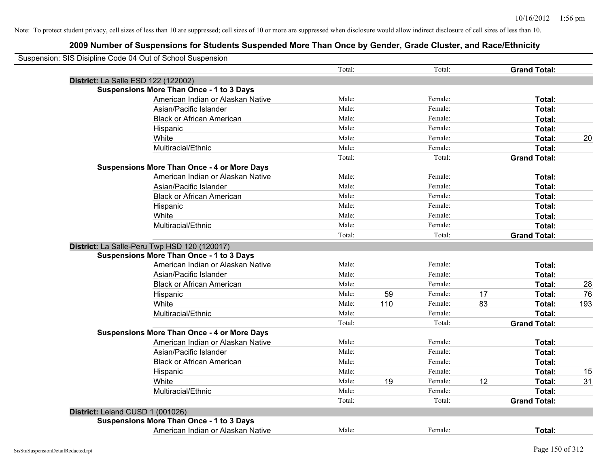| Suspension: SIS Disipline Code 04 Out of School Suspension | Total: |     | Total:  |    | <b>Grand Total:</b> |     |
|------------------------------------------------------------|--------|-----|---------|----|---------------------|-----|
| District: La Salle ESD 122 (122002)                        |        |     |         |    |                     |     |
| <b>Suspensions More Than Once - 1 to 3 Days</b>            |        |     |         |    |                     |     |
| American Indian or Alaskan Native                          | Male:  |     | Female: |    | Total:              |     |
| Asian/Pacific Islander                                     | Male:  |     | Female: |    | Total:              |     |
| <b>Black or African American</b>                           | Male:  |     | Female: |    | Total:              |     |
| Hispanic                                                   | Male:  |     | Female: |    | Total:              |     |
| White                                                      | Male:  |     | Female: |    | Total:              | 20  |
| Multiracial/Ethnic                                         | Male:  |     | Female: |    | Total:              |     |
|                                                            | Total: |     | Total:  |    | <b>Grand Total:</b> |     |
| <b>Suspensions More Than Once - 4 or More Days</b>         |        |     |         |    |                     |     |
| American Indian or Alaskan Native                          | Male:  |     | Female: |    | Total:              |     |
| Asian/Pacific Islander                                     | Male:  |     | Female: |    | Total:              |     |
| <b>Black or African American</b>                           | Male:  |     | Female: |    | Total:              |     |
| Hispanic                                                   | Male:  |     | Female: |    | Total:              |     |
| White                                                      | Male:  |     | Female: |    | Total:              |     |
| Multiracial/Ethnic                                         | Male:  |     | Female: |    | Total:              |     |
|                                                            | Total: |     | Total:  |    | <b>Grand Total:</b> |     |
| District: La Salle-Peru Twp HSD 120 (120017)               |        |     |         |    |                     |     |
| <b>Suspensions More Than Once - 1 to 3 Days</b>            |        |     |         |    |                     |     |
| American Indian or Alaskan Native                          | Male:  |     | Female: |    | Total:              |     |
| Asian/Pacific Islander                                     | Male:  |     | Female: |    | Total:              |     |
| <b>Black or African American</b>                           | Male:  |     | Female: |    | Total:              | 28  |
| Hispanic                                                   | Male:  | 59  | Female: | 17 | Total:              | 76  |
| White                                                      | Male:  | 110 | Female: | 83 | Total:              | 193 |
| Multiracial/Ethnic                                         | Male:  |     | Female: |    | Total:              |     |
|                                                            | Total: |     | Total:  |    | <b>Grand Total:</b> |     |
| <b>Suspensions More Than Once - 4 or More Days</b>         |        |     |         |    |                     |     |
| American Indian or Alaskan Native                          | Male:  |     | Female: |    | Total:              |     |
| Asian/Pacific Islander                                     | Male:  |     | Female: |    | Total:              |     |
| <b>Black or African American</b>                           | Male:  |     | Female: |    | Total:              |     |
| Hispanic                                                   | Male:  |     | Female: |    | Total:              | 15  |
| White                                                      | Male:  | 19  | Female: | 12 | Total:              | 31  |
| Multiracial/Ethnic                                         | Male:  |     | Female: |    | Total:              |     |
|                                                            | Total: |     | Total:  |    | <b>Grand Total:</b> |     |
| District: Leland CUSD 1 (001026)                           |        |     |         |    |                     |     |
| <b>Suspensions More Than Once - 1 to 3 Days</b>            |        |     |         |    |                     |     |
| American Indian or Alaskan Native                          | Male:  |     | Female: |    | Total:              |     |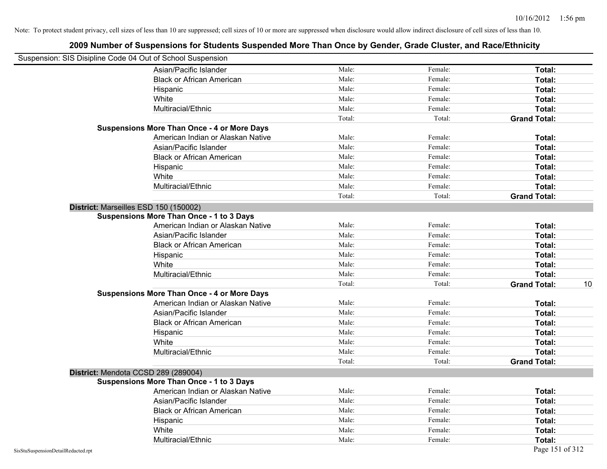| Suspension: SIS Disipline Code 04 Out of School Suspension |                                                    |        |         |                           |
|------------------------------------------------------------|----------------------------------------------------|--------|---------|---------------------------|
|                                                            | Asian/Pacific Islander                             | Male:  | Female: | Total:                    |
|                                                            | <b>Black or African American</b>                   | Male:  | Female: | Total:                    |
|                                                            | Hispanic                                           | Male:  | Female: | Total:                    |
|                                                            | White                                              | Male:  | Female: | Total:                    |
|                                                            | Multiracial/Ethnic                                 | Male:  | Female: | Total:                    |
|                                                            |                                                    | Total: | Total:  | <b>Grand Total:</b>       |
|                                                            | <b>Suspensions More Than Once - 4 or More Days</b> |        |         |                           |
|                                                            | American Indian or Alaskan Native                  | Male:  | Female: | Total:                    |
|                                                            | Asian/Pacific Islander                             | Male:  | Female: | Total:                    |
|                                                            | <b>Black or African American</b>                   | Male:  | Female: | Total:                    |
|                                                            | Hispanic                                           | Male:  | Female: | Total:                    |
|                                                            | White                                              | Male:  | Female: | Total:                    |
|                                                            | Multiracial/Ethnic                                 | Male:  | Female: | Total:                    |
|                                                            |                                                    | Total: | Total:  | <b>Grand Total:</b>       |
| District: Marseilles ESD 150 (150002)                      |                                                    |        |         |                           |
|                                                            | <b>Suspensions More Than Once - 1 to 3 Days</b>    |        |         |                           |
|                                                            | American Indian or Alaskan Native                  | Male:  | Female: | Total:                    |
|                                                            | Asian/Pacific Islander                             | Male:  | Female: | Total:                    |
|                                                            | <b>Black or African American</b>                   | Male:  | Female: | Total:                    |
|                                                            | Hispanic                                           | Male:  | Female: | Total:                    |
|                                                            | White                                              | Male:  | Female: | Total:                    |
|                                                            | Multiracial/Ethnic                                 | Male:  | Female: | Total:                    |
|                                                            |                                                    | Total: | Total:  | <b>Grand Total:</b><br>10 |
|                                                            | <b>Suspensions More Than Once - 4 or More Days</b> |        |         |                           |
|                                                            | American Indian or Alaskan Native                  | Male:  | Female: | Total:                    |
|                                                            | Asian/Pacific Islander                             | Male:  | Female: | Total:                    |
|                                                            | <b>Black or African American</b>                   | Male:  | Female: | Total:                    |
|                                                            | Hispanic                                           | Male:  | Female: | Total:                    |
|                                                            | White                                              | Male:  | Female: | Total:                    |
|                                                            | Multiracial/Ethnic                                 | Male:  | Female: | Total:                    |
|                                                            |                                                    | Total: | Total:  | <b>Grand Total:</b>       |
| District: Mendota CCSD 289 (289004)                        |                                                    |        |         |                           |
|                                                            | <b>Suspensions More Than Once - 1 to 3 Days</b>    |        |         |                           |
|                                                            | American Indian or Alaskan Native                  | Male:  | Female: | Total:                    |
|                                                            | Asian/Pacific Islander                             | Male:  | Female: | Total:                    |
|                                                            | <b>Black or African American</b>                   | Male:  | Female: | Total:                    |
|                                                            | Hispanic                                           | Male:  | Female: | Total:                    |
|                                                            | White                                              | Male:  | Female: | Total:                    |
|                                                            | Multiracial/Ethnic                                 | Male:  | Female: | Total:                    |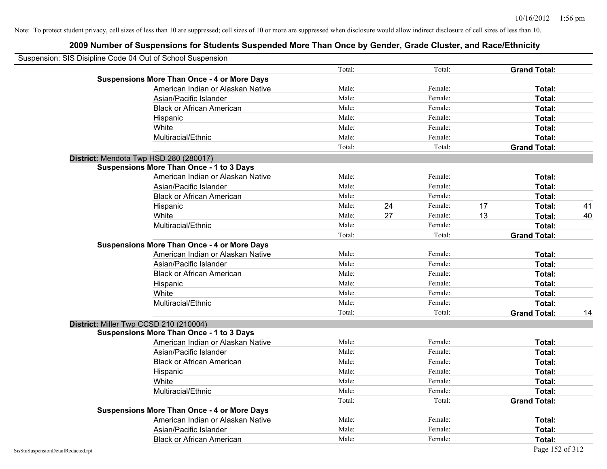| Suspension: SIS Disipline Code 04 Out of School Suspension |        |    |         |    |                     |    |
|------------------------------------------------------------|--------|----|---------|----|---------------------|----|
|                                                            | Total: |    | Total:  |    | <b>Grand Total:</b> |    |
| <b>Suspensions More Than Once - 4 or More Days</b>         |        |    |         |    |                     |    |
| American Indian or Alaskan Native                          | Male:  |    | Female: |    | Total:              |    |
| Asian/Pacific Islander                                     | Male:  |    | Female: |    | Total:              |    |
| <b>Black or African American</b>                           | Male:  |    | Female: |    | Total:              |    |
| Hispanic                                                   | Male:  |    | Female: |    | Total:              |    |
| White                                                      | Male:  |    | Female: |    | Total:              |    |
| Multiracial/Ethnic                                         | Male:  |    | Female: |    | Total:              |    |
|                                                            | Total: |    | Total:  |    | <b>Grand Total:</b> |    |
| District: Mendota Twp HSD 280 (280017)                     |        |    |         |    |                     |    |
| <b>Suspensions More Than Once - 1 to 3 Days</b>            |        |    |         |    |                     |    |
| American Indian or Alaskan Native                          | Male:  |    | Female: |    | Total:              |    |
| Asian/Pacific Islander                                     | Male:  |    | Female: |    | Total:              |    |
| <b>Black or African American</b>                           | Male:  |    | Female: |    | Total:              |    |
| Hispanic                                                   | Male:  | 24 | Female: | 17 | Total:              | 41 |
| White                                                      | Male:  | 27 | Female: | 13 | Total:              | 40 |
| Multiracial/Ethnic                                         | Male:  |    | Female: |    | Total:              |    |
|                                                            | Total: |    | Total:  |    | <b>Grand Total:</b> |    |
| <b>Suspensions More Than Once - 4 or More Days</b>         |        |    |         |    |                     |    |
| American Indian or Alaskan Native                          | Male:  |    | Female: |    | Total:              |    |
| Asian/Pacific Islander                                     | Male:  |    | Female: |    | Total:              |    |
| <b>Black or African American</b>                           | Male:  |    | Female: |    | Total:              |    |
| Hispanic                                                   | Male:  |    | Female: |    | Total:              |    |
| White                                                      | Male:  |    | Female: |    | Total:              |    |
| Multiracial/Ethnic                                         | Male:  |    | Female: |    | Total:              |    |
|                                                            | Total: |    | Total:  |    | <b>Grand Total:</b> | 14 |
| District: Miller Twp CCSD 210 (210004)                     |        |    |         |    |                     |    |
| <b>Suspensions More Than Once - 1 to 3 Days</b>            |        |    |         |    |                     |    |
| American Indian or Alaskan Native                          | Male:  |    | Female: |    | <b>Total:</b>       |    |
| Asian/Pacific Islander                                     | Male:  |    | Female: |    | Total:              |    |
| <b>Black or African American</b>                           | Male:  |    | Female: |    | Total:              |    |
| Hispanic                                                   | Male:  |    | Female: |    | Total:              |    |
| White                                                      | Male:  |    | Female: |    | Total:              |    |
| Multiracial/Ethnic                                         | Male:  |    | Female: |    | Total:              |    |
|                                                            | Total: |    | Total:  |    | <b>Grand Total:</b> |    |
| <b>Suspensions More Than Once - 4 or More Days</b>         |        |    |         |    |                     |    |
| American Indian or Alaskan Native                          | Male:  |    | Female: |    | Total:              |    |
| Asian/Pacific Islander                                     | Male:  |    | Female: |    | Total:              |    |
| <b>Black or African American</b>                           | Male:  |    | Female: |    | Total:              |    |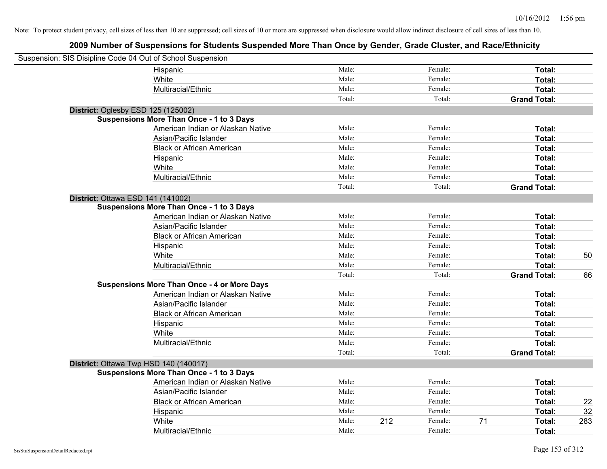| Suspension: SIS Disipline Code 04 Out of School Suspension |                                                    |        |     |         |    |                     |     |
|------------------------------------------------------------|----------------------------------------------------|--------|-----|---------|----|---------------------|-----|
|                                                            | Hispanic                                           | Male:  |     | Female: |    | Total:              |     |
|                                                            | White                                              | Male:  |     | Female: |    | Total:              |     |
|                                                            | Multiracial/Ethnic                                 | Male:  |     | Female: |    | Total:              |     |
|                                                            |                                                    | Total: |     | Total:  |    | <b>Grand Total:</b> |     |
| District: Oglesby ESD 125 (125002)                         |                                                    |        |     |         |    |                     |     |
|                                                            | Suspensions More Than Once - 1 to 3 Days           |        |     |         |    |                     |     |
|                                                            | American Indian or Alaskan Native                  | Male:  |     | Female: |    | Total:              |     |
|                                                            | Asian/Pacific Islander                             | Male:  |     | Female: |    | Total:              |     |
|                                                            | <b>Black or African American</b>                   | Male:  |     | Female: |    | Total:              |     |
|                                                            | Hispanic                                           | Male:  |     | Female: |    | Total:              |     |
|                                                            | White                                              | Male:  |     | Female: |    | Total:              |     |
|                                                            | Multiracial/Ethnic                                 | Male:  |     | Female: |    | Total:              |     |
|                                                            |                                                    | Total: |     | Total:  |    | <b>Grand Total:</b> |     |
| District: Ottawa ESD 141 (141002)                          |                                                    |        |     |         |    |                     |     |
|                                                            | <b>Suspensions More Than Once - 1 to 3 Days</b>    |        |     |         |    |                     |     |
|                                                            | American Indian or Alaskan Native                  | Male:  |     | Female: |    | Total:              |     |
|                                                            | Asian/Pacific Islander                             | Male:  |     | Female: |    | Total:              |     |
|                                                            | <b>Black or African American</b>                   | Male:  |     | Female: |    | Total:              |     |
|                                                            | Hispanic                                           | Male:  |     | Female: |    | Total:              |     |
|                                                            | White                                              | Male:  |     | Female: |    | Total:              | 50  |
|                                                            | Multiracial/Ethnic                                 | Male:  |     | Female: |    | Total:              |     |
|                                                            |                                                    | Total: |     | Total:  |    | <b>Grand Total:</b> | 66  |
|                                                            | <b>Suspensions More Than Once - 4 or More Days</b> |        |     |         |    |                     |     |
|                                                            | American Indian or Alaskan Native                  | Male:  |     | Female: |    | Total:              |     |
|                                                            | Asian/Pacific Islander                             | Male:  |     | Female: |    | Total:              |     |
|                                                            | <b>Black or African American</b>                   | Male:  |     | Female: |    | Total:              |     |
|                                                            | Hispanic                                           | Male:  |     | Female: |    | Total:              |     |
|                                                            | White                                              | Male:  |     | Female: |    | Total:              |     |
|                                                            | Multiracial/Ethnic                                 | Male:  |     | Female: |    | Total:              |     |
|                                                            |                                                    | Total: |     | Total:  |    | <b>Grand Total:</b> |     |
| District: Ottawa Twp HSD 140 (140017)                      |                                                    |        |     |         |    |                     |     |
|                                                            | <b>Suspensions More Than Once - 1 to 3 Days</b>    |        |     |         |    |                     |     |
|                                                            | American Indian or Alaskan Native                  | Male:  |     | Female: |    | Total:              |     |
|                                                            | Asian/Pacific Islander                             | Male:  |     | Female: |    | Total:              |     |
|                                                            | <b>Black or African American</b>                   | Male:  |     | Female: |    | Total:              | 22  |
|                                                            | Hispanic                                           | Male:  |     | Female: |    | Total:              | 32  |
|                                                            | White                                              | Male:  | 212 | Female: | 71 | <b>Total:</b>       | 283 |
|                                                            | Multiracial/Ethnic                                 | Male:  |     | Female: |    | Total:              |     |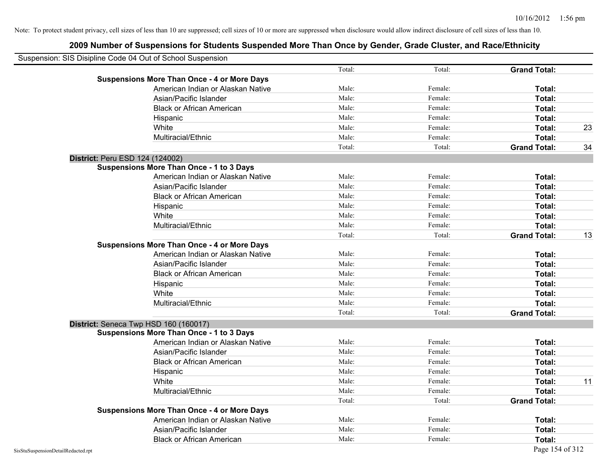| Suspension: SIS Disipline Code 04 Out of School Suspension |        |         |                     |    |
|------------------------------------------------------------|--------|---------|---------------------|----|
|                                                            | Total: | Total:  | <b>Grand Total:</b> |    |
| <b>Suspensions More Than Once - 4 or More Days</b>         |        |         |                     |    |
| American Indian or Alaskan Native                          | Male:  | Female: | Total:              |    |
| Asian/Pacific Islander                                     | Male:  | Female: | Total:              |    |
| <b>Black or African American</b>                           | Male:  | Female: | Total:              |    |
| Hispanic                                                   | Male:  | Female: | Total:              |    |
| White                                                      | Male:  | Female: | Total:              | 23 |
| Multiracial/Ethnic                                         | Male:  | Female: | Total:              |    |
|                                                            | Total: | Total:  | <b>Grand Total:</b> | 34 |
| District: Peru ESD 124 (124002)                            |        |         |                     |    |
| <b>Suspensions More Than Once - 1 to 3 Days</b>            |        |         |                     |    |
| American Indian or Alaskan Native                          | Male:  | Female: | Total:              |    |
| Asian/Pacific Islander                                     | Male:  | Female: | Total:              |    |
| <b>Black or African American</b>                           | Male:  | Female: | Total:              |    |
| Hispanic                                                   | Male:  | Female: | Total:              |    |
| White                                                      | Male:  | Female: | Total:              |    |
| Multiracial/Ethnic                                         | Male:  | Female: | Total:              |    |
|                                                            | Total: | Total:  | <b>Grand Total:</b> | 13 |
| <b>Suspensions More Than Once - 4 or More Days</b>         |        |         |                     |    |
| American Indian or Alaskan Native                          | Male:  | Female: | Total:              |    |
| Asian/Pacific Islander                                     | Male:  | Female: | Total:              |    |
| <b>Black or African American</b>                           | Male:  | Female: | Total:              |    |
| Hispanic                                                   | Male:  | Female: | Total:              |    |
| White                                                      | Male:  | Female: | Total:              |    |
| Multiracial/Ethnic                                         | Male:  | Female: | Total:              |    |
|                                                            | Total: | Total:  | <b>Grand Total:</b> |    |
| District: Seneca Twp HSD 160 (160017)                      |        |         |                     |    |
| <b>Suspensions More Than Once - 1 to 3 Days</b>            |        |         |                     |    |
| American Indian or Alaskan Native                          | Male:  | Female: | Total:              |    |
| Asian/Pacific Islander                                     | Male:  | Female: | Total:              |    |
| <b>Black or African American</b>                           | Male:  | Female: | Total:              |    |
| Hispanic                                                   | Male:  | Female: | Total:              |    |
| White                                                      | Male:  | Female: | Total:              | 11 |
| Multiracial/Ethnic                                         | Male:  | Female: | Total:              |    |
|                                                            | Total: | Total:  | <b>Grand Total:</b> |    |
| <b>Suspensions More Than Once - 4 or More Days</b>         |        |         |                     |    |
| American Indian or Alaskan Native                          | Male:  | Female: | Total:              |    |
| Asian/Pacific Islander                                     | Male:  | Female: | Total:              |    |
| <b>Black or African American</b>                           | Male:  | Female: | Total:              |    |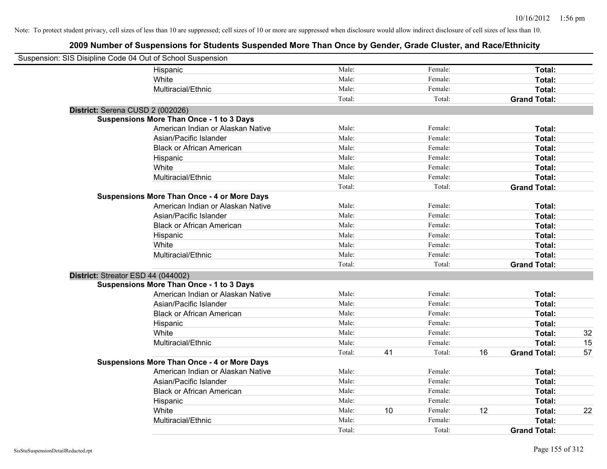| Suspension: SIS Disipline Code 04 Out of School Suspension |                                                    |        |    |         |    |                     |    |
|------------------------------------------------------------|----------------------------------------------------|--------|----|---------|----|---------------------|----|
|                                                            | Hispanic                                           | Male:  |    | Female: |    | Total:              |    |
|                                                            | White                                              | Male:  |    | Female: |    | Total:              |    |
|                                                            | Multiracial/Ethnic                                 | Male:  |    | Female: |    | Total:              |    |
|                                                            |                                                    | Total: |    | Total:  |    | <b>Grand Total:</b> |    |
| District: Serena CUSD 2 (002026)                           |                                                    |        |    |         |    |                     |    |
|                                                            | <b>Suspensions More Than Once - 1 to 3 Days</b>    |        |    |         |    |                     |    |
|                                                            | American Indian or Alaskan Native                  | Male:  |    | Female: |    | Total:              |    |
|                                                            | Asian/Pacific Islander                             | Male:  |    | Female: |    | Total:              |    |
|                                                            | <b>Black or African American</b>                   | Male:  |    | Female: |    | Total:              |    |
|                                                            | Hispanic                                           | Male:  |    | Female: |    | Total:              |    |
|                                                            | White                                              | Male:  |    | Female: |    | Total:              |    |
|                                                            | Multiracial/Ethnic                                 | Male:  |    | Female: |    | Total:              |    |
|                                                            |                                                    | Total: |    | Total:  |    | <b>Grand Total:</b> |    |
|                                                            | <b>Suspensions More Than Once - 4 or More Days</b> |        |    |         |    |                     |    |
|                                                            | American Indian or Alaskan Native                  | Male:  |    | Female: |    | Total:              |    |
|                                                            | Asian/Pacific Islander                             | Male:  |    | Female: |    | Total:              |    |
|                                                            | <b>Black or African American</b>                   | Male:  |    | Female: |    | Total:              |    |
|                                                            | Hispanic                                           | Male:  |    | Female: |    | Total:              |    |
|                                                            | White                                              | Male:  |    | Female: |    | Total:              |    |
|                                                            | Multiracial/Ethnic                                 | Male:  |    | Female: |    | Total:              |    |
|                                                            |                                                    | Total: |    | Total:  |    | <b>Grand Total:</b> |    |
| District: Streator ESD 44 (044002)                         |                                                    |        |    |         |    |                     |    |
|                                                            | <b>Suspensions More Than Once - 1 to 3 Days</b>    |        |    |         |    |                     |    |
|                                                            | American Indian or Alaskan Native                  | Male:  |    | Female: |    | Total:              |    |
|                                                            | Asian/Pacific Islander                             | Male:  |    | Female: |    | Total:              |    |
|                                                            | <b>Black or African American</b>                   | Male:  |    | Female: |    | Total:              |    |
|                                                            | Hispanic                                           | Male:  |    | Female: |    | Total:              |    |
|                                                            | White                                              | Male:  |    | Female: |    | Total:              | 32 |
|                                                            | Multiracial/Ethnic                                 | Male:  |    | Female: |    | <b>Total:</b>       | 15 |
|                                                            |                                                    | Total: | 41 | Total:  | 16 | <b>Grand Total:</b> | 57 |
|                                                            | <b>Suspensions More Than Once - 4 or More Days</b> |        |    |         |    |                     |    |
|                                                            | American Indian or Alaskan Native                  | Male:  |    | Female: |    | Total:              |    |
|                                                            | Asian/Pacific Islander                             | Male:  |    | Female: |    | Total:              |    |
|                                                            | <b>Black or African American</b>                   | Male:  |    | Female: |    | Total:              |    |
|                                                            | Hispanic                                           | Male:  |    | Female: |    | Total:              |    |
|                                                            | White                                              | Male:  | 10 | Female: | 12 | <b>Total:</b>       | 22 |
|                                                            | Multiracial/Ethnic                                 | Male:  |    | Female: |    | Total:              |    |
|                                                            |                                                    | Total: |    | Total:  |    | <b>Grand Total:</b> |    |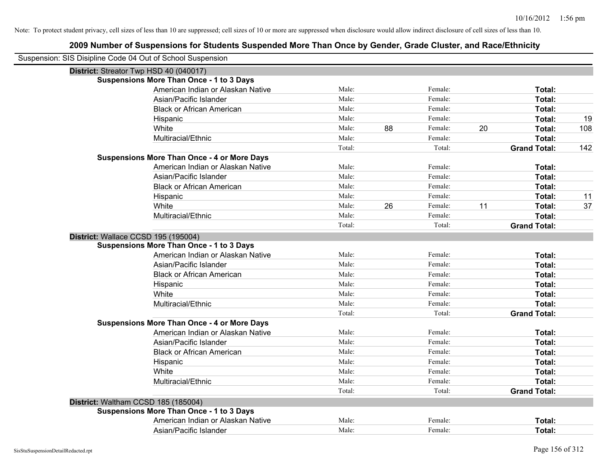| Suspension: SIS Disipline Code 04 Out of School Suspension |                                                    |        |    |         |    |                     |     |
|------------------------------------------------------------|----------------------------------------------------|--------|----|---------|----|---------------------|-----|
| District: Streator Twp HSD 40 (040017)                     |                                                    |        |    |         |    |                     |     |
|                                                            | <b>Suspensions More Than Once - 1 to 3 Days</b>    |        |    |         |    |                     |     |
|                                                            | American Indian or Alaskan Native                  | Male:  |    | Female: |    | Total:              |     |
|                                                            | Asian/Pacific Islander                             | Male:  |    | Female: |    | Total:              |     |
|                                                            | <b>Black or African American</b>                   | Male:  |    | Female: |    | <b>Total:</b>       |     |
|                                                            | Hispanic                                           | Male:  |    | Female: |    | Total:              | 19  |
|                                                            | White                                              | Male:  | 88 | Female: | 20 | Total:              | 108 |
|                                                            | Multiracial/Ethnic                                 | Male:  |    | Female: |    | Total:              |     |
|                                                            |                                                    | Total: |    | Total:  |    | <b>Grand Total:</b> | 142 |
|                                                            | <b>Suspensions More Than Once - 4 or More Days</b> |        |    |         |    |                     |     |
|                                                            | American Indian or Alaskan Native                  | Male:  |    | Female: |    | Total:              |     |
|                                                            | Asian/Pacific Islander                             | Male:  |    | Female: |    | Total:              |     |
|                                                            | <b>Black or African American</b>                   | Male:  |    | Female: |    | Total:              |     |
|                                                            | Hispanic                                           | Male:  |    | Female: |    | Total:              | 11  |
|                                                            | White                                              | Male:  | 26 | Female: | 11 | Total:              | 37  |
|                                                            | Multiracial/Ethnic                                 | Male:  |    | Female: |    | Total:              |     |
|                                                            |                                                    | Total: |    | Total:  |    | <b>Grand Total:</b> |     |
| District: Wallace CCSD 195 (195004)                        |                                                    |        |    |         |    |                     |     |
|                                                            | <b>Suspensions More Than Once - 1 to 3 Days</b>    |        |    |         |    |                     |     |
|                                                            | American Indian or Alaskan Native                  | Male:  |    | Female: |    | Total:              |     |
|                                                            | Asian/Pacific Islander                             | Male:  |    | Female: |    | Total:              |     |
|                                                            | <b>Black or African American</b>                   | Male:  |    | Female: |    | Total:              |     |
|                                                            | Hispanic                                           | Male:  |    | Female: |    | Total:              |     |
|                                                            | White                                              | Male:  |    | Female: |    | Total:              |     |
|                                                            | Multiracial/Ethnic                                 | Male:  |    | Female: |    | Total:              |     |
|                                                            |                                                    | Total: |    | Total:  |    | <b>Grand Total:</b> |     |
|                                                            | <b>Suspensions More Than Once - 4 or More Days</b> |        |    |         |    |                     |     |
|                                                            | American Indian or Alaskan Native                  | Male:  |    | Female: |    | Total:              |     |
|                                                            | Asian/Pacific Islander                             | Male:  |    | Female: |    | Total:              |     |
|                                                            | <b>Black or African American</b>                   | Male:  |    | Female: |    | Total:              |     |
|                                                            | Hispanic                                           | Male:  |    | Female: |    | Total:              |     |
|                                                            | White                                              | Male:  |    | Female: |    | Total:              |     |
|                                                            | Multiracial/Ethnic                                 | Male:  |    | Female: |    | Total:              |     |
|                                                            |                                                    | Total: |    | Total:  |    | <b>Grand Total:</b> |     |
| District: Waltham CCSD 185 (185004)                        |                                                    |        |    |         |    |                     |     |
|                                                            | <b>Suspensions More Than Once - 1 to 3 Days</b>    |        |    |         |    |                     |     |
|                                                            | American Indian or Alaskan Native                  | Male:  |    | Female: |    | Total:              |     |
|                                                            | Asian/Pacific Islander                             | Male:  |    | Female: |    | Total:              |     |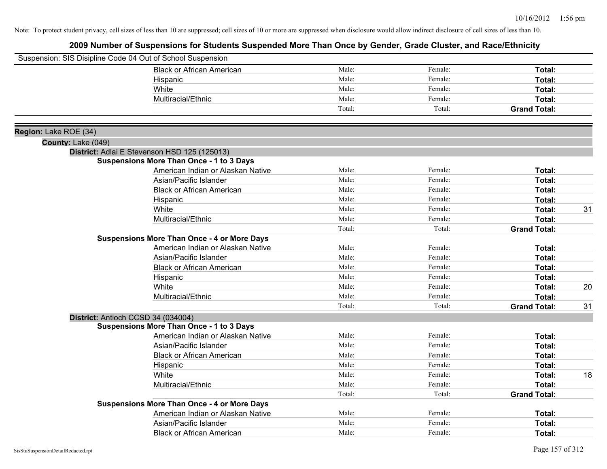|                                             | Suspension: SIS Disipline Code 04 Out of School Suspension |        |         |                     |    |
|---------------------------------------------|------------------------------------------------------------|--------|---------|---------------------|----|
|                                             | <b>Black or African American</b>                           | Male:  | Female: | Total:              |    |
|                                             | Hispanic                                                   | Male:  | Female: | Total:              |    |
|                                             | White                                                      | Male:  | Female: | Total:              |    |
|                                             | Multiracial/Ethnic                                         | Male:  | Female: | Total:              |    |
|                                             |                                                            | Total: | Total:  | <b>Grand Total:</b> |    |
|                                             |                                                            |        |         |                     |    |
| Region: Lake ROE (34)<br>County: Lake (049) |                                                            |        |         |                     |    |
|                                             | District: Adlai E Stevenson HSD 125 (125013)               |        |         |                     |    |
|                                             | <b>Suspensions More Than Once - 1 to 3 Days</b>            |        |         |                     |    |
|                                             | American Indian or Alaskan Native                          | Male:  | Female: | Total:              |    |
|                                             | Asian/Pacific Islander                                     | Male:  | Female: | Total:              |    |
|                                             | <b>Black or African American</b>                           | Male:  | Female: | Total:              |    |
|                                             | Hispanic                                                   | Male:  | Female: | Total:              |    |
|                                             | White                                                      | Male:  | Female: | Total:              | 31 |
|                                             | Multiracial/Ethnic                                         | Male:  | Female: | Total:              |    |
|                                             |                                                            | Total: | Total:  | <b>Grand Total:</b> |    |
|                                             | <b>Suspensions More Than Once - 4 or More Days</b>         |        |         |                     |    |
|                                             | American Indian or Alaskan Native                          | Male:  | Female: | Total:              |    |
|                                             | Asian/Pacific Islander                                     | Male:  | Female: | Total:              |    |
|                                             | <b>Black or African American</b>                           | Male:  | Female: | Total:              |    |
|                                             | Hispanic                                                   | Male:  | Female: | Total:              |    |
|                                             | White                                                      | Male:  | Female: | Total:              | 20 |
|                                             | Multiracial/Ethnic                                         | Male:  | Female: | Total:              |    |
|                                             |                                                            | Total: | Total:  | <b>Grand Total:</b> | 31 |
|                                             | District: Antioch CCSD 34 (034004)                         |        |         |                     |    |
|                                             | <b>Suspensions More Than Once - 1 to 3 Days</b>            |        |         |                     |    |
|                                             | American Indian or Alaskan Native                          | Male:  | Female: | Total:              |    |
|                                             | Asian/Pacific Islander                                     | Male:  | Female: | Total:              |    |
|                                             | <b>Black or African American</b>                           | Male:  | Female: | Total:              |    |
|                                             | Hispanic                                                   | Male:  | Female: | Total:              |    |
|                                             | White                                                      | Male:  | Female: | Total:              | 18 |
|                                             | Multiracial/Ethnic                                         | Male:  | Female: | Total:              |    |
|                                             |                                                            | Total: | Total:  | <b>Grand Total:</b> |    |
|                                             | <b>Suspensions More Than Once - 4 or More Days</b>         |        |         |                     |    |
|                                             | American Indian or Alaskan Native                          | Male:  | Female: | Total:              |    |
|                                             | Asian/Pacific Islander                                     | Male:  | Female: | Total:              |    |
|                                             | <b>Black or African American</b>                           | Male:  | Female: | Total:              |    |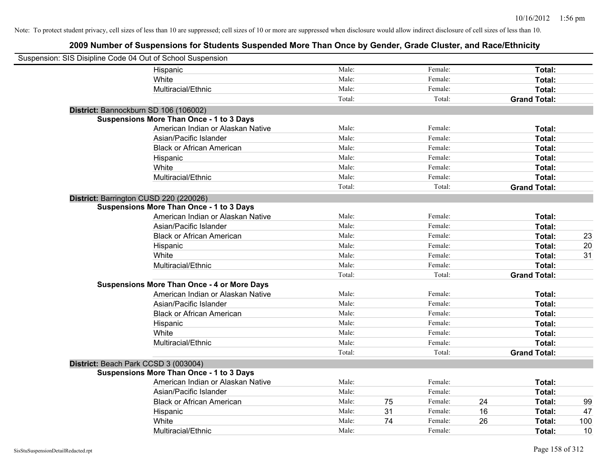| Suspension: SIS Disipline Code 04 Out of School Suspension |                                                    |        |    |         |    |                     |     |
|------------------------------------------------------------|----------------------------------------------------|--------|----|---------|----|---------------------|-----|
|                                                            | Hispanic                                           | Male:  |    | Female: |    | Total:              |     |
|                                                            | White                                              | Male:  |    | Female: |    | Total:              |     |
|                                                            | Multiracial/Ethnic                                 | Male:  |    | Female: |    | <b>Total:</b>       |     |
|                                                            |                                                    | Total: |    | Total:  |    | <b>Grand Total:</b> |     |
| District: Bannockburn SD 106 (106002)                      |                                                    |        |    |         |    |                     |     |
|                                                            | <b>Suspensions More Than Once - 1 to 3 Days</b>    |        |    |         |    |                     |     |
|                                                            | American Indian or Alaskan Native                  | Male:  |    | Female: |    | Total:              |     |
|                                                            | Asian/Pacific Islander                             | Male:  |    | Female: |    | Total:              |     |
|                                                            | <b>Black or African American</b>                   | Male:  |    | Female: |    | Total:              |     |
|                                                            | Hispanic                                           | Male:  |    | Female: |    | Total:              |     |
|                                                            | White                                              | Male:  |    | Female: |    | Total:              |     |
|                                                            | Multiracial/Ethnic                                 | Male:  |    | Female: |    | Total:              |     |
|                                                            |                                                    | Total: |    | Total:  |    | <b>Grand Total:</b> |     |
| District: Barrington CUSD 220 (220026)                     |                                                    |        |    |         |    |                     |     |
|                                                            | <b>Suspensions More Than Once - 1 to 3 Days</b>    |        |    |         |    |                     |     |
|                                                            | American Indian or Alaskan Native                  | Male:  |    | Female: |    | Total:              |     |
|                                                            | Asian/Pacific Islander                             | Male:  |    | Female: |    | Total:              |     |
|                                                            | <b>Black or African American</b>                   | Male:  |    | Female: |    | Total:              | 23  |
|                                                            | Hispanic                                           | Male:  |    | Female: |    | Total:              | 20  |
|                                                            | White                                              | Male:  |    | Female: |    | Total:              | 31  |
|                                                            | Multiracial/Ethnic                                 | Male:  |    | Female: |    | Total:              |     |
|                                                            |                                                    | Total: |    | Total:  |    | <b>Grand Total:</b> |     |
|                                                            | <b>Suspensions More Than Once - 4 or More Days</b> |        |    |         |    |                     |     |
|                                                            | American Indian or Alaskan Native                  | Male:  |    | Female: |    | Total:              |     |
|                                                            | Asian/Pacific Islander                             | Male:  |    | Female: |    | Total:              |     |
|                                                            | <b>Black or African American</b>                   | Male:  |    | Female: |    | Total:              |     |
|                                                            | Hispanic                                           | Male:  |    | Female: |    | Total:              |     |
|                                                            | White                                              | Male:  |    | Female: |    | Total:              |     |
|                                                            | Multiracial/Ethnic                                 | Male:  |    | Female: |    | Total:              |     |
|                                                            |                                                    | Total: |    | Total:  |    | <b>Grand Total:</b> |     |
| District: Beach Park CCSD 3 (003004)                       |                                                    |        |    |         |    |                     |     |
|                                                            | <b>Suspensions More Than Once - 1 to 3 Days</b>    |        |    |         |    |                     |     |
|                                                            | American Indian or Alaskan Native                  | Male:  |    | Female: |    | Total:              |     |
|                                                            | Asian/Pacific Islander                             | Male:  |    | Female: |    | Total:              |     |
|                                                            | <b>Black or African American</b>                   | Male:  | 75 | Female: | 24 | Total:              | 99  |
|                                                            | Hispanic                                           | Male:  | 31 | Female: | 16 | Total:              | 47  |
|                                                            | White                                              | Male:  | 74 | Female: | 26 | <b>Total:</b>       | 100 |
|                                                            | Multiracial/Ethnic                                 | Male:  |    | Female: |    | Total:              | 10  |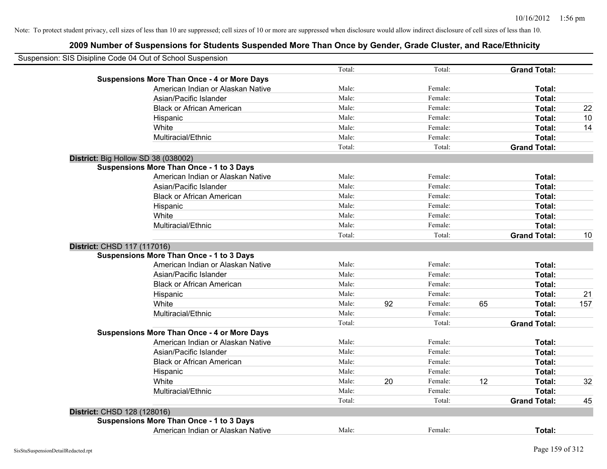|                             | Suspension: SIS Disipline Code 04 Out of School Suspension |        |    |         |    |                     |     |
|-----------------------------|------------------------------------------------------------|--------|----|---------|----|---------------------|-----|
|                             |                                                            | Total: |    | Total:  |    | <b>Grand Total:</b> |     |
|                             | <b>Suspensions More Than Once - 4 or More Days</b>         |        |    |         |    |                     |     |
|                             | American Indian or Alaskan Native                          | Male:  |    | Female: |    | Total:              |     |
|                             | Asian/Pacific Islander                                     | Male:  |    | Female: |    | Total:              |     |
|                             | <b>Black or African American</b>                           | Male:  |    | Female: |    | Total:              | 22  |
|                             | Hispanic                                                   | Male:  |    | Female: |    | Total:              | 10  |
|                             | White                                                      | Male:  |    | Female: |    | Total:              | 14  |
|                             | Multiracial/Ethnic                                         | Male:  |    | Female: |    | Total:              |     |
|                             |                                                            | Total: |    | Total:  |    | <b>Grand Total:</b> |     |
|                             | District: Big Hollow SD 38 (038002)                        |        |    |         |    |                     |     |
|                             | <b>Suspensions More Than Once - 1 to 3 Days</b>            |        |    |         |    |                     |     |
|                             | American Indian or Alaskan Native                          | Male:  |    | Female: |    | Total:              |     |
|                             | Asian/Pacific Islander                                     | Male:  |    | Female: |    | Total:              |     |
|                             | <b>Black or African American</b>                           | Male:  |    | Female: |    | Total:              |     |
|                             | Hispanic                                                   | Male:  |    | Female: |    | Total:              |     |
|                             | White                                                      | Male:  |    | Female: |    | Total:              |     |
|                             | Multiracial/Ethnic                                         | Male:  |    | Female: |    | Total:              |     |
|                             |                                                            | Total: |    | Total:  |    | <b>Grand Total:</b> | 10  |
| District: CHSD 117 (117016) |                                                            |        |    |         |    |                     |     |
|                             | <b>Suspensions More Than Once - 1 to 3 Days</b>            |        |    |         |    |                     |     |
|                             | American Indian or Alaskan Native                          | Male:  |    | Female: |    | Total:              |     |
|                             | Asian/Pacific Islander                                     | Male:  |    | Female: |    | Total:              |     |
|                             | <b>Black or African American</b>                           | Male:  |    | Female: |    | Total:              |     |
|                             | Hispanic                                                   | Male:  |    | Female: |    | Total:              | 21  |
|                             | White                                                      | Male:  | 92 | Female: | 65 | Total:              | 157 |
|                             | Multiracial/Ethnic                                         | Male:  |    | Female: |    | Total:              |     |
|                             |                                                            | Total: |    | Total:  |    | <b>Grand Total:</b> |     |
|                             | <b>Suspensions More Than Once - 4 or More Days</b>         |        |    |         |    |                     |     |
|                             | American Indian or Alaskan Native                          | Male:  |    | Female: |    | Total:              |     |
|                             | Asian/Pacific Islander                                     | Male:  |    | Female: |    | Total:              |     |
|                             | <b>Black or African American</b>                           | Male:  |    | Female: |    | Total:              |     |
|                             | Hispanic                                                   | Male:  |    | Female: |    | Total:              |     |
|                             | White                                                      | Male:  | 20 | Female: | 12 | Total:              | 32  |
|                             | Multiracial/Ethnic                                         | Male:  |    | Female: |    | Total:              |     |
|                             |                                                            | Total: |    | Total:  |    | <b>Grand Total:</b> | 45  |
| District: CHSD 128 (128016) |                                                            |        |    |         |    |                     |     |
|                             | <b>Suspensions More Than Once - 1 to 3 Days</b>            |        |    |         |    |                     |     |
|                             | American Indian or Alaskan Native                          | Male:  |    | Female: |    | Total:              |     |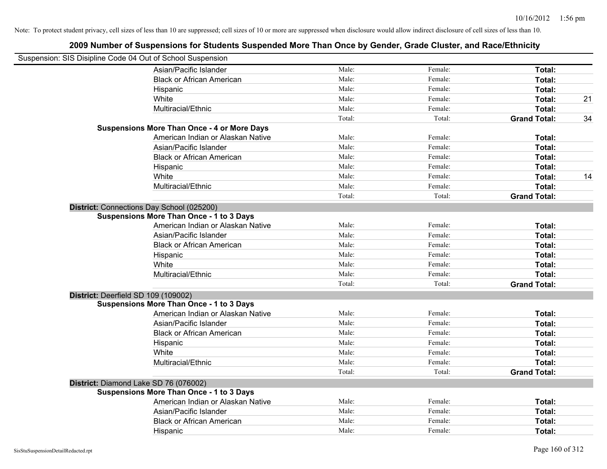| Suspension: SIS Disipline Code 04 Out of School Suspension |                                                    |        |         |                     |    |
|------------------------------------------------------------|----------------------------------------------------|--------|---------|---------------------|----|
|                                                            | Asian/Pacific Islander                             | Male:  | Female: | Total:              |    |
|                                                            | <b>Black or African American</b>                   | Male:  | Female: | Total:              |    |
|                                                            | Hispanic                                           | Male:  | Female: | Total:              |    |
|                                                            | White                                              | Male:  | Female: | Total:              | 21 |
|                                                            | Multiracial/Ethnic                                 | Male:  | Female: | Total:              |    |
|                                                            |                                                    | Total: | Total:  | <b>Grand Total:</b> | 34 |
|                                                            | <b>Suspensions More Than Once - 4 or More Days</b> |        |         |                     |    |
|                                                            | American Indian or Alaskan Native                  | Male:  | Female: | Total:              |    |
|                                                            | Asian/Pacific Islander                             | Male:  | Female: | Total:              |    |
|                                                            | <b>Black or African American</b>                   | Male:  | Female: | Total:              |    |
|                                                            | Hispanic                                           | Male:  | Female: | Total:              |    |
|                                                            | White                                              | Male:  | Female: | Total:              | 14 |
|                                                            | Multiracial/Ethnic                                 | Male:  | Female: | Total:              |    |
|                                                            |                                                    | Total: | Total:  | <b>Grand Total:</b> |    |
|                                                            | District: Connections Day School (025200)          |        |         |                     |    |
|                                                            | <b>Suspensions More Than Once - 1 to 3 Days</b>    |        |         |                     |    |
|                                                            | American Indian or Alaskan Native                  | Male:  | Female: | Total:              |    |
|                                                            | Asian/Pacific Islander                             | Male:  | Female: | Total:              |    |
|                                                            | <b>Black or African American</b>                   | Male:  | Female: | Total:              |    |
|                                                            | Hispanic                                           | Male:  | Female: | Total:              |    |
|                                                            | White                                              | Male:  | Female: | Total:              |    |
|                                                            | Multiracial/Ethnic                                 | Male:  | Female: | Total:              |    |
|                                                            |                                                    | Total: | Total:  | <b>Grand Total:</b> |    |
| District: Deerfield SD 109 (109002)                        |                                                    |        |         |                     |    |
|                                                            | <b>Suspensions More Than Once - 1 to 3 Days</b>    |        |         |                     |    |
|                                                            | American Indian or Alaskan Native                  | Male:  | Female: | Total:              |    |
|                                                            | Asian/Pacific Islander                             | Male:  | Female: | Total:              |    |
|                                                            | <b>Black or African American</b>                   | Male:  | Female: | Total:              |    |
|                                                            | Hispanic                                           | Male:  | Female: | Total:              |    |
|                                                            | White                                              | Male:  | Female: | Total:              |    |
|                                                            | Multiracial/Ethnic                                 | Male:  | Female: | Total:              |    |
|                                                            |                                                    | Total: | Total:  | <b>Grand Total:</b> |    |
|                                                            | District: Diamond Lake SD 76 (076002)              |        |         |                     |    |
|                                                            | <b>Suspensions More Than Once - 1 to 3 Days</b>    |        |         |                     |    |
|                                                            | American Indian or Alaskan Native                  | Male:  | Female: | Total:              |    |
|                                                            | Asian/Pacific Islander                             | Male:  | Female: | Total:              |    |
|                                                            | <b>Black or African American</b>                   | Male:  | Female: | Total:              |    |
|                                                            | Hispanic                                           | Male:  | Female: | Total:              |    |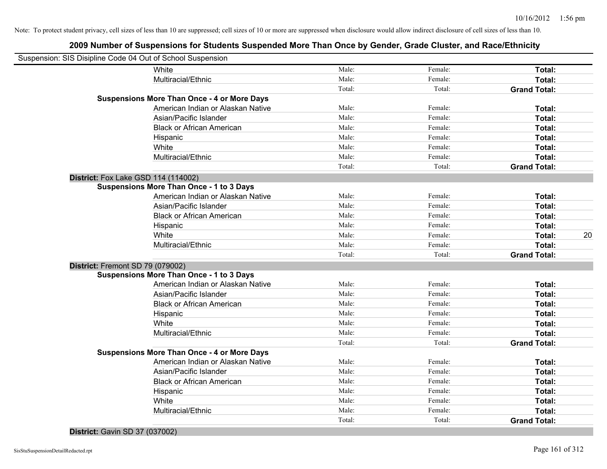### **2009 Number of Suspensions for Students Suspended More Than Once by Gender, Grade Cluster, and Race/Ethnicity**

| Suspension: SIS Disipline Code 04 Out of School Suspension |                                                    |        |         |                     |    |
|------------------------------------------------------------|----------------------------------------------------|--------|---------|---------------------|----|
|                                                            | White                                              | Male:  | Female: | Total:              |    |
|                                                            | Multiracial/Ethnic                                 | Male:  | Female: | Total:              |    |
|                                                            |                                                    | Total: | Total:  | <b>Grand Total:</b> |    |
|                                                            | <b>Suspensions More Than Once - 4 or More Days</b> |        |         |                     |    |
|                                                            | American Indian or Alaskan Native                  | Male:  | Female: | Total:              |    |
|                                                            | Asian/Pacific Islander                             | Male:  | Female: | Total:              |    |
|                                                            | <b>Black or African American</b>                   | Male:  | Female: | Total:              |    |
|                                                            | Hispanic                                           | Male:  | Female: | Total:              |    |
|                                                            | White                                              | Male:  | Female: | Total:              |    |
|                                                            | Multiracial/Ethnic                                 | Male:  | Female: | Total:              |    |
|                                                            |                                                    | Total: | Total:  | <b>Grand Total:</b> |    |
| District: Fox Lake GSD 114 (114002)                        |                                                    |        |         |                     |    |
|                                                            | <b>Suspensions More Than Once - 1 to 3 Days</b>    |        |         |                     |    |
|                                                            | American Indian or Alaskan Native                  | Male:  | Female: | Total:              |    |
|                                                            | Asian/Pacific Islander                             | Male:  | Female: | Total:              |    |
|                                                            | <b>Black or African American</b>                   | Male:  | Female: | Total:              |    |
|                                                            | Hispanic                                           | Male:  | Female: | Total:              |    |
|                                                            | White                                              | Male:  | Female: | Total:              | 20 |
|                                                            | Multiracial/Ethnic                                 | Male:  | Female: | Total:              |    |
|                                                            |                                                    | Total: | Total:  | <b>Grand Total:</b> |    |
| District: Fremont SD 79 (079002)                           |                                                    |        |         |                     |    |
|                                                            | <b>Suspensions More Than Once - 1 to 3 Days</b>    |        |         |                     |    |
|                                                            | American Indian or Alaskan Native                  | Male:  | Female: | Total:              |    |
|                                                            | Asian/Pacific Islander                             | Male:  | Female: | Total:              |    |
|                                                            | <b>Black or African American</b>                   | Male:  | Female: | Total:              |    |
|                                                            | Hispanic                                           | Male:  | Female: | Total:              |    |
|                                                            | White                                              | Male:  | Female: | Total:              |    |
|                                                            | Multiracial/Ethnic                                 | Male:  | Female: | Total:              |    |
|                                                            |                                                    | Total: | Total:  | <b>Grand Total:</b> |    |
|                                                            | <b>Suspensions More Than Once - 4 or More Days</b> |        |         |                     |    |
|                                                            | American Indian or Alaskan Native                  | Male:  | Female: | Total:              |    |
|                                                            | Asian/Pacific Islander                             | Male:  | Female: | Total:              |    |
|                                                            | <b>Black or African American</b>                   | Male:  | Female: | Total:              |    |
|                                                            | Hispanic                                           | Male:  | Female: | Total:              |    |
|                                                            | White                                              | Male:  | Female: | Total:              |    |
|                                                            | Multiracial/Ethnic                                 | Male:  | Female: | Total:              |    |
|                                                            |                                                    | Total: | Total:  | <b>Grand Total:</b> |    |
|                                                            |                                                    |        |         |                     |    |

#### **District:** Gavin SD 37 (037002)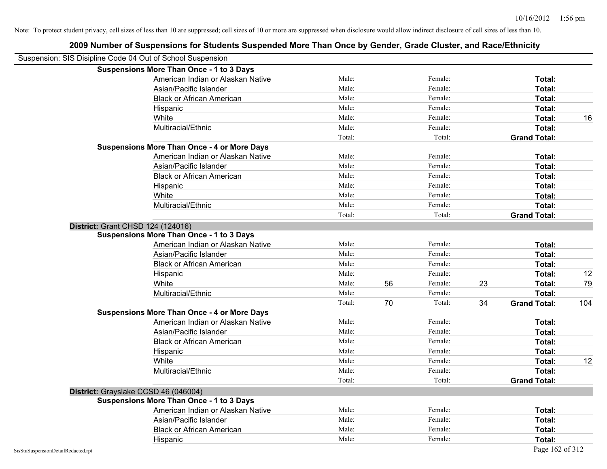| Suspension: SIS Disipline Code 04 Out of School Suspension |                                                    |        |    |         |    |                     |     |
|------------------------------------------------------------|----------------------------------------------------|--------|----|---------|----|---------------------|-----|
|                                                            | <b>Suspensions More Than Once - 1 to 3 Days</b>    |        |    |         |    |                     |     |
|                                                            | American Indian or Alaskan Native                  | Male:  |    | Female: |    | Total:              |     |
|                                                            | Asian/Pacific Islander                             | Male:  |    | Female: |    | Total:              |     |
|                                                            | <b>Black or African American</b>                   | Male:  |    | Female: |    | Total:              |     |
|                                                            | Hispanic                                           | Male:  |    | Female: |    | Total:              |     |
|                                                            | White                                              | Male:  |    | Female: |    | Total:              | 16  |
|                                                            | Multiracial/Ethnic                                 | Male:  |    | Female: |    | Total:              |     |
|                                                            |                                                    | Total: |    | Total:  |    | <b>Grand Total:</b> |     |
|                                                            | <b>Suspensions More Than Once - 4 or More Days</b> |        |    |         |    |                     |     |
|                                                            | American Indian or Alaskan Native                  | Male:  |    | Female: |    | Total:              |     |
|                                                            | Asian/Pacific Islander                             | Male:  |    | Female: |    | Total:              |     |
|                                                            | <b>Black or African American</b>                   | Male:  |    | Female: |    | Total:              |     |
|                                                            | Hispanic                                           | Male:  |    | Female: |    | Total:              |     |
|                                                            | White                                              | Male:  |    | Female: |    | Total:              |     |
|                                                            | Multiracial/Ethnic                                 | Male:  |    | Female: |    | <b>Total:</b>       |     |
|                                                            |                                                    | Total: |    | Total:  |    | <b>Grand Total:</b> |     |
|                                                            | District: Grant CHSD 124 (124016)                  |        |    |         |    |                     |     |
|                                                            | <b>Suspensions More Than Once - 1 to 3 Days</b>    |        |    |         |    |                     |     |
|                                                            | American Indian or Alaskan Native                  | Male:  |    | Female: |    | Total:              |     |
|                                                            | Asian/Pacific Islander                             | Male:  |    | Female: |    | Total:              |     |
|                                                            | <b>Black or African American</b>                   | Male:  |    | Female: |    | Total:              |     |
|                                                            | Hispanic                                           | Male:  |    | Female: |    | Total:              | 12  |
|                                                            | White                                              | Male:  | 56 | Female: | 23 | Total:              | 79  |
|                                                            | Multiracial/Ethnic                                 | Male:  |    | Female: |    | Total:              |     |
|                                                            |                                                    | Total: | 70 | Total:  | 34 | <b>Grand Total:</b> | 104 |
|                                                            | <b>Suspensions More Than Once - 4 or More Days</b> |        |    |         |    |                     |     |
|                                                            | American Indian or Alaskan Native                  | Male:  |    | Female: |    | Total:              |     |
|                                                            | Asian/Pacific Islander                             | Male:  |    | Female: |    | Total:              |     |
|                                                            | <b>Black or African American</b>                   | Male:  |    | Female: |    | Total:              |     |
|                                                            | Hispanic                                           | Male:  |    | Female: |    | Total:              |     |
|                                                            | White                                              | Male:  |    | Female: |    | Total:              | 12  |
|                                                            | Multiracial/Ethnic                                 | Male:  |    | Female: |    | <b>Total:</b>       |     |
|                                                            |                                                    | Total: |    | Total:  |    | <b>Grand Total:</b> |     |
|                                                            | District: Grayslake CCSD 46 (046004)               |        |    |         |    |                     |     |
|                                                            | <b>Suspensions More Than Once - 1 to 3 Days</b>    |        |    |         |    |                     |     |
|                                                            | American Indian or Alaskan Native                  | Male:  |    | Female: |    | Total:              |     |
|                                                            | Asian/Pacific Islander                             | Male:  |    | Female: |    | Total:              |     |
|                                                            | <b>Black or African American</b>                   | Male:  |    | Female: |    | Total:              |     |
|                                                            | Hispanic                                           | Male:  |    | Female: |    | Total:              |     |
| SisStuSuspensionDetailRedacted.rpt                         |                                                    |        |    |         |    | Page 162 of 312     |     |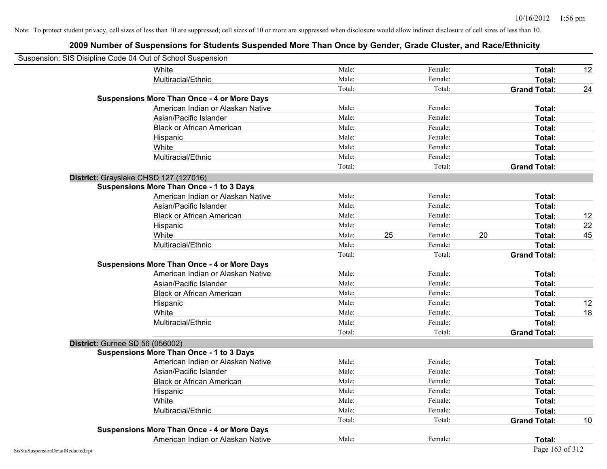| Suspension: SIS Disipline Code 04 Out of School Suspension |                                                    |        |    |         |    |                     |    |
|------------------------------------------------------------|----------------------------------------------------|--------|----|---------|----|---------------------|----|
|                                                            | White                                              | Male:  |    | Female: |    | Total:              | 12 |
|                                                            | Multiracial/Ethnic                                 | Male:  |    | Female: |    | Total:              |    |
|                                                            |                                                    | Total: |    | Total:  |    | <b>Grand Total:</b> | 24 |
|                                                            | <b>Suspensions More Than Once - 4 or More Days</b> |        |    |         |    |                     |    |
|                                                            | American Indian or Alaskan Native                  | Male:  |    | Female: |    | Total:              |    |
|                                                            | Asian/Pacific Islander                             | Male:  |    | Female: |    | Total:              |    |
|                                                            | <b>Black or African American</b>                   | Male:  |    | Female: |    | Total:              |    |
|                                                            | Hispanic                                           | Male:  |    | Female: |    | Total:              |    |
|                                                            | White                                              | Male:  |    | Female: |    | Total:              |    |
|                                                            | Multiracial/Ethnic                                 | Male:  |    | Female: |    | Total:              |    |
|                                                            |                                                    | Total: |    | Total:  |    | <b>Grand Total:</b> |    |
|                                                            | District: Grayslake CHSD 127 (127016)              |        |    |         |    |                     |    |
|                                                            | <b>Suspensions More Than Once - 1 to 3 Days</b>    |        |    |         |    |                     |    |
|                                                            | American Indian or Alaskan Native                  | Male:  |    | Female: |    | Total:              |    |
|                                                            | Asian/Pacific Islander                             | Male:  |    | Female: |    | Total:              |    |
|                                                            | <b>Black or African American</b>                   | Male:  |    | Female: |    | Total:              | 12 |
|                                                            | Hispanic                                           | Male:  |    | Female: |    | Total:              | 22 |
|                                                            | White                                              | Male:  | 25 | Female: | 20 | Total:              | 45 |
|                                                            | Multiracial/Ethnic                                 | Male:  |    | Female: |    | Total:              |    |
|                                                            |                                                    | Total: |    | Total:  |    | <b>Grand Total:</b> |    |
|                                                            | <b>Suspensions More Than Once - 4 or More Days</b> |        |    |         |    |                     |    |
|                                                            | American Indian or Alaskan Native                  | Male:  |    | Female: |    | Total:              |    |
|                                                            | Asian/Pacific Islander                             | Male:  |    | Female: |    | Total:              |    |
|                                                            | <b>Black or African American</b>                   | Male:  |    | Female: |    | Total:              |    |
|                                                            | Hispanic                                           | Male:  |    | Female: |    | Total:              | 12 |
|                                                            | White                                              | Male:  |    | Female: |    | Total:              | 18 |
|                                                            | Multiracial/Ethnic                                 | Male:  |    | Female: |    | Total:              |    |
|                                                            |                                                    | Total: |    | Total:  |    | <b>Grand Total:</b> |    |
| District: Gurnee SD 56 (056002)                            |                                                    |        |    |         |    |                     |    |
|                                                            | <b>Suspensions More Than Once - 1 to 3 Days</b>    |        |    |         |    |                     |    |
|                                                            | American Indian or Alaskan Native                  | Male:  |    | Female: |    | Total:              |    |
|                                                            | Asian/Pacific Islander                             | Male:  |    | Female: |    | Total:              |    |
|                                                            | <b>Black or African American</b>                   | Male:  |    | Female: |    | Total:              |    |
|                                                            | Hispanic                                           | Male:  |    | Female: |    | Total:              |    |
|                                                            | White                                              | Male:  |    | Female: |    | Total:              |    |
|                                                            | Multiracial/Ethnic                                 | Male:  |    | Female: |    | Total:              |    |
|                                                            |                                                    | Total: |    | Total:  |    | <b>Grand Total:</b> | 10 |
|                                                            | <b>Suspensions More Than Once - 4 or More Days</b> |        |    |         |    |                     |    |
|                                                            | American Indian or Alaskan Native                  | Male:  |    | Female: |    | Total:              |    |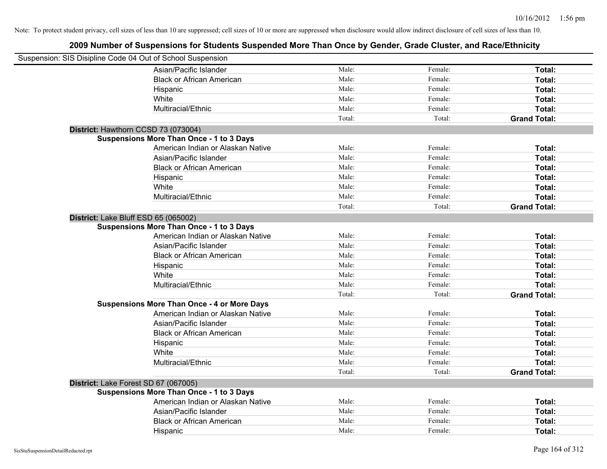| Suspension: SIS Disipline Code 04 Out of School Suspension |                                                    |        |         |                     |
|------------------------------------------------------------|----------------------------------------------------|--------|---------|---------------------|
|                                                            | Asian/Pacific Islander                             | Male:  | Female: | Total:              |
|                                                            | <b>Black or African American</b>                   | Male:  | Female: | Total:              |
|                                                            | Hispanic                                           | Male:  | Female: | Total:              |
|                                                            | White                                              | Male:  | Female: | Total:              |
|                                                            | Multiracial/Ethnic                                 | Male:  | Female: | Total:              |
|                                                            |                                                    | Total: | Total:  | <b>Grand Total:</b> |
|                                                            | District: Hawthorn CCSD 73 (073004)                |        |         |                     |
|                                                            | <b>Suspensions More Than Once - 1 to 3 Days</b>    |        |         |                     |
|                                                            | American Indian or Alaskan Native                  | Male:  | Female: | Total:              |
|                                                            | Asian/Pacific Islander                             | Male:  | Female: | Total:              |
|                                                            | <b>Black or African American</b>                   | Male:  | Female: | Total:              |
|                                                            | Hispanic                                           | Male:  | Female: | Total:              |
|                                                            | White                                              | Male:  | Female: | Total:              |
|                                                            | Multiracial/Ethnic                                 | Male:  | Female: | Total:              |
|                                                            |                                                    | Total: | Total:  | <b>Grand Total:</b> |
|                                                            | District: Lake Bluff ESD 65 (065002)               |        |         |                     |
|                                                            | <b>Suspensions More Than Once - 1 to 3 Days</b>    |        |         |                     |
|                                                            | American Indian or Alaskan Native                  | Male:  | Female: | Total:              |
|                                                            | Asian/Pacific Islander                             | Male:  | Female: | Total:              |
|                                                            | <b>Black or African American</b>                   | Male:  | Female: | Total:              |
|                                                            | Hispanic                                           | Male:  | Female: | Total:              |
|                                                            | White                                              | Male:  | Female: | Total:              |
|                                                            | Multiracial/Ethnic                                 | Male:  | Female: | Total:              |
|                                                            |                                                    | Total: | Total:  | <b>Grand Total:</b> |
|                                                            | <b>Suspensions More Than Once - 4 or More Days</b> |        |         |                     |
|                                                            | American Indian or Alaskan Native                  | Male:  | Female: | Total:              |
|                                                            | Asian/Pacific Islander                             | Male:  | Female: | Total:              |
|                                                            | <b>Black or African American</b>                   | Male:  | Female: | Total:              |
|                                                            | Hispanic                                           | Male:  | Female: | Total:              |
|                                                            | White                                              | Male:  | Female: | Total:              |
|                                                            | Multiracial/Ethnic                                 | Male:  | Female: | Total:              |
|                                                            |                                                    | Total: | Total:  | <b>Grand Total:</b> |
|                                                            | District: Lake Forest SD 67 (067005)               |        |         |                     |
|                                                            | <b>Suspensions More Than Once - 1 to 3 Days</b>    |        |         |                     |
|                                                            | American Indian or Alaskan Native                  | Male:  | Female: | Total:              |
|                                                            | Asian/Pacific Islander                             | Male:  | Female: | Total:              |
|                                                            | <b>Black or African American</b>                   | Male:  | Female: | Total:              |
|                                                            | Hispanic                                           | Male:  | Female: | Total:              |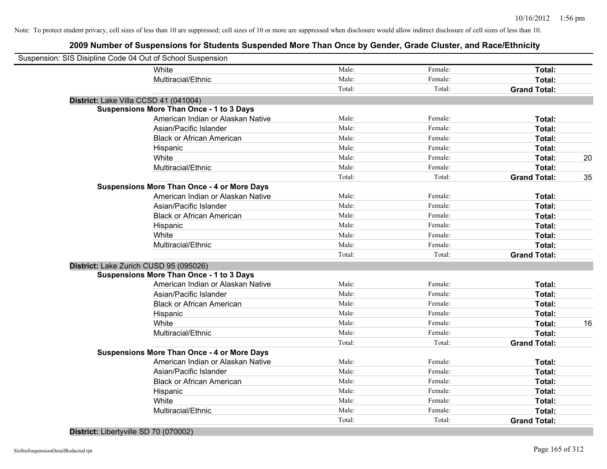### **2009 Number of Suspensions for Students Suspended More Than Once by Gender, Grade Cluster, and Race/Ethnicity**

| Suspension: SIS Disipline Code 04 Out of School Suspension |                                                    |        |         |                     |    |
|------------------------------------------------------------|----------------------------------------------------|--------|---------|---------------------|----|
|                                                            | White                                              | Male:  | Female: | Total:              |    |
|                                                            | Multiracial/Ethnic                                 | Male:  | Female: | Total:              |    |
|                                                            |                                                    | Total: | Total:  | <b>Grand Total:</b> |    |
|                                                            | District: Lake Villa CCSD 41 (041004)              |        |         |                     |    |
|                                                            | <b>Suspensions More Than Once - 1 to 3 Days</b>    |        |         |                     |    |
|                                                            | American Indian or Alaskan Native                  | Male:  | Female: | Total:              |    |
|                                                            | Asian/Pacific Islander                             | Male:  | Female: | Total:              |    |
|                                                            | <b>Black or African American</b>                   | Male:  | Female: | Total:              |    |
|                                                            | Hispanic                                           | Male:  | Female: | Total:              |    |
|                                                            | White                                              | Male:  | Female: | Total:              | 20 |
|                                                            | Multiracial/Ethnic                                 | Male:  | Female: | Total:              |    |
|                                                            |                                                    | Total: | Total:  | <b>Grand Total:</b> | 35 |
|                                                            | <b>Suspensions More Than Once - 4 or More Days</b> |        |         |                     |    |
|                                                            | American Indian or Alaskan Native                  | Male:  | Female: | Total:              |    |
|                                                            | Asian/Pacific Islander                             | Male:  | Female: | Total:              |    |
|                                                            | <b>Black or African American</b>                   | Male:  | Female: | Total:              |    |
|                                                            | Hispanic                                           | Male:  | Female: | Total:              |    |
|                                                            | White                                              | Male:  | Female: | Total:              |    |
|                                                            | Multiracial/Ethnic                                 | Male:  | Female: | Total:              |    |
|                                                            |                                                    | Total: | Total:  | <b>Grand Total:</b> |    |
|                                                            | District: Lake Zurich CUSD 95 (095026)             |        |         |                     |    |
|                                                            | <b>Suspensions More Than Once - 1 to 3 Days</b>    |        |         |                     |    |
|                                                            | American Indian or Alaskan Native                  | Male:  | Female: | Total:              |    |
|                                                            | Asian/Pacific Islander                             | Male:  | Female: | Total:              |    |
|                                                            | <b>Black or African American</b>                   | Male:  | Female: | <b>Total:</b>       |    |
|                                                            | Hispanic                                           | Male:  | Female: | Total:              |    |
|                                                            | White                                              | Male:  | Female: | Total:              | 16 |
|                                                            | Multiracial/Ethnic                                 | Male:  | Female: | Total:              |    |
|                                                            |                                                    | Total: | Total:  | <b>Grand Total:</b> |    |
|                                                            | <b>Suspensions More Than Once - 4 or More Days</b> |        |         |                     |    |
|                                                            | American Indian or Alaskan Native                  | Male:  | Female: | Total:              |    |
|                                                            | Asian/Pacific Islander                             | Male:  | Female: | Total:              |    |
|                                                            | <b>Black or African American</b>                   | Male:  | Female: | Total:              |    |
|                                                            | Hispanic                                           | Male:  | Female: | Total:              |    |
|                                                            | White                                              | Male:  | Female: | Total:              |    |
|                                                            | Multiracial/Ethnic                                 | Male:  | Female: | Total:              |    |
|                                                            |                                                    | Total: | Total:  | <b>Grand Total:</b> |    |
|                                                            |                                                    |        |         |                     |    |

#### **District:** Libertyville SD 70 (070002)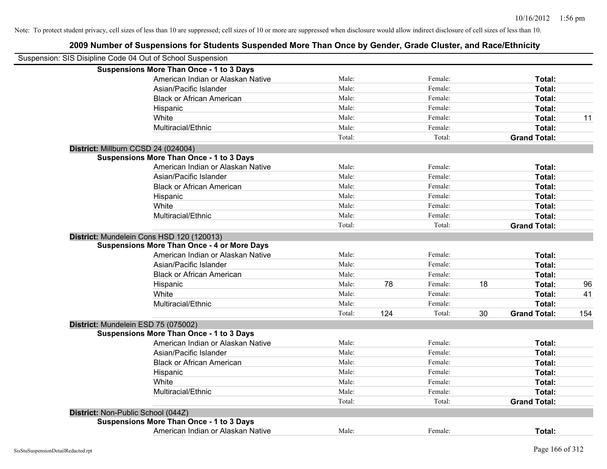| 2009 Number of Suspensions for Students Suspended More Than Once by Gender, Grade Cluster, and Race/Ethnicity |        |     |         |    |                     |     |
|---------------------------------------------------------------------------------------------------------------|--------|-----|---------|----|---------------------|-----|
| Suspension: SIS Disipline Code 04 Out of School Suspension                                                    |        |     |         |    |                     |     |
| <b>Suspensions More Than Once - 1 to 3 Days</b>                                                               |        |     |         |    |                     |     |
| American Indian or Alaskan Native                                                                             | Male:  |     | Female: |    | Total:              |     |
| Asian/Pacific Islander                                                                                        | Male:  |     | Female: |    | Total:              |     |
| <b>Black or African American</b>                                                                              | Male:  |     | Female: |    | Total:              |     |
| Hispanic                                                                                                      | Male:  |     | Female: |    | Total:              |     |
| White                                                                                                         | Male:  |     | Female: |    | Total:              | 11  |
| Multiracial/Ethnic                                                                                            | Male:  |     | Female: |    | Total:              |     |
|                                                                                                               | Total: |     | Total:  |    | <b>Grand Total:</b> |     |
| District: Millburn CCSD 24 (024004)                                                                           |        |     |         |    |                     |     |
| <b>Suspensions More Than Once - 1 to 3 Days</b>                                                               |        |     |         |    |                     |     |
| American Indian or Alaskan Native                                                                             | Male:  |     | Female: |    | Total:              |     |
| Asian/Pacific Islander                                                                                        | Male:  |     | Female: |    | Total:              |     |
| <b>Black or African American</b>                                                                              | Male:  |     | Female: |    | Total:              |     |
| Hispanic                                                                                                      | Male:  |     | Female: |    | Total:              |     |
| White                                                                                                         | Male:  |     | Female: |    | Total:              |     |
| Multiracial/Ethnic                                                                                            | Male:  |     | Female: |    | Total:              |     |
|                                                                                                               | Total: |     | Total:  |    | <b>Grand Total:</b> |     |
| District: Mundelein Cons HSD 120 (120013)                                                                     |        |     |         |    |                     |     |
| <b>Suspensions More Than Once - 4 or More Days</b>                                                            |        |     |         |    |                     |     |
| American Indian or Alaskan Native                                                                             | Male:  |     | Female: |    | Total:              |     |
| Asian/Pacific Islander                                                                                        | Male:  |     | Female: |    | Total:              |     |
| <b>Black or African American</b>                                                                              | Male:  |     | Female: |    | Total:              |     |
| Hispanic                                                                                                      | Male:  | 78  | Female: | 18 | Total:              | 96  |
| White                                                                                                         | Male:  |     | Female: |    | Total:              | 41  |
| Multiracial/Ethnic                                                                                            | Male:  |     | Female: |    | Total:              |     |
|                                                                                                               | Total: | 124 | Total:  | 30 | <b>Grand Total:</b> | 154 |
| District: Mundelein ESD 75 (075002)                                                                           |        |     |         |    |                     |     |
| <b>Suspensions More Than Once - 1 to 3 Days</b>                                                               |        |     |         |    |                     |     |
| American Indian or Alaskan Native                                                                             | Male:  |     | Female: |    | Total:              |     |
| Asian/Pacific Islander                                                                                        | Male:  |     | Female: |    | Total:              |     |
| <b>Black or African American</b>                                                                              | Male:  |     | Female: |    | Total:              |     |
| Hispanic                                                                                                      | Male:  |     | Female: |    | Total:              |     |
| White                                                                                                         | Male:  |     | Female: |    | Total:              |     |
| Multiracial/Ethnic                                                                                            | Male:  |     | Female: |    | Total:              |     |
|                                                                                                               | Total: |     | Total:  |    | <b>Grand Total:</b> |     |
| District: Non-Public School (044Z)                                                                            |        |     |         |    |                     |     |
| <b>Suspensions More Than Once - 1 to 3 Days</b>                                                               |        |     |         |    |                     |     |
| American Indian or Alaskan Native                                                                             | Male:  |     | Female: |    | Total:              |     |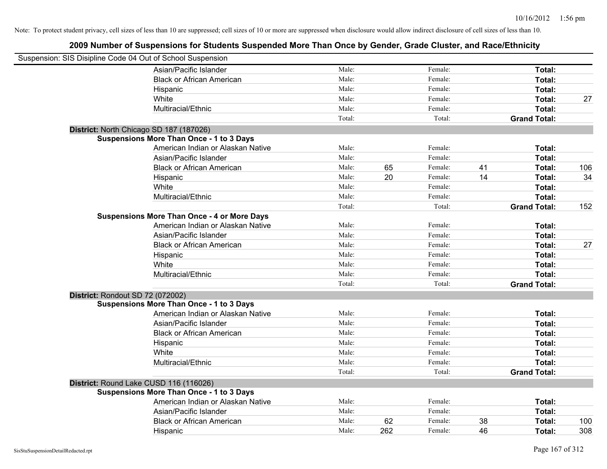| Suspension: SIS Disipline Code 04 Out of School Suspension |        |     |         |    |                     |     |
|------------------------------------------------------------|--------|-----|---------|----|---------------------|-----|
| Asian/Pacific Islander                                     | Male:  |     | Female: |    | Total:              |     |
| <b>Black or African American</b>                           | Male:  |     | Female: |    | Total:              |     |
| Hispanic                                                   | Male:  |     | Female: |    | Total:              |     |
| White                                                      | Male:  |     | Female: |    | <b>Total:</b>       | 27  |
| Multiracial/Ethnic                                         | Male:  |     | Female: |    | Total:              |     |
|                                                            | Total: |     | Total:  |    | <b>Grand Total:</b> |     |
| District: North Chicago SD 187 (187026)                    |        |     |         |    |                     |     |
| <b>Suspensions More Than Once - 1 to 3 Days</b>            |        |     |         |    |                     |     |
| American Indian or Alaskan Native                          | Male:  |     | Female: |    | Total:              |     |
| Asian/Pacific Islander                                     | Male:  |     | Female: |    | Total:              |     |
| <b>Black or African American</b>                           | Male:  | 65  | Female: | 41 | Total:              | 106 |
| Hispanic                                                   | Male:  | 20  | Female: | 14 | Total:              | 34  |
| White                                                      | Male:  |     | Female: |    | Total:              |     |
| Multiracial/Ethnic                                         | Male:  |     | Female: |    | Total:              |     |
|                                                            | Total: |     | Total:  |    | <b>Grand Total:</b> | 152 |
| <b>Suspensions More Than Once - 4 or More Days</b>         |        |     |         |    |                     |     |
| American Indian or Alaskan Native                          | Male:  |     | Female: |    | Total:              |     |
| Asian/Pacific Islander                                     | Male:  |     | Female: |    | Total:              |     |
| <b>Black or African American</b>                           | Male:  |     | Female: |    | Total:              | 27  |
| Hispanic                                                   | Male:  |     | Female: |    | Total:              |     |
| White                                                      | Male:  |     | Female: |    | Total:              |     |
| Multiracial/Ethnic                                         | Male:  |     | Female: |    | Total:              |     |
|                                                            | Total: |     | Total:  |    | <b>Grand Total:</b> |     |
| District: Rondout SD 72 (072002)                           |        |     |         |    |                     |     |
| <b>Suspensions More Than Once - 1 to 3 Days</b>            |        |     |         |    |                     |     |
| American Indian or Alaskan Native                          | Male:  |     | Female: |    | Total:              |     |
| Asian/Pacific Islander                                     | Male:  |     | Female: |    | Total:              |     |
| <b>Black or African American</b>                           | Male:  |     | Female: |    | Total:              |     |
| Hispanic                                                   | Male:  |     | Female: |    | Total:              |     |
| White                                                      | Male:  |     | Female: |    | Total:              |     |
| Multiracial/Ethnic                                         | Male:  |     | Female: |    | Total:              |     |
|                                                            | Total: |     | Total:  |    | <b>Grand Total:</b> |     |
| District: Round Lake CUSD 116 (116026)                     |        |     |         |    |                     |     |
| <b>Suspensions More Than Once - 1 to 3 Days</b>            |        |     |         |    |                     |     |
| American Indian or Alaskan Native                          | Male:  |     | Female: |    | Total:              |     |
| Asian/Pacific Islander                                     | Male:  |     | Female: |    | Total:              |     |
| <b>Black or African American</b>                           | Male:  | 62  | Female: | 38 | <b>Total:</b>       | 100 |
| Hispanic                                                   | Male:  | 262 | Female: | 46 | Total:              | 308 |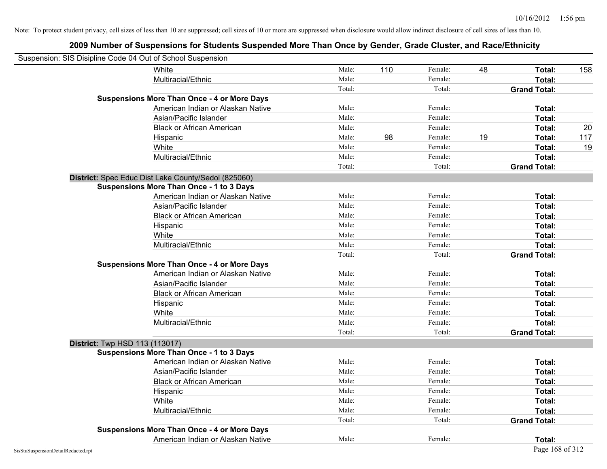| Suspension: SIS Disipline Code 04 Out of School Suspension |                                                     |        |     |         |    |                     |     |
|------------------------------------------------------------|-----------------------------------------------------|--------|-----|---------|----|---------------------|-----|
|                                                            | White                                               | Male:  | 110 | Female: | 48 | Total:              | 158 |
|                                                            | Multiracial/Ethnic                                  | Male:  |     | Female: |    | Total:              |     |
|                                                            |                                                     | Total: |     | Total:  |    | <b>Grand Total:</b> |     |
|                                                            | <b>Suspensions More Than Once - 4 or More Days</b>  |        |     |         |    |                     |     |
|                                                            | American Indian or Alaskan Native                   | Male:  |     | Female: |    | Total:              |     |
|                                                            | Asian/Pacific Islander                              | Male:  |     | Female: |    | Total:              |     |
|                                                            | <b>Black or African American</b>                    | Male:  |     | Female: |    | Total:              | 20  |
|                                                            | Hispanic                                            | Male:  | 98  | Female: | 19 | Total:              | 117 |
|                                                            | White                                               | Male:  |     | Female: |    | Total:              | 19  |
|                                                            | Multiracial/Ethnic                                  | Male:  |     | Female: |    | Total:              |     |
|                                                            |                                                     | Total: |     | Total:  |    | <b>Grand Total:</b> |     |
|                                                            | District: Spec Educ Dist Lake County/Sedol (825060) |        |     |         |    |                     |     |
|                                                            | <b>Suspensions More Than Once - 1 to 3 Days</b>     |        |     |         |    |                     |     |
|                                                            | American Indian or Alaskan Native                   | Male:  |     | Female: |    | Total:              |     |
|                                                            | Asian/Pacific Islander                              | Male:  |     | Female: |    | Total:              |     |
|                                                            | <b>Black or African American</b>                    | Male:  |     | Female: |    | Total:              |     |
|                                                            | Hispanic                                            | Male:  |     | Female: |    | Total:              |     |
|                                                            | White                                               | Male:  |     | Female: |    | Total:              |     |
|                                                            | Multiracial/Ethnic                                  | Male:  |     | Female: |    | Total:              |     |
|                                                            |                                                     | Total: |     | Total:  |    | <b>Grand Total:</b> |     |
|                                                            | <b>Suspensions More Than Once - 4 or More Days</b>  |        |     |         |    |                     |     |
|                                                            | American Indian or Alaskan Native                   | Male:  |     | Female: |    | Total:              |     |
|                                                            | Asian/Pacific Islander                              | Male:  |     | Female: |    | Total:              |     |
|                                                            | <b>Black or African American</b>                    | Male:  |     | Female: |    | Total:              |     |
|                                                            | Hispanic                                            | Male:  |     | Female: |    | Total:              |     |
|                                                            | White                                               | Male:  |     | Female: |    | Total:              |     |
|                                                            | Multiracial/Ethnic                                  | Male:  |     | Female: |    | Total:              |     |
|                                                            |                                                     | Total: |     | Total:  |    | <b>Grand Total:</b> |     |
| <b>District:</b> Twp HSD 113 (113017)                      |                                                     |        |     |         |    |                     |     |
|                                                            | <b>Suspensions More Than Once - 1 to 3 Days</b>     |        |     |         |    |                     |     |
|                                                            | American Indian or Alaskan Native                   | Male:  |     | Female: |    | Total:              |     |
|                                                            | Asian/Pacific Islander                              | Male:  |     | Female: |    | Total:              |     |
|                                                            | <b>Black or African American</b>                    | Male:  |     | Female: |    | Total:              |     |
|                                                            | Hispanic                                            | Male:  |     | Female: |    | Total:              |     |
|                                                            | White                                               | Male:  |     | Female: |    | Total:              |     |
|                                                            | Multiracial/Ethnic                                  | Male:  |     | Female: |    | Total:              |     |
|                                                            |                                                     | Total: |     | Total:  |    | <b>Grand Total:</b> |     |
|                                                            | <b>Suspensions More Than Once - 4 or More Days</b>  |        |     |         |    |                     |     |
|                                                            | American Indian or Alaskan Native                   | Male:  |     | Female: |    | Total:              |     |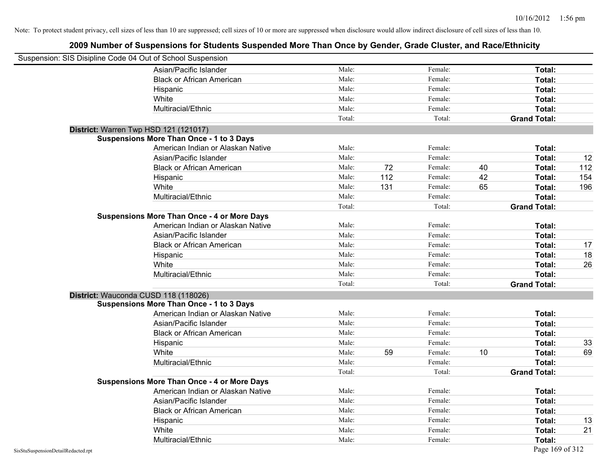| Suspension: SIS Disipline Code 04 Out of School Suspension |                                                    |        |     |         |    |                     |     |
|------------------------------------------------------------|----------------------------------------------------|--------|-----|---------|----|---------------------|-----|
|                                                            | Asian/Pacific Islander                             | Male:  |     | Female: |    | Total:              |     |
|                                                            | <b>Black or African American</b>                   | Male:  |     | Female: |    | Total:              |     |
|                                                            | Hispanic                                           | Male:  |     | Female: |    | Total:              |     |
|                                                            | White                                              | Male:  |     | Female: |    | Total:              |     |
|                                                            | Multiracial/Ethnic                                 | Male:  |     | Female: |    | Total:              |     |
|                                                            |                                                    | Total: |     | Total:  |    | <b>Grand Total:</b> |     |
| District: Warren Twp HSD 121 (121017)                      |                                                    |        |     |         |    |                     |     |
|                                                            | <b>Suspensions More Than Once - 1 to 3 Days</b>    |        |     |         |    |                     |     |
|                                                            | American Indian or Alaskan Native                  | Male:  |     | Female: |    | Total:              |     |
|                                                            | Asian/Pacific Islander                             | Male:  |     | Female: |    | Total:              | 12  |
|                                                            | <b>Black or African American</b>                   | Male:  | 72  | Female: | 40 | Total:              | 112 |
|                                                            | Hispanic                                           | Male:  | 112 | Female: | 42 | Total:              | 154 |
|                                                            | White                                              | Male:  | 131 | Female: | 65 | Total:              | 196 |
|                                                            | Multiracial/Ethnic                                 | Male:  |     | Female: |    | Total:              |     |
|                                                            |                                                    | Total: |     | Total:  |    | <b>Grand Total:</b> |     |
|                                                            | <b>Suspensions More Than Once - 4 or More Days</b> |        |     |         |    |                     |     |
|                                                            | American Indian or Alaskan Native                  | Male:  |     | Female: |    | Total:              |     |
|                                                            | Asian/Pacific Islander                             | Male:  |     | Female: |    | Total:              |     |
|                                                            | <b>Black or African American</b>                   | Male:  |     | Female: |    | Total:              | 17  |
|                                                            | Hispanic                                           | Male:  |     | Female: |    | Total:              | 18  |
|                                                            | White                                              | Male:  |     | Female: |    | Total:              | 26  |
|                                                            | Multiracial/Ethnic                                 | Male:  |     | Female: |    | Total:              |     |
|                                                            |                                                    | Total: |     | Total:  |    | <b>Grand Total:</b> |     |
| District: Wauconda CUSD 118 (118026)                       |                                                    |        |     |         |    |                     |     |
|                                                            | <b>Suspensions More Than Once - 1 to 3 Days</b>    |        |     |         |    |                     |     |
|                                                            | American Indian or Alaskan Native                  | Male:  |     | Female: |    | Total:              |     |
|                                                            | Asian/Pacific Islander                             | Male:  |     | Female: |    | Total:              |     |
|                                                            | <b>Black or African American</b>                   | Male:  |     | Female: |    | Total:              |     |
|                                                            | Hispanic                                           | Male:  |     | Female: |    | Total:              | 33  |
|                                                            | White                                              | Male:  | 59  | Female: | 10 | Total:              | 69  |
|                                                            | Multiracial/Ethnic                                 | Male:  |     | Female: |    | Total:              |     |
|                                                            |                                                    | Total: |     | Total:  |    | <b>Grand Total:</b> |     |
|                                                            | <b>Suspensions More Than Once - 4 or More Days</b> |        |     |         |    |                     |     |
|                                                            | American Indian or Alaskan Native                  | Male:  |     | Female: |    | Total:              |     |
|                                                            | Asian/Pacific Islander                             | Male:  |     | Female: |    | Total:              |     |
|                                                            | <b>Black or African American</b>                   | Male:  |     | Female: |    | Total:              |     |
|                                                            | Hispanic                                           | Male:  |     | Female: |    | Total:              | 13  |
|                                                            | White                                              | Male:  |     | Female: |    | Total:              | 21  |
|                                                            | Multiracial/Ethnic                                 | Male:  |     | Female: |    | Total:              |     |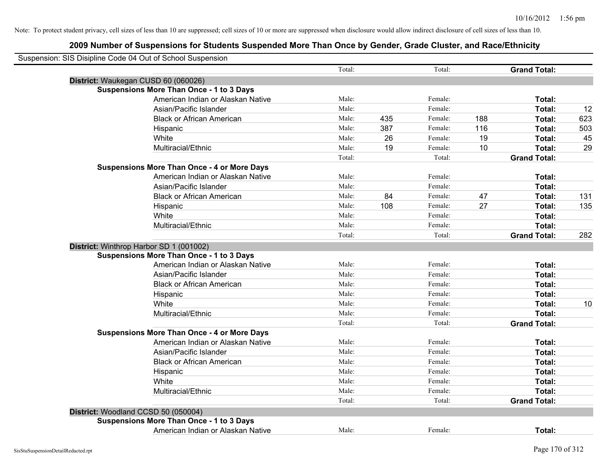| Suspension: SIS Disipline Code 04 Out of School Suspension |        |     |         |     |                     |     |
|------------------------------------------------------------|--------|-----|---------|-----|---------------------|-----|
|                                                            | Total: |     | Total:  |     | <b>Grand Total:</b> |     |
| District: Waukegan CUSD 60 (060026)                        |        |     |         |     |                     |     |
| <b>Suspensions More Than Once - 1 to 3 Days</b>            |        |     |         |     |                     |     |
| American Indian or Alaskan Native                          | Male:  |     | Female: |     | Total:              |     |
| Asian/Pacific Islander                                     | Male:  |     | Female: |     | Total:              | 12  |
| <b>Black or African American</b>                           | Male:  | 435 | Female: | 188 | Total:              | 623 |
| Hispanic                                                   | Male:  | 387 | Female: | 116 | Total:              | 503 |
| White                                                      | Male:  | 26  | Female: | 19  | Total:              | 45  |
| Multiracial/Ethnic                                         | Male:  | 19  | Female: | 10  | Total:              | 29  |
|                                                            | Total: |     | Total:  |     | <b>Grand Total:</b> |     |
| <b>Suspensions More Than Once - 4 or More Days</b>         |        |     |         |     |                     |     |
| American Indian or Alaskan Native                          | Male:  |     | Female: |     | Total:              |     |
| Asian/Pacific Islander                                     | Male:  |     | Female: |     | Total:              |     |
| <b>Black or African American</b>                           | Male:  | 84  | Female: | 47  | Total:              | 131 |
| Hispanic                                                   | Male:  | 108 | Female: | 27  | Total:              | 135 |
| White                                                      | Male:  |     | Female: |     | Total:              |     |
| Multiracial/Ethnic                                         | Male:  |     | Female: |     | Total:              |     |
|                                                            | Total: |     | Total:  |     | <b>Grand Total:</b> | 282 |
| District: Winthrop Harbor SD 1 (001002)                    |        |     |         |     |                     |     |
| <b>Suspensions More Than Once - 1 to 3 Days</b>            |        |     |         |     |                     |     |
| American Indian or Alaskan Native                          | Male:  |     | Female: |     | Total:              |     |
| Asian/Pacific Islander                                     | Male:  |     | Female: |     | Total:              |     |
| <b>Black or African American</b>                           | Male:  |     | Female: |     | Total:              |     |
| Hispanic                                                   | Male:  |     | Female: |     | Total:              |     |
| White                                                      | Male:  |     | Female: |     | Total:              | 10  |
| Multiracial/Ethnic                                         | Male:  |     | Female: |     | Total:              |     |
|                                                            | Total: |     | Total:  |     | <b>Grand Total:</b> |     |
| <b>Suspensions More Than Once - 4 or More Days</b>         |        |     |         |     |                     |     |
| American Indian or Alaskan Native                          | Male:  |     | Female: |     | Total:              |     |
| Asian/Pacific Islander                                     | Male:  |     | Female: |     | Total:              |     |
| <b>Black or African American</b>                           | Male:  |     | Female: |     | Total:              |     |
| Hispanic                                                   | Male:  |     | Female: |     | Total:              |     |
| White                                                      | Male:  |     | Female: |     | Total:              |     |
| Multiracial/Ethnic                                         | Male:  |     | Female: |     | Total:              |     |
|                                                            | Total: |     | Total:  |     | <b>Grand Total:</b> |     |
| District: Woodland CCSD 50 (050004)                        |        |     |         |     |                     |     |
| <b>Suspensions More Than Once - 1 to 3 Days</b>            |        |     |         |     |                     |     |
| American Indian or Alaskan Native                          | Male:  |     | Female: |     | Total:              |     |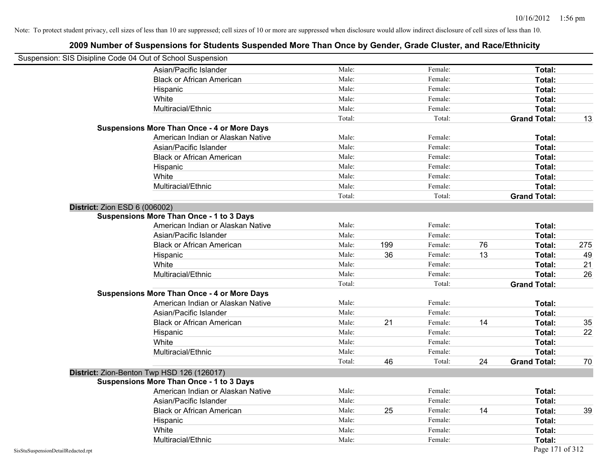| Suspension: SIS Disipline Code 04 Out of School Suspension |                                                    |        |     |         |    |                     |     |
|------------------------------------------------------------|----------------------------------------------------|--------|-----|---------|----|---------------------|-----|
|                                                            | Asian/Pacific Islander                             | Male:  |     | Female: |    | Total:              |     |
|                                                            | <b>Black or African American</b>                   | Male:  |     | Female: |    | Total:              |     |
|                                                            | Hispanic                                           | Male:  |     | Female: |    | Total:              |     |
|                                                            | White                                              | Male:  |     | Female: |    | Total:              |     |
|                                                            | Multiracial/Ethnic                                 | Male:  |     | Female: |    | Total:              |     |
|                                                            |                                                    | Total: |     | Total:  |    | <b>Grand Total:</b> | 13  |
|                                                            | <b>Suspensions More Than Once - 4 or More Days</b> |        |     |         |    |                     |     |
|                                                            | American Indian or Alaskan Native                  | Male:  |     | Female: |    | Total:              |     |
|                                                            | Asian/Pacific Islander                             | Male:  |     | Female: |    | Total:              |     |
|                                                            | <b>Black or African American</b>                   | Male:  |     | Female: |    | Total:              |     |
|                                                            | Hispanic                                           | Male:  |     | Female: |    | Total:              |     |
|                                                            | White                                              | Male:  |     | Female: |    | Total:              |     |
|                                                            | Multiracial/Ethnic                                 | Male:  |     | Female: |    | Total:              |     |
|                                                            |                                                    | Total: |     | Total:  |    | <b>Grand Total:</b> |     |
| <b>District: Zion ESD 6 (006002)</b>                       |                                                    |        |     |         |    |                     |     |
|                                                            | <b>Suspensions More Than Once - 1 to 3 Days</b>    |        |     |         |    |                     |     |
|                                                            | American Indian or Alaskan Native                  | Male:  |     | Female: |    | Total:              |     |
|                                                            | Asian/Pacific Islander                             | Male:  |     | Female: |    | Total:              |     |
|                                                            | <b>Black or African American</b>                   | Male:  | 199 | Female: | 76 | Total:              | 275 |
|                                                            | Hispanic                                           | Male:  | 36  | Female: | 13 | Total:              | 49  |
|                                                            | White                                              | Male:  |     | Female: |    | Total:              | 21  |
|                                                            | Multiracial/Ethnic                                 | Male:  |     | Female: |    | Total:              | 26  |
|                                                            |                                                    | Total: |     | Total:  |    | <b>Grand Total:</b> |     |
|                                                            | <b>Suspensions More Than Once - 4 or More Days</b> |        |     |         |    |                     |     |
|                                                            | American Indian or Alaskan Native                  | Male:  |     | Female: |    | Total:              |     |
|                                                            | Asian/Pacific Islander                             | Male:  |     | Female: |    | Total:              |     |
|                                                            | <b>Black or African American</b>                   | Male:  | 21  | Female: | 14 | Total:              | 35  |
|                                                            | Hispanic                                           | Male:  |     | Female: |    | Total:              | 22  |
|                                                            | White                                              | Male:  |     | Female: |    | Total:              |     |
|                                                            | Multiracial/Ethnic                                 | Male:  |     | Female: |    | Total:              |     |
|                                                            |                                                    | Total: | 46  | Total:  | 24 | <b>Grand Total:</b> | 70  |
|                                                            | District: Zion-Benton Twp HSD 126 (126017)         |        |     |         |    |                     |     |
|                                                            | <b>Suspensions More Than Once - 1 to 3 Days</b>    |        |     |         |    |                     |     |
|                                                            | American Indian or Alaskan Native                  | Male:  |     | Female: |    | Total:              |     |
|                                                            | Asian/Pacific Islander                             | Male:  |     | Female: |    | Total:              |     |
|                                                            | <b>Black or African American</b>                   | Male:  | 25  | Female: | 14 | Total:              | 39  |
|                                                            | Hispanic                                           | Male:  |     | Female: |    | Total:              |     |
|                                                            | White                                              | Male:  |     | Female: |    | Total:              |     |
|                                                            | Multiracial/Ethnic                                 | Male:  |     | Female: |    | Total:              |     |
| SisStuSuspensionDetailRedacted.rpt                         |                                                    |        |     |         |    | Page 171 of 312     |     |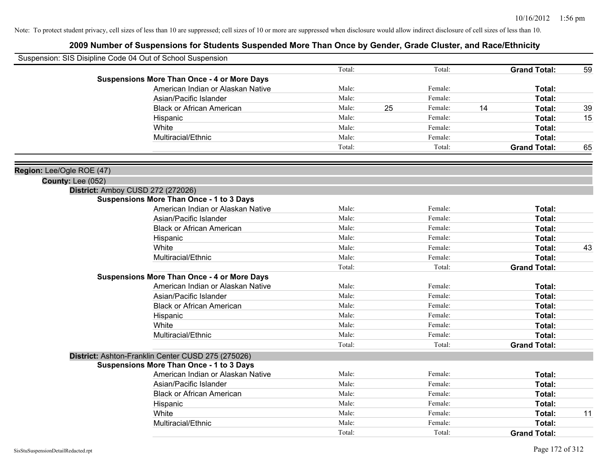|                           | Suspension: SIS Disipline Code 04 Out of School Suspension |        |    |         |    |                     |    |
|---------------------------|------------------------------------------------------------|--------|----|---------|----|---------------------|----|
|                           |                                                            | Total: |    | Total:  |    | <b>Grand Total:</b> | 59 |
|                           | <b>Suspensions More Than Once - 4 or More Days</b>         |        |    |         |    |                     |    |
|                           | American Indian or Alaskan Native                          | Male:  |    | Female: |    | Total:              |    |
|                           | Asian/Pacific Islander                                     | Male:  |    | Female: |    | Total:              |    |
|                           | <b>Black or African American</b>                           | Male:  | 25 | Female: | 14 | Total:              | 39 |
|                           | Hispanic                                                   | Male:  |    | Female: |    | Total:              | 15 |
|                           | White                                                      | Male:  |    | Female: |    | <b>Total:</b>       |    |
|                           | Multiracial/Ethnic                                         | Male:  |    | Female: |    | Total:              |    |
|                           |                                                            | Total: |    | Total:  |    | <b>Grand Total:</b> | 65 |
| Region: Lee/Ogle ROE (47) |                                                            |        |    |         |    |                     |    |
| <b>County: Lee (052)</b>  |                                                            |        |    |         |    |                     |    |
|                           | District: Amboy CUSD 272 (272026)                          |        |    |         |    |                     |    |
|                           | <b>Suspensions More Than Once - 1 to 3 Days</b>            |        |    |         |    |                     |    |
|                           | American Indian or Alaskan Native                          | Male:  |    | Female: |    | Total:              |    |
|                           | Asian/Pacific Islander                                     | Male:  |    | Female: |    | Total:              |    |
|                           | <b>Black or African American</b>                           | Male:  |    | Female: |    | <b>Total:</b>       |    |
|                           | Hispanic                                                   | Male:  |    | Female: |    | <b>Total:</b>       |    |
|                           | White                                                      | Male:  |    | Female: |    | Total:              | 43 |
|                           | Multiracial/Ethnic                                         | Male:  |    | Female: |    | <b>Total:</b>       |    |
|                           |                                                            | Total: |    | Total:  |    | <b>Grand Total:</b> |    |
|                           | <b>Suspensions More Than Once - 4 or More Days</b>         |        |    |         |    |                     |    |
|                           | American Indian or Alaskan Native                          | Male:  |    | Female: |    | Total:              |    |
|                           | Asian/Pacific Islander                                     | Male:  |    | Female: |    | Total:              |    |
|                           | <b>Black or African American</b>                           | Male:  |    | Female: |    | <b>Total:</b>       |    |
|                           | Hispanic                                                   | Male:  |    | Female: |    | Total:              |    |
|                           | White                                                      | Male:  |    | Female: |    | Total:              |    |
|                           | Multiracial/Ethnic                                         | Male:  |    | Female: |    | Total:              |    |
|                           |                                                            | Total: |    | Total:  |    | <b>Grand Total:</b> |    |
|                           | District: Ashton-Franklin Center CUSD 275 (275026)         |        |    |         |    |                     |    |
|                           | <b>Suspensions More Than Once - 1 to 3 Days</b>            |        |    |         |    |                     |    |
|                           | American Indian or Alaskan Native                          | Male:  |    | Female: |    | <b>Total:</b>       |    |
|                           | Asian/Pacific Islander                                     | Male:  |    | Female: |    | Total:              |    |
|                           | <b>Black or African American</b>                           | Male:  |    | Female: |    | <b>Total:</b>       |    |
|                           | Hispanic                                                   | Male:  |    | Female: |    | <b>Total:</b>       |    |
|                           | White                                                      | Male:  |    | Female: |    | <b>Total:</b>       | 11 |
|                           | Multiracial/Ethnic                                         | Male:  |    | Female: |    | Total:              |    |
|                           |                                                            | Total: |    | Total:  |    | <b>Grand Total:</b> |    |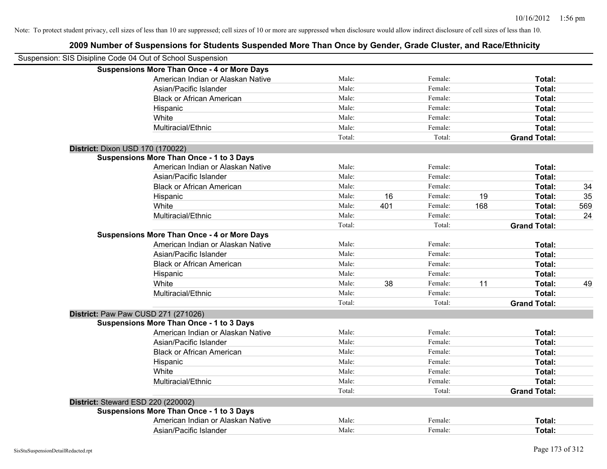# **2009 Number of Suspensions for Students Suspended More Than Once by Gender, Grade Cluster, and Race/Ethnicity** Suspension: SIS Disipline Code 04 Out of School Suspension **Suspensions More Than Once - 4 or More Days** American Indian or Alaskan Native **Male:** Male: Female: Female: **Total:** Total: Asian/Pacific Islander **Female:** Male: Female: **Female: Total: Total: Total: Female: Total: Female: Total: Female: Total: Female: Total: Female: Total: Female: Total: Female: Total: Fema** Black or African American Male: Female: **Total:** Hispanic **Total:** Male: Female: **Total:** Female: **Total:** Total: White **Total:** Male: Female: **Total:** Female: **Total:** Total:

| <b>Black or African American</b>                   | Male:  |     | remale: |     | Total:              |     |
|----------------------------------------------------|--------|-----|---------|-----|---------------------|-----|
| Hispanic                                           | Male:  |     | Female: |     | Total:              |     |
| White                                              | Male:  |     | Female: |     | Total:              |     |
| Multiracial/Ethnic                                 | Male:  |     | Female: |     | Total:              |     |
|                                                    | Total: |     | Total:  |     | <b>Grand Total:</b> |     |
| <b>District: Dixon USD 170 (170022)</b>            |        |     |         |     |                     |     |
| <b>Suspensions More Than Once - 1 to 3 Days</b>    |        |     |         |     |                     |     |
| American Indian or Alaskan Native                  | Male:  |     | Female: |     | Total:              |     |
| Asian/Pacific Islander                             | Male:  |     | Female: |     | Total:              |     |
| <b>Black or African American</b>                   | Male:  |     | Female: |     | Total:              | 34  |
| Hispanic                                           | Male:  | 16  | Female: | 19  | Total:              | 35  |
| White                                              | Male:  | 401 | Female: | 168 | Total:              | 569 |
| Multiracial/Ethnic                                 | Male:  |     | Female: |     | Total:              | 24  |
|                                                    | Total: |     | Total:  |     | <b>Grand Total:</b> |     |
| <b>Suspensions More Than Once - 4 or More Days</b> |        |     |         |     |                     |     |
| American Indian or Alaskan Native                  | Male:  |     | Female: |     | Total:              |     |
| Asian/Pacific Islander                             | Male:  |     | Female: |     | Total:              |     |
| <b>Black or African American</b>                   | Male:  |     | Female: |     | Total:              |     |
| Hispanic                                           | Male:  |     | Female: |     | Total:              |     |
| White                                              | Male:  | 38  | Female: | 11  | Total:              | 49  |
| Multiracial/Ethnic                                 | Male:  |     | Female: |     | Total:              |     |
|                                                    | Total: |     | Total:  |     | <b>Grand Total:</b> |     |
| District: Paw Paw CUSD 271 (271026)                |        |     |         |     |                     |     |
| <b>Suspensions More Than Once - 1 to 3 Days</b>    |        |     |         |     |                     |     |
| American Indian or Alaskan Native                  | Male:  |     | Female: |     | Total:              |     |
| Asian/Pacific Islander                             | Male:  |     | Female: |     | Total:              |     |
| <b>Black or African American</b>                   | Male:  |     | Female: |     | Total:              |     |
| Hispanic                                           | Male:  |     | Female: |     | Total:              |     |
| White                                              | Male:  |     | Female: |     | Total:              |     |
| Multiracial/Ethnic                                 | Male:  |     | Female: |     | Total:              |     |
|                                                    | Total: |     | Total:  |     | <b>Grand Total:</b> |     |
| District: Steward ESD 220 (220002)                 |        |     |         |     |                     |     |
| <b>Suspensions More Than Once - 1 to 3 Days</b>    |        |     |         |     |                     |     |
| American Indian or Alaskan Native                  | Male:  |     | Female: |     | Total:              |     |
| Asian/Pacific Islander                             | Male:  |     | Female: |     | Total:              |     |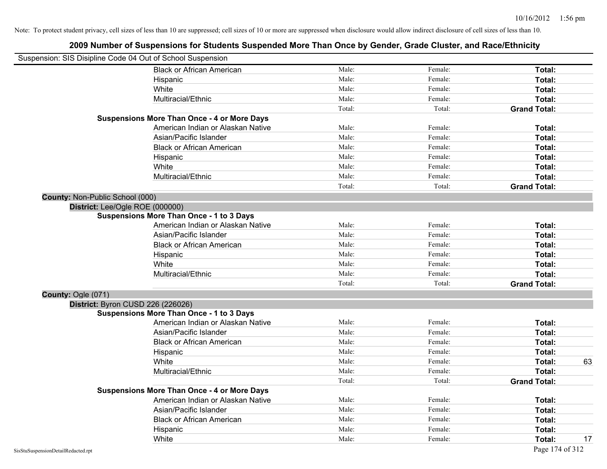|                                 | Suspension: SIS Disipline Code 04 Out of School Suspension |        |         |                     |    |
|---------------------------------|------------------------------------------------------------|--------|---------|---------------------|----|
|                                 | <b>Black or African American</b>                           | Male:  | Female: | Total:              |    |
|                                 | Hispanic                                                   | Male:  | Female: | Total:              |    |
|                                 | White                                                      | Male:  | Female: | Total:              |    |
|                                 | Multiracial/Ethnic                                         | Male:  | Female: | Total:              |    |
|                                 |                                                            | Total: | Total:  | <b>Grand Total:</b> |    |
|                                 | <b>Suspensions More Than Once - 4 or More Days</b>         |        |         |                     |    |
|                                 | American Indian or Alaskan Native                          | Male:  | Female: | Total:              |    |
|                                 | Asian/Pacific Islander                                     | Male:  | Female: | Total:              |    |
|                                 | <b>Black or African American</b>                           | Male:  | Female: | Total:              |    |
|                                 | Hispanic                                                   | Male:  | Female: | Total:              |    |
|                                 | White                                                      | Male:  | Female: | Total:              |    |
|                                 | Multiracial/Ethnic                                         | Male:  | Female: | Total:              |    |
|                                 |                                                            | Total: | Total:  | <b>Grand Total:</b> |    |
| County: Non-Public School (000) |                                                            |        |         |                     |    |
|                                 | District: Lee/Ogle ROE (000000)                            |        |         |                     |    |
|                                 | <b>Suspensions More Than Once - 1 to 3 Days</b>            |        |         |                     |    |
|                                 | American Indian or Alaskan Native                          | Male:  | Female: | Total:              |    |
|                                 | Asian/Pacific Islander                                     | Male:  | Female: | Total:              |    |
|                                 | <b>Black or African American</b>                           | Male:  | Female: | Total:              |    |
|                                 | Hispanic                                                   | Male:  | Female: | Total:              |    |
|                                 | White                                                      | Male:  | Female: | Total:              |    |
|                                 | Multiracial/Ethnic                                         | Male:  | Female: | Total:              |    |
|                                 |                                                            | Total: | Total:  | <b>Grand Total:</b> |    |
| County: Ogle (071)              |                                                            |        |         |                     |    |
|                                 | District: Byron CUSD 226 (226026)                          |        |         |                     |    |
|                                 | <b>Suspensions More Than Once - 1 to 3 Days</b>            |        |         |                     |    |
|                                 | American Indian or Alaskan Native                          | Male:  | Female: | Total:              |    |
|                                 | Asian/Pacific Islander                                     | Male:  | Female: | Total:              |    |
|                                 | <b>Black or African American</b>                           | Male:  | Female: | Total:              |    |
|                                 | Hispanic                                                   | Male:  | Female: | Total:              |    |
|                                 | White                                                      | Male:  | Female: | Total:              | 63 |
|                                 | Multiracial/Ethnic                                         | Male:  | Female: | Total:              |    |
|                                 |                                                            | Total: | Total:  | <b>Grand Total:</b> |    |
|                                 | <b>Suspensions More Than Once - 4 or More Days</b>         |        |         |                     |    |
|                                 | American Indian or Alaskan Native                          | Male:  | Female: | Total:              |    |
|                                 | Asian/Pacific Islander                                     | Male:  | Female: | Total:              |    |
|                                 | <b>Black or African American</b>                           | Male:  | Female: | Total:              |    |
|                                 | Hispanic                                                   | Male:  | Female: | Total:              |    |
|                                 | White                                                      | Male:  | Female: | Total:              | 17 |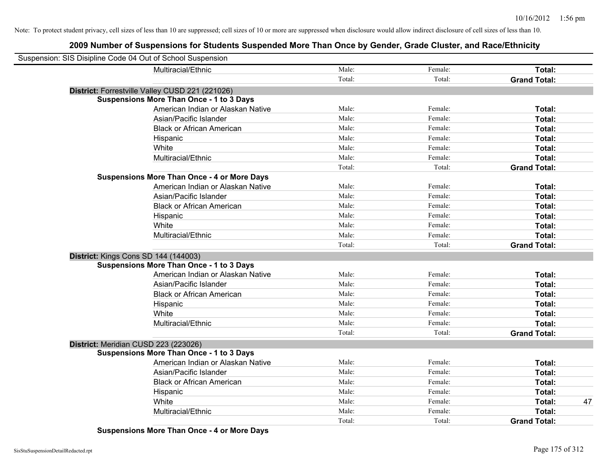### **2009 Number of Suspensions for Students Suspended More Than Once by Gender, Grade Cluster, and Race/Ethnicity**

| Suspension: SIS Disipline Code 04 Out of School Suspension |                                                    |        |         |                     |    |
|------------------------------------------------------------|----------------------------------------------------|--------|---------|---------------------|----|
|                                                            | Multiracial/Ethnic                                 | Male:  | Female: | Total:              |    |
|                                                            |                                                    | Total: | Total:  | <b>Grand Total:</b> |    |
|                                                            | District: Forrestville Valley CUSD 221 (221026)    |        |         |                     |    |
|                                                            | <b>Suspensions More Than Once - 1 to 3 Days</b>    |        |         |                     |    |
|                                                            | American Indian or Alaskan Native                  | Male:  | Female: | Total:              |    |
|                                                            | Asian/Pacific Islander                             | Male:  | Female: | Total:              |    |
|                                                            | <b>Black or African American</b>                   | Male:  | Female: | Total:              |    |
|                                                            | Hispanic                                           | Male:  | Female: | Total:              |    |
|                                                            | White                                              | Male:  | Female: | Total:              |    |
|                                                            | Multiracial/Ethnic                                 | Male:  | Female: | Total:              |    |
|                                                            |                                                    | Total: | Total:  | <b>Grand Total:</b> |    |
|                                                            | <b>Suspensions More Than Once - 4 or More Days</b> |        |         |                     |    |
|                                                            | American Indian or Alaskan Native                  | Male:  | Female: | Total:              |    |
|                                                            | Asian/Pacific Islander                             | Male:  | Female: | Total:              |    |
|                                                            | <b>Black or African American</b>                   | Male:  | Female: | Total:              |    |
|                                                            | Hispanic                                           | Male:  | Female: | Total:              |    |
|                                                            | White                                              | Male:  | Female: | Total:              |    |
|                                                            | Multiracial/Ethnic                                 | Male:  | Female: | Total:              |    |
|                                                            |                                                    | Total: | Total:  | <b>Grand Total:</b> |    |
| District: Kings Cons SD 144 (144003)                       |                                                    |        |         |                     |    |
|                                                            | <b>Suspensions More Than Once - 1 to 3 Days</b>    |        |         |                     |    |
|                                                            | American Indian or Alaskan Native                  | Male:  | Female: | Total:              |    |
|                                                            | Asian/Pacific Islander                             | Male:  | Female: | Total:              |    |
|                                                            | <b>Black or African American</b>                   | Male:  | Female: | Total:              |    |
|                                                            | Hispanic                                           | Male:  | Female: | Total:              |    |
|                                                            | White                                              | Male:  | Female: | Total:              |    |
|                                                            | Multiracial/Ethnic                                 | Male:  | Female: | Total:              |    |
|                                                            |                                                    | Total: | Total:  | <b>Grand Total:</b> |    |
| District: Meridian CUSD 223 (223026)                       |                                                    |        |         |                     |    |
|                                                            | <b>Suspensions More Than Once - 1 to 3 Days</b>    |        |         |                     |    |
|                                                            | American Indian or Alaskan Native                  | Male:  | Female: | Total:              |    |
|                                                            | Asian/Pacific Islander                             | Male:  | Female: | Total:              |    |
|                                                            | <b>Black or African American</b>                   | Male:  | Female: | Total:              |    |
|                                                            | Hispanic                                           | Male:  | Female: | Total:              |    |
|                                                            | White                                              | Male:  | Female: | Total:              | 47 |
|                                                            | Multiracial/Ethnic                                 | Male:  | Female: | Total:              |    |
|                                                            |                                                    | Total: | Total:  | <b>Grand Total:</b> |    |

**Suspensions More Than Once - 4 or More Days**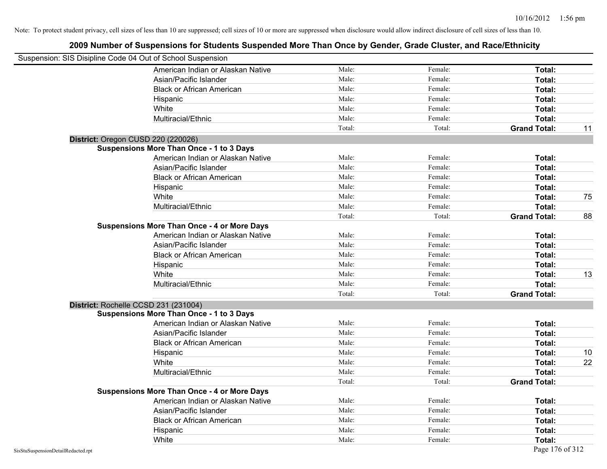| Suspension: SIS Disipline Code 04 Out of School Suspension |                                                    |        |         |                     |    |
|------------------------------------------------------------|----------------------------------------------------|--------|---------|---------------------|----|
|                                                            | American Indian or Alaskan Native                  | Male:  | Female: | Total:              |    |
|                                                            | Asian/Pacific Islander                             | Male:  | Female: | Total:              |    |
|                                                            | <b>Black or African American</b>                   | Male:  | Female: | Total:              |    |
|                                                            | Hispanic                                           | Male:  | Female: | Total:              |    |
|                                                            | White                                              | Male:  | Female: | Total:              |    |
|                                                            | Multiracial/Ethnic                                 | Male:  | Female: | Total:              |    |
|                                                            |                                                    | Total: | Total:  | <b>Grand Total:</b> | 11 |
|                                                            | District: Oregon CUSD 220 (220026)                 |        |         |                     |    |
|                                                            | <b>Suspensions More Than Once - 1 to 3 Days</b>    |        |         |                     |    |
|                                                            | American Indian or Alaskan Native                  | Male:  | Female: | Total:              |    |
|                                                            | Asian/Pacific Islander                             | Male:  | Female: | Total:              |    |
|                                                            | <b>Black or African American</b>                   | Male:  | Female: | Total:              |    |
|                                                            | Hispanic                                           | Male:  | Female: | Total:              |    |
|                                                            | White                                              | Male:  | Female: | Total:              | 75 |
|                                                            | Multiracial/Ethnic                                 | Male:  | Female: | Total:              |    |
|                                                            |                                                    | Total: | Total:  | <b>Grand Total:</b> | 88 |
|                                                            | <b>Suspensions More Than Once - 4 or More Days</b> |        |         |                     |    |
|                                                            | American Indian or Alaskan Native                  | Male:  | Female: | Total:              |    |
|                                                            | Asian/Pacific Islander                             | Male:  | Female: | Total:              |    |
|                                                            | <b>Black or African American</b>                   | Male:  | Female: | Total:              |    |
|                                                            | Hispanic                                           | Male:  | Female: | Total:              |    |
|                                                            | White                                              | Male:  | Female: | Total:              | 13 |
|                                                            | Multiracial/Ethnic                                 | Male:  | Female: | Total:              |    |
|                                                            |                                                    | Total: | Total:  | <b>Grand Total:</b> |    |
|                                                            | District: Rochelle CCSD 231 (231004)               |        |         |                     |    |
|                                                            | <b>Suspensions More Than Once - 1 to 3 Days</b>    |        |         |                     |    |
|                                                            | American Indian or Alaskan Native                  | Male:  | Female: | Total:              |    |
|                                                            | Asian/Pacific Islander                             | Male:  | Female: | Total:              |    |
|                                                            | <b>Black or African American</b>                   | Male:  | Female: | Total:              |    |
|                                                            | Hispanic                                           | Male:  | Female: | Total:              | 10 |
|                                                            | White                                              | Male:  | Female: | Total:              | 22 |
|                                                            | Multiracial/Ethnic                                 | Male:  | Female: | Total:              |    |
|                                                            |                                                    | Total: | Total:  | <b>Grand Total:</b> |    |
|                                                            | <b>Suspensions More Than Once - 4 or More Days</b> |        |         |                     |    |
|                                                            | American Indian or Alaskan Native                  | Male:  | Female: | Total:              |    |
|                                                            | Asian/Pacific Islander                             | Male:  | Female: | Total:              |    |
|                                                            | <b>Black or African American</b>                   | Male:  | Female: | Total:              |    |
|                                                            | Hispanic                                           | Male:  | Female: | Total:              |    |
|                                                            | White                                              | Male:  | Female: | Total:              |    |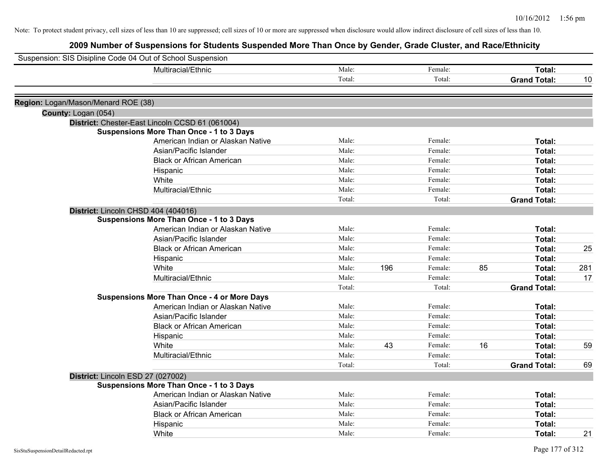|                                     | Suspension: SIS Disipline Code 04 Out of School Suspension |        |     |         |    |                     |     |
|-------------------------------------|------------------------------------------------------------|--------|-----|---------|----|---------------------|-----|
|                                     | Multiracial/Ethnic                                         | Male:  |     | Female: |    | Total:              |     |
|                                     |                                                            | Total: |     | Total:  |    | <b>Grand Total:</b> | 10  |
| Region: Logan/Mason/Menard ROE (38) |                                                            |        |     |         |    |                     |     |
| County: Logan (054)                 |                                                            |        |     |         |    |                     |     |
|                                     | District: Chester-East Lincoln CCSD 61 (061004)            |        |     |         |    |                     |     |
|                                     | <b>Suspensions More Than Once - 1 to 3 Days</b>            |        |     |         |    |                     |     |
|                                     | American Indian or Alaskan Native                          | Male:  |     | Female: |    | Total:              |     |
|                                     | Asian/Pacific Islander                                     | Male:  |     | Female: |    | Total:              |     |
|                                     | <b>Black or African American</b>                           | Male:  |     | Female: |    | Total:              |     |
|                                     | Hispanic                                                   | Male:  |     | Female: |    | Total:              |     |
|                                     | White                                                      | Male:  |     | Female: |    | Total:              |     |
|                                     | Multiracial/Ethnic                                         | Male:  |     | Female: |    | Total:              |     |
|                                     |                                                            | Total: |     | Total:  |    | <b>Grand Total:</b> |     |
|                                     | District: Lincoln CHSD 404 (404016)                        |        |     |         |    |                     |     |
|                                     | <b>Suspensions More Than Once - 1 to 3 Days</b>            |        |     |         |    |                     |     |
|                                     | American Indian or Alaskan Native                          | Male:  |     | Female: |    | Total:              |     |
|                                     | Asian/Pacific Islander                                     | Male:  |     | Female: |    | Total:              |     |
|                                     | <b>Black or African American</b>                           | Male:  |     | Female: |    | Total:              | 25  |
|                                     | Hispanic                                                   | Male:  |     | Female: |    | Total:              |     |
|                                     | White                                                      | Male:  | 196 | Female: | 85 | Total:              | 281 |
|                                     | Multiracial/Ethnic                                         | Male:  |     | Female: |    | Total:              | 17  |
|                                     |                                                            | Total: |     | Total:  |    | <b>Grand Total:</b> |     |
|                                     | <b>Suspensions More Than Once - 4 or More Days</b>         |        |     |         |    |                     |     |
|                                     | American Indian or Alaskan Native                          | Male:  |     | Female: |    | Total:              |     |
|                                     | Asian/Pacific Islander                                     | Male:  |     | Female: |    | Total:              |     |
|                                     | <b>Black or African American</b>                           | Male:  |     | Female: |    | Total:              |     |
|                                     | Hispanic                                                   | Male:  |     | Female: |    | Total:              |     |
|                                     | White                                                      | Male:  | 43  | Female: | 16 | Total:              | 59  |
|                                     | Multiracial/Ethnic                                         | Male:  |     | Female: |    | Total:              |     |
|                                     |                                                            | Total: |     | Total:  |    | <b>Grand Total:</b> | 69  |
|                                     | District: Lincoln ESD 27 (027002)                          |        |     |         |    |                     |     |
|                                     | Suspensions More Than Once - 1 to 3 Days                   |        |     |         |    |                     |     |
|                                     | American Indian or Alaskan Native                          | Male:  |     | Female: |    | Total:              |     |
|                                     | Asian/Pacific Islander                                     | Male:  |     | Female: |    | Total:              |     |
|                                     | <b>Black or African American</b>                           | Male:  |     | Female: |    | Total:              |     |
|                                     | Hispanic                                                   | Male:  |     | Female: |    | Total:              |     |
|                                     | White                                                      | Male:  |     | Female: |    | Total:              | 21  |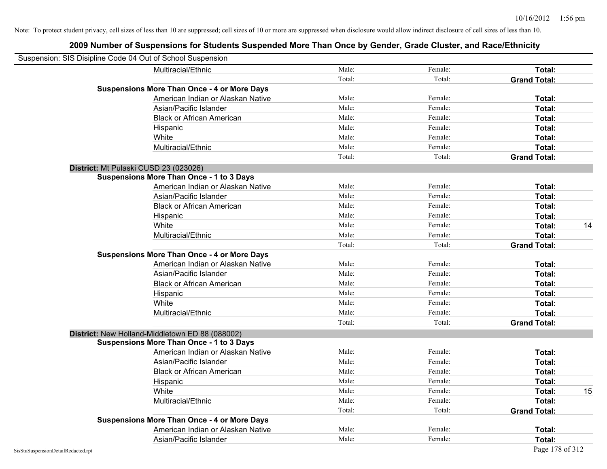| Suspension: SIS Disipline Code 04 Out of School Suspension |                                                    |        |         |                     |    |
|------------------------------------------------------------|----------------------------------------------------|--------|---------|---------------------|----|
|                                                            | Multiracial/Ethnic                                 | Male:  | Female: | Total:              |    |
|                                                            |                                                    | Total: | Total:  | <b>Grand Total:</b> |    |
|                                                            | <b>Suspensions More Than Once - 4 or More Days</b> |        |         |                     |    |
|                                                            | American Indian or Alaskan Native                  | Male:  | Female: | Total:              |    |
|                                                            | Asian/Pacific Islander                             | Male:  | Female: | Total:              |    |
|                                                            | <b>Black or African American</b>                   | Male:  | Female: | Total:              |    |
|                                                            | Hispanic                                           | Male:  | Female: | Total:              |    |
|                                                            | White                                              | Male:  | Female: | Total:              |    |
|                                                            | Multiracial/Ethnic                                 | Male:  | Female: | Total:              |    |
|                                                            |                                                    | Total: | Total:  | <b>Grand Total:</b> |    |
| District: Mt Pulaski CUSD 23 (023026)                      |                                                    |        |         |                     |    |
|                                                            | <b>Suspensions More Than Once - 1 to 3 Days</b>    |        |         |                     |    |
|                                                            | American Indian or Alaskan Native                  | Male:  | Female: | Total:              |    |
|                                                            | Asian/Pacific Islander                             | Male:  | Female: | Total:              |    |
|                                                            | <b>Black or African American</b>                   | Male:  | Female: | Total:              |    |
|                                                            | Hispanic                                           | Male:  | Female: | Total:              |    |
|                                                            | White                                              | Male:  | Female: | Total:              | 14 |
|                                                            | Multiracial/Ethnic                                 | Male:  | Female: | Total:              |    |
|                                                            |                                                    | Total: | Total:  | <b>Grand Total:</b> |    |
|                                                            | <b>Suspensions More Than Once - 4 or More Days</b> |        |         |                     |    |
|                                                            | American Indian or Alaskan Native                  | Male:  | Female: | Total:              |    |
|                                                            | Asian/Pacific Islander                             | Male:  | Female: | Total:              |    |
|                                                            | <b>Black or African American</b>                   | Male:  | Female: | Total:              |    |
|                                                            | Hispanic                                           | Male:  | Female: | Total:              |    |
|                                                            | White                                              | Male:  | Female: | Total:              |    |
|                                                            | Multiracial/Ethnic                                 | Male:  | Female: | Total:              |    |
|                                                            |                                                    | Total: | Total:  | <b>Grand Total:</b> |    |
|                                                            | District: New Holland-Middletown ED 88 (088002)    |        |         |                     |    |
|                                                            | <b>Suspensions More Than Once - 1 to 3 Days</b>    |        |         |                     |    |
|                                                            | American Indian or Alaskan Native                  | Male:  | Female: | Total:              |    |
|                                                            | Asian/Pacific Islander                             | Male:  | Female: | Total:              |    |
|                                                            | <b>Black or African American</b>                   | Male:  | Female: | Total:              |    |
|                                                            | Hispanic                                           | Male:  | Female: | Total:              |    |
|                                                            | White                                              | Male:  | Female: | Total:              | 15 |
|                                                            | Multiracial/Ethnic                                 | Male:  | Female: | Total:              |    |
|                                                            |                                                    | Total: | Total:  | <b>Grand Total:</b> |    |
|                                                            | <b>Suspensions More Than Once - 4 or More Days</b> |        |         |                     |    |
|                                                            | American Indian or Alaskan Native                  | Male:  | Female: | Total:              |    |
|                                                            | Asian/Pacific Islander                             | Male:  | Female: | Total:              |    |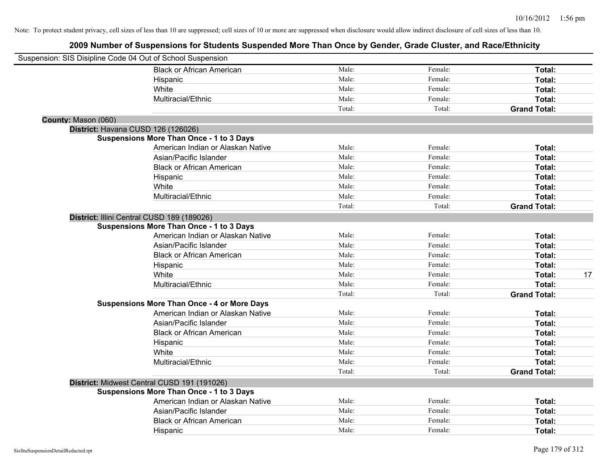| Suspension: SIS Disipline Code 04 Out of School Suspension |                                                    |        |         |                     |
|------------------------------------------------------------|----------------------------------------------------|--------|---------|---------------------|
|                                                            | <b>Black or African American</b>                   | Male:  | Female: | Total:              |
|                                                            | Hispanic                                           | Male:  | Female: | Total:              |
|                                                            | White                                              | Male:  | Female: | Total:              |
|                                                            | Multiracial/Ethnic                                 | Male:  | Female: | Total:              |
|                                                            |                                                    | Total: | Total:  | <b>Grand Total:</b> |
| County: Mason (060)                                        |                                                    |        |         |                     |
| District: Havana CUSD 126 (126026)                         |                                                    |        |         |                     |
|                                                            | <b>Suspensions More Than Once - 1 to 3 Days</b>    |        |         |                     |
|                                                            | American Indian or Alaskan Native                  | Male:  | Female: | Total:              |
|                                                            | Asian/Pacific Islander                             | Male:  | Female: | Total:              |
|                                                            | <b>Black or African American</b>                   | Male:  | Female: | Total:              |
|                                                            | Hispanic                                           | Male:  | Female: | Total:              |
|                                                            | White                                              | Male:  | Female: | Total:              |
|                                                            | Multiracial/Ethnic                                 | Male:  | Female: | Total:              |
|                                                            |                                                    | Total: | Total:  | <b>Grand Total:</b> |
|                                                            | District: Illini Central CUSD 189 (189026)         |        |         |                     |
|                                                            | <b>Suspensions More Than Once - 1 to 3 Days</b>    |        |         |                     |
|                                                            | American Indian or Alaskan Native                  | Male:  | Female: | Total:              |
|                                                            | Asian/Pacific Islander                             | Male:  | Female: | Total:              |
|                                                            | <b>Black or African American</b>                   | Male:  | Female: | Total:              |
|                                                            | Hispanic                                           | Male:  | Female: | Total:              |
|                                                            | White                                              | Male:  | Female: | 17<br>Total:        |
|                                                            | Multiracial/Ethnic                                 | Male:  | Female: | Total:              |
|                                                            |                                                    | Total: | Total:  | <b>Grand Total:</b> |
|                                                            | <b>Suspensions More Than Once - 4 or More Days</b> |        |         |                     |
|                                                            | American Indian or Alaskan Native                  | Male:  | Female: | Total:              |
|                                                            | Asian/Pacific Islander                             | Male:  | Female: | Total:              |
|                                                            | <b>Black or African American</b>                   | Male:  | Female: | Total:              |
|                                                            | Hispanic                                           | Male:  | Female: | Total:              |
|                                                            | White                                              | Male:  | Female: | Total:              |
|                                                            | Multiracial/Ethnic                                 | Male:  | Female: | Total:              |
|                                                            |                                                    | Total: | Total:  | <b>Grand Total:</b> |
|                                                            | District: Midwest Central CUSD 191 (191026)        |        |         |                     |
|                                                            | <b>Suspensions More Than Once - 1 to 3 Days</b>    |        |         |                     |
|                                                            | American Indian or Alaskan Native                  | Male:  | Female: | Total:              |
|                                                            | Asian/Pacific Islander                             | Male:  | Female: | Total:              |
|                                                            | <b>Black or African American</b>                   | Male:  | Female: | Total:              |
|                                                            | Hispanic                                           | Male:  | Female: | Total:              |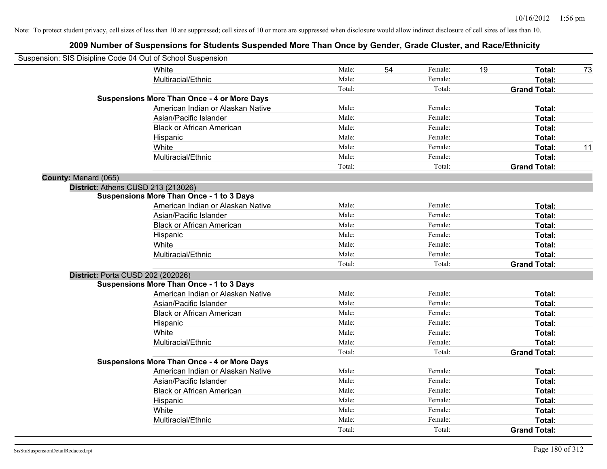| Suspension: SIS Disipline Code 04 Out of School Suspension |                                                    |        |    |         |    |                     |    |
|------------------------------------------------------------|----------------------------------------------------|--------|----|---------|----|---------------------|----|
|                                                            | White                                              | Male:  | 54 | Female: | 19 | Total:              | 73 |
|                                                            | Multiracial/Ethnic                                 | Male:  |    | Female: |    | Total:              |    |
|                                                            |                                                    | Total: |    | Total:  |    | <b>Grand Total:</b> |    |
|                                                            | <b>Suspensions More Than Once - 4 or More Days</b> |        |    |         |    |                     |    |
|                                                            | American Indian or Alaskan Native                  | Male:  |    | Female: |    | Total:              |    |
|                                                            | Asian/Pacific Islander                             | Male:  |    | Female: |    | Total:              |    |
|                                                            | <b>Black or African American</b>                   | Male:  |    | Female: |    | Total:              |    |
|                                                            | Hispanic                                           | Male:  |    | Female: |    | Total:              |    |
|                                                            | White                                              | Male:  |    | Female: |    | Total:              | 11 |
|                                                            | Multiracial/Ethnic                                 | Male:  |    | Female: |    | Total:              |    |
|                                                            |                                                    | Total: |    | Total:  |    | <b>Grand Total:</b> |    |
| County: Menard (065)                                       |                                                    |        |    |         |    |                     |    |
| District: Athens CUSD 213 (213026)                         |                                                    |        |    |         |    |                     |    |
|                                                            | <b>Suspensions More Than Once - 1 to 3 Days</b>    |        |    |         |    |                     |    |
|                                                            | American Indian or Alaskan Native                  | Male:  |    | Female: |    | Total:              |    |
|                                                            | Asian/Pacific Islander                             | Male:  |    | Female: |    | Total:              |    |
|                                                            | <b>Black or African American</b>                   | Male:  |    | Female: |    | Total:              |    |
|                                                            | Hispanic                                           | Male:  |    | Female: |    | Total:              |    |
|                                                            | White                                              | Male:  |    | Female: |    | Total:              |    |
|                                                            | Multiracial/Ethnic                                 | Male:  |    | Female: |    | Total:              |    |
|                                                            |                                                    | Total: |    | Total:  |    | <b>Grand Total:</b> |    |
| District: Porta CUSD 202 (202026)                          |                                                    |        |    |         |    |                     |    |
|                                                            | <b>Suspensions More Than Once - 1 to 3 Days</b>    |        |    |         |    |                     |    |
|                                                            | American Indian or Alaskan Native                  | Male:  |    | Female: |    | Total:              |    |
|                                                            | Asian/Pacific Islander                             | Male:  |    | Female: |    | Total:              |    |
|                                                            | <b>Black or African American</b>                   | Male:  |    | Female: |    | Total:              |    |
|                                                            | Hispanic                                           | Male:  |    | Female: |    | Total:              |    |
|                                                            | White                                              | Male:  |    | Female: |    | Total:              |    |
|                                                            | Multiracial/Ethnic                                 | Male:  |    | Female: |    | Total:              |    |
|                                                            |                                                    | Total: |    | Total:  |    | <b>Grand Total:</b> |    |
|                                                            | <b>Suspensions More Than Once - 4 or More Days</b> |        |    |         |    |                     |    |
|                                                            | American Indian or Alaskan Native                  | Male:  |    | Female: |    | Total:              |    |
|                                                            | Asian/Pacific Islander                             | Male:  |    | Female: |    | Total:              |    |
|                                                            | <b>Black or African American</b>                   | Male:  |    | Female: |    | Total:              |    |
|                                                            | Hispanic                                           | Male:  |    | Female: |    | Total:              |    |
|                                                            | White                                              | Male:  |    | Female: |    | Total:              |    |
|                                                            | Multiracial/Ethnic                                 | Male:  |    | Female: |    | Total:              |    |
|                                                            |                                                    | Total: |    | Total:  |    | <b>Grand Total:</b> |    |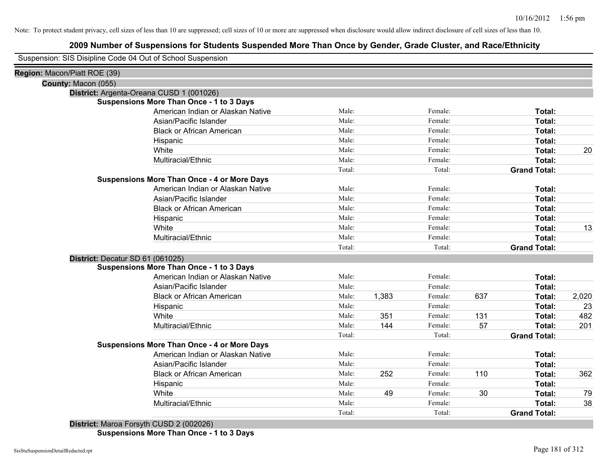## **2009 Number of Suspensions for Students Suspended More Than Once by Gender, Grade Cluster, and Race/Ethnicity**

| Suspension: SIS Disipline Code 04 Out of School Suspension |                                                    |        |       |         |     |                     |       |
|------------------------------------------------------------|----------------------------------------------------|--------|-------|---------|-----|---------------------|-------|
| Region: Macon/Piatt ROE (39)                               |                                                    |        |       |         |     |                     |       |
| County: Macon (055)                                        |                                                    |        |       |         |     |                     |       |
|                                                            | District: Argenta-Oreana CUSD 1 (001026)           |        |       |         |     |                     |       |
|                                                            | <b>Suspensions More Than Once - 1 to 3 Days</b>    |        |       |         |     |                     |       |
|                                                            | American Indian or Alaskan Native                  | Male:  |       | Female: |     | Total:              |       |
|                                                            | Asian/Pacific Islander                             | Male:  |       | Female: |     | Total:              |       |
|                                                            | <b>Black or African American</b>                   | Male:  |       | Female: |     | Total:              |       |
|                                                            | Hispanic                                           | Male:  |       | Female: |     | Total:              |       |
|                                                            | White                                              | Male:  |       | Female: |     | Total:              | 20    |
|                                                            | Multiracial/Ethnic                                 | Male:  |       | Female: |     | Total:              |       |
|                                                            |                                                    | Total: |       | Total:  |     | <b>Grand Total:</b> |       |
|                                                            | <b>Suspensions More Than Once - 4 or More Days</b> |        |       |         |     |                     |       |
|                                                            | American Indian or Alaskan Native                  | Male:  |       | Female: |     | Total:              |       |
|                                                            | Asian/Pacific Islander                             | Male:  |       | Female: |     | Total:              |       |
|                                                            | <b>Black or African American</b>                   | Male:  |       | Female: |     | Total:              |       |
|                                                            | Hispanic                                           | Male:  |       | Female: |     | Total:              |       |
|                                                            | White                                              | Male:  |       | Female: |     | Total:              | 13    |
|                                                            | Multiracial/Ethnic                                 | Male:  |       | Female: |     | Total:              |       |
|                                                            |                                                    | Total: |       | Total:  |     | <b>Grand Total:</b> |       |
| District: Decatur SD 61 (061025)                           |                                                    |        |       |         |     |                     |       |
|                                                            | Suspensions More Than Once - 1 to 3 Days           |        |       |         |     |                     |       |
|                                                            | American Indian or Alaskan Native                  | Male:  |       | Female: |     | Total:              |       |
|                                                            | Asian/Pacific Islander                             | Male:  |       | Female: |     | Total:              |       |
|                                                            | <b>Black or African American</b>                   | Male:  | 1,383 | Female: | 637 | Total:              | 2,020 |
|                                                            | Hispanic                                           | Male:  |       | Female: |     | Total:              | 23    |
|                                                            | White                                              | Male:  | 351   | Female: | 131 | Total:              | 482   |
|                                                            | Multiracial/Ethnic                                 | Male:  | 144   | Female: | 57  | Total:              | 201   |
|                                                            |                                                    | Total: |       | Total:  |     | <b>Grand Total:</b> |       |
|                                                            | <b>Suspensions More Than Once - 4 or More Days</b> |        |       |         |     |                     |       |
|                                                            | American Indian or Alaskan Native                  | Male:  |       | Female: |     | Total:              |       |
|                                                            | Asian/Pacific Islander                             | Male:  |       | Female: |     | Total:              |       |
|                                                            | <b>Black or African American</b>                   | Male:  | 252   | Female: | 110 | Total:              | 362   |
|                                                            | Hispanic                                           | Male:  |       | Female: |     | Total:              |       |
|                                                            | White                                              | Male:  | 49    | Female: | 30  | Total:              | 79    |
|                                                            | Multiracial/Ethnic                                 | Male:  |       | Female: |     | Total:              | 38    |
|                                                            |                                                    | Total: |       | Total:  |     | <b>Grand Total:</b> |       |
|                                                            | District: Maroa Forsyth CUSD 2 (002026)            |        |       |         |     |                     |       |

**Suspensions More Than Once - 1 to 3 Days**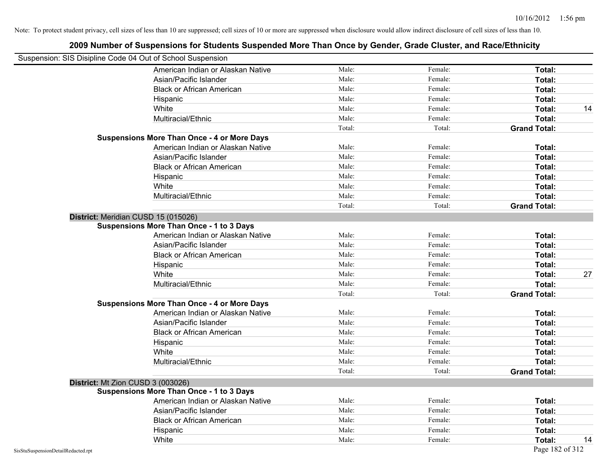|                                                            | 2009 Number of Suspensions for Students Suspended More Than Once by Gender, Grade Cluster, and Race/Ethnicity |        |         |                     |    |
|------------------------------------------------------------|---------------------------------------------------------------------------------------------------------------|--------|---------|---------------------|----|
| Suspension: SIS Disipline Code 04 Out of School Suspension |                                                                                                               |        |         |                     |    |
|                                                            | American Indian or Alaskan Native                                                                             | Male:  | Female: | Total:              |    |
|                                                            | Asian/Pacific Islander                                                                                        | Male:  | Female: | Total:              |    |
|                                                            | <b>Black or African American</b>                                                                              | Male:  | Female: | Total:              |    |
|                                                            | Hispanic                                                                                                      | Male:  | Female: | Total:              |    |
|                                                            | White                                                                                                         | Male:  | Female: | Total:              | 14 |
|                                                            | Multiracial/Ethnic                                                                                            | Male:  | Female: | Total:              |    |
|                                                            |                                                                                                               | Total: | Total:  | <b>Grand Total:</b> |    |
|                                                            | <b>Suspensions More Than Once - 4 or More Days</b>                                                            |        |         |                     |    |
|                                                            | American Indian or Alaskan Native                                                                             | Male:  | Female: | Total:              |    |
|                                                            | Asian/Pacific Islander                                                                                        | Male:  | Female: | Total:              |    |
|                                                            | <b>Black or African American</b>                                                                              | Male:  | Female: | Total:              |    |
|                                                            | Hispanic                                                                                                      | Male:  | Female: | Total:              |    |
|                                                            | White                                                                                                         | Male:  | Female: | Total:              |    |
|                                                            | Multiracial/Ethnic                                                                                            | Male:  | Female: | Total:              |    |
|                                                            |                                                                                                               | Total: | Total:  | <b>Grand Total:</b> |    |
|                                                            | District: Meridian CUSD 15 (015026)                                                                           |        |         |                     |    |
|                                                            | <b>Suspensions More Than Once - 1 to 3 Days</b>                                                               |        |         |                     |    |
|                                                            | American Indian or Alaskan Native                                                                             | Male:  | Female: | Total:              |    |
|                                                            | Asian/Pacific Islander                                                                                        | Male:  | Female: | Total:              |    |
|                                                            | <b>Black or African American</b>                                                                              | Male:  | Female: | Total:              |    |
|                                                            | Hispanic                                                                                                      | Male:  | Female: | Total:              |    |
|                                                            | White                                                                                                         | Male:  | Female: | Total:              | 27 |
|                                                            | Multiracial/Ethnic                                                                                            | Male:  | Female: | Total:              |    |
|                                                            |                                                                                                               | Total: | Total:  | <b>Grand Total:</b> |    |
|                                                            | <b>Suspensions More Than Once - 4 or More Days</b>                                                            |        |         |                     |    |
|                                                            | American Indian or Alaskan Native                                                                             | Male:  | Female: | Total:              |    |
|                                                            | Asian/Pacific Islander                                                                                        | Male:  | Female: | Total:              |    |
|                                                            | <b>Black or African American</b>                                                                              | Male:  | Female: | Total:              |    |
|                                                            | Hispanic                                                                                                      | Male:  | Female: | Total:              |    |
|                                                            | White                                                                                                         | Male:  | Female: | Total:              |    |
|                                                            | Multiracial/Ethnic                                                                                            | Male:  | Female: | Total:              |    |
|                                                            |                                                                                                               | Total: | Total:  | <b>Grand Total:</b> |    |
|                                                            | District: Mt Zion CUSD 3 (003026)                                                                             |        |         |                     |    |
|                                                            | <b>Suspensions More Than Once - 1 to 3 Days</b>                                                               |        |         |                     |    |
|                                                            | American Indian or Alaskan Native                                                                             | Male:  | Female: | Total:              |    |
|                                                            | Asian/Pacific Islander                                                                                        | Male:  | Female: | Total:              |    |
|                                                            | <b>Black or African American</b>                                                                              | Male:  | Female: | Total:              |    |
|                                                            | Hispanic                                                                                                      | Male:  | Female: | Total:              |    |
|                                                            | White                                                                                                         | Male:  | Female: | Total:              | 14 |

#### SisStuSuspensionDetailRedacted.rpt Page 182 of 312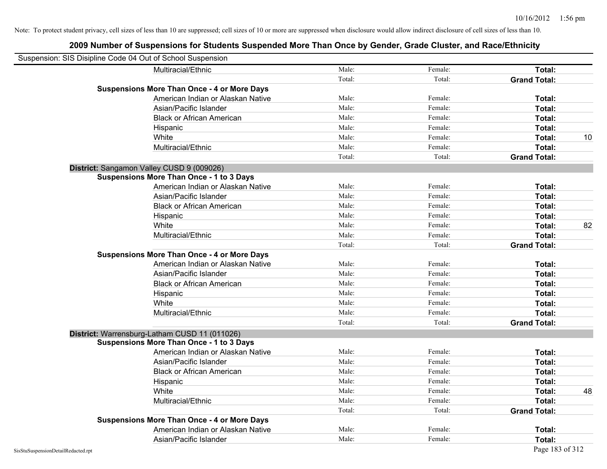| Suspension: SIS Disipline Code 04 Out of School Suspension |                                                    |        |         |                     |                 |
|------------------------------------------------------------|----------------------------------------------------|--------|---------|---------------------|-----------------|
|                                                            | Multiracial/Ethnic                                 | Male:  | Female: | Total:              |                 |
|                                                            |                                                    | Total: | Total:  | <b>Grand Total:</b> |                 |
|                                                            | <b>Suspensions More Than Once - 4 or More Days</b> |        |         |                     |                 |
|                                                            | American Indian or Alaskan Native                  | Male:  | Female: | Total:              |                 |
|                                                            | Asian/Pacific Islander                             | Male:  | Female: | Total:              |                 |
|                                                            | <b>Black or African American</b>                   | Male:  | Female: | Total:              |                 |
|                                                            | Hispanic                                           | Male:  | Female: | Total:              |                 |
|                                                            | White                                              | Male:  | Female: | Total:              | 10 <sup>°</sup> |
|                                                            | Multiracial/Ethnic                                 | Male:  | Female: | Total:              |                 |
|                                                            |                                                    | Total: | Total:  | <b>Grand Total:</b> |                 |
|                                                            | District: Sangamon Valley CUSD 9 (009026)          |        |         |                     |                 |
|                                                            | Suspensions More Than Once - 1 to 3 Days           |        |         |                     |                 |
|                                                            | American Indian or Alaskan Native                  | Male:  | Female: | Total:              |                 |
|                                                            | Asian/Pacific Islander                             | Male:  | Female: | Total:              |                 |
|                                                            | <b>Black or African American</b>                   | Male:  | Female: | Total:              |                 |
|                                                            | Hispanic                                           | Male:  | Female: | Total:              |                 |
|                                                            | White                                              | Male:  | Female: | Total:              | 82              |
|                                                            | Multiracial/Ethnic                                 | Male:  | Female: | Total:              |                 |
|                                                            |                                                    | Total: | Total:  | <b>Grand Total:</b> |                 |
|                                                            | <b>Suspensions More Than Once - 4 or More Days</b> |        |         |                     |                 |
|                                                            | American Indian or Alaskan Native                  | Male:  | Female: | Total:              |                 |
|                                                            | Asian/Pacific Islander                             | Male:  | Female: | Total:              |                 |
|                                                            | <b>Black or African American</b>                   | Male:  | Female: | Total:              |                 |
|                                                            | Hispanic                                           | Male:  | Female: | Total:              |                 |
|                                                            | White                                              | Male:  | Female: | Total:              |                 |
|                                                            | Multiracial/Ethnic                                 | Male:  | Female: | Total:              |                 |
|                                                            |                                                    | Total: | Total:  | <b>Grand Total:</b> |                 |
|                                                            | District: Warrensburg-Latham CUSD 11 (011026)      |        |         |                     |                 |
|                                                            | <b>Suspensions More Than Once - 1 to 3 Days</b>    |        |         |                     |                 |
|                                                            | American Indian or Alaskan Native                  | Male:  | Female: | Total:              |                 |
|                                                            | Asian/Pacific Islander                             | Male:  | Female: | Total:              |                 |
|                                                            | <b>Black or African American</b>                   | Male:  | Female: | Total:              |                 |
|                                                            | Hispanic                                           | Male:  | Female: | Total:              |                 |
|                                                            | White                                              | Male:  | Female: | Total:              | 48              |
|                                                            | Multiracial/Ethnic                                 | Male:  | Female: | Total:              |                 |
|                                                            |                                                    | Total: | Total:  | <b>Grand Total:</b> |                 |
|                                                            | <b>Suspensions More Than Once - 4 or More Days</b> |        |         |                     |                 |
|                                                            | American Indian or Alaskan Native                  | Male:  | Female: | Total:              |                 |
|                                                            | Asian/Pacific Islander                             | Male:  | Female: | Total:              |                 |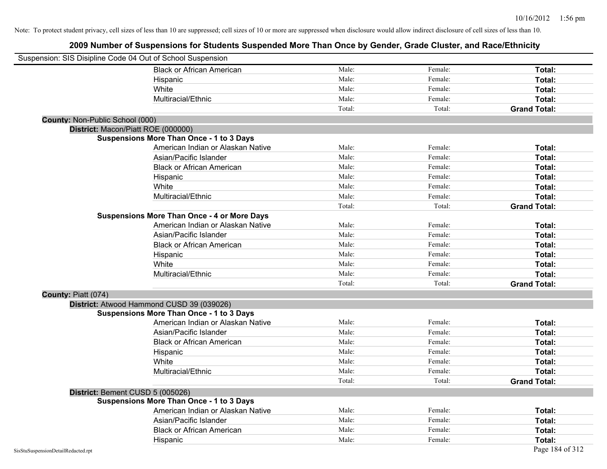| Suspension: SIS Disipline Code 04 Out of School Suspension |                                                    |        |         |                     |
|------------------------------------------------------------|----------------------------------------------------|--------|---------|---------------------|
|                                                            | <b>Black or African American</b>                   | Male:  | Female: | Total:              |
|                                                            | Hispanic                                           | Male:  | Female: | Total:              |
|                                                            | White                                              | Male:  | Female: | <b>Total:</b>       |
|                                                            | Multiracial/Ethnic                                 | Male:  | Female: | Total:              |
|                                                            |                                                    | Total: | Total:  | <b>Grand Total:</b> |
| County: Non-Public School (000)                            |                                                    |        |         |                     |
|                                                            | District: Macon/Piatt ROE (000000)                 |        |         |                     |
|                                                            | <b>Suspensions More Than Once - 1 to 3 Days</b>    |        |         |                     |
|                                                            | American Indian or Alaskan Native                  | Male:  | Female: | Total:              |
|                                                            | Asian/Pacific Islander                             | Male:  | Female: | Total:              |
|                                                            | <b>Black or African American</b>                   | Male:  | Female: | Total:              |
|                                                            | Hispanic                                           | Male:  | Female: | Total:              |
|                                                            | White                                              | Male:  | Female: | Total:              |
|                                                            | Multiracial/Ethnic                                 | Male:  | Female: | Total:              |
|                                                            |                                                    | Total: | Total:  | <b>Grand Total:</b> |
|                                                            | <b>Suspensions More Than Once - 4 or More Days</b> |        |         |                     |
|                                                            | American Indian or Alaskan Native                  | Male:  | Female: | Total:              |
|                                                            | Asian/Pacific Islander                             | Male:  | Female: | Total:              |
|                                                            | <b>Black or African American</b>                   | Male:  | Female: | Total:              |
|                                                            | Hispanic                                           | Male:  | Female: | Total:              |
|                                                            | White                                              | Male:  | Female: | Total:              |
|                                                            | Multiracial/Ethnic                                 | Male:  | Female: | Total:              |
|                                                            |                                                    | Total: | Total:  | <b>Grand Total:</b> |
| County: Piatt (074)                                        |                                                    |        |         |                     |
|                                                            | District: Atwood Hammond CUSD 39 (039026)          |        |         |                     |
|                                                            | <b>Suspensions More Than Once - 1 to 3 Days</b>    |        |         |                     |
|                                                            | American Indian or Alaskan Native                  | Male:  | Female: | Total:              |
|                                                            | Asian/Pacific Islander                             | Male:  | Female: | Total:              |
|                                                            | <b>Black or African American</b>                   | Male:  | Female: | Total:              |
|                                                            | Hispanic                                           | Male:  | Female: | Total:              |
|                                                            | White                                              | Male:  | Female: | Total:              |
|                                                            | Multiracial/Ethnic                                 | Male:  | Female: | Total:              |
|                                                            |                                                    | Total: | Total:  | <b>Grand Total:</b> |
|                                                            | District: Bement CUSD 5 (005026)                   |        |         |                     |
|                                                            | <b>Suspensions More Than Once - 1 to 3 Days</b>    |        |         |                     |
|                                                            | American Indian or Alaskan Native                  | Male:  | Female: | Total:              |
|                                                            | Asian/Pacific Islander                             | Male:  | Female: | Total:              |
|                                                            | <b>Black or African American</b>                   | Male:  | Female: | Total:              |
|                                                            | Hispanic                                           | Male:  | Female: | Total:              |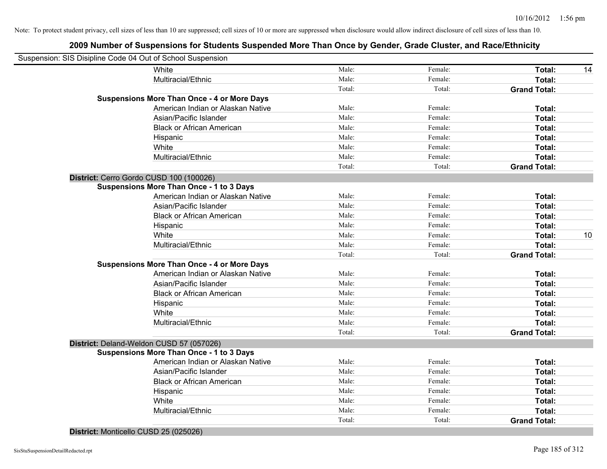| Suspension: SIS Disipline Code 04 Out of School Suspension |        |         |                     |    |
|------------------------------------------------------------|--------|---------|---------------------|----|
| White                                                      | Male:  | Female: | Total:              | 14 |
| Multiracial/Ethnic                                         | Male:  | Female: | Total:              |    |
|                                                            | Total: | Total:  | <b>Grand Total:</b> |    |
| <b>Suspensions More Than Once - 4 or More Days</b>         |        |         |                     |    |
| American Indian or Alaskan Native                          | Male:  | Female: | Total:              |    |
| Asian/Pacific Islander                                     | Male:  | Female: | Total:              |    |
| <b>Black or African American</b>                           | Male:  | Female: | Total:              |    |
| Hispanic                                                   | Male:  | Female: | Total:              |    |
| White                                                      | Male:  | Female: | Total:              |    |
| Multiracial/Ethnic                                         | Male:  | Female: | Total:              |    |
|                                                            | Total: | Total:  | <b>Grand Total:</b> |    |
| District: Cerro Gordo CUSD 100 (100026)                    |        |         |                     |    |
| <b>Suspensions More Than Once - 1 to 3 Days</b>            |        |         |                     |    |
| American Indian or Alaskan Native                          | Male:  | Female: | Total:              |    |
| Asian/Pacific Islander                                     | Male:  | Female: | Total:              |    |
| <b>Black or African American</b>                           | Male:  | Female: | Total:              |    |
| Hispanic                                                   | Male:  | Female: | Total:              |    |
| White                                                      | Male:  | Female: | Total:              | 10 |
| Multiracial/Ethnic                                         | Male:  | Female: | Total:              |    |
|                                                            | Total: | Total:  | <b>Grand Total:</b> |    |
| <b>Suspensions More Than Once - 4 or More Days</b>         |        |         |                     |    |
| American Indian or Alaskan Native                          | Male:  | Female: | Total:              |    |
| Asian/Pacific Islander                                     | Male:  | Female: | Total:              |    |
| <b>Black or African American</b>                           | Male:  | Female: | Total:              |    |
| Hispanic                                                   | Male:  | Female: | Total:              |    |
| White                                                      | Male:  | Female: | Total:              |    |
| Multiracial/Ethnic                                         | Male:  | Female: | Total:              |    |
|                                                            | Total: | Total:  | <b>Grand Total:</b> |    |
| District: Deland-Weldon CUSD 57 (057026)                   |        |         |                     |    |
| <b>Suspensions More Than Once - 1 to 3 Days</b>            |        |         |                     |    |
| American Indian or Alaskan Native                          | Male:  | Female: | Total:              |    |
| Asian/Pacific Islander                                     | Male:  | Female: | Total:              |    |
| <b>Black or African American</b>                           | Male:  | Female: | Total:              |    |
| Hispanic                                                   | Male:  | Female: | Total:              |    |
| White                                                      | Male:  | Female: | Total:              |    |
| Multiracial/Ethnic                                         | Male:  | Female: | Total:              |    |
|                                                            | Total: | Total:  | <b>Grand Total:</b> |    |
| District: Monticello CUSD 25 (025026)                      |        |         |                     |    |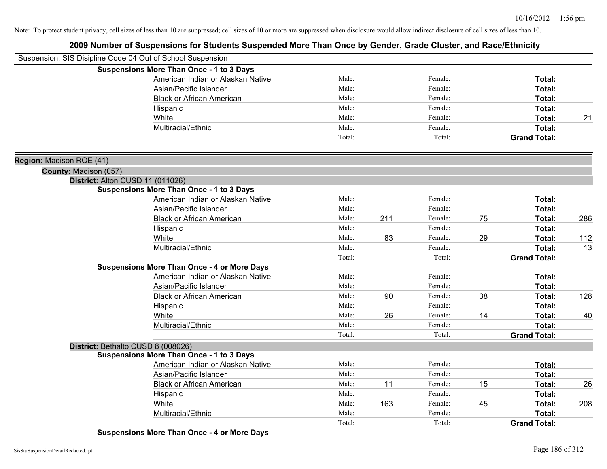## **2009 Number of Suspensions for Students Suspended More Than Once by Gender, Grade Cluster, and Race/Ethnicity**

| Suspension: SIS Disipline Code 04 Out of School Suspension |                                                    |        |     |         |    |                     |     |
|------------------------------------------------------------|----------------------------------------------------|--------|-----|---------|----|---------------------|-----|
|                                                            | <b>Suspensions More Than Once - 1 to 3 Days</b>    |        |     |         |    |                     |     |
|                                                            | American Indian or Alaskan Native                  | Male:  |     | Female: |    | Total:              |     |
|                                                            | Asian/Pacific Islander                             | Male:  |     | Female: |    | Total:              |     |
|                                                            | <b>Black or African American</b>                   | Male:  |     | Female: |    | Total:              |     |
|                                                            | Hispanic                                           | Male:  |     | Female: |    | Total:              |     |
|                                                            | White                                              | Male:  |     | Female: |    | Total:              | 21  |
|                                                            | Multiracial/Ethnic                                 | Male:  |     | Female: |    | Total:              |     |
|                                                            |                                                    | Total: |     | Total:  |    | <b>Grand Total:</b> |     |
| Region: Madison ROE (41)                                   |                                                    |        |     |         |    |                     |     |
| County: Madison (057)                                      |                                                    |        |     |         |    |                     |     |
| District: Alton CUSD 11 (011026)                           |                                                    |        |     |         |    |                     |     |
|                                                            | <b>Suspensions More Than Once - 1 to 3 Days</b>    |        |     |         |    |                     |     |
|                                                            | American Indian or Alaskan Native                  | Male:  |     | Female: |    | Total:              |     |
|                                                            | Asian/Pacific Islander                             | Male:  |     | Female: |    | Total:              |     |
|                                                            | <b>Black or African American</b>                   | Male:  | 211 | Female: | 75 | Total:              | 286 |
|                                                            | Hispanic                                           | Male:  |     | Female: |    | Total:              |     |
|                                                            | White                                              | Male:  | 83  | Female: | 29 | Total:              | 112 |
|                                                            | Multiracial/Ethnic                                 | Male:  |     | Female: |    | Total:              | 13  |
|                                                            |                                                    | Total: |     | Total:  |    | <b>Grand Total:</b> |     |
|                                                            | <b>Suspensions More Than Once - 4 or More Days</b> |        |     |         |    |                     |     |
|                                                            | American Indian or Alaskan Native                  | Male:  |     | Female: |    | Total:              |     |
|                                                            | Asian/Pacific Islander                             | Male:  |     | Female: |    | Total:              |     |
|                                                            | <b>Black or African American</b>                   | Male:  | 90  | Female: | 38 | Total:              | 128 |
|                                                            | Hispanic                                           | Male:  |     | Female: |    | Total:              |     |
|                                                            | White                                              | Male:  | 26  | Female: | 14 | Total:              | 40  |
|                                                            | Multiracial/Ethnic                                 | Male:  |     | Female: |    | Total:              |     |
|                                                            |                                                    | Total: |     | Total:  |    | <b>Grand Total:</b> |     |
|                                                            | District: Bethalto CUSD 8 (008026)                 |        |     |         |    |                     |     |
|                                                            | <b>Suspensions More Than Once - 1 to 3 Days</b>    |        |     |         |    |                     |     |
|                                                            | American Indian or Alaskan Native                  | Male:  |     | Female: |    | Total:              |     |
|                                                            | Asian/Pacific Islander                             | Male:  |     | Female: |    | Total:              |     |
|                                                            | <b>Black or African American</b>                   | Male:  | 11  | Female: | 15 | Total:              | 26  |
|                                                            | Hispanic                                           | Male:  |     | Female: |    | Total:              |     |
|                                                            | White                                              | Male:  | 163 | Female: | 45 | Total:              | 208 |
|                                                            | Multiracial/Ethnic                                 | Male:  |     | Female: |    | Total:              |     |
|                                                            |                                                    | Total: |     | Total:  |    | <b>Grand Total:</b> |     |
|                                                            |                                                    |        |     |         |    |                     |     |

**Suspensions More Than Once - 4 or More Days**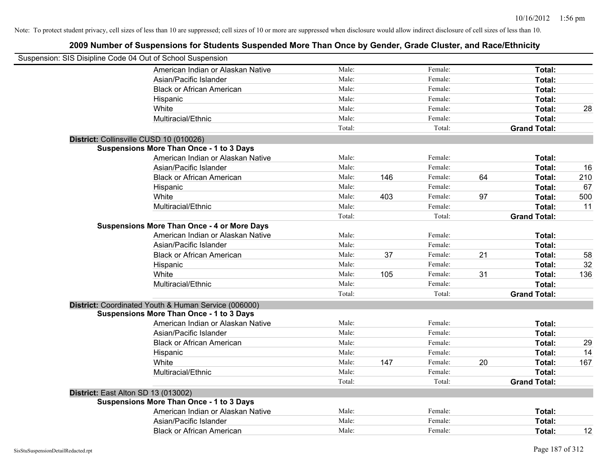| 2009 Number of Suspensions for Students Suspended More Than Once by Gender, Grade Cluster, and Race/Ethnicity |        |     |         |    |                     |     |
|---------------------------------------------------------------------------------------------------------------|--------|-----|---------|----|---------------------|-----|
| Suspension: SIS Disipline Code 04 Out of School Suspension                                                    |        |     |         |    |                     |     |
| American Indian or Alaskan Native                                                                             | Male:  |     | Female: |    | Total:              |     |
| Asian/Pacific Islander                                                                                        | Male:  |     | Female: |    | Total:              |     |
| <b>Black or African American</b>                                                                              | Male:  |     | Female: |    | Total:              |     |
| Hispanic                                                                                                      | Male:  |     | Female: |    | Total:              |     |
| White                                                                                                         | Male:  |     | Female: |    | Total:              | 28  |
| Multiracial/Ethnic                                                                                            | Male:  |     | Female: |    | Total:              |     |
|                                                                                                               | Total: |     | Total:  |    | <b>Grand Total:</b> |     |
| District: Collinsville CUSD 10 (010026)                                                                       |        |     |         |    |                     |     |
| <b>Suspensions More Than Once - 1 to 3 Days</b>                                                               |        |     |         |    |                     |     |
| American Indian or Alaskan Native                                                                             | Male:  |     | Female: |    | Total:              |     |
| Asian/Pacific Islander                                                                                        | Male:  |     | Female: |    | Total:              | 16  |
| <b>Black or African American</b>                                                                              | Male:  | 146 | Female: | 64 | Total:              | 210 |
| Hispanic                                                                                                      | Male:  |     | Female: |    | Total:              | 67  |
| White                                                                                                         | Male:  | 403 | Female: | 97 | Total:              | 500 |
| Multiracial/Ethnic                                                                                            | Male:  |     | Female: |    | Total:              | 11  |
|                                                                                                               | Total: |     | Total:  |    | <b>Grand Total:</b> |     |
| <b>Suspensions More Than Once - 4 or More Days</b>                                                            |        |     |         |    |                     |     |
| American Indian or Alaskan Native                                                                             | Male:  |     | Female: |    | Total:              |     |
| Asian/Pacific Islander                                                                                        | Male:  |     | Female: |    | Total:              |     |
| <b>Black or African American</b>                                                                              | Male:  | 37  | Female: | 21 | Total:              | 58  |
| Hispanic                                                                                                      | Male:  |     | Female: |    | Total:              | 32  |
| White                                                                                                         | Male:  | 105 | Female: | 31 | Total:              | 136 |
| Multiracial/Ethnic                                                                                            | Male:  |     | Female: |    | Total:              |     |
|                                                                                                               | Total: |     | Total:  |    | <b>Grand Total:</b> |     |
| District: Coordinated Youth & Human Service (006000)                                                          |        |     |         |    |                     |     |
| <b>Suspensions More Than Once - 1 to 3 Days</b>                                                               |        |     |         |    |                     |     |
| American Indian or Alaskan Native                                                                             | Male:  |     | Female: |    | Total:              |     |
| Asian/Pacific Islander                                                                                        | Male:  |     | Female: |    | Total:              |     |
| <b>Black or African American</b>                                                                              | Male:  |     | Female: |    | Total:              | 29  |
| Hispanic                                                                                                      | Male:  |     | Female: |    | Total:              | 14  |
| White                                                                                                         | Male:  | 147 | Female: | 20 | Total:              | 167 |
| Multiracial/Ethnic                                                                                            | Male:  |     | Female: |    | Total:              |     |
|                                                                                                               | Total: |     | Total:  |    | <b>Grand Total:</b> |     |
| District: East Alton SD 13 (013002)                                                                           |        |     |         |    |                     |     |
| <b>Suspensions More Than Once - 1 to 3 Days</b>                                                               |        |     |         |    |                     |     |
| American Indian or Alaskan Native                                                                             | Male:  |     | Female: |    | Total:              |     |
| Asian/Pacific Islander                                                                                        | Male:  |     | Female: |    | Total:              |     |
| <b>Black or African American</b>                                                                              | Male:  |     | Female: |    | Total:              | 12  |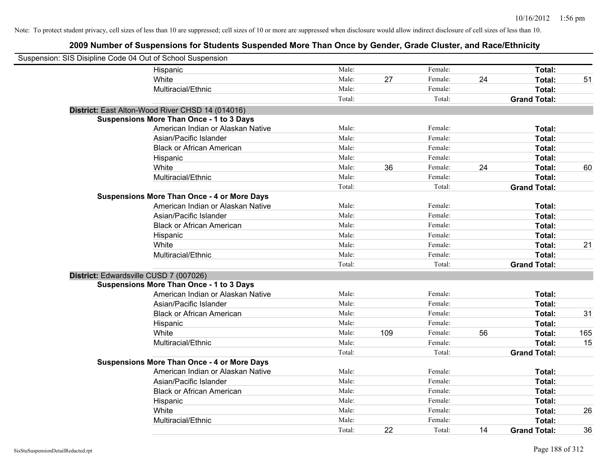| Suspension: SIS Disipline Code 04 Out of School Suspension |                                                    |        |     |         |    |                     |     |
|------------------------------------------------------------|----------------------------------------------------|--------|-----|---------|----|---------------------|-----|
|                                                            | Hispanic                                           | Male:  |     | Female: |    | Total:              |     |
|                                                            | White                                              | Male:  | 27  | Female: | 24 | Total:              | 51  |
|                                                            | Multiracial/Ethnic                                 | Male:  |     | Female: |    | Total:              |     |
|                                                            |                                                    | Total: |     | Total:  |    | <b>Grand Total:</b> |     |
|                                                            | District: East Alton-Wood River CHSD 14 (014016)   |        |     |         |    |                     |     |
|                                                            | <b>Suspensions More Than Once - 1 to 3 Days</b>    |        |     |         |    |                     |     |
|                                                            | American Indian or Alaskan Native                  | Male:  |     | Female: |    | Total:              |     |
|                                                            | Asian/Pacific Islander                             | Male:  |     | Female: |    | Total:              |     |
|                                                            | <b>Black or African American</b>                   | Male:  |     | Female: |    | Total:              |     |
|                                                            | Hispanic                                           | Male:  |     | Female: |    | Total:              |     |
|                                                            | White                                              | Male:  | 36  | Female: | 24 | Total:              | 60  |
|                                                            | Multiracial/Ethnic                                 | Male:  |     | Female: |    | Total:              |     |
|                                                            |                                                    | Total: |     | Total:  |    | <b>Grand Total:</b> |     |
|                                                            | <b>Suspensions More Than Once - 4 or More Days</b> |        |     |         |    |                     |     |
|                                                            | American Indian or Alaskan Native                  | Male:  |     | Female: |    | Total:              |     |
|                                                            | Asian/Pacific Islander                             | Male:  |     | Female: |    | Total:              |     |
|                                                            | <b>Black or African American</b>                   | Male:  |     | Female: |    | Total:              |     |
|                                                            | Hispanic                                           | Male:  |     | Female: |    | Total:              |     |
|                                                            | White                                              | Male:  |     | Female: |    | Total:              | 21  |
|                                                            | Multiracial/Ethnic                                 | Male:  |     | Female: |    | Total:              |     |
|                                                            |                                                    | Total: |     | Total:  |    | <b>Grand Total:</b> |     |
|                                                            | District: Edwardsville CUSD 7 (007026)             |        |     |         |    |                     |     |
|                                                            | <b>Suspensions More Than Once - 1 to 3 Days</b>    |        |     |         |    |                     |     |
|                                                            | American Indian or Alaskan Native                  | Male:  |     | Female: |    | Total:              |     |
|                                                            | Asian/Pacific Islander                             | Male:  |     | Female: |    | Total:              |     |
|                                                            | <b>Black or African American</b>                   | Male:  |     | Female: |    | Total:              | 31  |
|                                                            | Hispanic                                           | Male:  |     | Female: |    | Total:              |     |
|                                                            | White                                              | Male:  | 109 | Female: | 56 | Total:              | 165 |
|                                                            | Multiracial/Ethnic                                 | Male:  |     | Female: |    | Total:              | 15  |
|                                                            |                                                    | Total: |     | Total:  |    | <b>Grand Total:</b> |     |
|                                                            | <b>Suspensions More Than Once - 4 or More Days</b> |        |     |         |    |                     |     |
|                                                            | American Indian or Alaskan Native                  | Male:  |     | Female: |    | Total:              |     |
|                                                            | Asian/Pacific Islander                             | Male:  |     | Female: |    | Total:              |     |
|                                                            | <b>Black or African American</b>                   | Male:  |     | Female: |    | Total:              |     |
|                                                            | Hispanic                                           | Male:  |     | Female: |    | Total:              |     |
|                                                            | White                                              | Male:  |     | Female: |    | Total:              | 26  |
|                                                            | Multiracial/Ethnic                                 | Male:  |     | Female: |    | Total:              |     |
|                                                            |                                                    | Total: | 22  | Total:  | 14 | <b>Grand Total:</b> | 36  |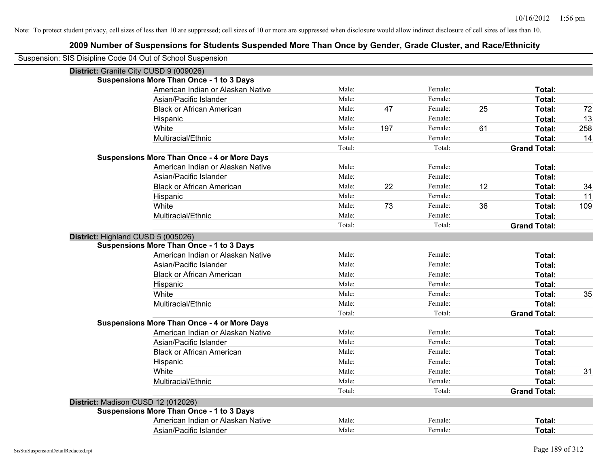| Suspension: SIS Disipline Code 04 Out of School Suspension |                                                    |        |     |         |    |                     |     |
|------------------------------------------------------------|----------------------------------------------------|--------|-----|---------|----|---------------------|-----|
|                                                            | District: Granite City CUSD 9 (009026)             |        |     |         |    |                     |     |
|                                                            | <b>Suspensions More Than Once - 1 to 3 Days</b>    |        |     |         |    |                     |     |
|                                                            | American Indian or Alaskan Native                  | Male:  |     | Female: |    | Total:              |     |
|                                                            | Asian/Pacific Islander                             | Male:  |     | Female: |    | Total:              |     |
|                                                            | <b>Black or African American</b>                   | Male:  | 47  | Female: | 25 | Total:              | 72  |
|                                                            | Hispanic                                           | Male:  |     | Female: |    | Total:              | 13  |
|                                                            | White                                              | Male:  | 197 | Female: | 61 | Total:              | 258 |
|                                                            | Multiracial/Ethnic                                 | Male:  |     | Female: |    | Total:              | 14  |
|                                                            |                                                    | Total: |     | Total:  |    | <b>Grand Total:</b> |     |
|                                                            | <b>Suspensions More Than Once - 4 or More Days</b> |        |     |         |    |                     |     |
|                                                            | American Indian or Alaskan Native                  | Male:  |     | Female: |    | Total:              |     |
|                                                            | Asian/Pacific Islander                             | Male:  |     | Female: |    | Total:              |     |
|                                                            | <b>Black or African American</b>                   | Male:  | 22  | Female: | 12 | Total:              | 34  |
|                                                            | Hispanic                                           | Male:  |     | Female: |    | Total:              | 11  |
|                                                            | White                                              | Male:  | 73  | Female: | 36 | Total:              | 109 |
|                                                            | Multiracial/Ethnic                                 | Male:  |     | Female: |    | Total:              |     |
|                                                            |                                                    | Total: |     | Total:  |    | <b>Grand Total:</b> |     |
| District: Highland CUSD 5 (005026)                         |                                                    |        |     |         |    |                     |     |
|                                                            | <b>Suspensions More Than Once - 1 to 3 Days</b>    |        |     |         |    |                     |     |
|                                                            | American Indian or Alaskan Native                  | Male:  |     | Female: |    | Total:              |     |
|                                                            | Asian/Pacific Islander                             | Male:  |     | Female: |    | Total:              |     |
|                                                            | <b>Black or African American</b>                   | Male:  |     | Female: |    | Total:              |     |
|                                                            | Hispanic                                           | Male:  |     | Female: |    | Total:              |     |
|                                                            | White                                              | Male:  |     | Female: |    | Total:              | 35  |
|                                                            | Multiracial/Ethnic                                 | Male:  |     | Female: |    | Total:              |     |
|                                                            |                                                    | Total: |     | Total:  |    | <b>Grand Total:</b> |     |
|                                                            | <b>Suspensions More Than Once - 4 or More Days</b> |        |     |         |    |                     |     |
|                                                            | American Indian or Alaskan Native                  | Male:  |     | Female: |    | Total:              |     |
|                                                            | Asian/Pacific Islander                             | Male:  |     | Female: |    | Total:              |     |
|                                                            | <b>Black or African American</b>                   | Male:  |     | Female: |    | Total:              |     |
|                                                            | Hispanic                                           | Male:  |     | Female: |    | Total:              |     |
|                                                            | White                                              | Male:  |     | Female: |    | Total:              | 31  |
|                                                            | Multiracial/Ethnic                                 | Male:  |     | Female: |    | Total:              |     |
|                                                            |                                                    | Total: |     | Total:  |    | <b>Grand Total:</b> |     |
|                                                            | District: Madison CUSD 12 (012026)                 |        |     |         |    |                     |     |
|                                                            | <b>Suspensions More Than Once - 1 to 3 Days</b>    |        |     |         |    |                     |     |
|                                                            | American Indian or Alaskan Native                  | Male:  |     | Female: |    | Total:              |     |
|                                                            | Asian/Pacific Islander                             | Male:  |     | Female: |    | Total:              |     |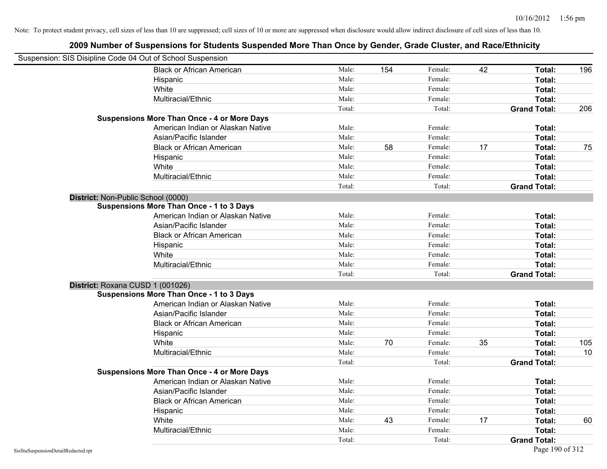| Suspension: SIS Disipline Code 04 Out of School Suspension |                                                    |        |     |         |    |                     |     |
|------------------------------------------------------------|----------------------------------------------------|--------|-----|---------|----|---------------------|-----|
|                                                            | <b>Black or African American</b>                   | Male:  | 154 | Female: | 42 | Total:              | 196 |
|                                                            | Hispanic                                           | Male:  |     | Female: |    | Total:              |     |
|                                                            | White                                              | Male:  |     | Female: |    | Total:              |     |
|                                                            | Multiracial/Ethnic                                 | Male:  |     | Female: |    | Total:              |     |
|                                                            |                                                    | Total: |     | Total:  |    | <b>Grand Total:</b> | 206 |
|                                                            | <b>Suspensions More Than Once - 4 or More Days</b> |        |     |         |    |                     |     |
|                                                            | American Indian or Alaskan Native                  | Male:  |     | Female: |    | Total:              |     |
|                                                            | Asian/Pacific Islander                             | Male:  |     | Female: |    | Total:              |     |
|                                                            | <b>Black or African American</b>                   | Male:  | 58  | Female: | 17 | Total:              | 75  |
|                                                            | Hispanic                                           | Male:  |     | Female: |    | Total:              |     |
|                                                            | White                                              | Male:  |     | Female: |    | Total:              |     |
|                                                            | Multiracial/Ethnic                                 | Male:  |     | Female: |    | Total:              |     |
|                                                            |                                                    | Total: |     | Total:  |    | <b>Grand Total:</b> |     |
| District: Non-Public School (0000)                         |                                                    |        |     |         |    |                     |     |
|                                                            | <b>Suspensions More Than Once - 1 to 3 Days</b>    |        |     |         |    |                     |     |
|                                                            | American Indian or Alaskan Native                  | Male:  |     | Female: |    | Total:              |     |
|                                                            | Asian/Pacific Islander                             | Male:  |     | Female: |    | Total:              |     |
|                                                            | <b>Black or African American</b>                   | Male:  |     | Female: |    | Total:              |     |
|                                                            | Hispanic                                           | Male:  |     | Female: |    | Total:              |     |
|                                                            | White                                              | Male:  |     | Female: |    | Total:              |     |
|                                                            | Multiracial/Ethnic                                 | Male:  |     | Female: |    | Total:              |     |
|                                                            |                                                    | Total: |     | Total:  |    | <b>Grand Total:</b> |     |
| District: Roxana CUSD 1 (001026)                           |                                                    |        |     |         |    |                     |     |
|                                                            | <b>Suspensions More Than Once - 1 to 3 Days</b>    |        |     |         |    |                     |     |
|                                                            | American Indian or Alaskan Native                  | Male:  |     | Female: |    | Total:              |     |
|                                                            | Asian/Pacific Islander                             | Male:  |     | Female: |    | Total:              |     |
|                                                            | <b>Black or African American</b>                   | Male:  |     | Female: |    | Total:              |     |
|                                                            | Hispanic                                           | Male:  |     | Female: |    | Total:              |     |
|                                                            | White                                              | Male:  | 70  | Female: | 35 | Total:              | 105 |
|                                                            | Multiracial/Ethnic                                 | Male:  |     | Female: |    | Total:              | 10  |
|                                                            |                                                    | Total: |     | Total:  |    | <b>Grand Total:</b> |     |
|                                                            | <b>Suspensions More Than Once - 4 or More Days</b> |        |     |         |    |                     |     |
|                                                            | American Indian or Alaskan Native                  | Male:  |     | Female: |    | Total:              |     |
|                                                            | Asian/Pacific Islander                             | Male:  |     | Female: |    | Total:              |     |
|                                                            | <b>Black or African American</b>                   | Male:  |     | Female: |    | Total:              |     |
|                                                            | Hispanic                                           | Male:  |     | Female: |    | Total:              |     |
|                                                            | White                                              | Male:  | 43  | Female: | 17 | Total:              | 60  |
|                                                            | Multiracial/Ethnic                                 | Male:  |     | Female: |    | Total:              |     |
|                                                            |                                                    | Total: |     | Total:  |    | <b>Grand Total:</b> |     |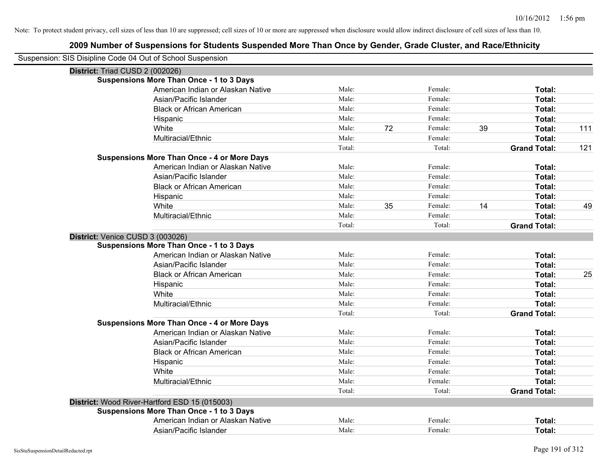| Suspension: SIS Disipline Code 04 Out of School Suspension |        |    |         |    |                     |     |
|------------------------------------------------------------|--------|----|---------|----|---------------------|-----|
| District: Triad CUSD 2 (002026)                            |        |    |         |    |                     |     |
| <b>Suspensions More Than Once - 1 to 3 Days</b>            |        |    |         |    |                     |     |
| American Indian or Alaskan Native                          | Male:  |    | Female: |    | Total:              |     |
| Asian/Pacific Islander                                     | Male:  |    | Female: |    | Total:              |     |
| <b>Black or African American</b>                           | Male:  |    | Female: |    | Total:              |     |
| Hispanic                                                   | Male:  |    | Female: |    | Total:              |     |
| White                                                      | Male:  | 72 | Female: | 39 | Total:              | 111 |
| Multiracial/Ethnic                                         | Male:  |    | Female: |    | Total:              |     |
|                                                            | Total: |    | Total:  |    | <b>Grand Total:</b> | 121 |
| <b>Suspensions More Than Once - 4 or More Days</b>         |        |    |         |    |                     |     |
| American Indian or Alaskan Native                          | Male:  |    | Female: |    | Total:              |     |
| Asian/Pacific Islander                                     | Male:  |    | Female: |    | Total:              |     |
| <b>Black or African American</b>                           | Male:  |    | Female: |    | Total:              |     |
| Hispanic                                                   | Male:  |    | Female: |    | Total:              |     |
| White                                                      | Male:  | 35 | Female: | 14 | Total:              | 49  |
| Multiracial/Ethnic                                         | Male:  |    | Female: |    | Total:              |     |
|                                                            | Total: |    | Total:  |    | <b>Grand Total:</b> |     |
| District: Venice CUSD 3 (003026)                           |        |    |         |    |                     |     |
| <b>Suspensions More Than Once - 1 to 3 Days</b>            |        |    |         |    |                     |     |
| American Indian or Alaskan Native                          | Male:  |    | Female: |    | Total:              |     |
| Asian/Pacific Islander                                     | Male:  |    | Female: |    | Total:              |     |
| <b>Black or African American</b>                           | Male:  |    | Female: |    | Total:              | 25  |
| Hispanic                                                   | Male:  |    | Female: |    | Total:              |     |
| White                                                      | Male:  |    | Female: |    | Total:              |     |
| Multiracial/Ethnic                                         | Male:  |    | Female: |    | Total:              |     |
|                                                            | Total: |    | Total:  |    | <b>Grand Total:</b> |     |
| <b>Suspensions More Than Once - 4 or More Days</b>         |        |    |         |    |                     |     |
| American Indian or Alaskan Native                          | Male:  |    | Female: |    | Total:              |     |
| Asian/Pacific Islander                                     | Male:  |    | Female: |    | Total:              |     |
| <b>Black or African American</b>                           | Male:  |    | Female: |    | Total:              |     |
| Hispanic                                                   | Male:  |    | Female: |    | Total:              |     |
| White                                                      | Male:  |    | Female: |    | Total:              |     |
| Multiracial/Ethnic                                         | Male:  |    | Female: |    | Total:              |     |
|                                                            | Total: |    | Total:  |    | <b>Grand Total:</b> |     |
| District: Wood River-Hartford ESD 15 (015003)              |        |    |         |    |                     |     |
| <b>Suspensions More Than Once - 1 to 3 Days</b>            |        |    |         |    |                     |     |
| American Indian or Alaskan Native                          | Male:  |    | Female: |    | Total:              |     |
| Asian/Pacific Islander                                     | Male:  |    | Female: |    | Total:              |     |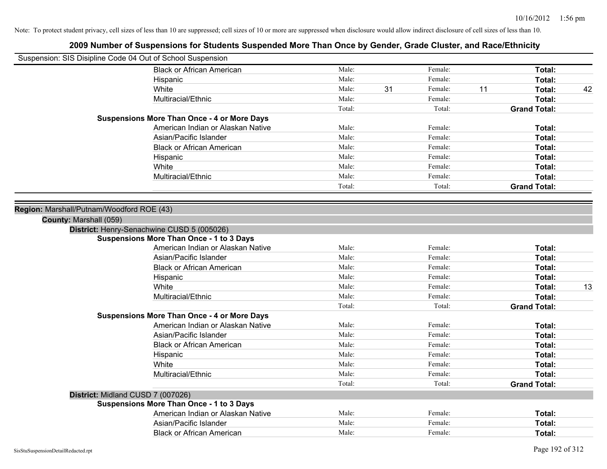| Suspension: SIS Disipline Code 04 Out of School Suspension |                                                    |        |    |         |    |                     |    |
|------------------------------------------------------------|----------------------------------------------------|--------|----|---------|----|---------------------|----|
|                                                            | <b>Black or African American</b>                   | Male:  |    | Female: |    | Total:              |    |
|                                                            | Hispanic                                           | Male:  |    | Female: |    | Total:              |    |
|                                                            | White                                              | Male:  | 31 | Female: | 11 | Total:              | 42 |
|                                                            | Multiracial/Ethnic                                 | Male:  |    | Female: |    | Total:              |    |
|                                                            |                                                    | Total: |    | Total:  |    | <b>Grand Total:</b> |    |
|                                                            | <b>Suspensions More Than Once - 4 or More Days</b> |        |    |         |    |                     |    |
|                                                            | American Indian or Alaskan Native                  | Male:  |    | Female: |    | Total:              |    |
|                                                            | Asian/Pacific Islander                             | Male:  |    | Female: |    | Total:              |    |
|                                                            | <b>Black or African American</b>                   | Male:  |    | Female: |    | Total:              |    |
|                                                            | Hispanic                                           | Male:  |    | Female: |    | Total:              |    |
|                                                            | White                                              | Male:  |    | Female: |    | Total:              |    |
|                                                            | Multiracial/Ethnic                                 | Male:  |    | Female: |    | Total:              |    |
|                                                            |                                                    | Total: |    | Total:  |    | <b>Grand Total:</b> |    |
| Region: Marshall/Putnam/Woodford ROE (43)                  |                                                    |        |    |         |    |                     |    |
| County: Marshall (059)                                     |                                                    |        |    |         |    |                     |    |
|                                                            | District: Henry-Senachwine CUSD 5 (005026)         |        |    |         |    |                     |    |
|                                                            | <b>Suspensions More Than Once - 1 to 3 Days</b>    |        |    |         |    |                     |    |
|                                                            | American Indian or Alaskan Native                  | Male:  |    | Female: |    | <b>Total:</b>       |    |
|                                                            | Asian/Pacific Islander                             | Male:  |    | Female: |    | Total:              |    |
|                                                            | <b>Black or African American</b>                   | Male:  |    | Female: |    | Total:              |    |
|                                                            | Hispanic                                           | Male:  |    | Female: |    | Total:              |    |
|                                                            | White                                              | Male:  |    | Female: |    | Total:              | 13 |
|                                                            | Multiracial/Ethnic                                 | Male:  |    | Female: |    | Total:              |    |
|                                                            |                                                    | Total: |    | Total:  |    | <b>Grand Total:</b> |    |
|                                                            | <b>Suspensions More Than Once - 4 or More Days</b> |        |    |         |    |                     |    |
|                                                            | American Indian or Alaskan Native                  | Male:  |    | Female: |    | <b>Total:</b>       |    |
|                                                            | Asian/Pacific Islander                             | Male:  |    | Female: |    | Total:              |    |
|                                                            | <b>Black or African American</b>                   | Male:  |    | Female: |    | Total:              |    |
|                                                            | Hispanic                                           | Male:  |    | Female: |    | Total:              |    |
|                                                            | White                                              | Male:  |    | Female: |    | Total:              |    |
|                                                            | Multiracial/Ethnic                                 | Male:  |    | Female: |    | Total:              |    |
|                                                            |                                                    | Total: |    | Total:  |    | <b>Grand Total:</b> |    |
| District: Midland CUSD 7 (007026)                          |                                                    |        |    |         |    |                     |    |
|                                                            | <b>Suspensions More Than Once - 1 to 3 Days</b>    |        |    |         |    |                     |    |
|                                                            | American Indian or Alaskan Native                  | Male:  |    | Female: |    | Total:              |    |
|                                                            | Asian/Pacific Islander                             | Male:  |    | Female: |    | <b>Total:</b>       |    |
|                                                            | <b>Black or African American</b>                   | Male:  |    | Female: |    | Total:              |    |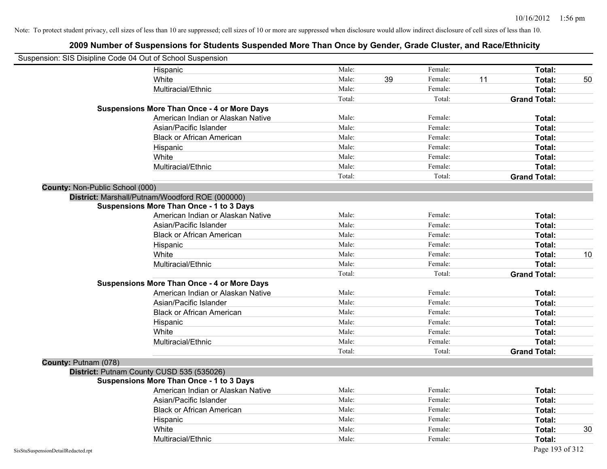| Suspension: SIS Disipline Code 04 Out of School Suspension |        |    |         |    |                     |    |
|------------------------------------------------------------|--------|----|---------|----|---------------------|----|
| Hispanic                                                   | Male:  |    | Female: |    | Total:              |    |
| White                                                      | Male:  | 39 | Female: | 11 | Total:              | 50 |
| Multiracial/Ethnic                                         | Male:  |    | Female: |    | Total:              |    |
|                                                            | Total: |    | Total:  |    | <b>Grand Total:</b> |    |
| <b>Suspensions More Than Once - 4 or More Days</b>         |        |    |         |    |                     |    |
| American Indian or Alaskan Native                          | Male:  |    | Female: |    | Total:              |    |
| Asian/Pacific Islander                                     | Male:  |    | Female: |    | Total:              |    |
| <b>Black or African American</b>                           | Male:  |    | Female: |    | Total:              |    |
| Hispanic                                                   | Male:  |    | Female: |    | Total:              |    |
| White                                                      | Male:  |    | Female: |    | Total:              |    |
| Multiracial/Ethnic                                         | Male:  |    | Female: |    | Total:              |    |
|                                                            | Total: |    | Total:  |    | <b>Grand Total:</b> |    |
| County: Non-Public School (000)                            |        |    |         |    |                     |    |
| District: Marshall/Putnam/Woodford ROE (000000)            |        |    |         |    |                     |    |
| <b>Suspensions More Than Once - 1 to 3 Days</b>            |        |    |         |    |                     |    |
| American Indian or Alaskan Native                          | Male:  |    | Female: |    | Total:              |    |
| Asian/Pacific Islander                                     | Male:  |    | Female: |    | Total:              |    |
| <b>Black or African American</b>                           | Male:  |    | Female: |    | Total:              |    |
| Hispanic                                                   | Male:  |    | Female: |    | Total:              |    |
| White                                                      | Male:  |    | Female: |    | Total:              | 10 |
| Multiracial/Ethnic                                         | Male:  |    | Female: |    | Total:              |    |
|                                                            | Total: |    | Total:  |    | <b>Grand Total:</b> |    |
| <b>Suspensions More Than Once - 4 or More Days</b>         |        |    |         |    |                     |    |
| American Indian or Alaskan Native                          | Male:  |    | Female: |    | Total:              |    |
| Asian/Pacific Islander                                     | Male:  |    | Female: |    | Total:              |    |
| <b>Black or African American</b>                           | Male:  |    | Female: |    | Total:              |    |
| Hispanic                                                   | Male:  |    | Female: |    | Total:              |    |
| White                                                      | Male:  |    | Female: |    | Total:              |    |
| Multiracial/Ethnic                                         | Male:  |    | Female: |    | Total:              |    |
|                                                            | Total: |    | Total:  |    | <b>Grand Total:</b> |    |
| County: Putnam (078)                                       |        |    |         |    |                     |    |
| District: Putnam County CUSD 535 (535026)                  |        |    |         |    |                     |    |
| Suspensions More Than Once - 1 to 3 Days                   |        |    |         |    |                     |    |
| American Indian or Alaskan Native                          | Male:  |    | Female: |    | Total:              |    |
| Asian/Pacific Islander                                     | Male:  |    | Female: |    | Total:              |    |
| <b>Black or African American</b>                           | Male:  |    | Female: |    | Total:              |    |
| Hispanic                                                   | Male:  |    | Female: |    | Total:              |    |
| White                                                      | Male:  |    | Female: |    | Total:              | 30 |
| Multiracial/Ethnic                                         | Male:  |    | Female: |    | Total:              |    |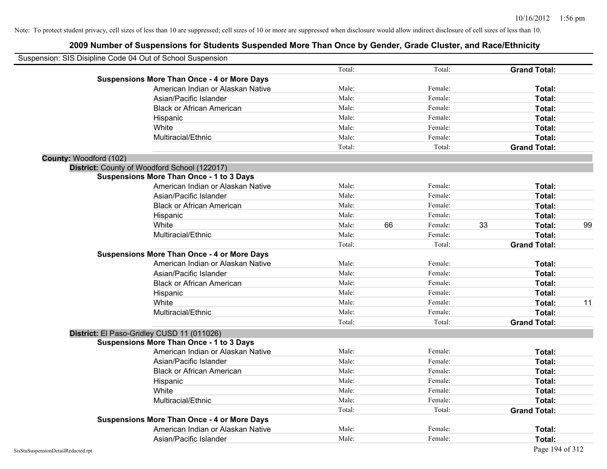|                        | Suspension: SIS Disipline Code 04 Out of School Suspension |        |    |         |    |                     |    |
|------------------------|------------------------------------------------------------|--------|----|---------|----|---------------------|----|
|                        |                                                            | Total: |    | Total:  |    | <b>Grand Total:</b> |    |
|                        | <b>Suspensions More Than Once - 4 or More Days</b>         |        |    |         |    |                     |    |
|                        | American Indian or Alaskan Native                          | Male:  |    | Female: |    | Total:              |    |
|                        | Asian/Pacific Islander                                     | Male:  |    | Female: |    | Total:              |    |
|                        | <b>Black or African American</b>                           | Male:  |    | Female: |    | Total:              |    |
|                        | Hispanic                                                   | Male:  |    | Female: |    | Total:              |    |
|                        | White                                                      | Male:  |    | Female: |    | Total:              |    |
|                        | Multiracial/Ethnic                                         | Male:  |    | Female: |    | Total:              |    |
|                        |                                                            | Total: |    | Total:  |    | <b>Grand Total:</b> |    |
| County: Woodford (102) |                                                            |        |    |         |    |                     |    |
|                        | District: County of Woodford School (122017)               |        |    |         |    |                     |    |
|                        | <b>Suspensions More Than Once - 1 to 3 Days</b>            |        |    |         |    |                     |    |
|                        | American Indian or Alaskan Native                          | Male:  |    | Female: |    | Total:              |    |
|                        | Asian/Pacific Islander                                     | Male:  |    | Female: |    | Total:              |    |
|                        | <b>Black or African American</b>                           | Male:  |    | Female: |    | Total:              |    |
|                        | Hispanic                                                   | Male:  |    | Female: |    | Total:              |    |
|                        | White                                                      | Male:  | 66 | Female: | 33 | Total:              | 99 |
|                        | Multiracial/Ethnic                                         | Male:  |    | Female: |    | Total:              |    |
|                        |                                                            | Total: |    | Total:  |    | <b>Grand Total:</b> |    |
|                        | <b>Suspensions More Than Once - 4 or More Days</b>         |        |    |         |    |                     |    |
|                        | American Indian or Alaskan Native                          | Male:  |    | Female: |    | Total:              |    |
|                        | Asian/Pacific Islander                                     | Male:  |    | Female: |    | Total:              |    |
|                        | <b>Black or African American</b>                           | Male:  |    | Female: |    | Total:              |    |
|                        | Hispanic                                                   | Male:  |    | Female: |    | Total:              |    |
|                        | White                                                      | Male:  |    | Female: |    | Total:              | 11 |
|                        | Multiracial/Ethnic                                         | Male:  |    | Female: |    | Total:              |    |
|                        |                                                            | Total: |    | Total:  |    | <b>Grand Total:</b> |    |
|                        | District: El Paso-Gridley CUSD 11 (011026)                 |        |    |         |    |                     |    |
|                        | <b>Suspensions More Than Once - 1 to 3 Days</b>            |        |    |         |    |                     |    |
|                        | American Indian or Alaskan Native                          | Male:  |    | Female: |    | Total:              |    |
|                        | Asian/Pacific Islander                                     | Male:  |    | Female: |    | Total:              |    |
|                        | <b>Black or African American</b>                           | Male:  |    | Female: |    | Total:              |    |
|                        | Hispanic                                                   | Male:  |    | Female: |    | Total:              |    |
|                        | White                                                      | Male:  |    | Female: |    | Total:              |    |
|                        | Multiracial/Ethnic                                         | Male:  |    | Female: |    | Total:              |    |
|                        |                                                            | Total: |    | Total:  |    | <b>Grand Total:</b> |    |
|                        | <b>Suspensions More Than Once - 4 or More Days</b>         |        |    |         |    |                     |    |
|                        | American Indian or Alaskan Native                          | Male:  |    | Female: |    | Total:              |    |
|                        | Asian/Pacific Islander                                     | Male:  |    | Female: |    | Total:              |    |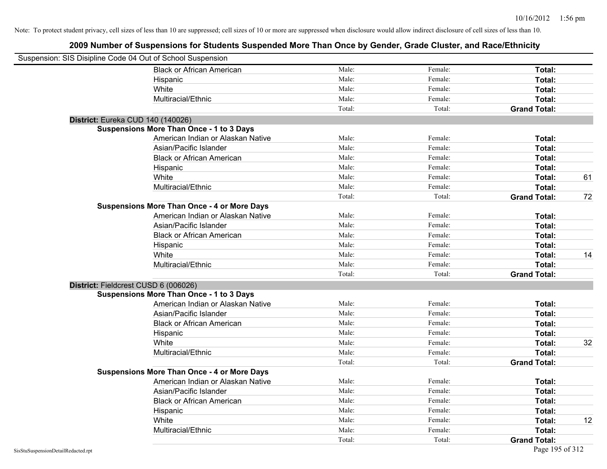| Suspension: SIS Disipline Code 04 Out of School Suspension |                                                    |        |         |                     |    |
|------------------------------------------------------------|----------------------------------------------------|--------|---------|---------------------|----|
|                                                            | <b>Black or African American</b>                   | Male:  | Female: | Total:              |    |
|                                                            | Hispanic                                           | Male:  | Female: | Total:              |    |
|                                                            | White                                              | Male:  | Female: | Total:              |    |
|                                                            | Multiracial/Ethnic                                 | Male:  | Female: | Total:              |    |
|                                                            |                                                    | Total: | Total:  | <b>Grand Total:</b> |    |
| District: Eureka CUD 140 (140026)                          |                                                    |        |         |                     |    |
|                                                            | <b>Suspensions More Than Once - 1 to 3 Days</b>    |        |         |                     |    |
|                                                            | American Indian or Alaskan Native                  | Male:  | Female: | Total:              |    |
|                                                            | Asian/Pacific Islander                             | Male:  | Female: | Total:              |    |
|                                                            | <b>Black or African American</b>                   | Male:  | Female: | Total:              |    |
|                                                            | Hispanic                                           | Male:  | Female: | Total:              |    |
|                                                            | White                                              | Male:  | Female: | Total:              | 61 |
|                                                            | Multiracial/Ethnic                                 | Male:  | Female: | Total:              |    |
|                                                            |                                                    | Total: | Total:  | <b>Grand Total:</b> | 72 |
|                                                            | <b>Suspensions More Than Once - 4 or More Days</b> |        |         |                     |    |
|                                                            | American Indian or Alaskan Native                  | Male:  | Female: | Total:              |    |
|                                                            | Asian/Pacific Islander                             | Male:  | Female: | Total:              |    |
|                                                            | <b>Black or African American</b>                   | Male:  | Female: | Total:              |    |
|                                                            | Hispanic                                           | Male:  | Female: | Total:              |    |
|                                                            | White                                              | Male:  | Female: | Total:              | 14 |
|                                                            | Multiracial/Ethnic                                 | Male:  | Female: | Total:              |    |
|                                                            |                                                    | Total: | Total:  | <b>Grand Total:</b> |    |
|                                                            | District: Fieldcrest CUSD 6 (006026)               |        |         |                     |    |
|                                                            | <b>Suspensions More Than Once - 1 to 3 Days</b>    |        |         |                     |    |
|                                                            | American Indian or Alaskan Native                  | Male:  | Female: | Total:              |    |
|                                                            | Asian/Pacific Islander                             | Male:  | Female: | Total:              |    |
|                                                            | <b>Black or African American</b>                   | Male:  | Female: | Total:              |    |
|                                                            | Hispanic                                           | Male:  | Female: | Total:              |    |
|                                                            | White                                              | Male:  | Female: | Total:              | 32 |
|                                                            | Multiracial/Ethnic                                 | Male:  | Female: | Total:              |    |
|                                                            |                                                    | Total: | Total:  | <b>Grand Total:</b> |    |
|                                                            | <b>Suspensions More Than Once - 4 or More Days</b> |        |         |                     |    |
|                                                            | American Indian or Alaskan Native                  | Male:  | Female: | Total:              |    |
|                                                            | Asian/Pacific Islander                             | Male:  | Female: | Total:              |    |
|                                                            | <b>Black or African American</b>                   | Male:  | Female: | Total:              |    |
|                                                            | Hispanic                                           | Male:  | Female: | Total:              |    |
|                                                            | White                                              | Male:  | Female: | Total:              | 12 |
|                                                            | Multiracial/Ethnic                                 | Male:  | Female: | Total:              |    |
|                                                            |                                                    | Total: | Total:  | <b>Grand Total:</b> |    |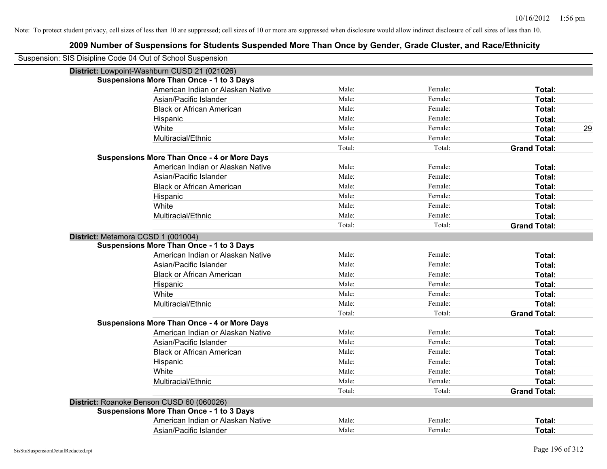| Suspension: SIS Disipline Code 04 Out of School Suspension |        |         |                     |
|------------------------------------------------------------|--------|---------|---------------------|
| District: Lowpoint-Washburn CUSD 21 (021026)               |        |         |                     |
| <b>Suspensions More Than Once - 1 to 3 Days</b>            |        |         |                     |
| American Indian or Alaskan Native                          | Male:  | Female: | Total:              |
| Asian/Pacific Islander                                     | Male:  | Female: | Total:              |
| <b>Black or African American</b>                           | Male:  | Female: | Total:              |
| Hispanic                                                   | Male:  | Female: | Total:              |
| White                                                      | Male:  | Female: | 29<br>Total:        |
| Multiracial/Ethnic                                         | Male:  | Female: | Total:              |
|                                                            | Total: | Total:  | <b>Grand Total:</b> |
| <b>Suspensions More Than Once - 4 or More Days</b>         |        |         |                     |
| American Indian or Alaskan Native                          | Male:  | Female: | Total:              |
| Asian/Pacific Islander                                     | Male:  | Female: | Total:              |
| <b>Black or African American</b>                           | Male:  | Female: | Total:              |
| Hispanic                                                   | Male:  | Female: | Total:              |
| White                                                      | Male:  | Female: | Total:              |
| Multiracial/Ethnic                                         | Male:  | Female: | Total:              |
|                                                            | Total: | Total:  | <b>Grand Total:</b> |
| District: Metamora CCSD 1 (001004)                         |        |         |                     |
| <b>Suspensions More Than Once - 1 to 3 Days</b>            |        |         |                     |
| American Indian or Alaskan Native                          | Male:  | Female: | Total:              |
| Asian/Pacific Islander                                     | Male:  | Female: | Total:              |
| <b>Black or African American</b>                           | Male:  | Female: | Total:              |
| Hispanic                                                   | Male:  | Female: | Total:              |
| White                                                      | Male:  | Female: | Total:              |
| Multiracial/Ethnic                                         | Male:  | Female: | Total:              |
|                                                            | Total: | Total:  | <b>Grand Total:</b> |
| <b>Suspensions More Than Once - 4 or More Days</b>         |        |         |                     |
| American Indian or Alaskan Native                          | Male:  | Female: | Total:              |
| Asian/Pacific Islander                                     | Male:  | Female: | Total:              |
| <b>Black or African American</b>                           | Male:  | Female: | Total:              |
| Hispanic                                                   | Male:  | Female: | Total:              |
| White                                                      | Male:  | Female: | Total:              |
| Multiracial/Ethnic                                         | Male:  | Female: | Total:              |
|                                                            | Total: | Total:  | <b>Grand Total:</b> |
| District: Roanoke Benson CUSD 60 (060026)                  |        |         |                     |
| <b>Suspensions More Than Once - 1 to 3 Days</b>            |        |         |                     |
| American Indian or Alaskan Native                          | Male:  | Female: | Total:              |
| Asian/Pacific Islander                                     | Male:  | Female: | Total:              |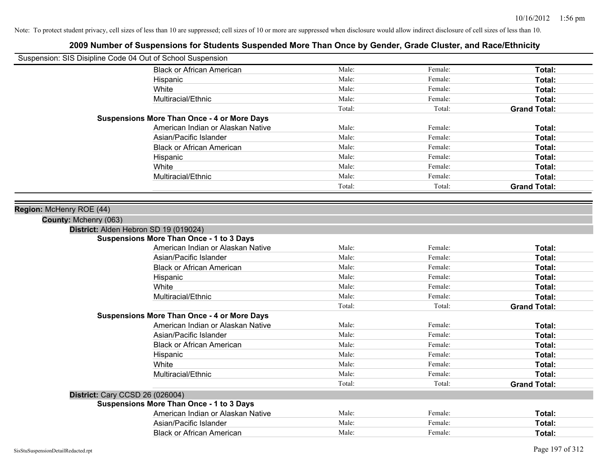| Suspension: SIS Disipline Code 04 Out of School Suspension |                                                    |        |         |                     |
|------------------------------------------------------------|----------------------------------------------------|--------|---------|---------------------|
|                                                            | <b>Black or African American</b>                   | Male:  | Female: | Total:              |
|                                                            | Hispanic                                           | Male:  | Female: | Total:              |
|                                                            | White                                              | Male:  | Female: | Total:              |
|                                                            | Multiracial/Ethnic                                 | Male:  | Female: | Total:              |
|                                                            |                                                    | Total: | Total:  | <b>Grand Total:</b> |
|                                                            | <b>Suspensions More Than Once - 4 or More Days</b> |        |         |                     |
|                                                            | American Indian or Alaskan Native                  | Male:  | Female: | Total:              |
|                                                            | Asian/Pacific Islander                             | Male:  | Female: | Total:              |
|                                                            | <b>Black or African American</b>                   | Male:  | Female: | Total:              |
|                                                            | Hispanic                                           | Male:  | Female: | Total:              |
|                                                            | White                                              | Male:  | Female: | Total:              |
|                                                            | Multiracial/Ethnic                                 | Male:  | Female: | Total:              |
|                                                            |                                                    | Total: | Total:  | <b>Grand Total:</b> |
|                                                            |                                                    |        |         |                     |
| Region: McHenry ROE (44)                                   |                                                    |        |         |                     |
| County: Mchenry (063)                                      |                                                    |        |         |                     |
| District: Alden Hebron SD 19 (019024)                      |                                                    |        |         |                     |
|                                                            | <b>Suspensions More Than Once - 1 to 3 Days</b>    |        |         |                     |
|                                                            | American Indian or Alaskan Native                  | Male:  | Female: | Total:              |
|                                                            | Asian/Pacific Islander                             | Male:  | Female: | Total:              |
|                                                            | <b>Black or African American</b>                   | Male:  | Female: | Total:              |
|                                                            | Hispanic                                           | Male:  | Female: | Total:              |
|                                                            | White                                              | Male:  | Female: | Total:              |
|                                                            | Multiracial/Ethnic                                 | Male:  | Female: | Total:              |
|                                                            |                                                    | Total: | Total:  | <b>Grand Total:</b> |
|                                                            | <b>Suspensions More Than Once - 4 or More Days</b> |        |         |                     |
|                                                            | American Indian or Alaskan Native                  | Male:  | Female: | Total:              |
|                                                            | Asian/Pacific Islander                             | Male:  | Female: | Total:              |
|                                                            | <b>Black or African American</b>                   | Male:  | Female: | Total:              |
|                                                            | Hispanic                                           | Male:  | Female: | Total:              |
|                                                            | White                                              | Male:  | Female: | Total:              |
|                                                            | Multiracial/Ethnic                                 | Male:  | Female: | Total:              |
|                                                            |                                                    | Total: | Total:  | <b>Grand Total:</b> |
| <b>District: Cary CCSD 26 (026004)</b>                     |                                                    |        |         |                     |
|                                                            | <b>Suspensions More Than Once - 1 to 3 Days</b>    |        |         |                     |
|                                                            | American Indian or Alaskan Native                  | Male:  | Female: | Total:              |
|                                                            | Asian/Pacific Islander                             | Male:  | Female: | Total:              |
|                                                            | <b>Black or African American</b>                   | Male:  | Female: | Total:              |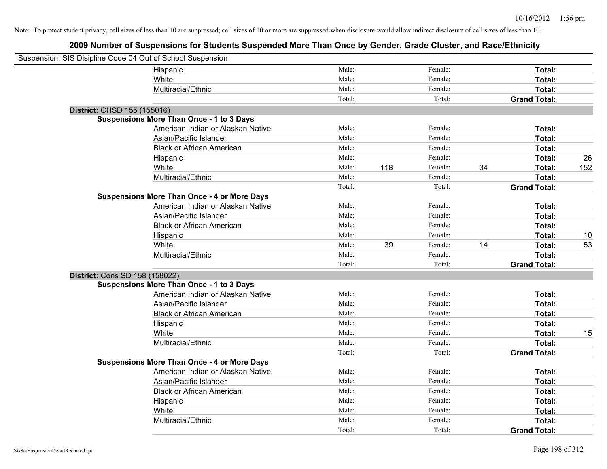| Suspension: SIS Disipline Code 04 Out of School Suspension |                                                    |        |     |         |    |                     |     |
|------------------------------------------------------------|----------------------------------------------------|--------|-----|---------|----|---------------------|-----|
|                                                            | Hispanic                                           | Male:  |     | Female: |    | Total:              |     |
|                                                            | White                                              | Male:  |     | Female: |    | Total:              |     |
|                                                            | Multiracial/Ethnic                                 | Male:  |     | Female: |    | Total:              |     |
|                                                            |                                                    | Total: |     | Total:  |    | <b>Grand Total:</b> |     |
| District: CHSD 155 (155016)                                |                                                    |        |     |         |    |                     |     |
|                                                            | <b>Suspensions More Than Once - 1 to 3 Days</b>    |        |     |         |    |                     |     |
|                                                            | American Indian or Alaskan Native                  | Male:  |     | Female: |    | Total:              |     |
|                                                            | Asian/Pacific Islander                             | Male:  |     | Female: |    | Total:              |     |
|                                                            | <b>Black or African American</b>                   | Male:  |     | Female: |    | Total:              |     |
|                                                            | Hispanic                                           | Male:  |     | Female: |    | Total:              | 26  |
|                                                            | White                                              | Male:  | 118 | Female: | 34 | Total:              | 152 |
|                                                            | Multiracial/Ethnic                                 | Male:  |     | Female: |    | Total:              |     |
|                                                            |                                                    | Total: |     | Total:  |    | <b>Grand Total:</b> |     |
|                                                            | <b>Suspensions More Than Once - 4 or More Days</b> |        |     |         |    |                     |     |
|                                                            | American Indian or Alaskan Native                  | Male:  |     | Female: |    | Total:              |     |
|                                                            | Asian/Pacific Islander                             | Male:  |     | Female: |    | Total:              |     |
|                                                            | <b>Black or African American</b>                   | Male:  |     | Female: |    | Total:              |     |
|                                                            | Hispanic                                           | Male:  |     | Female: |    | Total:              | 10  |
|                                                            | White                                              | Male:  | 39  | Female: | 14 | Total:              | 53  |
|                                                            | Multiracial/Ethnic                                 | Male:  |     | Female: |    | Total:              |     |
|                                                            |                                                    | Total: |     | Total:  |    | <b>Grand Total:</b> |     |
| District: Cons SD 158 (158022)                             |                                                    |        |     |         |    |                     |     |
|                                                            | <b>Suspensions More Than Once - 1 to 3 Days</b>    |        |     |         |    |                     |     |
|                                                            | American Indian or Alaskan Native                  | Male:  |     | Female: |    | Total:              |     |
|                                                            | Asian/Pacific Islander                             | Male:  |     | Female: |    | Total:              |     |
|                                                            | <b>Black or African American</b>                   | Male:  |     | Female: |    | Total:              |     |
|                                                            | Hispanic                                           | Male:  |     | Female: |    | Total:              |     |
|                                                            | White                                              | Male:  |     | Female: |    | Total:              | 15  |
|                                                            | Multiracial/Ethnic                                 | Male:  |     | Female: |    | Total:              |     |
|                                                            |                                                    | Total: |     | Total:  |    | <b>Grand Total:</b> |     |
|                                                            | <b>Suspensions More Than Once - 4 or More Days</b> |        |     |         |    |                     |     |
|                                                            | American Indian or Alaskan Native                  | Male:  |     | Female: |    | Total:              |     |
|                                                            | Asian/Pacific Islander                             | Male:  |     | Female: |    | Total:              |     |
|                                                            | <b>Black or African American</b>                   | Male:  |     | Female: |    | Total:              |     |
|                                                            | Hispanic                                           | Male:  |     | Female: |    | Total:              |     |
|                                                            | White                                              | Male:  |     | Female: |    | Total:              |     |
|                                                            | Multiracial/Ethnic                                 | Male:  |     | Female: |    | Total:              |     |
|                                                            |                                                    | Total: |     | Total:  |    | <b>Grand Total:</b> |     |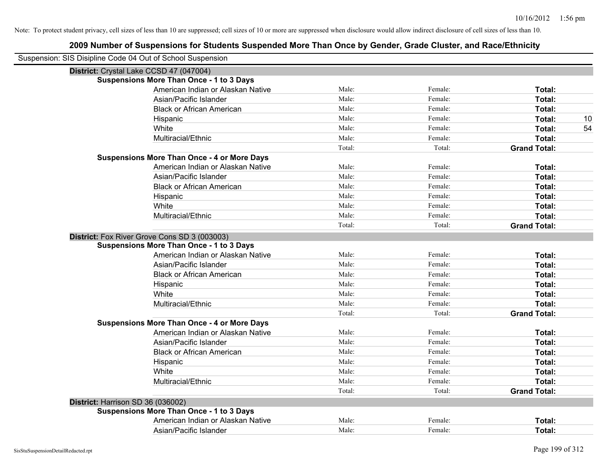| Suspension: SIS Disipline Code 04 Out of School Suspension |                                                    |        |         |                     |
|------------------------------------------------------------|----------------------------------------------------|--------|---------|---------------------|
|                                                            | District: Crystal Lake CCSD 47 (047004)            |        |         |                     |
|                                                            | <b>Suspensions More Than Once - 1 to 3 Days</b>    |        |         |                     |
|                                                            | American Indian or Alaskan Native                  | Male:  | Female: | Total:              |
|                                                            | Asian/Pacific Islander                             | Male:  | Female: | <b>Total:</b>       |
|                                                            | <b>Black or African American</b>                   | Male:  | Female: | Total:              |
|                                                            | Hispanic                                           | Male:  | Female: | 10<br>Total:        |
|                                                            | White                                              | Male:  | Female: | 54<br>Total:        |
|                                                            | Multiracial/Ethnic                                 | Male:  | Female: | Total:              |
|                                                            |                                                    | Total: | Total:  | <b>Grand Total:</b> |
|                                                            | <b>Suspensions More Than Once - 4 or More Days</b> |        |         |                     |
|                                                            | American Indian or Alaskan Native                  | Male:  | Female: | Total:              |
|                                                            | Asian/Pacific Islander                             | Male:  | Female: | Total:              |
|                                                            | <b>Black or African American</b>                   | Male:  | Female: | Total:              |
|                                                            | Hispanic                                           | Male:  | Female: | Total:              |
|                                                            | White                                              | Male:  | Female: | Total:              |
|                                                            | Multiracial/Ethnic                                 | Male:  | Female: | Total:              |
|                                                            |                                                    | Total: | Total:  | <b>Grand Total:</b> |
|                                                            | District: Fox River Grove Cons SD 3 (003003)       |        |         |                     |
|                                                            | <b>Suspensions More Than Once - 1 to 3 Days</b>    |        |         |                     |
|                                                            | American Indian or Alaskan Native                  | Male:  | Female: | Total:              |
|                                                            | Asian/Pacific Islander                             | Male:  | Female: | Total:              |
|                                                            | <b>Black or African American</b>                   | Male:  | Female: | Total:              |
|                                                            | Hispanic                                           | Male:  | Female: | Total:              |
|                                                            | White                                              | Male:  | Female: | Total:              |
|                                                            | Multiracial/Ethnic                                 | Male:  | Female: | Total:              |
|                                                            |                                                    | Total: | Total:  | <b>Grand Total:</b> |
|                                                            | <b>Suspensions More Than Once - 4 or More Days</b> |        |         |                     |
|                                                            | American Indian or Alaskan Native                  | Male:  | Female: | Total:              |
|                                                            | Asian/Pacific Islander                             | Male:  | Female: | Total:              |
|                                                            | <b>Black or African American</b>                   | Male:  | Female: | Total:              |
|                                                            | Hispanic                                           | Male:  | Female: | Total:              |
|                                                            | White                                              | Male:  | Female: | Total:              |
|                                                            | Multiracial/Ethnic                                 | Male:  | Female: | Total:              |
|                                                            |                                                    | Total: | Total:  | <b>Grand Total:</b> |
| District: Harrison SD 36 (036002)                          |                                                    |        |         |                     |
|                                                            | <b>Suspensions More Than Once - 1 to 3 Days</b>    |        |         |                     |
|                                                            | American Indian or Alaskan Native                  | Male:  | Female: | Total:              |
|                                                            | Asian/Pacific Islander                             | Male:  | Female: | Total:              |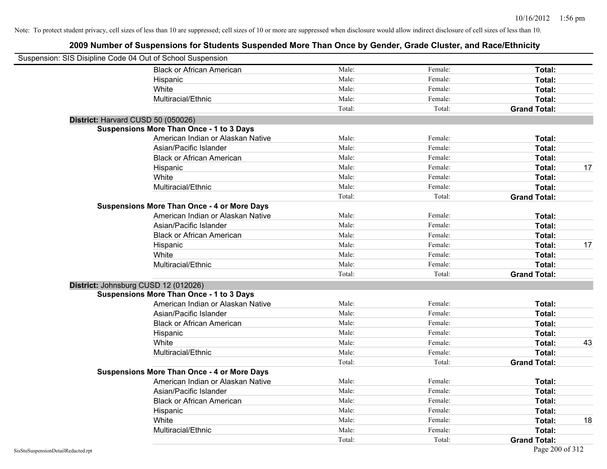| Suspension: SIS Disipline Code 04 Out of School Suspension |                                                    |        |         |                     |    |
|------------------------------------------------------------|----------------------------------------------------|--------|---------|---------------------|----|
|                                                            | <b>Black or African American</b>                   | Male:  | Female: | Total:              |    |
|                                                            | Hispanic                                           | Male:  | Female: | Total:              |    |
|                                                            | White                                              | Male:  | Female: | Total:              |    |
|                                                            | Multiracial/Ethnic                                 | Male:  | Female: | Total:              |    |
|                                                            |                                                    | Total: | Total:  | <b>Grand Total:</b> |    |
| District: Harvard CUSD 50 (050026)                         |                                                    |        |         |                     |    |
|                                                            | <b>Suspensions More Than Once - 1 to 3 Days</b>    |        |         |                     |    |
|                                                            | American Indian or Alaskan Native                  | Male:  | Female: | Total:              |    |
|                                                            | Asian/Pacific Islander                             | Male:  | Female: | Total:              |    |
|                                                            | <b>Black or African American</b>                   | Male:  | Female: | Total:              |    |
|                                                            | Hispanic                                           | Male:  | Female: | Total:              | 17 |
|                                                            | White                                              | Male:  | Female: | Total:              |    |
|                                                            | Multiracial/Ethnic                                 | Male:  | Female: | Total:              |    |
|                                                            |                                                    | Total: | Total:  | <b>Grand Total:</b> |    |
|                                                            | <b>Suspensions More Than Once - 4 or More Days</b> |        |         |                     |    |
|                                                            | American Indian or Alaskan Native                  | Male:  | Female: | Total:              |    |
|                                                            | Asian/Pacific Islander                             | Male:  | Female: | Total:              |    |
|                                                            | <b>Black or African American</b>                   | Male:  | Female: | Total:              |    |
|                                                            | Hispanic                                           | Male:  | Female: | Total:              | 17 |
|                                                            | White                                              | Male:  | Female: | Total:              |    |
|                                                            | Multiracial/Ethnic                                 | Male:  | Female: | Total:              |    |
|                                                            |                                                    | Total: | Total:  | <b>Grand Total:</b> |    |
|                                                            | District: Johnsburg CUSD 12 (012026)               |        |         |                     |    |
|                                                            | <b>Suspensions More Than Once - 1 to 3 Days</b>    |        |         |                     |    |
|                                                            | American Indian or Alaskan Native                  | Male:  | Female: | Total:              |    |
|                                                            | Asian/Pacific Islander                             | Male:  | Female: | Total:              |    |
|                                                            | <b>Black or African American</b>                   | Male:  | Female: | Total:              |    |
|                                                            | Hispanic                                           | Male:  | Female: | Total:              |    |
|                                                            | White                                              | Male:  | Female: | Total:              | 43 |
|                                                            | Multiracial/Ethnic                                 | Male:  | Female: | Total:              |    |
|                                                            |                                                    | Total: | Total:  | <b>Grand Total:</b> |    |
|                                                            | <b>Suspensions More Than Once - 4 or More Days</b> |        |         |                     |    |
|                                                            | American Indian or Alaskan Native                  | Male:  | Female: | Total:              |    |
|                                                            | Asian/Pacific Islander                             | Male:  | Female: | Total:              |    |
|                                                            | <b>Black or African American</b>                   | Male:  | Female: | Total:              |    |
|                                                            | Hispanic                                           | Male:  | Female: | Total:              |    |
|                                                            | White                                              | Male:  | Female: | Total:              | 18 |
|                                                            | Multiracial/Ethnic                                 | Male:  | Female: | Total:              |    |
|                                                            |                                                    | Total: | Total:  | <b>Grand Total:</b> |    |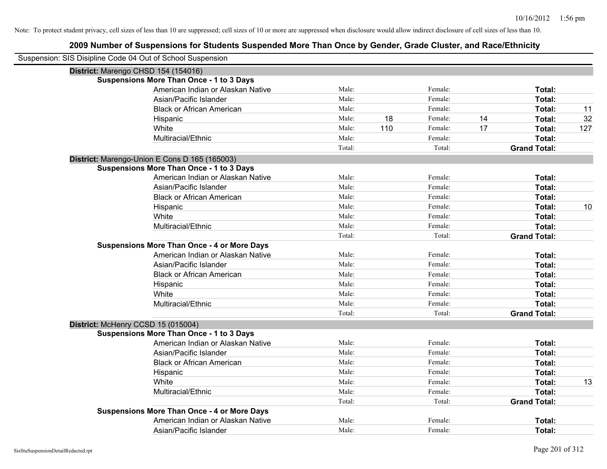| Suspension: SIS Disipline Code 04 Out of School Suspension |                                                    |        |     |         |    |                     |     |
|------------------------------------------------------------|----------------------------------------------------|--------|-----|---------|----|---------------------|-----|
|                                                            | District: Marengo CHSD 154 (154016)                |        |     |         |    |                     |     |
|                                                            | <b>Suspensions More Than Once - 1 to 3 Days</b>    |        |     |         |    |                     |     |
|                                                            | American Indian or Alaskan Native                  | Male:  |     | Female: |    | Total:              |     |
|                                                            | Asian/Pacific Islander                             | Male:  |     | Female: |    | Total:              |     |
|                                                            | <b>Black or African American</b>                   | Male:  |     | Female: |    | Total:              | 11  |
|                                                            | Hispanic                                           | Male:  | 18  | Female: | 14 | Total:              | 32  |
|                                                            | White                                              | Male:  | 110 | Female: | 17 | Total:              | 127 |
|                                                            | Multiracial/Ethnic                                 | Male:  |     | Female: |    | Total:              |     |
|                                                            |                                                    | Total: |     | Total:  |    | <b>Grand Total:</b> |     |
|                                                            | District: Marengo-Union E Cons D 165 (165003)      |        |     |         |    |                     |     |
|                                                            | <b>Suspensions More Than Once - 1 to 3 Days</b>    |        |     |         |    |                     |     |
|                                                            | American Indian or Alaskan Native                  | Male:  |     | Female: |    | Total:              |     |
|                                                            | Asian/Pacific Islander                             | Male:  |     | Female: |    | Total:              |     |
|                                                            | <b>Black or African American</b>                   | Male:  |     | Female: |    | Total:              |     |
|                                                            | Hispanic                                           | Male:  |     | Female: |    | Total:              | 10  |
|                                                            | White                                              | Male:  |     | Female: |    | Total:              |     |
|                                                            | Multiracial/Ethnic                                 | Male:  |     | Female: |    | Total:              |     |
|                                                            |                                                    | Total: |     | Total:  |    | <b>Grand Total:</b> |     |
|                                                            | <b>Suspensions More Than Once - 4 or More Days</b> |        |     |         |    |                     |     |
|                                                            | American Indian or Alaskan Native                  | Male:  |     | Female: |    | Total:              |     |
|                                                            | Asian/Pacific Islander                             | Male:  |     | Female: |    | Total:              |     |
|                                                            | <b>Black or African American</b>                   | Male:  |     | Female: |    | Total:              |     |
|                                                            | Hispanic                                           | Male:  |     | Female: |    | Total:              |     |
|                                                            | White                                              | Male:  |     | Female: |    | Total:              |     |
|                                                            | Multiracial/Ethnic                                 | Male:  |     | Female: |    | Total:              |     |
|                                                            |                                                    | Total: |     | Total:  |    | <b>Grand Total:</b> |     |
|                                                            | District: McHenry CCSD 15 (015004)                 |        |     |         |    |                     |     |
|                                                            | <b>Suspensions More Than Once - 1 to 3 Days</b>    |        |     |         |    |                     |     |
|                                                            | American Indian or Alaskan Native                  | Male:  |     | Female: |    | Total:              |     |
|                                                            | Asian/Pacific Islander                             | Male:  |     | Female: |    | Total:              |     |
|                                                            | <b>Black or African American</b>                   | Male:  |     | Female: |    | Total:              |     |
|                                                            | Hispanic                                           | Male:  |     | Female: |    | Total:              |     |
|                                                            | White                                              | Male:  |     | Female: |    | Total:              | 13  |
|                                                            | Multiracial/Ethnic                                 | Male:  |     | Female: |    | Total:              |     |
|                                                            |                                                    | Total: |     | Total:  |    | <b>Grand Total:</b> |     |
|                                                            | <b>Suspensions More Than Once - 4 or More Days</b> |        |     |         |    |                     |     |
|                                                            | American Indian or Alaskan Native                  | Male:  |     | Female: |    | Total:              |     |
|                                                            | Asian/Pacific Islander                             | Male:  |     | Female: |    | Total:              |     |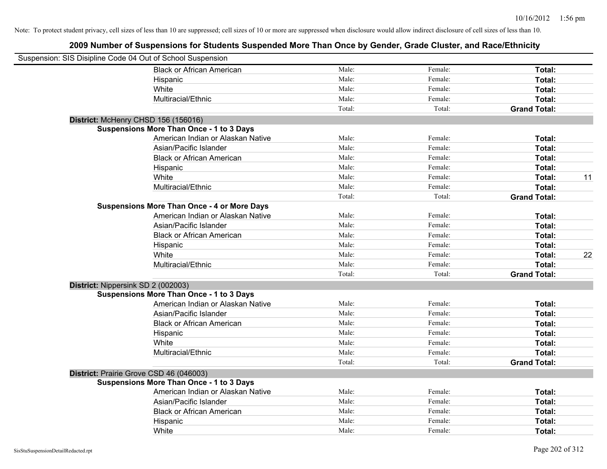| Suspension: SIS Disipline Code 04 Out of School Suspension |                                                    |        |         |                     |    |
|------------------------------------------------------------|----------------------------------------------------|--------|---------|---------------------|----|
|                                                            | <b>Black or African American</b>                   | Male:  | Female: | Total:              |    |
|                                                            | Hispanic                                           | Male:  | Female: | Total:              |    |
|                                                            | White                                              | Male:  | Female: | Total:              |    |
|                                                            | Multiracial/Ethnic                                 | Male:  | Female: | Total:              |    |
|                                                            |                                                    | Total: | Total:  | <b>Grand Total:</b> |    |
| District: McHenry CHSD 156 (156016)                        |                                                    |        |         |                     |    |
|                                                            | <b>Suspensions More Than Once - 1 to 3 Days</b>    |        |         |                     |    |
|                                                            | American Indian or Alaskan Native                  | Male:  | Female: | Total:              |    |
|                                                            | Asian/Pacific Islander                             | Male:  | Female: | Total:              |    |
|                                                            | <b>Black or African American</b>                   | Male:  | Female: | Total:              |    |
|                                                            | Hispanic                                           | Male:  | Female: | Total:              |    |
|                                                            | White                                              | Male:  | Female: | Total:              | 11 |
|                                                            | Multiracial/Ethnic                                 | Male:  | Female: | Total:              |    |
|                                                            |                                                    | Total: | Total:  | <b>Grand Total:</b> |    |
|                                                            | <b>Suspensions More Than Once - 4 or More Days</b> |        |         |                     |    |
|                                                            | American Indian or Alaskan Native                  | Male:  | Female: | Total:              |    |
|                                                            | Asian/Pacific Islander                             | Male:  | Female: | Total:              |    |
|                                                            | <b>Black or African American</b>                   | Male:  | Female: | Total:              |    |
|                                                            | Hispanic                                           | Male:  | Female: | Total:              |    |
|                                                            | White                                              | Male:  | Female: | Total:              | 22 |
|                                                            | Multiracial/Ethnic                                 | Male:  | Female: | Total:              |    |
|                                                            |                                                    | Total: | Total:  | <b>Grand Total:</b> |    |
| District: Nippersink SD 2 (002003)                         |                                                    |        |         |                     |    |
|                                                            | <b>Suspensions More Than Once - 1 to 3 Days</b>    |        |         |                     |    |
|                                                            | American Indian or Alaskan Native                  | Male:  | Female: | Total:              |    |
|                                                            | Asian/Pacific Islander                             | Male:  | Female: | Total:              |    |
|                                                            | <b>Black or African American</b>                   | Male:  | Female: | Total:              |    |
|                                                            | Hispanic                                           | Male:  | Female: | Total:              |    |
|                                                            | White                                              | Male:  | Female: | Total:              |    |
|                                                            | Multiracial/Ethnic                                 | Male:  | Female: | Total:              |    |
|                                                            |                                                    | Total: | Total:  | <b>Grand Total:</b> |    |
| District: Prairie Grove CSD 46 (046003)                    |                                                    |        |         |                     |    |
|                                                            | <b>Suspensions More Than Once - 1 to 3 Days</b>    |        |         |                     |    |
|                                                            | American Indian or Alaskan Native                  | Male:  | Female: | Total:              |    |
|                                                            | Asian/Pacific Islander                             | Male:  | Female: | Total:              |    |
|                                                            | <b>Black or African American</b>                   | Male:  | Female: | Total:              |    |
|                                                            | Hispanic                                           | Male:  | Female: | Total:              |    |
|                                                            | White                                              | Male:  | Female: | Total:              |    |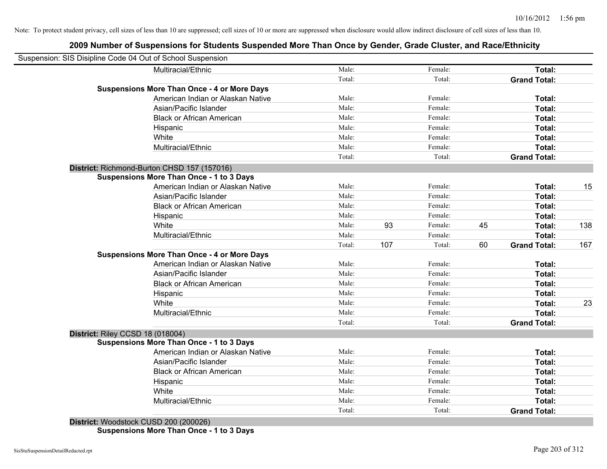## **2009 Number of Suspensions for Students Suspended More Than Once by Gender, Grade Cluster, and Race/Ethnicity**

| Suspension: SIS Disipline Code 04 Out of School Suspension |        |     |         |    |                     |     |
|------------------------------------------------------------|--------|-----|---------|----|---------------------|-----|
| Multiracial/Ethnic                                         | Male:  |     | Female: |    | Total:              |     |
|                                                            | Total: |     | Total:  |    | <b>Grand Total:</b> |     |
| <b>Suspensions More Than Once - 4 or More Days</b>         |        |     |         |    |                     |     |
| American Indian or Alaskan Native                          | Male:  |     | Female: |    | Total:              |     |
| Asian/Pacific Islander                                     | Male:  |     | Female: |    | Total:              |     |
| <b>Black or African American</b>                           | Male:  |     | Female: |    | Total:              |     |
| Hispanic                                                   | Male:  |     | Female: |    | Total:              |     |
| White                                                      | Male:  |     | Female: |    | Total:              |     |
| Multiracial/Ethnic                                         | Male:  |     | Female: |    | Total:              |     |
|                                                            | Total: |     | Total:  |    | <b>Grand Total:</b> |     |
| District: Richmond-Burton CHSD 157 (157016)                |        |     |         |    |                     |     |
| <b>Suspensions More Than Once - 1 to 3 Days</b>            |        |     |         |    |                     |     |
| American Indian or Alaskan Native                          | Male:  |     | Female: |    | Total:              | 15  |
| Asian/Pacific Islander                                     | Male:  |     | Female: |    | Total:              |     |
| <b>Black or African American</b>                           | Male:  |     | Female: |    | Total:              |     |
| Hispanic                                                   | Male:  |     | Female: |    | Total:              |     |
| White                                                      | Male:  | 93  | Female: | 45 | Total:              | 138 |
| Multiracial/Ethnic                                         | Male:  |     | Female: |    | Total:              |     |
|                                                            | Total: | 107 | Total:  | 60 | <b>Grand Total:</b> | 167 |
| <b>Suspensions More Than Once - 4 or More Days</b>         |        |     |         |    |                     |     |
| American Indian or Alaskan Native                          | Male:  |     | Female: |    | Total:              |     |
| Asian/Pacific Islander                                     | Male:  |     | Female: |    | Total:              |     |
| <b>Black or African American</b>                           | Male:  |     | Female: |    | Total:              |     |
| Hispanic                                                   | Male:  |     | Female: |    | Total:              |     |
| White                                                      | Male:  |     | Female: |    | Total:              | 23  |
| Multiracial/Ethnic                                         | Male:  |     | Female: |    | Total:              |     |
|                                                            | Total: |     | Total:  |    | <b>Grand Total:</b> |     |
| District: Riley CCSD 18 (018004)                           |        |     |         |    |                     |     |
| <b>Suspensions More Than Once - 1 to 3 Days</b>            |        |     |         |    |                     |     |
| American Indian or Alaskan Native                          | Male:  |     | Female: |    | Total:              |     |
| Asian/Pacific Islander                                     | Male:  |     | Female: |    | Total:              |     |
| <b>Black or African American</b>                           | Male:  |     | Female: |    | Total:              |     |
| Hispanic                                                   | Male:  |     | Female: |    | Total:              |     |
| White                                                      | Male:  |     | Female: |    | Total:              |     |
| Multiracial/Ethnic                                         | Male:  |     | Female: |    | Total:              |     |
|                                                            | Total: |     | Total:  |    | <b>Grand Total:</b> |     |

**District:** Woodstock CUSD 200 (200026) **Suspensions More Than Once - 1 to 3 Days**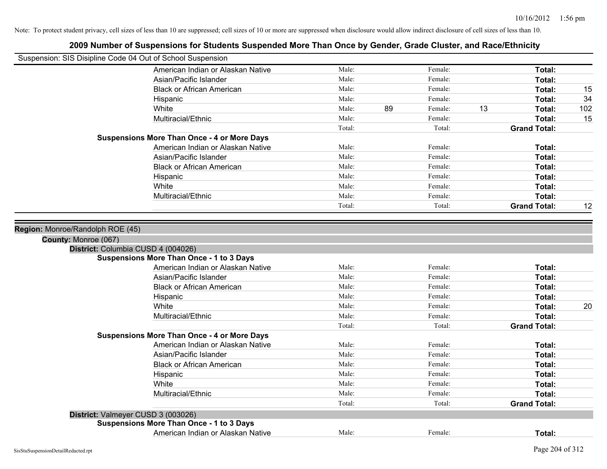| Suspension: SIS Disipline Code 04 Out of School Suspension |                                                                        |    |         |    |                     |                                            |
|------------------------------------------------------------|------------------------------------------------------------------------|----|---------|----|---------------------|--------------------------------------------|
| American Indian or Alaskan Native                          | Male:                                                                  |    | Female: |    | Total:              |                                            |
| Asian/Pacific Islander                                     | Male:                                                                  |    | Female: |    | Total:              |                                            |
| <b>Black or African American</b>                           | Male:                                                                  |    | Female: |    | Total:              | 15                                         |
| Hispanic                                                   | Male:                                                                  |    | Female: |    | Total:              | 34                                         |
| White                                                      | Male:                                                                  | 89 | Female: | 13 | Total:              | 102                                        |
| Multiracial/Ethnic                                         | Male:                                                                  |    | Female: |    | Total:              | 15                                         |
|                                                            | Total:                                                                 |    | Total:  |    | <b>Grand Total:</b> |                                            |
| <b>Suspensions More Than Once - 4 or More Days</b>         |                                                                        |    |         |    |                     |                                            |
| American Indian or Alaskan Native                          | Male:                                                                  |    | Female: |    | Total:              |                                            |
| Asian/Pacific Islander                                     | Male:                                                                  |    | Female: |    | Total:              |                                            |
| <b>Black or African American</b>                           | Male:                                                                  |    | Female: |    | Total:              |                                            |
| Hispanic                                                   | Male:                                                                  |    | Female: |    | Total:              |                                            |
| White                                                      | Male:                                                                  |    | Female: |    | Total:              |                                            |
| Multiracial/Ethnic                                         | Male:                                                                  |    | Female: |    | Total:              |                                            |
|                                                            | Total:                                                                 |    | Total:  |    |                     | 12                                         |
|                                                            |                                                                        |    |         |    |                     |                                            |
|                                                            |                                                                        |    |         |    |                     |                                            |
|                                                            |                                                                        |    |         |    |                     |                                            |
|                                                            |                                                                        |    |         |    |                     |                                            |
| <b>Suspensions More Than Once - 1 to 3 Days</b>            |                                                                        |    |         |    |                     |                                            |
| American Indian or Alaskan Native                          | Male:                                                                  |    | Female: |    | Total:              |                                            |
| Asian/Pacific Islander                                     | Male:                                                                  |    | Female: |    | Total:              |                                            |
| <b>Black or African American</b>                           | Male:                                                                  |    | Female: |    | Total:              |                                            |
| Hispanic                                                   | Male:                                                                  |    | Female: |    | Total:              |                                            |
| White                                                      | Male:                                                                  |    | Female: |    | Total:              | 20                                         |
| Multiracial/Ethnic                                         | Male:                                                                  |    | Female: |    | Total:              |                                            |
|                                                            | Total:                                                                 |    | Total:  |    | <b>Grand Total:</b> |                                            |
| <b>Suspensions More Than Once - 4 or More Days</b>         |                                                                        |    |         |    |                     |                                            |
| American Indian or Alaskan Native                          | Male:                                                                  |    | Female: |    | Total:              |                                            |
| Asian/Pacific Islander                                     | Male:                                                                  |    | Female: |    | Total:              |                                            |
| <b>Black or African American</b>                           | Male:                                                                  |    | Female: |    | Total:              |                                            |
| Hispanic                                                   | Male:                                                                  |    | Female: |    | Total:              |                                            |
| White                                                      | Male:                                                                  |    | Female: |    | Total:              |                                            |
| Multiracial/Ethnic                                         | Male:                                                                  |    | Female: |    | Total:              |                                            |
|                                                            | Total:                                                                 |    | Total:  |    |                     |                                            |
| District: Valmeyer CUSD 3 (003026)                         |                                                                        |    |         |    |                     |                                            |
| <b>Suspensions More Than Once - 1 to 3 Days</b>            |                                                                        |    |         |    |                     |                                            |
| American Indian or Alaskan Native                          | Male:                                                                  |    | Female: |    | Total:              |                                            |
|                                                            | Region: Monroe/Randolph ROE (45)<br>District: Columbia CUSD 4 (004026) |    |         |    |                     | <b>Grand Total:</b><br><b>Grand Total:</b> |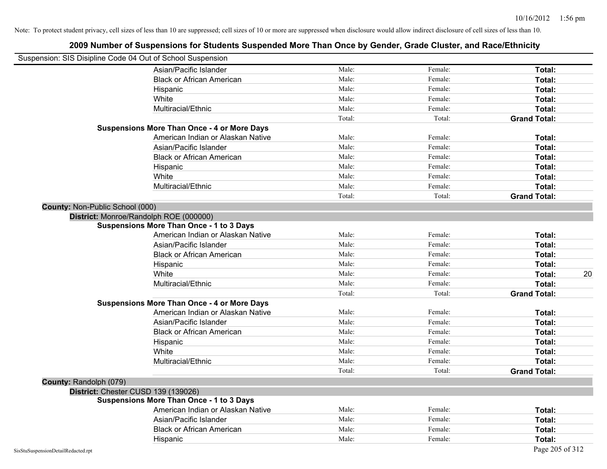| Suspension: SIS Disipline Code 04 Out of School Suspension |                                                    |        |         |                     |
|------------------------------------------------------------|----------------------------------------------------|--------|---------|---------------------|
|                                                            | Asian/Pacific Islander                             | Male:  | Female: | Total:              |
|                                                            | <b>Black or African American</b>                   | Male:  | Female: | Total:              |
|                                                            | Hispanic                                           | Male:  | Female: | Total:              |
|                                                            | White                                              | Male:  | Female: | Total:              |
|                                                            | Multiracial/Ethnic                                 | Male:  | Female: | Total:              |
|                                                            |                                                    | Total: | Total:  | <b>Grand Total:</b> |
|                                                            | <b>Suspensions More Than Once - 4 or More Days</b> |        |         |                     |
|                                                            | American Indian or Alaskan Native                  | Male:  | Female: | Total:              |
|                                                            | Asian/Pacific Islander                             | Male:  | Female: | Total:              |
|                                                            | <b>Black or African American</b>                   | Male:  | Female: | Total:              |
|                                                            | Hispanic                                           | Male:  | Female: | Total:              |
|                                                            | White                                              | Male:  | Female: | Total:              |
|                                                            | Multiracial/Ethnic                                 | Male:  | Female: | Total:              |
|                                                            |                                                    | Total: | Total:  | <b>Grand Total:</b> |
| County: Non-Public School (000)                            |                                                    |        |         |                     |
|                                                            | District: Monroe/Randolph ROE (000000)             |        |         |                     |
|                                                            | <b>Suspensions More Than Once - 1 to 3 Days</b>    |        |         |                     |
|                                                            | American Indian or Alaskan Native                  | Male:  | Female: | Total:              |
|                                                            | Asian/Pacific Islander                             | Male:  | Female: | Total:              |
|                                                            | <b>Black or African American</b>                   | Male:  | Female: | Total:              |
|                                                            | Hispanic                                           | Male:  | Female: | Total:              |
|                                                            | White                                              | Male:  | Female: | 20<br>Total:        |
|                                                            | Multiracial/Ethnic                                 | Male:  | Female: | Total:              |
|                                                            |                                                    | Total: | Total:  | <b>Grand Total:</b> |
|                                                            | <b>Suspensions More Than Once - 4 or More Days</b> |        |         |                     |
|                                                            | American Indian or Alaskan Native                  | Male:  | Female: | Total:              |
|                                                            | Asian/Pacific Islander                             | Male:  | Female: | Total:              |
|                                                            | <b>Black or African American</b>                   | Male:  | Female: | Total:              |
|                                                            | Hispanic                                           | Male:  | Female: | Total:              |
|                                                            | White                                              | Male:  | Female: | Total:              |
|                                                            | Multiracial/Ethnic                                 | Male:  | Female: | Total:              |
|                                                            |                                                    | Total: | Total:  | <b>Grand Total:</b> |
| County: Randolph (079)                                     |                                                    |        |         |                     |
|                                                            | District: Chester CUSD 139 (139026)                |        |         |                     |
|                                                            | <b>Suspensions More Than Once - 1 to 3 Days</b>    |        |         |                     |
|                                                            | American Indian or Alaskan Native                  | Male:  | Female: | Total:              |
|                                                            | Asian/Pacific Islander                             | Male:  | Female: | Total:              |
|                                                            | <b>Black or African American</b>                   | Male:  | Female: | Total:              |
|                                                            | Hispanic                                           | Male:  | Female: | Total:              |
| SisStuSuspensionDetailRedacted.rpt                         |                                                    |        |         | Page 205 of 312     |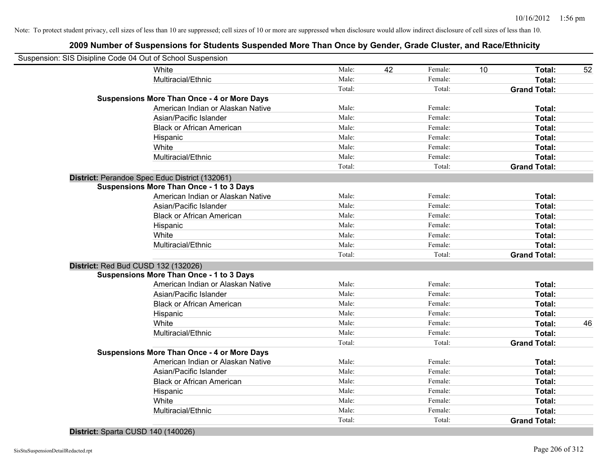## **2009 Number of Suspensions for Students Suspended More Than Once by Gender, Grade Cluster, and Race/Ethnicity**

|            | Suspension: SIS Disipline Code 04 Out of School Suspension                    |        |    |         |    |                     |    |
|------------|-------------------------------------------------------------------------------|--------|----|---------|----|---------------------|----|
|            | White                                                                         | Male:  | 42 | Female: | 10 | Total:              | 52 |
|            | Multiracial/Ethnic                                                            | Male:  |    | Female: |    | Total:              |    |
|            |                                                                               | Total: |    | Total:  |    | <b>Grand Total:</b> |    |
|            | <b>Suspensions More Than Once - 4 or More Days</b>                            |        |    |         |    |                     |    |
|            | American Indian or Alaskan Native                                             | Male:  |    | Female: |    | Total:              |    |
|            | Asian/Pacific Islander                                                        | Male:  |    | Female: |    | Total:              |    |
|            | <b>Black or African American</b>                                              | Male:  |    | Female: |    | Total:              |    |
|            | Hispanic                                                                      | Male:  |    | Female: |    | Total:              |    |
|            | White                                                                         | Male:  |    | Female: |    | Total:              |    |
|            | Multiracial/Ethnic                                                            | Male:  |    | Female: |    | Total:              |    |
|            |                                                                               | Total: |    | Total:  |    | <b>Grand Total:</b> |    |
|            | District: Perandoe Spec Educ District (132061)                                |        |    |         |    |                     |    |
|            | <b>Suspensions More Than Once - 1 to 3 Days</b>                               |        |    |         |    |                     |    |
|            | American Indian or Alaskan Native                                             | Male:  |    | Female: |    | Total:              |    |
|            | Asian/Pacific Islander                                                        | Male:  |    | Female: |    | Total:              |    |
|            | <b>Black or African American</b>                                              | Male:  |    | Female: |    | Total:              |    |
|            | Hispanic                                                                      | Male:  |    | Female: |    | Total:              |    |
|            | White                                                                         | Male:  |    | Female: |    | Total:              |    |
|            | Multiracial/Ethnic                                                            | Male:  |    | Female: |    | Total:              |    |
|            |                                                                               | Total: |    | Total:  |    | <b>Grand Total:</b> |    |
|            | District: Red Bud CUSD 132 (132026)                                           |        |    |         |    |                     |    |
|            | <b>Suspensions More Than Once - 1 to 3 Days</b>                               |        |    |         |    |                     |    |
|            | American Indian or Alaskan Native                                             | Male:  |    | Female: |    | Total:              |    |
|            | Asian/Pacific Islander                                                        | Male:  |    | Female: |    | Total:              |    |
|            | <b>Black or African American</b>                                              | Male:  |    | Female: |    | Total:              |    |
|            | Hispanic                                                                      | Male:  |    | Female: |    | Total:              |    |
|            | White                                                                         | Male:  |    | Female: |    | Total:              | 46 |
|            | Multiracial/Ethnic                                                            | Male:  |    | Female: |    | Total:              |    |
|            |                                                                               | Total: |    | Total:  |    | <b>Grand Total:</b> |    |
|            | <b>Suspensions More Than Once - 4 or More Days</b>                            |        |    |         |    |                     |    |
|            | American Indian or Alaskan Native                                             | Male:  |    | Female: |    | Total:              |    |
|            | Asian/Pacific Islander                                                        | Male:  |    | Female: |    | Total:              |    |
|            | <b>Black or African American</b>                                              | Male:  |    | Female: |    | Total:              |    |
|            | Hispanic                                                                      | Male:  |    | Female: |    | Total:              |    |
|            | White                                                                         | Male:  |    | Female: |    | Total:              |    |
|            | Multiracial/Ethnic                                                            | Male:  |    | Female: |    | Total:              |    |
|            |                                                                               | Total: |    | Total:  |    | <b>Grand Total:</b> |    |
| . <b>.</b> | $\mathbf{a} = \mathbf{a} + \mathbf{a} + \mathbf{a} + \mathbf{a} + \mathbf{a}$ |        |    |         |    |                     |    |

#### **District:** Sparta CUSD 140 (140026)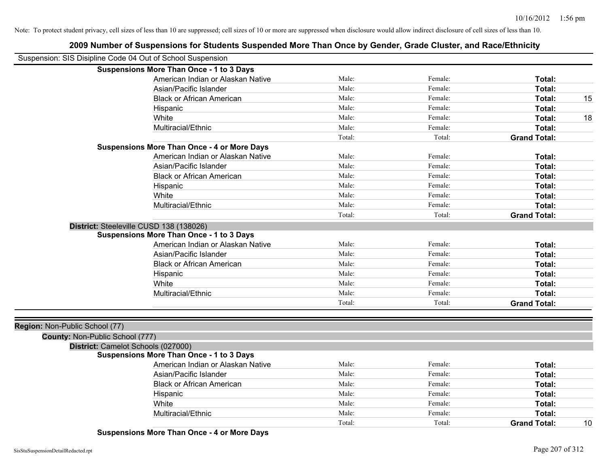| Suspension: SIS Disipline Code 04 Out of School Suspension | , hampy of outponsions for othermo outponsed more man once by output, order once, and necessary |        |         |                     |    |
|------------------------------------------------------------|-------------------------------------------------------------------------------------------------|--------|---------|---------------------|----|
|                                                            | <b>Suspensions More Than Once - 1 to 3 Days</b>                                                 |        |         |                     |    |
|                                                            | American Indian or Alaskan Native                                                               | Male:  | Female: | Total:              |    |
|                                                            | Asian/Pacific Islander                                                                          | Male:  | Female: | Total:              |    |
|                                                            | <b>Black or African American</b>                                                                | Male:  | Female: | Total:              | 15 |
|                                                            | Hispanic                                                                                        | Male:  | Female: | Total:              |    |
|                                                            | White                                                                                           | Male:  | Female: | Total:              | 18 |
|                                                            | Multiracial/Ethnic                                                                              | Male:  | Female: | Total:              |    |
|                                                            |                                                                                                 | Total: | Total:  | <b>Grand Total:</b> |    |
|                                                            | <b>Suspensions More Than Once - 4 or More Days</b>                                              |        |         |                     |    |
|                                                            | American Indian or Alaskan Native                                                               | Male:  | Female: | Total:              |    |
|                                                            | Asian/Pacific Islander                                                                          | Male:  | Female: | Total:              |    |
|                                                            | <b>Black or African American</b>                                                                | Male:  | Female: | Total:              |    |
|                                                            | Hispanic                                                                                        | Male:  | Female: | Total:              |    |
|                                                            | White                                                                                           | Male:  | Female: | Total:              |    |
|                                                            | Multiracial/Ethnic                                                                              | Male:  | Female: | Total:              |    |
|                                                            |                                                                                                 | Total: | Total:  | <b>Grand Total:</b> |    |
|                                                            | District: Steeleville CUSD 138 (138026)                                                         |        |         |                     |    |
|                                                            | <b>Suspensions More Than Once - 1 to 3 Days</b>                                                 |        |         |                     |    |
|                                                            | American Indian or Alaskan Native                                                               | Male:  | Female: | Total:              |    |
|                                                            | Asian/Pacific Islander                                                                          | Male:  | Female: | Total:              |    |
|                                                            | <b>Black or African American</b>                                                                | Male:  | Female: | Total:              |    |
|                                                            | Hispanic                                                                                        | Male:  | Female: | Total:              |    |
|                                                            | White                                                                                           | Male:  | Female: | Total:              |    |
|                                                            | Multiracial/Ethnic                                                                              | Male:  | Female: | Total:              |    |
|                                                            |                                                                                                 | Total: | Total:  | <b>Grand Total:</b> |    |
| Region: Non-Public School (77)                             |                                                                                                 |        |         |                     |    |
| County: Non-Public School (777)                            |                                                                                                 |        |         |                     |    |
|                                                            | District: Camelot Schools (027000)                                                              |        |         |                     |    |
|                                                            | <b>Suspensions More Than Once - 1 to 3 Days</b>                                                 |        |         |                     |    |
|                                                            | American Indian or Alaskan Native                                                               | Male:  | Female: | Total:              |    |
|                                                            | Asian/Pacific Islander                                                                          | Male:  | Female: | Total:              |    |
|                                                            | <b>Black or African American</b>                                                                | Male:  | Female: | Total:              |    |
|                                                            | Hispanic                                                                                        | Male:  | Female: | Total:              |    |
|                                                            | White                                                                                           | Male:  | Female: | Total:              |    |
|                                                            | Multiracial/Ethnic                                                                              | Male:  | Female: | Total:              |    |
|                                                            |                                                                                                 | Total: | Total:  | <b>Grand Total:</b> | 10 |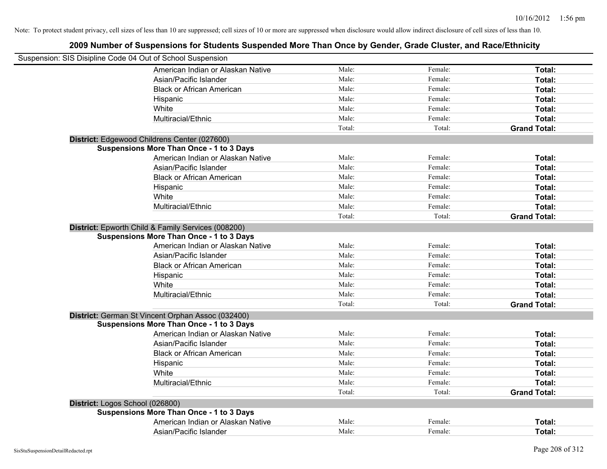| 2009 Number of Suspensions for Students Suspended More Than Once by Gender, Grade Cluster, and Race/Ethnicity |        |         |                     |
|---------------------------------------------------------------------------------------------------------------|--------|---------|---------------------|
| Suspension: SIS Disipline Code 04 Out of School Suspension                                                    |        |         |                     |
| American Indian or Alaskan Native                                                                             | Male:  | Female: | Total:              |
| Asian/Pacific Islander                                                                                        | Male:  | Female: | Total:              |
| <b>Black or African American</b>                                                                              | Male:  | Female: | Total:              |
| Hispanic                                                                                                      | Male:  | Female: | Total:              |
| White                                                                                                         | Male:  | Female: | Total:              |
| Multiracial/Ethnic                                                                                            | Male:  | Female: | Total:              |
|                                                                                                               | Total: | Total:  | <b>Grand Total:</b> |
| District: Edgewood Childrens Center (027600)                                                                  |        |         |                     |
| <b>Suspensions More Than Once - 1 to 3 Days</b>                                                               |        |         |                     |
| American Indian or Alaskan Native                                                                             | Male:  | Female: | Total:              |
| Asian/Pacific Islander                                                                                        | Male:  | Female: | Total:              |
| <b>Black or African American</b>                                                                              | Male:  | Female: | Total:              |
| Hispanic                                                                                                      | Male:  | Female: | Total:              |
| White                                                                                                         | Male:  | Female: | Total:              |
| Multiracial/Ethnic                                                                                            | Male:  | Female: | Total:              |
|                                                                                                               | Total: | Total:  | <b>Grand Total:</b> |
| District: Epworth Child & Family Services (008200)<br><b>Suspensions More Than Once - 1 to 3 Days</b>         |        |         |                     |
| American Indian or Alaskan Native                                                                             | Male:  | Female: | Total:              |
| Asian/Pacific Islander                                                                                        | Male:  | Female: | Total:              |
| <b>Black or African American</b>                                                                              | Male:  | Female: | Total:              |
| Hispanic                                                                                                      | Male:  | Female: | Total:              |
| White                                                                                                         | Male:  | Female: | Total:              |
| Multiracial/Ethnic                                                                                            | Male:  | Female: | Total:              |
|                                                                                                               | Total: | Total:  | <b>Grand Total:</b> |
| District: German St Vincent Orphan Assoc (032400)                                                             |        |         |                     |
| <b>Suspensions More Than Once - 1 to 3 Days</b>                                                               |        |         |                     |
| American Indian or Alaskan Native                                                                             | Male:  | Female: | Total:              |
| Asian/Pacific Islander                                                                                        | Male:  | Female: | Total:              |
| <b>Black or African American</b>                                                                              | Male:  | Female: | Total:              |
| Hispanic                                                                                                      | Male:  | Female: | Total:              |
| White                                                                                                         | Male:  | Female: | Total:              |
| Multiracial/Ethnic                                                                                            | Male:  | Female: | Total:              |
|                                                                                                               | Total: | Total:  | <b>Grand Total:</b> |
| District: Logos School (026800)                                                                               |        |         |                     |
| <b>Suspensions More Than Once - 1 to 3 Days</b>                                                               |        |         |                     |
| American Indian or Alaskan Native                                                                             | Male:  | Female: | Total:              |
| Asian/Pacific Islander                                                                                        | Male:  | Female: | Total:              |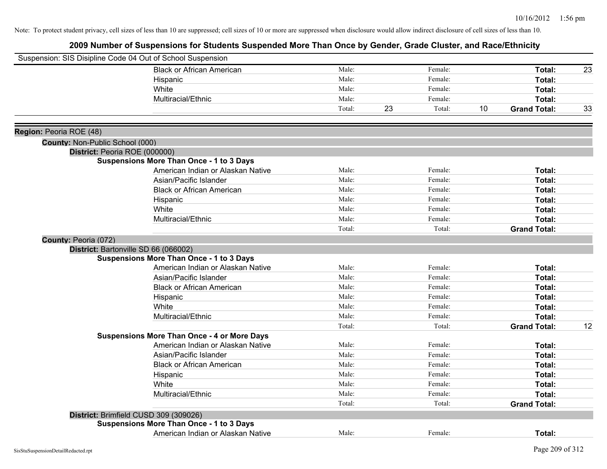| Suspension: SIS Disipline Code 04 Out of School Suspension |                                                    |        |              |                           |    |
|------------------------------------------------------------|----------------------------------------------------|--------|--------------|---------------------------|----|
|                                                            | <b>Black or African American</b>                   | Male:  | Female:      | Total:                    | 23 |
|                                                            | Hispanic                                           | Male:  | Female:      | Total:                    |    |
|                                                            | White                                              | Male:  | Female:      | Total:                    |    |
|                                                            | Multiracial/Ethnic                                 | Male:  | Female:      | Total:                    |    |
|                                                            |                                                    | Total: | 23<br>Total: | 10<br><b>Grand Total:</b> | 33 |
| Region: Peoria ROE (48)                                    |                                                    |        |              |                           |    |
| County: Non-Public School (000)                            |                                                    |        |              |                           |    |
| District: Peoria ROE (000000)                              |                                                    |        |              |                           |    |
|                                                            | <b>Suspensions More Than Once - 1 to 3 Days</b>    |        |              |                           |    |
|                                                            | American Indian or Alaskan Native                  | Male:  | Female:      | Total:                    |    |
|                                                            | Asian/Pacific Islander                             | Male:  | Female:      | Total:                    |    |
|                                                            | <b>Black or African American</b>                   | Male:  | Female:      | Total:                    |    |
|                                                            | Hispanic                                           | Male:  | Female:      | Total:                    |    |
|                                                            | White                                              | Male:  | Female:      | Total:                    |    |
|                                                            | Multiracial/Ethnic                                 | Male:  | Female:      | Total:                    |    |
|                                                            |                                                    | Total: | Total:       | <b>Grand Total:</b>       |    |
| County: Peoria (072)                                       |                                                    |        |              |                           |    |
| District: Bartonville SD 66 (066002)                       |                                                    |        |              |                           |    |
|                                                            | <b>Suspensions More Than Once - 1 to 3 Days</b>    |        |              |                           |    |
|                                                            | American Indian or Alaskan Native                  | Male:  | Female:      | Total:                    |    |
|                                                            | Asian/Pacific Islander                             | Male:  | Female:      | Total:                    |    |
|                                                            | <b>Black or African American</b>                   | Male:  | Female:      | Total:                    |    |
|                                                            | Hispanic                                           | Male:  | Female:      | Total:                    |    |
|                                                            | White                                              | Male:  | Female:      | Total:                    |    |
|                                                            | Multiracial/Ethnic                                 | Male:  | Female:      | Total:                    |    |
|                                                            |                                                    | Total: | Total:       | <b>Grand Total:</b>       | 12 |
|                                                            | <b>Suspensions More Than Once - 4 or More Days</b> |        |              |                           |    |
|                                                            | American Indian or Alaskan Native                  | Male:  | Female:      | Total:                    |    |
|                                                            | Asian/Pacific Islander                             | Male:  | Female:      | Total:                    |    |
|                                                            | <b>Black or African American</b>                   | Male:  | Female:      | Total:                    |    |
|                                                            | Hispanic                                           | Male:  | Female:      | Total:                    |    |
|                                                            | White                                              | Male:  | Female:      | Total:                    |    |
|                                                            | Multiracial/Ethnic                                 | Male:  | Female:      | Total:                    |    |
|                                                            |                                                    | Total: | Total:       | <b>Grand Total:</b>       |    |
| District: Brimfield CUSD 309 (309026)                      |                                                    |        |              |                           |    |
|                                                            | <b>Suspensions More Than Once - 1 to 3 Days</b>    |        |              |                           |    |
|                                                            | American Indian or Alaskan Native                  | Male:  | Female:      | Total:                    |    |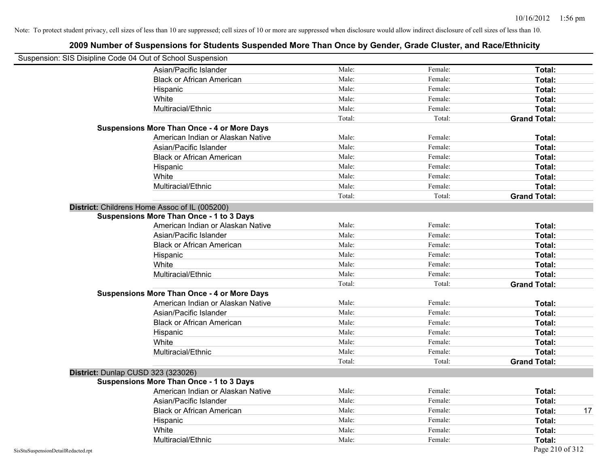| Suspension: SIS Disipline Code 04 Out of School Suspension |                                                    |        |         |                     |
|------------------------------------------------------------|----------------------------------------------------|--------|---------|---------------------|
|                                                            | Asian/Pacific Islander                             | Male:  | Female: | Total:              |
|                                                            | <b>Black or African American</b>                   | Male:  | Female: | Total:              |
|                                                            | Hispanic                                           | Male:  | Female: | Total:              |
|                                                            | White                                              | Male:  | Female: | Total:              |
|                                                            | Multiracial/Ethnic                                 | Male:  | Female: | Total:              |
|                                                            |                                                    | Total: | Total:  | <b>Grand Total:</b> |
|                                                            | <b>Suspensions More Than Once - 4 or More Days</b> |        |         |                     |
|                                                            | American Indian or Alaskan Native                  | Male:  | Female: | Total:              |
|                                                            | Asian/Pacific Islander                             | Male:  | Female: | Total:              |
|                                                            | <b>Black or African American</b>                   | Male:  | Female: | Total:              |
|                                                            | Hispanic                                           | Male:  | Female: | Total:              |
|                                                            | White                                              | Male:  | Female: | Total:              |
|                                                            | Multiracial/Ethnic                                 | Male:  | Female: | Total:              |
|                                                            |                                                    | Total: | Total:  | <b>Grand Total:</b> |
|                                                            | District: Childrens Home Assoc of IL (005200)      |        |         |                     |
|                                                            | <b>Suspensions More Than Once - 1 to 3 Days</b>    |        |         |                     |
|                                                            | American Indian or Alaskan Native                  | Male:  | Female: | Total:              |
|                                                            | Asian/Pacific Islander                             | Male:  | Female: | Total:              |
|                                                            | <b>Black or African American</b>                   | Male:  | Female: | Total:              |
|                                                            | Hispanic                                           | Male:  | Female: | Total:              |
|                                                            | White                                              | Male:  | Female: | Total:              |
|                                                            | Multiracial/Ethnic                                 | Male:  | Female: | Total:              |
|                                                            |                                                    | Total: | Total:  | <b>Grand Total:</b> |
|                                                            | <b>Suspensions More Than Once - 4 or More Days</b> |        |         |                     |
|                                                            | American Indian or Alaskan Native                  | Male:  | Female: | Total:              |
|                                                            | Asian/Pacific Islander                             | Male:  | Female: | Total:              |
|                                                            | <b>Black or African American</b>                   | Male:  | Female: | Total:              |
|                                                            | Hispanic                                           | Male:  | Female: | Total:              |
|                                                            | White                                              | Male:  | Female: | Total:              |
|                                                            | Multiracial/Ethnic                                 | Male:  | Female: | Total:              |
|                                                            |                                                    | Total: | Total:  | <b>Grand Total:</b> |
| District: Dunlap CUSD 323 (323026)                         |                                                    |        |         |                     |
|                                                            | <b>Suspensions More Than Once - 1 to 3 Days</b>    |        |         |                     |
|                                                            | American Indian or Alaskan Native                  | Male:  | Female: | Total:              |
|                                                            | Asian/Pacific Islander                             | Male:  | Female: | Total:              |
|                                                            | <b>Black or African American</b>                   | Male:  | Female: | 17<br>Total:        |
|                                                            | Hispanic                                           | Male:  | Female: | Total:              |
|                                                            | White                                              | Male:  | Female: | Total:              |
|                                                            | Multiracial/Ethnic                                 | Male:  | Female: | Total:              |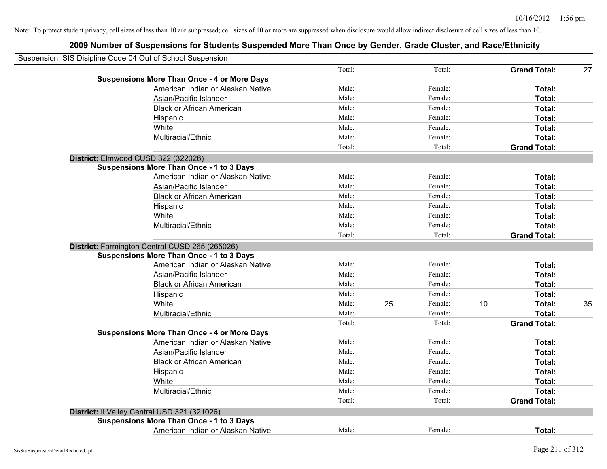| Suspension: SIS Disipline Code 04 Out of School Suspension |        |    |         |    |                     |    |
|------------------------------------------------------------|--------|----|---------|----|---------------------|----|
|                                                            | Total: |    | Total:  |    | <b>Grand Total:</b> | 27 |
| <b>Suspensions More Than Once - 4 or More Days</b>         |        |    |         |    |                     |    |
| American Indian or Alaskan Native                          | Male:  |    | Female: |    | Total:              |    |
| Asian/Pacific Islander                                     | Male:  |    | Female: |    | Total:              |    |
| <b>Black or African American</b>                           | Male:  |    | Female: |    | Total:              |    |
| Hispanic                                                   | Male:  |    | Female: |    | Total:              |    |
| White                                                      | Male:  |    | Female: |    | Total:              |    |
| Multiracial/Ethnic                                         | Male:  |    | Female: |    | Total:              |    |
|                                                            | Total: |    | Total:  |    | <b>Grand Total:</b> |    |
| District: Elmwood CUSD 322 (322026)                        |        |    |         |    |                     |    |
| <b>Suspensions More Than Once - 1 to 3 Days</b>            |        |    |         |    |                     |    |
| American Indian or Alaskan Native                          | Male:  |    | Female: |    | Total:              |    |
| Asian/Pacific Islander                                     | Male:  |    | Female: |    | Total:              |    |
| <b>Black or African American</b>                           | Male:  |    | Female: |    | Total:              |    |
| Hispanic                                                   | Male:  |    | Female: |    | Total:              |    |
| White                                                      | Male:  |    | Female: |    | Total:              |    |
| Multiracial/Ethnic                                         | Male:  |    | Female: |    | Total:              |    |
|                                                            | Total: |    | Total:  |    | <b>Grand Total:</b> |    |
| District: Farmington Central CUSD 265 (265026)             |        |    |         |    |                     |    |
| <b>Suspensions More Than Once - 1 to 3 Days</b>            |        |    |         |    |                     |    |
| American Indian or Alaskan Native                          | Male:  |    | Female: |    | Total:              |    |
| Asian/Pacific Islander                                     | Male:  |    | Female: |    | Total:              |    |
| <b>Black or African American</b>                           | Male:  |    | Female: |    | Total:              |    |
| Hispanic                                                   | Male:  |    | Female: |    | Total:              |    |
| White                                                      | Male:  | 25 | Female: | 10 | Total:              | 35 |
| Multiracial/Ethnic                                         | Male:  |    | Female: |    | Total:              |    |
|                                                            | Total: |    | Total:  |    | <b>Grand Total:</b> |    |
| <b>Suspensions More Than Once - 4 or More Days</b>         |        |    |         |    |                     |    |
| American Indian or Alaskan Native                          | Male:  |    | Female: |    | Total:              |    |
| Asian/Pacific Islander                                     | Male:  |    | Female: |    | Total:              |    |
| <b>Black or African American</b>                           | Male:  |    | Female: |    | Total:              |    |
| Hispanic                                                   | Male:  |    | Female: |    | Total:              |    |
| White                                                      | Male:  |    | Female: |    | Total:              |    |
| Multiracial/Ethnic                                         | Male:  |    | Female: |    | Total:              |    |
|                                                            | Total: |    | Total:  |    | <b>Grand Total:</b> |    |
| District: Il Valley Central USD 321 (321026)               |        |    |         |    |                     |    |
| <b>Suspensions More Than Once - 1 to 3 Days</b>            |        |    |         |    |                     |    |
| American Indian or Alaskan Native                          | Male:  |    | Female: |    | Total:              |    |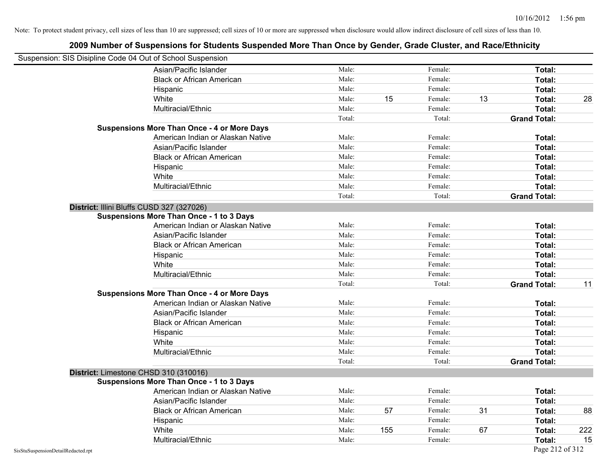| Suspension: SIS Disipline Code 04 Out of School Suspension |                                                    |        |     |         |    |                     |     |
|------------------------------------------------------------|----------------------------------------------------|--------|-----|---------|----|---------------------|-----|
|                                                            | Asian/Pacific Islander                             | Male:  |     | Female: |    | Total:              |     |
|                                                            | <b>Black or African American</b>                   | Male:  |     | Female: |    | Total:              |     |
|                                                            | Hispanic                                           | Male:  |     | Female: |    | Total:              |     |
|                                                            | White                                              | Male:  | 15  | Female: | 13 | Total:              | 28  |
|                                                            | Multiracial/Ethnic                                 | Male:  |     | Female: |    | Total:              |     |
|                                                            |                                                    | Total: |     | Total:  |    | <b>Grand Total:</b> |     |
|                                                            | <b>Suspensions More Than Once - 4 or More Days</b> |        |     |         |    |                     |     |
|                                                            | American Indian or Alaskan Native                  | Male:  |     | Female: |    | Total:              |     |
|                                                            | Asian/Pacific Islander                             | Male:  |     | Female: |    | Total:              |     |
|                                                            | <b>Black or African American</b>                   | Male:  |     | Female: |    | Total:              |     |
|                                                            | Hispanic                                           | Male:  |     | Female: |    | Total:              |     |
|                                                            | White                                              | Male:  |     | Female: |    | Total:              |     |
|                                                            | Multiracial/Ethnic                                 | Male:  |     | Female: |    | Total:              |     |
|                                                            |                                                    | Total: |     | Total:  |    | <b>Grand Total:</b> |     |
|                                                            | District: Illini Bluffs CUSD 327 (327026)          |        |     |         |    |                     |     |
|                                                            | <b>Suspensions More Than Once - 1 to 3 Days</b>    |        |     |         |    |                     |     |
|                                                            | American Indian or Alaskan Native                  | Male:  |     | Female: |    | Total:              |     |
|                                                            | Asian/Pacific Islander                             | Male:  |     | Female: |    | Total:              |     |
|                                                            | <b>Black or African American</b>                   | Male:  |     | Female: |    | Total:              |     |
|                                                            | Hispanic                                           | Male:  |     | Female: |    | Total:              |     |
|                                                            | White                                              | Male:  |     | Female: |    | Total:              |     |
|                                                            | Multiracial/Ethnic                                 | Male:  |     | Female: |    | Total:              |     |
|                                                            |                                                    | Total: |     | Total:  |    | <b>Grand Total:</b> | 11  |
|                                                            | <b>Suspensions More Than Once - 4 or More Days</b> |        |     |         |    |                     |     |
|                                                            | American Indian or Alaskan Native                  | Male:  |     | Female: |    | Total:              |     |
|                                                            | Asian/Pacific Islander                             | Male:  |     | Female: |    | Total:              |     |
|                                                            | <b>Black or African American</b>                   | Male:  |     | Female: |    | Total:              |     |
|                                                            | Hispanic                                           | Male:  |     | Female: |    | Total:              |     |
|                                                            | White                                              | Male:  |     | Female: |    | Total:              |     |
|                                                            | Multiracial/Ethnic                                 | Male:  |     | Female: |    | Total:              |     |
|                                                            |                                                    | Total: |     | Total:  |    | <b>Grand Total:</b> |     |
|                                                            | District: Limestone CHSD 310 (310016)              |        |     |         |    |                     |     |
|                                                            | <b>Suspensions More Than Once - 1 to 3 Days</b>    |        |     |         |    |                     |     |
|                                                            | American Indian or Alaskan Native                  | Male:  |     | Female: |    | Total:              |     |
|                                                            | Asian/Pacific Islander                             | Male:  |     | Female: |    | Total:              |     |
|                                                            | <b>Black or African American</b>                   | Male:  | 57  | Female: | 31 | Total:              | 88  |
|                                                            | Hispanic                                           | Male:  |     | Female: |    | Total:              |     |
|                                                            | White                                              | Male:  | 155 | Female: | 67 | Total:              | 222 |
|                                                            | Multiracial/Ethnic                                 | Male:  |     | Female: |    | Total:              | 15  |
| SisStuSuspensionDetailRedacted.rpt                         |                                                    |        |     |         |    | Page 212 of 312     |     |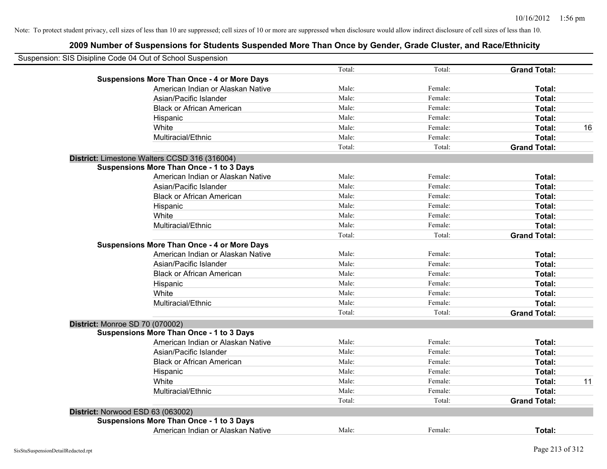| Suspension: SIS Disipline Code 04 Out of School Suspension |                                                    |        |         |                     |    |
|------------------------------------------------------------|----------------------------------------------------|--------|---------|---------------------|----|
|                                                            |                                                    | Total: | Total:  | <b>Grand Total:</b> |    |
|                                                            | <b>Suspensions More Than Once - 4 or More Days</b> |        |         |                     |    |
|                                                            | American Indian or Alaskan Native                  | Male:  | Female: | Total:              |    |
|                                                            | Asian/Pacific Islander                             | Male:  | Female: | Total:              |    |
|                                                            | <b>Black or African American</b>                   | Male:  | Female: | Total:              |    |
|                                                            | Hispanic                                           | Male:  | Female: | Total:              |    |
|                                                            | White                                              | Male:  | Female: | Total:              | 16 |
|                                                            | Multiracial/Ethnic                                 | Male:  | Female: | Total:              |    |
|                                                            |                                                    | Total: | Total:  | <b>Grand Total:</b> |    |
|                                                            | District: Limestone Walters CCSD 316 (316004)      |        |         |                     |    |
|                                                            | <b>Suspensions More Than Once - 1 to 3 Days</b>    |        |         |                     |    |
|                                                            | American Indian or Alaskan Native                  | Male:  | Female: | Total:              |    |
|                                                            | Asian/Pacific Islander                             | Male:  | Female: | Total:              |    |
|                                                            | <b>Black or African American</b>                   | Male:  | Female: | Total:              |    |
|                                                            | Hispanic                                           | Male:  | Female: | Total:              |    |
|                                                            | White                                              | Male:  | Female: | Total:              |    |
|                                                            | Multiracial/Ethnic                                 | Male:  | Female: | Total:              |    |
|                                                            |                                                    | Total: | Total:  | <b>Grand Total:</b> |    |
|                                                            | <b>Suspensions More Than Once - 4 or More Days</b> |        |         |                     |    |
|                                                            | American Indian or Alaskan Native                  | Male:  | Female: | Total:              |    |
|                                                            | Asian/Pacific Islander                             | Male:  | Female: | Total:              |    |
|                                                            | <b>Black or African American</b>                   | Male:  | Female: | Total:              |    |
|                                                            | Hispanic                                           | Male:  | Female: | Total:              |    |
|                                                            | White                                              | Male:  | Female: | Total:              |    |
|                                                            | Multiracial/Ethnic                                 | Male:  | Female: | Total:              |    |
|                                                            |                                                    | Total: | Total:  | <b>Grand Total:</b> |    |
| <b>District: Monroe SD 70 (070002)</b>                     |                                                    |        |         |                     |    |
|                                                            | <b>Suspensions More Than Once - 1 to 3 Days</b>    |        |         |                     |    |
|                                                            | American Indian or Alaskan Native                  | Male:  | Female: | Total:              |    |
|                                                            | Asian/Pacific Islander                             | Male:  | Female: | Total:              |    |
|                                                            | <b>Black or African American</b>                   | Male:  | Female: | Total:              |    |
|                                                            | Hispanic                                           | Male:  | Female: | Total:              |    |
|                                                            | White                                              | Male:  | Female: | Total:              | 11 |
|                                                            | Multiracial/Ethnic                                 | Male:  | Female: | Total:              |    |
|                                                            |                                                    | Total: | Total:  | <b>Grand Total:</b> |    |
| District: Norwood ESD 63 (063002)                          |                                                    |        |         |                     |    |
|                                                            | <b>Suspensions More Than Once - 1 to 3 Days</b>    |        |         |                     |    |
|                                                            | American Indian or Alaskan Native                  | Male:  | Female: | Total:              |    |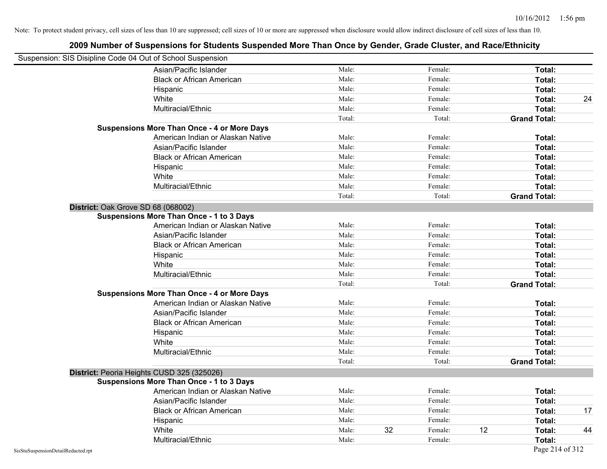| Suspension: SIS Disipline Code 04 Out of School Suspension |                                                    |        |    |         |                     |    |
|------------------------------------------------------------|----------------------------------------------------|--------|----|---------|---------------------|----|
|                                                            | Asian/Pacific Islander                             | Male:  |    | Female: | Total:              |    |
|                                                            | <b>Black or African American</b>                   | Male:  |    | Female: | Total:              |    |
|                                                            | Hispanic                                           | Male:  |    | Female: | Total:              |    |
|                                                            | White                                              | Male:  |    | Female: | Total:              | 24 |
|                                                            | Multiracial/Ethnic                                 | Male:  |    | Female: | Total:              |    |
|                                                            |                                                    | Total: |    | Total:  | <b>Grand Total:</b> |    |
|                                                            | <b>Suspensions More Than Once - 4 or More Days</b> |        |    |         |                     |    |
|                                                            | American Indian or Alaskan Native                  | Male:  |    | Female: | Total:              |    |
|                                                            | Asian/Pacific Islander                             | Male:  |    | Female: | Total:              |    |
|                                                            | <b>Black or African American</b>                   | Male:  |    | Female: | Total:              |    |
|                                                            | Hispanic                                           | Male:  |    | Female: | Total:              |    |
|                                                            | White                                              | Male:  |    | Female: | Total:              |    |
|                                                            | Multiracial/Ethnic                                 | Male:  |    | Female: | Total:              |    |
|                                                            |                                                    | Total: |    | Total:  | <b>Grand Total:</b> |    |
| District: Oak Grove SD 68 (068002)                         |                                                    |        |    |         |                     |    |
|                                                            | <b>Suspensions More Than Once - 1 to 3 Days</b>    |        |    |         |                     |    |
|                                                            | American Indian or Alaskan Native                  | Male:  |    | Female: | Total:              |    |
|                                                            | Asian/Pacific Islander                             | Male:  |    | Female: | Total:              |    |
|                                                            | <b>Black or African American</b>                   | Male:  |    | Female: | Total:              |    |
|                                                            | Hispanic                                           | Male:  |    | Female: | Total:              |    |
|                                                            | White                                              | Male:  |    | Female: | Total:              |    |
|                                                            | Multiracial/Ethnic                                 | Male:  |    | Female: | Total:              |    |
|                                                            |                                                    | Total: |    | Total:  | <b>Grand Total:</b> |    |
|                                                            | <b>Suspensions More Than Once - 4 or More Days</b> |        |    |         |                     |    |
|                                                            | American Indian or Alaskan Native                  | Male:  |    | Female: | Total:              |    |
|                                                            | Asian/Pacific Islander                             | Male:  |    | Female: | Total:              |    |
|                                                            | <b>Black or African American</b>                   | Male:  |    | Female: | Total:              |    |
|                                                            | Hispanic                                           | Male:  |    | Female: | Total:              |    |
|                                                            | White                                              | Male:  |    | Female: | Total:              |    |
|                                                            | Multiracial/Ethnic                                 | Male:  |    | Female: | Total:              |    |
|                                                            |                                                    | Total: |    | Total:  | <b>Grand Total:</b> |    |
| District: Peoria Heights CUSD 325 (325026)                 |                                                    |        |    |         |                     |    |
|                                                            | <b>Suspensions More Than Once - 1 to 3 Days</b>    |        |    |         |                     |    |
|                                                            | American Indian or Alaskan Native                  | Male:  |    | Female: | Total:              |    |
|                                                            | Asian/Pacific Islander                             | Male:  |    | Female: | Total:              |    |
|                                                            | <b>Black or African American</b>                   | Male:  |    | Female: | Total:              | 17 |
|                                                            | Hispanic                                           | Male:  |    | Female: | Total:              |    |
|                                                            | White                                              | Male:  | 32 | Female: | 12<br>Total:        | 44 |
|                                                            | Multiracial/Ethnic                                 | Male:  |    | Female: | Total:              |    |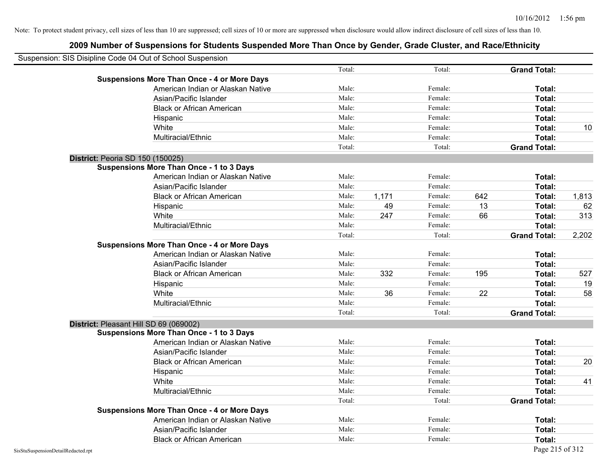| Suspension: SIS Disipline Code 04 Out of School Suspension |                                                    |        |       |         |     |                     |       |
|------------------------------------------------------------|----------------------------------------------------|--------|-------|---------|-----|---------------------|-------|
|                                                            |                                                    | Total: |       | Total:  |     | <b>Grand Total:</b> |       |
|                                                            | <b>Suspensions More Than Once - 4 or More Days</b> |        |       |         |     |                     |       |
|                                                            | American Indian or Alaskan Native                  | Male:  |       | Female: |     | Total:              |       |
|                                                            | Asian/Pacific Islander                             | Male:  |       | Female: |     | Total:              |       |
|                                                            | <b>Black or African American</b>                   | Male:  |       | Female: |     | Total:              |       |
|                                                            | Hispanic                                           | Male:  |       | Female: |     | Total:              |       |
|                                                            | White                                              | Male:  |       | Female: |     | Total:              | 10    |
|                                                            | Multiracial/Ethnic                                 | Male:  |       | Female: |     | Total:              |       |
|                                                            |                                                    | Total: |       | Total:  |     | <b>Grand Total:</b> |       |
| District: Peoria SD 150 (150025)                           |                                                    |        |       |         |     |                     |       |
|                                                            | <b>Suspensions More Than Once - 1 to 3 Days</b>    |        |       |         |     |                     |       |
|                                                            | American Indian or Alaskan Native                  | Male:  |       | Female: |     | Total:              |       |
|                                                            | Asian/Pacific Islander                             | Male:  |       | Female: |     | Total:              |       |
|                                                            | <b>Black or African American</b>                   | Male:  | 1,171 | Female: | 642 | Total:              | 1,813 |
|                                                            | Hispanic                                           | Male:  | 49    | Female: | 13  | Total:              | 62    |
|                                                            | White                                              | Male:  | 247   | Female: | 66  | Total:              | 313   |
|                                                            | Multiracial/Ethnic                                 | Male:  |       | Female: |     | Total:              |       |
|                                                            |                                                    | Total: |       | Total:  |     | <b>Grand Total:</b> | 2,202 |
|                                                            | <b>Suspensions More Than Once - 4 or More Days</b> |        |       |         |     |                     |       |
|                                                            | American Indian or Alaskan Native                  | Male:  |       | Female: |     | Total:              |       |
|                                                            | Asian/Pacific Islander                             | Male:  |       | Female: |     | Total:              |       |
|                                                            | <b>Black or African American</b>                   | Male:  | 332   | Female: | 195 | <b>Total:</b>       | 527   |
|                                                            | Hispanic                                           | Male:  |       | Female: |     | Total:              | 19    |
|                                                            | White                                              | Male:  | 36    | Female: | 22  | Total:              | 58    |
|                                                            | Multiracial/Ethnic                                 | Male:  |       | Female: |     | Total:              |       |
|                                                            |                                                    | Total: |       | Total:  |     | <b>Grand Total:</b> |       |
|                                                            | District: Pleasant Hill SD 69 (069002)             |        |       |         |     |                     |       |
|                                                            | <b>Suspensions More Than Once - 1 to 3 Days</b>    |        |       |         |     |                     |       |
|                                                            | American Indian or Alaskan Native                  | Male:  |       | Female: |     | Total:              |       |
|                                                            | Asian/Pacific Islander                             | Male:  |       | Female: |     | Total:              |       |
|                                                            | <b>Black or African American</b>                   | Male:  |       | Female: |     | Total:              | 20    |
|                                                            | Hispanic                                           | Male:  |       | Female: |     | Total:              |       |
|                                                            | White                                              | Male:  |       | Female: |     | Total:              | 41    |
|                                                            | Multiracial/Ethnic                                 | Male:  |       | Female: |     | Total:              |       |
|                                                            |                                                    | Total: |       | Total:  |     | <b>Grand Total:</b> |       |
|                                                            | <b>Suspensions More Than Once - 4 or More Days</b> |        |       |         |     |                     |       |
|                                                            | American Indian or Alaskan Native                  | Male:  |       | Female: |     | Total:              |       |
|                                                            | Asian/Pacific Islander                             | Male:  |       | Female: |     | Total:              |       |
|                                                            | <b>Black or African American</b>                   | Male:  |       | Female: |     | Total:              |       |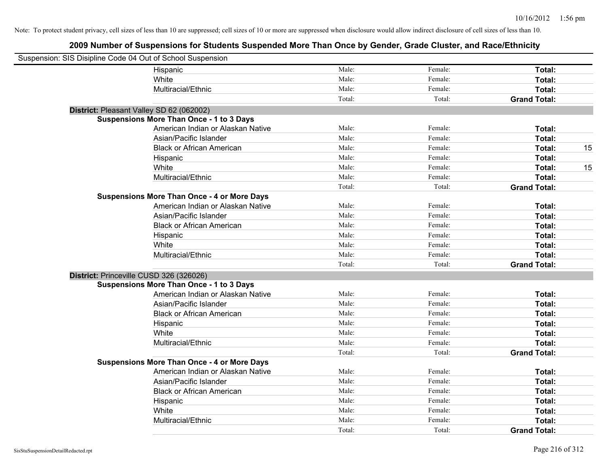| Suspension: SIS Disipline Code 04 Out of School Suspension |                                                    |        |         |                     |    |
|------------------------------------------------------------|----------------------------------------------------|--------|---------|---------------------|----|
|                                                            | Hispanic                                           | Male:  | Female: | Total:              |    |
|                                                            | White                                              | Male:  | Female: | Total:              |    |
|                                                            | Multiracial/Ethnic                                 | Male:  | Female: | Total:              |    |
|                                                            |                                                    | Total: | Total:  | <b>Grand Total:</b> |    |
| District: Pleasant Valley SD 62 (062002)                   |                                                    |        |         |                     |    |
|                                                            | <b>Suspensions More Than Once - 1 to 3 Days</b>    |        |         |                     |    |
|                                                            | American Indian or Alaskan Native                  | Male:  | Female: | Total:              |    |
|                                                            | Asian/Pacific Islander                             | Male:  | Female: | Total:              |    |
|                                                            | <b>Black or African American</b>                   | Male:  | Female: | Total:              | 15 |
|                                                            | Hispanic                                           | Male:  | Female: | Total:              |    |
|                                                            | White                                              | Male:  | Female: | Total:              | 15 |
|                                                            | Multiracial/Ethnic                                 | Male:  | Female: | Total:              |    |
|                                                            |                                                    | Total: | Total:  | <b>Grand Total:</b> |    |
|                                                            | <b>Suspensions More Than Once - 4 or More Days</b> |        |         |                     |    |
|                                                            | American Indian or Alaskan Native                  | Male:  | Female: | Total:              |    |
|                                                            | Asian/Pacific Islander                             | Male:  | Female: | Total:              |    |
|                                                            | <b>Black or African American</b>                   | Male:  | Female: | Total:              |    |
|                                                            | Hispanic                                           | Male:  | Female: | Total:              |    |
|                                                            | White                                              | Male:  | Female: | Total:              |    |
|                                                            | Multiracial/Ethnic                                 | Male:  | Female: | Total:              |    |
|                                                            |                                                    | Total: | Total:  | <b>Grand Total:</b> |    |
| District: Princeville CUSD 326 (326026)                    |                                                    |        |         |                     |    |
|                                                            | <b>Suspensions More Than Once - 1 to 3 Days</b>    |        |         |                     |    |
|                                                            | American Indian or Alaskan Native                  | Male:  | Female: | Total:              |    |
|                                                            | Asian/Pacific Islander                             | Male:  | Female: | Total:              |    |
|                                                            | <b>Black or African American</b>                   | Male:  | Female: | Total:              |    |
|                                                            | Hispanic                                           | Male:  | Female: | Total:              |    |
|                                                            | White                                              | Male:  | Female: | Total:              |    |
|                                                            | Multiracial/Ethnic                                 | Male:  | Female: | Total:              |    |
|                                                            |                                                    | Total: | Total:  | <b>Grand Total:</b> |    |
|                                                            | <b>Suspensions More Than Once - 4 or More Days</b> |        |         |                     |    |
|                                                            | American Indian or Alaskan Native                  | Male:  | Female: | Total:              |    |
|                                                            | Asian/Pacific Islander                             | Male:  | Female: | Total:              |    |
|                                                            | <b>Black or African American</b>                   | Male:  | Female: | Total:              |    |
|                                                            | Hispanic                                           | Male:  | Female: | Total:              |    |
|                                                            | White                                              | Male:  | Female: | Total:              |    |
|                                                            | Multiracial/Ethnic                                 | Male:  | Female: | Total:              |    |
|                                                            |                                                    | Total: | Total:  | <b>Grand Total:</b> |    |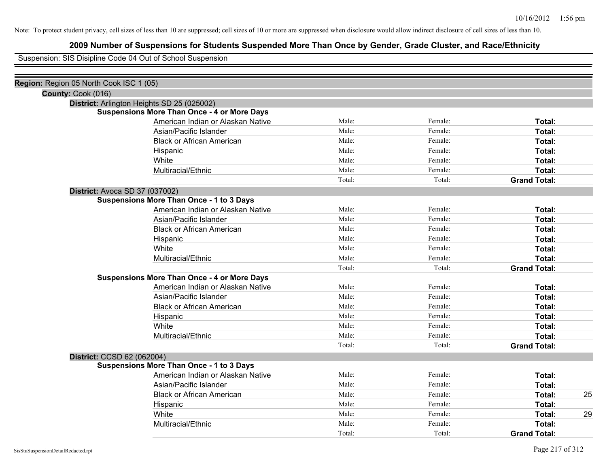### **2009 Number of Suspensions for Students Suspended More Than Once by Gender, Grade Cluster, and Race/Ethnicity**

Suspension: SIS Disipline Code 04 Out of School Suspension

| Region: Region 05 North Cook ISC 1 (05) |                                                    |        |         |                     |    |
|-----------------------------------------|----------------------------------------------------|--------|---------|---------------------|----|
| County: Cook (016)                      |                                                    |        |         |                     |    |
|                                         | District: Arlington Heights SD 25 (025002)         |        |         |                     |    |
|                                         | <b>Suspensions More Than Once - 4 or More Days</b> |        |         |                     |    |
|                                         | American Indian or Alaskan Native                  | Male:  | Female: | Total:              |    |
|                                         | Asian/Pacific Islander                             | Male:  | Female: | Total:              |    |
|                                         | <b>Black or African American</b>                   | Male:  | Female: | Total:              |    |
|                                         | Hispanic                                           | Male:  | Female: | Total:              |    |
|                                         | White                                              | Male:  | Female: | Total:              |    |
|                                         | Multiracial/Ethnic                                 | Male:  | Female: | Total:              |    |
|                                         |                                                    | Total: | Total:  | <b>Grand Total:</b> |    |
|                                         | District: Avoca SD 37 (037002)                     |        |         |                     |    |
|                                         | <b>Suspensions More Than Once - 1 to 3 Days</b>    |        |         |                     |    |
|                                         | American Indian or Alaskan Native                  | Male:  | Female: | Total:              |    |
|                                         | Asian/Pacific Islander                             | Male:  | Female: | Total:              |    |
|                                         | <b>Black or African American</b>                   | Male:  | Female: | Total:              |    |
|                                         | Hispanic                                           | Male:  | Female: | Total:              |    |
|                                         | White                                              | Male:  | Female: | Total:              |    |
|                                         | Multiracial/Ethnic                                 | Male:  | Female: | Total:              |    |
|                                         |                                                    | Total: | Total:  | <b>Grand Total:</b> |    |
|                                         | <b>Suspensions More Than Once - 4 or More Days</b> |        |         |                     |    |
|                                         | American Indian or Alaskan Native                  | Male:  | Female: | Total:              |    |
|                                         | Asian/Pacific Islander                             | Male:  | Female: | Total:              |    |
|                                         | <b>Black or African American</b>                   | Male:  | Female: | Total:              |    |
|                                         | Hispanic                                           | Male:  | Female: | Total:              |    |
|                                         | White                                              | Male:  | Female: | Total:              |    |
|                                         | Multiracial/Ethnic                                 | Male:  | Female: | <b>Total:</b>       |    |
|                                         |                                                    | Total: | Total:  | <b>Grand Total:</b> |    |
| District: CCSD 62 (062004)              |                                                    |        |         |                     |    |
|                                         | <b>Suspensions More Than Once - 1 to 3 Days</b>    |        |         |                     |    |
|                                         | American Indian or Alaskan Native                  | Male:  | Female: | Total:              |    |
|                                         | Asian/Pacific Islander                             | Male:  | Female: | Total:              |    |
|                                         | <b>Black or African American</b>                   | Male:  | Female: | Total:              | 25 |
|                                         | Hispanic                                           | Male:  | Female: | <b>Total:</b>       |    |
|                                         | White                                              | Male:  | Female: | Total:              | 29 |
|                                         | Multiracial/Ethnic                                 | Male:  | Female: | Total:              |    |
|                                         |                                                    | Total: | Total:  | <b>Grand Total:</b> |    |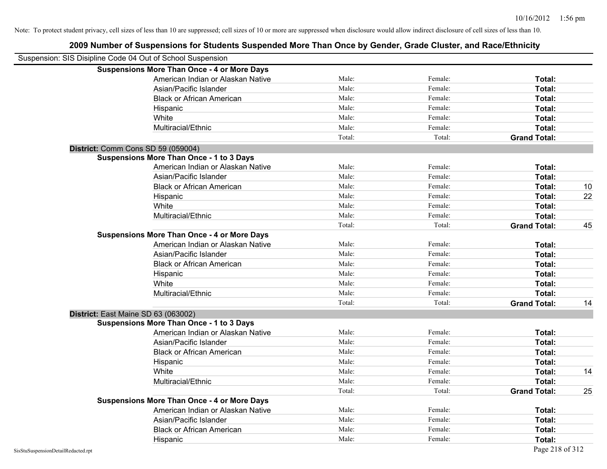| Suspension: SIS Disipline Code 04 Out of School Suspension |                                                    |        |         |                     |    |
|------------------------------------------------------------|----------------------------------------------------|--------|---------|---------------------|----|
|                                                            | <b>Suspensions More Than Once - 4 or More Days</b> |        |         |                     |    |
|                                                            | American Indian or Alaskan Native                  | Male:  | Female: | Total:              |    |
|                                                            | Asian/Pacific Islander                             | Male:  | Female: | Total:              |    |
|                                                            | <b>Black or African American</b>                   | Male:  | Female: | Total:              |    |
|                                                            | Hispanic                                           | Male:  | Female: | Total:              |    |
|                                                            | White                                              | Male:  | Female: | Total:              |    |
|                                                            | Multiracial/Ethnic                                 | Male:  | Female: | Total:              |    |
|                                                            |                                                    | Total: | Total:  | <b>Grand Total:</b> |    |
| District: Comm Cons SD 59 (059004)                         |                                                    |        |         |                     |    |
|                                                            | <b>Suspensions More Than Once - 1 to 3 Days</b>    |        |         |                     |    |
|                                                            | American Indian or Alaskan Native                  | Male:  | Female: | Total:              |    |
|                                                            | Asian/Pacific Islander                             | Male:  | Female: | Total:              |    |
|                                                            | <b>Black or African American</b>                   | Male:  | Female: | Total:              | 10 |
|                                                            | Hispanic                                           | Male:  | Female: | Total:              | 22 |
|                                                            | White                                              | Male:  | Female: | Total:              |    |
|                                                            | Multiracial/Ethnic                                 | Male:  | Female: | <b>Total:</b>       |    |
|                                                            |                                                    | Total: | Total:  | <b>Grand Total:</b> | 45 |
|                                                            | <b>Suspensions More Than Once - 4 or More Days</b> |        |         |                     |    |
|                                                            | American Indian or Alaskan Native                  | Male:  | Female: | Total:              |    |
|                                                            | Asian/Pacific Islander                             | Male:  | Female: | Total:              |    |
|                                                            | <b>Black or African American</b>                   | Male:  | Female: | Total:              |    |
|                                                            | Hispanic                                           | Male:  | Female: | Total:              |    |
|                                                            | White                                              | Male:  | Female: | Total:              |    |
|                                                            | Multiracial/Ethnic                                 | Male:  | Female: | Total:              |    |
|                                                            |                                                    | Total: | Total:  | <b>Grand Total:</b> | 14 |
| District: East Maine SD 63 (063002)                        |                                                    |        |         |                     |    |
|                                                            | <b>Suspensions More Than Once - 1 to 3 Days</b>    |        |         |                     |    |
|                                                            | American Indian or Alaskan Native                  | Male:  | Female: | Total:              |    |
|                                                            | Asian/Pacific Islander                             | Male:  | Female: | Total:              |    |
|                                                            | <b>Black or African American</b>                   | Male:  | Female: | <b>Total:</b>       |    |
|                                                            | Hispanic                                           | Male:  | Female: | Total:              |    |
|                                                            | White                                              | Male:  | Female: | Total:              | 14 |
|                                                            | Multiracial/Ethnic                                 | Male:  | Female: | Total:              |    |
|                                                            |                                                    | Total: | Total:  | <b>Grand Total:</b> | 25 |
|                                                            | <b>Suspensions More Than Once - 4 or More Days</b> |        |         |                     |    |
|                                                            | American Indian or Alaskan Native                  | Male:  | Female: | Total:              |    |
|                                                            | Asian/Pacific Islander                             | Male:  | Female: | Total:              |    |
|                                                            | <b>Black or African American</b>                   | Male:  | Female: | Total:              |    |
|                                                            | Hispanic                                           | Male:  | Female: | Total:              |    |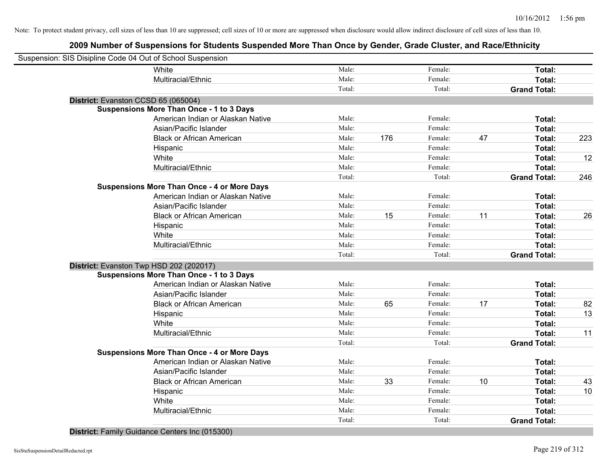| Suspension: SIS Disipline Code 04 Out of School Suspension |        |     |         |    |                     |     |
|------------------------------------------------------------|--------|-----|---------|----|---------------------|-----|
| White                                                      | Male:  |     | Female: |    | Total:              |     |
| Multiracial/Ethnic                                         | Male:  |     | Female: |    | Total:              |     |
|                                                            | Total: |     | Total:  |    | <b>Grand Total:</b> |     |
| District: Evanston CCSD 65 (065004)                        |        |     |         |    |                     |     |
| <b>Suspensions More Than Once - 1 to 3 Days</b>            |        |     |         |    |                     |     |
| American Indian or Alaskan Native                          | Male:  |     | Female: |    | Total:              |     |
| Asian/Pacific Islander                                     | Male:  |     | Female: |    | Total:              |     |
| <b>Black or African American</b>                           | Male:  | 176 | Female: | 47 | Total:              | 223 |
| Hispanic                                                   | Male:  |     | Female: |    | Total:              |     |
| White                                                      | Male:  |     | Female: |    | Total:              | 12  |
| Multiracial/Ethnic                                         | Male:  |     | Female: |    | Total:              |     |
|                                                            | Total: |     | Total:  |    | <b>Grand Total:</b> | 246 |
| <b>Suspensions More Than Once - 4 or More Days</b>         |        |     |         |    |                     |     |
| American Indian or Alaskan Native                          | Male:  |     | Female: |    | Total:              |     |
| Asian/Pacific Islander                                     | Male:  |     | Female: |    | Total:              |     |
| <b>Black or African American</b>                           | Male:  | 15  | Female: | 11 | Total:              | 26  |
| Hispanic                                                   | Male:  |     | Female: |    | Total:              |     |
| White                                                      | Male:  |     | Female: |    | Total:              |     |
| Multiracial/Ethnic                                         | Male:  |     | Female: |    | Total:              |     |
|                                                            | Total: |     | Total:  |    | <b>Grand Total:</b> |     |
| District: Evanston Twp HSD 202 (202017)                    |        |     |         |    |                     |     |
| <b>Suspensions More Than Once - 1 to 3 Days</b>            |        |     |         |    |                     |     |
| American Indian or Alaskan Native                          | Male:  |     | Female: |    | Total:              |     |
| Asian/Pacific Islander                                     | Male:  |     | Female: |    | Total:              |     |
| <b>Black or African American</b>                           | Male:  | 65  | Female: | 17 | Total:              | 82  |
| Hispanic                                                   | Male:  |     | Female: |    | Total:              | 13  |
| White                                                      | Male:  |     | Female: |    | Total:              |     |
| Multiracial/Ethnic                                         | Male:  |     | Female: |    | Total:              | 11  |
|                                                            | Total: |     | Total:  |    | <b>Grand Total:</b> |     |
| <b>Suspensions More Than Once - 4 or More Days</b>         |        |     |         |    |                     |     |
| American Indian or Alaskan Native                          | Male:  |     | Female: |    | Total:              |     |
| Asian/Pacific Islander                                     | Male:  |     | Female: |    | Total:              |     |
| <b>Black or African American</b>                           | Male:  | 33  | Female: | 10 | Total:              | 43  |
| Hispanic                                                   | Male:  |     | Female: |    | <b>Total:</b>       | 10  |
| White                                                      | Male:  |     | Female: |    | Total:              |     |
| Multiracial/Ethnic                                         | Male:  |     | Female: |    | Total:              |     |
|                                                            | Total: |     | Total:  |    | <b>Grand Total:</b> |     |
|                                                            |        |     |         |    |                     |     |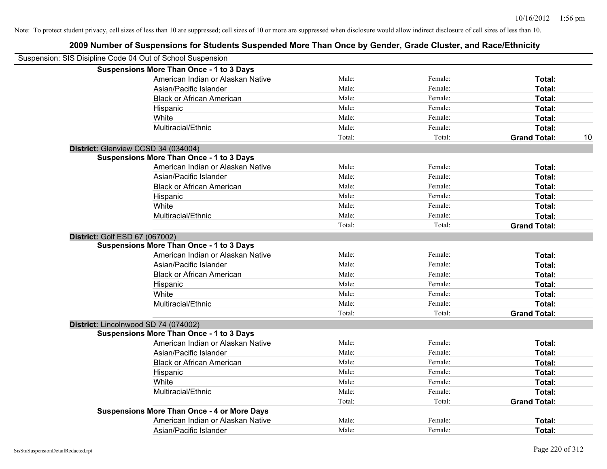| 2009 Number of Suspensions for Students Suspended More Than Once by Gender, Grade Cluster, and Race/Ethnicity |        |         |                           |
|---------------------------------------------------------------------------------------------------------------|--------|---------|---------------------------|
| Suspension: SIS Disipline Code 04 Out of School Suspension                                                    |        |         |                           |
| <b>Suspensions More Than Once - 1 to 3 Days</b>                                                               |        |         |                           |
| American Indian or Alaskan Native                                                                             | Male:  | Female: | Total:                    |
| Asian/Pacific Islander                                                                                        | Male:  | Female: | Total:                    |
| <b>Black or African American</b>                                                                              | Male:  | Female: | Total:                    |
| Hispanic                                                                                                      | Male:  | Female: | Total:                    |
| White                                                                                                         | Male:  | Female: | Total:                    |
| Multiracial/Ethnic                                                                                            | Male:  | Female: | Total:                    |
|                                                                                                               | Total: | Total:  | <b>Grand Total:</b><br>10 |
| District: Glenview CCSD 34 (034004)                                                                           |        |         |                           |
| <b>Suspensions More Than Once - 1 to 3 Days</b>                                                               |        |         |                           |
| American Indian or Alaskan Native                                                                             | Male:  | Female: | Total:                    |
| Asian/Pacific Islander                                                                                        | Male:  | Female: | Total:                    |
| <b>Black or African American</b>                                                                              | Male:  | Female: | Total:                    |
| Hispanic                                                                                                      | Male:  | Female: | Total:                    |
| White                                                                                                         | Male:  | Female: | Total:                    |
| Multiracial/Ethnic                                                                                            | Male:  | Female: | Total:                    |
|                                                                                                               | Total: | Total:  | <b>Grand Total:</b>       |
| District: Golf ESD 67 (067002)                                                                                |        |         |                           |
| <b>Suspensions More Than Once - 1 to 3 Days</b>                                                               |        |         |                           |
| American Indian or Alaskan Native                                                                             | Male:  | Female: | Total:                    |
| Asian/Pacific Islander                                                                                        | Male:  | Female: | Total:                    |
| <b>Black or African American</b>                                                                              | Male:  | Female: | Total:                    |
| Hispanic                                                                                                      | Male:  | Female: | Total:                    |
| White                                                                                                         | Male:  | Female: | Total:                    |
| Multiracial/Ethnic                                                                                            | Male:  | Female: | Total:                    |
|                                                                                                               | Total: | Total:  | <b>Grand Total:</b>       |
| District: Lincolnwood SD 74 (074002)                                                                          |        |         |                           |
| <b>Suspensions More Than Once - 1 to 3 Days</b>                                                               |        |         |                           |
| American Indian or Alaskan Native                                                                             | Male:  | Female: | Total:                    |
| Asian/Pacific Islander                                                                                        | Male:  | Female: | Total:                    |
| <b>Black or African American</b>                                                                              | Male:  | Female: | Total:                    |
| Hispanic                                                                                                      | Male:  | Female: | Total:                    |
| White                                                                                                         | Male:  | Female: | Total:                    |
| Multiracial/Ethnic                                                                                            | Male:  | Female: | Total:                    |
|                                                                                                               | Total: | Total:  | <b>Grand Total:</b>       |
| <b>Suspensions More Than Once - 4 or More Days</b>                                                            |        |         |                           |
| American Indian or Alaskan Native                                                                             | Male:  | Female: | Total:                    |
| Asian/Pacific Islander                                                                                        | Male:  | Female: | Total:                    |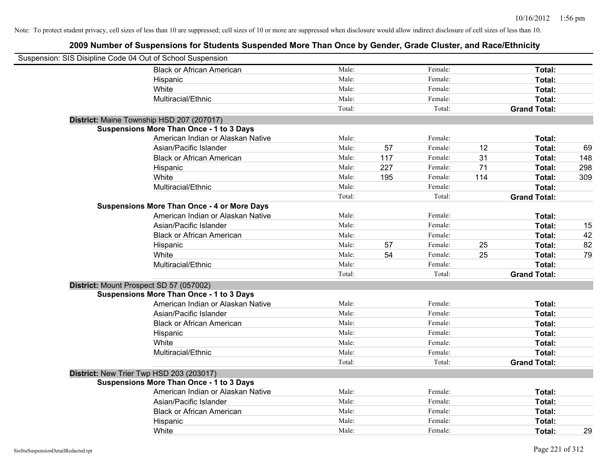| Suspension: SIS Disipline Code 04 Out of School Suspension |                                                    |        |     |         |     |                     |     |
|------------------------------------------------------------|----------------------------------------------------|--------|-----|---------|-----|---------------------|-----|
|                                                            | <b>Black or African American</b>                   | Male:  |     | Female: |     | Total:              |     |
|                                                            | Hispanic                                           | Male:  |     | Female: |     | Total:              |     |
|                                                            | White                                              | Male:  |     | Female: |     | Total:              |     |
|                                                            | Multiracial/Ethnic                                 | Male:  |     | Female: |     | Total:              |     |
|                                                            |                                                    | Total: |     | Total:  |     | <b>Grand Total:</b> |     |
|                                                            | District: Maine Township HSD 207 (207017)          |        |     |         |     |                     |     |
|                                                            | <b>Suspensions More Than Once - 1 to 3 Days</b>    |        |     |         |     |                     |     |
|                                                            | American Indian or Alaskan Native                  | Male:  |     | Female: |     | Total:              |     |
|                                                            | Asian/Pacific Islander                             | Male:  | 57  | Female: | 12  | Total:              | 69  |
|                                                            | <b>Black or African American</b>                   | Male:  | 117 | Female: | 31  | Total:              | 148 |
|                                                            | Hispanic                                           | Male:  | 227 | Female: | 71  | Total:              | 298 |
|                                                            | White                                              | Male:  | 195 | Female: | 114 | Total:              | 309 |
|                                                            | Multiracial/Ethnic                                 | Male:  |     | Female: |     | Total:              |     |
|                                                            |                                                    | Total: |     | Total:  |     | <b>Grand Total:</b> |     |
|                                                            | <b>Suspensions More Than Once - 4 or More Days</b> |        |     |         |     |                     |     |
|                                                            | American Indian or Alaskan Native                  | Male:  |     | Female: |     | Total:              |     |
|                                                            | Asian/Pacific Islander                             | Male:  |     | Female: |     | Total:              | 15  |
|                                                            | <b>Black or African American</b>                   | Male:  |     | Female: |     | Total:              | 42  |
|                                                            | Hispanic                                           | Male:  | 57  | Female: | 25  | Total:              | 82  |
|                                                            | White                                              | Male:  | 54  | Female: | 25  | Total:              | 79  |
|                                                            | Multiracial/Ethnic                                 | Male:  |     | Female: |     | Total:              |     |
|                                                            |                                                    | Total: |     | Total:  |     | <b>Grand Total:</b> |     |
|                                                            | District: Mount Prospect SD 57 (057002)            |        |     |         |     |                     |     |
|                                                            | <b>Suspensions More Than Once - 1 to 3 Days</b>    |        |     |         |     |                     |     |
|                                                            | American Indian or Alaskan Native                  | Male:  |     | Female: |     | Total:              |     |
|                                                            | Asian/Pacific Islander                             | Male:  |     | Female: |     | Total:              |     |
|                                                            | <b>Black or African American</b>                   | Male:  |     | Female: |     | Total:              |     |
|                                                            | Hispanic                                           | Male:  |     | Female: |     | Total:              |     |
|                                                            | White                                              | Male:  |     | Female: |     | Total:              |     |
|                                                            | Multiracial/Ethnic                                 | Male:  |     | Female: |     | Total:              |     |
|                                                            |                                                    | Total: |     | Total:  |     | <b>Grand Total:</b> |     |
|                                                            | District: New Trier Twp HSD 203 (203017)           |        |     |         |     |                     |     |
|                                                            | <b>Suspensions More Than Once - 1 to 3 Days</b>    |        |     |         |     |                     |     |
|                                                            | American Indian or Alaskan Native                  | Male:  |     | Female: |     | Total:              |     |
|                                                            | Asian/Pacific Islander                             | Male:  |     | Female: |     | Total:              |     |
|                                                            | <b>Black or African American</b>                   | Male:  |     | Female: |     | Total:              |     |
|                                                            | Hispanic                                           | Male:  |     | Female: |     | <b>Total:</b>       |     |
|                                                            | White                                              | Male:  |     | Female: |     | Total:              | 29  |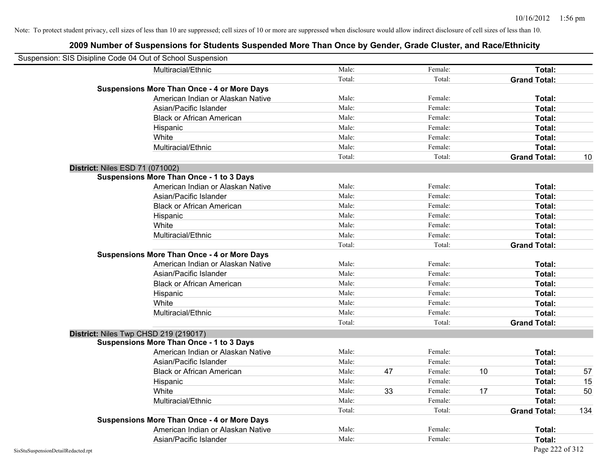| Suspension: SIS Disipline Code 04 Out of School Suspension |                                                    |        |               |    |                     |     |
|------------------------------------------------------------|----------------------------------------------------|--------|---------------|----|---------------------|-----|
|                                                            | Multiracial/Ethnic                                 | Male:  | Female:       |    | Total:              |     |
|                                                            |                                                    | Total: | Total:        |    | <b>Grand Total:</b> |     |
|                                                            | <b>Suspensions More Than Once - 4 or More Days</b> |        |               |    |                     |     |
|                                                            | American Indian or Alaskan Native                  | Male:  | Female:       |    | Total:              |     |
|                                                            | Asian/Pacific Islander                             | Male:  | Female:       |    | Total:              |     |
|                                                            | <b>Black or African American</b>                   | Male:  | Female:       |    | Total:              |     |
|                                                            | Hispanic                                           | Male:  | Female:       |    | Total:              |     |
|                                                            | White                                              | Male:  | Female:       |    | Total:              |     |
|                                                            | Multiracial/Ethnic                                 | Male:  | Female:       |    | Total:              |     |
|                                                            |                                                    | Total: | Total:        |    | <b>Grand Total:</b> | 10  |
| District: Niles ESD 71 (071002)                            |                                                    |        |               |    |                     |     |
|                                                            | Suspensions More Than Once - 1 to 3 Days           |        |               |    |                     |     |
|                                                            | American Indian or Alaskan Native                  | Male:  | Female:       |    | Total:              |     |
|                                                            | Asian/Pacific Islander                             | Male:  | Female:       |    | Total:              |     |
|                                                            | <b>Black or African American</b>                   | Male:  | Female:       |    | Total:              |     |
|                                                            | Hispanic                                           | Male:  | Female:       |    | Total:              |     |
|                                                            | White                                              | Male:  | Female:       |    | Total:              |     |
|                                                            | Multiracial/Ethnic                                 | Male:  | Female:       |    | Total:              |     |
|                                                            |                                                    | Total: | Total:        |    | <b>Grand Total:</b> |     |
|                                                            | <b>Suspensions More Than Once - 4 or More Days</b> |        |               |    |                     |     |
|                                                            | American Indian or Alaskan Native                  | Male:  | Female:       |    | Total:              |     |
|                                                            | Asian/Pacific Islander                             | Male:  | Female:       |    | Total:              |     |
|                                                            | <b>Black or African American</b>                   | Male:  | Female:       |    | Total:              |     |
|                                                            | Hispanic                                           | Male:  | Female:       |    | Total:              |     |
|                                                            | White                                              | Male:  | Female:       |    | Total:              |     |
|                                                            | Multiracial/Ethnic                                 | Male:  | Female:       |    | Total:              |     |
|                                                            |                                                    | Total: | Total:        |    | <b>Grand Total:</b> |     |
| District: Niles Twp CHSD 219 (219017)                      |                                                    |        |               |    |                     |     |
|                                                            | <b>Suspensions More Than Once - 1 to 3 Days</b>    |        |               |    |                     |     |
|                                                            | American Indian or Alaskan Native                  | Male:  | Female:       |    | Total:              |     |
|                                                            | Asian/Pacific Islander                             | Male:  | Female:       |    | Total:              |     |
|                                                            | <b>Black or African American</b>                   | Male:  | 47<br>Female: | 10 | Total:              | 57  |
|                                                            | Hispanic                                           | Male:  | Female:       |    | Total:              | 15  |
|                                                            | White                                              | Male:  | 33<br>Female: | 17 | Total:              | 50  |
|                                                            | Multiracial/Ethnic                                 | Male:  | Female:       |    | Total:              |     |
|                                                            |                                                    | Total: | Total:        |    | <b>Grand Total:</b> | 134 |
|                                                            | <b>Suspensions More Than Once - 4 or More Days</b> |        |               |    |                     |     |
|                                                            | American Indian or Alaskan Native                  | Male:  | Female:       |    | Total:              |     |
|                                                            | Asian/Pacific Islander                             | Male:  | Female:       |    | Total:              |     |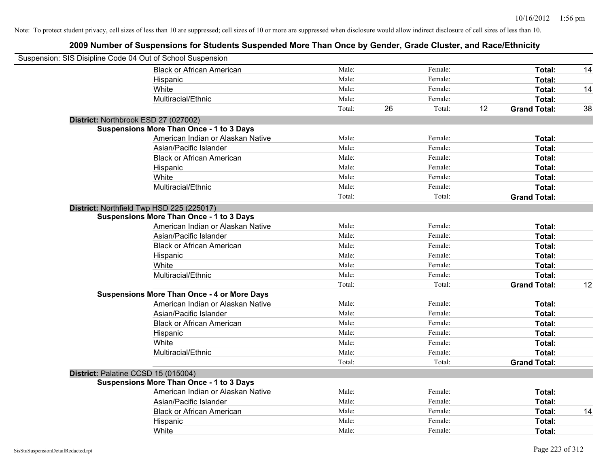| Suspension: SIS Disipline Code 04 Out of School Suspension |                                                    |        |    |         |    |                     |    |
|------------------------------------------------------------|----------------------------------------------------|--------|----|---------|----|---------------------|----|
|                                                            | <b>Black or African American</b>                   | Male:  |    | Female: |    | Total:              | 14 |
|                                                            | Hispanic                                           | Male:  |    | Female: |    | Total:              |    |
|                                                            | White                                              | Male:  |    | Female: |    | Total:              | 14 |
|                                                            | Multiracial/Ethnic                                 | Male:  |    | Female: |    | Total:              |    |
|                                                            |                                                    | Total: | 26 | Total:  | 12 | <b>Grand Total:</b> | 38 |
|                                                            | District: Northbrook ESD 27 (027002)               |        |    |         |    |                     |    |
|                                                            | <b>Suspensions More Than Once - 1 to 3 Days</b>    |        |    |         |    |                     |    |
|                                                            | American Indian or Alaskan Native                  | Male:  |    | Female: |    | Total:              |    |
|                                                            | Asian/Pacific Islander                             | Male:  |    | Female: |    | Total:              |    |
|                                                            | <b>Black or African American</b>                   | Male:  |    | Female: |    | Total:              |    |
|                                                            | Hispanic                                           | Male:  |    | Female: |    | Total:              |    |
|                                                            | White                                              | Male:  |    | Female: |    | Total:              |    |
|                                                            | Multiracial/Ethnic                                 | Male:  |    | Female: |    | Total:              |    |
|                                                            |                                                    | Total: |    | Total:  |    | <b>Grand Total:</b> |    |
|                                                            | District: Northfield Twp HSD 225 (225017)          |        |    |         |    |                     |    |
|                                                            | <b>Suspensions More Than Once - 1 to 3 Days</b>    |        |    |         |    |                     |    |
|                                                            | American Indian or Alaskan Native                  | Male:  |    | Female: |    | Total:              |    |
|                                                            | Asian/Pacific Islander                             | Male:  |    | Female: |    | Total:              |    |
|                                                            | <b>Black or African American</b>                   | Male:  |    | Female: |    | Total:              |    |
|                                                            | Hispanic                                           | Male:  |    | Female: |    | Total:              |    |
|                                                            | White                                              | Male:  |    | Female: |    | Total:              |    |
|                                                            | Multiracial/Ethnic                                 | Male:  |    | Female: |    | Total:              |    |
|                                                            |                                                    | Total: |    | Total:  |    | <b>Grand Total:</b> | 12 |
|                                                            | <b>Suspensions More Than Once - 4 or More Days</b> |        |    |         |    |                     |    |
|                                                            | American Indian or Alaskan Native                  | Male:  |    | Female: |    | Total:              |    |
|                                                            | Asian/Pacific Islander                             | Male:  |    | Female: |    | Total:              |    |
|                                                            | <b>Black or African American</b>                   | Male:  |    | Female: |    | Total:              |    |
|                                                            | Hispanic                                           | Male:  |    | Female: |    | Total:              |    |
|                                                            | White                                              | Male:  |    | Female: |    | Total:              |    |
|                                                            | Multiracial/Ethnic                                 | Male:  |    | Female: |    | Total:              |    |
|                                                            |                                                    | Total: |    | Total:  |    | <b>Grand Total:</b> |    |
|                                                            | District: Palatine CCSD 15 (015004)                |        |    |         |    |                     |    |
|                                                            | <b>Suspensions More Than Once - 1 to 3 Days</b>    |        |    |         |    |                     |    |
|                                                            | American Indian or Alaskan Native                  | Male:  |    | Female: |    | Total:              |    |
|                                                            | Asian/Pacific Islander                             | Male:  |    | Female: |    | Total:              |    |
|                                                            | <b>Black or African American</b>                   | Male:  |    | Female: |    | Total:              | 14 |
|                                                            | Hispanic                                           | Male:  |    | Female: |    | Total:              |    |
|                                                            | White                                              | Male:  |    | Female: |    | Total:              |    |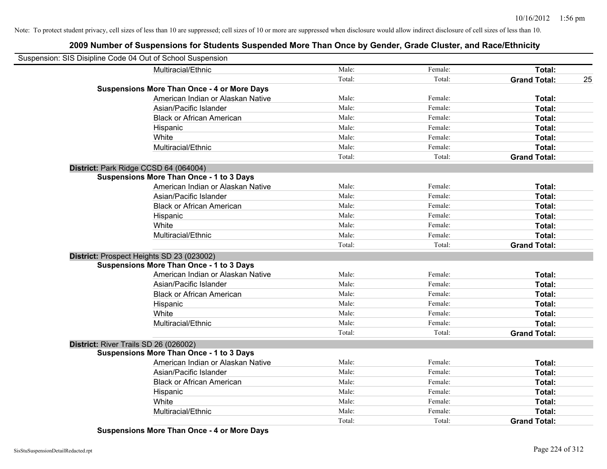### **2009 Number of Suspensions for Students Suspended More Than Once by Gender, Grade Cluster, and Race/Ethnicity**

| Suspension: SIS Disipline Code 04 Out of School Suspension |                                                    |        |         |                     |    |
|------------------------------------------------------------|----------------------------------------------------|--------|---------|---------------------|----|
|                                                            | Multiracial/Ethnic                                 | Male:  | Female: | Total:              |    |
|                                                            |                                                    | Total: | Total:  | <b>Grand Total:</b> | 25 |
|                                                            | <b>Suspensions More Than Once - 4 or More Days</b> |        |         |                     |    |
|                                                            | American Indian or Alaskan Native                  | Male:  | Female: | Total:              |    |
|                                                            | Asian/Pacific Islander                             | Male:  | Female: | Total:              |    |
|                                                            | <b>Black or African American</b>                   | Male:  | Female: | Total:              |    |
|                                                            | Hispanic                                           | Male:  | Female: | Total:              |    |
|                                                            | White                                              | Male:  | Female: | Total:              |    |
|                                                            | Multiracial/Ethnic                                 | Male:  | Female: | Total:              |    |
|                                                            |                                                    | Total: | Total:  | <b>Grand Total:</b> |    |
| District: Park Ridge CCSD 64 (064004)                      |                                                    |        |         |                     |    |
|                                                            | <b>Suspensions More Than Once - 1 to 3 Days</b>    |        |         |                     |    |
|                                                            | American Indian or Alaskan Native                  | Male:  | Female: | Total:              |    |
|                                                            | Asian/Pacific Islander                             | Male:  | Female: | Total:              |    |
|                                                            | <b>Black or African American</b>                   | Male:  | Female: | Total:              |    |
|                                                            | Hispanic                                           | Male:  | Female: | Total:              |    |
|                                                            | White                                              | Male:  | Female: | Total:              |    |
|                                                            | Multiracial/Ethnic                                 | Male:  | Female: | Total:              |    |
|                                                            |                                                    | Total: | Total:  | <b>Grand Total:</b> |    |
|                                                            | District: Prospect Heights SD 23 (023002)          |        |         |                     |    |
|                                                            | <b>Suspensions More Than Once - 1 to 3 Days</b>    |        |         |                     |    |
|                                                            | American Indian or Alaskan Native                  | Male:  | Female: | Total:              |    |
|                                                            | Asian/Pacific Islander                             | Male:  | Female: | Total:              |    |
|                                                            | <b>Black or African American</b>                   | Male:  | Female: | Total:              |    |
|                                                            | Hispanic                                           | Male:  | Female: | Total:              |    |
|                                                            | White                                              | Male:  | Female: | Total:              |    |
|                                                            | Multiracial/Ethnic                                 | Male:  | Female: | Total:              |    |
|                                                            |                                                    | Total: | Total:  | <b>Grand Total:</b> |    |
| District: River Trails SD 26 (026002)                      |                                                    |        |         |                     |    |
|                                                            | <b>Suspensions More Than Once - 1 to 3 Days</b>    |        |         |                     |    |
|                                                            | American Indian or Alaskan Native                  | Male:  | Female: | Total:              |    |
|                                                            | Asian/Pacific Islander                             | Male:  | Female: | Total:              |    |
|                                                            | <b>Black or African American</b>                   | Male:  | Female: | Total:              |    |
|                                                            | Hispanic                                           | Male:  | Female: | Total:              |    |
|                                                            | White                                              | Male:  | Female: | Total:              |    |
|                                                            | Multiracial/Ethnic                                 | Male:  | Female: | Total:              |    |
|                                                            |                                                    | Total: | Total:  | <b>Grand Total:</b> |    |

**Suspensions More Than Once - 4 or More Days**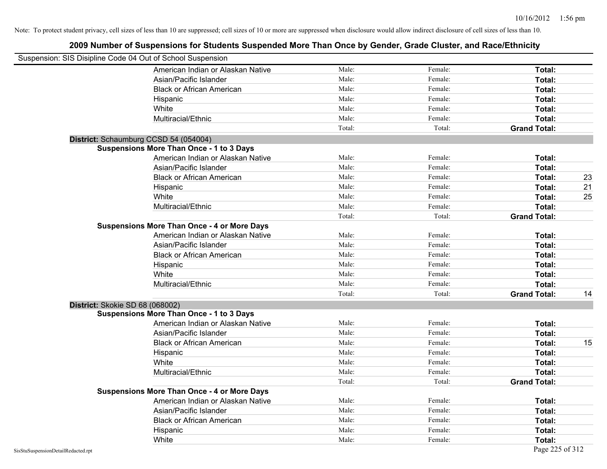| Suspension: SIS Disipline Code 04 Out of School Suspension |                                                    |        |         |                     |    |
|------------------------------------------------------------|----------------------------------------------------|--------|---------|---------------------|----|
|                                                            | American Indian or Alaskan Native                  | Male:  | Female: | Total:              |    |
|                                                            | Asian/Pacific Islander                             | Male:  | Female: | Total:              |    |
|                                                            | <b>Black or African American</b>                   | Male:  | Female: | Total:              |    |
|                                                            | Hispanic                                           | Male:  | Female: | Total:              |    |
|                                                            | White                                              | Male:  | Female: | Total:              |    |
|                                                            | Multiracial/Ethnic                                 | Male:  | Female: | Total:              |    |
|                                                            |                                                    | Total: | Total:  | <b>Grand Total:</b> |    |
| District: Schaumburg CCSD 54 (054004)                      |                                                    |        |         |                     |    |
|                                                            | <b>Suspensions More Than Once - 1 to 3 Days</b>    |        |         |                     |    |
|                                                            | American Indian or Alaskan Native                  | Male:  | Female: | Total:              |    |
|                                                            | Asian/Pacific Islander                             | Male:  | Female: | Total:              |    |
|                                                            | <b>Black or African American</b>                   | Male:  | Female: | Total:              | 23 |
|                                                            | Hispanic                                           | Male:  | Female: | Total:              | 21 |
|                                                            | White                                              | Male:  | Female: | Total:              | 25 |
|                                                            | Multiracial/Ethnic                                 | Male:  | Female: | Total:              |    |
|                                                            |                                                    | Total: | Total:  | <b>Grand Total:</b> |    |
|                                                            | <b>Suspensions More Than Once - 4 or More Days</b> |        |         |                     |    |
|                                                            | American Indian or Alaskan Native                  | Male:  | Female: | Total:              |    |
|                                                            | Asian/Pacific Islander                             | Male:  | Female: | Total:              |    |
|                                                            | <b>Black or African American</b>                   | Male:  | Female: | Total:              |    |
|                                                            | Hispanic                                           | Male:  | Female: | Total:              |    |
|                                                            | White                                              | Male:  | Female: | Total:              |    |
|                                                            | Multiracial/Ethnic                                 | Male:  | Female: | Total:              |    |
|                                                            |                                                    | Total: | Total:  | <b>Grand Total:</b> | 14 |
| District: Skokie SD 68 (068002)                            |                                                    |        |         |                     |    |
|                                                            | <b>Suspensions More Than Once - 1 to 3 Days</b>    |        |         |                     |    |
|                                                            | American Indian or Alaskan Native                  | Male:  | Female: | Total:              |    |
|                                                            | Asian/Pacific Islander                             | Male:  | Female: | Total:              |    |
|                                                            | <b>Black or African American</b>                   | Male:  | Female: | Total:              | 15 |
|                                                            | Hispanic                                           | Male:  | Female: | Total:              |    |
|                                                            | White                                              | Male:  | Female: | Total:              |    |
|                                                            | Multiracial/Ethnic                                 | Male:  | Female: | Total:              |    |
|                                                            |                                                    | Total: | Total:  | <b>Grand Total:</b> |    |
|                                                            | <b>Suspensions More Than Once - 4 or More Days</b> |        |         |                     |    |
|                                                            | American Indian or Alaskan Native                  | Male:  | Female: | Total:              |    |
|                                                            | Asian/Pacific Islander                             | Male:  | Female: | Total:              |    |
|                                                            | <b>Black or African American</b>                   | Male:  | Female: | Total:              |    |
|                                                            | Hispanic                                           | Male:  | Female: | Total:              |    |
|                                                            | White                                              | Male:  | Female: | Total:              |    |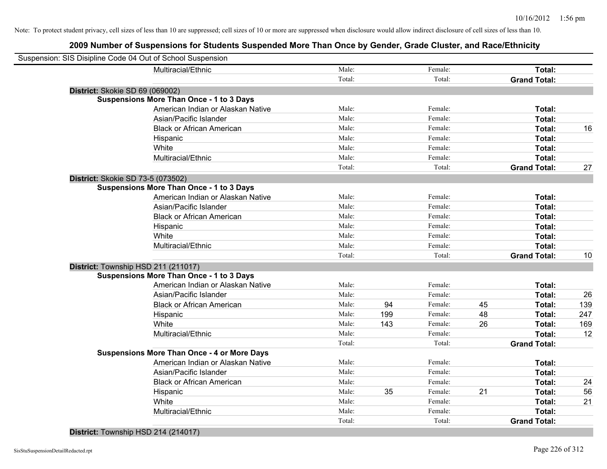| Suspension: SIS Disipline Code 04 Out of School Suspension |        |                |    |                     |     |
|------------------------------------------------------------|--------|----------------|----|---------------------|-----|
| Multiracial/Ethnic                                         | Male:  | Female:        |    | Total:              |     |
|                                                            | Total: | Total:         |    | <b>Grand Total:</b> |     |
| District: Skokie SD 69 (069002)                            |        |                |    |                     |     |
| <b>Suspensions More Than Once - 1 to 3 Days</b>            |        |                |    |                     |     |
| American Indian or Alaskan Native                          | Male:  | Female:        |    | Total:              |     |
| Asian/Pacific Islander                                     | Male:  | Female:        |    | Total:              |     |
| <b>Black or African American</b>                           | Male:  | Female:        |    | Total:              | 16  |
| Hispanic                                                   | Male:  | Female:        |    | Total:              |     |
| White                                                      | Male:  | Female:        |    | Total:              |     |
| Multiracial/Ethnic                                         | Male:  | Female:        |    | Total:              |     |
|                                                            | Total: | Total:         |    | <b>Grand Total:</b> | 27  |
| District: Skokie SD 73-5 (073502)                          |        |                |    |                     |     |
| <b>Suspensions More Than Once - 1 to 3 Days</b>            |        |                |    |                     |     |
| American Indian or Alaskan Native                          | Male:  | Female:        |    | Total:              |     |
| Asian/Pacific Islander                                     | Male:  | Female:        |    | Total:              |     |
| <b>Black or African American</b>                           | Male:  | Female:        |    | Total:              |     |
| Hispanic                                                   | Male:  | Female:        |    | Total:              |     |
| White                                                      | Male:  | Female:        |    | Total:              |     |
| Multiracial/Ethnic                                         | Male:  | Female:        |    | Total:              |     |
|                                                            | Total: | Total:         |    | <b>Grand Total:</b> | 10  |
| District: Township HSD 211 (211017)                        |        |                |    |                     |     |
| <b>Suspensions More Than Once - 1 to 3 Days</b>            |        |                |    |                     |     |
| American Indian or Alaskan Native                          | Male:  | Female:        |    | Total:              |     |
| Asian/Pacific Islander                                     | Male:  | Female:        |    | Total:              | 26  |
| <b>Black or African American</b>                           | Male:  | 94<br>Female:  | 45 | Total:              | 139 |
| Hispanic                                                   | Male:  | 199<br>Female: | 48 | Total:              | 247 |
| White                                                      | Male:  | 143<br>Female: | 26 | Total:              | 169 |
| Multiracial/Ethnic                                         | Male:  | Female:        |    | Total:              | 12  |
|                                                            | Total: | Total:         |    | <b>Grand Total:</b> |     |
| <b>Suspensions More Than Once - 4 or More Days</b>         |        |                |    |                     |     |
| American Indian or Alaskan Native                          | Male:  | Female:        |    | Total:              |     |
| Asian/Pacific Islander                                     | Male:  | Female:        |    | Total:              |     |
| <b>Black or African American</b>                           | Male:  | Female:        |    | Total:              | 24  |
| Hispanic                                                   | Male:  | 35<br>Female:  | 21 | Total:              | 56  |
| White                                                      | Male:  | Female:        |    | Total:              | 21  |
| Multiracial/Ethnic                                         | Male:  | Female:        |    | Total:              |     |
|                                                            | Total: | Total:         |    | <b>Grand Total:</b> |     |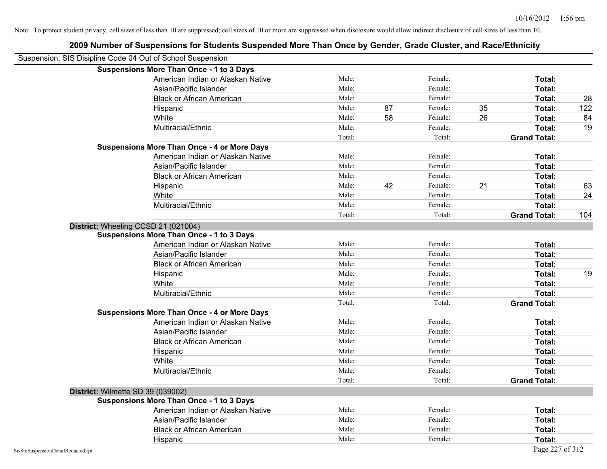|                                    | <b>Suspensions More Than Once - 1 to 3 Days</b>    |        |    |         |    |                     |     |
|------------------------------------|----------------------------------------------------|--------|----|---------|----|---------------------|-----|
|                                    | American Indian or Alaskan Native                  | Male:  |    | Female: |    | Total:              |     |
|                                    | Asian/Pacific Islander                             | Male:  |    | Female: |    | Total:              |     |
|                                    | <b>Black or African American</b>                   | Male:  |    | Female: |    | Total:              | 28  |
|                                    | Hispanic                                           | Male:  | 87 | Female: | 35 | Total:              | 122 |
|                                    | White                                              | Male:  | 58 | Female: | 26 | Total:              | 84  |
|                                    | Multiracial/Ethnic                                 | Male:  |    | Female: |    | Total:              | 19  |
|                                    |                                                    | Total: |    | Total:  |    | <b>Grand Total:</b> |     |
|                                    | <b>Suspensions More Than Once - 4 or More Days</b> |        |    |         |    |                     |     |
|                                    | American Indian or Alaskan Native                  | Male:  |    | Female: |    | Total:              |     |
|                                    | Asian/Pacific Islander                             | Male:  |    | Female: |    | Total:              |     |
|                                    | <b>Black or African American</b>                   | Male:  |    | Female: |    | Total:              |     |
|                                    | Hispanic                                           | Male:  | 42 | Female: | 21 | Total:              | 63  |
|                                    | White                                              | Male:  |    | Female: |    | Total:              | 24  |
|                                    | Multiracial/Ethnic                                 | Male:  |    | Female: |    | Total:              |     |
|                                    |                                                    | Total: |    | Total:  |    | <b>Grand Total:</b> | 104 |
|                                    | District: Wheeling CCSD 21 (021004)                |        |    |         |    |                     |     |
|                                    | <b>Suspensions More Than Once - 1 to 3 Days</b>    |        |    |         |    |                     |     |
|                                    | American Indian or Alaskan Native                  | Male:  |    | Female: |    | Total:              |     |
|                                    | Asian/Pacific Islander                             | Male:  |    | Female: |    | Total:              |     |
|                                    | <b>Black or African American</b>                   | Male:  |    | Female: |    | Total:              |     |
|                                    | Hispanic                                           | Male:  |    | Female: |    | Total:              | 19  |
|                                    | White                                              | Male:  |    | Female: |    | Total:              |     |
|                                    | Multiracial/Ethnic                                 | Male:  |    | Female: |    | Total:              |     |
|                                    |                                                    | Total: |    | Total:  |    | <b>Grand Total:</b> |     |
|                                    | <b>Suspensions More Than Once - 4 or More Days</b> |        |    |         |    |                     |     |
|                                    | American Indian or Alaskan Native                  | Male:  |    | Female: |    | Total:              |     |
|                                    | Asian/Pacific Islander                             | Male:  |    | Female: |    | Total:              |     |
|                                    | <b>Black or African American</b>                   | Male:  |    | Female: |    | Total:              |     |
|                                    | Hispanic                                           | Male:  |    | Female: |    | Total:              |     |
|                                    | White                                              | Male:  |    | Female: |    | Total:              |     |
|                                    | Multiracial/Ethnic                                 | Male:  |    | Female: |    | Total:              |     |
|                                    |                                                    | Total: |    | Total:  |    | <b>Grand Total:</b> |     |
|                                    | District: Wilmette SD 39 (039002)                  |        |    |         |    |                     |     |
|                                    | <b>Suspensions More Than Once - 1 to 3 Days</b>    |        |    |         |    |                     |     |
|                                    | American Indian or Alaskan Native                  | Male:  |    | Female: |    | Total:              |     |
|                                    | Asian/Pacific Islander                             | Male:  |    | Female: |    | Total:              |     |
|                                    | <b>Black or African American</b>                   | Male:  |    | Female: |    | Total:              |     |
|                                    | Hispanic                                           | Male:  |    | Female: |    | Total:              |     |
| SisStuSuspensionDetailRedacted.rpt |                                                    |        |    |         |    | Page 227 of 312     |     |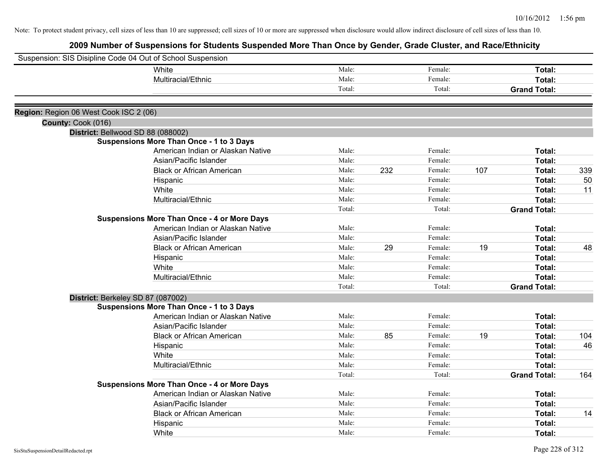| Suspension: SIS Disipline Code 04 Out of School Suspension |                                                    |        |     |         |     |                     |     |
|------------------------------------------------------------|----------------------------------------------------|--------|-----|---------|-----|---------------------|-----|
|                                                            | White                                              | Male:  |     | Female: |     | Total:              |     |
|                                                            | Multiracial/Ethnic                                 | Male:  |     | Female: |     | Total:              |     |
|                                                            |                                                    | Total: |     | Total:  |     | <b>Grand Total:</b> |     |
|                                                            |                                                    |        |     |         |     |                     |     |
| Region: Region 06 West Cook ISC 2 (06)                     |                                                    |        |     |         |     |                     |     |
| County: Cook (016)                                         |                                                    |        |     |         |     |                     |     |
|                                                            | District: Bellwood SD 88 (088002)                  |        |     |         |     |                     |     |
|                                                            | <b>Suspensions More Than Once - 1 to 3 Days</b>    |        |     |         |     |                     |     |
|                                                            | American Indian or Alaskan Native                  | Male:  |     | Female: |     | Total:              |     |
|                                                            | Asian/Pacific Islander                             | Male:  |     | Female: |     | Total:              |     |
|                                                            | <b>Black or African American</b>                   | Male:  | 232 | Female: | 107 | Total:              | 339 |
|                                                            | Hispanic                                           | Male:  |     | Female: |     | Total:              | 50  |
|                                                            | White                                              | Male:  |     | Female: |     | Total:              | 11  |
|                                                            | Multiracial/Ethnic                                 | Male:  |     | Female: |     | Total:              |     |
|                                                            |                                                    | Total: |     | Total:  |     | <b>Grand Total:</b> |     |
|                                                            | <b>Suspensions More Than Once - 4 or More Days</b> |        |     |         |     |                     |     |
|                                                            | American Indian or Alaskan Native                  | Male:  |     | Female: |     | Total:              |     |
|                                                            | Asian/Pacific Islander                             | Male:  |     | Female: |     | Total:              |     |
|                                                            | <b>Black or African American</b>                   | Male:  | 29  | Female: | 19  | Total:              | 48  |
|                                                            | Hispanic                                           | Male:  |     | Female: |     | Total:              |     |
|                                                            | White                                              | Male:  |     | Female: |     | Total:              |     |
|                                                            | Multiracial/Ethnic                                 | Male:  |     | Female: |     | Total:              |     |
|                                                            |                                                    | Total: |     | Total:  |     | <b>Grand Total:</b> |     |
|                                                            | District: Berkeley SD 87 (087002)                  |        |     |         |     |                     |     |
|                                                            | <b>Suspensions More Than Once - 1 to 3 Days</b>    |        |     |         |     |                     |     |
|                                                            | American Indian or Alaskan Native                  | Male:  |     | Female: |     | Total:              |     |
|                                                            | Asian/Pacific Islander                             | Male:  |     | Female: |     | Total:              |     |
|                                                            | <b>Black or African American</b>                   | Male:  | 85  | Female: | 19  | Total:              | 104 |
|                                                            | Hispanic                                           | Male:  |     | Female: |     | Total:              | 46  |
|                                                            | White                                              | Male:  |     | Female: |     | Total:              |     |
|                                                            | Multiracial/Ethnic                                 | Male:  |     | Female: |     | Total:              |     |
|                                                            |                                                    | Total: |     | Total:  |     | <b>Grand Total:</b> | 164 |
|                                                            | <b>Suspensions More Than Once - 4 or More Days</b> |        |     |         |     |                     |     |
|                                                            | American Indian or Alaskan Native                  | Male:  |     | Female: |     | Total:              |     |
|                                                            | Asian/Pacific Islander                             | Male:  |     | Female: |     | Total:              |     |
|                                                            | <b>Black or African American</b>                   | Male:  |     | Female: |     | Total:              | 14  |
|                                                            | Hispanic                                           | Male:  |     | Female: |     | Total:              |     |
|                                                            | White                                              | Male:  |     | Female: |     | Total:              |     |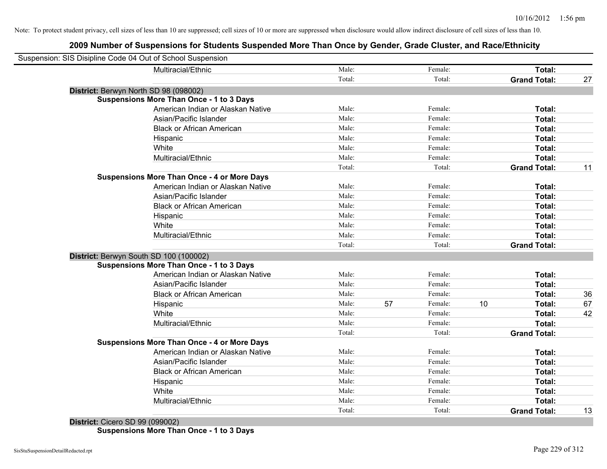| Suspension: SIS Disipline Code 04 Out of School Suspension |                                                    |        |    |         |    |                     |    |
|------------------------------------------------------------|----------------------------------------------------|--------|----|---------|----|---------------------|----|
|                                                            | Multiracial/Ethnic                                 | Male:  |    | Female: |    | Total:              |    |
|                                                            |                                                    | Total: |    | Total:  |    | <b>Grand Total:</b> | 27 |
| District: Berwyn North SD 98 (098002)                      |                                                    |        |    |         |    |                     |    |
|                                                            | <b>Suspensions More Than Once - 1 to 3 Days</b>    |        |    |         |    |                     |    |
|                                                            | American Indian or Alaskan Native                  | Male:  |    | Female: |    | Total:              |    |
|                                                            | Asian/Pacific Islander                             | Male:  |    | Female: |    | Total:              |    |
|                                                            | <b>Black or African American</b>                   | Male:  |    | Female: |    | Total:              |    |
|                                                            | Hispanic                                           | Male:  |    | Female: |    | Total:              |    |
|                                                            | White                                              | Male:  |    | Female: |    | Total:              |    |
|                                                            | Multiracial/Ethnic                                 | Male:  |    | Female: |    | Total:              |    |
|                                                            |                                                    | Total: |    | Total:  |    | <b>Grand Total:</b> | 11 |
|                                                            | <b>Suspensions More Than Once - 4 or More Days</b> |        |    |         |    |                     |    |
|                                                            | American Indian or Alaskan Native                  | Male:  |    | Female: |    | Total:              |    |
|                                                            | Asian/Pacific Islander                             | Male:  |    | Female: |    | Total:              |    |
|                                                            | <b>Black or African American</b>                   | Male:  |    | Female: |    | Total:              |    |
|                                                            | Hispanic                                           | Male:  |    | Female: |    | Total:              |    |
|                                                            | White                                              | Male:  |    | Female: |    | Total:              |    |
|                                                            | Multiracial/Ethnic                                 | Male:  |    | Female: |    | Total:              |    |
|                                                            |                                                    | Total: |    | Total:  |    | <b>Grand Total:</b> |    |
| District: Berwyn South SD 100 (100002)                     |                                                    |        |    |         |    |                     |    |
|                                                            | <b>Suspensions More Than Once - 1 to 3 Days</b>    |        |    |         |    |                     |    |
|                                                            | American Indian or Alaskan Native                  | Male:  |    | Female: |    | Total:              |    |
|                                                            | Asian/Pacific Islander                             | Male:  |    | Female: |    | Total:              |    |
|                                                            | <b>Black or African American</b>                   | Male:  |    | Female: |    | Total:              | 36 |
|                                                            | Hispanic                                           | Male:  | 57 | Female: | 10 | Total:              | 67 |
|                                                            | White                                              | Male:  |    | Female: |    | Total:              | 42 |
|                                                            | Multiracial/Ethnic                                 | Male:  |    | Female: |    | Total:              |    |
|                                                            |                                                    | Total: |    | Total:  |    | <b>Grand Total:</b> |    |
|                                                            | <b>Suspensions More Than Once - 4 or More Days</b> |        |    |         |    |                     |    |
|                                                            | American Indian or Alaskan Native                  | Male:  |    | Female: |    | Total:              |    |
|                                                            | Asian/Pacific Islander                             | Male:  |    | Female: |    | Total:              |    |
|                                                            | <b>Black or African American</b>                   | Male:  |    | Female: |    | Total:              |    |
|                                                            | Hispanic                                           | Male:  |    | Female: |    | Total:              |    |
|                                                            | White                                              | Male:  |    | Female: |    | Total:              |    |
|                                                            | Multiracial/Ethnic                                 | Male:  |    | Female: |    | <b>Total:</b>       |    |
|                                                            |                                                    | Total: |    | Total:  |    | <b>Grand Total:</b> | 13 |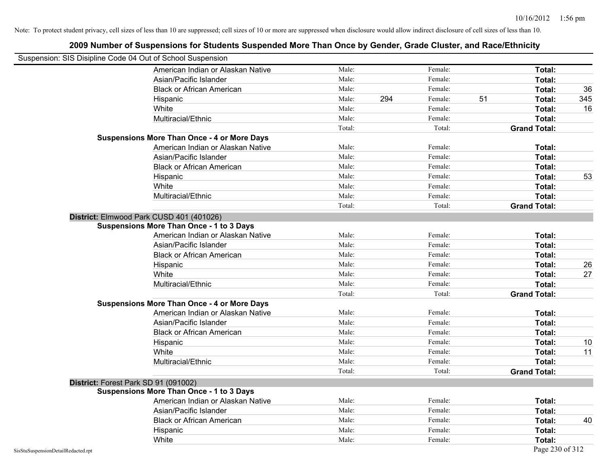| Suspension: SIS Disipline Code 04 Out of School Suspension |                                                    |        |     |         |    |                     |     |
|------------------------------------------------------------|----------------------------------------------------|--------|-----|---------|----|---------------------|-----|
|                                                            | American Indian or Alaskan Native                  | Male:  |     | Female: |    | Total:              |     |
|                                                            | Asian/Pacific Islander                             | Male:  |     | Female: |    | Total:              |     |
|                                                            | <b>Black or African American</b>                   | Male:  |     | Female: |    | Total:              | 36  |
|                                                            | Hispanic                                           | Male:  | 294 | Female: | 51 | Total:              | 345 |
|                                                            | White                                              | Male:  |     | Female: |    | Total:              | 16  |
|                                                            | Multiracial/Ethnic                                 | Male:  |     | Female: |    | Total:              |     |
|                                                            |                                                    | Total: |     | Total:  |    | <b>Grand Total:</b> |     |
|                                                            | <b>Suspensions More Than Once - 4 or More Days</b> |        |     |         |    |                     |     |
|                                                            | American Indian or Alaskan Native                  | Male:  |     | Female: |    | Total:              |     |
|                                                            | Asian/Pacific Islander                             | Male:  |     | Female: |    | Total:              |     |
|                                                            | <b>Black or African American</b>                   | Male:  |     | Female: |    | Total:              |     |
|                                                            | Hispanic                                           | Male:  |     | Female: |    | Total:              | 53  |
|                                                            | White                                              | Male:  |     | Female: |    | Total:              |     |
|                                                            | Multiracial/Ethnic                                 | Male:  |     | Female: |    | Total:              |     |
|                                                            |                                                    | Total: |     | Total:  |    | <b>Grand Total:</b> |     |
|                                                            | District: Elmwood Park CUSD 401 (401026)           |        |     |         |    |                     |     |
|                                                            | <b>Suspensions More Than Once - 1 to 3 Days</b>    |        |     |         |    |                     |     |
|                                                            | American Indian or Alaskan Native                  | Male:  |     | Female: |    | Total:              |     |
|                                                            | Asian/Pacific Islander                             | Male:  |     | Female: |    | Total:              |     |
|                                                            | <b>Black or African American</b>                   | Male:  |     | Female: |    | Total:              |     |
|                                                            | Hispanic                                           | Male:  |     | Female: |    | Total:              | 26  |
|                                                            | White                                              | Male:  |     | Female: |    | Total:              | 27  |
|                                                            | Multiracial/Ethnic                                 | Male:  |     | Female: |    | Total:              |     |
|                                                            |                                                    | Total: |     | Total:  |    | <b>Grand Total:</b> |     |
|                                                            | <b>Suspensions More Than Once - 4 or More Days</b> |        |     |         |    |                     |     |
|                                                            | American Indian or Alaskan Native                  | Male:  |     | Female: |    | Total:              |     |
|                                                            | Asian/Pacific Islander                             | Male:  |     | Female: |    | Total:              |     |
|                                                            | <b>Black or African American</b>                   | Male:  |     | Female: |    | Total:              |     |
|                                                            | Hispanic                                           | Male:  |     | Female: |    | Total:              | 10  |
|                                                            | White                                              | Male:  |     | Female: |    | Total:              | 11  |
|                                                            | Multiracial/Ethnic                                 | Male:  |     | Female: |    | Total:              |     |
|                                                            |                                                    | Total: |     | Total:  |    | <b>Grand Total:</b> |     |
|                                                            | District: Forest Park SD 91 (091002)               |        |     |         |    |                     |     |
|                                                            | <b>Suspensions More Than Once - 1 to 3 Days</b>    |        |     |         |    |                     |     |
|                                                            | American Indian or Alaskan Native                  | Male:  |     | Female: |    | Total:              |     |
|                                                            | Asian/Pacific Islander                             | Male:  |     | Female: |    | Total:              |     |
|                                                            | <b>Black or African American</b>                   | Male:  |     | Female: |    | Total:              | 40  |
|                                                            | Hispanic                                           | Male:  |     | Female: |    | Total:              |     |
|                                                            | White                                              | Male:  |     | Female: |    | Total:              |     |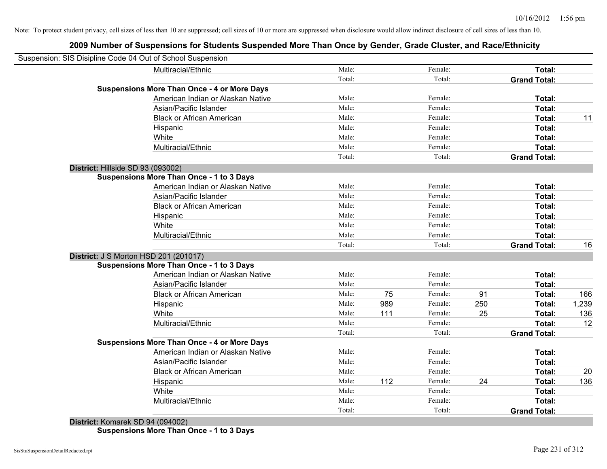| Suspension: SIS Disipline Code 04 Out of School Suspension |        |     |         |     |                     |       |
|------------------------------------------------------------|--------|-----|---------|-----|---------------------|-------|
| Multiracial/Ethnic                                         | Male:  |     | Female: |     | Total:              |       |
|                                                            | Total: |     | Total:  |     | <b>Grand Total:</b> |       |
| <b>Suspensions More Than Once - 4 or More Days</b>         |        |     |         |     |                     |       |
| American Indian or Alaskan Native                          | Male:  |     | Female: |     | Total:              |       |
| Asian/Pacific Islander                                     | Male:  |     | Female: |     | Total:              |       |
| <b>Black or African American</b>                           | Male:  |     | Female: |     | Total:              | 11    |
| Hispanic                                                   | Male:  |     | Female: |     | Total:              |       |
| White                                                      | Male:  |     | Female: |     | Total:              |       |
| Multiracial/Ethnic                                         | Male:  |     | Female: |     | Total:              |       |
|                                                            | Total: |     | Total:  |     | <b>Grand Total:</b> |       |
| District: Hillside SD 93 (093002)                          |        |     |         |     |                     |       |
| Suspensions More Than Once - 1 to 3 Days                   |        |     |         |     |                     |       |
| American Indian or Alaskan Native                          | Male:  |     | Female: |     | Total:              |       |
| Asian/Pacific Islander                                     | Male:  |     | Female: |     | Total:              |       |
| <b>Black or African American</b>                           | Male:  |     | Female: |     | Total:              |       |
| Hispanic                                                   | Male:  |     | Female: |     | Total:              |       |
| White                                                      | Male:  |     | Female: |     | Total:              |       |
| Multiracial/Ethnic                                         | Male:  |     | Female: |     | <b>Total:</b>       |       |
|                                                            | Total: |     | Total:  |     | <b>Grand Total:</b> | 16    |
| District: J S Morton HSD 201 (201017)                      |        |     |         |     |                     |       |
| <b>Suspensions More Than Once - 1 to 3 Days</b>            |        |     |         |     |                     |       |
| American Indian or Alaskan Native                          | Male:  |     | Female: |     | Total:              |       |
| Asian/Pacific Islander                                     | Male:  |     | Female: |     | Total:              |       |
| <b>Black or African American</b>                           | Male:  | 75  | Female: | 91  | Total:              | 166   |
| Hispanic                                                   | Male:  | 989 | Female: | 250 | Total:              | 1,239 |
| White                                                      | Male:  | 111 | Female: | 25  | Total:              | 136   |
| Multiracial/Ethnic                                         | Male:  |     | Female: |     | Total:              | 12    |
|                                                            | Total: |     | Total:  |     | <b>Grand Total:</b> |       |
| <b>Suspensions More Than Once - 4 or More Days</b>         |        |     |         |     |                     |       |
| American Indian or Alaskan Native                          | Male:  |     | Female: |     | Total:              |       |
| Asian/Pacific Islander                                     | Male:  |     | Female: |     | Total:              |       |
| <b>Black or African American</b>                           | Male:  |     | Female: |     | Total:              | 20    |
| Hispanic                                                   | Male:  | 112 | Female: | 24  | Total:              | 136   |
| White                                                      | Male:  |     | Female: |     | Total:              |       |
| Multiracial/Ethnic                                         | Male:  |     | Female: |     | Total:              |       |
|                                                            | Total: |     | Total:  |     | <b>Grand Total:</b> |       |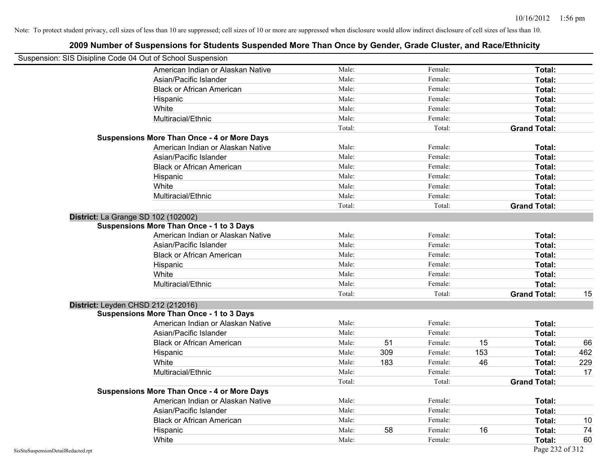| 2009 Number of Suspensions for Students Suspended More Than Once by Gender, Grade Cluster, and Race/Ethnicity |        |     |         |     |                     |     |
|---------------------------------------------------------------------------------------------------------------|--------|-----|---------|-----|---------------------|-----|
| Suspension: SIS Disipline Code 04 Out of School Suspension                                                    |        |     |         |     |                     |     |
| American Indian or Alaskan Native                                                                             | Male:  |     | Female: |     | Total:              |     |
| Asian/Pacific Islander                                                                                        | Male:  |     | Female: |     | Total:              |     |
| <b>Black or African American</b>                                                                              | Male:  |     | Female: |     | Total:              |     |
| Hispanic                                                                                                      | Male:  |     | Female: |     | Total:              |     |
| White                                                                                                         | Male:  |     | Female: |     | Total:              |     |
| Multiracial/Ethnic                                                                                            | Male:  |     | Female: |     | Total:              |     |
|                                                                                                               | Total: |     | Total:  |     | <b>Grand Total:</b> |     |
| <b>Suspensions More Than Once - 4 or More Days</b>                                                            |        |     |         |     |                     |     |
| American Indian or Alaskan Native                                                                             | Male:  |     | Female: |     | Total:              |     |
| Asian/Pacific Islander                                                                                        | Male:  |     | Female: |     | Total:              |     |
| <b>Black or African American</b>                                                                              | Male:  |     | Female: |     | Total:              |     |
| Hispanic                                                                                                      | Male:  |     | Female: |     | Total:              |     |
| White                                                                                                         | Male:  |     | Female: |     | Total:              |     |
| Multiracial/Ethnic                                                                                            | Male:  |     | Female: |     | Total:              |     |
|                                                                                                               | Total: |     | Total:  |     | <b>Grand Total:</b> |     |
| District: La Grange SD 102 (102002)                                                                           |        |     |         |     |                     |     |
| <b>Suspensions More Than Once - 1 to 3 Days</b>                                                               |        |     |         |     |                     |     |
| American Indian or Alaskan Native                                                                             | Male:  |     | Female: |     | Total:              |     |
| Asian/Pacific Islander                                                                                        | Male:  |     | Female: |     | Total:              |     |
| <b>Black or African American</b>                                                                              | Male:  |     | Female: |     | Total:              |     |
| Hispanic                                                                                                      | Male:  |     | Female: |     | Total:              |     |
| White                                                                                                         | Male:  |     | Female: |     | Total:              |     |
| Multiracial/Ethnic                                                                                            | Male:  |     | Female: |     | Total:              |     |
|                                                                                                               | Total: |     | Total:  |     | <b>Grand Total:</b> | 15  |
| District: Leyden CHSD 212 (212016)                                                                            |        |     |         |     |                     |     |
| <b>Suspensions More Than Once - 1 to 3 Days</b>                                                               |        |     |         |     |                     |     |
| American Indian or Alaskan Native                                                                             | Male:  |     | Female: |     | Total:              |     |
| Asian/Pacific Islander                                                                                        | Male:  |     | Female: |     | Total:              |     |
| <b>Black or African American</b>                                                                              | Male:  | 51  | Female: | 15  | Total:              | 66  |
| Hispanic                                                                                                      | Male:  | 309 | Female: | 153 | Total:              | 462 |
| White                                                                                                         | Male:  | 183 | Female: | 46  | Total:              | 229 |
| Multiracial/Ethnic                                                                                            | Male:  |     | Female: |     | Total:              | 17  |
|                                                                                                               | Total: |     | Total:  |     | <b>Grand Total:</b> |     |
| <b>Suspensions More Than Once - 4 or More Days</b>                                                            |        |     |         |     |                     |     |
| American Indian or Alaskan Native                                                                             | Male:  |     | Female: |     | Total:              |     |
| Asian/Pacific Islander                                                                                        | Male:  |     | Female: |     | Total:              |     |
| <b>Black or African American</b>                                                                              | Male:  |     | Female: |     | Total:              | 10  |
| Hispanic                                                                                                      | Male:  | 58  | Female: | 16  | Total:              | 74  |
| White                                                                                                         | Male:  |     | Female: |     | Total:              | 60  |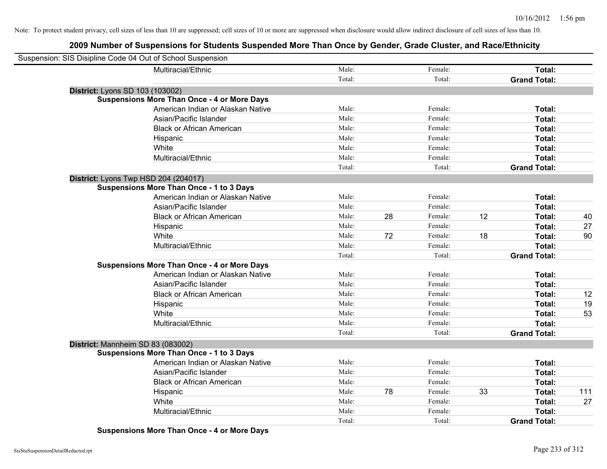### **2009 Number of Suspensions for Students Suspended More Than Once by Gender, Grade Cluster, and Race/Ethnicity**

| Suspension: SIS Disipline Code 04 Out of School Suspension |                                                    |        |    |         |    |                     |     |
|------------------------------------------------------------|----------------------------------------------------|--------|----|---------|----|---------------------|-----|
|                                                            | Multiracial/Ethnic                                 | Male:  |    | Female: |    | Total:              |     |
|                                                            |                                                    | Total: |    | Total:  |    | <b>Grand Total:</b> |     |
| District: Lyons SD 103 (103002)                            |                                                    |        |    |         |    |                     |     |
|                                                            | <b>Suspensions More Than Once - 4 or More Days</b> |        |    |         |    |                     |     |
|                                                            | American Indian or Alaskan Native                  | Male:  |    | Female: |    | Total:              |     |
|                                                            | Asian/Pacific Islander                             | Male:  |    | Female: |    | Total:              |     |
|                                                            | <b>Black or African American</b>                   | Male:  |    | Female: |    | Total:              |     |
|                                                            | Hispanic                                           | Male:  |    | Female: |    | Total:              |     |
|                                                            | White                                              | Male:  |    | Female: |    | Total:              |     |
|                                                            | Multiracial/Ethnic                                 | Male:  |    | Female: |    | Total:              |     |
|                                                            |                                                    | Total: |    | Total:  |    | <b>Grand Total:</b> |     |
| District: Lyons Twp HSD 204 (204017)                       |                                                    |        |    |         |    |                     |     |
|                                                            | <b>Suspensions More Than Once - 1 to 3 Days</b>    |        |    |         |    |                     |     |
|                                                            | American Indian or Alaskan Native                  | Male:  |    | Female: |    | Total:              |     |
|                                                            | Asian/Pacific Islander                             | Male:  |    | Female: |    | Total:              |     |
|                                                            | <b>Black or African American</b>                   | Male:  | 28 | Female: | 12 | Total:              | 40  |
|                                                            | Hispanic                                           | Male:  |    | Female: |    | Total:              | 27  |
|                                                            | White                                              | Male:  | 72 | Female: | 18 | Total:              | 90  |
|                                                            | Multiracial/Ethnic                                 | Male:  |    | Female: |    | Total:              |     |
|                                                            |                                                    | Total: |    | Total:  |    | <b>Grand Total:</b> |     |
|                                                            | <b>Suspensions More Than Once - 4 or More Days</b> |        |    |         |    |                     |     |
|                                                            | American Indian or Alaskan Native                  | Male:  |    | Female: |    | Total:              |     |
|                                                            | Asian/Pacific Islander                             | Male:  |    | Female: |    | Total:              |     |
|                                                            | <b>Black or African American</b>                   | Male:  |    | Female: |    | Total:              | 12  |
|                                                            | Hispanic                                           | Male:  |    | Female: |    | Total:              | 19  |
|                                                            | White                                              | Male:  |    | Female: |    | Total:              | 53  |
|                                                            | Multiracial/Ethnic                                 | Male:  |    | Female: |    | Total:              |     |
|                                                            |                                                    | Total: |    | Total:  |    | <b>Grand Total:</b> |     |
| District: Mannheim SD 83 (083002)                          |                                                    |        |    |         |    |                     |     |
|                                                            | <b>Suspensions More Than Once - 1 to 3 Days</b>    |        |    |         |    |                     |     |
|                                                            | American Indian or Alaskan Native                  | Male:  |    | Female: |    | Total:              |     |
|                                                            | Asian/Pacific Islander                             | Male:  |    | Female: |    | Total:              |     |
|                                                            | <b>Black or African American</b>                   | Male:  |    | Female: |    | Total:              |     |
|                                                            | Hispanic                                           | Male:  | 78 | Female: | 33 | Total:              | 111 |
|                                                            | White                                              | Male:  |    | Female: |    | Total:              | 27  |
|                                                            | Multiracial/Ethnic                                 | Male:  |    | Female: |    | Total:              |     |
|                                                            |                                                    | Total: |    | Total:  |    | <b>Grand Total:</b> |     |

**Suspensions More Than Once - 4 or More Days**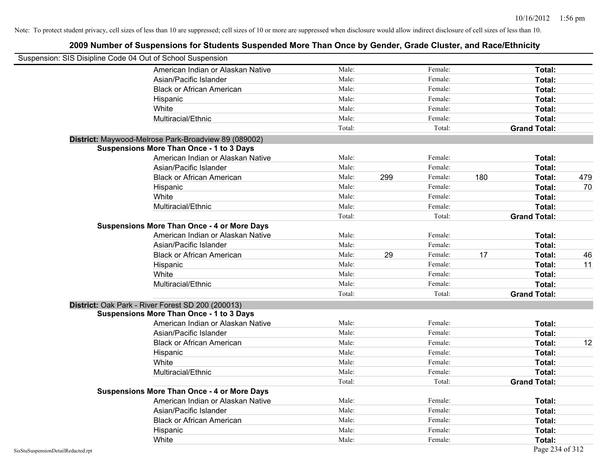|                                                            | 2009 Number of Suspensions for Students Suspended More Than Once by Gender, Grade Cluster, and Race/Ethnicity |        |     |         |     |                     |     |
|------------------------------------------------------------|---------------------------------------------------------------------------------------------------------------|--------|-----|---------|-----|---------------------|-----|
| Suspension: SIS Disipline Code 04 Out of School Suspension |                                                                                                               |        |     |         |     |                     |     |
|                                                            | American Indian or Alaskan Native                                                                             | Male:  |     | Female: |     | Total:              |     |
|                                                            | Asian/Pacific Islander                                                                                        | Male:  |     | Female: |     | Total:              |     |
|                                                            | <b>Black or African American</b>                                                                              | Male:  |     | Female: |     | Total:              |     |
|                                                            | Hispanic                                                                                                      | Male:  |     | Female: |     | Total:              |     |
|                                                            | White                                                                                                         | Male:  |     | Female: |     | Total:              |     |
|                                                            | Multiracial/Ethnic                                                                                            | Male:  |     | Female: |     | Total:              |     |
|                                                            |                                                                                                               | Total: |     | Total:  |     | <b>Grand Total:</b> |     |
|                                                            | District: Maywood-Melrose Park-Broadview 89 (089002)                                                          |        |     |         |     |                     |     |
|                                                            | <b>Suspensions More Than Once - 1 to 3 Days</b>                                                               |        |     |         |     |                     |     |
|                                                            | American Indian or Alaskan Native                                                                             | Male:  |     | Female: |     | Total:              |     |
|                                                            | Asian/Pacific Islander                                                                                        | Male:  |     | Female: |     | Total:              |     |
|                                                            | <b>Black or African American</b>                                                                              | Male:  | 299 | Female: | 180 | Total:              | 479 |
|                                                            | Hispanic                                                                                                      | Male:  |     | Female: |     | Total:              | 70  |
|                                                            | White                                                                                                         | Male:  |     | Female: |     | Total:              |     |
|                                                            | Multiracial/Ethnic                                                                                            | Male:  |     | Female: |     | Total:              |     |
|                                                            |                                                                                                               | Total: |     | Total:  |     | <b>Grand Total:</b> |     |
|                                                            | <b>Suspensions More Than Once - 4 or More Days</b>                                                            |        |     |         |     |                     |     |
|                                                            | American Indian or Alaskan Native                                                                             | Male:  |     | Female: |     | Total:              |     |
|                                                            | Asian/Pacific Islander                                                                                        | Male:  |     | Female: |     | Total:              |     |
|                                                            | <b>Black or African American</b>                                                                              | Male:  | 29  | Female: | 17  | Total:              | 46  |
|                                                            | Hispanic                                                                                                      | Male:  |     | Female: |     | Total:              | 11  |
|                                                            | White                                                                                                         | Male:  |     | Female: |     | Total:              |     |
|                                                            | Multiracial/Ethnic                                                                                            | Male:  |     | Female: |     | Total:              |     |
|                                                            |                                                                                                               | Total: |     | Total:  |     | <b>Grand Total:</b> |     |
|                                                            | District: Oak Park - River Forest SD 200 (200013)                                                             |        |     |         |     |                     |     |
|                                                            | <b>Suspensions More Than Once - 1 to 3 Days</b>                                                               |        |     |         |     |                     |     |
|                                                            | American Indian or Alaskan Native                                                                             | Male:  |     | Female: |     | Total:              |     |
|                                                            | Asian/Pacific Islander                                                                                        | Male:  |     | Female: |     | Total:              |     |
|                                                            | <b>Black or African American</b>                                                                              | Male:  |     | Female: |     | Total:              | 12  |
|                                                            | Hispanic                                                                                                      | Male:  |     | Female: |     | Total:              |     |
|                                                            | White                                                                                                         | Male:  |     | Female: |     | Total:              |     |
|                                                            | Multiracial/Ethnic                                                                                            | Male:  |     | Female: |     | Total:              |     |
|                                                            |                                                                                                               | Total: |     | Total:  |     | <b>Grand Total:</b> |     |
|                                                            | <b>Suspensions More Than Once - 4 or More Days</b>                                                            |        |     |         |     |                     |     |
|                                                            | American Indian or Alaskan Native                                                                             | Male:  |     | Female: |     | Total:              |     |
|                                                            | Asian/Pacific Islander                                                                                        | Male:  |     | Female: |     | Total:              |     |
|                                                            | <b>Black or African American</b>                                                                              | Male:  |     | Female: |     | Total:              |     |
|                                                            | Hispanic                                                                                                      | Male:  |     | Female: |     | Total:              |     |
|                                                            | White                                                                                                         | Male:  |     | Female: |     | Total:              |     |

 $\blacksquare$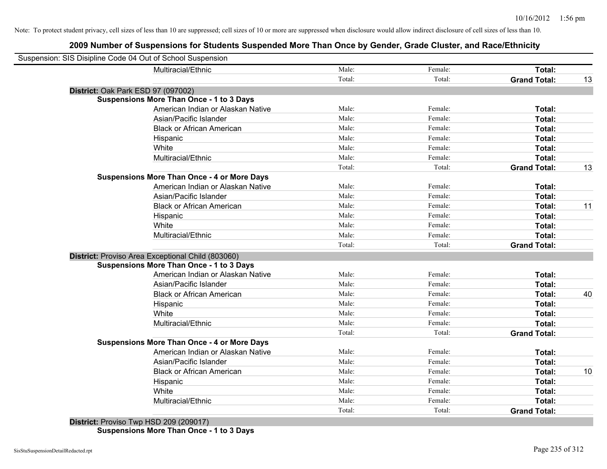### **2009 Number of Suspensions for Students Suspended More Than Once by Gender, Grade Cluster, and Race/Ethnicity**

|                                    | Suspension: SIS Disipline Code 04 Out of School Suspension |        |         |                     |    |
|------------------------------------|------------------------------------------------------------|--------|---------|---------------------|----|
|                                    | Multiracial/Ethnic                                         | Male:  | Female: | Total:              |    |
|                                    |                                                            | Total: | Total:  | <b>Grand Total:</b> | 13 |
| District: Oak Park ESD 97 (097002) |                                                            |        |         |                     |    |
|                                    | <b>Suspensions More Than Once - 1 to 3 Days</b>            |        |         |                     |    |
|                                    | American Indian or Alaskan Native                          | Male:  | Female: | Total:              |    |
|                                    | Asian/Pacific Islander                                     | Male:  | Female: | Total:              |    |
|                                    | <b>Black or African American</b>                           | Male:  | Female: | Total:              |    |
|                                    | Hispanic                                                   | Male:  | Female: | Total:              |    |
|                                    | White                                                      | Male:  | Female: | Total:              |    |
|                                    | Multiracial/Ethnic                                         | Male:  | Female: | Total:              |    |
|                                    |                                                            | Total: | Total:  | <b>Grand Total:</b> | 13 |
|                                    | <b>Suspensions More Than Once - 4 or More Days</b>         |        |         |                     |    |
|                                    | American Indian or Alaskan Native                          | Male:  | Female: | Total:              |    |
|                                    | Asian/Pacific Islander                                     | Male:  | Female: | Total:              |    |
|                                    | <b>Black or African American</b>                           | Male:  | Female: | Total:              | 11 |
|                                    | Hispanic                                                   | Male:  | Female: | Total:              |    |
|                                    | White                                                      | Male:  | Female: | Total:              |    |
|                                    | Multiracial/Ethnic                                         | Male:  | Female: | <b>Total:</b>       |    |
|                                    |                                                            | Total: | Total:  | <b>Grand Total:</b> |    |
|                                    | District: Proviso Area Exceptional Child (803060)          |        |         |                     |    |
|                                    | <b>Suspensions More Than Once - 1 to 3 Days</b>            |        |         |                     |    |
|                                    | American Indian or Alaskan Native                          | Male:  | Female: | Total:              |    |
|                                    | Asian/Pacific Islander                                     | Male:  | Female: | Total:              |    |
|                                    | <b>Black or African American</b>                           | Male:  | Female: | Total:              | 40 |
|                                    | Hispanic                                                   | Male:  | Female: | Total:              |    |
|                                    | White                                                      | Male:  | Female: | Total:              |    |
|                                    | Multiracial/Ethnic                                         | Male:  | Female: | Total:              |    |
|                                    |                                                            | Total: | Total:  | <b>Grand Total:</b> |    |
|                                    | <b>Suspensions More Than Once - 4 or More Days</b>         |        |         |                     |    |
|                                    | American Indian or Alaskan Native                          | Male:  | Female: | Total:              |    |
|                                    | Asian/Pacific Islander                                     | Male:  | Female: | Total:              |    |
|                                    | <b>Black or African American</b>                           | Male:  | Female: | Total:              | 10 |
|                                    | Hispanic                                                   | Male:  | Female: | Total:              |    |
|                                    | White                                                      | Male:  | Female: | Total:              |    |
|                                    | Multiracial/Ethnic                                         | Male:  | Female: | Total:              |    |
|                                    |                                                            | Total: | Total:  | <b>Grand Total:</b> |    |

**District:** Proviso Twp HSD 209 (209017) **Suspensions More Than Once - 1 to 3 Days**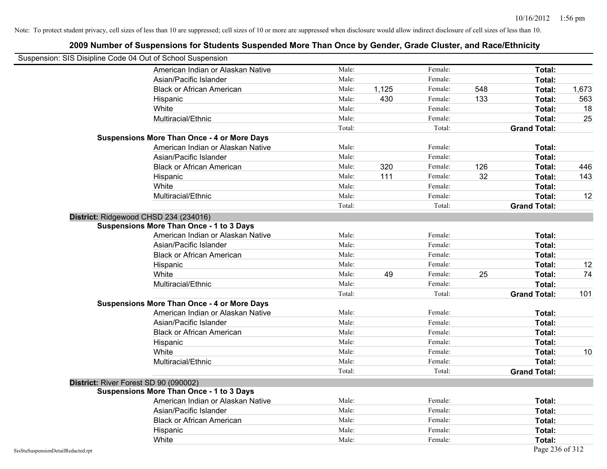| Suspension: SIS Disipline Code 04 Out of School Suspension |                                                    |        |       |         |     |                     |       |
|------------------------------------------------------------|----------------------------------------------------|--------|-------|---------|-----|---------------------|-------|
|                                                            | American Indian or Alaskan Native                  | Male:  |       | Female: |     | Total:              |       |
|                                                            | Asian/Pacific Islander                             | Male:  |       | Female: |     | Total:              |       |
|                                                            | <b>Black or African American</b>                   | Male:  | 1,125 | Female: | 548 | Total:              | 1,673 |
|                                                            | Hispanic                                           | Male:  | 430   | Female: | 133 | Total:              | 563   |
|                                                            | White                                              | Male:  |       | Female: |     | Total:              | 18    |
|                                                            | Multiracial/Ethnic                                 | Male:  |       | Female: |     | Total:              | 25    |
|                                                            |                                                    | Total: |       | Total:  |     | <b>Grand Total:</b> |       |
|                                                            | <b>Suspensions More Than Once - 4 or More Days</b> |        |       |         |     |                     |       |
|                                                            | American Indian or Alaskan Native                  | Male:  |       | Female: |     | Total:              |       |
|                                                            | Asian/Pacific Islander                             | Male:  |       | Female: |     | Total:              |       |
|                                                            | <b>Black or African American</b>                   | Male:  | 320   | Female: | 126 | Total:              | 446   |
|                                                            | Hispanic                                           | Male:  | 111   | Female: | 32  | Total:              | 143   |
|                                                            | White                                              | Male:  |       | Female: |     | Total:              |       |
|                                                            | Multiracial/Ethnic                                 | Male:  |       | Female: |     | Total:              | 12    |
|                                                            |                                                    | Total: |       | Total:  |     | <b>Grand Total:</b> |       |
| District: Ridgewood CHSD 234 (234016)                      |                                                    |        |       |         |     |                     |       |
|                                                            | <b>Suspensions More Than Once - 1 to 3 Days</b>    |        |       |         |     |                     |       |
|                                                            | American Indian or Alaskan Native                  | Male:  |       | Female: |     | Total:              |       |
|                                                            | Asian/Pacific Islander                             | Male:  |       | Female: |     | Total:              |       |
|                                                            | <b>Black or African American</b>                   | Male:  |       | Female: |     | Total:              |       |
|                                                            | Hispanic                                           | Male:  |       | Female: |     | Total:              | 12    |
|                                                            | White                                              | Male:  | 49    | Female: | 25  | Total:              | 74    |
|                                                            | Multiracial/Ethnic                                 | Male:  |       | Female: |     | Total:              |       |
|                                                            |                                                    | Total: |       | Total:  |     | <b>Grand Total:</b> | 101   |
|                                                            | <b>Suspensions More Than Once - 4 or More Days</b> |        |       |         |     |                     |       |
|                                                            | American Indian or Alaskan Native                  | Male:  |       | Female: |     | Total:              |       |
|                                                            | Asian/Pacific Islander                             | Male:  |       | Female: |     | Total:              |       |
|                                                            | <b>Black or African American</b>                   | Male:  |       | Female: |     | Total:              |       |
|                                                            | Hispanic                                           | Male:  |       | Female: |     | Total:              |       |
|                                                            | White                                              | Male:  |       | Female: |     | Total:              | 10    |
|                                                            | Multiracial/Ethnic                                 | Male:  |       | Female: |     | Total:              |       |
|                                                            |                                                    | Total: |       | Total:  |     | <b>Grand Total:</b> |       |
| District: River Forest SD 90 (090002)                      |                                                    |        |       |         |     |                     |       |
|                                                            | <b>Suspensions More Than Once - 1 to 3 Days</b>    |        |       |         |     |                     |       |
|                                                            | American Indian or Alaskan Native                  | Male:  |       | Female: |     | Total:              |       |
|                                                            | Asian/Pacific Islander                             | Male:  |       | Female: |     | Total:              |       |
|                                                            | <b>Black or African American</b>                   | Male:  |       | Female: |     | Total:              |       |
|                                                            | Hispanic                                           | Male:  |       | Female: |     | Total:              |       |
|                                                            | White                                              | Male:  |       | Female: |     | Total:              |       |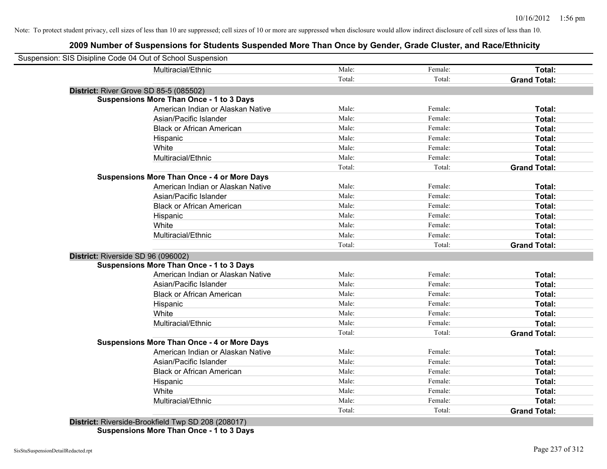### **2009 Number of Suspensions for Students Suspended More Than Once by Gender, Grade Cluster, and Race/Ethnicity**

| Male:<br>Multiracial/Ethnic<br>Female:<br>Total:<br>Total:<br>Total:<br><b>Grand Total:</b><br>District: River Grove SD 85-5 (085502)<br><b>Suspensions More Than Once - 1 to 3 Days</b><br>American Indian or Alaskan Native<br>Male:<br>Female:<br>Total:<br>Asian/Pacific Islander<br>Male:<br>Female:<br>Total:<br><b>Black or African American</b><br>Male:<br>Female:<br>Total:<br>Male:<br>Female:<br>Total:<br>Hispanic<br>Male:<br>White<br>Female:<br>Total:<br>Multiracial/Ethnic<br>Male:<br>Female:<br>Total:<br>Total:<br>Total:<br><b>Grand Total:</b><br><b>Suspensions More Than Once - 4 or More Days</b><br>American Indian or Alaskan Native<br>Male:<br>Female:<br>Total:<br>Female:<br>Asian/Pacific Islander<br>Male:<br>Total:<br>Female:<br><b>Black or African American</b><br>Male:<br>Total:<br>Female:<br>Male:<br>Total:<br>Hispanic<br>Male:<br>Female:<br>White<br>Total:<br>Multiracial/Ethnic<br>Male:<br>Female:<br>Total: | Suspension: SIS Disipline Code 04 Out of School Suspension |        |        |                     |
|---------------------------------------------------------------------------------------------------------------------------------------------------------------------------------------------------------------------------------------------------------------------------------------------------------------------------------------------------------------------------------------------------------------------------------------------------------------------------------------------------------------------------------------------------------------------------------------------------------------------------------------------------------------------------------------------------------------------------------------------------------------------------------------------------------------------------------------------------------------------------------------------------------------------------------------------------------------|------------------------------------------------------------|--------|--------|---------------------|
|                                                                                                                                                                                                                                                                                                                                                                                                                                                                                                                                                                                                                                                                                                                                                                                                                                                                                                                                                               |                                                            |        |        |                     |
|                                                                                                                                                                                                                                                                                                                                                                                                                                                                                                                                                                                                                                                                                                                                                                                                                                                                                                                                                               |                                                            |        |        |                     |
|                                                                                                                                                                                                                                                                                                                                                                                                                                                                                                                                                                                                                                                                                                                                                                                                                                                                                                                                                               |                                                            |        |        |                     |
|                                                                                                                                                                                                                                                                                                                                                                                                                                                                                                                                                                                                                                                                                                                                                                                                                                                                                                                                                               |                                                            |        |        |                     |
|                                                                                                                                                                                                                                                                                                                                                                                                                                                                                                                                                                                                                                                                                                                                                                                                                                                                                                                                                               |                                                            |        |        |                     |
|                                                                                                                                                                                                                                                                                                                                                                                                                                                                                                                                                                                                                                                                                                                                                                                                                                                                                                                                                               |                                                            |        |        |                     |
|                                                                                                                                                                                                                                                                                                                                                                                                                                                                                                                                                                                                                                                                                                                                                                                                                                                                                                                                                               |                                                            |        |        |                     |
|                                                                                                                                                                                                                                                                                                                                                                                                                                                                                                                                                                                                                                                                                                                                                                                                                                                                                                                                                               |                                                            |        |        |                     |
|                                                                                                                                                                                                                                                                                                                                                                                                                                                                                                                                                                                                                                                                                                                                                                                                                                                                                                                                                               |                                                            |        |        |                     |
|                                                                                                                                                                                                                                                                                                                                                                                                                                                                                                                                                                                                                                                                                                                                                                                                                                                                                                                                                               |                                                            |        |        |                     |
|                                                                                                                                                                                                                                                                                                                                                                                                                                                                                                                                                                                                                                                                                                                                                                                                                                                                                                                                                               |                                                            |        |        |                     |
|                                                                                                                                                                                                                                                                                                                                                                                                                                                                                                                                                                                                                                                                                                                                                                                                                                                                                                                                                               |                                                            |        |        |                     |
|                                                                                                                                                                                                                                                                                                                                                                                                                                                                                                                                                                                                                                                                                                                                                                                                                                                                                                                                                               |                                                            |        |        |                     |
|                                                                                                                                                                                                                                                                                                                                                                                                                                                                                                                                                                                                                                                                                                                                                                                                                                                                                                                                                               |                                                            |        |        |                     |
|                                                                                                                                                                                                                                                                                                                                                                                                                                                                                                                                                                                                                                                                                                                                                                                                                                                                                                                                                               |                                                            |        |        |                     |
|                                                                                                                                                                                                                                                                                                                                                                                                                                                                                                                                                                                                                                                                                                                                                                                                                                                                                                                                                               |                                                            |        |        |                     |
|                                                                                                                                                                                                                                                                                                                                                                                                                                                                                                                                                                                                                                                                                                                                                                                                                                                                                                                                                               |                                                            |        |        |                     |
|                                                                                                                                                                                                                                                                                                                                                                                                                                                                                                                                                                                                                                                                                                                                                                                                                                                                                                                                                               |                                                            |        |        |                     |
|                                                                                                                                                                                                                                                                                                                                                                                                                                                                                                                                                                                                                                                                                                                                                                                                                                                                                                                                                               |                                                            | Total: | Total: | <b>Grand Total:</b> |
| District: Riverside SD 96 (096002)                                                                                                                                                                                                                                                                                                                                                                                                                                                                                                                                                                                                                                                                                                                                                                                                                                                                                                                            |                                                            |        |        |                     |
| <b>Suspensions More Than Once - 1 to 3 Days</b>                                                                                                                                                                                                                                                                                                                                                                                                                                                                                                                                                                                                                                                                                                                                                                                                                                                                                                               |                                                            |        |        |                     |
| Male:<br>Female:<br>Total:<br>American Indian or Alaskan Native                                                                                                                                                                                                                                                                                                                                                                                                                                                                                                                                                                                                                                                                                                                                                                                                                                                                                               |                                                            |        |        |                     |
| Male:<br>Female:<br>Total:<br>Asian/Pacific Islander                                                                                                                                                                                                                                                                                                                                                                                                                                                                                                                                                                                                                                                                                                                                                                                                                                                                                                          |                                                            |        |        |                     |
| Male:<br>Female:<br>Total:<br><b>Black or African American</b>                                                                                                                                                                                                                                                                                                                                                                                                                                                                                                                                                                                                                                                                                                                                                                                                                                                                                                |                                                            |        |        |                     |
| Male:<br>Female:<br>Total:<br>Hispanic                                                                                                                                                                                                                                                                                                                                                                                                                                                                                                                                                                                                                                                                                                                                                                                                                                                                                                                        |                                                            |        |        |                     |
| Male:<br>Female:<br>White<br>Total:                                                                                                                                                                                                                                                                                                                                                                                                                                                                                                                                                                                                                                                                                                                                                                                                                                                                                                                           |                                                            |        |        |                     |
| Male:<br>Multiracial/Ethnic<br>Female:<br>Total:                                                                                                                                                                                                                                                                                                                                                                                                                                                                                                                                                                                                                                                                                                                                                                                                                                                                                                              |                                                            |        |        |                     |
| Total:<br>Total:<br><b>Grand Total:</b>                                                                                                                                                                                                                                                                                                                                                                                                                                                                                                                                                                                                                                                                                                                                                                                                                                                                                                                       |                                                            |        |        |                     |
| <b>Suspensions More Than Once - 4 or More Days</b>                                                                                                                                                                                                                                                                                                                                                                                                                                                                                                                                                                                                                                                                                                                                                                                                                                                                                                            |                                                            |        |        |                     |
| Male:<br>Female:<br>Total:<br>American Indian or Alaskan Native                                                                                                                                                                                                                                                                                                                                                                                                                                                                                                                                                                                                                                                                                                                                                                                                                                                                                               |                                                            |        |        |                     |
| Male:<br>Female:<br>Asian/Pacific Islander<br>Total:                                                                                                                                                                                                                                                                                                                                                                                                                                                                                                                                                                                                                                                                                                                                                                                                                                                                                                          |                                                            |        |        |                     |
| Male:<br>Female:<br><b>Black or African American</b><br>Total:                                                                                                                                                                                                                                                                                                                                                                                                                                                                                                                                                                                                                                                                                                                                                                                                                                                                                                |                                                            |        |        |                     |
| Male:<br>Female:<br>Total:<br>Hispanic                                                                                                                                                                                                                                                                                                                                                                                                                                                                                                                                                                                                                                                                                                                                                                                                                                                                                                                        |                                                            |        |        |                     |
| Male:<br>Female:<br>White<br>Total:                                                                                                                                                                                                                                                                                                                                                                                                                                                                                                                                                                                                                                                                                                                                                                                                                                                                                                                           |                                                            |        |        |                     |
| Male:<br>Female:<br>Total:<br>Multiracial/Ethnic                                                                                                                                                                                                                                                                                                                                                                                                                                                                                                                                                                                                                                                                                                                                                                                                                                                                                                              |                                                            |        |        |                     |
| Total:<br>Total:<br><b>Grand Total:</b>                                                                                                                                                                                                                                                                                                                                                                                                                                                                                                                                                                                                                                                                                                                                                                                                                                                                                                                       |                                                            |        |        |                     |

**District:** Riverside-Brookfield Twp SD 208 (208017) **Suspensions More Than Once - 1 to 3 Days**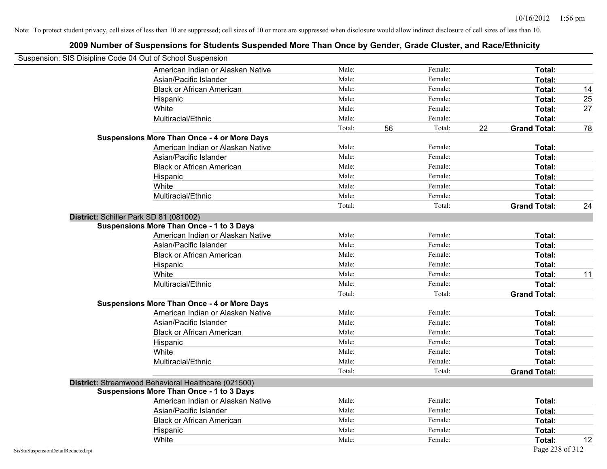|                                                            | 2009 Number of Suspensions for Students Suspended More Than Once by Gender, Grade Cluster, and Race/Ethnicity |        |    |         |    |                     |    |
|------------------------------------------------------------|---------------------------------------------------------------------------------------------------------------|--------|----|---------|----|---------------------|----|
| Suspension: SIS Disipline Code 04 Out of School Suspension |                                                                                                               |        |    |         |    |                     |    |
|                                                            | American Indian or Alaskan Native                                                                             | Male:  |    | Female: |    | Total:              |    |
|                                                            | Asian/Pacific Islander                                                                                        | Male:  |    | Female: |    | Total:              |    |
|                                                            | <b>Black or African American</b>                                                                              | Male:  |    | Female: |    | Total:              | 14 |
|                                                            | Hispanic                                                                                                      | Male:  |    | Female: |    | Total:              | 25 |
|                                                            | White                                                                                                         | Male:  |    | Female: |    | Total:              | 27 |
|                                                            | Multiracial/Ethnic                                                                                            | Male:  |    | Female: |    | Total:              |    |
|                                                            |                                                                                                               | Total: | 56 | Total:  | 22 | <b>Grand Total:</b> | 78 |
|                                                            | <b>Suspensions More Than Once - 4 or More Days</b>                                                            |        |    |         |    |                     |    |
|                                                            | American Indian or Alaskan Native                                                                             | Male:  |    | Female: |    | Total:              |    |
|                                                            | Asian/Pacific Islander                                                                                        | Male:  |    | Female: |    | Total:              |    |
|                                                            | <b>Black or African American</b>                                                                              | Male:  |    | Female: |    | Total:              |    |
|                                                            | Hispanic                                                                                                      | Male:  |    | Female: |    | Total:              |    |
|                                                            | White                                                                                                         | Male:  |    | Female: |    | Total:              |    |
|                                                            | Multiracial/Ethnic                                                                                            | Male:  |    | Female: |    | <b>Total:</b>       |    |
|                                                            |                                                                                                               | Total: |    | Total:  |    | <b>Grand Total:</b> | 24 |
|                                                            | District: Schiller Park SD 81 (081002)                                                                        |        |    |         |    |                     |    |
|                                                            | <b>Suspensions More Than Once - 1 to 3 Days</b>                                                               |        |    |         |    |                     |    |
|                                                            | American Indian or Alaskan Native                                                                             | Male:  |    | Female: |    | Total:              |    |
|                                                            | Asian/Pacific Islander                                                                                        | Male:  |    | Female: |    | Total:              |    |
|                                                            | <b>Black or African American</b>                                                                              | Male:  |    | Female: |    | Total:              |    |
|                                                            | Hispanic                                                                                                      | Male:  |    | Female: |    | Total:              |    |
|                                                            | White                                                                                                         | Male:  |    | Female: |    | Total:              | 11 |
|                                                            | Multiracial/Ethnic                                                                                            | Male:  |    | Female: |    | <b>Total:</b>       |    |
|                                                            |                                                                                                               | Total: |    | Total:  |    | <b>Grand Total:</b> |    |
|                                                            | <b>Suspensions More Than Once - 4 or More Days</b>                                                            |        |    |         |    |                     |    |
|                                                            | American Indian or Alaskan Native                                                                             | Male:  |    | Female: |    | Total:              |    |
|                                                            | Asian/Pacific Islander                                                                                        | Male:  |    | Female: |    | Total:              |    |
|                                                            | <b>Black or African American</b>                                                                              | Male:  |    | Female: |    | Total:              |    |
|                                                            | Hispanic                                                                                                      | Male:  |    | Female: |    | Total:              |    |
|                                                            | White                                                                                                         | Male:  |    | Female: |    | Total:              |    |
|                                                            | Multiracial/Ethnic                                                                                            | Male:  |    | Female: |    | Total:              |    |
|                                                            |                                                                                                               | Total: |    | Total:  |    | <b>Grand Total:</b> |    |
|                                                            | District: Streamwood Behavioral Healthcare (021500)                                                           |        |    |         |    |                     |    |
|                                                            | <b>Suspensions More Than Once - 1 to 3 Days</b>                                                               |        |    |         |    |                     |    |
|                                                            | American Indian or Alaskan Native                                                                             | Male:  |    | Female: |    | Total:              |    |
|                                                            | Asian/Pacific Islander                                                                                        | Male:  |    | Female: |    | Total:              |    |
|                                                            | <b>Black or African American</b>                                                                              | Male:  |    | Female: |    | Total:              |    |
|                                                            | Hispanic                                                                                                      | Male:  |    | Female: |    | Total:              |    |
|                                                            | White                                                                                                         | Male:  |    | Female: |    | Total:              | 12 |

#### SisStuSuspensionDetailRedacted.rpt Page 238 of 312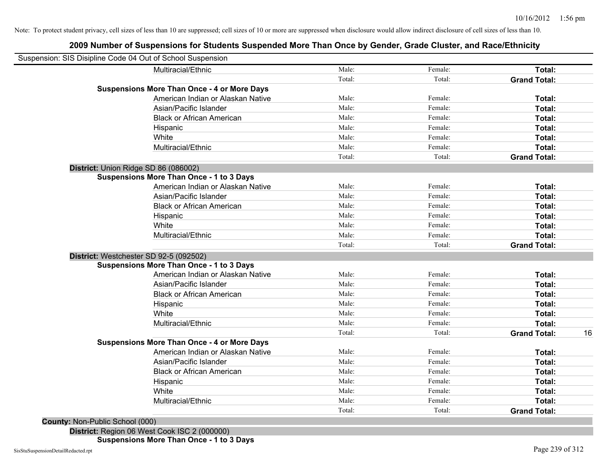### **2009 Number of Suspensions for Students Suspended More Than Once by Gender, Grade Cluster, and Race/Ethnicity**

| Suspension: SIS Disipline Code 04 Out of School Suspension |                                                    |        |         |                     |    |
|------------------------------------------------------------|----------------------------------------------------|--------|---------|---------------------|----|
|                                                            | Multiracial/Ethnic                                 | Male:  | Female: | Total:              |    |
|                                                            |                                                    | Total: | Total:  | <b>Grand Total:</b> |    |
|                                                            | <b>Suspensions More Than Once - 4 or More Days</b> |        |         |                     |    |
|                                                            | American Indian or Alaskan Native                  | Male:  | Female: | Total:              |    |
|                                                            | Asian/Pacific Islander                             | Male:  | Female: | Total:              |    |
|                                                            | <b>Black or African American</b>                   | Male:  | Female: | Total:              |    |
|                                                            | Hispanic                                           | Male:  | Female: | Total:              |    |
|                                                            | White                                              | Male:  | Female: | Total:              |    |
|                                                            | Multiracial/Ethnic                                 | Male:  | Female: | Total:              |    |
|                                                            |                                                    | Total: | Total:  | <b>Grand Total:</b> |    |
| District: Union Ridge SD 86 (086002)                       |                                                    |        |         |                     |    |
|                                                            | <b>Suspensions More Than Once - 1 to 3 Days</b>    |        |         |                     |    |
|                                                            | American Indian or Alaskan Native                  | Male:  | Female: | Total:              |    |
|                                                            | Asian/Pacific Islander                             | Male:  | Female: | Total:              |    |
|                                                            | <b>Black or African American</b>                   | Male:  | Female: | Total:              |    |
|                                                            | Hispanic                                           | Male:  | Female: | Total:              |    |
|                                                            | White                                              | Male:  | Female: | Total:              |    |
|                                                            | Multiracial/Ethnic                                 | Male:  | Female: | Total:              |    |
|                                                            |                                                    | Total: | Total:  | <b>Grand Total:</b> |    |
|                                                            | District: Westchester SD 92-5 (092502)             |        |         |                     |    |
|                                                            | <b>Suspensions More Than Once - 1 to 3 Days</b>    |        |         |                     |    |
|                                                            | American Indian or Alaskan Native                  | Male:  | Female: | Total:              |    |
|                                                            | Asian/Pacific Islander                             | Male:  | Female: | Total:              |    |
|                                                            | <b>Black or African American</b>                   | Male:  | Female: | Total:              |    |
|                                                            | Hispanic                                           | Male:  | Female: | Total:              |    |
|                                                            | White                                              | Male:  | Female: | <b>Total:</b>       |    |
|                                                            | Multiracial/Ethnic                                 | Male:  | Female: | Total:              |    |
|                                                            |                                                    | Total: | Total:  | <b>Grand Total:</b> | 16 |
|                                                            | <b>Suspensions More Than Once - 4 or More Days</b> |        |         |                     |    |
|                                                            | American Indian or Alaskan Native                  | Male:  | Female: | Total:              |    |
|                                                            | Asian/Pacific Islander                             | Male:  | Female: | Total:              |    |
|                                                            | <b>Black or African American</b>                   | Male:  | Female: | Total:              |    |
|                                                            | Hispanic                                           | Male:  | Female: | Total:              |    |
|                                                            | White                                              | Male:  | Female: | Total:              |    |
|                                                            | Multiracial/Ethnic                                 | Male:  | Female: | Total:              |    |
|                                                            |                                                    | Total: | Total:  | <b>Grand Total:</b> |    |

**Suspensions More Than Once - 1 to 3 Days**

**District:** Region 06 West Cook ISC 2 (000000)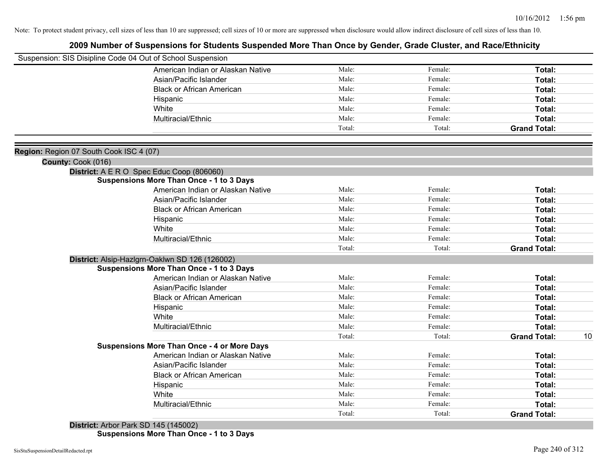### **2009 Number of Suspensions for Students Suspended More Than Once by Gender, Grade Cluster, and Race/Ethnicity**

|                                         | Suspension: SIS Disipline Code 04 Out of School Suspension |        |         |                     |    |
|-----------------------------------------|------------------------------------------------------------|--------|---------|---------------------|----|
|                                         | American Indian or Alaskan Native                          | Male:  | Female: | Total:              |    |
|                                         | Asian/Pacific Islander                                     | Male:  | Female: | Total:              |    |
|                                         | <b>Black or African American</b>                           | Male:  | Female: | Total:              |    |
|                                         | Hispanic                                                   | Male:  | Female: | Total:              |    |
|                                         | White                                                      | Male:  | Female: | Total:              |    |
|                                         | Multiracial/Ethnic                                         | Male:  | Female: | Total:              |    |
|                                         |                                                            | Total: | Total:  | <b>Grand Total:</b> |    |
|                                         |                                                            |        |         |                     |    |
| Region: Region 07 South Cook ISC 4 (07) |                                                            |        |         |                     |    |
| County: Cook (016)                      |                                                            |        |         |                     |    |
|                                         | District: A E R O Spec Educ Coop (806060)                  |        |         |                     |    |
|                                         | <b>Suspensions More Than Once - 1 to 3 Days</b>            |        |         |                     |    |
|                                         | American Indian or Alaskan Native                          | Male:  | Female: | Total:              |    |
|                                         | Asian/Pacific Islander                                     | Male:  | Female: | Total:              |    |
|                                         | <b>Black or African American</b>                           | Male:  | Female: | Total:              |    |
|                                         | Hispanic                                                   | Male:  | Female: | Total:              |    |
|                                         | White                                                      | Male:  | Female: | Total:              |    |
|                                         | Multiracial/Ethnic                                         | Male:  | Female: | Total:              |    |
|                                         |                                                            | Total: | Total:  | <b>Grand Total:</b> |    |
|                                         | District: Alsip-Hazlgrn-Oaklwn SD 126 (126002)             |        |         |                     |    |
|                                         | <b>Suspensions More Than Once - 1 to 3 Days</b>            |        |         |                     |    |
|                                         | American Indian or Alaskan Native                          | Male:  | Female: | Total:              |    |
|                                         | Asian/Pacific Islander                                     | Male:  | Female: | Total:              |    |
|                                         | <b>Black or African American</b>                           | Male:  | Female: | Total:              |    |
|                                         | Hispanic                                                   | Male:  | Female: | Total:              |    |
|                                         | White                                                      | Male:  | Female: | Total:              |    |
|                                         | Multiracial/Ethnic                                         | Male:  | Female: | Total:              |    |
|                                         |                                                            | Total: | Total:  | <b>Grand Total:</b> | 10 |
|                                         | <b>Suspensions More Than Once - 4 or More Days</b>         |        |         |                     |    |
|                                         | American Indian or Alaskan Native                          | Male:  | Female: | Total:              |    |
|                                         | Asian/Pacific Islander                                     | Male:  | Female: | Total:              |    |
|                                         | <b>Black or African American</b>                           | Male:  | Female: | Total:              |    |
|                                         | Hispanic                                                   | Male:  | Female: | Total:              |    |
|                                         | White                                                      | Male:  | Female: | Total:              |    |
|                                         | Multiracial/Ethnic                                         | Male:  | Female: | <b>Total:</b>       |    |
|                                         |                                                            | Total: | Total:  | <b>Grand Total:</b> |    |
|                                         |                                                            |        |         |                     |    |

**District:** Arbor Park SD 145 (145002) **Suspensions More Than Once - 1 to 3 Days**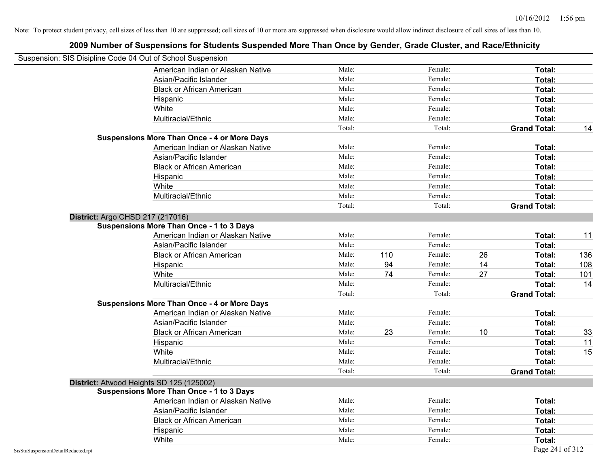| Suspension: SIS Disipline Code 04 Out of School Suspension |                                                    |        |     |         |    |                     |     |
|------------------------------------------------------------|----------------------------------------------------|--------|-----|---------|----|---------------------|-----|
|                                                            | American Indian or Alaskan Native                  | Male:  |     | Female: |    | Total:              |     |
|                                                            | Asian/Pacific Islander                             | Male:  |     | Female: |    | Total:              |     |
|                                                            | <b>Black or African American</b>                   | Male:  |     | Female: |    | Total:              |     |
|                                                            | Hispanic                                           | Male:  |     | Female: |    | Total:              |     |
|                                                            | White                                              | Male:  |     | Female: |    | Total:              |     |
|                                                            | Multiracial/Ethnic                                 | Male:  |     | Female: |    | Total:              |     |
|                                                            |                                                    | Total: |     | Total:  |    | <b>Grand Total:</b> | 14  |
|                                                            | <b>Suspensions More Than Once - 4 or More Days</b> |        |     |         |    |                     |     |
|                                                            | American Indian or Alaskan Native                  | Male:  |     | Female: |    | Total:              |     |
|                                                            | Asian/Pacific Islander                             | Male:  |     | Female: |    | Total:              |     |
|                                                            | <b>Black or African American</b>                   | Male:  |     | Female: |    | Total:              |     |
|                                                            | Hispanic                                           | Male:  |     | Female: |    | Total:              |     |
|                                                            | White                                              | Male:  |     | Female: |    | Total:              |     |
|                                                            | Multiracial/Ethnic                                 | Male:  |     | Female: |    | Total:              |     |
|                                                            |                                                    | Total: |     | Total:  |    | <b>Grand Total:</b> |     |
| District: Argo CHSD 217 (217016)                           |                                                    |        |     |         |    |                     |     |
|                                                            | <b>Suspensions More Than Once - 1 to 3 Days</b>    |        |     |         |    |                     |     |
|                                                            | American Indian or Alaskan Native                  | Male:  |     | Female: |    | Total:              | 11  |
|                                                            | Asian/Pacific Islander                             | Male:  |     | Female: |    | Total:              |     |
|                                                            | <b>Black or African American</b>                   | Male:  | 110 | Female: | 26 | Total:              | 136 |
|                                                            | Hispanic                                           | Male:  | 94  | Female: | 14 | Total:              | 108 |
|                                                            | White                                              | Male:  | 74  | Female: | 27 | Total:              | 101 |
|                                                            | Multiracial/Ethnic                                 | Male:  |     | Female: |    | Total:              | 14  |
|                                                            |                                                    | Total: |     | Total:  |    | <b>Grand Total:</b> |     |
|                                                            | <b>Suspensions More Than Once - 4 or More Days</b> |        |     |         |    |                     |     |
|                                                            | American Indian or Alaskan Native                  | Male:  |     | Female: |    | Total:              |     |
|                                                            | Asian/Pacific Islander                             | Male:  |     | Female: |    | Total:              |     |
|                                                            | <b>Black or African American</b>                   | Male:  | 23  | Female: | 10 | Total:              | 33  |
|                                                            | Hispanic                                           | Male:  |     | Female: |    | Total:              | 11  |
|                                                            | White                                              | Male:  |     | Female: |    | Total:              | 15  |
|                                                            | Multiracial/Ethnic                                 | Male:  |     | Female: |    | Total:              |     |
|                                                            |                                                    | Total: |     | Total:  |    | <b>Grand Total:</b> |     |
|                                                            | District: Atwood Heights SD 125 (125002)           |        |     |         |    |                     |     |
|                                                            | <b>Suspensions More Than Once - 1 to 3 Days</b>    |        |     |         |    |                     |     |
|                                                            | American Indian or Alaskan Native                  | Male:  |     | Female: |    | Total:              |     |
|                                                            | Asian/Pacific Islander                             | Male:  |     | Female: |    | Total:              |     |
|                                                            | <b>Black or African American</b>                   | Male:  |     | Female: |    | Total:              |     |
|                                                            | Hispanic                                           | Male:  |     | Female: |    | Total:              |     |
|                                                            | White                                              | Male:  |     | Female: |    | Total:              |     |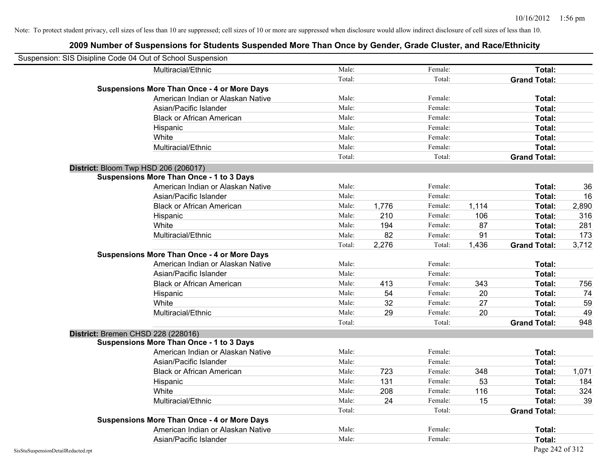| Suspension: SIS Disipline Code 04 Out of School Suspension |                                                    |        |       |         |       |                     |       |
|------------------------------------------------------------|----------------------------------------------------|--------|-------|---------|-------|---------------------|-------|
|                                                            | Multiracial/Ethnic                                 | Male:  |       | Female: |       | Total:              |       |
|                                                            |                                                    | Total: |       | Total:  |       | <b>Grand Total:</b> |       |
|                                                            | <b>Suspensions More Than Once - 4 or More Days</b> |        |       |         |       |                     |       |
|                                                            | American Indian or Alaskan Native                  | Male:  |       | Female: |       | Total:              |       |
|                                                            | Asian/Pacific Islander                             | Male:  |       | Female: |       | Total:              |       |
|                                                            | <b>Black or African American</b>                   | Male:  |       | Female: |       | Total:              |       |
|                                                            | Hispanic                                           | Male:  |       | Female: |       | Total:              |       |
|                                                            | White                                              | Male:  |       | Female: |       | Total:              |       |
|                                                            | Multiracial/Ethnic                                 | Male:  |       | Female: |       | Total:              |       |
|                                                            |                                                    | Total: |       | Total:  |       | <b>Grand Total:</b> |       |
| District: Bloom Twp HSD 206 (206017)                       |                                                    |        |       |         |       |                     |       |
|                                                            | <b>Suspensions More Than Once - 1 to 3 Days</b>    |        |       |         |       |                     |       |
|                                                            | American Indian or Alaskan Native                  | Male:  |       | Female: |       | Total:              | 36    |
|                                                            | Asian/Pacific Islander                             | Male:  |       | Female: |       | Total:              | 16    |
|                                                            | <b>Black or African American</b>                   | Male:  | 1,776 | Female: | 1,114 | Total:              | 2,890 |
|                                                            | Hispanic                                           | Male:  | 210   | Female: | 106   | Total:              | 316   |
|                                                            | White                                              | Male:  | 194   | Female: | 87    | Total:              | 281   |
|                                                            | Multiracial/Ethnic                                 | Male:  | 82    | Female: | 91    | Total:              | 173   |
|                                                            |                                                    | Total: | 2,276 | Total:  | 1,436 | <b>Grand Total:</b> | 3,712 |
|                                                            | <b>Suspensions More Than Once - 4 or More Days</b> |        |       |         |       |                     |       |
|                                                            | American Indian or Alaskan Native                  | Male:  |       | Female: |       | Total:              |       |
|                                                            | Asian/Pacific Islander                             | Male:  |       | Female: |       | Total:              |       |
|                                                            | <b>Black or African American</b>                   | Male:  | 413   | Female: | 343   | Total:              | 756   |
|                                                            | Hispanic                                           | Male:  | 54    | Female: | 20    | Total:              | 74    |
|                                                            | White                                              | Male:  | 32    | Female: | 27    | Total:              | 59    |
|                                                            | Multiracial/Ethnic                                 | Male:  | 29    | Female: | 20    | Total:              | 49    |
|                                                            |                                                    | Total: |       | Total:  |       | <b>Grand Total:</b> | 948   |
| District: Bremen CHSD 228 (228016)                         |                                                    |        |       |         |       |                     |       |
|                                                            | <b>Suspensions More Than Once - 1 to 3 Days</b>    |        |       |         |       |                     |       |
|                                                            | American Indian or Alaskan Native                  | Male:  |       | Female: |       | Total:              |       |
|                                                            | Asian/Pacific Islander                             | Male:  |       | Female: |       | Total:              |       |
|                                                            | <b>Black or African American</b>                   | Male:  | 723   | Female: | 348   | Total:              | 1,071 |
|                                                            | Hispanic                                           | Male:  | 131   | Female: | 53    | Total:              | 184   |
|                                                            | White                                              | Male:  | 208   | Female: | 116   | Total:              | 324   |
|                                                            | Multiracial/Ethnic                                 | Male:  | 24    | Female: | 15    | Total:              | 39    |
|                                                            |                                                    | Total: |       | Total:  |       | <b>Grand Total:</b> |       |
|                                                            | <b>Suspensions More Than Once - 4 or More Days</b> |        |       |         |       |                     |       |
|                                                            | American Indian or Alaskan Native                  | Male:  |       | Female: |       | Total:              |       |
|                                                            | Asian/Pacific Islander                             | Male:  |       | Female: |       | Total:              |       |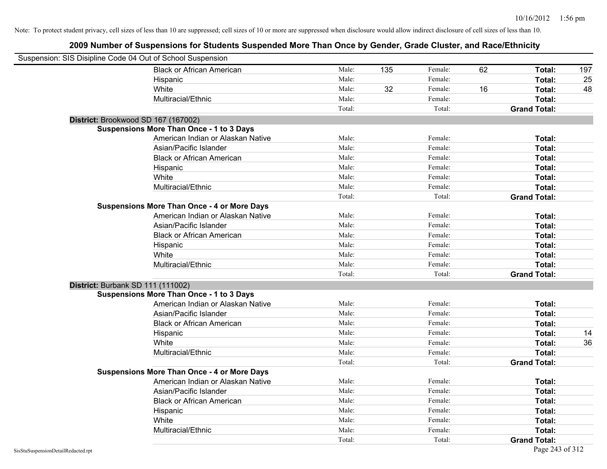| Suspension: SIS Disipline Code 04 Out of School Suspension |                                                    |        |     |         |    |                     |     |
|------------------------------------------------------------|----------------------------------------------------|--------|-----|---------|----|---------------------|-----|
|                                                            | <b>Black or African American</b>                   | Male:  | 135 | Female: | 62 | Total:              | 197 |
|                                                            | Hispanic                                           | Male:  |     | Female: |    | Total:              | 25  |
|                                                            | White                                              | Male:  | 32  | Female: | 16 | Total:              | 48  |
|                                                            | Multiracial/Ethnic                                 | Male:  |     | Female: |    | Total:              |     |
|                                                            |                                                    | Total: |     | Total:  |    | <b>Grand Total:</b> |     |
| District: Brookwood SD 167 (167002)                        |                                                    |        |     |         |    |                     |     |
|                                                            | <b>Suspensions More Than Once - 1 to 3 Days</b>    |        |     |         |    |                     |     |
|                                                            | American Indian or Alaskan Native                  | Male:  |     | Female: |    | Total:              |     |
|                                                            | Asian/Pacific Islander                             | Male:  |     | Female: |    | Total:              |     |
|                                                            | <b>Black or African American</b>                   | Male:  |     | Female: |    | Total:              |     |
|                                                            | Hispanic                                           | Male:  |     | Female: |    | Total:              |     |
|                                                            | White                                              | Male:  |     | Female: |    | Total:              |     |
|                                                            | Multiracial/Ethnic                                 | Male:  |     | Female: |    | Total:              |     |
|                                                            |                                                    | Total: |     | Total:  |    | <b>Grand Total:</b> |     |
|                                                            | <b>Suspensions More Than Once - 4 or More Days</b> |        |     |         |    |                     |     |
|                                                            | American Indian or Alaskan Native                  | Male:  |     | Female: |    | Total:              |     |
|                                                            | Asian/Pacific Islander                             | Male:  |     | Female: |    | Total:              |     |
|                                                            | <b>Black or African American</b>                   | Male:  |     | Female: |    | Total:              |     |
|                                                            | Hispanic                                           | Male:  |     | Female: |    | Total:              |     |
|                                                            | White                                              | Male:  |     | Female: |    | Total:              |     |
|                                                            | Multiracial/Ethnic                                 | Male:  |     | Female: |    | Total:              |     |
|                                                            |                                                    | Total: |     | Total:  |    | <b>Grand Total:</b> |     |
| District: Burbank SD 111 (111002)                          |                                                    |        |     |         |    |                     |     |
|                                                            | <b>Suspensions More Than Once - 1 to 3 Days</b>    |        |     |         |    |                     |     |
|                                                            | American Indian or Alaskan Native                  | Male:  |     | Female: |    | Total:              |     |
|                                                            | Asian/Pacific Islander                             | Male:  |     | Female: |    | Total:              |     |
|                                                            | <b>Black or African American</b>                   | Male:  |     | Female: |    | Total:              |     |
|                                                            | Hispanic                                           | Male:  |     | Female: |    | Total:              | 14  |
|                                                            | White                                              | Male:  |     | Female: |    | Total:              | 36  |
|                                                            | Multiracial/Ethnic                                 | Male:  |     | Female: |    | Total:              |     |
|                                                            |                                                    | Total: |     | Total:  |    | <b>Grand Total:</b> |     |
|                                                            | <b>Suspensions More Than Once - 4 or More Days</b> |        |     |         |    |                     |     |
|                                                            | American Indian or Alaskan Native                  | Male:  |     | Female: |    | Total:              |     |
|                                                            | Asian/Pacific Islander                             | Male:  |     | Female: |    | Total:              |     |
|                                                            | <b>Black or African American</b>                   | Male:  |     | Female: |    | Total:              |     |
|                                                            | Hispanic                                           | Male:  |     | Female: |    | Total:              |     |
|                                                            | White                                              | Male:  |     | Female: |    | Total:              |     |
|                                                            | Multiracial/Ethnic                                 | Male:  |     | Female: |    | Total:              |     |
|                                                            |                                                    | Total: |     | Total:  |    | <b>Grand Total:</b> |     |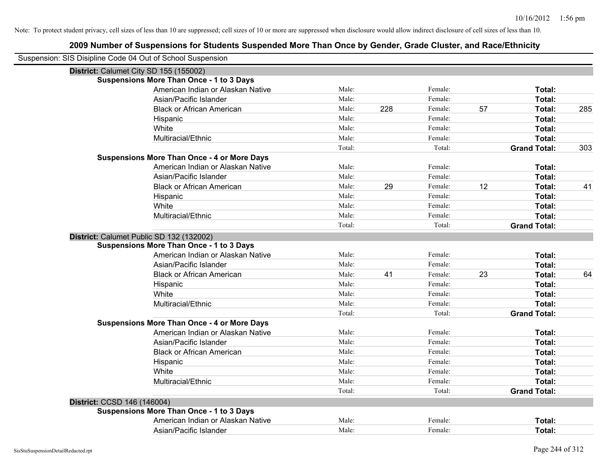| Suspension: SIS Disipline Code 04 Out of School Suspension |                                                    |        |     |         |    |                     |     |
|------------------------------------------------------------|----------------------------------------------------|--------|-----|---------|----|---------------------|-----|
|                                                            | District: Calumet City SD 155 (155002)             |        |     |         |    |                     |     |
|                                                            | <b>Suspensions More Than Once - 1 to 3 Days</b>    |        |     |         |    |                     |     |
|                                                            | American Indian or Alaskan Native                  | Male:  |     | Female: |    | Total:              |     |
|                                                            | Asian/Pacific Islander                             | Male:  |     | Female: |    | Total:              |     |
|                                                            | <b>Black or African American</b>                   | Male:  | 228 | Female: | 57 | Total:              | 285 |
|                                                            | Hispanic                                           | Male:  |     | Female: |    | Total:              |     |
|                                                            | White                                              | Male:  |     | Female: |    | Total:              |     |
|                                                            | Multiracial/Ethnic                                 | Male:  |     | Female: |    | Total:              |     |
|                                                            |                                                    | Total: |     | Total:  |    | <b>Grand Total:</b> | 303 |
|                                                            | <b>Suspensions More Than Once - 4 or More Days</b> |        |     |         |    |                     |     |
|                                                            | American Indian or Alaskan Native                  | Male:  |     | Female: |    | Total:              |     |
|                                                            | Asian/Pacific Islander                             | Male:  |     | Female: |    | Total:              |     |
|                                                            | <b>Black or African American</b>                   | Male:  | 29  | Female: | 12 | Total:              | 41  |
|                                                            | Hispanic                                           | Male:  |     | Female: |    | Total:              |     |
|                                                            | White                                              | Male:  |     | Female: |    | Total:              |     |
|                                                            | Multiracial/Ethnic                                 | Male:  |     | Female: |    | Total:              |     |
|                                                            |                                                    | Total: |     | Total:  |    | <b>Grand Total:</b> |     |
|                                                            | District: Calumet Public SD 132 (132002)           |        |     |         |    |                     |     |
|                                                            | <b>Suspensions More Than Once - 1 to 3 Days</b>    |        |     |         |    |                     |     |
|                                                            | American Indian or Alaskan Native                  | Male:  |     | Female: |    | Total:              |     |
|                                                            | Asian/Pacific Islander                             | Male:  |     | Female: |    | Total:              |     |
|                                                            | <b>Black or African American</b>                   | Male:  | 41  | Female: | 23 | Total:              | 64  |
|                                                            | Hispanic                                           | Male:  |     | Female: |    | Total:              |     |
|                                                            | White                                              | Male:  |     | Female: |    | Total:              |     |
|                                                            | Multiracial/Ethnic                                 | Male:  |     | Female: |    | Total:              |     |
|                                                            |                                                    | Total: |     | Total:  |    | <b>Grand Total:</b> |     |
|                                                            | <b>Suspensions More Than Once - 4 or More Days</b> |        |     |         |    |                     |     |
|                                                            | American Indian or Alaskan Native                  | Male:  |     | Female: |    | Total:              |     |
|                                                            | Asian/Pacific Islander                             | Male:  |     | Female: |    | Total:              |     |
|                                                            | <b>Black or African American</b>                   | Male:  |     | Female: |    | Total:              |     |
|                                                            | Hispanic                                           | Male:  |     | Female: |    | Total:              |     |
|                                                            | White                                              | Male:  |     | Female: |    | Total:              |     |
|                                                            | Multiracial/Ethnic                                 | Male:  |     | Female: |    | Total:              |     |
|                                                            |                                                    | Total: |     | Total:  |    | <b>Grand Total:</b> |     |
| District: CCSD 146 (146004)                                |                                                    |        |     |         |    |                     |     |
|                                                            | <b>Suspensions More Than Once - 1 to 3 Days</b>    |        |     |         |    |                     |     |
|                                                            | American Indian or Alaskan Native                  | Male:  |     | Female: |    | Total:              |     |
|                                                            | Asian/Pacific Islander                             | Male:  |     | Female: |    | Total:              |     |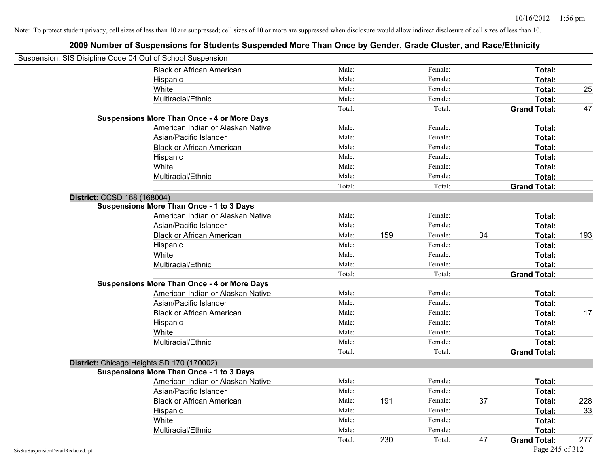| Suspension: SIS Disipline Code 04 Out of School Suspension |                                                    |        |     |         |    |                     |     |
|------------------------------------------------------------|----------------------------------------------------|--------|-----|---------|----|---------------------|-----|
|                                                            | <b>Black or African American</b>                   | Male:  |     | Female: |    | Total:              |     |
|                                                            | Hispanic                                           | Male:  |     | Female: |    | Total:              |     |
|                                                            | White                                              | Male:  |     | Female: |    | Total:              | 25  |
|                                                            | Multiracial/Ethnic                                 | Male:  |     | Female: |    | Total:              |     |
|                                                            |                                                    | Total: |     | Total:  |    | <b>Grand Total:</b> | 47  |
|                                                            | <b>Suspensions More Than Once - 4 or More Days</b> |        |     |         |    |                     |     |
|                                                            | American Indian or Alaskan Native                  | Male:  |     | Female: |    | Total:              |     |
|                                                            | Asian/Pacific Islander                             | Male:  |     | Female: |    | Total:              |     |
|                                                            | <b>Black or African American</b>                   | Male:  |     | Female: |    | Total:              |     |
|                                                            | Hispanic                                           | Male:  |     | Female: |    | Total:              |     |
|                                                            | White                                              | Male:  |     | Female: |    | Total:              |     |
|                                                            | Multiracial/Ethnic                                 | Male:  |     | Female: |    | Total:              |     |
|                                                            |                                                    | Total: |     | Total:  |    | <b>Grand Total:</b> |     |
| District: CCSD 168 (168004)                                |                                                    |        |     |         |    |                     |     |
|                                                            | <b>Suspensions More Than Once - 1 to 3 Days</b>    |        |     |         |    |                     |     |
|                                                            | American Indian or Alaskan Native                  | Male:  |     | Female: |    | Total:              |     |
|                                                            | Asian/Pacific Islander                             | Male:  |     | Female: |    | Total:              |     |
|                                                            | <b>Black or African American</b>                   | Male:  | 159 | Female: | 34 | Total:              | 193 |
|                                                            | Hispanic                                           | Male:  |     | Female: |    | Total:              |     |
|                                                            | White                                              | Male:  |     | Female: |    | Total:              |     |
|                                                            | Multiracial/Ethnic                                 | Male:  |     | Female: |    | Total:              |     |
|                                                            |                                                    | Total: |     | Total:  |    | <b>Grand Total:</b> |     |
|                                                            | <b>Suspensions More Than Once - 4 or More Days</b> |        |     |         |    |                     |     |
|                                                            | American Indian or Alaskan Native                  | Male:  |     | Female: |    | Total:              |     |
|                                                            | Asian/Pacific Islander                             | Male:  |     | Female: |    | Total:              |     |
|                                                            | <b>Black or African American</b>                   | Male:  |     | Female: |    | Total:              | 17  |
|                                                            | Hispanic                                           | Male:  |     | Female: |    | Total:              |     |
|                                                            | White                                              | Male:  |     | Female: |    | Total:              |     |
|                                                            | Multiracial/Ethnic                                 | Male:  |     | Female: |    | Total:              |     |
|                                                            |                                                    | Total: |     | Total:  |    | <b>Grand Total:</b> |     |
|                                                            | District: Chicago Heights SD 170 (170002)          |        |     |         |    |                     |     |
|                                                            | <b>Suspensions More Than Once - 1 to 3 Days</b>    |        |     |         |    |                     |     |
|                                                            | American Indian or Alaskan Native                  | Male:  |     | Female: |    | Total:              |     |
|                                                            | Asian/Pacific Islander                             | Male:  |     | Female: |    | Total:              |     |
|                                                            | <b>Black or African American</b>                   | Male:  | 191 | Female: | 37 | Total:              | 228 |
|                                                            | Hispanic                                           | Male:  |     | Female: |    | Total:              | 33  |
|                                                            | White                                              | Male:  |     | Female: |    | Total:              |     |
|                                                            | Multiracial/Ethnic                                 | Male:  |     | Female: |    | Total:              |     |
|                                                            |                                                    | Total: | 230 | Total:  | 47 | <b>Grand Total:</b> | 277 |
| SisStuSuspensionDetailRedacted.rpt                         |                                                    |        |     |         |    | Page 245 of 312     |     |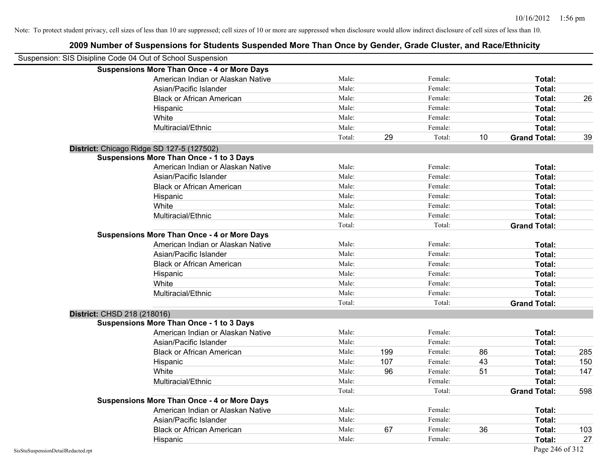| 2009 Number of Suspensions for Students Suspended More Than Once by Gender, Grade Cluster, and Race/Ethnicity |        |     |         |    |                     |     |
|---------------------------------------------------------------------------------------------------------------|--------|-----|---------|----|---------------------|-----|
| Suspension: SIS Disipline Code 04 Out of School Suspension                                                    |        |     |         |    |                     |     |
| <b>Suspensions More Than Once - 4 or More Days</b>                                                            |        |     |         |    |                     |     |
| American Indian or Alaskan Native                                                                             | Male:  |     | Female: |    | Total:              |     |
| Asian/Pacific Islander                                                                                        | Male:  |     | Female: |    | Total:              |     |
| <b>Black or African American</b>                                                                              | Male:  |     | Female: |    | Total:              | 26  |
| Hispanic                                                                                                      | Male:  |     | Female: |    | Total:              |     |
| White                                                                                                         | Male:  |     | Female: |    | Total:              |     |
| Multiracial/Ethnic                                                                                            | Male:  |     | Female: |    | Total:              |     |
|                                                                                                               | Total: | 29  | Total:  | 10 | <b>Grand Total:</b> | 39  |
| District: Chicago Ridge SD 127-5 (127502)                                                                     |        |     |         |    |                     |     |
| <b>Suspensions More Than Once - 1 to 3 Days</b>                                                               |        |     |         |    |                     |     |
| American Indian or Alaskan Native                                                                             | Male:  |     | Female: |    | Total:              |     |
| Asian/Pacific Islander                                                                                        | Male:  |     | Female: |    | Total:              |     |
| <b>Black or African American</b>                                                                              | Male:  |     | Female: |    | Total:              |     |
| Hispanic                                                                                                      | Male:  |     | Female: |    | Total:              |     |
| White                                                                                                         | Male:  |     | Female: |    | Total:              |     |
| Multiracial/Ethnic                                                                                            | Male:  |     | Female: |    | Total:              |     |
|                                                                                                               | Total: |     | Total:  |    | <b>Grand Total:</b> |     |
| <b>Suspensions More Than Once - 4 or More Days</b>                                                            |        |     |         |    |                     |     |
| American Indian or Alaskan Native                                                                             | Male:  |     | Female: |    | Total:              |     |
| Asian/Pacific Islander                                                                                        | Male:  |     | Female: |    | Total:              |     |
| <b>Black or African American</b>                                                                              | Male:  |     | Female: |    | Total:              |     |
| Hispanic                                                                                                      | Male:  |     | Female: |    | Total:              |     |
| White                                                                                                         | Male:  |     | Female: |    | Total:              |     |
| Multiracial/Ethnic                                                                                            | Male:  |     | Female: |    | Total:              |     |
|                                                                                                               | Total: |     | Total:  |    | <b>Grand Total:</b> |     |
| District: CHSD 218 (218016)                                                                                   |        |     |         |    |                     |     |
| <b>Suspensions More Than Once - 1 to 3 Days</b>                                                               |        |     |         |    |                     |     |
| American Indian or Alaskan Native                                                                             | Male:  |     | Female: |    | Total:              |     |
| Asian/Pacific Islander                                                                                        | Male:  |     | Female: |    | Total:              |     |
| <b>Black or African American</b>                                                                              | Male:  | 199 | Female: | 86 | Total:              | 285 |
| Hispanic                                                                                                      | Male:  | 107 | Female: | 43 | Total:              | 150 |
| White                                                                                                         | Male:  | 96  | Female: | 51 | Total:              | 147 |
| Multiracial/Ethnic                                                                                            | Male:  |     | Female: |    | Total:              |     |
|                                                                                                               | Total: |     | Total:  |    | <b>Grand Total:</b> | 598 |
| <b>Suspensions More Than Once - 4 or More Days</b>                                                            |        |     |         |    |                     |     |
| American Indian or Alaskan Native                                                                             | Male:  |     | Female: |    | Total:              |     |
| Asian/Pacific Islander                                                                                        | Male:  |     | Female: |    | Total:              |     |
| <b>Black or African American</b>                                                                              | Male:  | 67  | Female: | 36 | Total:              | 103 |
| Hispanic                                                                                                      | Male:  |     | Female: |    | Total:              | 27  |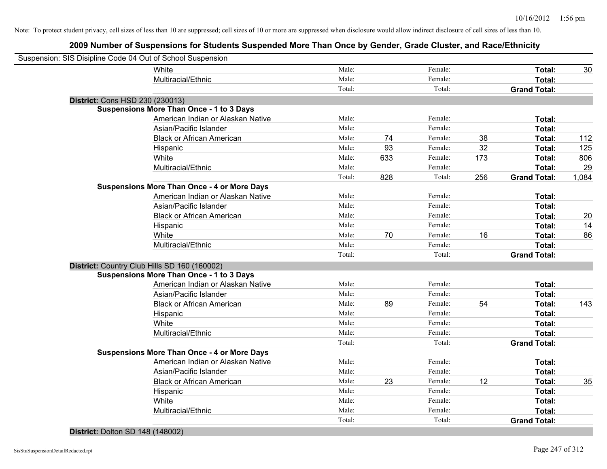### **2009 Number of Suspensions for Students Suspended More Than Once by Gender, Grade Cluster, and Race/Ethnicity**

| Suspension: SIS Disipline Code 04 Out of School Suspension |                                                    |        |     |         |     |                     |       |
|------------------------------------------------------------|----------------------------------------------------|--------|-----|---------|-----|---------------------|-------|
|                                                            | White                                              | Male:  |     | Female: |     | Total:              | 30    |
|                                                            | Multiracial/Ethnic                                 | Male:  |     | Female: |     | Total:              |       |
|                                                            |                                                    | Total: |     | Total:  |     | <b>Grand Total:</b> |       |
|                                                            | <b>District: Cons HSD 230 (230013)</b>             |        |     |         |     |                     |       |
|                                                            | <b>Suspensions More Than Once - 1 to 3 Days</b>    |        |     |         |     |                     |       |
|                                                            | American Indian or Alaskan Native                  | Male:  |     | Female: |     | Total:              |       |
|                                                            | Asian/Pacific Islander                             | Male:  |     | Female: |     | Total:              |       |
|                                                            | <b>Black or African American</b>                   | Male:  | 74  | Female: | 38  | Total:              | 112   |
|                                                            | Hispanic                                           | Male:  | 93  | Female: | 32  | Total:              | 125   |
|                                                            | White                                              | Male:  | 633 | Female: | 173 | Total:              | 806   |
|                                                            | Multiracial/Ethnic                                 | Male:  |     | Female: |     | Total:              | 29    |
|                                                            |                                                    | Total: | 828 | Total:  | 256 | <b>Grand Total:</b> | 1,084 |
|                                                            | <b>Suspensions More Than Once - 4 or More Days</b> |        |     |         |     |                     |       |
|                                                            | American Indian or Alaskan Native                  | Male:  |     | Female: |     | Total:              |       |
|                                                            | Asian/Pacific Islander                             | Male:  |     | Female: |     | Total:              |       |
|                                                            | <b>Black or African American</b>                   | Male:  |     | Female: |     | Total:              | 20    |
|                                                            | Hispanic                                           | Male:  |     | Female: |     | Total:              | 14    |
|                                                            | White                                              | Male:  | 70  | Female: | 16  | Total:              | 86    |
|                                                            | Multiracial/Ethnic                                 | Male:  |     | Female: |     | Total:              |       |
|                                                            |                                                    | Total: |     | Total:  |     | <b>Grand Total:</b> |       |
|                                                            | District: Country Club Hills SD 160 (160002)       |        |     |         |     |                     |       |
|                                                            | <b>Suspensions More Than Once - 1 to 3 Days</b>    |        |     |         |     |                     |       |
|                                                            | American Indian or Alaskan Native                  | Male:  |     | Female: |     | Total:              |       |
|                                                            | Asian/Pacific Islander                             | Male:  |     | Female: |     | Total:              |       |
|                                                            | <b>Black or African American</b>                   | Male:  | 89  | Female: | 54  | Total:              | 143   |
|                                                            | Hispanic                                           | Male:  |     | Female: |     | Total:              |       |
|                                                            | White                                              | Male:  |     | Female: |     | Total:              |       |
|                                                            | Multiracial/Ethnic                                 | Male:  |     | Female: |     | Total:              |       |
|                                                            |                                                    | Total: |     | Total:  |     | <b>Grand Total:</b> |       |
|                                                            | <b>Suspensions More Than Once - 4 or More Days</b> |        |     |         |     |                     |       |
|                                                            | American Indian or Alaskan Native                  | Male:  |     | Female: |     | Total:              |       |
|                                                            | Asian/Pacific Islander                             | Male:  |     | Female: |     | Total:              |       |
|                                                            | <b>Black or African American</b>                   | Male:  | 23  | Female: | 12  | Total:              | 35    |
|                                                            | Hispanic                                           | Male:  |     | Female: |     | Total:              |       |
|                                                            | White                                              | Male:  |     | Female: |     | Total:              |       |
|                                                            | Multiracial/Ethnic                                 | Male:  |     | Female: |     | Total:              |       |
|                                                            |                                                    | Total: |     | Total:  |     | <b>Grand Total:</b> |       |
|                                                            |                                                    |        |     |         |     |                     |       |

#### **District:** Dolton SD 148 (148002)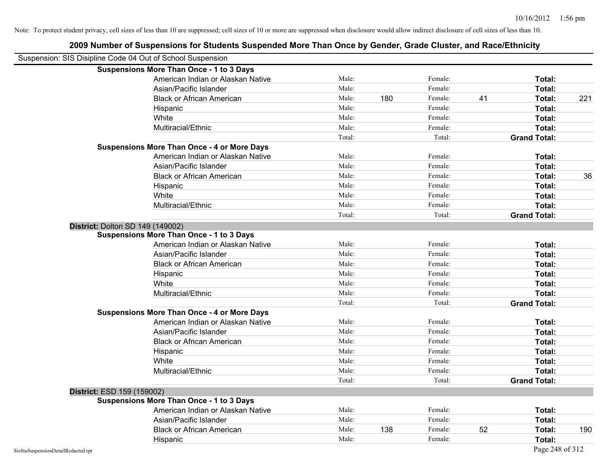| Suspension: SIS Disipline Code 04 Out of School Suspension |                                                    |        |     |         |    |                     |     |
|------------------------------------------------------------|----------------------------------------------------|--------|-----|---------|----|---------------------|-----|
|                                                            | <b>Suspensions More Than Once - 1 to 3 Days</b>    |        |     |         |    |                     |     |
|                                                            | American Indian or Alaskan Native                  | Male:  |     | Female: |    | Total:              |     |
|                                                            | Asian/Pacific Islander                             | Male:  |     | Female: |    | Total:              |     |
|                                                            | <b>Black or African American</b>                   | Male:  | 180 | Female: | 41 | Total:              | 221 |
|                                                            | Hispanic                                           | Male:  |     | Female: |    | Total:              |     |
|                                                            | White                                              | Male:  |     | Female: |    | Total:              |     |
|                                                            | Multiracial/Ethnic                                 | Male:  |     | Female: |    | Total:              |     |
|                                                            |                                                    | Total: |     | Total:  |    | <b>Grand Total:</b> |     |
|                                                            | <b>Suspensions More Than Once - 4 or More Days</b> |        |     |         |    |                     |     |
|                                                            | American Indian or Alaskan Native                  | Male:  |     | Female: |    | Total:              |     |
|                                                            | Asian/Pacific Islander                             | Male:  |     | Female: |    | Total:              |     |
|                                                            | <b>Black or African American</b>                   | Male:  |     | Female: |    | Total:              | 36  |
|                                                            | Hispanic                                           | Male:  |     | Female: |    | Total:              |     |
|                                                            | White                                              | Male:  |     | Female: |    | Total:              |     |
|                                                            | Multiracial/Ethnic                                 | Male:  |     | Female: |    | Total:              |     |
|                                                            |                                                    | Total: |     | Total:  |    | <b>Grand Total:</b> |     |
|                                                            | District: Dolton SD 149 (149002)                   |        |     |         |    |                     |     |
|                                                            | <b>Suspensions More Than Once - 1 to 3 Days</b>    |        |     |         |    |                     |     |
|                                                            | American Indian or Alaskan Native                  | Male:  |     | Female: |    | Total:              |     |
|                                                            | Asian/Pacific Islander                             | Male:  |     | Female: |    | Total:              |     |
|                                                            | <b>Black or African American</b>                   | Male:  |     | Female: |    | Total:              |     |
|                                                            | Hispanic                                           | Male:  |     | Female: |    | Total:              |     |
|                                                            | White                                              | Male:  |     | Female: |    | Total:              |     |
|                                                            | Multiracial/Ethnic                                 | Male:  |     | Female: |    | Total:              |     |
|                                                            |                                                    | Total: |     | Total:  |    | <b>Grand Total:</b> |     |
|                                                            | <b>Suspensions More Than Once - 4 or More Days</b> |        |     |         |    |                     |     |
|                                                            | American Indian or Alaskan Native                  | Male:  |     | Female: |    | Total:              |     |
|                                                            | Asian/Pacific Islander                             | Male:  |     | Female: |    | Total:              |     |
|                                                            | <b>Black or African American</b>                   | Male:  |     | Female: |    | Total:              |     |
|                                                            | Hispanic                                           | Male:  |     | Female: |    | Total:              |     |
|                                                            | White                                              | Male:  |     | Female: |    | Total:              |     |
|                                                            | Multiracial/Ethnic                                 | Male:  |     | Female: |    | Total:              |     |
|                                                            |                                                    | Total: |     | Total:  |    | <b>Grand Total:</b> |     |
| District: ESD 159 (159002)                                 |                                                    |        |     |         |    |                     |     |
|                                                            | <b>Suspensions More Than Once - 1 to 3 Days</b>    |        |     |         |    |                     |     |
|                                                            | American Indian or Alaskan Native                  | Male:  |     | Female: |    | Total:              |     |
|                                                            | Asian/Pacific Islander                             | Male:  |     | Female: |    | Total:              |     |
|                                                            | <b>Black or African American</b>                   | Male:  | 138 | Female: | 52 | Total:              | 190 |
|                                                            | Hispanic                                           | Male:  |     | Female: |    | Total:              |     |
| SisStuSuspensionDetailRedacted.rpt                         |                                                    |        |     |         |    | Page 248 of 312     |     |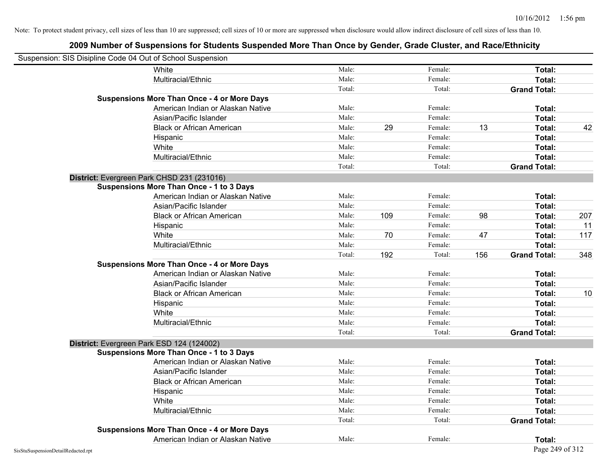| Suspension: SIS Disipline Code 04 Out of School Suspension |                                                    |        |     |         |     |                     |     |
|------------------------------------------------------------|----------------------------------------------------|--------|-----|---------|-----|---------------------|-----|
|                                                            | White                                              | Male:  |     | Female: |     | Total:              |     |
|                                                            | Multiracial/Ethnic                                 | Male:  |     | Female: |     | Total:              |     |
|                                                            |                                                    | Total: |     | Total:  |     | <b>Grand Total:</b> |     |
|                                                            | <b>Suspensions More Than Once - 4 or More Days</b> |        |     |         |     |                     |     |
|                                                            | American Indian or Alaskan Native                  | Male:  |     | Female: |     | Total:              |     |
|                                                            | Asian/Pacific Islander                             | Male:  |     | Female: |     | Total:              |     |
|                                                            | <b>Black or African American</b>                   | Male:  | 29  | Female: | 13  | Total:              | 42  |
|                                                            | Hispanic                                           | Male:  |     | Female: |     | Total:              |     |
|                                                            | White                                              | Male:  |     | Female: |     | Total:              |     |
|                                                            | Multiracial/Ethnic                                 | Male:  |     | Female: |     | Total:              |     |
|                                                            |                                                    | Total: |     | Total:  |     | <b>Grand Total:</b> |     |
|                                                            | District: Evergreen Park CHSD 231 (231016)         |        |     |         |     |                     |     |
|                                                            | <b>Suspensions More Than Once - 1 to 3 Days</b>    |        |     |         |     |                     |     |
|                                                            | American Indian or Alaskan Native                  | Male:  |     | Female: |     | Total:              |     |
|                                                            | Asian/Pacific Islander                             | Male:  |     | Female: |     | Total:              |     |
|                                                            | <b>Black or African American</b>                   | Male:  | 109 | Female: | 98  | Total:              | 207 |
|                                                            | Hispanic                                           | Male:  |     | Female: |     | Total:              | 11  |
|                                                            | White                                              | Male:  | 70  | Female: | 47  | Total:              | 117 |
|                                                            | Multiracial/Ethnic                                 | Male:  |     | Female: |     | Total:              |     |
|                                                            |                                                    | Total: | 192 | Total:  | 156 | <b>Grand Total:</b> | 348 |
|                                                            | <b>Suspensions More Than Once - 4 or More Days</b> |        |     |         |     |                     |     |
|                                                            | American Indian or Alaskan Native                  | Male:  |     | Female: |     | Total:              |     |
|                                                            | Asian/Pacific Islander                             | Male:  |     | Female: |     | Total:              |     |
|                                                            | <b>Black or African American</b>                   | Male:  |     | Female: |     | Total:              | 10  |
|                                                            | Hispanic                                           | Male:  |     | Female: |     | Total:              |     |
|                                                            | White                                              | Male:  |     | Female: |     | Total:              |     |
|                                                            | Multiracial/Ethnic                                 | Male:  |     | Female: |     | Total:              |     |
|                                                            |                                                    | Total: |     | Total:  |     | <b>Grand Total:</b> |     |
|                                                            | District: Evergreen Park ESD 124 (124002)          |        |     |         |     |                     |     |
|                                                            | <b>Suspensions More Than Once - 1 to 3 Days</b>    |        |     |         |     |                     |     |
|                                                            | American Indian or Alaskan Native                  | Male:  |     | Female: |     | Total:              |     |
|                                                            | Asian/Pacific Islander                             | Male:  |     | Female: |     | Total:              |     |
|                                                            | <b>Black or African American</b>                   | Male:  |     | Female: |     | Total:              |     |
|                                                            | Hispanic                                           | Male:  |     | Female: |     | Total:              |     |
|                                                            | White                                              | Male:  |     | Female: |     | Total:              |     |
|                                                            | Multiracial/Ethnic                                 | Male:  |     | Female: |     | Total:              |     |
|                                                            |                                                    | Total: |     | Total:  |     | <b>Grand Total:</b> |     |
|                                                            | <b>Suspensions More Than Once - 4 or More Days</b> |        |     |         |     |                     |     |
|                                                            | American Indian or Alaskan Native                  | Male:  |     | Female: |     | Total:              |     |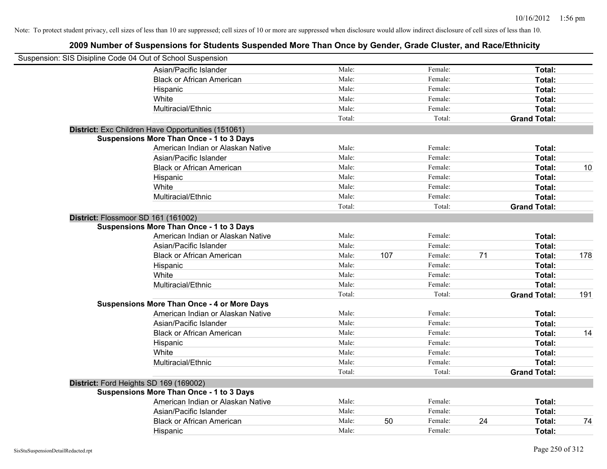| Suspension: SIS Disipline Code 04 Out of School Suspension |                                                    |        |     |         |    |                     |     |
|------------------------------------------------------------|----------------------------------------------------|--------|-----|---------|----|---------------------|-----|
|                                                            | Asian/Pacific Islander                             | Male:  |     | Female: |    | Total:              |     |
|                                                            | <b>Black or African American</b>                   | Male:  |     | Female: |    | Total:              |     |
|                                                            | Hispanic                                           | Male:  |     | Female: |    | Total:              |     |
|                                                            | White                                              | Male:  |     | Female: |    | Total:              |     |
|                                                            | Multiracial/Ethnic                                 | Male:  |     | Female: |    | Total:              |     |
|                                                            |                                                    | Total: |     | Total:  |    | <b>Grand Total:</b> |     |
|                                                            | District: Exc Children Have Opportunities (151061) |        |     |         |    |                     |     |
|                                                            | <b>Suspensions More Than Once - 1 to 3 Days</b>    |        |     |         |    |                     |     |
|                                                            | American Indian or Alaskan Native                  | Male:  |     | Female: |    | Total:              |     |
|                                                            | Asian/Pacific Islander                             | Male:  |     | Female: |    | Total:              |     |
|                                                            | <b>Black or African American</b>                   | Male:  |     | Female: |    | Total:              | 10  |
|                                                            | Hispanic                                           | Male:  |     | Female: |    | Total:              |     |
|                                                            | White                                              | Male:  |     | Female: |    | Total:              |     |
|                                                            | Multiracial/Ethnic                                 | Male:  |     | Female: |    | Total:              |     |
|                                                            |                                                    | Total: |     | Total:  |    | <b>Grand Total:</b> |     |
|                                                            | District: Flossmoor SD 161 (161002)                |        |     |         |    |                     |     |
|                                                            | <b>Suspensions More Than Once - 1 to 3 Days</b>    |        |     |         |    |                     |     |
|                                                            | American Indian or Alaskan Native                  | Male:  |     | Female: |    | Total:              |     |
|                                                            | Asian/Pacific Islander                             | Male:  |     | Female: |    | Total:              |     |
|                                                            | <b>Black or African American</b>                   | Male:  | 107 | Female: | 71 | Total:              | 178 |
|                                                            | Hispanic                                           | Male:  |     | Female: |    | Total:              |     |
|                                                            | White                                              | Male:  |     | Female: |    | Total:              |     |
|                                                            | Multiracial/Ethnic                                 | Male:  |     | Female: |    | Total:              |     |
|                                                            |                                                    | Total: |     | Total:  |    | <b>Grand Total:</b> | 191 |
|                                                            | <b>Suspensions More Than Once - 4 or More Days</b> |        |     |         |    |                     |     |
|                                                            | American Indian or Alaskan Native                  | Male:  |     | Female: |    | Total:              |     |
|                                                            | Asian/Pacific Islander                             | Male:  |     | Female: |    | Total:              |     |
|                                                            | <b>Black or African American</b>                   | Male:  |     | Female: |    | Total:              | 14  |
|                                                            | Hispanic                                           | Male:  |     | Female: |    | Total:              |     |
|                                                            | White                                              | Male:  |     | Female: |    | Total:              |     |
|                                                            | Multiracial/Ethnic                                 | Male:  |     | Female: |    | Total:              |     |
|                                                            |                                                    | Total: |     | Total:  |    | <b>Grand Total:</b> |     |
|                                                            | District: Ford Heights SD 169 (169002)             |        |     |         |    |                     |     |
|                                                            | <b>Suspensions More Than Once - 1 to 3 Days</b>    |        |     |         |    |                     |     |
|                                                            | American Indian or Alaskan Native                  | Male:  |     | Female: |    | Total:              |     |
|                                                            | Asian/Pacific Islander                             | Male:  |     | Female: |    | Total:              |     |
|                                                            | <b>Black or African American</b>                   | Male:  | 50  | Female: | 24 | Total:              | 74  |
|                                                            | Hispanic                                           | Male:  |     | Female: |    | Total:              |     |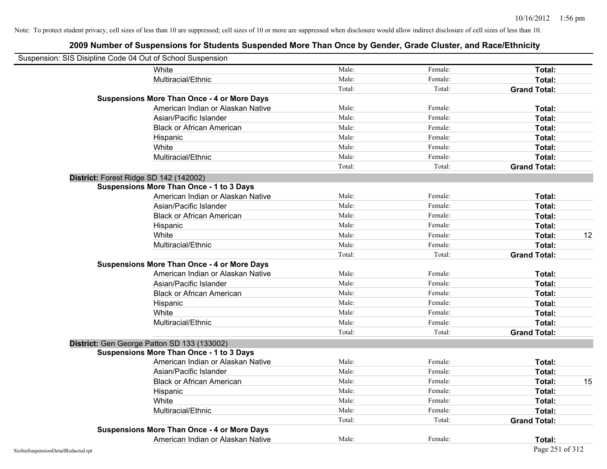| Suspension: SIS Disipline Code 04 Out of School Suspension |        |         |                     |    |
|------------------------------------------------------------|--------|---------|---------------------|----|
| White                                                      | Male:  | Female: | Total:              |    |
| Multiracial/Ethnic                                         | Male:  | Female: | Total:              |    |
|                                                            | Total: | Total:  | <b>Grand Total:</b> |    |
| <b>Suspensions More Than Once - 4 or More Days</b>         |        |         |                     |    |
| American Indian or Alaskan Native                          | Male:  | Female: | Total:              |    |
| Asian/Pacific Islander                                     | Male:  | Female: | Total:              |    |
| <b>Black or African American</b>                           | Male:  | Female: | Total:              |    |
| Hispanic                                                   | Male:  | Female: | Total:              |    |
| White                                                      | Male:  | Female: | Total:              |    |
| Multiracial/Ethnic                                         | Male:  | Female: | Total:              |    |
|                                                            | Total: | Total:  | <b>Grand Total:</b> |    |
| District: Forest Ridge SD 142 (142002)                     |        |         |                     |    |
| <b>Suspensions More Than Once - 1 to 3 Days</b>            |        |         |                     |    |
| American Indian or Alaskan Native                          | Male:  | Female: | Total:              |    |
| Asian/Pacific Islander                                     | Male:  | Female: | Total:              |    |
| <b>Black or African American</b>                           | Male:  | Female: | Total:              |    |
| Hispanic                                                   | Male:  | Female: | Total:              |    |
| White                                                      | Male:  | Female: | Total:              | 12 |
| Multiracial/Ethnic                                         | Male:  | Female: | Total:              |    |
|                                                            | Total: | Total:  | <b>Grand Total:</b> |    |
| <b>Suspensions More Than Once - 4 or More Days</b>         |        |         |                     |    |
| American Indian or Alaskan Native                          | Male:  | Female: | Total:              |    |
| Asian/Pacific Islander                                     | Male:  | Female: | Total:              |    |
| <b>Black or African American</b>                           | Male:  | Female: | Total:              |    |
| Hispanic                                                   | Male:  | Female: | Total:              |    |
| White                                                      | Male:  | Female: | Total:              |    |
| Multiracial/Ethnic                                         | Male:  | Female: | Total:              |    |
|                                                            | Total: | Total:  | <b>Grand Total:</b> |    |
| District: Gen George Patton SD 133 (133002)                |        |         |                     |    |
| <b>Suspensions More Than Once - 1 to 3 Days</b>            |        |         |                     |    |
| American Indian or Alaskan Native                          | Male:  | Female: | Total:              |    |
| Asian/Pacific Islander                                     | Male:  | Female: | Total:              |    |
| <b>Black or African American</b>                           | Male:  | Female: | Total:              | 15 |
| Hispanic                                                   | Male:  | Female: | Total:              |    |
| White                                                      | Male:  | Female: | Total:              |    |
| Multiracial/Ethnic                                         | Male:  | Female: | Total:              |    |
|                                                            | Total: | Total:  | <b>Grand Total:</b> |    |
| <b>Suspensions More Than Once - 4 or More Days</b>         |        |         |                     |    |
| American Indian or Alaskan Native                          | Male:  | Female: | Total:              |    |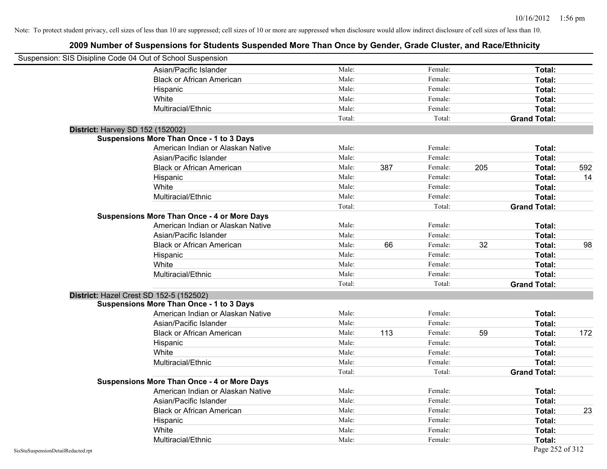| Suspension: SIS Disipline Code 04 Out of School Suspension |                                                    |        |     |         |     |                     |     |
|------------------------------------------------------------|----------------------------------------------------|--------|-----|---------|-----|---------------------|-----|
|                                                            | Asian/Pacific Islander                             | Male:  |     | Female: |     | Total:              |     |
|                                                            | <b>Black or African American</b>                   | Male:  |     | Female: |     | Total:              |     |
|                                                            | Hispanic                                           | Male:  |     | Female: |     | Total:              |     |
|                                                            | White                                              | Male:  |     | Female: |     | Total:              |     |
|                                                            | Multiracial/Ethnic                                 | Male:  |     | Female: |     | Total:              |     |
|                                                            |                                                    | Total: |     | Total:  |     | <b>Grand Total:</b> |     |
| District: Harvey SD 152 (152002)                           |                                                    |        |     |         |     |                     |     |
|                                                            | <b>Suspensions More Than Once - 1 to 3 Days</b>    |        |     |         |     |                     |     |
|                                                            | American Indian or Alaskan Native                  | Male:  |     | Female: |     | Total:              |     |
|                                                            | Asian/Pacific Islander                             | Male:  |     | Female: |     | Total:              |     |
|                                                            | <b>Black or African American</b>                   | Male:  | 387 | Female: | 205 | Total:              | 592 |
|                                                            | Hispanic                                           | Male:  |     | Female: |     | Total:              | 14  |
|                                                            | White                                              | Male:  |     | Female: |     | Total:              |     |
|                                                            | Multiracial/Ethnic                                 | Male:  |     | Female: |     | Total:              |     |
|                                                            |                                                    | Total: |     | Total:  |     | <b>Grand Total:</b> |     |
|                                                            | <b>Suspensions More Than Once - 4 or More Days</b> |        |     |         |     |                     |     |
|                                                            | American Indian or Alaskan Native                  | Male:  |     | Female: |     | Total:              |     |
|                                                            | Asian/Pacific Islander                             | Male:  |     | Female: |     | Total:              |     |
|                                                            | <b>Black or African American</b>                   | Male:  | 66  | Female: | 32  | Total:              | 98  |
|                                                            | Hispanic                                           | Male:  |     | Female: |     | Total:              |     |
|                                                            | White                                              | Male:  |     | Female: |     | Total:              |     |
|                                                            | Multiracial/Ethnic                                 | Male:  |     | Female: |     | Total:              |     |
|                                                            |                                                    | Total: |     | Total:  |     | <b>Grand Total:</b> |     |
| District: Hazel Crest SD 152-5 (152502)                    |                                                    |        |     |         |     |                     |     |
|                                                            | <b>Suspensions More Than Once - 1 to 3 Days</b>    |        |     |         |     |                     |     |
|                                                            | American Indian or Alaskan Native                  | Male:  |     | Female: |     | Total:              |     |
|                                                            | Asian/Pacific Islander                             | Male:  |     | Female: |     | Total:              |     |
|                                                            | <b>Black or African American</b>                   | Male:  | 113 | Female: | 59  | Total:              | 172 |
|                                                            | Hispanic                                           | Male:  |     | Female: |     | Total:              |     |
|                                                            | White                                              | Male:  |     | Female: |     | Total:              |     |
|                                                            | Multiracial/Ethnic                                 | Male:  |     | Female: |     | Total:              |     |
|                                                            |                                                    | Total: |     | Total:  |     | <b>Grand Total:</b> |     |
|                                                            | <b>Suspensions More Than Once - 4 or More Days</b> |        |     |         |     |                     |     |
|                                                            | American Indian or Alaskan Native                  | Male:  |     | Female: |     | Total:              |     |
|                                                            | Asian/Pacific Islander                             | Male:  |     | Female: |     | Total:              |     |
|                                                            | <b>Black or African American</b>                   | Male:  |     | Female: |     | Total:              | 23  |
|                                                            | Hispanic                                           | Male:  |     | Female: |     | Total:              |     |
|                                                            | White                                              | Male:  |     | Female: |     | Total:              |     |
|                                                            | Multiracial/Ethnic                                 | Male:  |     | Female: |     | Total:              |     |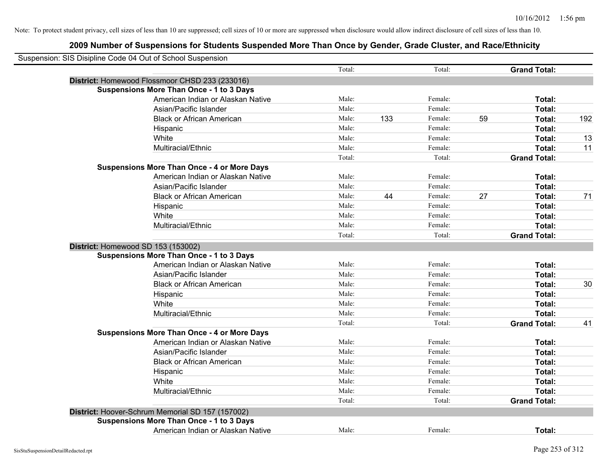|                                    | Suspension: SIS Disipline Code 04 Out of School Suspension |        |     |         |    |                     |     |
|------------------------------------|------------------------------------------------------------|--------|-----|---------|----|---------------------|-----|
|                                    |                                                            | Total: |     | Total:  |    | <b>Grand Total:</b> |     |
|                                    | District: Homewood Flossmoor CHSD 233 (233016)             |        |     |         |    |                     |     |
|                                    | <b>Suspensions More Than Once - 1 to 3 Days</b>            |        |     |         |    |                     |     |
|                                    | American Indian or Alaskan Native                          | Male:  |     | Female: |    | Total:              |     |
|                                    | Asian/Pacific Islander                                     | Male:  |     | Female: |    | Total:              |     |
|                                    | <b>Black or African American</b>                           | Male:  | 133 | Female: | 59 | Total:              | 192 |
|                                    | Hispanic                                                   | Male:  |     | Female: |    | Total:              |     |
|                                    | White                                                      | Male:  |     | Female: |    | Total:              | 13  |
|                                    | Multiracial/Ethnic                                         | Male:  |     | Female: |    | Total:              | 11  |
|                                    |                                                            | Total: |     | Total:  |    | <b>Grand Total:</b> |     |
|                                    | <b>Suspensions More Than Once - 4 or More Days</b>         |        |     |         |    |                     |     |
|                                    | American Indian or Alaskan Native                          | Male:  |     | Female: |    | Total:              |     |
|                                    | Asian/Pacific Islander                                     | Male:  |     | Female: |    | Total:              |     |
|                                    | <b>Black or African American</b>                           | Male:  | 44  | Female: | 27 | Total:              | 71  |
|                                    | Hispanic                                                   | Male:  |     | Female: |    | Total:              |     |
|                                    | White                                                      | Male:  |     | Female: |    | Total:              |     |
|                                    | Multiracial/Ethnic                                         | Male:  |     | Female: |    | Total:              |     |
|                                    |                                                            | Total: |     | Total:  |    | <b>Grand Total:</b> |     |
| District: Homewood SD 153 (153002) |                                                            |        |     |         |    |                     |     |
|                                    | <b>Suspensions More Than Once - 1 to 3 Days</b>            |        |     |         |    |                     |     |
|                                    | American Indian or Alaskan Native                          | Male:  |     | Female: |    | Total:              |     |
|                                    | Asian/Pacific Islander                                     | Male:  |     | Female: |    | Total:              |     |
|                                    | <b>Black or African American</b>                           | Male:  |     | Female: |    | Total:              | 30  |
|                                    | Hispanic                                                   | Male:  |     | Female: |    | Total:              |     |
|                                    | White                                                      | Male:  |     | Female: |    | Total:              |     |
|                                    | Multiracial/Ethnic                                         | Male:  |     | Female: |    | Total:              |     |
|                                    |                                                            | Total: |     | Total:  |    | <b>Grand Total:</b> | 41  |
|                                    | <b>Suspensions More Than Once - 4 or More Days</b>         |        |     |         |    |                     |     |
|                                    | American Indian or Alaskan Native                          | Male:  |     | Female: |    | Total:              |     |
|                                    | Asian/Pacific Islander                                     | Male:  |     | Female: |    | Total:              |     |
|                                    | <b>Black or African American</b>                           | Male:  |     | Female: |    | Total:              |     |
|                                    | Hispanic                                                   | Male:  |     | Female: |    | Total:              |     |
|                                    | White                                                      | Male:  |     | Female: |    | Total:              |     |
|                                    | Multiracial/Ethnic                                         | Male:  |     | Female: |    | Total:              |     |
|                                    |                                                            | Total: |     | Total:  |    | <b>Grand Total:</b> |     |
|                                    | District: Hoover-Schrum Memorial SD 157 (157002)           |        |     |         |    |                     |     |
|                                    | <b>Suspensions More Than Once - 1 to 3 Days</b>            |        |     |         |    |                     |     |
|                                    | American Indian or Alaskan Native                          | Male:  |     | Female: |    | Total:              |     |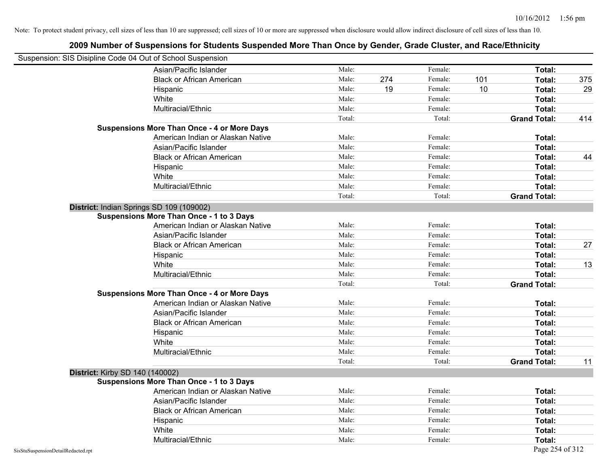| Suspension: SIS Disipline Code 04 Out of School Suspension |                                                    |        |     |         |     |                     |     |
|------------------------------------------------------------|----------------------------------------------------|--------|-----|---------|-----|---------------------|-----|
|                                                            | Asian/Pacific Islander                             | Male:  |     | Female: |     | Total:              |     |
|                                                            | <b>Black or African American</b>                   | Male:  | 274 | Female: | 101 | Total:              | 375 |
|                                                            | Hispanic                                           | Male:  | 19  | Female: | 10  | Total:              | 29  |
|                                                            | White                                              | Male:  |     | Female: |     | Total:              |     |
|                                                            | Multiracial/Ethnic                                 | Male:  |     | Female: |     | Total:              |     |
|                                                            |                                                    | Total: |     | Total:  |     | <b>Grand Total:</b> | 414 |
|                                                            | <b>Suspensions More Than Once - 4 or More Days</b> |        |     |         |     |                     |     |
|                                                            | American Indian or Alaskan Native                  | Male:  |     | Female: |     | Total:              |     |
|                                                            | Asian/Pacific Islander                             | Male:  |     | Female: |     | Total:              |     |
|                                                            | <b>Black or African American</b>                   | Male:  |     | Female: |     | Total:              | 44  |
|                                                            | Hispanic                                           | Male:  |     | Female: |     | Total:              |     |
|                                                            | White                                              | Male:  |     | Female: |     | Total:              |     |
|                                                            | Multiracial/Ethnic                                 | Male:  |     | Female: |     | Total:              |     |
|                                                            |                                                    | Total: |     | Total:  |     | <b>Grand Total:</b> |     |
|                                                            | District: Indian Springs SD 109 (109002)           |        |     |         |     |                     |     |
|                                                            | <b>Suspensions More Than Once - 1 to 3 Days</b>    |        |     |         |     |                     |     |
|                                                            | American Indian or Alaskan Native                  | Male:  |     | Female: |     | Total:              |     |
|                                                            | Asian/Pacific Islander                             | Male:  |     | Female: |     | Total:              |     |
|                                                            | <b>Black or African American</b>                   | Male:  |     | Female: |     | Total:              | 27  |
|                                                            | Hispanic                                           | Male:  |     | Female: |     | Total:              |     |
|                                                            | White                                              | Male:  |     | Female: |     | Total:              | 13  |
|                                                            | Multiracial/Ethnic                                 | Male:  |     | Female: |     | Total:              |     |
|                                                            |                                                    | Total: |     | Total:  |     | <b>Grand Total:</b> |     |
|                                                            | <b>Suspensions More Than Once - 4 or More Days</b> |        |     |         |     |                     |     |
|                                                            | American Indian or Alaskan Native                  | Male:  |     | Female: |     | Total:              |     |
|                                                            | Asian/Pacific Islander                             | Male:  |     | Female: |     | Total:              |     |
|                                                            | <b>Black or African American</b>                   | Male:  |     | Female: |     | Total:              |     |
|                                                            | Hispanic                                           | Male:  |     | Female: |     | Total:              |     |
|                                                            | White                                              | Male:  |     | Female: |     | Total:              |     |
|                                                            | Multiracial/Ethnic                                 | Male:  |     | Female: |     | Total:              |     |
|                                                            |                                                    | Total: |     | Total:  |     | <b>Grand Total:</b> | 11  |
| District: Kirby SD 140 (140002)                            |                                                    |        |     |         |     |                     |     |
|                                                            | <b>Suspensions More Than Once - 1 to 3 Days</b>    |        |     |         |     |                     |     |
|                                                            | American Indian or Alaskan Native                  | Male:  |     | Female: |     | Total:              |     |
|                                                            | Asian/Pacific Islander                             | Male:  |     | Female: |     | Total:              |     |
|                                                            | <b>Black or African American</b>                   | Male:  |     | Female: |     | Total:              |     |
|                                                            | Hispanic                                           | Male:  |     | Female: |     | Total:              |     |
|                                                            | White                                              | Male:  |     | Female: |     | Total:              |     |
|                                                            | Multiracial/Ethnic                                 | Male:  |     | Female: |     | Total:              |     |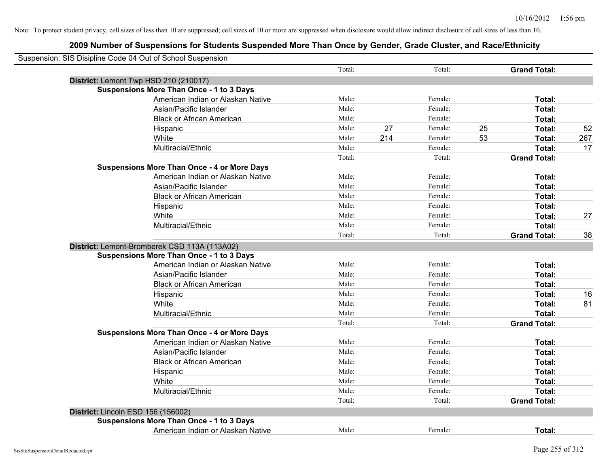| Suspension: SIS Disipline Code 04 Out of School Suspension |        |     |         |    |                     |     |
|------------------------------------------------------------|--------|-----|---------|----|---------------------|-----|
|                                                            | Total: |     | Total:  |    | <b>Grand Total:</b> |     |
| District: Lemont Twp HSD 210 (210017)                      |        |     |         |    |                     |     |
| <b>Suspensions More Than Once - 1 to 3 Days</b>            |        |     |         |    |                     |     |
| American Indian or Alaskan Native                          | Male:  |     | Female: |    | Total:              |     |
| Asian/Pacific Islander                                     | Male:  |     | Female: |    | Total:              |     |
| <b>Black or African American</b>                           | Male:  |     | Female: |    | Total:              |     |
| Hispanic                                                   | Male:  | 27  | Female: | 25 | Total:              | 52  |
| White                                                      | Male:  | 214 | Female: | 53 | Total:              | 267 |
| Multiracial/Ethnic                                         | Male:  |     | Female: |    | Total:              | 17  |
|                                                            | Total: |     | Total:  |    | <b>Grand Total:</b> |     |
| <b>Suspensions More Than Once - 4 or More Days</b>         |        |     |         |    |                     |     |
| American Indian or Alaskan Native                          | Male:  |     | Female: |    | Total:              |     |
| Asian/Pacific Islander                                     | Male:  |     | Female: |    | Total:              |     |
| <b>Black or African American</b>                           | Male:  |     | Female: |    | Total:              |     |
| Hispanic                                                   | Male:  |     | Female: |    | Total:              |     |
| White                                                      | Male:  |     | Female: |    | Total:              | 27  |
| Multiracial/Ethnic                                         | Male:  |     | Female: |    | Total:              |     |
|                                                            | Total: |     | Total:  |    | <b>Grand Total:</b> | 38  |
| District: Lemont-Bromberek CSD 113A (113A02)               |        |     |         |    |                     |     |
| <b>Suspensions More Than Once - 1 to 3 Days</b>            |        |     |         |    |                     |     |
| American Indian or Alaskan Native                          | Male:  |     | Female: |    | Total:              |     |
| Asian/Pacific Islander                                     | Male:  |     | Female: |    | Total:              |     |
| <b>Black or African American</b>                           | Male:  |     | Female: |    | Total:              |     |
| Hispanic                                                   | Male:  |     | Female: |    | Total:              | 16  |
| White                                                      | Male:  |     | Female: |    | Total:              | 81  |
| Multiracial/Ethnic                                         | Male:  |     | Female: |    | Total:              |     |
|                                                            | Total: |     | Total:  |    | <b>Grand Total:</b> |     |
| <b>Suspensions More Than Once - 4 or More Days</b>         |        |     |         |    |                     |     |
| American Indian or Alaskan Native                          | Male:  |     | Female: |    | Total:              |     |
| Asian/Pacific Islander                                     | Male:  |     | Female: |    | Total:              |     |
| <b>Black or African American</b>                           | Male:  |     | Female: |    | Total:              |     |
| Hispanic                                                   | Male:  |     | Female: |    | Total:              |     |
| White                                                      | Male:  |     | Female: |    | Total:              |     |
| Multiracial/Ethnic                                         | Male:  |     | Female: |    | Total:              |     |
|                                                            | Total: |     | Total:  |    | <b>Grand Total:</b> |     |
| District: Lincoln ESD 156 (156002)                         |        |     |         |    |                     |     |
| <b>Suspensions More Than Once - 1 to 3 Days</b>            |        |     |         |    |                     |     |
| American Indian or Alaskan Native                          | Male:  |     | Female: |    | Total:              |     |
|                                                            |        |     |         |    |                     |     |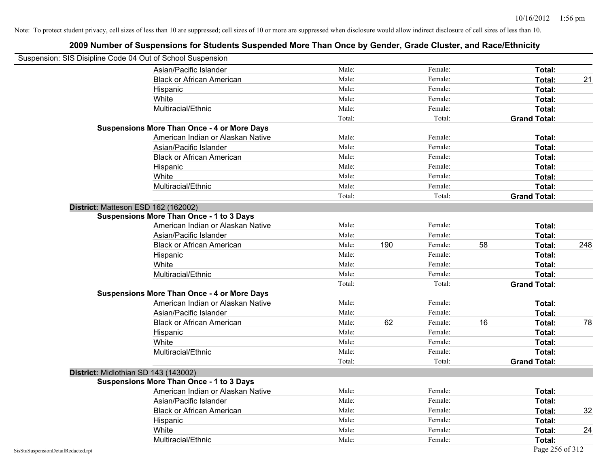| Suspension: SIS Disipline Code 04 Out of School Suspension |                                                    |        |     |         |    |                     |     |
|------------------------------------------------------------|----------------------------------------------------|--------|-----|---------|----|---------------------|-----|
|                                                            | Asian/Pacific Islander                             | Male:  |     | Female: |    | Total:              |     |
|                                                            | <b>Black or African American</b>                   | Male:  |     | Female: |    | Total:              | 21  |
|                                                            | Hispanic                                           | Male:  |     | Female: |    | Total:              |     |
|                                                            | White                                              | Male:  |     | Female: |    | Total:              |     |
|                                                            | Multiracial/Ethnic                                 | Male:  |     | Female: |    | Total:              |     |
|                                                            |                                                    | Total: |     | Total:  |    | <b>Grand Total:</b> |     |
|                                                            | <b>Suspensions More Than Once - 4 or More Days</b> |        |     |         |    |                     |     |
|                                                            | American Indian or Alaskan Native                  | Male:  |     | Female: |    | Total:              |     |
|                                                            | Asian/Pacific Islander                             | Male:  |     | Female: |    | Total:              |     |
|                                                            | <b>Black or African American</b>                   | Male:  |     | Female: |    | Total:              |     |
|                                                            | Hispanic                                           | Male:  |     | Female: |    | Total:              |     |
|                                                            | White                                              | Male:  |     | Female: |    | Total:              |     |
|                                                            | Multiracial/Ethnic                                 | Male:  |     | Female: |    | Total:              |     |
|                                                            |                                                    | Total: |     | Total:  |    | <b>Grand Total:</b> |     |
| District: Matteson ESD 162 (162002)                        |                                                    |        |     |         |    |                     |     |
|                                                            | <b>Suspensions More Than Once - 1 to 3 Days</b>    |        |     |         |    |                     |     |
|                                                            | American Indian or Alaskan Native                  | Male:  |     | Female: |    | Total:              |     |
|                                                            | Asian/Pacific Islander                             | Male:  |     | Female: |    | Total:              |     |
|                                                            | <b>Black or African American</b>                   | Male:  | 190 | Female: | 58 | Total:              | 248 |
|                                                            | Hispanic                                           | Male:  |     | Female: |    | Total:              |     |
|                                                            | White                                              | Male:  |     | Female: |    | Total:              |     |
|                                                            | Multiracial/Ethnic                                 | Male:  |     | Female: |    | Total:              |     |
|                                                            |                                                    | Total: |     | Total:  |    | <b>Grand Total:</b> |     |
|                                                            | <b>Suspensions More Than Once - 4 or More Days</b> |        |     |         |    |                     |     |
|                                                            | American Indian or Alaskan Native                  | Male:  |     | Female: |    | Total:              |     |
|                                                            | Asian/Pacific Islander                             | Male:  |     | Female: |    | Total:              |     |
|                                                            | <b>Black or African American</b>                   | Male:  | 62  | Female: | 16 | Total:              | 78  |
|                                                            | Hispanic                                           | Male:  |     | Female: |    | Total:              |     |
|                                                            | White                                              | Male:  |     | Female: |    | Total:              |     |
|                                                            | Multiracial/Ethnic                                 | Male:  |     | Female: |    | Total:              |     |
|                                                            |                                                    | Total: |     | Total:  |    | <b>Grand Total:</b> |     |
| District: Midlothian SD 143 (143002)                       |                                                    |        |     |         |    |                     |     |
|                                                            | <b>Suspensions More Than Once - 1 to 3 Days</b>    |        |     |         |    |                     |     |
|                                                            | American Indian or Alaskan Native                  | Male:  |     | Female: |    | Total:              |     |
|                                                            | Asian/Pacific Islander                             | Male:  |     | Female: |    | Total:              |     |
|                                                            | <b>Black or African American</b>                   | Male:  |     | Female: |    | Total:              | 32  |
|                                                            | Hispanic                                           | Male:  |     | Female: |    | Total:              |     |
|                                                            | White                                              | Male:  |     | Female: |    | Total:              | 24  |
|                                                            | Multiracial/Ethnic                                 | Male:  |     | Female: |    | Total:              |     |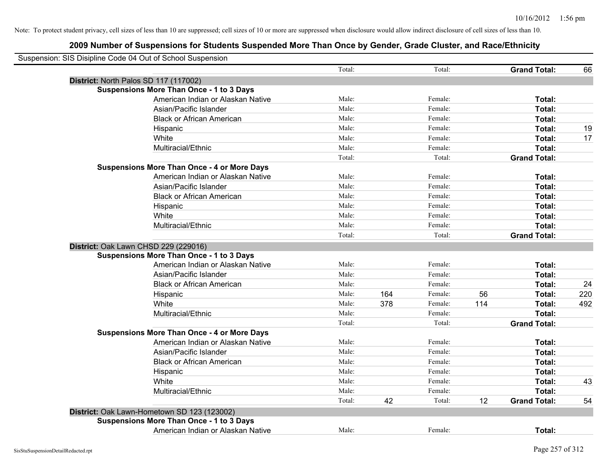| Suspension: SIS Disipline Code 04 Out of School Suspension |        |     |         |     |                     |     |
|------------------------------------------------------------|--------|-----|---------|-----|---------------------|-----|
|                                                            | Total: |     | Total:  |     | <b>Grand Total:</b> | 66  |
| District: North Palos SD 117 (117002)                      |        |     |         |     |                     |     |
| <b>Suspensions More Than Once - 1 to 3 Days</b>            |        |     |         |     |                     |     |
| American Indian or Alaskan Native                          | Male:  |     | Female: |     | Total:              |     |
| Asian/Pacific Islander                                     | Male:  |     | Female: |     | Total:              |     |
| <b>Black or African American</b>                           | Male:  |     | Female: |     | Total:              |     |
| Hispanic                                                   | Male:  |     | Female: |     | Total:              | 19  |
| White                                                      | Male:  |     | Female: |     | Total:              | 17  |
| Multiracial/Ethnic                                         | Male:  |     | Female: |     | Total:              |     |
|                                                            | Total: |     | Total:  |     | <b>Grand Total:</b> |     |
| <b>Suspensions More Than Once - 4 or More Days</b>         |        |     |         |     |                     |     |
| American Indian or Alaskan Native                          | Male:  |     | Female: |     | Total:              |     |
| Asian/Pacific Islander                                     | Male:  |     | Female: |     | Total:              |     |
| <b>Black or African American</b>                           | Male:  |     | Female: |     | Total:              |     |
| Hispanic                                                   | Male:  |     | Female: |     | Total:              |     |
| White                                                      | Male:  |     | Female: |     | Total:              |     |
| Multiracial/Ethnic                                         | Male:  |     | Female: |     | Total:              |     |
|                                                            | Total: |     | Total:  |     | <b>Grand Total:</b> |     |
| District: Oak Lawn CHSD 229 (229016)                       |        |     |         |     |                     |     |
| <b>Suspensions More Than Once - 1 to 3 Days</b>            |        |     |         |     |                     |     |
| American Indian or Alaskan Native                          | Male:  |     | Female: |     | Total:              |     |
| Asian/Pacific Islander                                     | Male:  |     | Female: |     | Total:              |     |
| <b>Black or African American</b>                           | Male:  |     | Female: |     | Total:              | 24  |
| Hispanic                                                   | Male:  | 164 | Female: | 56  | Total:              | 220 |
| White                                                      | Male:  | 378 | Female: | 114 | Total:              | 492 |
| Multiracial/Ethnic                                         | Male:  |     | Female: |     | <b>Total:</b>       |     |
|                                                            | Total: |     | Total:  |     | <b>Grand Total:</b> |     |
| <b>Suspensions More Than Once - 4 or More Days</b>         |        |     |         |     |                     |     |
| American Indian or Alaskan Native                          | Male:  |     | Female: |     | Total:              |     |
| Asian/Pacific Islander                                     | Male:  |     | Female: |     | Total:              |     |
| <b>Black or African American</b>                           | Male:  |     | Female: |     | Total:              |     |
| Hispanic                                                   | Male:  |     | Female: |     | Total:              |     |
| White                                                      | Male:  |     | Female: |     | Total:              | 43  |
| Multiracial/Ethnic                                         | Male:  |     | Female: |     | Total:              |     |
|                                                            | Total: | 42  | Total:  | 12  | <b>Grand Total:</b> | 54  |
| District: Oak Lawn-Hometown SD 123 (123002)                |        |     |         |     |                     |     |
| <b>Suspensions More Than Once - 1 to 3 Days</b>            |        |     |         |     |                     |     |
| American Indian or Alaskan Native                          | Male:  |     | Female: |     | Total:              |     |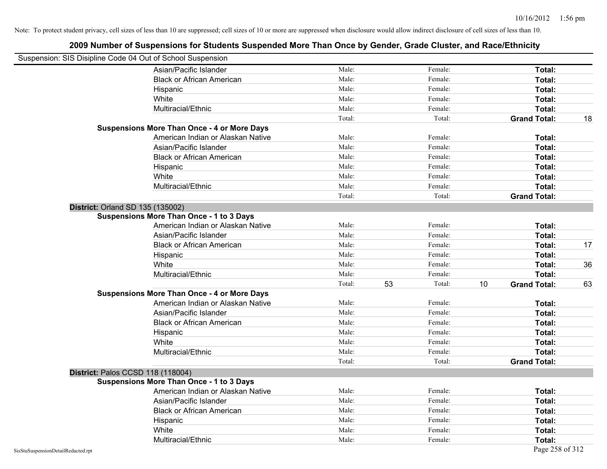| Suspension: SIS Disipline Code 04 Out of School Suspension |                                                    |        |              |                           |    |
|------------------------------------------------------------|----------------------------------------------------|--------|--------------|---------------------------|----|
|                                                            | Asian/Pacific Islander                             | Male:  | Female:      | Total:                    |    |
|                                                            | <b>Black or African American</b>                   | Male:  | Female:      | Total:                    |    |
|                                                            | Hispanic                                           | Male:  | Female:      | Total:                    |    |
|                                                            | White                                              | Male:  | Female:      | Total:                    |    |
|                                                            | Multiracial/Ethnic                                 | Male:  | Female:      | Total:                    |    |
|                                                            |                                                    | Total: | Total:       | <b>Grand Total:</b>       | 18 |
|                                                            | <b>Suspensions More Than Once - 4 or More Days</b> |        |              |                           |    |
|                                                            | American Indian or Alaskan Native                  | Male:  | Female:      | Total:                    |    |
|                                                            | Asian/Pacific Islander                             | Male:  | Female:      | Total:                    |    |
|                                                            | <b>Black or African American</b>                   | Male:  | Female:      | Total:                    |    |
|                                                            | Hispanic                                           | Male:  | Female:      | Total:                    |    |
|                                                            | White                                              | Male:  | Female:      | Total:                    |    |
|                                                            | Multiracial/Ethnic                                 | Male:  | Female:      | Total:                    |    |
|                                                            |                                                    | Total: | Total:       | <b>Grand Total:</b>       |    |
| District: Orland SD 135 (135002)                           |                                                    |        |              |                           |    |
|                                                            | <b>Suspensions More Than Once - 1 to 3 Days</b>    |        |              |                           |    |
|                                                            | American Indian or Alaskan Native                  | Male:  | Female:      | Total:                    |    |
|                                                            | Asian/Pacific Islander                             | Male:  | Female:      | Total:                    |    |
|                                                            | <b>Black or African American</b>                   | Male:  | Female:      | Total:                    | 17 |
|                                                            | Hispanic                                           | Male:  | Female:      | Total:                    |    |
|                                                            | White                                              | Male:  | Female:      | Total:                    | 36 |
|                                                            | Multiracial/Ethnic                                 | Male:  | Female:      | Total:                    |    |
|                                                            |                                                    | Total: | 53<br>Total: | 10<br><b>Grand Total:</b> | 63 |
|                                                            | <b>Suspensions More Than Once - 4 or More Days</b> |        |              |                           |    |
|                                                            | American Indian or Alaskan Native                  | Male:  | Female:      | Total:                    |    |
|                                                            | Asian/Pacific Islander                             | Male:  | Female:      | Total:                    |    |
|                                                            | <b>Black or African American</b>                   | Male:  | Female:      | Total:                    |    |
|                                                            | Hispanic                                           | Male:  | Female:      | Total:                    |    |
|                                                            | White                                              | Male:  | Female:      | Total:                    |    |
|                                                            | Multiracial/Ethnic                                 | Male:  | Female:      | Total:                    |    |
|                                                            |                                                    | Total: | Total:       | <b>Grand Total:</b>       |    |
| District: Palos CCSD 118 (118004)                          |                                                    |        |              |                           |    |
|                                                            | <b>Suspensions More Than Once - 1 to 3 Days</b>    |        |              |                           |    |
|                                                            | American Indian or Alaskan Native                  | Male:  | Female:      | Total:                    |    |
|                                                            | Asian/Pacific Islander                             | Male:  | Female:      | Total:                    |    |
|                                                            | <b>Black or African American</b>                   | Male:  | Female:      | Total:                    |    |
|                                                            | Hispanic                                           | Male:  | Female:      | Total:                    |    |
|                                                            | White                                              | Male:  | Female:      | Total:                    |    |
|                                                            | Multiracial/Ethnic                                 | Male:  | Female:      | Total:                    |    |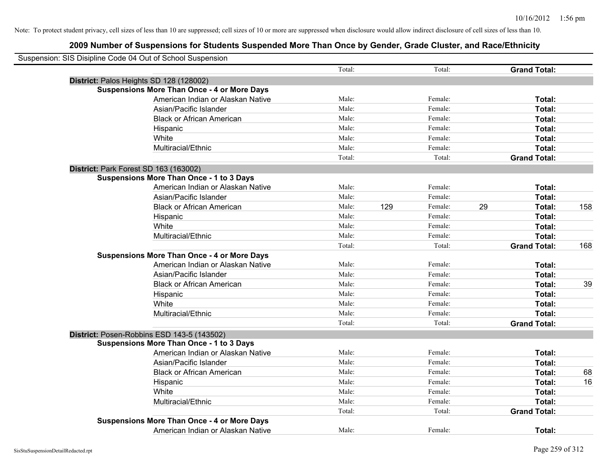| Suspension: SIS Disipline Code 04 Out of School Suspension |                                                    |        |     |         |    |                     |     |
|------------------------------------------------------------|----------------------------------------------------|--------|-----|---------|----|---------------------|-----|
|                                                            |                                                    | Total: |     | Total:  |    | <b>Grand Total:</b> |     |
|                                                            | District: Palos Heights SD 128 (128002)            |        |     |         |    |                     |     |
|                                                            | <b>Suspensions More Than Once - 4 or More Days</b> |        |     |         |    |                     |     |
|                                                            | American Indian or Alaskan Native                  | Male:  |     | Female: |    | Total:              |     |
|                                                            | Asian/Pacific Islander                             | Male:  |     | Female: |    | Total:              |     |
|                                                            | <b>Black or African American</b>                   | Male:  |     | Female: |    | Total:              |     |
|                                                            | Hispanic                                           | Male:  |     | Female: |    | Total:              |     |
|                                                            | White                                              | Male:  |     | Female: |    | Total:              |     |
|                                                            | Multiracial/Ethnic                                 | Male:  |     | Female: |    | Total:              |     |
|                                                            |                                                    | Total: |     | Total:  |    | <b>Grand Total:</b> |     |
|                                                            | District: Park Forest SD 163 (163002)              |        |     |         |    |                     |     |
|                                                            | <b>Suspensions More Than Once - 1 to 3 Days</b>    |        |     |         |    |                     |     |
|                                                            | American Indian or Alaskan Native                  | Male:  |     | Female: |    | Total:              |     |
|                                                            | Asian/Pacific Islander                             | Male:  |     | Female: |    | Total:              |     |
|                                                            | <b>Black or African American</b>                   | Male:  | 129 | Female: | 29 | Total:              | 158 |
|                                                            | Hispanic                                           | Male:  |     | Female: |    | Total:              |     |
|                                                            | White                                              | Male:  |     | Female: |    | Total:              |     |
|                                                            | Multiracial/Ethnic                                 | Male:  |     | Female: |    | Total:              |     |
|                                                            |                                                    | Total: |     | Total:  |    | <b>Grand Total:</b> | 168 |
|                                                            | <b>Suspensions More Than Once - 4 or More Days</b> |        |     |         |    |                     |     |
|                                                            | American Indian or Alaskan Native                  | Male:  |     | Female: |    | Total:              |     |
|                                                            | Asian/Pacific Islander                             | Male:  |     | Female: |    | Total:              |     |
|                                                            | <b>Black or African American</b>                   | Male:  |     | Female: |    | Total:              | 39  |
|                                                            | Hispanic                                           | Male:  |     | Female: |    | Total:              |     |
|                                                            | White                                              | Male:  |     | Female: |    | Total:              |     |
|                                                            | Multiracial/Ethnic                                 | Male:  |     | Female: |    | Total:              |     |
|                                                            |                                                    | Total: |     | Total:  |    | <b>Grand Total:</b> |     |
|                                                            | District: Posen-Robbins ESD 143-5 (143502)         |        |     |         |    |                     |     |
|                                                            | <b>Suspensions More Than Once - 1 to 3 Days</b>    |        |     |         |    |                     |     |
|                                                            | American Indian or Alaskan Native                  | Male:  |     | Female: |    | Total:              |     |
|                                                            | Asian/Pacific Islander                             | Male:  |     | Female: |    | Total:              |     |
|                                                            | <b>Black or African American</b>                   | Male:  |     | Female: |    | Total:              | 68  |
|                                                            | Hispanic                                           | Male:  |     | Female: |    | Total:              | 16  |
|                                                            | White                                              | Male:  |     | Female: |    | Total:              |     |
|                                                            | Multiracial/Ethnic                                 | Male:  |     | Female: |    | Total:              |     |
|                                                            |                                                    | Total: |     | Total:  |    | <b>Grand Total:</b> |     |
|                                                            | <b>Suspensions More Than Once - 4 or More Days</b> |        |     |         |    |                     |     |
|                                                            | American Indian or Alaskan Native                  | Male:  |     | Female: |    | Total:              |     |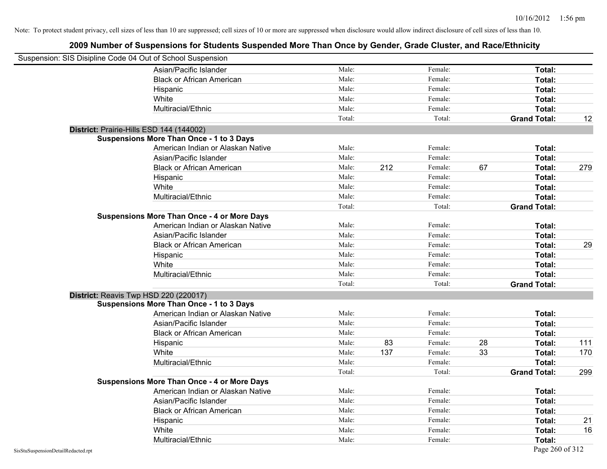| Suspension: SIS Disipline Code 04 Out of School Suspension |                                                    |        |     |         |    |                     |     |
|------------------------------------------------------------|----------------------------------------------------|--------|-----|---------|----|---------------------|-----|
|                                                            | Asian/Pacific Islander                             | Male:  |     | Female: |    | Total:              |     |
|                                                            | <b>Black or African American</b>                   | Male:  |     | Female: |    | Total:              |     |
|                                                            | Hispanic                                           | Male:  |     | Female: |    | Total:              |     |
|                                                            | White                                              | Male:  |     | Female: |    | Total:              |     |
|                                                            | Multiracial/Ethnic                                 | Male:  |     | Female: |    | Total:              |     |
|                                                            |                                                    | Total: |     | Total:  |    | <b>Grand Total:</b> | 12  |
|                                                            | District: Prairie-Hills ESD 144 (144002)           |        |     |         |    |                     |     |
|                                                            | <b>Suspensions More Than Once - 1 to 3 Days</b>    |        |     |         |    |                     |     |
|                                                            | American Indian or Alaskan Native                  | Male:  |     | Female: |    | Total:              |     |
|                                                            | Asian/Pacific Islander                             | Male:  |     | Female: |    | Total:              |     |
|                                                            | <b>Black or African American</b>                   | Male:  | 212 | Female: | 67 | Total:              | 279 |
|                                                            | Hispanic                                           | Male:  |     | Female: |    | Total:              |     |
|                                                            | White                                              | Male:  |     | Female: |    | <b>Total:</b>       |     |
|                                                            | Multiracial/Ethnic                                 | Male:  |     | Female: |    | Total:              |     |
|                                                            |                                                    | Total: |     | Total:  |    | <b>Grand Total:</b> |     |
|                                                            | <b>Suspensions More Than Once - 4 or More Days</b> |        |     |         |    |                     |     |
|                                                            | American Indian or Alaskan Native                  | Male:  |     | Female: |    | Total:              |     |
|                                                            | Asian/Pacific Islander                             | Male:  |     | Female: |    | <b>Total:</b>       |     |
|                                                            | <b>Black or African American</b>                   | Male:  |     | Female: |    | Total:              | 29  |
|                                                            | Hispanic                                           | Male:  |     | Female: |    | Total:              |     |
|                                                            | White                                              | Male:  |     | Female: |    | Total:              |     |
|                                                            | Multiracial/Ethnic                                 | Male:  |     | Female: |    | <b>Total:</b>       |     |
|                                                            |                                                    | Total: |     | Total:  |    | <b>Grand Total:</b> |     |
|                                                            | District: Reavis Twp HSD 220 (220017)              |        |     |         |    |                     |     |
|                                                            | <b>Suspensions More Than Once - 1 to 3 Days</b>    |        |     |         |    |                     |     |
|                                                            | American Indian or Alaskan Native                  | Male:  |     | Female: |    | Total:              |     |
|                                                            | Asian/Pacific Islander                             | Male:  |     | Female: |    | Total:              |     |
|                                                            | <b>Black or African American</b>                   | Male:  |     | Female: |    | Total:              |     |
|                                                            | Hispanic                                           | Male:  | 83  | Female: | 28 | <b>Total:</b>       | 111 |
|                                                            | White                                              | Male:  | 137 | Female: | 33 | <b>Total:</b>       | 170 |
|                                                            | Multiracial/Ethnic                                 | Male:  |     | Female: |    | Total:              |     |
|                                                            |                                                    | Total: |     | Total:  |    | <b>Grand Total:</b> | 299 |
|                                                            | <b>Suspensions More Than Once - 4 or More Days</b> |        |     |         |    |                     |     |
|                                                            | American Indian or Alaskan Native                  | Male:  |     | Female: |    | Total:              |     |
|                                                            | Asian/Pacific Islander                             | Male:  |     | Female: |    | Total:              |     |
|                                                            | <b>Black or African American</b>                   | Male:  |     | Female: |    | <b>Total:</b>       |     |
|                                                            | Hispanic                                           | Male:  |     | Female: |    | Total:              | 21  |
|                                                            | White                                              | Male:  |     | Female: |    | <b>Total:</b>       | 16  |
|                                                            | Multiracial/Ethnic                                 | Male:  |     | Female: |    | <b>Total:</b>       |     |
| SisStuSuspensionDetailRedacted.rpt                         |                                                    |        |     |         |    | Page 260 of 312     |     |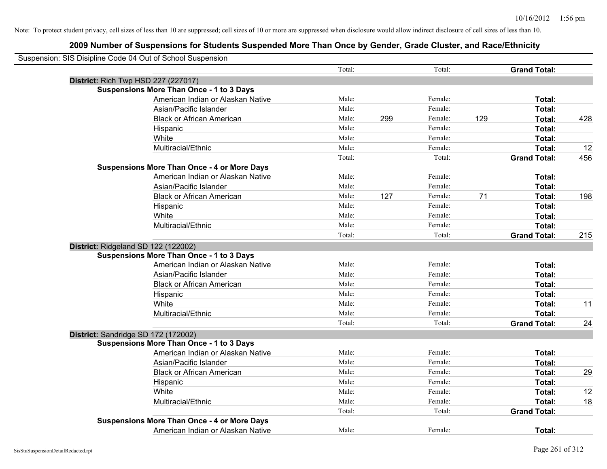| Suspension: SIS Disipline Code 04 Out of School Suspension | Total: |     | Total:  |     | <b>Grand Total:</b> |     |
|------------------------------------------------------------|--------|-----|---------|-----|---------------------|-----|
| <b>District: Rich Twp HSD 227 (227017)</b>                 |        |     |         |     |                     |     |
| <b>Suspensions More Than Once - 1 to 3 Days</b>            |        |     |         |     |                     |     |
| American Indian or Alaskan Native                          | Male:  |     | Female: |     | Total:              |     |
| Asian/Pacific Islander                                     | Male:  |     | Female: |     | <b>Total:</b>       |     |
| <b>Black or African American</b>                           | Male:  | 299 | Female: | 129 | Total:              | 428 |
| Hispanic                                                   | Male:  |     | Female: |     | Total:              |     |
| White                                                      | Male:  |     | Female: |     | Total:              |     |
| Multiracial/Ethnic                                         | Male:  |     | Female: |     | Total:              | 12  |
|                                                            | Total: |     | Total:  |     | <b>Grand Total:</b> | 456 |
| <b>Suspensions More Than Once - 4 or More Days</b>         |        |     |         |     |                     |     |
| American Indian or Alaskan Native                          | Male:  |     | Female: |     | Total:              |     |
| Asian/Pacific Islander                                     | Male:  |     | Female: |     | Total:              |     |
| <b>Black or African American</b>                           | Male:  | 127 | Female: | 71  | Total:              | 198 |
| Hispanic                                                   | Male:  |     | Female: |     | Total:              |     |
| White                                                      | Male:  |     | Female: |     | Total:              |     |
| Multiracial/Ethnic                                         | Male:  |     | Female: |     | Total:              |     |
|                                                            | Total: |     | Total:  |     | <b>Grand Total:</b> | 215 |
| District: Ridgeland SD 122 (122002)                        |        |     |         |     |                     |     |
| <b>Suspensions More Than Once - 1 to 3 Days</b>            |        |     |         |     |                     |     |
| American Indian or Alaskan Native                          | Male:  |     | Female: |     | Total:              |     |
| Asian/Pacific Islander                                     | Male:  |     | Female: |     | Total:              |     |
| <b>Black or African American</b>                           | Male:  |     | Female: |     | Total:              |     |
| Hispanic                                                   | Male:  |     | Female: |     | Total:              |     |
| White                                                      | Male:  |     | Female: |     | Total:              | 11  |
| Multiracial/Ethnic                                         | Male:  |     | Female: |     | Total:              |     |
|                                                            | Total: |     | Total:  |     | <b>Grand Total:</b> | 24  |
| District: Sandridge SD 172 (172002)                        |        |     |         |     |                     |     |
| <b>Suspensions More Than Once - 1 to 3 Days</b>            |        |     |         |     |                     |     |
| American Indian or Alaskan Native                          | Male:  |     | Female: |     | Total:              |     |
| Asian/Pacific Islander                                     | Male:  |     | Female: |     | Total:              |     |
| <b>Black or African American</b>                           | Male:  |     | Female: |     | Total:              | 29  |
| Hispanic                                                   | Male:  |     | Female: |     | Total:              |     |
| White                                                      | Male:  |     | Female: |     | Total:              | 12  |
| Multiracial/Ethnic                                         | Male:  |     | Female: |     | Total:              | 18  |
|                                                            | Total: |     | Total:  |     | <b>Grand Total:</b> |     |
| <b>Suspensions More Than Once - 4 or More Days</b>         |        |     |         |     |                     |     |
| American Indian or Alaskan Native                          | Male:  |     | Female: |     | Total:              |     |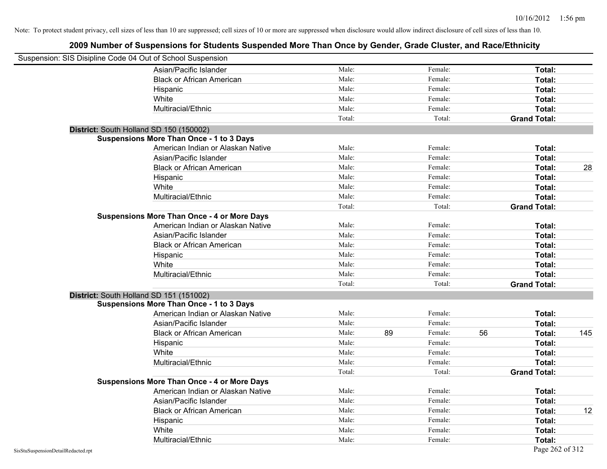| Suspension: SIS Disipline Code 04 Out of School Suspension |                                                    |        |    |         |    |                     |     |
|------------------------------------------------------------|----------------------------------------------------|--------|----|---------|----|---------------------|-----|
|                                                            | Asian/Pacific Islander                             | Male:  |    | Female: |    | Total:              |     |
|                                                            | <b>Black or African American</b>                   | Male:  |    | Female: |    | Total:              |     |
|                                                            | Hispanic                                           | Male:  |    | Female: |    | Total:              |     |
|                                                            | White                                              | Male:  |    | Female: |    | Total:              |     |
|                                                            | Multiracial/Ethnic                                 | Male:  |    | Female: |    | Total:              |     |
|                                                            |                                                    | Total: |    | Total:  |    | <b>Grand Total:</b> |     |
| District: South Holland SD 150 (150002)                    |                                                    |        |    |         |    |                     |     |
|                                                            | <b>Suspensions More Than Once - 1 to 3 Days</b>    |        |    |         |    |                     |     |
|                                                            | American Indian or Alaskan Native                  | Male:  |    | Female: |    | Total:              |     |
|                                                            | Asian/Pacific Islander                             | Male:  |    | Female: |    | Total:              |     |
|                                                            | <b>Black or African American</b>                   | Male:  |    | Female: |    | Total:              | 28  |
|                                                            | Hispanic                                           | Male:  |    | Female: |    | Total:              |     |
|                                                            | White                                              | Male:  |    | Female: |    | Total:              |     |
|                                                            | Multiracial/Ethnic                                 | Male:  |    | Female: |    | Total:              |     |
|                                                            |                                                    | Total: |    | Total:  |    | <b>Grand Total:</b> |     |
|                                                            | <b>Suspensions More Than Once - 4 or More Days</b> |        |    |         |    |                     |     |
|                                                            | American Indian or Alaskan Native                  | Male:  |    | Female: |    | Total:              |     |
|                                                            | Asian/Pacific Islander                             | Male:  |    | Female: |    | Total:              |     |
|                                                            | <b>Black or African American</b>                   | Male:  |    | Female: |    | Total:              |     |
|                                                            | Hispanic                                           | Male:  |    | Female: |    | Total:              |     |
|                                                            | White                                              | Male:  |    | Female: |    | Total:              |     |
|                                                            | Multiracial/Ethnic                                 | Male:  |    | Female: |    | Total:              |     |
|                                                            |                                                    | Total: |    | Total:  |    | <b>Grand Total:</b> |     |
| District: South Holland SD 151 (151002)                    |                                                    |        |    |         |    |                     |     |
|                                                            | <b>Suspensions More Than Once - 1 to 3 Days</b>    |        |    |         |    |                     |     |
|                                                            | American Indian or Alaskan Native                  | Male:  |    | Female: |    | Total:              |     |
|                                                            | Asian/Pacific Islander                             | Male:  |    | Female: |    | Total:              |     |
|                                                            | <b>Black or African American</b>                   | Male:  | 89 | Female: | 56 | Total:              | 145 |
|                                                            | Hispanic                                           | Male:  |    | Female: |    | Total:              |     |
|                                                            | White                                              | Male:  |    | Female: |    | Total:              |     |
|                                                            | Multiracial/Ethnic                                 | Male:  |    | Female: |    | Total:              |     |
|                                                            |                                                    | Total: |    | Total:  |    | <b>Grand Total:</b> |     |
|                                                            | <b>Suspensions More Than Once - 4 or More Days</b> |        |    |         |    |                     |     |
|                                                            | American Indian or Alaskan Native                  | Male:  |    | Female: |    | Total:              |     |
|                                                            | Asian/Pacific Islander                             | Male:  |    | Female: |    | Total:              |     |
|                                                            | <b>Black or African American</b>                   | Male:  |    | Female: |    | Total:              | 12  |
|                                                            | Hispanic                                           | Male:  |    | Female: |    | Total:              |     |
|                                                            | White                                              | Male:  |    | Female: |    | Total:              |     |
|                                                            | Multiracial/Ethnic                                 | Male:  |    | Female: |    | Total:              |     |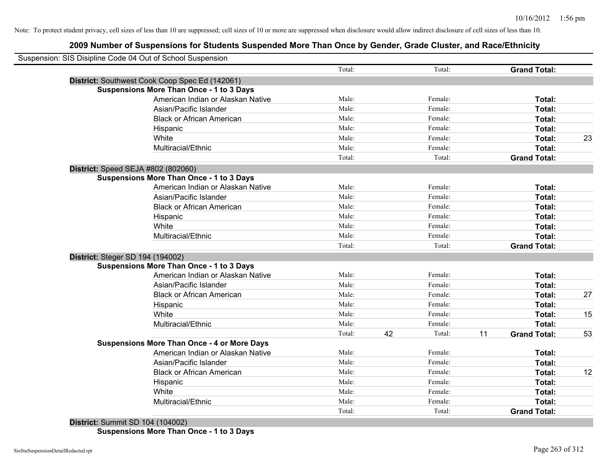#### **2009 Number of Suspensions for Students Suspended More Than Once by Gender, Grade Cluster, and Race/Ethnicity**

|                                                    | Total: |    | Total:  |    | <b>Grand Total:</b> |  |
|----------------------------------------------------|--------|----|---------|----|---------------------|--|
| District: Southwest Cook Coop Spec Ed (142061)     |        |    |         |    |                     |  |
| <b>Suspensions More Than Once - 1 to 3 Days</b>    |        |    |         |    |                     |  |
| American Indian or Alaskan Native                  | Male:  |    | Female: |    | Total:              |  |
| Asian/Pacific Islander                             | Male:  |    | Female: |    | Total:              |  |
| <b>Black or African American</b>                   | Male:  |    | Female: |    | Total:              |  |
| Hispanic                                           | Male:  |    | Female: |    | Total:              |  |
| White                                              | Male:  |    | Female: |    | Total:              |  |
| Multiracial/Ethnic                                 | Male:  |    | Female: |    | Total:              |  |
|                                                    | Total: |    | Total:  |    | <b>Grand Total:</b> |  |
| District: Speed SEJA #802 (802060)                 |        |    |         |    |                     |  |
| <b>Suspensions More Than Once - 1 to 3 Days</b>    |        |    |         |    |                     |  |
| American Indian or Alaskan Native                  | Male:  |    | Female: |    | Total:              |  |
| Asian/Pacific Islander                             | Male:  |    | Female: |    | Total:              |  |
| <b>Black or African American</b>                   | Male:  |    | Female: |    | Total:              |  |
| Hispanic                                           | Male:  |    | Female: |    | Total:              |  |
| White                                              | Male:  |    | Female: |    | Total:              |  |
| Multiracial/Ethnic                                 | Male:  |    | Female: |    | Total:              |  |
|                                                    | Total: |    | Total:  |    | <b>Grand Total:</b> |  |
| District: Steger SD 194 (194002)                   |        |    |         |    |                     |  |
| <b>Suspensions More Than Once - 1 to 3 Days</b>    |        |    |         |    |                     |  |
| American Indian or Alaskan Native                  | Male:  |    | Female: |    | Total:              |  |
| Asian/Pacific Islander                             | Male:  |    | Female: |    | Total:              |  |
| <b>Black or African American</b>                   | Male:  |    | Female: |    | Total:              |  |
| Hispanic                                           | Male:  |    | Female: |    | Total:              |  |
| White                                              | Male:  |    | Female: |    | Total:              |  |
| Multiracial/Ethnic                                 | Male:  |    | Female: |    | Total:              |  |
|                                                    | Total: | 42 | Total:  | 11 | <b>Grand Total:</b> |  |
| <b>Suspensions More Than Once - 4 or More Days</b> |        |    |         |    |                     |  |
| American Indian or Alaskan Native                  | Male:  |    | Female: |    | Total:              |  |
| Asian/Pacific Islander                             | Male:  |    | Female: |    | Total:              |  |
| <b>Black or African American</b>                   | Male:  |    | Female: |    | Total:              |  |
| Hispanic                                           | Male:  |    | Female: |    | Total:              |  |
| White                                              | Male:  |    | Female: |    | Total:              |  |
| Multiracial/Ethnic                                 | Male:  |    | Female: |    | <b>Total:</b>       |  |
|                                                    | Total: |    | Total:  |    | <b>Grand Total:</b> |  |

**District:** Summit SD 104 (104002) **Suspensions More Than Once - 1 to 3 Days**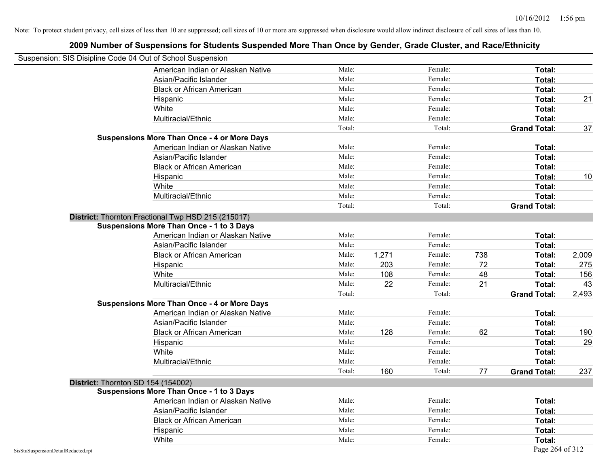|                                                            | 2009 Number of Suspensions for Students Suspended More Than Once by Gender, Grade Cluster, and Race/Ethnicity |        |       |         |     |                     |       |
|------------------------------------------------------------|---------------------------------------------------------------------------------------------------------------|--------|-------|---------|-----|---------------------|-------|
| Suspension: SIS Disipline Code 04 Out of School Suspension |                                                                                                               |        |       |         |     |                     |       |
|                                                            | American Indian or Alaskan Native                                                                             | Male:  |       | Female: |     | Total:              |       |
|                                                            | Asian/Pacific Islander                                                                                        | Male:  |       | Female: |     | Total:              |       |
|                                                            | <b>Black or African American</b>                                                                              | Male:  |       | Female: |     | Total:              |       |
|                                                            | Hispanic                                                                                                      | Male:  |       | Female: |     | Total:              | 21    |
|                                                            | White                                                                                                         | Male:  |       | Female: |     | Total:              |       |
|                                                            | Multiracial/Ethnic                                                                                            | Male:  |       | Female: |     | Total:              |       |
|                                                            |                                                                                                               | Total: |       | Total:  |     | <b>Grand Total:</b> | 37    |
|                                                            | <b>Suspensions More Than Once - 4 or More Days</b>                                                            |        |       |         |     |                     |       |
|                                                            | American Indian or Alaskan Native                                                                             | Male:  |       | Female: |     | Total:              |       |
|                                                            | Asian/Pacific Islander                                                                                        | Male:  |       | Female: |     | Total:              |       |
|                                                            | <b>Black or African American</b>                                                                              | Male:  |       | Female: |     | Total:              |       |
|                                                            | Hispanic                                                                                                      | Male:  |       | Female: |     | Total:              | 10    |
|                                                            | White                                                                                                         | Male:  |       | Female: |     | Total:              |       |
|                                                            | Multiracial/Ethnic                                                                                            | Male:  |       | Female: |     | <b>Total:</b>       |       |
|                                                            |                                                                                                               | Total: |       | Total:  |     | <b>Grand Total:</b> |       |
|                                                            | District: Thornton Fractional Twp HSD 215 (215017)                                                            |        |       |         |     |                     |       |
|                                                            | <b>Suspensions More Than Once - 1 to 3 Days</b>                                                               |        |       |         |     |                     |       |
|                                                            | American Indian or Alaskan Native                                                                             | Male:  |       | Female: |     | Total:              |       |
|                                                            | Asian/Pacific Islander                                                                                        | Male:  |       | Female: |     | Total:              |       |
|                                                            | <b>Black or African American</b>                                                                              | Male:  | 1,271 | Female: | 738 | Total:              | 2,009 |
|                                                            | Hispanic                                                                                                      | Male:  | 203   | Female: | 72  | Total:              | 275   |
|                                                            | White                                                                                                         | Male:  | 108   | Female: | 48  | Total:              | 156   |
|                                                            | Multiracial/Ethnic                                                                                            | Male:  | 22    | Female: | 21  | Total:              | 43    |
|                                                            |                                                                                                               | Total: |       | Total:  |     | <b>Grand Total:</b> | 2,493 |
|                                                            | <b>Suspensions More Than Once - 4 or More Days</b>                                                            |        |       |         |     |                     |       |
|                                                            | American Indian or Alaskan Native                                                                             | Male:  |       | Female: |     | Total:              |       |
|                                                            | Asian/Pacific Islander                                                                                        | Male:  |       | Female: |     | Total:              |       |
|                                                            | <b>Black or African American</b>                                                                              | Male:  | 128   | Female: | 62  | Total:              | 190   |
|                                                            | Hispanic                                                                                                      | Male:  |       | Female: |     | Total:              | 29    |
|                                                            | White                                                                                                         | Male:  |       | Female: |     | Total:              |       |
|                                                            | Multiracial/Ethnic                                                                                            | Male:  |       | Female: |     | Total:              |       |
|                                                            |                                                                                                               | Total: | 160   | Total:  | 77  | <b>Grand Total:</b> | 237   |
| District: Thornton SD 154 (154002)                         |                                                                                                               |        |       |         |     |                     |       |
|                                                            | <b>Suspensions More Than Once - 1 to 3 Days</b>                                                               |        |       |         |     |                     |       |
|                                                            | American Indian or Alaskan Native                                                                             | Male:  |       | Female: |     | Total:              |       |
|                                                            | Asian/Pacific Islander                                                                                        | Male:  |       | Female: |     | Total:              |       |
|                                                            | <b>Black or African American</b>                                                                              | Male:  |       | Female: |     | Total:              |       |
|                                                            | Hispanic                                                                                                      | Male:  |       | Female: |     | Total:              |       |
|                                                            | White                                                                                                         | Male:  |       | Female: |     | Total:              |       |

#### SisStuSuspensionDetailRedacted.rpt Page 264 of 312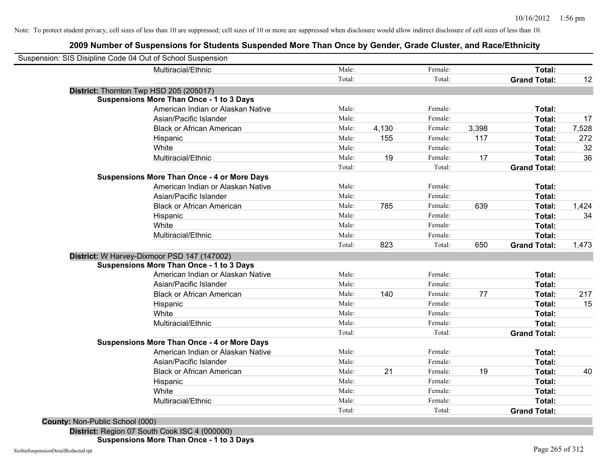| Suspension: SIS Disipline Code 04 Out of School Suspension |                                                                                                                                                                                                                                                                                                                                                                                                                                                                                                                                                                                        |                                                                      |                     |                                                                                                 |                          |                                                                                 |
|------------------------------------------------------------|----------------------------------------------------------------------------------------------------------------------------------------------------------------------------------------------------------------------------------------------------------------------------------------------------------------------------------------------------------------------------------------------------------------------------------------------------------------------------------------------------------------------------------------------------------------------------------------|----------------------------------------------------------------------|---------------------|-------------------------------------------------------------------------------------------------|--------------------------|---------------------------------------------------------------------------------|
| Multiracial/Ethnic                                         | Male:                                                                                                                                                                                                                                                                                                                                                                                                                                                                                                                                                                                  |                                                                      | Female:             |                                                                                                 | Total:                   |                                                                                 |
|                                                            | Total:                                                                                                                                                                                                                                                                                                                                                                                                                                                                                                                                                                                 |                                                                      | Total:              |                                                                                                 | <b>Grand Total:</b>      | 12                                                                              |
|                                                            |                                                                                                                                                                                                                                                                                                                                                                                                                                                                                                                                                                                        |                                                                      |                     |                                                                                                 |                          |                                                                                 |
|                                                            |                                                                                                                                                                                                                                                                                                                                                                                                                                                                                                                                                                                        |                                                                      |                     |                                                                                                 |                          |                                                                                 |
| American Indian or Alaskan Native                          | Male:                                                                                                                                                                                                                                                                                                                                                                                                                                                                                                                                                                                  |                                                                      | Female:             |                                                                                                 | Total:                   |                                                                                 |
|                                                            |                                                                                                                                                                                                                                                                                                                                                                                                                                                                                                                                                                                        |                                                                      |                     |                                                                                                 | Total:                   | 17                                                                              |
|                                                            |                                                                                                                                                                                                                                                                                                                                                                                                                                                                                                                                                                                        |                                                                      |                     |                                                                                                 | Total:                   | 7,528                                                                           |
| Hispanic                                                   | Male:                                                                                                                                                                                                                                                                                                                                                                                                                                                                                                                                                                                  | 155                                                                  | Female:             | 117                                                                                             | Total:                   | 272                                                                             |
| White                                                      | Male:                                                                                                                                                                                                                                                                                                                                                                                                                                                                                                                                                                                  |                                                                      | Female:             |                                                                                                 | Total:                   | 32                                                                              |
| Multiracial/Ethnic                                         | Male:                                                                                                                                                                                                                                                                                                                                                                                                                                                                                                                                                                                  | 19                                                                   | Female:             |                                                                                                 | Total:                   | 36                                                                              |
|                                                            | Total:                                                                                                                                                                                                                                                                                                                                                                                                                                                                                                                                                                                 |                                                                      | Total:              |                                                                                                 | <b>Grand Total:</b>      |                                                                                 |
|                                                            |                                                                                                                                                                                                                                                                                                                                                                                                                                                                                                                                                                                        |                                                                      |                     |                                                                                                 |                          |                                                                                 |
|                                                            | Male:                                                                                                                                                                                                                                                                                                                                                                                                                                                                                                                                                                                  |                                                                      | Female:             |                                                                                                 | Total:                   |                                                                                 |
|                                                            |                                                                                                                                                                                                                                                                                                                                                                                                                                                                                                                                                                                        |                                                                      |                     |                                                                                                 | Total:                   |                                                                                 |
| <b>Black or African American</b>                           | Male:                                                                                                                                                                                                                                                                                                                                                                                                                                                                                                                                                                                  |                                                                      |                     |                                                                                                 | Total:                   | 1,424                                                                           |
| Hispanic                                                   | Male:                                                                                                                                                                                                                                                                                                                                                                                                                                                                                                                                                                                  |                                                                      | Female:             |                                                                                                 | Total:                   | 34                                                                              |
| White                                                      | Male:                                                                                                                                                                                                                                                                                                                                                                                                                                                                                                                                                                                  |                                                                      | Female:             |                                                                                                 | Total:                   |                                                                                 |
| Multiracial/Ethnic                                         | Male:                                                                                                                                                                                                                                                                                                                                                                                                                                                                                                                                                                                  |                                                                      | Female:             |                                                                                                 | Total:                   |                                                                                 |
|                                                            | Total:                                                                                                                                                                                                                                                                                                                                                                                                                                                                                                                                                                                 | 823                                                                  | Total:              | 650                                                                                             | <b>Grand Total:</b>      | 1,473                                                                           |
|                                                            |                                                                                                                                                                                                                                                                                                                                                                                                                                                                                                                                                                                        |                                                                      |                     |                                                                                                 |                          |                                                                                 |
|                                                            |                                                                                                                                                                                                                                                                                                                                                                                                                                                                                                                                                                                        |                                                                      |                     |                                                                                                 |                          |                                                                                 |
|                                                            |                                                                                                                                                                                                                                                                                                                                                                                                                                                                                                                                                                                        |                                                                      |                     |                                                                                                 |                          |                                                                                 |
|                                                            |                                                                                                                                                                                                                                                                                                                                                                                                                                                                                                                                                                                        |                                                                      |                     |                                                                                                 |                          |                                                                                 |
|                                                            |                                                                                                                                                                                                                                                                                                                                                                                                                                                                                                                                                                                        |                                                                      |                     |                                                                                                 |                          | 217                                                                             |
| Hispanic                                                   | Male:                                                                                                                                                                                                                                                                                                                                                                                                                                                                                                                                                                                  |                                                                      | Female:             |                                                                                                 |                          | 15                                                                              |
|                                                            |                                                                                                                                                                                                                                                                                                                                                                                                                                                                                                                                                                                        |                                                                      |                     |                                                                                                 |                          |                                                                                 |
| Multiracial/Ethnic                                         |                                                                                                                                                                                                                                                                                                                                                                                                                                                                                                                                                                                        |                                                                      |                     |                                                                                                 |                          |                                                                                 |
|                                                            | Total:                                                                                                                                                                                                                                                                                                                                                                                                                                                                                                                                                                                 |                                                                      | Total:              |                                                                                                 |                          |                                                                                 |
|                                                            |                                                                                                                                                                                                                                                                                                                                                                                                                                                                                                                                                                                        |                                                                      |                     |                                                                                                 |                          |                                                                                 |
|                                                            | Male:                                                                                                                                                                                                                                                                                                                                                                                                                                                                                                                                                                                  |                                                                      | Female:             |                                                                                                 | Total:                   |                                                                                 |
| Asian/Pacific Islander                                     | Male:                                                                                                                                                                                                                                                                                                                                                                                                                                                                                                                                                                                  |                                                                      | Female:             |                                                                                                 | Total:                   |                                                                                 |
| <b>Black or African American</b>                           | Male:                                                                                                                                                                                                                                                                                                                                                                                                                                                                                                                                                                                  | 21                                                                   | Female:             | 19                                                                                              | Total:                   | 40                                                                              |
| Hispanic                                                   | Male:                                                                                                                                                                                                                                                                                                                                                                                                                                                                                                                                                                                  |                                                                      | Female:             |                                                                                                 | Total:                   |                                                                                 |
| White                                                      | Male:                                                                                                                                                                                                                                                                                                                                                                                                                                                                                                                                                                                  |                                                                      | Female:             |                                                                                                 | Total:                   |                                                                                 |
| Multiracial/Ethnic                                         | Male:                                                                                                                                                                                                                                                                                                                                                                                                                                                                                                                                                                                  |                                                                      | Female:             |                                                                                                 | Total:                   |                                                                                 |
|                                                            | Total:                                                                                                                                                                                                                                                                                                                                                                                                                                                                                                                                                                                 |                                                                      | Total:              |                                                                                                 | <b>Grand Total:</b>      |                                                                                 |
|                                                            | District: Thornton Twp HSD 205 (205017)<br><b>Suspensions More Than Once - 1 to 3 Days</b><br>Asian/Pacific Islander<br><b>Black or African American</b><br><b>Suspensions More Than Once - 4 or More Days</b><br>American Indian or Alaskan Native<br>Asian/Pacific Islander<br>District: W Harvey-Dixmoor PSD 147 (147002)<br><b>Suspensions More Than Once - 1 to 3 Days</b><br>American Indian or Alaskan Native<br>Asian/Pacific Islander<br><b>Black or African American</b><br>White<br><b>Suspensions More Than Once - 4 or More Days</b><br>American Indian or Alaskan Native | Male:<br>Male:<br>Male:<br>Male:<br>Male:<br>Male:<br>Male:<br>Male: | 4,130<br>785<br>140 | Female:<br>Female:<br>Female:<br>Female:<br>Female:<br>Female:<br>Female:<br>Female:<br>Female: | 3,398<br>17<br>639<br>77 | Total:<br>Total:<br>Total:<br>Total:<br>Total:<br>Total:<br><b>Grand Total:</b> |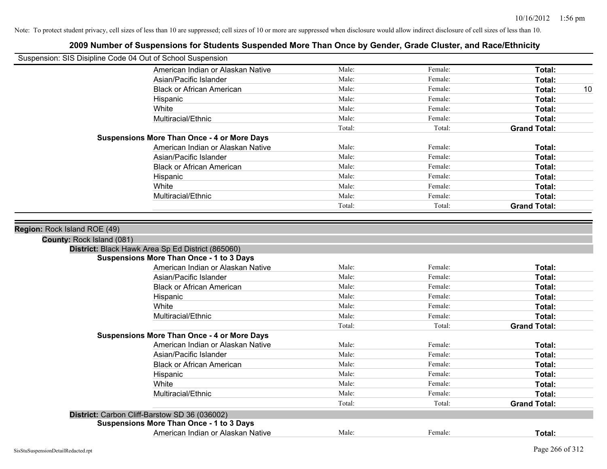| Suspension: SIS Disipline Code 04 Out of School Suspension                     |        |         |                     |
|--------------------------------------------------------------------------------|--------|---------|---------------------|
| American Indian or Alaskan Native                                              | Male:  | Female: | Total:              |
| Asian/Pacific Islander                                                         | Male:  | Female: | Total:              |
| <b>Black or African American</b>                                               | Male:  | Female: | Total:<br>10        |
| Hispanic                                                                       | Male:  | Female: | Total:              |
| White                                                                          | Male:  | Female: | Total:              |
| Multiracial/Ethnic                                                             | Male:  | Female: | Total:              |
|                                                                                | Total: | Total:  | <b>Grand Total:</b> |
| <b>Suspensions More Than Once - 4 or More Days</b>                             |        |         |                     |
| American Indian or Alaskan Native                                              | Male:  | Female: | Total:              |
| Asian/Pacific Islander                                                         | Male:  | Female: | Total:              |
| <b>Black or African American</b>                                               | Male:  | Female: | Total:              |
| Hispanic                                                                       | Male:  | Female: | Total:              |
| White                                                                          | Male:  | Female: | Total:              |
| Multiracial/Ethnic                                                             | Male:  | Female: | Total:              |
|                                                                                | Total: | Total:  | <b>Grand Total:</b> |
| County: Rock Island (081)<br>District: Black Hawk Area Sp Ed District (865060) |        |         |                     |
|                                                                                |        |         |                     |
| <b>Suspensions More Than Once - 1 to 3 Days</b>                                |        |         |                     |
| American Indian or Alaskan Native                                              | Male:  | Female: | Total:              |
| Asian/Pacific Islander                                                         | Male:  | Female: | Total:              |
| <b>Black or African American</b>                                               | Male:  | Female: | Total:              |
| Hispanic                                                                       | Male:  | Female: | Total:              |
| White                                                                          | Male:  | Female: | Total:              |
| Multiracial/Ethnic                                                             | Male:  | Female: | Total:              |
|                                                                                | Total: | Total:  | <b>Grand Total:</b> |
| <b>Suspensions More Than Once - 4 or More Days</b>                             |        |         |                     |
| American Indian or Alaskan Native                                              | Male:  | Female: | Total:              |
| Asian/Pacific Islander                                                         | Male:  | Female: | Total:              |
| <b>Black or African American</b>                                               | Male:  | Female: | Total:              |
| Hispanic                                                                       | Male:  | Female: | Total:              |
| White                                                                          | Male:  | Female: | Total:              |
| Multiracial/Ethnic                                                             | Male:  | Female: | Total:              |
|                                                                                | Total: | Total:  | <b>Grand Total:</b> |
| District: Carbon Cliff-Barstow SD 36 (036002)                                  |        |         |                     |
| <b>Suspensions More Than Once - 1 to 3 Days</b>                                |        |         |                     |
| American Indian or Alaskan Native                                              | Male:  | Female: | Total:              |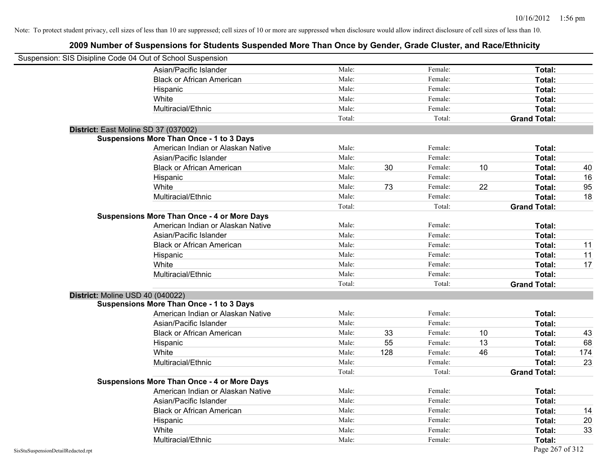| Suspension: SIS Disipline Code 04 Out of School Suspension |                                                    |        |     |         |    |                     |     |
|------------------------------------------------------------|----------------------------------------------------|--------|-----|---------|----|---------------------|-----|
|                                                            | Asian/Pacific Islander                             | Male:  |     | Female: |    | Total:              |     |
|                                                            | <b>Black or African American</b>                   | Male:  |     | Female: |    | Total:              |     |
|                                                            | Hispanic                                           | Male:  |     | Female: |    | Total:              |     |
|                                                            | White                                              | Male:  |     | Female: |    | Total:              |     |
|                                                            | Multiracial/Ethnic                                 | Male:  |     | Female: |    | Total:              |     |
|                                                            |                                                    | Total: |     | Total:  |    | <b>Grand Total:</b> |     |
| District: East Moline SD 37 (037002)                       |                                                    |        |     |         |    |                     |     |
|                                                            | <b>Suspensions More Than Once - 1 to 3 Days</b>    |        |     |         |    |                     |     |
|                                                            | American Indian or Alaskan Native                  | Male:  |     | Female: |    | Total:              |     |
|                                                            | Asian/Pacific Islander                             | Male:  |     | Female: |    | Total:              |     |
|                                                            | <b>Black or African American</b>                   | Male:  | 30  | Female: | 10 | Total:              | 40  |
|                                                            | Hispanic                                           | Male:  |     | Female: |    | Total:              | 16  |
|                                                            | White                                              | Male:  | 73  | Female: | 22 | Total:              | 95  |
|                                                            | Multiracial/Ethnic                                 | Male:  |     | Female: |    | Total:              | 18  |
|                                                            |                                                    | Total: |     | Total:  |    | <b>Grand Total:</b> |     |
|                                                            | <b>Suspensions More Than Once - 4 or More Days</b> |        |     |         |    |                     |     |
|                                                            | American Indian or Alaskan Native                  | Male:  |     | Female: |    | Total:              |     |
|                                                            | Asian/Pacific Islander                             | Male:  |     | Female: |    | Total:              |     |
|                                                            | <b>Black or African American</b>                   | Male:  |     | Female: |    | Total:              | 11  |
|                                                            | Hispanic                                           | Male:  |     | Female: |    | Total:              | 11  |
|                                                            | White                                              | Male:  |     | Female: |    | Total:              | 17  |
|                                                            | Multiracial/Ethnic                                 | Male:  |     | Female: |    | Total:              |     |
|                                                            |                                                    | Total: |     | Total:  |    | <b>Grand Total:</b> |     |
| District: Moline USD 40 (040022)                           |                                                    |        |     |         |    |                     |     |
|                                                            | <b>Suspensions More Than Once - 1 to 3 Days</b>    |        |     |         |    |                     |     |
|                                                            | American Indian or Alaskan Native                  | Male:  |     | Female: |    | Total:              |     |
|                                                            | Asian/Pacific Islander                             | Male:  |     | Female: |    | Total:              |     |
|                                                            | <b>Black or African American</b>                   | Male:  | 33  | Female: | 10 | Total:              | 43  |
|                                                            | Hispanic                                           | Male:  | 55  | Female: | 13 | Total:              | 68  |
|                                                            | White                                              | Male:  | 128 | Female: | 46 | Total:              | 174 |
|                                                            | Multiracial/Ethnic                                 | Male:  |     | Female: |    | Total:              | 23  |
|                                                            |                                                    | Total: |     | Total:  |    | <b>Grand Total:</b> |     |
|                                                            | <b>Suspensions More Than Once - 4 or More Days</b> |        |     |         |    |                     |     |
|                                                            | American Indian or Alaskan Native                  | Male:  |     | Female: |    | Total:              |     |
|                                                            | Asian/Pacific Islander                             | Male:  |     | Female: |    | Total:              |     |
|                                                            | <b>Black or African American</b>                   | Male:  |     | Female: |    | Total:              | 14  |
|                                                            | Hispanic                                           | Male:  |     | Female: |    | Total:              | 20  |
|                                                            | White                                              | Male:  |     | Female: |    | Total:              | 33  |
|                                                            | Multiracial/Ethnic                                 | Male:  |     | Female: |    | Total:              |     |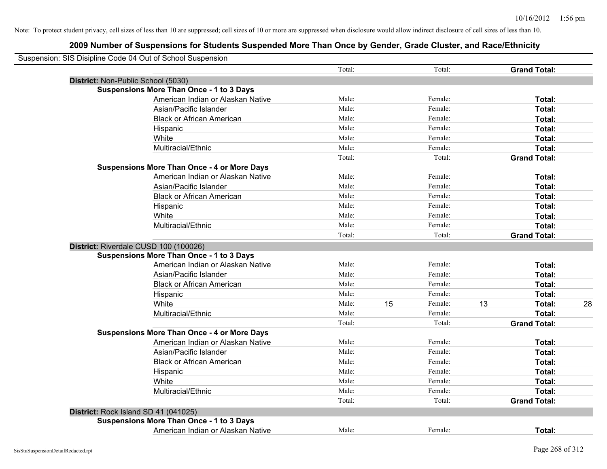|                                    | Suspension: SIS Disipline Code 04 Out of School Suspension | Total: |    | Total:  |    | <b>Grand Total:</b> |    |
|------------------------------------|------------------------------------------------------------|--------|----|---------|----|---------------------|----|
|                                    |                                                            |        |    |         |    |                     |    |
| District: Non-Public School (5030) | <b>Suspensions More Than Once - 1 to 3 Days</b>            |        |    |         |    |                     |    |
|                                    | American Indian or Alaskan Native                          | Male:  |    | Female: |    | Total:              |    |
|                                    | Asian/Pacific Islander                                     | Male:  |    | Female: |    | Total:              |    |
|                                    | <b>Black or African American</b>                           | Male:  |    | Female: |    | Total:              |    |
|                                    | Hispanic                                                   | Male:  |    | Female: |    | Total:              |    |
|                                    | White                                                      | Male:  |    | Female: |    | Total:              |    |
|                                    | Multiracial/Ethnic                                         | Male:  |    | Female: |    | Total:              |    |
|                                    |                                                            | Total: |    | Total:  |    | <b>Grand Total:</b> |    |
|                                    | <b>Suspensions More Than Once - 4 or More Days</b>         |        |    |         |    |                     |    |
|                                    | American Indian or Alaskan Native                          | Male:  |    | Female: |    | Total:              |    |
|                                    | Asian/Pacific Islander                                     | Male:  |    | Female: |    | Total:              |    |
|                                    | <b>Black or African American</b>                           | Male:  |    | Female: |    | Total:              |    |
|                                    | Hispanic                                                   | Male:  |    | Female: |    | Total:              |    |
|                                    | White                                                      | Male:  |    | Female: |    | Total:              |    |
|                                    | Multiracial/Ethnic                                         | Male:  |    | Female: |    | Total:              |    |
|                                    |                                                            | Total: |    | Total:  |    | <b>Grand Total:</b> |    |
|                                    | District: Riverdale CUSD 100 (100026)                      |        |    |         |    |                     |    |
|                                    | <b>Suspensions More Than Once - 1 to 3 Days</b>            |        |    |         |    |                     |    |
|                                    | American Indian or Alaskan Native                          | Male:  |    | Female: |    | Total:              |    |
|                                    | Asian/Pacific Islander                                     | Male:  |    | Female: |    | Total:              |    |
|                                    | <b>Black or African American</b>                           | Male:  |    | Female: |    | Total:              |    |
|                                    | Hispanic                                                   | Male:  |    | Female: |    | Total:              |    |
|                                    | White                                                      | Male:  | 15 | Female: | 13 | Total:              | 28 |
|                                    | Multiracial/Ethnic                                         | Male:  |    | Female: |    | Total:              |    |
|                                    |                                                            | Total: |    | Total:  |    | <b>Grand Total:</b> |    |
|                                    | <b>Suspensions More Than Once - 4 or More Days</b>         |        |    |         |    |                     |    |
|                                    | American Indian or Alaskan Native                          | Male:  |    | Female: |    | Total:              |    |
|                                    | Asian/Pacific Islander                                     | Male:  |    | Female: |    | Total:              |    |
|                                    | <b>Black or African American</b>                           | Male:  |    | Female: |    | Total:              |    |
|                                    | Hispanic                                                   | Male:  |    | Female: |    | Total:              |    |
|                                    | White                                                      | Male:  |    | Female: |    | Total:              |    |
|                                    | Multiracial/Ethnic                                         | Male:  |    | Female: |    | Total:              |    |
|                                    |                                                            | Total: |    | Total:  |    | <b>Grand Total:</b> |    |
|                                    | District: Rock Island SD 41 (041025)                       |        |    |         |    |                     |    |
|                                    | <b>Suspensions More Than Once - 1 to 3 Days</b>            |        |    |         |    |                     |    |
|                                    | American Indian or Alaskan Native                          | Male:  |    | Female: |    | Total:              |    |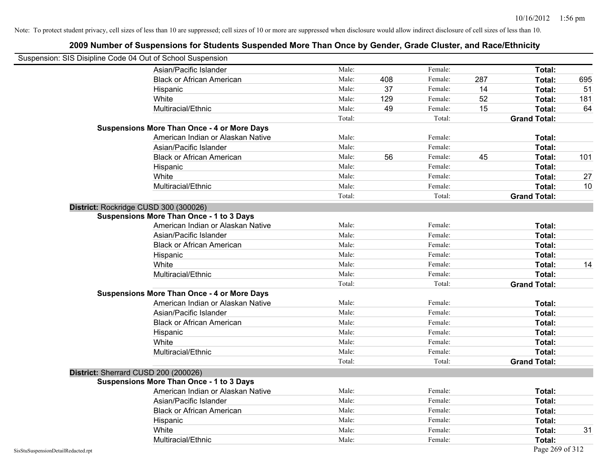| Suspension: SIS Disipline Code 04 Out of School Suspension |                                                    |        |     |         |     |                     |     |
|------------------------------------------------------------|----------------------------------------------------|--------|-----|---------|-----|---------------------|-----|
|                                                            | Asian/Pacific Islander                             | Male:  |     | Female: |     | Total:              |     |
|                                                            | <b>Black or African American</b>                   | Male:  | 408 | Female: | 287 | Total:              | 695 |
|                                                            | Hispanic                                           | Male:  | 37  | Female: | 14  | Total:              | 51  |
|                                                            | White                                              | Male:  | 129 | Female: | 52  | Total:              | 181 |
|                                                            | Multiracial/Ethnic                                 | Male:  | 49  | Female: | 15  | Total:              | 64  |
|                                                            |                                                    | Total: |     | Total:  |     | <b>Grand Total:</b> |     |
|                                                            | <b>Suspensions More Than Once - 4 or More Days</b> |        |     |         |     |                     |     |
|                                                            | American Indian or Alaskan Native                  | Male:  |     | Female: |     | Total:              |     |
|                                                            | Asian/Pacific Islander                             | Male:  |     | Female: |     | Total:              |     |
|                                                            | <b>Black or African American</b>                   | Male:  | 56  | Female: | 45  | Total:              | 101 |
|                                                            | Hispanic                                           | Male:  |     | Female: |     | Total:              |     |
|                                                            | White                                              | Male:  |     | Female: |     | Total:              | 27  |
|                                                            | Multiracial/Ethnic                                 | Male:  |     | Female: |     | Total:              | 10  |
|                                                            |                                                    | Total: |     | Total:  |     | <b>Grand Total:</b> |     |
|                                                            | District: Rockridge CUSD 300 (300026)              |        |     |         |     |                     |     |
|                                                            | <b>Suspensions More Than Once - 1 to 3 Days</b>    |        |     |         |     |                     |     |
|                                                            | American Indian or Alaskan Native                  | Male:  |     | Female: |     | Total:              |     |
|                                                            | Asian/Pacific Islander                             | Male:  |     | Female: |     | Total:              |     |
|                                                            | <b>Black or African American</b>                   | Male:  |     | Female: |     | Total:              |     |
|                                                            | Hispanic                                           | Male:  |     | Female: |     | Total:              |     |
|                                                            | White                                              | Male:  |     | Female: |     | Total:              | 14  |
|                                                            | Multiracial/Ethnic                                 | Male:  |     | Female: |     | Total:              |     |
|                                                            |                                                    | Total: |     | Total:  |     | <b>Grand Total:</b> |     |
|                                                            | <b>Suspensions More Than Once - 4 or More Days</b> |        |     |         |     |                     |     |
|                                                            | American Indian or Alaskan Native                  | Male:  |     | Female: |     | Total:              |     |
|                                                            | Asian/Pacific Islander                             | Male:  |     | Female: |     | Total:              |     |
|                                                            | <b>Black or African American</b>                   | Male:  |     | Female: |     | Total:              |     |
|                                                            | Hispanic                                           | Male:  |     | Female: |     | Total:              |     |
|                                                            | White                                              | Male:  |     | Female: |     | Total:              |     |
|                                                            | Multiracial/Ethnic                                 | Male:  |     | Female: |     | Total:              |     |
|                                                            |                                                    | Total: |     | Total:  |     | <b>Grand Total:</b> |     |
|                                                            | District: Sherrard CUSD 200 (200026)               |        |     |         |     |                     |     |
|                                                            | <b>Suspensions More Than Once - 1 to 3 Days</b>    |        |     |         |     |                     |     |
|                                                            | American Indian or Alaskan Native                  | Male:  |     | Female: |     | Total:              |     |
|                                                            | Asian/Pacific Islander                             | Male:  |     | Female: |     | Total:              |     |
|                                                            | <b>Black or African American</b>                   | Male:  |     | Female: |     | Total:              |     |
|                                                            | Hispanic                                           | Male:  |     | Female: |     | Total:              |     |
|                                                            | White                                              | Male:  |     | Female: |     | Total:              | 31  |
|                                                            | Multiracial/Ethnic                                 | Male:  |     | Female: |     | Total:              |     |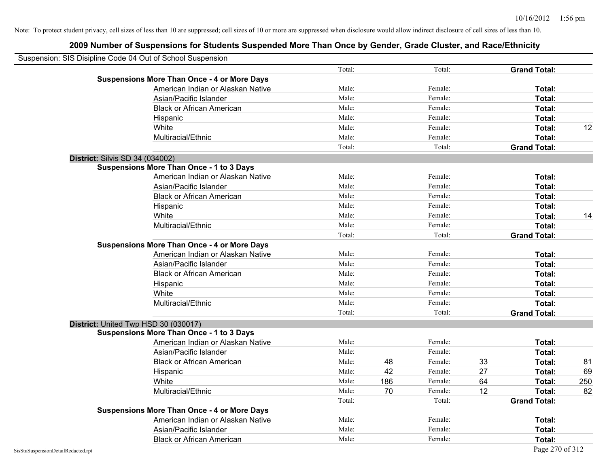| Suspension: SIS Disipline Code 04 Out of School Suspension |        |     |         |    |                     |     |
|------------------------------------------------------------|--------|-----|---------|----|---------------------|-----|
|                                                            | Total: |     | Total:  |    | <b>Grand Total:</b> |     |
| <b>Suspensions More Than Once - 4 or More Days</b>         |        |     |         |    |                     |     |
| American Indian or Alaskan Native                          | Male:  |     | Female: |    | Total:              |     |
| Asian/Pacific Islander                                     | Male:  |     | Female: |    | Total:              |     |
| <b>Black or African American</b>                           | Male:  |     | Female: |    | Total:              |     |
| Hispanic                                                   | Male:  |     | Female: |    | Total:              |     |
| White                                                      | Male:  |     | Female: |    | Total:              | 12  |
| Multiracial/Ethnic                                         | Male:  |     | Female: |    | <b>Total:</b>       |     |
|                                                            | Total: |     | Total:  |    | <b>Grand Total:</b> |     |
| <b>District: Silvis SD 34 (034002)</b>                     |        |     |         |    |                     |     |
| <b>Suspensions More Than Once - 1 to 3 Days</b>            |        |     |         |    |                     |     |
| American Indian or Alaskan Native                          | Male:  |     | Female: |    | Total:              |     |
| Asian/Pacific Islander                                     | Male:  |     | Female: |    | Total:              |     |
| <b>Black or African American</b>                           | Male:  |     | Female: |    | Total:              |     |
| Hispanic                                                   | Male:  |     | Female: |    | Total:              |     |
| White                                                      | Male:  |     | Female: |    | Total:              | 14  |
| Multiracial/Ethnic                                         | Male:  |     | Female: |    | Total:              |     |
|                                                            | Total: |     | Total:  |    | <b>Grand Total:</b> |     |
| <b>Suspensions More Than Once - 4 or More Days</b>         |        |     |         |    |                     |     |
| American Indian or Alaskan Native                          | Male:  |     | Female: |    | Total:              |     |
| Asian/Pacific Islander                                     | Male:  |     | Female: |    | Total:              |     |
| <b>Black or African American</b>                           | Male:  |     | Female: |    | Total:              |     |
| Hispanic                                                   | Male:  |     | Female: |    | Total:              |     |
| White                                                      | Male:  |     | Female: |    | Total:              |     |
| Multiracial/Ethnic                                         | Male:  |     | Female: |    | Total:              |     |
|                                                            | Total: |     | Total:  |    | <b>Grand Total:</b> |     |
| District: United Twp HSD 30 (030017)                       |        |     |         |    |                     |     |
| <b>Suspensions More Than Once - 1 to 3 Days</b>            |        |     |         |    |                     |     |
| American Indian or Alaskan Native                          | Male:  |     | Female: |    | <b>Total:</b>       |     |
| Asian/Pacific Islander                                     | Male:  |     | Female: |    | Total:              |     |
| <b>Black or African American</b>                           | Male:  | 48  | Female: | 33 | Total:              | 81  |
| Hispanic                                                   | Male:  | 42  | Female: | 27 | Total:              | 69  |
| White                                                      | Male:  | 186 | Female: | 64 | Total:              | 250 |
| Multiracial/Ethnic                                         | Male:  | 70  | Female: | 12 | Total:              | 82  |
|                                                            | Total: |     | Total:  |    | <b>Grand Total:</b> |     |
| <b>Suspensions More Than Once - 4 or More Days</b>         |        |     |         |    |                     |     |
| American Indian or Alaskan Native                          | Male:  |     | Female: |    | Total:              |     |
| Asian/Pacific Islander                                     | Male:  |     | Female: |    | Total:              |     |
| <b>Black or African American</b>                           | Male:  |     | Female: |    | Total:              |     |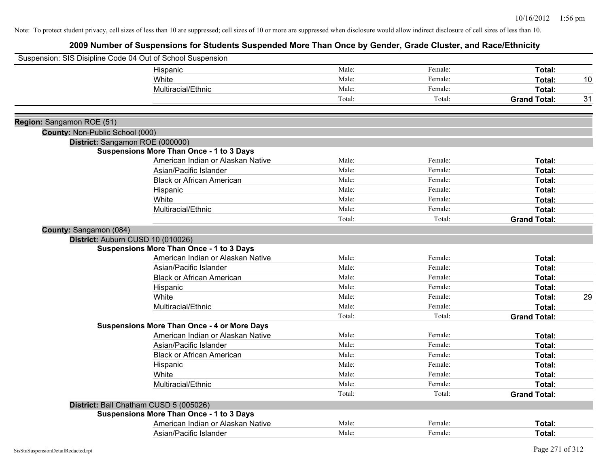|                                 | Suspension: SIS Disipline Code 04 Out of School Suspension                                |                |                    |                     |    |
|---------------------------------|-------------------------------------------------------------------------------------------|----------------|--------------------|---------------------|----|
|                                 | Hispanic                                                                                  | Male:          | Female:            | Total:              |    |
|                                 | White                                                                                     | Male:          | Female:            | Total:              | 10 |
|                                 | Multiracial/Ethnic                                                                        | Male:          | Female:            | Total:              |    |
|                                 |                                                                                           | Total:         | Total:             | <b>Grand Total:</b> | 31 |
| Region: Sangamon ROE (51)       |                                                                                           |                |                    |                     |    |
| County: Non-Public School (000) |                                                                                           |                |                    |                     |    |
|                                 | District: Sangamon ROE (000000)                                                           |                |                    |                     |    |
|                                 | <b>Suspensions More Than Once - 1 to 3 Days</b>                                           |                |                    |                     |    |
|                                 | American Indian or Alaskan Native                                                         | Male:          | Female:            | Total:              |    |
|                                 | Asian/Pacific Islander                                                                    | Male:          | Female:            | Total:              |    |
|                                 | <b>Black or African American</b>                                                          | Male:          | Female:            | Total:              |    |
|                                 | Hispanic                                                                                  | Male:          | Female:            | Total:              |    |
|                                 | White                                                                                     | Male:          | Female:            | Total:              |    |
|                                 | Multiracial/Ethnic                                                                        | Male:          | Female:            | Total:              |    |
|                                 |                                                                                           | Total:         | Total:             | <b>Grand Total:</b> |    |
| County: Sangamon (084)          |                                                                                           |                |                    |                     |    |
|                                 | District: Auburn CUSD 10 (010026)                                                         |                |                    |                     |    |
|                                 | <b>Suspensions More Than Once - 1 to 3 Days</b>                                           |                |                    |                     |    |
|                                 | American Indian or Alaskan Native                                                         | Male:          | Female:            | Total:              |    |
|                                 | Asian/Pacific Islander                                                                    | Male:          | Female:            | Total:              |    |
|                                 | <b>Black or African American</b>                                                          | Male:          | Female:            | Total:              |    |
|                                 | Hispanic                                                                                  | Male:          | Female:            | Total:              |    |
|                                 | White                                                                                     | Male:          | Female:            | Total:              | 29 |
|                                 | Multiracial/Ethnic                                                                        | Male:          | Female:            | Total:              |    |
|                                 |                                                                                           | Total:         | Total:             | <b>Grand Total:</b> |    |
|                                 | <b>Suspensions More Than Once - 4 or More Days</b>                                        |                |                    |                     |    |
|                                 | American Indian or Alaskan Native                                                         | Male:          | Female:            | Total:              |    |
|                                 | Asian/Pacific Islander                                                                    | Male:          | Female:            | Total:              |    |
|                                 | <b>Black or African American</b>                                                          | Male:          | Female:            | Total:              |    |
|                                 | Hispanic                                                                                  | Male:          | Female:            | Total:              |    |
|                                 | White                                                                                     | Male:<br>Male: | Female:<br>Female: | Total:              |    |
|                                 | Multiracial/Ethnic                                                                        | Total:         | Total:             | Total:              |    |
|                                 |                                                                                           |                |                    | <b>Grand Total:</b> |    |
|                                 | District: Ball Chatham CUSD 5 (005026)<br><b>Suspensions More Than Once - 1 to 3 Days</b> |                |                    |                     |    |
|                                 | American Indian or Alaskan Native                                                         | Male:          | Female:            | <b>Total:</b>       |    |
|                                 | Asian/Pacific Islander                                                                    | Male:          | Female:            | Total:              |    |
|                                 |                                                                                           |                |                    |                     |    |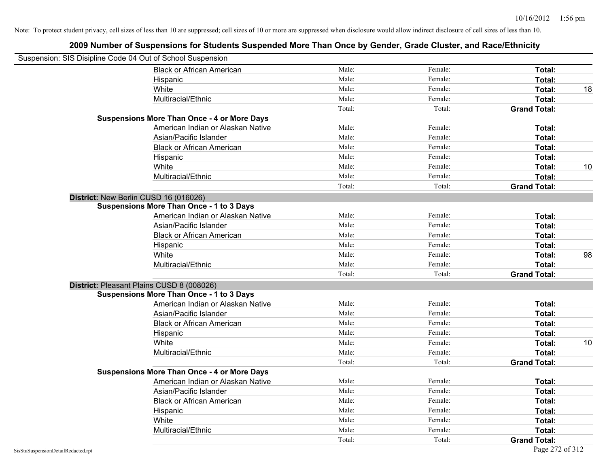| Suspension: SIS Disipline Code 04 Out of School Suspension |                                                    |        |         |                     |    |
|------------------------------------------------------------|----------------------------------------------------|--------|---------|---------------------|----|
|                                                            | <b>Black or African American</b>                   | Male:  | Female: | Total:              |    |
|                                                            | Hispanic                                           | Male:  | Female: | Total:              |    |
|                                                            | White                                              | Male:  | Female: | Total:              | 18 |
|                                                            | Multiracial/Ethnic                                 | Male:  | Female: | Total:              |    |
|                                                            |                                                    | Total: | Total:  | <b>Grand Total:</b> |    |
|                                                            | <b>Suspensions More Than Once - 4 or More Days</b> |        |         |                     |    |
|                                                            | American Indian or Alaskan Native                  | Male:  | Female: | Total:              |    |
|                                                            | Asian/Pacific Islander                             | Male:  | Female: | Total:              |    |
|                                                            | <b>Black or African American</b>                   | Male:  | Female: | Total:              |    |
|                                                            | Hispanic                                           | Male:  | Female: | Total:              |    |
|                                                            | White                                              | Male:  | Female: | Total:              | 10 |
|                                                            | Multiracial/Ethnic                                 | Male:  | Female: | Total:              |    |
|                                                            |                                                    | Total: | Total:  | <b>Grand Total:</b> |    |
| District: New Berlin CUSD 16 (016026)                      |                                                    |        |         |                     |    |
|                                                            | <b>Suspensions More Than Once - 1 to 3 Days</b>    |        |         |                     |    |
|                                                            | American Indian or Alaskan Native                  | Male:  | Female: | Total:              |    |
|                                                            | Asian/Pacific Islander                             | Male:  | Female: | Total:              |    |
|                                                            | <b>Black or African American</b>                   | Male:  | Female: | Total:              |    |
|                                                            | Hispanic                                           | Male:  | Female: | Total:              |    |
|                                                            | White                                              | Male:  | Female: | Total:              | 98 |
|                                                            | Multiracial/Ethnic                                 | Male:  | Female: | Total:              |    |
|                                                            |                                                    | Total: | Total:  | <b>Grand Total:</b> |    |
| District: Pleasant Plains CUSD 8 (008026)                  |                                                    |        |         |                     |    |
|                                                            | <b>Suspensions More Than Once - 1 to 3 Days</b>    |        |         |                     |    |
|                                                            | American Indian or Alaskan Native                  | Male:  | Female: | Total:              |    |
|                                                            | Asian/Pacific Islander                             | Male:  | Female: | Total:              |    |
|                                                            | <b>Black or African American</b>                   | Male:  | Female: | Total:              |    |
|                                                            | Hispanic                                           | Male:  | Female: | Total:              |    |
|                                                            | White                                              | Male:  | Female: | Total:              | 10 |
|                                                            | Multiracial/Ethnic                                 | Male:  | Female: | Total:              |    |
|                                                            |                                                    | Total: | Total:  | <b>Grand Total:</b> |    |
|                                                            | <b>Suspensions More Than Once - 4 or More Days</b> |        |         |                     |    |
|                                                            | American Indian or Alaskan Native                  | Male:  | Female: | Total:              |    |
|                                                            | Asian/Pacific Islander                             | Male:  | Female: | Total:              |    |
|                                                            | <b>Black or African American</b>                   | Male:  | Female: | Total:              |    |
|                                                            | Hispanic                                           | Male:  | Female: | Total:              |    |
|                                                            | White                                              | Male:  | Female: | Total:              |    |
|                                                            | Multiracial/Ethnic                                 | Male:  | Female: | Total:              |    |
|                                                            |                                                    | Total: | Total:  | <b>Grand Total:</b> |    |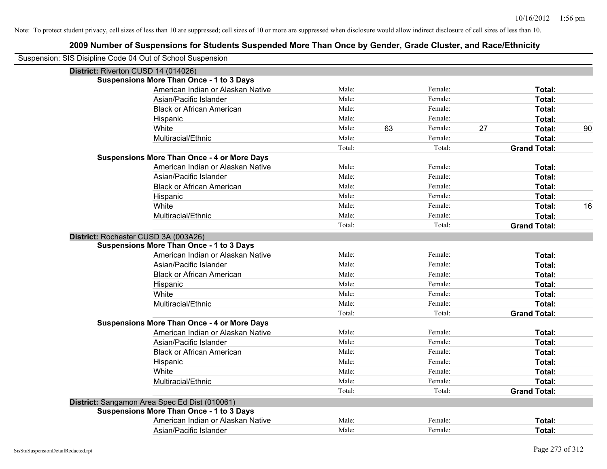| Suspension: SIS Disipline Code 04 Out of School Suspension |        |    |         |    |                     |    |
|------------------------------------------------------------|--------|----|---------|----|---------------------|----|
| District: Riverton CUSD 14 (014026)                        |        |    |         |    |                     |    |
| Suspensions More Than Once - 1 to 3 Days                   |        |    |         |    |                     |    |
| American Indian or Alaskan Native                          | Male:  |    | Female: |    | Total:              |    |
| Asian/Pacific Islander                                     | Male:  |    | Female: |    | Total:              |    |
| <b>Black or African American</b>                           | Male:  |    | Female: |    | Total:              |    |
| Hispanic                                                   | Male:  |    | Female: |    | Total:              |    |
| White                                                      | Male:  | 63 | Female: | 27 | Total:              | 90 |
| Multiracial/Ethnic                                         | Male:  |    | Female: |    | Total:              |    |
|                                                            | Total: |    | Total:  |    | <b>Grand Total:</b> |    |
| <b>Suspensions More Than Once - 4 or More Days</b>         |        |    |         |    |                     |    |
| American Indian or Alaskan Native                          | Male:  |    | Female: |    | Total:              |    |
| Asian/Pacific Islander                                     | Male:  |    | Female: |    | Total:              |    |
| <b>Black or African American</b>                           | Male:  |    | Female: |    | Total:              |    |
| Hispanic                                                   | Male:  |    | Female: |    | Total:              |    |
| White                                                      | Male:  |    | Female: |    | Total:              | 16 |
| Multiracial/Ethnic                                         | Male:  |    | Female: |    | Total:              |    |
|                                                            | Total: |    | Total:  |    | <b>Grand Total:</b> |    |
| District: Rochester CUSD 3A (003A26)                       |        |    |         |    |                     |    |
| <b>Suspensions More Than Once - 1 to 3 Days</b>            |        |    |         |    |                     |    |
| American Indian or Alaskan Native                          | Male:  |    | Female: |    | Total:              |    |
| Asian/Pacific Islander                                     | Male:  |    | Female: |    | Total:              |    |
| <b>Black or African American</b>                           | Male:  |    | Female: |    | Total:              |    |
| Hispanic                                                   | Male:  |    | Female: |    | Total:              |    |
| White                                                      | Male:  |    | Female: |    | Total:              |    |
| Multiracial/Ethnic                                         | Male:  |    | Female: |    | Total:              |    |
|                                                            | Total: |    | Total:  |    | <b>Grand Total:</b> |    |
| <b>Suspensions More Than Once - 4 or More Days</b>         |        |    |         |    |                     |    |
| American Indian or Alaskan Native                          | Male:  |    | Female: |    | Total:              |    |
| Asian/Pacific Islander                                     | Male:  |    | Female: |    | Total:              |    |
| <b>Black or African American</b>                           | Male:  |    | Female: |    | Total:              |    |
| Hispanic                                                   | Male:  |    | Female: |    | Total:              |    |
| White                                                      | Male:  |    | Female: |    | Total:              |    |
| Multiracial/Ethnic                                         | Male:  |    | Female: |    | Total:              |    |
|                                                            | Total: |    | Total:  |    | <b>Grand Total:</b> |    |
| District: Sangamon Area Spec Ed Dist (010061)              |        |    |         |    |                     |    |
| <b>Suspensions More Than Once - 1 to 3 Days</b>            |        |    |         |    |                     |    |
| American Indian or Alaskan Native                          | Male:  |    | Female: |    | Total:              |    |
| Asian/Pacific Islander                                     | Male:  |    | Female: |    | Total:              |    |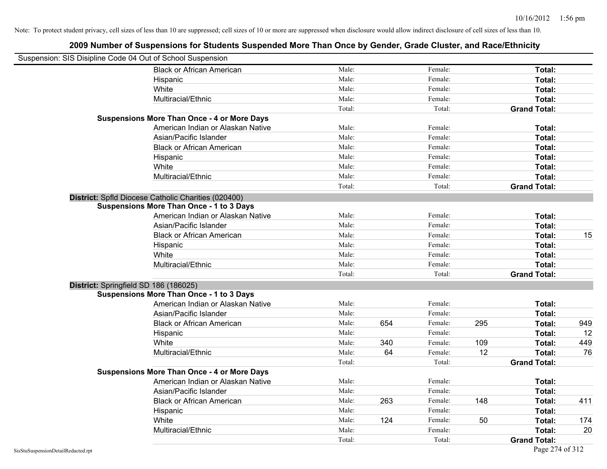| Suspension: SIS Disipline Code 04 Out of School Suspension |                                                     |        |     |         |     |                     |     |
|------------------------------------------------------------|-----------------------------------------------------|--------|-----|---------|-----|---------------------|-----|
|                                                            | <b>Black or African American</b>                    | Male:  |     | Female: |     | Total:              |     |
|                                                            | Hispanic                                            | Male:  |     | Female: |     | Total:              |     |
|                                                            | White                                               | Male:  |     | Female: |     | Total:              |     |
|                                                            | Multiracial/Ethnic                                  | Male:  |     | Female: |     | Total:              |     |
|                                                            |                                                     | Total: |     | Total:  |     | <b>Grand Total:</b> |     |
|                                                            | <b>Suspensions More Than Once - 4 or More Days</b>  |        |     |         |     |                     |     |
|                                                            | American Indian or Alaskan Native                   | Male:  |     | Female: |     | Total:              |     |
|                                                            | Asian/Pacific Islander                              | Male:  |     | Female: |     | Total:              |     |
|                                                            | <b>Black or African American</b>                    | Male:  |     | Female: |     | Total:              |     |
|                                                            | Hispanic                                            | Male:  |     | Female: |     | Total:              |     |
|                                                            | White                                               | Male:  |     | Female: |     | Total:              |     |
|                                                            | Multiracial/Ethnic                                  | Male:  |     | Female: |     | Total:              |     |
|                                                            |                                                     | Total: |     | Total:  |     | <b>Grand Total:</b> |     |
|                                                            | District: Spfld Diocese Catholic Charities (020400) |        |     |         |     |                     |     |
|                                                            | <b>Suspensions More Than Once - 1 to 3 Days</b>     |        |     |         |     |                     |     |
|                                                            | American Indian or Alaskan Native                   | Male:  |     | Female: |     | Total:              |     |
|                                                            | Asian/Pacific Islander                              | Male:  |     | Female: |     | Total:              |     |
|                                                            | <b>Black or African American</b>                    | Male:  |     | Female: |     | Total:              | 15  |
|                                                            | Hispanic                                            | Male:  |     | Female: |     | Total:              |     |
|                                                            | White                                               | Male:  |     | Female: |     | Total:              |     |
|                                                            | Multiracial/Ethnic                                  | Male:  |     | Female: |     | Total:              |     |
|                                                            |                                                     | Total: |     | Total:  |     | <b>Grand Total:</b> |     |
| District: Springfield SD 186 (186025)                      |                                                     |        |     |         |     |                     |     |
|                                                            | <b>Suspensions More Than Once - 1 to 3 Days</b>     |        |     |         |     |                     |     |
|                                                            | American Indian or Alaskan Native                   | Male:  |     | Female: |     | Total:              |     |
|                                                            | Asian/Pacific Islander                              | Male:  |     | Female: |     | Total:              |     |
|                                                            | <b>Black or African American</b>                    | Male:  | 654 | Female: | 295 | Total:              | 949 |
|                                                            | Hispanic                                            | Male:  |     | Female: |     | Total:              | 12  |
|                                                            | White                                               | Male:  | 340 | Female: | 109 | Total:              | 449 |
|                                                            | Multiracial/Ethnic                                  | Male:  | 64  | Female: | 12  | Total:              | 76  |
|                                                            |                                                     | Total: |     | Total:  |     | <b>Grand Total:</b> |     |
|                                                            | <b>Suspensions More Than Once - 4 or More Days</b>  |        |     |         |     |                     |     |
|                                                            | American Indian or Alaskan Native                   | Male:  |     | Female: |     | Total:              |     |
|                                                            | Asian/Pacific Islander                              | Male:  |     | Female: |     | Total:              |     |
|                                                            | <b>Black or African American</b>                    | Male:  | 263 | Female: | 148 | Total:              | 411 |
|                                                            | Hispanic                                            | Male:  |     | Female: |     | Total:              |     |
|                                                            | White                                               | Male:  | 124 | Female: | 50  | Total:              | 174 |
|                                                            | Multiracial/Ethnic                                  | Male:  |     | Female: |     | Total:              | 20  |
|                                                            |                                                     | Total: |     | Total:  |     | <b>Grand Total:</b> |     |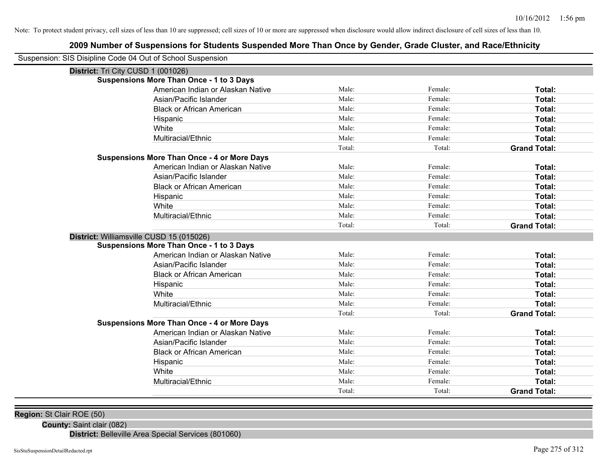## **2009 Number of Suspensions for Students Suspended More Than Once by Gender, Grade Cluster, and Race/Ethnicity**

| Suspension: SIS Disipline Code 04 Out of School Suspension |        |         |                     |
|------------------------------------------------------------|--------|---------|---------------------|
| District: Tri City CUSD 1 (001026)                         |        |         |                     |
| <b>Suspensions More Than Once - 1 to 3 Days</b>            |        |         |                     |
| American Indian or Alaskan Native                          | Male:  | Female: | Total:              |
| Asian/Pacific Islander                                     | Male:  | Female: | Total:              |
| <b>Black or African American</b>                           | Male:  | Female: | Total:              |
| Hispanic                                                   | Male:  | Female: | Total:              |
| White                                                      | Male:  | Female: | Total:              |
| Multiracial/Ethnic                                         | Male:  | Female: | Total:              |
|                                                            | Total: | Total:  | <b>Grand Total:</b> |
| <b>Suspensions More Than Once - 4 or More Days</b>         |        |         |                     |
| American Indian or Alaskan Native                          | Male:  | Female: | Total:              |
| Asian/Pacific Islander                                     | Male:  | Female: | Total:              |
| <b>Black or African American</b>                           | Male:  | Female: | Total:              |
| Hispanic                                                   | Male:  | Female: | Total:              |
| White                                                      | Male:  | Female: | Total:              |
| Multiracial/Ethnic                                         | Male:  | Female: | Total:              |
|                                                            | Total: | Total:  | <b>Grand Total:</b> |
| District: Williamsville CUSD 15 (015026)                   |        |         |                     |
| <b>Suspensions More Than Once - 1 to 3 Days</b>            |        |         |                     |
| American Indian or Alaskan Native                          | Male:  | Female: | Total:              |
| Asian/Pacific Islander                                     | Male:  | Female: | Total:              |
| <b>Black or African American</b>                           | Male:  | Female: | Total:              |
| Hispanic                                                   | Male:  | Female: | Total:              |
| White                                                      | Male:  | Female: | Total:              |
| Multiracial/Ethnic                                         | Male:  | Female: | Total:              |
|                                                            | Total: | Total:  | <b>Grand Total:</b> |
| <b>Suspensions More Than Once - 4 or More Days</b>         |        |         |                     |
| American Indian or Alaskan Native                          | Male:  | Female: | Total:              |
| Asian/Pacific Islander                                     | Male:  | Female: | <b>Total:</b>       |
| <b>Black or African American</b>                           | Male:  | Female: | Total:              |
| Hispanic                                                   | Male:  | Female: | Total:              |
| White                                                      | Male:  | Female: | Total:              |
| Multiracial/Ethnic                                         | Male:  | Female: | Total:              |
|                                                            | Total: | Total:  | <b>Grand Total:</b> |

**Region:** St Clair ROE (50)

**County:** Saint clair (082)

**District:** Belleville Area Special Services (801060)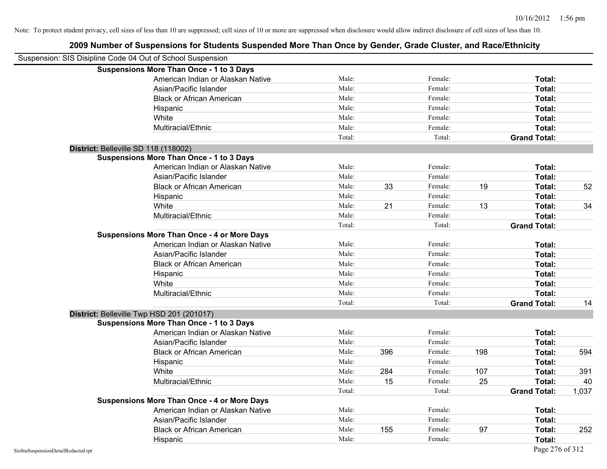|                                                            | 2009 Number of Suspensions for Students Suspended More Than Once by Gender, Grade Cluster, and Race/Ethnicity |        |     |         |     |                     |       |
|------------------------------------------------------------|---------------------------------------------------------------------------------------------------------------|--------|-----|---------|-----|---------------------|-------|
| Suspension: SIS Disipline Code 04 Out of School Suspension |                                                                                                               |        |     |         |     |                     |       |
|                                                            | <b>Suspensions More Than Once - 1 to 3 Days</b>                                                               |        |     |         |     |                     |       |
|                                                            | American Indian or Alaskan Native                                                                             | Male:  |     | Female: |     | Total:              |       |
|                                                            | Asian/Pacific Islander                                                                                        | Male:  |     | Female: |     | <b>Total:</b>       |       |
|                                                            | <b>Black or African American</b>                                                                              | Male:  |     | Female: |     | <b>Total:</b>       |       |
|                                                            | Hispanic                                                                                                      | Male:  |     | Female: |     | Total:              |       |
|                                                            | White                                                                                                         | Male:  |     | Female: |     | Total:              |       |
|                                                            | Multiracial/Ethnic                                                                                            | Male:  |     | Female: |     | Total:              |       |
|                                                            |                                                                                                               | Total: |     | Total:  |     | <b>Grand Total:</b> |       |
| District: Belleville SD 118 (118002)                       |                                                                                                               |        |     |         |     |                     |       |
|                                                            | <b>Suspensions More Than Once - 1 to 3 Days</b>                                                               |        |     |         |     |                     |       |
|                                                            | American Indian or Alaskan Native                                                                             | Male:  |     | Female: |     | Total:              |       |
|                                                            | Asian/Pacific Islander                                                                                        | Male:  |     | Female: |     | <b>Total:</b>       |       |
|                                                            | <b>Black or African American</b>                                                                              | Male:  | 33  | Female: | 19  | Total:              | 52    |
|                                                            | Hispanic                                                                                                      | Male:  |     | Female: |     | Total:              |       |
|                                                            | White                                                                                                         | Male:  | 21  | Female: | 13  | Total:              | 34    |
|                                                            | Multiracial/Ethnic                                                                                            | Male:  |     | Female: |     | Total:              |       |
|                                                            |                                                                                                               | Total: |     | Total:  |     | <b>Grand Total:</b> |       |
|                                                            | <b>Suspensions More Than Once - 4 or More Days</b>                                                            |        |     |         |     |                     |       |
|                                                            | American Indian or Alaskan Native                                                                             | Male:  |     | Female: |     | Total:              |       |
|                                                            | Asian/Pacific Islander                                                                                        | Male:  |     | Female: |     | Total:              |       |
|                                                            | <b>Black or African American</b>                                                                              | Male:  |     | Female: |     | Total:              |       |
|                                                            | Hispanic                                                                                                      | Male:  |     | Female: |     | Total:              |       |
|                                                            | White                                                                                                         | Male:  |     | Female: |     | Total:              |       |
|                                                            | Multiracial/Ethnic                                                                                            | Male:  |     | Female: |     | <b>Total:</b>       |       |
|                                                            |                                                                                                               | Total: |     | Total:  |     | <b>Grand Total:</b> | 14    |
|                                                            | District: Belleville Twp HSD 201 (201017)                                                                     |        |     |         |     |                     |       |
|                                                            | <b>Suspensions More Than Once - 1 to 3 Days</b>                                                               |        |     |         |     |                     |       |
|                                                            | American Indian or Alaskan Native                                                                             | Male:  |     | Female: |     | Total:              |       |
|                                                            | Asian/Pacific Islander                                                                                        | Male:  |     | Female: |     | Total:              |       |
|                                                            | <b>Black or African American</b>                                                                              | Male:  | 396 | Female: | 198 | <b>Total:</b>       | 594   |
|                                                            | Hispanic                                                                                                      | Male:  |     | Female: |     | <b>Total:</b>       |       |
|                                                            | White                                                                                                         | Male:  | 284 | Female: | 107 | Total:              | 391   |
|                                                            | Multiracial/Ethnic                                                                                            | Male:  | 15  | Female: | 25  | Total:              | 40    |
|                                                            |                                                                                                               | Total: |     | Total:  |     | <b>Grand Total:</b> | 1,037 |
|                                                            | <b>Suspensions More Than Once - 4 or More Days</b>                                                            |        |     |         |     |                     |       |
|                                                            | American Indian or Alaskan Native                                                                             | Male:  |     | Female: |     | <b>Total:</b>       |       |
|                                                            | Asian/Pacific Islander                                                                                        | Male:  |     | Female: |     | Total:              |       |

Black or African American **Male:** 155 Female: 97 Total: 252 Hispanic **Total:** 252

Hispanic **Total:** Male: Female: **Total:** Female: **Total:** Total: **Total:** Female: **Total:** Total: **Total:** Total: **Total:** Total: **Total:** Total: **Total:** Total: **Total:** Total: **Total:** Total: **Total:** Total: **Total:** Tot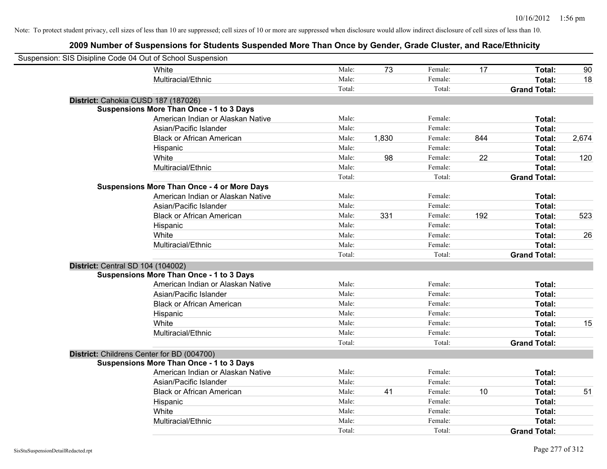| Suspension: SIS Disipline Code 04 Out of School Suspension |                                                    |        |       |         |     |                     |       |
|------------------------------------------------------------|----------------------------------------------------|--------|-------|---------|-----|---------------------|-------|
|                                                            | <b>White</b>                                       | Male:  | 73    | Female: | 17  | Total:              | 90    |
|                                                            | Multiracial/Ethnic                                 | Male:  |       | Female: |     | Total:              | 18    |
|                                                            |                                                    | Total: |       | Total:  |     | <b>Grand Total:</b> |       |
| District: Cahokia CUSD 187 (187026)                        |                                                    |        |       |         |     |                     |       |
|                                                            | <b>Suspensions More Than Once - 1 to 3 Days</b>    |        |       |         |     |                     |       |
|                                                            | American Indian or Alaskan Native                  | Male:  |       | Female: |     | Total:              |       |
|                                                            | Asian/Pacific Islander                             | Male:  |       | Female: |     | Total:              |       |
|                                                            | <b>Black or African American</b>                   | Male:  | 1,830 | Female: | 844 | Total:              | 2,674 |
|                                                            | Hispanic                                           | Male:  |       | Female: |     | Total:              |       |
|                                                            | White                                              | Male:  | 98    | Female: | 22  | Total:              | 120   |
|                                                            | Multiracial/Ethnic                                 | Male:  |       | Female: |     | Total:              |       |
|                                                            |                                                    | Total: |       | Total:  |     | <b>Grand Total:</b> |       |
|                                                            | <b>Suspensions More Than Once - 4 or More Days</b> |        |       |         |     |                     |       |
|                                                            | American Indian or Alaskan Native                  | Male:  |       | Female: |     | Total:              |       |
|                                                            | Asian/Pacific Islander                             | Male:  |       | Female: |     | Total:              |       |
|                                                            | <b>Black or African American</b>                   | Male:  | 331   | Female: | 192 | Total:              | 523   |
|                                                            | Hispanic                                           | Male:  |       | Female: |     | Total:              |       |
|                                                            | White                                              | Male:  |       | Female: |     | Total:              | 26    |
|                                                            | Multiracial/Ethnic                                 | Male:  |       | Female: |     | Total:              |       |
|                                                            |                                                    | Total: |       | Total:  |     | <b>Grand Total:</b> |       |
| District: Central SD 104 (104002)                          |                                                    |        |       |         |     |                     |       |
|                                                            | <b>Suspensions More Than Once - 1 to 3 Days</b>    |        |       |         |     |                     |       |
|                                                            | American Indian or Alaskan Native                  | Male:  |       | Female: |     | Total:              |       |
|                                                            | Asian/Pacific Islander                             | Male:  |       | Female: |     | Total:              |       |
|                                                            | <b>Black or African American</b>                   | Male:  |       | Female: |     | Total:              |       |
|                                                            | Hispanic                                           | Male:  |       | Female: |     | Total:              |       |
|                                                            | White                                              | Male:  |       | Female: |     | Total:              | 15    |
|                                                            | Multiracial/Ethnic                                 | Male:  |       | Female: |     | Total:              |       |
|                                                            |                                                    | Total: |       | Total:  |     | <b>Grand Total:</b> |       |
| District: Childrens Center for BD (004700)                 |                                                    |        |       |         |     |                     |       |
|                                                            | <b>Suspensions More Than Once - 1 to 3 Days</b>    |        |       |         |     |                     |       |
|                                                            | American Indian or Alaskan Native                  | Male:  |       | Female: |     | Total:              |       |
|                                                            | Asian/Pacific Islander                             | Male:  |       | Female: |     | Total:              |       |
|                                                            | <b>Black or African American</b>                   | Male:  | 41    | Female: | 10  | Total:              | 51    |
|                                                            | Hispanic                                           | Male:  |       | Female: |     | Total:              |       |
|                                                            | White                                              | Male:  |       | Female: |     | Total:              |       |
|                                                            | Multiracial/Ethnic                                 | Male:  |       | Female: |     | Total:              |       |
|                                                            |                                                    | Total: |       | Total:  |     | <b>Grand Total:</b> |       |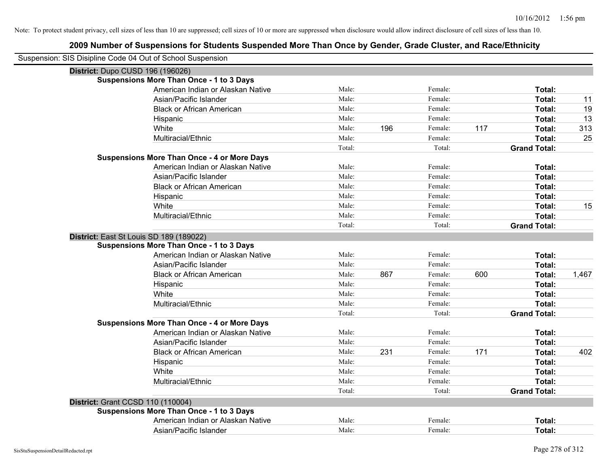| Suspension: SIS Disipline Code 04 Out of School Suspension |                                                    |        |     |         |     |                     |       |
|------------------------------------------------------------|----------------------------------------------------|--------|-----|---------|-----|---------------------|-------|
| <b>District: Dupo CUSD 196 (196026)</b>                    |                                                    |        |     |         |     |                     |       |
|                                                            | <b>Suspensions More Than Once - 1 to 3 Days</b>    |        |     |         |     |                     |       |
|                                                            | American Indian or Alaskan Native                  | Male:  |     | Female: |     | Total:              |       |
|                                                            | Asian/Pacific Islander                             | Male:  |     | Female: |     | Total:              | 11    |
|                                                            | <b>Black or African American</b>                   | Male:  |     | Female: |     | Total:              | 19    |
|                                                            | Hispanic                                           | Male:  |     | Female: |     | Total:              | 13    |
|                                                            | White                                              | Male:  | 196 | Female: | 117 | Total:              | 313   |
|                                                            | Multiracial/Ethnic                                 | Male:  |     | Female: |     | Total:              | 25    |
|                                                            |                                                    | Total: |     | Total:  |     | <b>Grand Total:</b> |       |
|                                                            | <b>Suspensions More Than Once - 4 or More Days</b> |        |     |         |     |                     |       |
|                                                            | American Indian or Alaskan Native                  | Male:  |     | Female: |     | Total:              |       |
|                                                            | Asian/Pacific Islander                             | Male:  |     | Female: |     | Total:              |       |
|                                                            | <b>Black or African American</b>                   | Male:  |     | Female: |     | Total:              |       |
|                                                            | Hispanic                                           | Male:  |     | Female: |     | Total:              |       |
|                                                            | White                                              | Male:  |     | Female: |     | Total:              | 15    |
|                                                            | Multiracial/Ethnic                                 | Male:  |     | Female: |     | Total:              |       |
|                                                            |                                                    | Total: |     | Total:  |     | <b>Grand Total:</b> |       |
| District: East St Louis SD 189 (189022)                    |                                                    |        |     |         |     |                     |       |
|                                                            | <b>Suspensions More Than Once - 1 to 3 Days</b>    |        |     |         |     |                     |       |
|                                                            | American Indian or Alaskan Native                  | Male:  |     | Female: |     | Total:              |       |
|                                                            | Asian/Pacific Islander                             | Male:  |     | Female: |     | Total:              |       |
|                                                            | <b>Black or African American</b>                   | Male:  | 867 | Female: | 600 | Total:              | 1,467 |
|                                                            | Hispanic                                           | Male:  |     | Female: |     | Total:              |       |
|                                                            | White                                              | Male:  |     | Female: |     | Total:              |       |
|                                                            | Multiracial/Ethnic                                 | Male:  |     | Female: |     | Total:              |       |
|                                                            |                                                    | Total: |     | Total:  |     | <b>Grand Total:</b> |       |
|                                                            | <b>Suspensions More Than Once - 4 or More Days</b> |        |     |         |     |                     |       |
|                                                            | American Indian or Alaskan Native                  | Male:  |     | Female: |     | Total:              |       |
|                                                            | Asian/Pacific Islander                             | Male:  |     | Female: |     | Total:              |       |
|                                                            | <b>Black or African American</b>                   | Male:  | 231 | Female: | 171 | Total:              | 402   |
|                                                            | Hispanic                                           | Male:  |     | Female: |     | Total:              |       |
|                                                            | White                                              | Male:  |     | Female: |     | Total:              |       |
|                                                            | Multiracial/Ethnic                                 | Male:  |     | Female: |     | Total:              |       |
|                                                            |                                                    | Total: |     | Total:  |     | <b>Grand Total:</b> |       |
| District: Grant CCSD 110 (110004)                          |                                                    |        |     |         |     |                     |       |
|                                                            | Suspensions More Than Once - 1 to 3 Days           |        |     |         |     |                     |       |
|                                                            | American Indian or Alaskan Native                  | Male:  |     | Female: |     | Total:              |       |
|                                                            | Asian/Pacific Islander                             | Male:  |     | Female: |     | Total:              |       |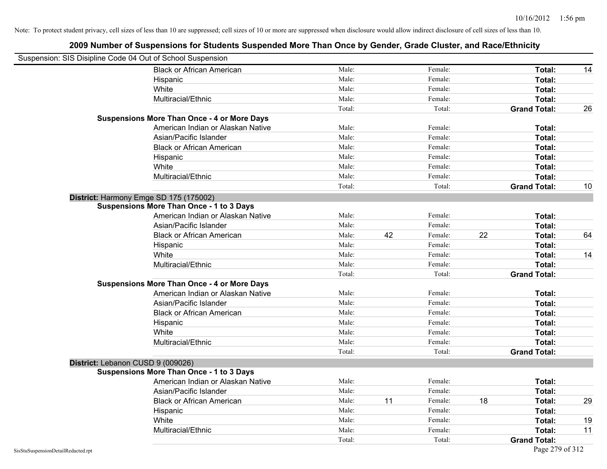| Suspension: SIS Disipline Code 04 Out of School Suspension |                                                    |        |    |         |    |                     |    |
|------------------------------------------------------------|----------------------------------------------------|--------|----|---------|----|---------------------|----|
|                                                            | <b>Black or African American</b>                   | Male:  |    | Female: |    | Total:              | 14 |
|                                                            | Hispanic                                           | Male:  |    | Female: |    | Total:              |    |
|                                                            | White                                              | Male:  |    | Female: |    | Total:              |    |
|                                                            | Multiracial/Ethnic                                 | Male:  |    | Female: |    | Total:              |    |
|                                                            |                                                    | Total: |    | Total:  |    | <b>Grand Total:</b> | 26 |
|                                                            | <b>Suspensions More Than Once - 4 or More Days</b> |        |    |         |    |                     |    |
|                                                            | American Indian or Alaskan Native                  | Male:  |    | Female: |    | Total:              |    |
|                                                            | Asian/Pacific Islander                             | Male:  |    | Female: |    | Total:              |    |
|                                                            | <b>Black or African American</b>                   | Male:  |    | Female: |    | Total:              |    |
|                                                            | Hispanic                                           | Male:  |    | Female: |    | Total:              |    |
|                                                            | White                                              | Male:  |    | Female: |    | Total:              |    |
|                                                            | Multiracial/Ethnic                                 | Male:  |    | Female: |    | Total:              |    |
|                                                            |                                                    | Total: |    | Total:  |    | <b>Grand Total:</b> | 10 |
|                                                            | District: Harmony Emge SD 175 (175002)             |        |    |         |    |                     |    |
|                                                            | <b>Suspensions More Than Once - 1 to 3 Days</b>    |        |    |         |    |                     |    |
|                                                            | American Indian or Alaskan Native                  | Male:  |    | Female: |    | Total:              |    |
|                                                            | Asian/Pacific Islander                             | Male:  |    | Female: |    | Total:              |    |
|                                                            | <b>Black or African American</b>                   | Male:  | 42 | Female: | 22 | Total:              | 64 |
|                                                            | Hispanic                                           | Male:  |    | Female: |    | Total:              |    |
|                                                            | White                                              | Male:  |    | Female: |    | Total:              | 14 |
|                                                            | Multiracial/Ethnic                                 | Male:  |    | Female: |    | Total:              |    |
|                                                            |                                                    | Total: |    | Total:  |    | <b>Grand Total:</b> |    |
|                                                            | <b>Suspensions More Than Once - 4 or More Days</b> |        |    |         |    |                     |    |
|                                                            | American Indian or Alaskan Native                  | Male:  |    | Female: |    | Total:              |    |
|                                                            | Asian/Pacific Islander                             | Male:  |    | Female: |    | Total:              |    |
|                                                            | <b>Black or African American</b>                   | Male:  |    | Female: |    | Total:              |    |
|                                                            | Hispanic                                           | Male:  |    | Female: |    | Total:              |    |
|                                                            | White                                              | Male:  |    | Female: |    | Total:              |    |
|                                                            | Multiracial/Ethnic                                 | Male:  |    | Female: |    | Total:              |    |
|                                                            |                                                    | Total: |    | Total:  |    | <b>Grand Total:</b> |    |
| District: Lebanon CUSD 9 (009026)                          |                                                    |        |    |         |    |                     |    |
|                                                            | <b>Suspensions More Than Once - 1 to 3 Days</b>    |        |    |         |    |                     |    |
|                                                            | American Indian or Alaskan Native                  | Male:  |    | Female: |    | Total:              |    |
|                                                            | Asian/Pacific Islander                             | Male:  |    | Female: |    | Total:              |    |
|                                                            | <b>Black or African American</b>                   | Male:  | 11 | Female: | 18 | Total:              | 29 |
|                                                            | Hispanic                                           | Male:  |    | Female: |    | Total:              |    |
|                                                            | White                                              | Male:  |    | Female: |    | Total:              | 19 |
|                                                            | Multiracial/Ethnic                                 | Male:  |    | Female: |    | Total:              | 11 |
|                                                            |                                                    | Total: |    | Total:  |    | <b>Grand Total:</b> |    |
| SisStuSuspensionDetailRedacted.rpt                         |                                                    |        |    |         |    | Page 279 of 312     |    |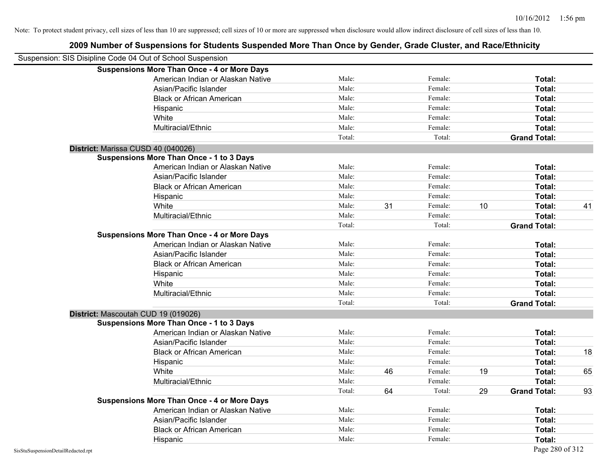# **2009 Number of Suspensions for Students Suspended More Than Once by Gender, Grade Cluster, and Race/Ethnicity** Note: To protect student privacy, cell sizes of less than 10 are suppressed; cell sizes of 10 or more are suppressed when disclosure would allow indirect disclosure of cell sizes of less than 10. Suspension: SIS Disipline Code 04 Out of School Suspension **Suspensions More Than Once - 4 or More Days** American Indian or Alaskan Native **Male:** Male: Female: Female: **Total:** Total: Asian/Pacific Islander **Figure 1.1 Contained Asian/Pacific Islander Female:** Female: **Total:** Total: Black or African American **Figure 1.1 and Total:** Male: Female: Female: **Total:** Total: Hispanic **Total:** Male: Female: **Total:** Female: **Total:** Total: **Total:** Female: **Total:** Total: **Total:** Total: **Total:** Total: **Total:** Total: **Total:** Total: **Total:** Total: **Total:** Total: **Total:** Total: **Total:** Tot White **Total:** Male: Female: **Total:** Female: **Total:** Total: Multiracial/Ethnic **Total:** Male: Female: **Total:** Female: **Total:** Female: **Total:** Female: **Total:** Female: **Total:** Female: **Total:** Female: **Total:** Female: **Total:** Female: **Total:** Female: **Total:** Female: **Total:** F Total: Total: **Grand Total: District:** Marissa CUSD 40 (040026) **Suspensions More Than Once - 1 to 3 Days** American Indian or Alaskan Native **Male:** Male: Female: Female: **Total:** Total: Asian/Pacific Islander **Figure 1.1 Contained Asian** Male: Female: **Female: Total: Total: Total: Total: Total: Total: Total: Total: Total: Total: Total: Total: Total: Total: Total: Total: T** Black or African American **Figure 1.1 and Total:** Male: Female: Female: **Total: Total:** Total: Hispanic **Total:** Male: Female: **Total:** Female: **Total:** Total: White **Male:** 21 Female: 10 Total: 41 Female: 41 Multiracial/Ethnic **Total:** Male: Female: **Total:** Female: **Total:** Female: **Total:** Female: **Total:** Female: **Total:** Female: **Total:** Female: **Total:** Female: **Total:** Female: **Total:** Female: **Total:** Female: **Total:** F Total: Total: **Grand Total: Suspensions More Than Once - 4 or More Days** American Indian or Alaskan Native **Male:** Male: Female: Female: **Total:** Total: Asian/Pacific Islander **Figure 1.1 Contained Asian/Pacific Islander Female:** Female: **Total: Total:** Total: Black or African American **American** Male: Male: Female: **Female: Total: Total: Total: Female: Total: Total: Female: Total: Total: Female: Total: Total: Total: Total: Total: Total: Total:** Hispanic **Total:** Male: Female: **Total:** Female: **Total:** Total: White **Total:** Male: Female: **Total:** Total: **Total:** Female: **Total:** Total: Multiracial/Ethnic **Total:** Male: Female: **Total:** Female: **Total:** Female: **Total:** Female: **Total:** Female: **Total:** Female: **Total:** Female: **Total:** Female: **Total:** Female: **Total:** Female: **Total:** Female: **Total:** F Total: Total: **Grand Total: District:** Mascoutah CUD 19 (019026) **Suspensions More Than Once - 1 to 3 Days**

| American Indian or Alaskan Native                  | Male:  |    | Female: |    | Total:              |    |
|----------------------------------------------------|--------|----|---------|----|---------------------|----|
| Asian/Pacific Islander                             | Male:  |    | Female: |    | Total:              |    |
| <b>Black or African American</b>                   | Male:  |    | Female: |    | Total:              | 18 |
| Hispanic                                           | Male:  |    | Female: |    | Total:              |    |
| White                                              | Male:  | 46 | Female: | 19 | Total:              | 65 |
| Multiracial/Ethnic                                 | Male:  |    | Female: |    | Total:              |    |
|                                                    | Total: | 64 | Total:  | 29 | <b>Grand Total:</b> | 93 |
| <b>Suspensions More Than Once - 4 or More Days</b> |        |    |         |    |                     |    |
| American Indian or Alaskan Native                  | Male:  |    | Female: |    | Total:              |    |
| Asian/Pacific Islander                             | Male:  |    | Female: |    | Total:              |    |
| <b>Black or African American</b>                   | Male:  |    | Female: |    | Total:              |    |
| Hispanic                                           | Male:  |    | Female: |    | Total:              |    |
|                                                    |        |    |         |    |                     |    |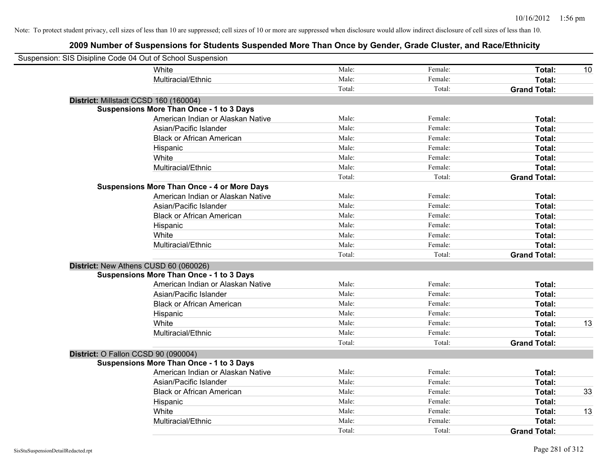| Suspension: SIS Disipline Code 04 Out of School Suspension |                                                    |        |         |                     |    |
|------------------------------------------------------------|----------------------------------------------------|--------|---------|---------------------|----|
|                                                            | <b>White</b>                                       | Male:  | Female: | Total:              | 10 |
|                                                            | Multiracial/Ethnic                                 | Male:  | Female: | Total:              |    |
|                                                            |                                                    | Total: | Total:  | <b>Grand Total:</b> |    |
| District: Millstadt CCSD 160 (160004)                      |                                                    |        |         |                     |    |
|                                                            | <b>Suspensions More Than Once - 1 to 3 Days</b>    |        |         |                     |    |
|                                                            | American Indian or Alaskan Native                  | Male:  | Female: | Total:              |    |
|                                                            | Asian/Pacific Islander                             | Male:  | Female: | Total:              |    |
|                                                            | <b>Black or African American</b>                   | Male:  | Female: | Total:              |    |
|                                                            | Hispanic                                           | Male:  | Female: | Total:              |    |
|                                                            | White                                              | Male:  | Female: | Total:              |    |
|                                                            | Multiracial/Ethnic                                 | Male:  | Female: | Total:              |    |
|                                                            |                                                    | Total: | Total:  | <b>Grand Total:</b> |    |
|                                                            | <b>Suspensions More Than Once - 4 or More Days</b> |        |         |                     |    |
|                                                            | American Indian or Alaskan Native                  | Male:  | Female: | Total:              |    |
|                                                            | Asian/Pacific Islander                             | Male:  | Female: | Total:              |    |
|                                                            | <b>Black or African American</b>                   | Male:  | Female: | Total:              |    |
|                                                            | Hispanic                                           | Male:  | Female: | Total:              |    |
|                                                            | White                                              | Male:  | Female: | Total:              |    |
|                                                            | Multiracial/Ethnic                                 | Male:  | Female: | Total:              |    |
|                                                            |                                                    | Total: | Total:  | <b>Grand Total:</b> |    |
| District: New Athens CUSD 60 (060026)                      |                                                    |        |         |                     |    |
|                                                            | <b>Suspensions More Than Once - 1 to 3 Days</b>    |        |         |                     |    |
|                                                            | American Indian or Alaskan Native                  | Male:  | Female: | Total:              |    |
|                                                            | Asian/Pacific Islander                             | Male:  | Female: | Total:              |    |
|                                                            | <b>Black or African American</b>                   | Male:  | Female: | Total:              |    |
|                                                            | Hispanic                                           | Male:  | Female: | Total:              |    |
|                                                            | White                                              | Male:  | Female: | Total:              | 13 |
|                                                            | Multiracial/Ethnic                                 | Male:  | Female: | Total:              |    |
|                                                            |                                                    | Total: | Total:  | <b>Grand Total:</b> |    |
| District: O Fallon CCSD 90 (090004)                        |                                                    |        |         |                     |    |
|                                                            | <b>Suspensions More Than Once - 1 to 3 Days</b>    |        |         |                     |    |
|                                                            | American Indian or Alaskan Native                  | Male:  | Female: | Total:              |    |
|                                                            | Asian/Pacific Islander                             | Male:  | Female: | Total:              |    |
|                                                            | <b>Black or African American</b>                   | Male:  | Female: | Total:              | 33 |
|                                                            | Hispanic                                           | Male:  | Female: | Total:              |    |
|                                                            | White                                              | Male:  | Female: | Total:              | 13 |
|                                                            | Multiracial/Ethnic                                 | Male:  | Female: | Total:              |    |
|                                                            |                                                    | Total: | Total:  | <b>Grand Total:</b> |    |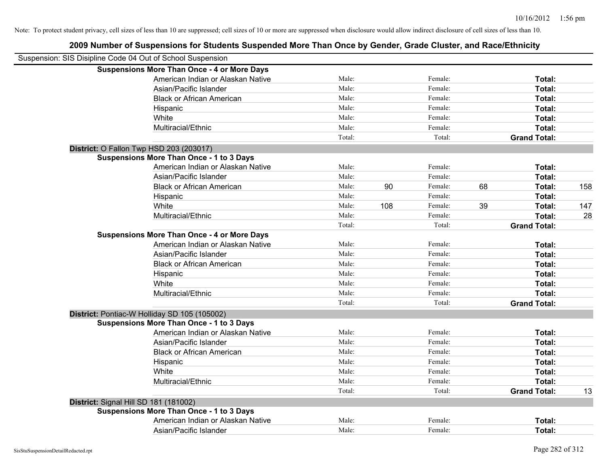# **2009 Number of Suspensions for Students Suspended More Than Once by Gender, Grade Cluster, and Race/Ethnicity** Suspension: SIS Disipline Code 04 Out of School Suspension **Suspensions More Than Once - 4 or More Days** American Indian or Alaskan Native **Male:** Male: Female: Female: **Total:** Total: Asian/Pacific Islander **Total:** Male: Female: Female: **Total:** Total:

|                                       | Asian/Pacific Islander                             | Male:  |     | Female: |    | Total:              |     |
|---------------------------------------|----------------------------------------------------|--------|-----|---------|----|---------------------|-----|
|                                       | <b>Black or African American</b>                   | Male:  |     | Female: |    | Total:              |     |
|                                       | Hispanic                                           | Male:  |     | Female: |    | <b>Total:</b>       |     |
|                                       | White                                              | Male:  |     | Female: |    | <b>Total:</b>       |     |
|                                       | Multiracial/Ethnic                                 | Male:  |     | Female: |    | <b>Total:</b>       |     |
|                                       |                                                    | Total: |     | Total:  |    | <b>Grand Total:</b> |     |
|                                       | District: O Fallon Twp HSD 203 (203017)            |        |     |         |    |                     |     |
|                                       | <b>Suspensions More Than Once - 1 to 3 Days</b>    |        |     |         |    |                     |     |
|                                       | American Indian or Alaskan Native                  | Male:  |     | Female: |    | Total:              |     |
|                                       | Asian/Pacific Islander                             | Male:  |     | Female: |    | Total:              |     |
|                                       | <b>Black or African American</b>                   | Male:  | 90  | Female: | 68 | Total:              | 158 |
|                                       | Hispanic                                           | Male:  |     | Female: |    | Total:              |     |
|                                       | White                                              | Male:  | 108 | Female: | 39 | Total:              | 147 |
|                                       | Multiracial/Ethnic                                 | Male:  |     | Female: |    | <b>Total:</b>       | 28  |
|                                       |                                                    | Total: |     | Total:  |    | <b>Grand Total:</b> |     |
|                                       | <b>Suspensions More Than Once - 4 or More Days</b> |        |     |         |    |                     |     |
|                                       | American Indian or Alaskan Native                  | Male:  |     | Female: |    | <b>Total:</b>       |     |
|                                       | Asian/Pacific Islander                             | Male:  |     | Female: |    | <b>Total:</b>       |     |
|                                       | <b>Black or African American</b>                   | Male:  |     | Female: |    | <b>Total:</b>       |     |
|                                       | Hispanic                                           | Male:  |     | Female: |    | <b>Total:</b>       |     |
|                                       | White                                              | Male:  |     | Female: |    | <b>Total:</b>       |     |
|                                       | Multiracial/Ethnic                                 | Male:  |     | Female: |    | <b>Total:</b>       |     |
|                                       |                                                    | Total: |     | Total:  |    | <b>Grand Total:</b> |     |
|                                       | District: Pontiac-W Holliday SD 105 (105002)       |        |     |         |    |                     |     |
|                                       | <b>Suspensions More Than Once - 1 to 3 Days</b>    |        |     |         |    |                     |     |
|                                       | American Indian or Alaskan Native                  | Male:  |     | Female: |    | Total:              |     |
|                                       | Asian/Pacific Islander                             | Male:  |     | Female: |    | Total:              |     |
|                                       | <b>Black or African American</b>                   | Male:  |     | Female: |    | Total:              |     |
|                                       | Hispanic                                           | Male:  |     | Female: |    | <b>Total:</b>       |     |
|                                       | White                                              | Male:  |     | Female: |    | <b>Total:</b>       |     |
|                                       | Multiracial/Ethnic                                 | Male:  |     | Female: |    | <b>Total:</b>       |     |
|                                       |                                                    | Total: |     | Total:  |    | <b>Grand Total:</b> | 13  |
| District: Signal Hill SD 181 (181002) |                                                    |        |     |         |    |                     |     |
|                                       | <b>Suspensions More Than Once - 1 to 3 Days</b>    |        |     |         |    |                     |     |
|                                       | American Indian or Alaskan Native                  | Male:  |     | Female: |    | <b>Total:</b>       |     |
|                                       | Asian/Pacific Islander                             | Male:  |     | Female: |    | Total:              |     |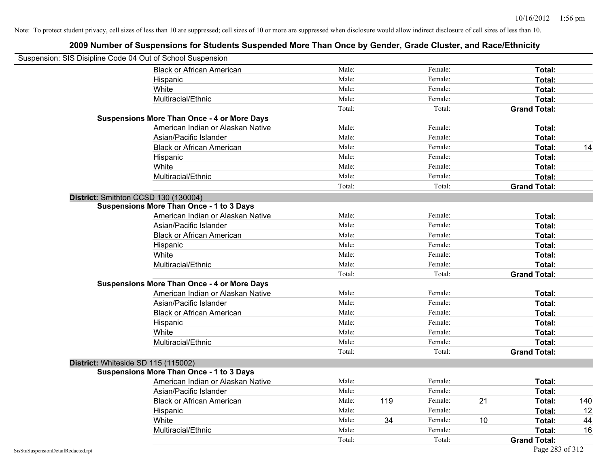| Suspension: SIS Disipline Code 04 Out of School Suspension |                                                    |        |     |         |    |                     |     |
|------------------------------------------------------------|----------------------------------------------------|--------|-----|---------|----|---------------------|-----|
|                                                            | <b>Black or African American</b>                   | Male:  |     | Female: |    | Total:              |     |
|                                                            | Hispanic                                           | Male:  |     | Female: |    | Total:              |     |
|                                                            | White                                              | Male:  |     | Female: |    | Total:              |     |
|                                                            | Multiracial/Ethnic                                 | Male:  |     | Female: |    | Total:              |     |
|                                                            |                                                    | Total: |     | Total:  |    | <b>Grand Total:</b> |     |
|                                                            | <b>Suspensions More Than Once - 4 or More Days</b> |        |     |         |    |                     |     |
|                                                            | American Indian or Alaskan Native                  | Male:  |     | Female: |    | Total:              |     |
|                                                            | Asian/Pacific Islander                             | Male:  |     | Female: |    | Total:              |     |
|                                                            | <b>Black or African American</b>                   | Male:  |     | Female: |    | Total:              | 14  |
|                                                            | Hispanic                                           | Male:  |     | Female: |    | Total:              |     |
|                                                            | White                                              | Male:  |     | Female: |    | Total:              |     |
|                                                            | Multiracial/Ethnic                                 | Male:  |     | Female: |    | Total:              |     |
|                                                            |                                                    | Total: |     | Total:  |    | <b>Grand Total:</b> |     |
|                                                            | District: Smithton CCSD 130 (130004)               |        |     |         |    |                     |     |
|                                                            | <b>Suspensions More Than Once - 1 to 3 Days</b>    |        |     |         |    |                     |     |
|                                                            | American Indian or Alaskan Native                  | Male:  |     | Female: |    | Total:              |     |
|                                                            | Asian/Pacific Islander                             | Male:  |     | Female: |    | Total:              |     |
|                                                            | <b>Black or African American</b>                   | Male:  |     | Female: |    | Total:              |     |
|                                                            | Hispanic                                           | Male:  |     | Female: |    | Total:              |     |
|                                                            | White                                              | Male:  |     | Female: |    | Total:              |     |
|                                                            | Multiracial/Ethnic                                 | Male:  |     | Female: |    | Total:              |     |
|                                                            |                                                    | Total: |     | Total:  |    | <b>Grand Total:</b> |     |
|                                                            | <b>Suspensions More Than Once - 4 or More Days</b> |        |     |         |    |                     |     |
|                                                            | American Indian or Alaskan Native                  | Male:  |     | Female: |    | Total:              |     |
|                                                            | Asian/Pacific Islander                             | Male:  |     | Female: |    | Total:              |     |
|                                                            | <b>Black or African American</b>                   | Male:  |     | Female: |    | Total:              |     |
|                                                            | Hispanic                                           | Male:  |     | Female: |    | Total:              |     |
|                                                            | White                                              | Male:  |     | Female: |    | Total:              |     |
|                                                            | Multiracial/Ethnic                                 | Male:  |     | Female: |    | Total:              |     |
|                                                            |                                                    | Total: |     | Total:  |    | <b>Grand Total:</b> |     |
|                                                            | District: Whiteside SD 115 (115002)                |        |     |         |    |                     |     |
|                                                            | <b>Suspensions More Than Once - 1 to 3 Days</b>    |        |     |         |    |                     |     |
|                                                            | American Indian or Alaskan Native                  | Male:  |     | Female: |    | Total:              |     |
|                                                            | Asian/Pacific Islander                             | Male:  |     | Female: |    | Total:              |     |
|                                                            | <b>Black or African American</b>                   | Male:  | 119 | Female: | 21 | Total:              | 140 |
|                                                            | Hispanic                                           | Male:  |     | Female: |    | Total:              | 12  |
|                                                            | White                                              | Male:  | 34  | Female: | 10 | Total:              | 44  |
|                                                            | Multiracial/Ethnic                                 | Male:  |     | Female: |    | Total:              | 16  |
|                                                            |                                                    | Total: |     | Total:  |    | <b>Grand Total:</b> |     |
| SisStuSuspensionDetailRedacted.rpt                         |                                                    |        |     |         |    | Page 283 of 312     |     |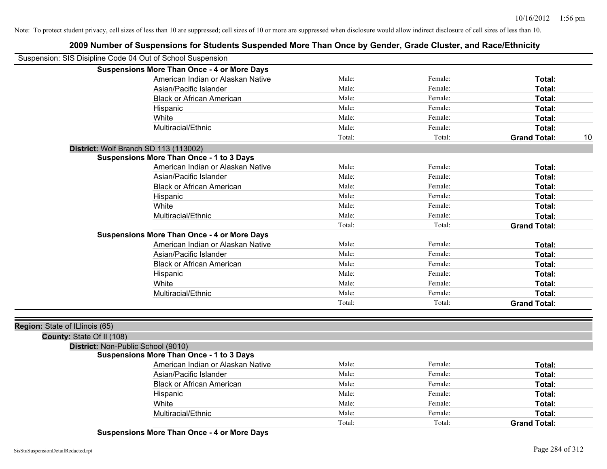|                                | 2009 Number of Suspensions for Students Suspended More Than Once by Gender, Grade Cluster, and Nace/Ethnicity |        |         |                           |
|--------------------------------|---------------------------------------------------------------------------------------------------------------|--------|---------|---------------------------|
|                                | Suspension: SIS Disipline Code 04 Out of School Suspension                                                    |        |         |                           |
|                                | <b>Suspensions More Than Once - 4 or More Days</b>                                                            |        |         |                           |
|                                | American Indian or Alaskan Native                                                                             | Male:  | Female: | Total:                    |
|                                | Asian/Pacific Islander                                                                                        | Male:  | Female: | Total:                    |
|                                | <b>Black or African American</b>                                                                              | Male:  | Female: | Total:                    |
|                                | Hispanic                                                                                                      | Male:  | Female: | Total:                    |
|                                | White                                                                                                         | Male:  | Female: | Total:                    |
|                                | Multiracial/Ethnic                                                                                            | Male:  | Female: | Total:                    |
|                                |                                                                                                               | Total: | Total:  | <b>Grand Total:</b><br>10 |
|                                | District: Wolf Branch SD 113 (113002)                                                                         |        |         |                           |
|                                | <b>Suspensions More Than Once - 1 to 3 Days</b>                                                               |        |         |                           |
|                                | American Indian or Alaskan Native                                                                             | Male:  | Female: | Total:                    |
|                                | Asian/Pacific Islander                                                                                        | Male:  | Female: | Total:                    |
|                                | <b>Black or African American</b>                                                                              | Male:  | Female: | Total:                    |
|                                | Hispanic                                                                                                      | Male:  | Female: | Total:                    |
|                                | White                                                                                                         | Male:  | Female: | Total:                    |
|                                | Multiracial/Ethnic                                                                                            | Male:  | Female: | Total:                    |
|                                |                                                                                                               | Total: | Total:  | <b>Grand Total:</b>       |
|                                | <b>Suspensions More Than Once - 4 or More Days</b>                                                            |        |         |                           |
|                                | American Indian or Alaskan Native                                                                             | Male:  | Female: | Total:                    |
|                                | Asian/Pacific Islander                                                                                        | Male:  | Female: | Total:                    |
|                                | <b>Black or African American</b>                                                                              | Male:  | Female: | Total:                    |
|                                | Hispanic                                                                                                      | Male:  | Female: | Total:                    |
|                                | White                                                                                                         | Male:  | Female: | Total:                    |
|                                | Multiracial/Ethnic                                                                                            | Male:  | Female: | Total:                    |
|                                |                                                                                                               | Total: | Total:  | <b>Grand Total:</b>       |
|                                |                                                                                                               |        |         |                           |
| Region: State of ILlinois (65) |                                                                                                               |        |         |                           |
| County: State Of II (108)      |                                                                                                               |        |         |                           |
|                                | District: Non-Public School (9010)                                                                            |        |         |                           |
|                                | <b>Suspensions More Than Once - 1 to 3 Days</b>                                                               |        |         |                           |
|                                | American Indian or Alaskan Native                                                                             | Male:  | Female: | Total:                    |
|                                | Asian/Pacific Islander                                                                                        | Male:  | Female: | Total:                    |
|                                | <b>Black or African American</b>                                                                              | Male:  | Female: | Total:                    |
|                                | Hispanic                                                                                                      | Male:  | Female: | Total:                    |
|                                | White                                                                                                         | Male:  | Female: | Total:                    |
|                                | Multiracial/Ethnic                                                                                            | Male:  | Female: | Total:                    |
|                                |                                                                                                               | Total: | Total:  | <b>Grand Total:</b>       |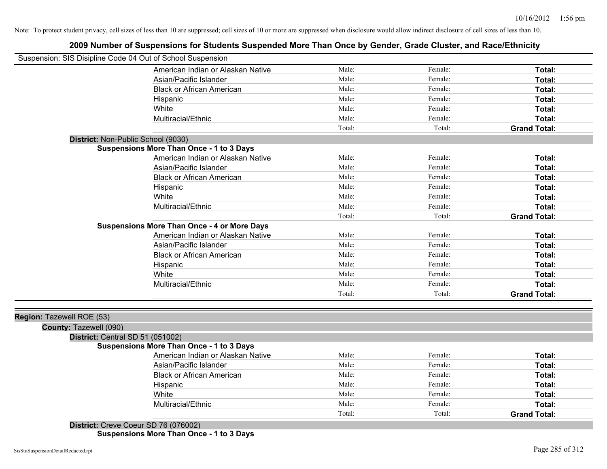|                                                            | 2009 Number of Juspensions for Judgens Juspended More Than Once by Oender, Orade Oldster, and Nace/Lumicity |        |         |                     |
|------------------------------------------------------------|-------------------------------------------------------------------------------------------------------------|--------|---------|---------------------|
| Suspension: SIS Disipline Code 04 Out of School Suspension |                                                                                                             |        |         |                     |
|                                                            | American Indian or Alaskan Native                                                                           | Male:  | Female: | Total:              |
|                                                            | Asian/Pacific Islander                                                                                      | Male:  | Female: | Total:              |
|                                                            | <b>Black or African American</b>                                                                            | Male:  | Female: | Total:              |
|                                                            | Hispanic                                                                                                    | Male:  | Female: | Total:              |
|                                                            | White                                                                                                       | Male:  | Female: | Total:              |
|                                                            | Multiracial/Ethnic                                                                                          | Male:  | Female: | Total:              |
|                                                            |                                                                                                             | Total: | Total:  | <b>Grand Total:</b> |
| District: Non-Public School (9030)                         |                                                                                                             |        |         |                     |
|                                                            | <b>Suspensions More Than Once - 1 to 3 Days</b>                                                             |        |         |                     |
|                                                            | American Indian or Alaskan Native                                                                           | Male:  | Female: | Total:              |
|                                                            | Asian/Pacific Islander                                                                                      | Male:  | Female: | Total:              |
|                                                            | <b>Black or African American</b>                                                                            | Male:  | Female: | Total:              |
|                                                            | Hispanic                                                                                                    | Male:  | Female: | Total:              |
|                                                            | White                                                                                                       | Male:  | Female: | Total:              |
|                                                            | Multiracial/Ethnic                                                                                          | Male:  | Female: | Total:              |
|                                                            |                                                                                                             | Total: | Total:  | <b>Grand Total:</b> |
|                                                            | <b>Suspensions More Than Once - 4 or More Days</b>                                                          |        |         |                     |
|                                                            | American Indian or Alaskan Native                                                                           | Male:  | Female: | Total:              |
|                                                            | Asian/Pacific Islander                                                                                      | Male:  | Female: | Total:              |
|                                                            | <b>Black or African American</b>                                                                            | Male:  | Female: | Total:              |
|                                                            | Hispanic                                                                                                    | Male:  | Female: | Total:              |
|                                                            | White                                                                                                       | Male:  | Female: | Total:              |
|                                                            | Multiracial/Ethnic                                                                                          | Male:  | Female: | Total:              |
|                                                            |                                                                                                             | Total: | Total:  | <b>Grand Total:</b> |
|                                                            |                                                                                                             |        |         |                     |
|                                                            |                                                                                                             |        |         |                     |
| Region: Tazewell ROE (53)                                  |                                                                                                             |        |         |                     |
| County: Tazewell (090)                                     |                                                                                                             |        |         |                     |
| District: Central SD 51 (051002)                           |                                                                                                             |        |         |                     |
|                                                            | <b>Suspensions More Than Once - 1 to 3 Days</b>                                                             |        |         |                     |
|                                                            | American Indian or Alaskan Native                                                                           | Male:  | Female: | Total:              |
|                                                            | Asian/Pacific Islander                                                                                      | Male:  | Female: | Total:              |
|                                                            | <b>Black or African American</b>                                                                            | Male:  | Female: | Total:              |
|                                                            | Hispanic                                                                                                    | Male:  | Female: | Total:              |
|                                                            | White                                                                                                       | Male:  | Female: | Total:              |
|                                                            | Multiracial/Ethnic                                                                                          | Male:  | Female: | Total:              |
|                                                            |                                                                                                             | Total: | Total:  | <b>Grand Total:</b> |

**2009 Number of Suspensions for Students Suspended More Than Once by Gender, Grade Cluster, and Race/Ethnicity**

**District:** Creve Coeur SD 76 (076002) **Suspensions More Than Once - 1 to 3 Days**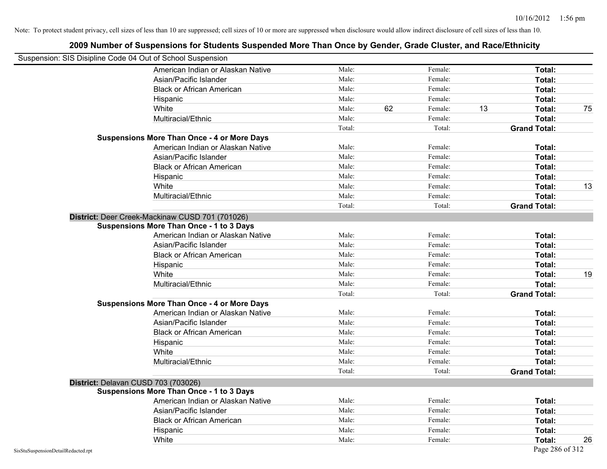|                                                            | 2009 Number of Suspensions for Students Suspended More Than Once by Gender, Grade Cluster, and Race/Ethnicity |        |    |         |                     |    |
|------------------------------------------------------------|---------------------------------------------------------------------------------------------------------------|--------|----|---------|---------------------|----|
| Suspension: SIS Disipline Code 04 Out of School Suspension |                                                                                                               |        |    |         |                     |    |
|                                                            | American Indian or Alaskan Native                                                                             | Male:  |    | Female: | Total:              |    |
|                                                            | Asian/Pacific Islander                                                                                        | Male:  |    | Female: | Total:              |    |
|                                                            | <b>Black or African American</b>                                                                              | Male:  |    | Female: | Total:              |    |
|                                                            | Hispanic                                                                                                      | Male:  |    | Female: | Total:              |    |
|                                                            | White                                                                                                         | Male:  | 62 | Female: | 13<br>Total:        | 75 |
|                                                            | Multiracial/Ethnic                                                                                            | Male:  |    | Female: | Total:              |    |
|                                                            |                                                                                                               | Total: |    | Total:  | <b>Grand Total:</b> |    |
|                                                            | <b>Suspensions More Than Once - 4 or More Days</b>                                                            |        |    |         |                     |    |
|                                                            | American Indian or Alaskan Native                                                                             | Male:  |    | Female: | Total:              |    |
|                                                            | Asian/Pacific Islander                                                                                        | Male:  |    | Female: | Total:              |    |
|                                                            | <b>Black or African American</b>                                                                              | Male:  |    | Female: | Total:              |    |
|                                                            | Hispanic                                                                                                      | Male:  |    | Female: | Total:              |    |
|                                                            | White                                                                                                         | Male:  |    | Female: | Total:              | 13 |
|                                                            | Multiracial/Ethnic                                                                                            | Male:  |    | Female: | Total:              |    |
|                                                            |                                                                                                               | Total: |    | Total:  | <b>Grand Total:</b> |    |
|                                                            | District: Deer Creek-Mackinaw CUSD 701 (701026)                                                               |        |    |         |                     |    |
|                                                            | <b>Suspensions More Than Once - 1 to 3 Days</b>                                                               |        |    |         |                     |    |
|                                                            | American Indian or Alaskan Native                                                                             | Male:  |    | Female: | Total:              |    |
|                                                            | Asian/Pacific Islander                                                                                        | Male:  |    | Female: | Total:              |    |
|                                                            | <b>Black or African American</b>                                                                              | Male:  |    | Female: | Total:              |    |
|                                                            | Hispanic                                                                                                      | Male:  |    | Female: | Total:              |    |
|                                                            | White                                                                                                         | Male:  |    | Female: | Total:              | 19 |
|                                                            | Multiracial/Ethnic                                                                                            | Male:  |    | Female: | Total:              |    |
|                                                            |                                                                                                               | Total: |    | Total:  | <b>Grand Total:</b> |    |
|                                                            | <b>Suspensions More Than Once - 4 or More Days</b>                                                            |        |    |         |                     |    |
|                                                            | American Indian or Alaskan Native                                                                             | Male:  |    | Female: | Total:              |    |
|                                                            | Asian/Pacific Islander                                                                                        | Male:  |    | Female: | Total:              |    |
|                                                            | <b>Black or African American</b>                                                                              | Male:  |    | Female: | Total:              |    |
|                                                            | Hispanic                                                                                                      | Male:  |    | Female: | Total:              |    |
|                                                            | White                                                                                                         | Male:  |    | Female: | Total:              |    |
|                                                            | Multiracial/Ethnic                                                                                            | Male:  |    | Female: | Total:              |    |
|                                                            |                                                                                                               | Total: |    | Total:  | <b>Grand Total:</b> |    |
|                                                            | District: Delavan CUSD 703 (703026)                                                                           |        |    |         |                     |    |
|                                                            | <b>Suspensions More Than Once - 1 to 3 Days</b>                                                               |        |    |         |                     |    |
|                                                            | American Indian or Alaskan Native                                                                             | Male:  |    | Female: | Total:              |    |
|                                                            | Asian/Pacific Islander                                                                                        | Male:  |    | Female: | Total:              |    |
|                                                            | <b>Black or African American</b>                                                                              | Male:  |    | Female: | Total:              |    |
|                                                            | Hispanic                                                                                                      | Male:  |    | Female: | Total:              |    |
|                                                            | White                                                                                                         | Male:  |    | Female: | Total:              | 26 |

#### SisStuSuspensionDetailRedacted.rpt Page 286 of 312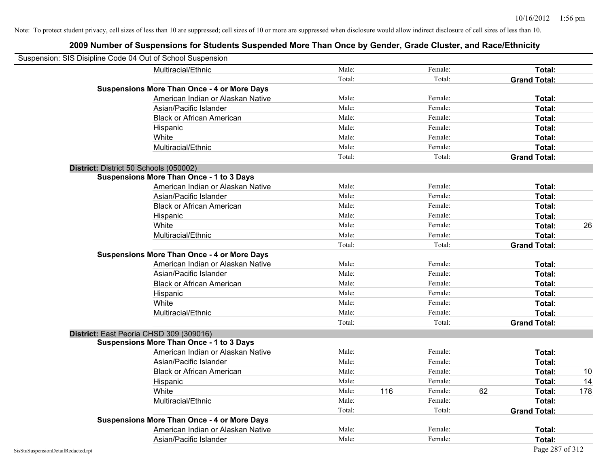| Suspension: SIS Disipline Code 04 Out of School Suspension |                                                    |        |     |         |    |                     |     |
|------------------------------------------------------------|----------------------------------------------------|--------|-----|---------|----|---------------------|-----|
|                                                            | Multiracial/Ethnic                                 | Male:  |     | Female: |    | Total:              |     |
|                                                            |                                                    | Total: |     | Total:  |    | <b>Grand Total:</b> |     |
|                                                            | <b>Suspensions More Than Once - 4 or More Days</b> |        |     |         |    |                     |     |
|                                                            | American Indian or Alaskan Native                  | Male:  |     | Female: |    | Total:              |     |
|                                                            | Asian/Pacific Islander                             | Male:  |     | Female: |    | Total:              |     |
|                                                            | <b>Black or African American</b>                   | Male:  |     | Female: |    | Total:              |     |
|                                                            | Hispanic                                           | Male:  |     | Female: |    | Total:              |     |
|                                                            | White                                              | Male:  |     | Female: |    | Total:              |     |
|                                                            | Multiracial/Ethnic                                 | Male:  |     | Female: |    | Total:              |     |
|                                                            |                                                    | Total: |     | Total:  |    | <b>Grand Total:</b> |     |
| District: District 50 Schools (050002)                     |                                                    |        |     |         |    |                     |     |
|                                                            | <b>Suspensions More Than Once - 1 to 3 Days</b>    |        |     |         |    |                     |     |
|                                                            | American Indian or Alaskan Native                  | Male:  |     | Female: |    | Total:              |     |
|                                                            | Asian/Pacific Islander                             | Male:  |     | Female: |    | Total:              |     |
|                                                            | <b>Black or African American</b>                   | Male:  |     | Female: |    | Total:              |     |
|                                                            | Hispanic                                           | Male:  |     | Female: |    | Total:              |     |
|                                                            | White                                              | Male:  |     | Female: |    | Total:              | 26  |
|                                                            | Multiracial/Ethnic                                 | Male:  |     | Female: |    | Total:              |     |
|                                                            |                                                    | Total: |     | Total:  |    | <b>Grand Total:</b> |     |
|                                                            | <b>Suspensions More Than Once - 4 or More Days</b> |        |     |         |    |                     |     |
|                                                            | American Indian or Alaskan Native                  | Male:  |     | Female: |    | Total:              |     |
|                                                            | Asian/Pacific Islander                             | Male:  |     | Female: |    | Total:              |     |
|                                                            | <b>Black or African American</b>                   | Male:  |     | Female: |    | Total:              |     |
|                                                            | Hispanic                                           | Male:  |     | Female: |    | Total:              |     |
|                                                            | White                                              | Male:  |     | Female: |    | Total:              |     |
|                                                            | Multiracial/Ethnic                                 | Male:  |     | Female: |    | Total:              |     |
|                                                            |                                                    | Total: |     | Total:  |    | <b>Grand Total:</b> |     |
|                                                            | District: East Peoria CHSD 309 (309016)            |        |     |         |    |                     |     |
|                                                            | <b>Suspensions More Than Once - 1 to 3 Days</b>    |        |     |         |    |                     |     |
|                                                            | American Indian or Alaskan Native                  | Male:  |     | Female: |    | Total:              |     |
|                                                            | Asian/Pacific Islander                             | Male:  |     | Female: |    | Total:              |     |
|                                                            | <b>Black or African American</b>                   | Male:  |     | Female: |    | Total:              | 10  |
|                                                            | Hispanic                                           | Male:  |     | Female: |    | Total:              | 14  |
|                                                            | White                                              | Male:  | 116 | Female: | 62 | Total:              | 178 |
|                                                            | Multiracial/Ethnic                                 | Male:  |     | Female: |    | Total:              |     |
|                                                            |                                                    | Total: |     | Total:  |    | <b>Grand Total:</b> |     |
|                                                            | <b>Suspensions More Than Once - 4 or More Days</b> |        |     |         |    |                     |     |
|                                                            | American Indian or Alaskan Native                  | Male:  |     | Female: |    | Total:              |     |
|                                                            | Asian/Pacific Islander                             | Male:  |     | Female: |    | Total:              |     |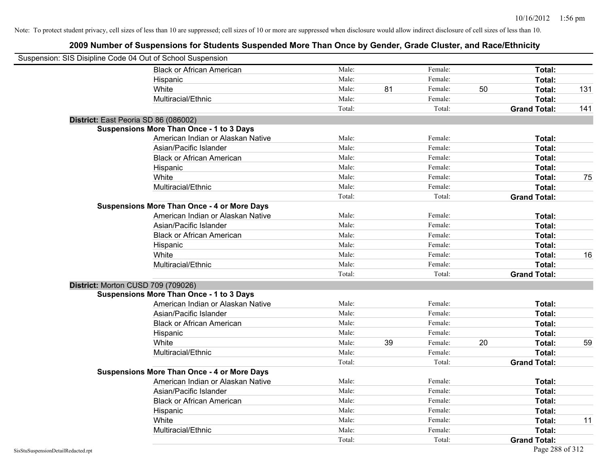| Suspension: SIS Disipline Code 04 Out of School Suspension |                                                    |        |    |         |    |                     |     |
|------------------------------------------------------------|----------------------------------------------------|--------|----|---------|----|---------------------|-----|
|                                                            | <b>Black or African American</b>                   | Male:  |    | Female: |    | Total:              |     |
|                                                            | Hispanic                                           | Male:  |    | Female: |    | Total:              |     |
|                                                            | White                                              | Male:  | 81 | Female: | 50 | Total:              | 131 |
|                                                            | Multiracial/Ethnic                                 | Male:  |    | Female: |    | Total:              |     |
|                                                            |                                                    | Total: |    | Total:  |    | <b>Grand Total:</b> | 141 |
| District: East Peoria SD 86 (086002)                       |                                                    |        |    |         |    |                     |     |
|                                                            | <b>Suspensions More Than Once - 1 to 3 Days</b>    |        |    |         |    |                     |     |
|                                                            | American Indian or Alaskan Native                  | Male:  |    | Female: |    | Total:              |     |
|                                                            | Asian/Pacific Islander                             | Male:  |    | Female: |    | Total:              |     |
|                                                            | <b>Black or African American</b>                   | Male:  |    | Female: |    | Total:              |     |
|                                                            | Hispanic                                           | Male:  |    | Female: |    | Total:              |     |
|                                                            | White                                              | Male:  |    | Female: |    | Total:              | 75  |
|                                                            | Multiracial/Ethnic                                 | Male:  |    | Female: |    | Total:              |     |
|                                                            |                                                    | Total: |    | Total:  |    | <b>Grand Total:</b> |     |
|                                                            | <b>Suspensions More Than Once - 4 or More Days</b> |        |    |         |    |                     |     |
|                                                            | American Indian or Alaskan Native                  | Male:  |    | Female: |    | Total:              |     |
|                                                            | Asian/Pacific Islander                             | Male:  |    | Female: |    | Total:              |     |
|                                                            | <b>Black or African American</b>                   | Male:  |    | Female: |    | Total:              |     |
|                                                            | Hispanic                                           | Male:  |    | Female: |    | Total:              |     |
|                                                            | White                                              | Male:  |    | Female: |    | Total:              | 16  |
|                                                            | Multiracial/Ethnic                                 | Male:  |    | Female: |    | Total:              |     |
|                                                            |                                                    | Total: |    | Total:  |    | <b>Grand Total:</b> |     |
| District: Morton CUSD 709 (709026)                         |                                                    |        |    |         |    |                     |     |
|                                                            | <b>Suspensions More Than Once - 1 to 3 Days</b>    |        |    |         |    |                     |     |
|                                                            | American Indian or Alaskan Native                  | Male:  |    | Female: |    | Total:              |     |
|                                                            | Asian/Pacific Islander                             | Male:  |    | Female: |    | Total:              |     |
|                                                            | <b>Black or African American</b>                   | Male:  |    | Female: |    | Total:              |     |
|                                                            | Hispanic                                           | Male:  |    | Female: |    | Total:              |     |
|                                                            | White                                              | Male:  | 39 | Female: | 20 | Total:              | 59  |
|                                                            | Multiracial/Ethnic                                 | Male:  |    | Female: |    | Total:              |     |
|                                                            |                                                    | Total: |    | Total:  |    | <b>Grand Total:</b> |     |
|                                                            | <b>Suspensions More Than Once - 4 or More Days</b> |        |    |         |    |                     |     |
|                                                            | American Indian or Alaskan Native                  | Male:  |    | Female: |    | Total:              |     |
|                                                            | Asian/Pacific Islander                             | Male:  |    | Female: |    | Total:              |     |
|                                                            | <b>Black or African American</b>                   | Male:  |    | Female: |    | Total:              |     |
|                                                            | Hispanic                                           | Male:  |    | Female: |    | Total:              |     |
|                                                            | White                                              | Male:  |    | Female: |    | Total:              | 11  |
|                                                            | Multiracial/Ethnic                                 | Male:  |    | Female: |    | Total:              |     |
|                                                            |                                                    | Total: |    | Total:  |    | <b>Grand Total:</b> |     |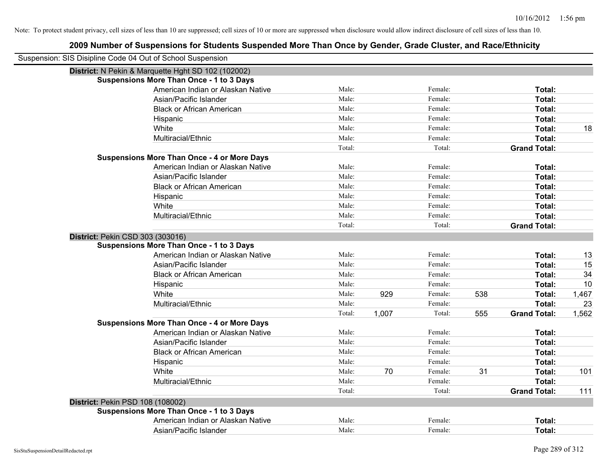## **2009 Number of Suspensions for Students Suspended More Than Once by Gender, Grade Cluster, and Race/Ethnicity** Suspension: SIS Disipline Code 04 Out of School Suspension **District:** N Pekin & Marquette Hght SD 102 (102002) **Suspensions More Than Once - 1 to 3 Days** American Indian or Alaskan Native **Male:** Male: Female: Female: **Total:** Total: Asian/Pacific Islander **Figure 1.1 Contained Asian** Male: Female: **Female: Total: Total: Total: Total: Total: Total: Total: Total: Total: Total: Total: Total: Total: Total: Total: Total: T** Black or African American **Figure 1.1 and Total:** Male: Female: Female: **Total:** Total: Hispanic **Total:** Male: Female: **Total:** Female: **Total:** Total: White **Male:** Male: **Total: 18** Male: **Total: 18** Male: **Total: 18** Multiracial/Ethnic **Total:** Male: Female: **Total:** Female: **Total:** Female: **Total:** Female: **Total:** Female: **Total:** Female: **Total:** Female: **Total:** Female: **Total:** Female: **Total:** Female: **Total:** Female: **Total:** F Total: Total: **Grand Total: Suspensions More Than Once - 4 or More Days** American Indian or Alaskan Native **Male:** Male: Female: Female: **Total:** Total: Asian/Pacific Islander **Figure 1.1 Contact Contact Contact Contact Contact Contact Contact Contact Contact Conta** Black or African American **Figure 1.1 and Total:** Male: Female: Female: **Total:** Total: Hispanic **Total:** Male: Female: **Total:** Female: **Total:** Total: White **Total:** Male: Female: **Total:** Total: **Total:** Female: **Total:** Total: Multiracial/Ethnic **Total:** Male: Female: **Female: Total:** Total: **Total:** Female: **Total:** Total: Total: Total: **Grand Total: District:** Pekin CSD 303 (303016) **Suspensions More Than Once - 1 to 3 Days** American Indian or Alaskan Native **Male:** Male: Female: Female: Total: 13 Asian/Pacific Islander **Male:** Male: Female: Female: **Total:** 15 Black or African American **Male:** Male: Female: Female: **Total:** 34 Hispanic Male: Female: **Total:** 10 White Male: 929 Female: 538 **Total:** 1,467 Multiracial/Ethnic **Contract Contract Contract Contract Contract Contract Male:** Total: **23 Total:** 23 Total: 1,007 Total: 555 **Grand Total:** 1,562 **Suspensions More Than Once - 4 or More Days** American Indian or Alaskan Native **Male:** Male: Female: Female: **Total:** Total: Asian/Pacific Islander **Figure 1.1 Contact Contact Contact Contact Contact Contact Contact Contact Contact Contact Contact Contact Contact Contact Contact Contact Contact Contact Contact Contact Contact Contact Contact Con** Black or African American **Male:** Male: Female: Female: **Total:** Total: **Total:** Female: **Female:** Total: Total: **Female:** Total: Total: Total: Total: Total: Total: Total: Total: Total: Total: Total: Total: Total: Total: T Hispanic **Total:** Male: Female: **Total:** Female: **Total:** Total: **Total:** Female: **Total:** Total: **Total:** Total: **Total:** Total: **Total:** Total: **Total:** Total: **Total:** Total: **Total:** Total: **Total:** Total: **Total:** Tot White Male: 70 Female: 31 **Total:** 101 Multiracial/Ethnic **Total:** Male: Male: Female: **Total:** Total: Total: Total: **Grand Total:** 111

American Indian or Alaskan Native **Male:** Male: Female: Female: **Total:** Total: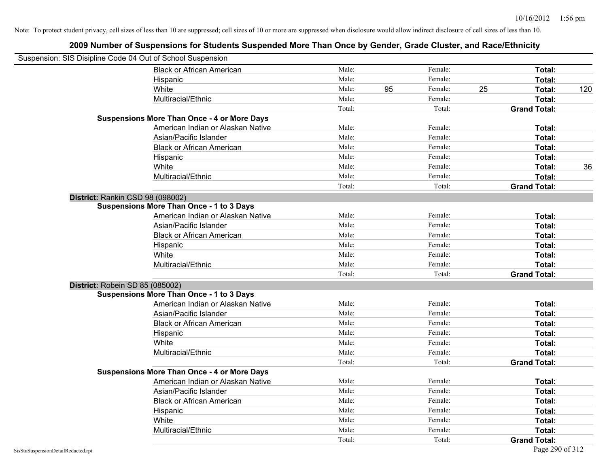| Suspension: SIS Disipline Code 04 Out of School Suspension |                                                    |        |    |         |    |                     |     |
|------------------------------------------------------------|----------------------------------------------------|--------|----|---------|----|---------------------|-----|
|                                                            | <b>Black or African American</b>                   | Male:  |    | Female: |    | Total:              |     |
|                                                            | Hispanic                                           | Male:  |    | Female: |    | Total:              |     |
|                                                            | White                                              | Male:  | 95 | Female: | 25 | Total:              | 120 |
|                                                            | Multiracial/Ethnic                                 | Male:  |    | Female: |    | Total:              |     |
|                                                            |                                                    | Total: |    | Total:  |    | <b>Grand Total:</b> |     |
|                                                            | <b>Suspensions More Than Once - 4 or More Days</b> |        |    |         |    |                     |     |
|                                                            | American Indian or Alaskan Native                  | Male:  |    | Female: |    | Total:              |     |
|                                                            | Asian/Pacific Islander                             | Male:  |    | Female: |    | Total:              |     |
|                                                            | <b>Black or African American</b>                   | Male:  |    | Female: |    | Total:              |     |
|                                                            | Hispanic                                           | Male:  |    | Female: |    | Total:              |     |
|                                                            | White                                              | Male:  |    | Female: |    | Total:              | 36  |
|                                                            | Multiracial/Ethnic                                 | Male:  |    | Female: |    | Total:              |     |
|                                                            |                                                    | Total: |    | Total:  |    | <b>Grand Total:</b> |     |
| District: Rankin CSD 98 (098002)                           |                                                    |        |    |         |    |                     |     |
|                                                            | <b>Suspensions More Than Once - 1 to 3 Days</b>    |        |    |         |    |                     |     |
|                                                            | American Indian or Alaskan Native                  | Male:  |    | Female: |    | Total:              |     |
|                                                            | Asian/Pacific Islander                             | Male:  |    | Female: |    | Total:              |     |
|                                                            | <b>Black or African American</b>                   | Male:  |    | Female: |    | Total:              |     |
|                                                            | Hispanic                                           | Male:  |    | Female: |    | Total:              |     |
|                                                            | White                                              | Male:  |    | Female: |    | Total:              |     |
|                                                            | Multiracial/Ethnic                                 | Male:  |    | Female: |    | Total:              |     |
|                                                            |                                                    | Total: |    | Total:  |    | <b>Grand Total:</b> |     |
| District: Robein SD 85 (085002)                            |                                                    |        |    |         |    |                     |     |
|                                                            | <b>Suspensions More Than Once - 1 to 3 Days</b>    |        |    |         |    |                     |     |
|                                                            | American Indian or Alaskan Native                  | Male:  |    | Female: |    | Total:              |     |
|                                                            | Asian/Pacific Islander                             | Male:  |    | Female: |    | Total:              |     |
|                                                            | <b>Black or African American</b>                   | Male:  |    | Female: |    | Total:              |     |
|                                                            | Hispanic                                           | Male:  |    | Female: |    | Total:              |     |
|                                                            | White                                              | Male:  |    | Female: |    | Total:              |     |
|                                                            | Multiracial/Ethnic                                 | Male:  |    | Female: |    | Total:              |     |
|                                                            |                                                    | Total: |    | Total:  |    | <b>Grand Total:</b> |     |
|                                                            | <b>Suspensions More Than Once - 4 or More Days</b> |        |    |         |    |                     |     |
|                                                            | American Indian or Alaskan Native                  | Male:  |    | Female: |    | Total:              |     |
|                                                            | Asian/Pacific Islander                             | Male:  |    | Female: |    | Total:              |     |
|                                                            | <b>Black or African American</b>                   | Male:  |    | Female: |    | Total:              |     |
|                                                            | Hispanic                                           | Male:  |    | Female: |    | Total:              |     |
|                                                            | White                                              | Male:  |    | Female: |    | Total:              |     |
|                                                            | Multiracial/Ethnic                                 | Male:  |    | Female: |    | <b>Total:</b>       |     |
|                                                            |                                                    | Total: |    | Total:  |    | <b>Grand Total:</b> |     |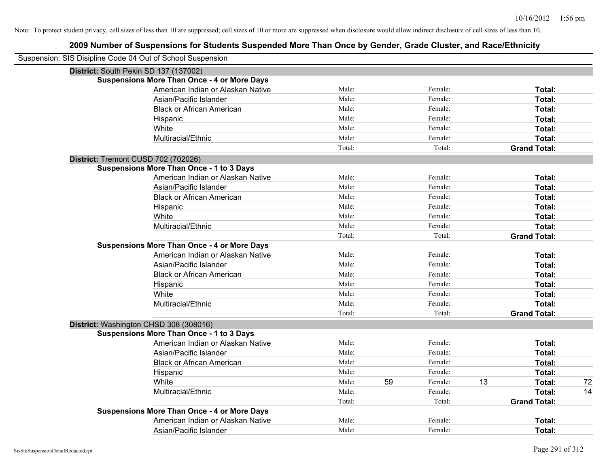| Suspension: SIS Disipline Code 04 Out of School Suspension |        |               |    |                     |    |
|------------------------------------------------------------|--------|---------------|----|---------------------|----|
| District: South Pekin SD 137 (137002)                      |        |               |    |                     |    |
| <b>Suspensions More Than Once - 4 or More Days</b>         |        |               |    |                     |    |
| American Indian or Alaskan Native                          | Male:  | Female:       |    | Total:              |    |
| Asian/Pacific Islander                                     | Male:  | Female:       |    | Total:              |    |
| <b>Black or African American</b>                           | Male:  | Female:       |    | Total:              |    |
| Hispanic                                                   | Male:  | Female:       |    | Total:              |    |
| White                                                      | Male:  | Female:       |    | Total:              |    |
| Multiracial/Ethnic                                         | Male:  | Female:       |    | Total:              |    |
|                                                            | Total: | Total:        |    | <b>Grand Total:</b> |    |
| District: Tremont CUSD 702 (702026)                        |        |               |    |                     |    |
| <b>Suspensions More Than Once - 1 to 3 Days</b>            |        |               |    |                     |    |
| American Indian or Alaskan Native                          | Male:  | Female:       |    | Total:              |    |
| Asian/Pacific Islander                                     | Male:  | Female:       |    | Total:              |    |
| <b>Black or African American</b>                           | Male:  | Female:       |    | Total:              |    |
| Hispanic                                                   | Male:  | Female:       |    | Total:              |    |
| White                                                      | Male:  | Female:       |    | Total:              |    |
| Multiracial/Ethnic                                         | Male:  | Female:       |    | Total:              |    |
|                                                            | Total: | Total:        |    | <b>Grand Total:</b> |    |
| <b>Suspensions More Than Once - 4 or More Days</b>         |        |               |    |                     |    |
| American Indian or Alaskan Native                          | Male:  | Female:       |    | Total:              |    |
| Asian/Pacific Islander                                     | Male:  | Female:       |    | Total:              |    |
| <b>Black or African American</b>                           | Male:  | Female:       |    | Total:              |    |
| Hispanic                                                   | Male:  | Female:       |    | Total:              |    |
| White                                                      | Male:  | Female:       |    | Total:              |    |
| Multiracial/Ethnic                                         | Male:  | Female:       |    | Total:              |    |
|                                                            | Total: | Total:        |    | <b>Grand Total:</b> |    |
| District: Washington CHSD 308 (308016)                     |        |               |    |                     |    |
| <b>Suspensions More Than Once - 1 to 3 Days</b>            |        |               |    |                     |    |
| American Indian or Alaskan Native                          | Male:  | Female:       |    | Total:              |    |
| Asian/Pacific Islander                                     | Male:  | Female:       |    | Total:              |    |
| <b>Black or African American</b>                           | Male:  | Female:       |    | Total:              |    |
| Hispanic                                                   | Male:  | Female:       |    | Total:              |    |
| White                                                      | Male:  | 59<br>Female: | 13 | Total:              | 72 |
| Multiracial/Ethnic                                         | Male:  | Female:       |    | Total:              | 14 |
|                                                            | Total: | Total:        |    | <b>Grand Total:</b> |    |
| <b>Suspensions More Than Once - 4 or More Days</b>         |        |               |    |                     |    |
| American Indian or Alaskan Native                          | Male:  | Female:       |    | <b>Total:</b>       |    |
| Asian/Pacific Islander                                     | Male:  | Female:       |    | Total:              |    |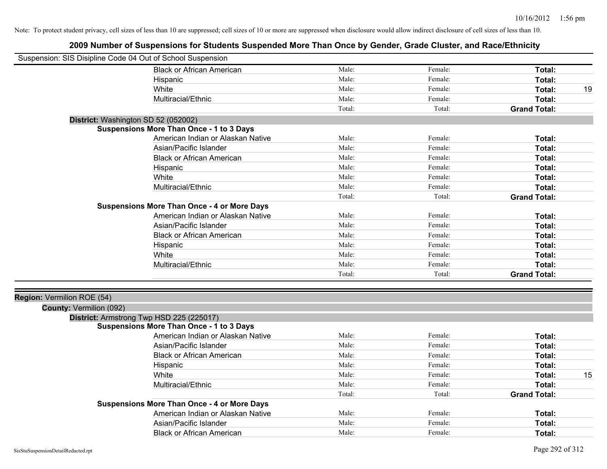| Suspension: SIS Disipline Code 04 Out of School Suspension |                                                    |        |         |                     |    |
|------------------------------------------------------------|----------------------------------------------------|--------|---------|---------------------|----|
|                                                            | <b>Black or African American</b>                   | Male:  | Female: | Total:              |    |
|                                                            | Hispanic                                           | Male:  | Female: | Total:              |    |
|                                                            | White                                              | Male:  | Female: | Total:              | 19 |
|                                                            | Multiracial/Ethnic                                 | Male:  | Female: | Total:              |    |
|                                                            |                                                    | Total: | Total:  | <b>Grand Total:</b> |    |
| District: Washington SD 52 (052002)                        |                                                    |        |         |                     |    |
|                                                            | <b>Suspensions More Than Once - 1 to 3 Days</b>    |        |         |                     |    |
|                                                            | American Indian or Alaskan Native                  | Male:  | Female: | Total:              |    |
|                                                            | Asian/Pacific Islander                             | Male:  | Female: | Total:              |    |
|                                                            | <b>Black or African American</b>                   | Male:  | Female: | Total:              |    |
|                                                            | Hispanic                                           | Male:  | Female: | Total:              |    |
|                                                            | White                                              | Male:  | Female: | Total:              |    |
|                                                            | Multiracial/Ethnic                                 | Male:  | Female: | Total:              |    |
|                                                            |                                                    | Total: | Total:  | <b>Grand Total:</b> |    |
|                                                            | <b>Suspensions More Than Once - 4 or More Days</b> |        |         |                     |    |
|                                                            | American Indian or Alaskan Native                  | Male:  | Female: | Total:              |    |
|                                                            | Asian/Pacific Islander                             | Male:  | Female: | Total:              |    |
|                                                            | <b>Black or African American</b>                   | Male:  | Female: | Total:              |    |
|                                                            | Hispanic                                           | Male:  | Female: | Total:              |    |
|                                                            | White                                              | Male:  | Female: | Total:              |    |
|                                                            | Multiracial/Ethnic                                 | Male:  | Female: | Total:              |    |
|                                                            |                                                    | Total: | Total:  | <b>Grand Total:</b> |    |
|                                                            |                                                    |        |         |                     |    |
| Region: Vermilion ROE (54)                                 |                                                    |        |         |                     |    |
| <b>County: Vermilion (092)</b>                             |                                                    |        |         |                     |    |
|                                                            | District: Armstrong Twp HSD 225 (225017)           |        |         |                     |    |
|                                                            | <b>Suspensions More Than Once - 1 to 3 Days</b>    |        |         |                     |    |
|                                                            | American Indian or Alaskan Native                  | Male:  | Female: | Total:              |    |
|                                                            | Asian/Pacific Islander                             | Male:  | Female: | Total:              |    |
|                                                            | <b>Black or African American</b>                   | Male:  | Female: | Total:              |    |
|                                                            | Hispanic                                           | Male:  | Female: | Total:              |    |
|                                                            | White                                              | Male:  | Female: | Total:              | 15 |
|                                                            | Multiracial/Ethnic                                 | Male:  | Female: | Total:              |    |
|                                                            |                                                    | Total: | Total:  | <b>Grand Total:</b> |    |
|                                                            | <b>Suspensions More Than Once - 4 or More Days</b> |        |         |                     |    |
|                                                            | American Indian or Alaskan Native                  | Male:  | Female: | Total:              |    |
|                                                            | Asian/Pacific Islander                             | Male:  | Female: | Total:              |    |
|                                                            | <b>Black or African American</b>                   | Male:  | Female: | Total:              |    |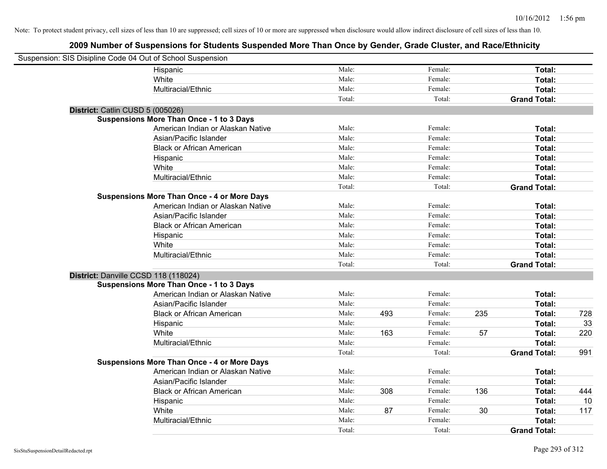| Suspension: SIS Disipline Code 04 Out of School Suspension |                                                    |        |     |         |     |                     |     |
|------------------------------------------------------------|----------------------------------------------------|--------|-----|---------|-----|---------------------|-----|
|                                                            | Hispanic                                           | Male:  |     | Female: |     | Total:              |     |
|                                                            | White                                              | Male:  |     | Female: |     | Total:              |     |
|                                                            | Multiracial/Ethnic                                 | Male:  |     | Female: |     | Total:              |     |
|                                                            |                                                    | Total: |     | Total:  |     | <b>Grand Total:</b> |     |
| District: Catlin CUSD 5 (005026)                           |                                                    |        |     |         |     |                     |     |
|                                                            | <b>Suspensions More Than Once - 1 to 3 Days</b>    |        |     |         |     |                     |     |
|                                                            | American Indian or Alaskan Native                  | Male:  |     | Female: |     | Total:              |     |
|                                                            | Asian/Pacific Islander                             | Male:  |     | Female: |     | Total:              |     |
|                                                            | <b>Black or African American</b>                   | Male:  |     | Female: |     | Total:              |     |
|                                                            | Hispanic                                           | Male:  |     | Female: |     | Total:              |     |
|                                                            | White                                              | Male:  |     | Female: |     | Total:              |     |
|                                                            | Multiracial/Ethnic                                 | Male:  |     | Female: |     | Total:              |     |
|                                                            |                                                    | Total: |     | Total:  |     | <b>Grand Total:</b> |     |
|                                                            | <b>Suspensions More Than Once - 4 or More Days</b> |        |     |         |     |                     |     |
|                                                            | American Indian or Alaskan Native                  | Male:  |     | Female: |     | Total:              |     |
|                                                            | Asian/Pacific Islander                             | Male:  |     | Female: |     | Total:              |     |
|                                                            | <b>Black or African American</b>                   | Male:  |     | Female: |     | Total:              |     |
|                                                            | Hispanic                                           | Male:  |     | Female: |     | Total:              |     |
|                                                            | White                                              | Male:  |     | Female: |     | Total:              |     |
|                                                            | Multiracial/Ethnic                                 | Male:  |     | Female: |     | Total:              |     |
|                                                            |                                                    | Total: |     | Total:  |     | <b>Grand Total:</b> |     |
| District: Danville CCSD 118 (118024)                       |                                                    |        |     |         |     |                     |     |
|                                                            | <b>Suspensions More Than Once - 1 to 3 Days</b>    |        |     |         |     |                     |     |
|                                                            | American Indian or Alaskan Native                  | Male:  |     | Female: |     | Total:              |     |
|                                                            | Asian/Pacific Islander                             | Male:  |     | Female: |     | Total:              |     |
|                                                            | <b>Black or African American</b>                   | Male:  | 493 | Female: | 235 | Total:              | 728 |
|                                                            | Hispanic                                           | Male:  |     | Female: |     | Total:              | 33  |
|                                                            | White                                              | Male:  | 163 | Female: | 57  | Total:              | 220 |
|                                                            | Multiracial/Ethnic                                 | Male:  |     | Female: |     | Total:              |     |
|                                                            |                                                    | Total: |     | Total:  |     | <b>Grand Total:</b> | 991 |
|                                                            | <b>Suspensions More Than Once - 4 or More Days</b> |        |     |         |     |                     |     |
|                                                            | American Indian or Alaskan Native                  | Male:  |     | Female: |     | Total:              |     |
|                                                            | Asian/Pacific Islander                             | Male:  |     | Female: |     | Total:              |     |
|                                                            | <b>Black or African American</b>                   | Male:  | 308 | Female: | 136 | Total:              | 444 |
|                                                            | Hispanic                                           | Male:  |     | Female: |     | Total:              | 10  |
|                                                            | White                                              | Male:  | 87  | Female: | 30  | Total:              | 117 |
|                                                            | Multiracial/Ethnic                                 | Male:  |     | Female: |     | Total:              |     |
|                                                            |                                                    | Total: |     | Total:  |     | <b>Grand Total:</b> |     |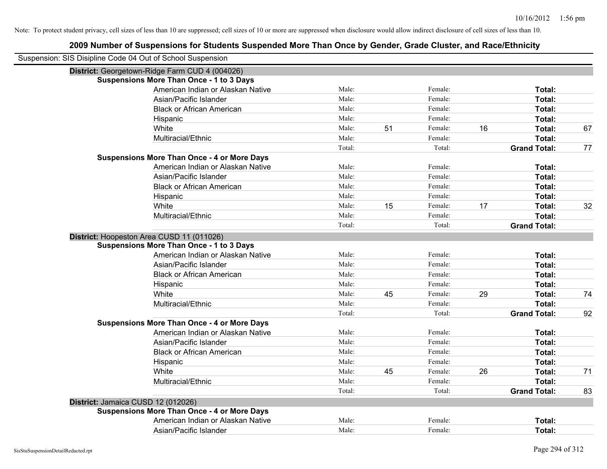| Suspension: SIS Disipline Code 04 Out of School Suspension |        |    |         |    |                     |    |
|------------------------------------------------------------|--------|----|---------|----|---------------------|----|
| District: Georgetown-Ridge Farm CUD 4 (004026)             |        |    |         |    |                     |    |
| Suspensions More Than Once - 1 to 3 Days                   |        |    |         |    |                     |    |
| American Indian or Alaskan Native                          | Male:  |    | Female: |    | Total:              |    |
| Asian/Pacific Islander                                     | Male:  |    | Female: |    | Total:              |    |
| <b>Black or African American</b>                           | Male:  |    | Female: |    | Total:              |    |
| Hispanic                                                   | Male:  |    | Female: |    | Total:              |    |
| White                                                      | Male:  | 51 | Female: | 16 | Total:              | 67 |
| Multiracial/Ethnic                                         | Male:  |    | Female: |    | Total:              |    |
|                                                            | Total: |    | Total:  |    | <b>Grand Total:</b> | 77 |
| <b>Suspensions More Than Once - 4 or More Days</b>         |        |    |         |    |                     |    |
| American Indian or Alaskan Native                          | Male:  |    | Female: |    | Total:              |    |
| Asian/Pacific Islander                                     | Male:  |    | Female: |    | Total:              |    |
| <b>Black or African American</b>                           | Male:  |    | Female: |    | Total:              |    |
| Hispanic                                                   | Male:  |    | Female: |    | Total:              |    |
| White                                                      | Male:  | 15 | Female: | 17 | <b>Total:</b>       | 32 |
| Multiracial/Ethnic                                         | Male:  |    | Female: |    | Total:              |    |
|                                                            | Total: |    | Total:  |    | <b>Grand Total:</b> |    |
| District: Hoopeston Area CUSD 11 (011026)                  |        |    |         |    |                     |    |
| <b>Suspensions More Than Once - 1 to 3 Days</b>            |        |    |         |    |                     |    |
| American Indian or Alaskan Native                          | Male:  |    | Female: |    | Total:              |    |
| Asian/Pacific Islander                                     | Male:  |    | Female: |    | Total:              |    |
| <b>Black or African American</b>                           | Male:  |    | Female: |    | Total:              |    |
| Hispanic                                                   | Male:  |    | Female: |    | Total:              |    |
| White                                                      | Male:  | 45 | Female: | 29 | Total:              | 74 |
| Multiracial/Ethnic                                         | Male:  |    | Female: |    | Total:              |    |
|                                                            | Total: |    | Total:  |    | <b>Grand Total:</b> | 92 |
| <b>Suspensions More Than Once - 4 or More Days</b>         |        |    |         |    |                     |    |
| American Indian or Alaskan Native                          | Male:  |    | Female: |    | Total:              |    |
| Asian/Pacific Islander                                     | Male:  |    | Female: |    | Total:              |    |
| <b>Black or African American</b>                           | Male:  |    | Female: |    | Total:              |    |
| Hispanic                                                   | Male:  |    | Female: |    | Total:              |    |
| White                                                      | Male:  | 45 | Female: | 26 | Total:              | 71 |
| Multiracial/Ethnic                                         | Male:  |    | Female: |    | Total:              |    |
|                                                            | Total: |    | Total:  |    | <b>Grand Total:</b> | 83 |
| District: Jamaica CUSD 12 (012026)                         |        |    |         |    |                     |    |
| <b>Suspensions More Than Once - 4 or More Days</b>         |        |    |         |    |                     |    |
| American Indian or Alaskan Native                          | Male:  |    | Female: |    | Total:              |    |
| Asian/Pacific Islander                                     | Male:  |    | Female: |    | Total:              |    |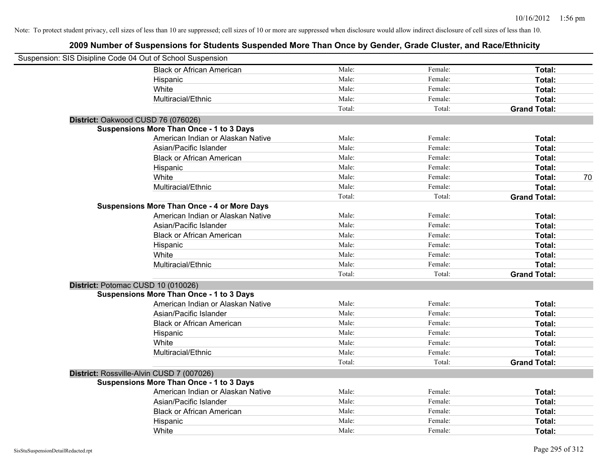| Suspension: SIS Disipline Code 04 Out of School Suspension |                                                    |        |         |                     |    |
|------------------------------------------------------------|----------------------------------------------------|--------|---------|---------------------|----|
|                                                            | <b>Black or African American</b>                   | Male:  | Female: | Total:              |    |
|                                                            | Hispanic                                           | Male:  | Female: | Total:              |    |
|                                                            | White                                              | Male:  | Female: | Total:              |    |
|                                                            | Multiracial/Ethnic                                 | Male:  | Female: | Total:              |    |
|                                                            |                                                    | Total: | Total:  | <b>Grand Total:</b> |    |
| District: Oakwood CUSD 76 (076026)                         |                                                    |        |         |                     |    |
|                                                            | <b>Suspensions More Than Once - 1 to 3 Days</b>    |        |         |                     |    |
|                                                            | American Indian or Alaskan Native                  | Male:  | Female: | Total:              |    |
|                                                            | Asian/Pacific Islander                             | Male:  | Female: | Total:              |    |
|                                                            | <b>Black or African American</b>                   | Male:  | Female: | Total:              |    |
|                                                            | Hispanic                                           | Male:  | Female: | Total:              |    |
|                                                            | White                                              | Male:  | Female: | Total:              | 70 |
|                                                            | Multiracial/Ethnic                                 | Male:  | Female: | Total:              |    |
|                                                            |                                                    | Total: | Total:  | <b>Grand Total:</b> |    |
|                                                            | <b>Suspensions More Than Once - 4 or More Days</b> |        |         |                     |    |
|                                                            | American Indian or Alaskan Native                  | Male:  | Female: | Total:              |    |
|                                                            | Asian/Pacific Islander                             | Male:  | Female: | Total:              |    |
|                                                            | <b>Black or African American</b>                   | Male:  | Female: | Total:              |    |
|                                                            | Hispanic                                           | Male:  | Female: | Total:              |    |
|                                                            | White                                              | Male:  | Female: | Total:              |    |
|                                                            | Multiracial/Ethnic                                 | Male:  | Female: | Total:              |    |
|                                                            |                                                    | Total: | Total:  | <b>Grand Total:</b> |    |
| District: Potomac CUSD 10 (010026)                         |                                                    |        |         |                     |    |
|                                                            | <b>Suspensions More Than Once - 1 to 3 Days</b>    |        |         |                     |    |
|                                                            | American Indian or Alaskan Native                  | Male:  | Female: | Total:              |    |
|                                                            | Asian/Pacific Islander                             | Male:  | Female: | Total:              |    |
|                                                            | <b>Black or African American</b>                   | Male:  | Female: | Total:              |    |
|                                                            | Hispanic                                           | Male:  | Female: | Total:              |    |
|                                                            | White                                              | Male:  | Female: | Total:              |    |
|                                                            | Multiracial/Ethnic                                 | Male:  | Female: | Total:              |    |
|                                                            |                                                    | Total: | Total:  | <b>Grand Total:</b> |    |
|                                                            | District: Rossville-Alvin CUSD 7 (007026)          |        |         |                     |    |
|                                                            | <b>Suspensions More Than Once - 1 to 3 Days</b>    |        |         |                     |    |
|                                                            | American Indian or Alaskan Native                  | Male:  | Female: | Total:              |    |
|                                                            | Asian/Pacific Islander                             | Male:  | Female: | Total:              |    |
|                                                            | <b>Black or African American</b>                   | Male:  | Female: | Total:              |    |
|                                                            | Hispanic                                           | Male:  | Female: | Total:              |    |
|                                                            | White                                              | Male:  | Female: | Total:              |    |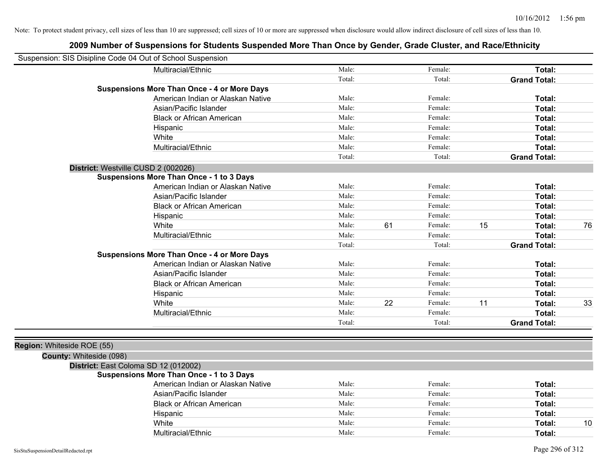## **2009 Number of Suspensions for Students Suspended More Than Once by Gender, Grade Cluster, and Race/Ethnicity**

| Suspension: SIS Disipline Code 04 Out of School Suspension |                                                    |        |    |         |    |                     |    |
|------------------------------------------------------------|----------------------------------------------------|--------|----|---------|----|---------------------|----|
|                                                            | Multiracial/Ethnic                                 | Male:  |    | Female: |    | Total:              |    |
|                                                            |                                                    | Total: |    | Total:  |    | <b>Grand Total:</b> |    |
|                                                            | <b>Suspensions More Than Once - 4 or More Days</b> |        |    |         |    |                     |    |
|                                                            | American Indian or Alaskan Native                  | Male:  |    | Female: |    | Total:              |    |
|                                                            | Asian/Pacific Islander                             | Male:  |    | Female: |    | Total:              |    |
|                                                            | <b>Black or African American</b>                   | Male:  |    | Female: |    | Total:              |    |
|                                                            | Hispanic                                           | Male:  |    | Female: |    | Total:              |    |
|                                                            | White                                              | Male:  |    | Female: |    | Total:              |    |
|                                                            | Multiracial/Ethnic                                 | Male:  |    | Female: |    | Total:              |    |
|                                                            |                                                    | Total: |    | Total:  |    | <b>Grand Total:</b> |    |
|                                                            | District: Westville CUSD 2 (002026)                |        |    |         |    |                     |    |
|                                                            | <b>Suspensions More Than Once - 1 to 3 Days</b>    |        |    |         |    |                     |    |
|                                                            | American Indian or Alaskan Native                  | Male:  |    | Female: |    | Total:              |    |
|                                                            | Asian/Pacific Islander                             | Male:  |    | Female: |    | Total:              |    |
|                                                            | <b>Black or African American</b>                   | Male:  |    | Female: |    | Total:              |    |
|                                                            | Hispanic                                           | Male:  |    | Female: |    | Total:              |    |
|                                                            | White                                              | Male:  | 61 | Female: | 15 | Total:              | 76 |
|                                                            | Multiracial/Ethnic                                 | Male:  |    | Female: |    | Total:              |    |
|                                                            |                                                    | Total: |    | Total:  |    | <b>Grand Total:</b> |    |
|                                                            | <b>Suspensions More Than Once - 4 or More Days</b> |        |    |         |    |                     |    |
|                                                            | American Indian or Alaskan Native                  | Male:  |    | Female: |    | Total:              |    |
|                                                            | Asian/Pacific Islander                             | Male:  |    | Female: |    | Total:              |    |
|                                                            | <b>Black or African American</b>                   | Male:  |    | Female: |    | Total:              |    |
|                                                            | Hispanic                                           | Male:  |    | Female: |    | Total:              |    |
|                                                            | White                                              | Male:  | 22 | Female: | 11 | Total:              | 33 |
|                                                            | Multiracial/Ethnic                                 | Male:  |    | Female: |    | Total:              |    |
|                                                            |                                                    | Total: |    | Total:  |    | <b>Grand Total:</b> |    |
|                                                            |                                                    |        |    |         |    |                     |    |
| Region: Whiteside ROE (55)                                 |                                                    |        |    |         |    |                     |    |
| County: Whiteside (098)                                    |                                                    |        |    |         |    |                     |    |
|                                                            | District: East Coloma SD 12 (012002)               |        |    |         |    |                     |    |
|                                                            | <b>Suspensions More Than Once - 1 to 3 Days</b>    |        |    |         |    |                     |    |
|                                                            | American Indian or Alaskan Native                  | Male:  |    | Female: |    | Total:              |    |
|                                                            | Asian/Pacific Islander                             | Male:  |    | Female: |    | Total:              |    |
|                                                            | <b>Black or African American</b>                   | Male:  |    | Female: |    | Total:              |    |
|                                                            | Hispanic                                           | Male:  |    | Female: |    | Total:              |    |
|                                                            | White                                              | Male:  |    | Female: |    | Total:              | 10 |

Multiracial/Ethnic **Total:** Male: Female: **Total:** Female: **Total:** Total: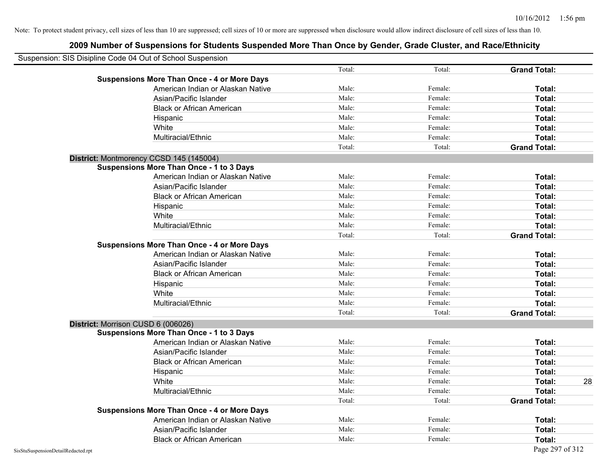| Suspension: SIS Disipline Code 04 Out of School Suspension |        |         |                     |    |
|------------------------------------------------------------|--------|---------|---------------------|----|
|                                                            | Total: | Total:  | <b>Grand Total:</b> |    |
| <b>Suspensions More Than Once - 4 or More Days</b>         |        |         |                     |    |
| American Indian or Alaskan Native                          | Male:  | Female: | Total:              |    |
| Asian/Pacific Islander                                     | Male:  | Female: | Total:              |    |
| <b>Black or African American</b>                           | Male:  | Female: | Total:              |    |
| Hispanic                                                   | Male:  | Female: | Total:              |    |
| White                                                      | Male:  | Female: | Total:              |    |
| Multiracial/Ethnic                                         | Male:  | Female: | Total:              |    |
|                                                            | Total: | Total:  | <b>Grand Total:</b> |    |
| District: Montmorency CCSD 145 (145004)                    |        |         |                     |    |
| <b>Suspensions More Than Once - 1 to 3 Days</b>            |        |         |                     |    |
| American Indian or Alaskan Native                          | Male:  | Female: | Total:              |    |
| Asian/Pacific Islander                                     | Male:  | Female: | Total:              |    |
| <b>Black or African American</b>                           | Male:  | Female: | Total:              |    |
| Hispanic                                                   | Male:  | Female: | Total:              |    |
| White                                                      | Male:  | Female: | <b>Total:</b>       |    |
| Multiracial/Ethnic                                         | Male:  | Female: | Total:              |    |
|                                                            | Total: | Total:  | <b>Grand Total:</b> |    |
| <b>Suspensions More Than Once - 4 or More Days</b>         |        |         |                     |    |
| American Indian or Alaskan Native                          | Male:  | Female: | Total:              |    |
| Asian/Pacific Islander                                     | Male:  | Female: | Total:              |    |
| <b>Black or African American</b>                           | Male:  | Female: | Total:              |    |
| Hispanic                                                   | Male:  | Female: | Total:              |    |
| White                                                      | Male:  | Female: | Total:              |    |
| Multiracial/Ethnic                                         | Male:  | Female: | Total:              |    |
|                                                            | Total: | Total:  | <b>Grand Total:</b> |    |
| District: Morrison CUSD 6 (006026)                         |        |         |                     |    |
| <b>Suspensions More Than Once - 1 to 3 Days</b>            |        |         |                     |    |
| American Indian or Alaskan Native                          | Male:  | Female: | <b>Total:</b>       |    |
| Asian/Pacific Islander                                     | Male:  | Female: | Total:              |    |
| <b>Black or African American</b>                           | Male:  | Female: | Total:              |    |
| Hispanic                                                   | Male:  | Female: | Total:              |    |
| White                                                      | Male:  | Female: | Total:              | 28 |
| Multiracial/Ethnic                                         | Male:  | Female: | Total:              |    |
|                                                            | Total: | Total:  | <b>Grand Total:</b> |    |
| <b>Suspensions More Than Once - 4 or More Days</b>         |        |         |                     |    |
| American Indian or Alaskan Native                          | Male:  | Female: | Total:              |    |
| Asian/Pacific Islander                                     | Male:  | Female: | Total:              |    |
| <b>Black or African American</b>                           | Male:  | Female: | Total:              |    |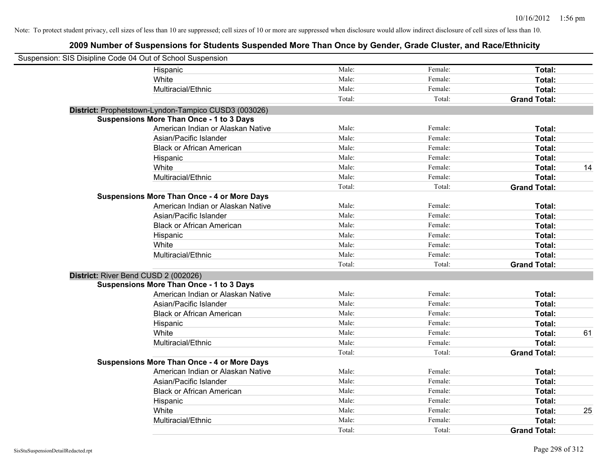| Suspension: SIS Disipline Code 04 Out of School Suspension |        |         |                     |    |
|------------------------------------------------------------|--------|---------|---------------------|----|
| Hispanic                                                   | Male:  | Female: | Total:              |    |
| White                                                      | Male:  | Female: | Total:              |    |
| Multiracial/Ethnic                                         | Male:  | Female: | Total:              |    |
|                                                            | Total: | Total:  | <b>Grand Total:</b> |    |
| District: Prophetstown-Lyndon-Tampico CUSD3 (003026)       |        |         |                     |    |
| <b>Suspensions More Than Once - 1 to 3 Days</b>            |        |         |                     |    |
| American Indian or Alaskan Native                          | Male:  | Female: | Total:              |    |
| Asian/Pacific Islander                                     | Male:  | Female: | Total:              |    |
| <b>Black or African American</b>                           | Male:  | Female: | Total:              |    |
| Hispanic                                                   | Male:  | Female: | Total:              |    |
| White                                                      | Male:  | Female: | Total:              | 14 |
| Multiracial/Ethnic                                         | Male:  | Female: | Total:              |    |
|                                                            | Total: | Total:  | <b>Grand Total:</b> |    |
| <b>Suspensions More Than Once - 4 or More Days</b>         |        |         |                     |    |
| American Indian or Alaskan Native                          | Male:  | Female: | Total:              |    |
| Asian/Pacific Islander                                     | Male:  | Female: | Total:              |    |
| <b>Black or African American</b>                           | Male:  | Female: | Total:              |    |
| Hispanic                                                   | Male:  | Female: | Total:              |    |
| White                                                      | Male:  | Female: | Total:              |    |
| Multiracial/Ethnic                                         | Male:  | Female: | Total:              |    |
|                                                            | Total: | Total:  | <b>Grand Total:</b> |    |
| District: River Bend CUSD 2 (002026)                       |        |         |                     |    |
| <b>Suspensions More Than Once - 1 to 3 Days</b>            |        |         |                     |    |
| American Indian or Alaskan Native                          | Male:  | Female: | Total:              |    |
| Asian/Pacific Islander                                     | Male:  | Female: | Total:              |    |
| <b>Black or African American</b>                           | Male:  | Female: | Total:              |    |
| Hispanic                                                   | Male:  | Female: | Total:              |    |
| White                                                      | Male:  | Female: | Total:              | 61 |
| Multiracial/Ethnic                                         | Male:  | Female: | Total:              |    |
|                                                            | Total: | Total:  | <b>Grand Total:</b> |    |
| <b>Suspensions More Than Once - 4 or More Days</b>         |        |         |                     |    |
| American Indian or Alaskan Native                          | Male:  | Female: | Total:              |    |
| Asian/Pacific Islander                                     | Male:  | Female: | Total:              |    |
| <b>Black or African American</b>                           | Male:  | Female: | Total:              |    |
| Hispanic                                                   | Male:  | Female: | Total:              |    |
| White                                                      | Male:  | Female: | Total:              | 25 |
| Multiracial/Ethnic                                         | Male:  | Female: | Total:              |    |
|                                                            | Total: | Total:  | <b>Grand Total:</b> |    |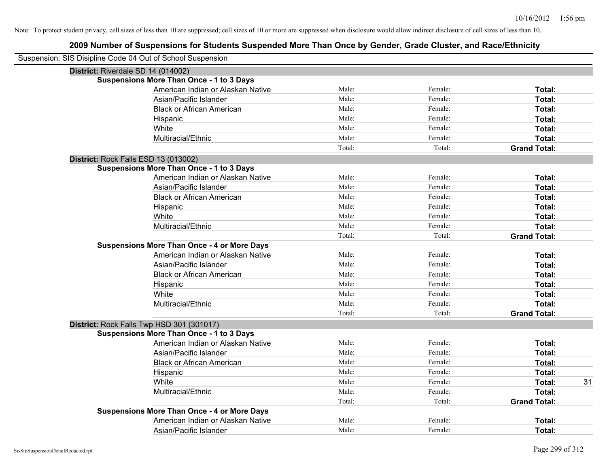| Suspension: SIS Disipline Code 04 Out of School Suspension |        |         |                     |
|------------------------------------------------------------|--------|---------|---------------------|
| District: Riverdale SD 14 (014002)                         |        |         |                     |
| <b>Suspensions More Than Once - 1 to 3 Days</b>            |        |         |                     |
| American Indian or Alaskan Native                          | Male:  | Female: | Total:              |
| Asian/Pacific Islander                                     | Male:  | Female: | Total:              |
| <b>Black or African American</b>                           | Male:  | Female: | Total:              |
| Hispanic                                                   | Male:  | Female: | Total:              |
| White                                                      | Male:  | Female: | Total:              |
| Multiracial/Ethnic                                         | Male:  | Female: | Total:              |
|                                                            | Total: | Total:  | <b>Grand Total:</b> |
| District: Rock Falls ESD 13 (013002)                       |        |         |                     |
| <b>Suspensions More Than Once - 1 to 3 Days</b>            |        |         |                     |
| American Indian or Alaskan Native                          | Male:  | Female: | Total:              |
| Asian/Pacific Islander                                     | Male:  | Female: | Total:              |
| <b>Black or African American</b>                           | Male:  | Female: | Total:              |
| Hispanic                                                   | Male:  | Female: | Total:              |
| White                                                      | Male:  | Female: | Total:              |
| Multiracial/Ethnic                                         | Male:  | Female: | Total:              |
|                                                            | Total: | Total:  | <b>Grand Total:</b> |
| <b>Suspensions More Than Once - 4 or More Days</b>         |        |         |                     |
| American Indian or Alaskan Native                          | Male:  | Female: | Total:              |
| Asian/Pacific Islander                                     | Male:  | Female: | Total:              |
| <b>Black or African American</b>                           | Male:  | Female: | Total:              |
| Hispanic                                                   | Male:  | Female: | Total:              |
| White                                                      | Male:  | Female: | Total:              |
| Multiracial/Ethnic                                         | Male:  | Female: | Total:              |
|                                                            | Total: | Total:  | <b>Grand Total:</b> |
| District: Rock Falls Twp HSD 301 (301017)                  |        |         |                     |
| <b>Suspensions More Than Once - 1 to 3 Days</b>            |        |         |                     |
| American Indian or Alaskan Native                          | Male:  | Female: | Total:              |
| Asian/Pacific Islander                                     | Male:  | Female: | Total:              |
| <b>Black or African American</b>                           | Male:  | Female: | Total:              |
| Hispanic                                                   | Male:  | Female: | Total:              |
| White                                                      | Male:  | Female: | 31<br>Total:        |
| Multiracial/Ethnic                                         | Male:  | Female: | Total:              |
|                                                            | Total: | Total:  | <b>Grand Total:</b> |
| <b>Suspensions More Than Once - 4 or More Days</b>         |        |         |                     |
| American Indian or Alaskan Native                          | Male:  | Female: | <b>Total:</b>       |
| Asian/Pacific Islander                                     | Male:  | Female: | Total:              |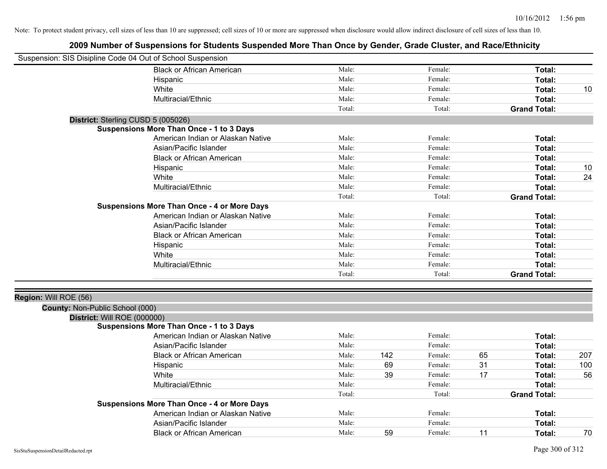| Suspension: SIS Disipline Code 04 Out of School Suspension |                                                    |        |     |         |    |                     |     |
|------------------------------------------------------------|----------------------------------------------------|--------|-----|---------|----|---------------------|-----|
|                                                            | <b>Black or African American</b>                   | Male:  |     | Female: |    | Total:              |     |
|                                                            | Hispanic                                           | Male:  |     | Female: |    | Total:              |     |
|                                                            | White                                              | Male:  |     | Female: |    | Total:              | 10  |
|                                                            | Multiracial/Ethnic                                 | Male:  |     | Female: |    | Total:              |     |
|                                                            |                                                    | Total: |     | Total:  |    | <b>Grand Total:</b> |     |
| District: Sterling CUSD 5 (005026)                         |                                                    |        |     |         |    |                     |     |
|                                                            | <b>Suspensions More Than Once - 1 to 3 Days</b>    |        |     |         |    |                     |     |
|                                                            | American Indian or Alaskan Native                  | Male:  |     | Female: |    | Total:              |     |
|                                                            | Asian/Pacific Islander                             | Male:  |     | Female: |    | Total:              |     |
|                                                            | <b>Black or African American</b>                   | Male:  |     | Female: |    | Total:              |     |
|                                                            | Hispanic                                           | Male:  |     | Female: |    | Total:              | 10  |
|                                                            | White                                              | Male:  |     | Female: |    | Total:              | 24  |
|                                                            | Multiracial/Ethnic                                 | Male:  |     | Female: |    | Total:              |     |
|                                                            |                                                    | Total: |     | Total:  |    | <b>Grand Total:</b> |     |
|                                                            | <b>Suspensions More Than Once - 4 or More Days</b> |        |     |         |    |                     |     |
|                                                            | American Indian or Alaskan Native                  | Male:  |     | Female: |    | Total:              |     |
|                                                            | Asian/Pacific Islander                             | Male:  |     | Female: |    | Total:              |     |
|                                                            | <b>Black or African American</b>                   | Male:  |     | Female: |    | Total:              |     |
|                                                            | Hispanic                                           | Male:  |     | Female: |    | Total:              |     |
|                                                            | White                                              | Male:  |     | Female: |    | Total:              |     |
|                                                            | Multiracial/Ethnic                                 | Male:  |     | Female: |    | Total:              |     |
|                                                            |                                                    | Total: |     | Total:  |    | <b>Grand Total:</b> |     |
|                                                            |                                                    |        |     |         |    |                     |     |
| Region: Will ROE (56)                                      |                                                    |        |     |         |    |                     |     |
| County: Non-Public School (000)                            |                                                    |        |     |         |    |                     |     |
| District: Will ROE (000000)                                | <b>Suspensions More Than Once - 1 to 3 Days</b>    |        |     |         |    |                     |     |
|                                                            | American Indian or Alaskan Native                  | Male:  |     | Female: |    | Total:              |     |
|                                                            | Asian/Pacific Islander                             | Male:  |     | Female: |    | Total:              |     |
|                                                            | <b>Black or African American</b>                   | Male:  | 142 | Female: | 65 | Total:              | 207 |
|                                                            | Hispanic                                           | Male:  | 69  | Female: | 31 | Total:              | 100 |
|                                                            | White                                              | Male:  | 39  | Female: | 17 | Total:              | 56  |
|                                                            | Multiracial/Ethnic                                 | Male:  |     | Female: |    | Total:              |     |
|                                                            |                                                    | Total: |     | Total:  |    | <b>Grand Total:</b> |     |
|                                                            | <b>Suspensions More Than Once - 4 or More Days</b> |        |     |         |    |                     |     |
|                                                            | American Indian or Alaskan Native                  | Male:  |     | Female: |    | Total:              |     |
|                                                            | Asian/Pacific Islander                             | Male:  |     | Female: |    | Total:              |     |
|                                                            | <b>Black or African American</b>                   | Male:  | 59  | Female: | 11 | Total:              | 70  |
|                                                            |                                                    |        |     |         |    |                     |     |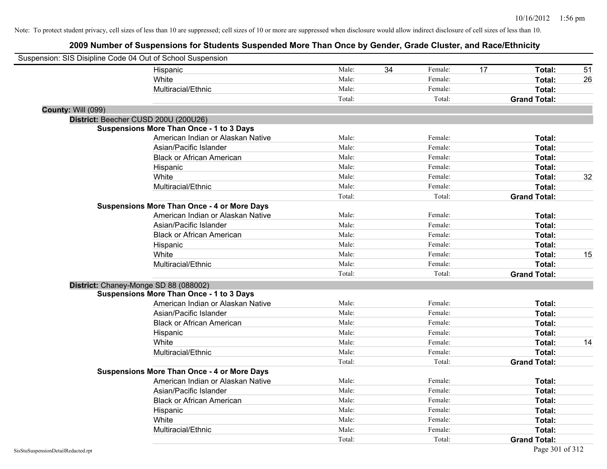| Suspension: SIS Disipline Code 04 Out of School Suspension |                                                    |        |    |         |    |                     |    |
|------------------------------------------------------------|----------------------------------------------------|--------|----|---------|----|---------------------|----|
|                                                            | Hispanic                                           | Male:  | 34 | Female: | 17 | Total:              | 51 |
|                                                            | White                                              | Male:  |    | Female: |    | Total:              | 26 |
|                                                            | Multiracial/Ethnic                                 | Male:  |    | Female: |    | Total:              |    |
|                                                            |                                                    | Total: |    | Total:  |    | <b>Grand Total:</b> |    |
| County: Will (099)                                         |                                                    |        |    |         |    |                     |    |
| District: Beecher CUSD 200U (200U26)                       |                                                    |        |    |         |    |                     |    |
|                                                            | <b>Suspensions More Than Once - 1 to 3 Days</b>    |        |    |         |    |                     |    |
|                                                            | American Indian or Alaskan Native                  | Male:  |    | Female: |    | Total:              |    |
|                                                            | Asian/Pacific Islander                             | Male:  |    | Female: |    | Total:              |    |
|                                                            | <b>Black or African American</b>                   | Male:  |    | Female: |    | Total:              |    |
|                                                            | Hispanic                                           | Male:  |    | Female: |    | Total:              |    |
|                                                            | White                                              | Male:  |    | Female: |    | Total:              | 32 |
|                                                            | Multiracial/Ethnic                                 | Male:  |    | Female: |    | Total:              |    |
|                                                            |                                                    | Total: |    | Total:  |    | <b>Grand Total:</b> |    |
|                                                            | <b>Suspensions More Than Once - 4 or More Days</b> |        |    |         |    |                     |    |
|                                                            | American Indian or Alaskan Native                  | Male:  |    | Female: |    | Total:              |    |
|                                                            | Asian/Pacific Islander                             | Male:  |    | Female: |    | Total:              |    |
|                                                            | <b>Black or African American</b>                   | Male:  |    | Female: |    | Total:              |    |
|                                                            | Hispanic                                           | Male:  |    | Female: |    | Total:              |    |
|                                                            | White                                              | Male:  |    | Female: |    | Total:              | 15 |
|                                                            | Multiracial/Ethnic                                 | Male:  |    | Female: |    | Total:              |    |
|                                                            |                                                    | Total: |    | Total:  |    | <b>Grand Total:</b> |    |
| District: Chaney-Monge SD 88 (088002)                      |                                                    |        |    |         |    |                     |    |
|                                                            | <b>Suspensions More Than Once - 1 to 3 Days</b>    |        |    |         |    |                     |    |
|                                                            | American Indian or Alaskan Native                  | Male:  |    | Female: |    | Total:              |    |
|                                                            | Asian/Pacific Islander                             | Male:  |    | Female: |    | Total:              |    |
|                                                            | <b>Black or African American</b>                   | Male:  |    | Female: |    | Total:              |    |
|                                                            | Hispanic                                           | Male:  |    | Female: |    | Total:              |    |
|                                                            | White                                              | Male:  |    | Female: |    | Total:              | 14 |
|                                                            | Multiracial/Ethnic                                 | Male:  |    | Female: |    | Total:              |    |
|                                                            |                                                    | Total: |    | Total:  |    | <b>Grand Total:</b> |    |
|                                                            | <b>Suspensions More Than Once - 4 or More Days</b> |        |    |         |    |                     |    |
|                                                            | American Indian or Alaskan Native                  | Male:  |    | Female: |    | Total:              |    |
|                                                            | Asian/Pacific Islander                             | Male:  |    | Female: |    | Total:              |    |
|                                                            | <b>Black or African American</b>                   | Male:  |    | Female: |    | Total:              |    |
|                                                            | Hispanic                                           | Male:  |    | Female: |    | Total:              |    |
|                                                            | White                                              | Male:  |    | Female: |    | Total:              |    |
|                                                            | Multiracial/Ethnic                                 | Male:  |    | Female: |    | Total:              |    |
|                                                            |                                                    | Total: |    | Total:  |    | <b>Grand Total:</b> |    |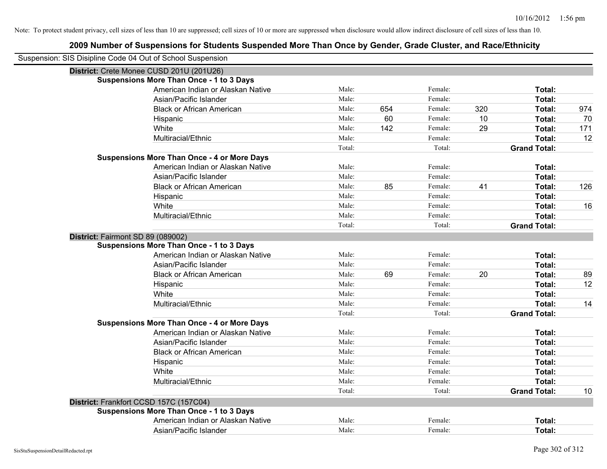| Suspension: SIS Disipline Code 04 Out of School Suspension |                                                    |        |     |         |     |                     |     |
|------------------------------------------------------------|----------------------------------------------------|--------|-----|---------|-----|---------------------|-----|
|                                                            | District: Crete Monee CUSD 201U (201U26)           |        |     |         |     |                     |     |
|                                                            | <b>Suspensions More Than Once - 1 to 3 Days</b>    |        |     |         |     |                     |     |
|                                                            | American Indian or Alaskan Native                  | Male:  |     | Female: |     | Total:              |     |
|                                                            | Asian/Pacific Islander                             | Male:  |     | Female: |     | Total:              |     |
|                                                            | <b>Black or African American</b>                   | Male:  | 654 | Female: | 320 | Total:              | 974 |
|                                                            | Hispanic                                           | Male:  | 60  | Female: | 10  | <b>Total:</b>       | 70  |
|                                                            | White                                              | Male:  | 142 | Female: | 29  | Total:              | 171 |
|                                                            | Multiracial/Ethnic                                 | Male:  |     | Female: |     | Total:              | 12  |
|                                                            |                                                    | Total: |     | Total:  |     | <b>Grand Total:</b> |     |
|                                                            | <b>Suspensions More Than Once - 4 or More Days</b> |        |     |         |     |                     |     |
|                                                            | American Indian or Alaskan Native                  | Male:  |     | Female: |     | Total:              |     |
|                                                            | Asian/Pacific Islander                             | Male:  |     | Female: |     | Total:              |     |
|                                                            | <b>Black or African American</b>                   | Male:  | 85  | Female: | 41  | Total:              | 126 |
|                                                            | Hispanic                                           | Male:  |     | Female: |     | Total:              |     |
|                                                            | White                                              | Male:  |     | Female: |     | Total:              | 16  |
|                                                            | Multiracial/Ethnic                                 | Male:  |     | Female: |     | Total:              |     |
|                                                            |                                                    | Total: |     | Total:  |     | <b>Grand Total:</b> |     |
| District: Fairmont SD 89 (089002)                          |                                                    |        |     |         |     |                     |     |
|                                                            | <b>Suspensions More Than Once - 1 to 3 Days</b>    |        |     |         |     |                     |     |
|                                                            | American Indian or Alaskan Native                  | Male:  |     | Female: |     | Total:              |     |
|                                                            | Asian/Pacific Islander                             | Male:  |     | Female: |     | Total:              |     |
|                                                            | <b>Black or African American</b>                   | Male:  | 69  | Female: | 20  | Total:              | 89  |
|                                                            | Hispanic                                           | Male:  |     | Female: |     | Total:              | 12  |
|                                                            | White                                              | Male:  |     | Female: |     | Total:              |     |
|                                                            | Multiracial/Ethnic                                 | Male:  |     | Female: |     | Total:              | 14  |
|                                                            |                                                    | Total: |     | Total:  |     | <b>Grand Total:</b> |     |
|                                                            | <b>Suspensions More Than Once - 4 or More Days</b> |        |     |         |     |                     |     |
|                                                            | American Indian or Alaskan Native                  | Male:  |     | Female: |     | Total:              |     |
|                                                            | Asian/Pacific Islander                             | Male:  |     | Female: |     | Total:              |     |
|                                                            | <b>Black or African American</b>                   | Male:  |     | Female: |     | Total:              |     |
|                                                            | Hispanic                                           | Male:  |     | Female: |     | Total:              |     |
|                                                            | White                                              | Male:  |     | Female: |     | Total:              |     |
|                                                            | Multiracial/Ethnic                                 | Male:  |     | Female: |     | Total:              |     |
|                                                            |                                                    | Total: |     | Total:  |     | <b>Grand Total:</b> | 10  |
|                                                            | District: Frankfort CCSD 157C (157C04)             |        |     |         |     |                     |     |
|                                                            | <b>Suspensions More Than Once - 1 to 3 Days</b>    |        |     |         |     |                     |     |
|                                                            | American Indian or Alaskan Native                  | Male:  |     | Female: |     | Total:              |     |
|                                                            | Asian/Pacific Islander                             | Male:  |     | Female: |     | Total:              |     |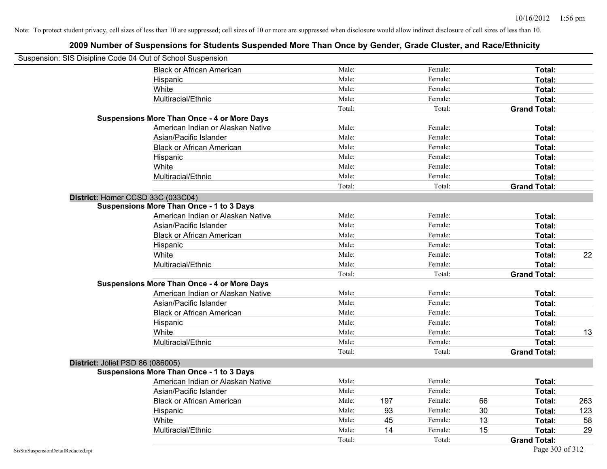| Suspension: SIS Disipline Code 04 Out of School Suspension |                                                    |        |     |         |    |                     |     |
|------------------------------------------------------------|----------------------------------------------------|--------|-----|---------|----|---------------------|-----|
|                                                            | <b>Black or African American</b>                   | Male:  |     | Female: |    | <b>Total:</b>       |     |
|                                                            | Hispanic                                           | Male:  |     | Female: |    | Total:              |     |
|                                                            | White                                              | Male:  |     | Female: |    | Total:              |     |
|                                                            | Multiracial/Ethnic                                 | Male:  |     | Female: |    | Total:              |     |
|                                                            |                                                    | Total: |     | Total:  |    | <b>Grand Total:</b> |     |
|                                                            | <b>Suspensions More Than Once - 4 or More Days</b> |        |     |         |    |                     |     |
|                                                            | American Indian or Alaskan Native                  | Male:  |     | Female: |    | Total:              |     |
|                                                            | Asian/Pacific Islander                             | Male:  |     | Female: |    | Total:              |     |
|                                                            | <b>Black or African American</b>                   | Male:  |     | Female: |    | Total:              |     |
|                                                            | Hispanic                                           | Male:  |     | Female: |    | Total:              |     |
|                                                            | White                                              | Male:  |     | Female: |    | Total:              |     |
|                                                            | Multiracial/Ethnic                                 | Male:  |     | Female: |    | Total:              |     |
|                                                            |                                                    | Total: |     | Total:  |    | <b>Grand Total:</b> |     |
|                                                            | District: Homer CCSD 33C (033C04)                  |        |     |         |    |                     |     |
|                                                            | <b>Suspensions More Than Once - 1 to 3 Days</b>    |        |     |         |    |                     |     |
|                                                            | American Indian or Alaskan Native                  | Male:  |     | Female: |    | Total:              |     |
|                                                            | Asian/Pacific Islander                             | Male:  |     | Female: |    | Total:              |     |
|                                                            | <b>Black or African American</b>                   | Male:  |     | Female: |    | Total:              |     |
|                                                            | Hispanic                                           | Male:  |     | Female: |    | Total:              |     |
|                                                            | White                                              | Male:  |     | Female: |    | Total:              | 22  |
|                                                            | Multiracial/Ethnic                                 | Male:  |     | Female: |    | Total:              |     |
|                                                            |                                                    | Total: |     | Total:  |    | <b>Grand Total:</b> |     |
|                                                            | <b>Suspensions More Than Once - 4 or More Days</b> |        |     |         |    |                     |     |
|                                                            | American Indian or Alaskan Native                  | Male:  |     | Female: |    | Total:              |     |
|                                                            | Asian/Pacific Islander                             | Male:  |     | Female: |    | Total:              |     |
|                                                            | <b>Black or African American</b>                   | Male:  |     | Female: |    | Total:              |     |
|                                                            | Hispanic                                           | Male:  |     | Female: |    | Total:              |     |
|                                                            | White                                              | Male:  |     | Female: |    | Total:              | 13  |
|                                                            | Multiracial/Ethnic                                 | Male:  |     | Female: |    | Total:              |     |
|                                                            |                                                    | Total: |     | Total:  |    | <b>Grand Total:</b> |     |
| District: Joliet PSD 86 (086005)                           |                                                    |        |     |         |    |                     |     |
|                                                            | <b>Suspensions More Than Once - 1 to 3 Days</b>    |        |     |         |    |                     |     |
|                                                            | American Indian or Alaskan Native                  | Male:  |     | Female: |    | Total:              |     |
|                                                            | Asian/Pacific Islander                             | Male:  |     | Female: |    | Total:              |     |
|                                                            | <b>Black or African American</b>                   | Male:  | 197 | Female: | 66 | Total:              | 263 |
|                                                            | Hispanic                                           | Male:  | 93  | Female: | 30 | Total:              | 123 |
|                                                            | White                                              | Male:  | 45  | Female: | 13 | Total:              | 58  |
|                                                            | Multiracial/Ethnic                                 | Male:  | 14  | Female: | 15 | Total:              | 29  |
|                                                            |                                                    | Total: |     | Total:  |    | <b>Grand Total:</b> |     |
| SisStuSuspensionDetailRedacted.rpt                         |                                                    |        |     |         |    | Page 303 of 312     |     |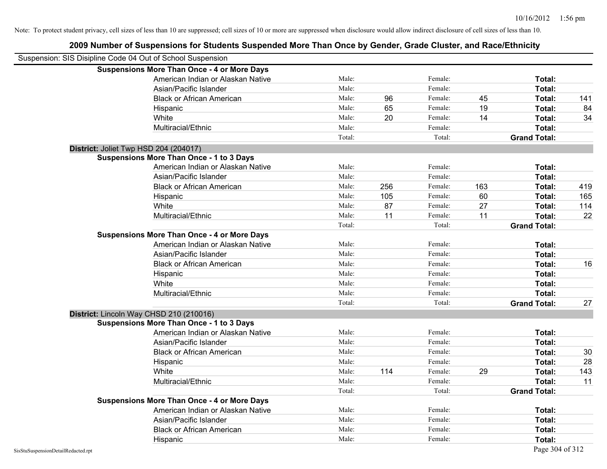| Suspension: SIS Disipline Code 04 Out of School Suspension |                                                    |        |     |         |     |                     |     |
|------------------------------------------------------------|----------------------------------------------------|--------|-----|---------|-----|---------------------|-----|
|                                                            | <b>Suspensions More Than Once - 4 or More Days</b> |        |     |         |     |                     |     |
|                                                            | American Indian or Alaskan Native                  | Male:  |     | Female: |     | Total:              |     |
|                                                            | Asian/Pacific Islander                             | Male:  |     | Female: |     | Total:              |     |
|                                                            | <b>Black or African American</b>                   | Male:  | 96  | Female: | 45  | Total:              | 141 |
|                                                            | Hispanic                                           | Male:  | 65  | Female: | 19  | Total:              | 84  |
|                                                            | White                                              | Male:  | 20  | Female: | 14  | Total:              | 34  |
|                                                            | Multiracial/Ethnic                                 | Male:  |     | Female: |     | Total:              |     |
|                                                            |                                                    | Total: |     | Total:  |     | <b>Grand Total:</b> |     |
| District: Joliet Twp HSD 204 (204017)                      |                                                    |        |     |         |     |                     |     |
|                                                            | <b>Suspensions More Than Once - 1 to 3 Days</b>    |        |     |         |     |                     |     |
|                                                            | American Indian or Alaskan Native                  | Male:  |     | Female: |     | Total:              |     |
|                                                            | Asian/Pacific Islander                             | Male:  |     | Female: |     | Total:              |     |
|                                                            | <b>Black or African American</b>                   | Male:  | 256 | Female: | 163 | Total:              | 419 |
|                                                            | Hispanic                                           | Male:  | 105 | Female: | 60  | Total:              | 165 |
|                                                            | White                                              | Male:  | 87  | Female: | 27  | Total:              | 114 |
|                                                            | Multiracial/Ethnic                                 | Male:  | 11  | Female: | 11  | Total:              | 22  |
|                                                            |                                                    | Total: |     | Total:  |     | <b>Grand Total:</b> |     |
|                                                            | <b>Suspensions More Than Once - 4 or More Days</b> |        |     |         |     |                     |     |
|                                                            | American Indian or Alaskan Native                  | Male:  |     | Female: |     | Total:              |     |
|                                                            | Asian/Pacific Islander                             | Male:  |     | Female: |     | Total:              |     |
|                                                            | <b>Black or African American</b>                   | Male:  |     | Female: |     | Total:              | 16  |
|                                                            | Hispanic                                           | Male:  |     | Female: |     | Total:              |     |
|                                                            | White                                              | Male:  |     | Female: |     | Total:              |     |
|                                                            | Multiracial/Ethnic                                 | Male:  |     | Female: |     | Total:              |     |
|                                                            |                                                    | Total: |     | Total:  |     | <b>Grand Total:</b> | 27  |
|                                                            | District: Lincoln Way CHSD 210 (210016)            |        |     |         |     |                     |     |
|                                                            | <b>Suspensions More Than Once - 1 to 3 Days</b>    |        |     |         |     |                     |     |
|                                                            | American Indian or Alaskan Native                  | Male:  |     | Female: |     | Total:              |     |
|                                                            | Asian/Pacific Islander                             | Male:  |     | Female: |     | Total:              |     |
|                                                            | <b>Black or African American</b>                   | Male:  |     | Female: |     | Total:              | 30  |
|                                                            | Hispanic                                           | Male:  |     | Female: |     | Total:              | 28  |
|                                                            | White                                              | Male:  | 114 | Female: | 29  | Total:              | 143 |
|                                                            | Multiracial/Ethnic                                 | Male:  |     | Female: |     | Total:              | 11  |
|                                                            |                                                    | Total: |     | Total:  |     | <b>Grand Total:</b> |     |
|                                                            | <b>Suspensions More Than Once - 4 or More Days</b> |        |     |         |     |                     |     |
|                                                            | American Indian or Alaskan Native                  | Male:  |     | Female: |     | Total:              |     |
|                                                            | Asian/Pacific Islander                             | Male:  |     | Female: |     | Total:              |     |
|                                                            | <b>Black or African American</b>                   | Male:  |     | Female: |     | Total:              |     |
|                                                            | Hispanic                                           | Male:  |     | Female: |     | Total:              |     |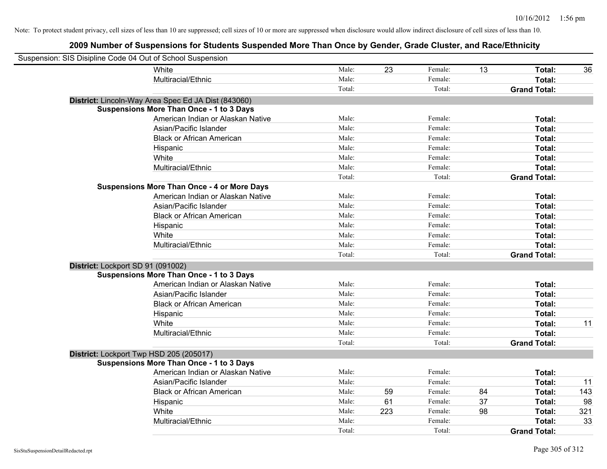| Suspension: SIS Disipline Code 04 Out of School Suspension |                                                     |        |     |         |    |                     |     |
|------------------------------------------------------------|-----------------------------------------------------|--------|-----|---------|----|---------------------|-----|
|                                                            | <b>White</b>                                        | Male:  | 23  | Female: | 13 | Total:              | 36  |
|                                                            | Multiracial/Ethnic                                  | Male:  |     | Female: |    | <b>Total:</b>       |     |
|                                                            |                                                     | Total: |     | Total:  |    | <b>Grand Total:</b> |     |
|                                                            | District: Lincoln-Way Area Spec Ed JA Dist (843060) |        |     |         |    |                     |     |
|                                                            | <b>Suspensions More Than Once - 1 to 3 Days</b>     |        |     |         |    |                     |     |
|                                                            | American Indian or Alaskan Native                   | Male:  |     | Female: |    | Total:              |     |
|                                                            | Asian/Pacific Islander                              | Male:  |     | Female: |    | Total:              |     |
|                                                            | <b>Black or African American</b>                    | Male:  |     | Female: |    | Total:              |     |
|                                                            | Hispanic                                            | Male:  |     | Female: |    | Total:              |     |
|                                                            | White                                               | Male:  |     | Female: |    | Total:              |     |
|                                                            | Multiracial/Ethnic                                  | Male:  |     | Female: |    | Total:              |     |
|                                                            |                                                     | Total: |     | Total:  |    | <b>Grand Total:</b> |     |
|                                                            | <b>Suspensions More Than Once - 4 or More Days</b>  |        |     |         |    |                     |     |
|                                                            | American Indian or Alaskan Native                   | Male:  |     | Female: |    | Total:              |     |
|                                                            | Asian/Pacific Islander                              | Male:  |     | Female: |    | Total:              |     |
|                                                            | <b>Black or African American</b>                    | Male:  |     | Female: |    | Total:              |     |
|                                                            | Hispanic                                            | Male:  |     | Female: |    | Total:              |     |
|                                                            | White                                               | Male:  |     | Female: |    | Total:              |     |
|                                                            | Multiracial/Ethnic                                  | Male:  |     | Female: |    | Total:              |     |
|                                                            |                                                     | Total: |     | Total:  |    | <b>Grand Total:</b> |     |
| District: Lockport SD 91 (091002)                          |                                                     |        |     |         |    |                     |     |
|                                                            | <b>Suspensions More Than Once - 1 to 3 Days</b>     |        |     |         |    |                     |     |
|                                                            | American Indian or Alaskan Native                   | Male:  |     | Female: |    | Total:              |     |
|                                                            | Asian/Pacific Islander                              | Male:  |     | Female: |    | Total:              |     |
|                                                            | <b>Black or African American</b>                    | Male:  |     | Female: |    | Total:              |     |
|                                                            | Hispanic                                            | Male:  |     | Female: |    | Total:              |     |
|                                                            | White                                               | Male:  |     | Female: |    | Total:              | 11  |
|                                                            | Multiracial/Ethnic                                  | Male:  |     | Female: |    | Total:              |     |
|                                                            |                                                     | Total: |     | Total:  |    | <b>Grand Total:</b> |     |
| District: Lockport Twp HSD 205 (205017)                    |                                                     |        |     |         |    |                     |     |
|                                                            | <b>Suspensions More Than Once - 1 to 3 Days</b>     |        |     |         |    |                     |     |
|                                                            | American Indian or Alaskan Native                   | Male:  |     | Female: |    | Total:              |     |
|                                                            | Asian/Pacific Islander                              | Male:  |     | Female: |    | Total:              | 11  |
|                                                            | <b>Black or African American</b>                    | Male:  | 59  | Female: | 84 | Total:              | 143 |
|                                                            | Hispanic                                            | Male:  | 61  | Female: | 37 | Total:              | 98  |
|                                                            | White                                               | Male:  | 223 | Female: | 98 | Total:              | 321 |
|                                                            | Multiracial/Ethnic                                  | Male:  |     | Female: |    | Total:              | 33  |
|                                                            |                                                     | Total: |     | Total:  |    | <b>Grand Total:</b> |     |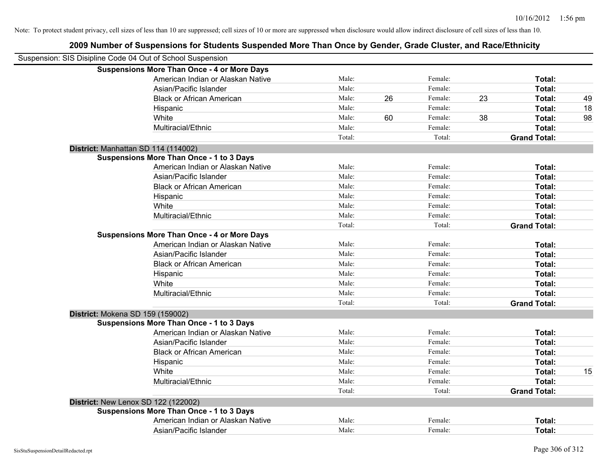| 2009 Number of Suspensions for Students Suspended More Than Once by Gender, Grade Cluster, and Race/Ethnicity |        |    |         |    |                     |    |
|---------------------------------------------------------------------------------------------------------------|--------|----|---------|----|---------------------|----|
| Suspension: SIS Disipline Code 04 Out of School Suspension                                                    |        |    |         |    |                     |    |
| <b>Suspensions More Than Once - 4 or More Days</b>                                                            |        |    |         |    |                     |    |
| American Indian or Alaskan Native                                                                             | Male:  |    | Female: |    | Total:              |    |
| Asian/Pacific Islander                                                                                        | Male:  |    | Female: |    | Total:              |    |
| <b>Black or African American</b>                                                                              | Male:  | 26 | Female: | 23 | Total:              | 49 |
| Hispanic                                                                                                      | Male:  |    | Female: |    | Total:              | 18 |
| White                                                                                                         | Male:  | 60 | Female: | 38 | Total:              | 98 |
| Multiracial/Ethnic                                                                                            | Male:  |    | Female: |    | Total:              |    |
|                                                                                                               | Total: |    | Total:  |    | <b>Grand Total:</b> |    |
| District: Manhattan SD 114 (114002)                                                                           |        |    |         |    |                     |    |
| <b>Suspensions More Than Once - 1 to 3 Days</b>                                                               |        |    |         |    |                     |    |
| American Indian or Alaskan Native                                                                             | Male:  |    | Female: |    | Total:              |    |
| Asian/Pacific Islander                                                                                        | Male:  |    | Female: |    | Total:              |    |
| <b>Black or African American</b>                                                                              | Male:  |    | Female: |    | Total:              |    |
| Hispanic                                                                                                      | Male:  |    | Female: |    | Total:              |    |
| White                                                                                                         | Male:  |    | Female: |    | Total:              |    |
| Multiracial/Ethnic                                                                                            | Male:  |    | Female: |    | Total:              |    |
|                                                                                                               | Total: |    | Total:  |    | <b>Grand Total:</b> |    |
| <b>Suspensions More Than Once - 4 or More Days</b>                                                            |        |    |         |    |                     |    |
| American Indian or Alaskan Native                                                                             | Male:  |    | Female: |    | Total:              |    |
| Asian/Pacific Islander                                                                                        | Male:  |    | Female: |    | Total:              |    |
| <b>Black or African American</b>                                                                              | Male:  |    | Female: |    | Total:              |    |
| Hispanic                                                                                                      | Male:  |    | Female: |    | Total:              |    |
| White                                                                                                         | Male:  |    | Female: |    | <b>Total:</b>       |    |
| Multiracial/Ethnic                                                                                            | Male:  |    | Female: |    | Total:              |    |
|                                                                                                               | Total: |    | Total:  |    | <b>Grand Total:</b> |    |
| District: Mokena SD 159 (159002)                                                                              |        |    |         |    |                     |    |
| <b>Suspensions More Than Once - 1 to 3 Days</b>                                                               |        |    |         |    |                     |    |
| American Indian or Alaskan Native                                                                             | Male:  |    | Female: |    | Total:              |    |
| Asian/Pacific Islander                                                                                        | Male:  |    | Female: |    | Total:              |    |
| <b>Black or African American</b>                                                                              | Male:  |    | Female: |    | Total:              |    |
| Hispanic                                                                                                      | Male:  |    | Female: |    | Total:              |    |
| White                                                                                                         | Male:  |    | Female: |    | Total:              | 15 |
| Multiracial/Ethnic                                                                                            | Male:  |    | Female: |    | Total:              |    |
|                                                                                                               | Total: |    | Total:  |    | <b>Grand Total:</b> |    |
| District: New Lenox SD 122 (122002)                                                                           |        |    |         |    |                     |    |
| <b>Suspensions More Than Once - 1 to 3 Days</b>                                                               |        |    |         |    |                     |    |
| American Indian or Alaskan Native                                                                             | Male:  |    | Female: |    | Total:              |    |
| Asian/Pacific Islander                                                                                        | Male:  |    | Female: |    | Total:              |    |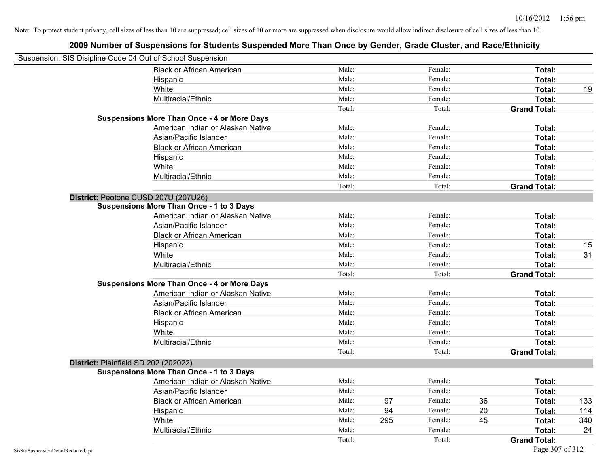| Suspension: SIS Disipline Code 04 Out of School Suspension |                                                    |        |     |         |    |                     |     |
|------------------------------------------------------------|----------------------------------------------------|--------|-----|---------|----|---------------------|-----|
|                                                            | <b>Black or African American</b>                   | Male:  |     | Female: |    | Total:              |     |
|                                                            | Hispanic                                           | Male:  |     | Female: |    | Total:              |     |
|                                                            | White                                              | Male:  |     | Female: |    | Total:              | 19  |
|                                                            | Multiracial/Ethnic                                 | Male:  |     | Female: |    | Total:              |     |
|                                                            |                                                    | Total: |     | Total:  |    | <b>Grand Total:</b> |     |
|                                                            | <b>Suspensions More Than Once - 4 or More Days</b> |        |     |         |    |                     |     |
|                                                            | American Indian or Alaskan Native                  | Male:  |     | Female: |    | Total:              |     |
|                                                            | Asian/Pacific Islander                             | Male:  |     | Female: |    | Total:              |     |
|                                                            | <b>Black or African American</b>                   | Male:  |     | Female: |    | Total:              |     |
|                                                            | Hispanic                                           | Male:  |     | Female: |    | Total:              |     |
|                                                            | White                                              | Male:  |     | Female: |    | Total:              |     |
|                                                            | Multiracial/Ethnic                                 | Male:  |     | Female: |    | Total:              |     |
|                                                            |                                                    | Total: |     | Total:  |    | <b>Grand Total:</b> |     |
|                                                            | District: Peotone CUSD 207U (207U26)               |        |     |         |    |                     |     |
|                                                            | <b>Suspensions More Than Once - 1 to 3 Days</b>    |        |     |         |    |                     |     |
|                                                            | American Indian or Alaskan Native                  | Male:  |     | Female: |    | Total:              |     |
|                                                            | Asian/Pacific Islander                             | Male:  |     | Female: |    | Total:              |     |
|                                                            | <b>Black or African American</b>                   | Male:  |     | Female: |    | Total:              |     |
|                                                            | Hispanic                                           | Male:  |     | Female: |    | Total:              | 15  |
|                                                            | White                                              | Male:  |     | Female: |    | Total:              | 31  |
|                                                            | Multiracial/Ethnic                                 | Male:  |     | Female: |    | Total:              |     |
|                                                            |                                                    | Total: |     | Total:  |    | <b>Grand Total:</b> |     |
|                                                            | <b>Suspensions More Than Once - 4 or More Days</b> |        |     |         |    |                     |     |
|                                                            | American Indian or Alaskan Native                  | Male:  |     | Female: |    | Total:              |     |
|                                                            | Asian/Pacific Islander                             | Male:  |     | Female: |    | Total:              |     |
|                                                            | <b>Black or African American</b>                   | Male:  |     | Female: |    | Total:              |     |
|                                                            | Hispanic                                           | Male:  |     | Female: |    | Total:              |     |
|                                                            | White                                              | Male:  |     | Female: |    | Total:              |     |
|                                                            | Multiracial/Ethnic                                 | Male:  |     | Female: |    | Total:              |     |
|                                                            |                                                    | Total: |     | Total:  |    | <b>Grand Total:</b> |     |
|                                                            | District: Plainfield SD 202 (202022)               |        |     |         |    |                     |     |
|                                                            | <b>Suspensions More Than Once - 1 to 3 Days</b>    |        |     |         |    |                     |     |
|                                                            | American Indian or Alaskan Native                  | Male:  |     | Female: |    | Total:              |     |
|                                                            | Asian/Pacific Islander                             | Male:  |     | Female: |    | Total:              |     |
|                                                            | <b>Black or African American</b>                   | Male:  | 97  | Female: | 36 | Total:              | 133 |
|                                                            | Hispanic                                           | Male:  | 94  | Female: | 20 | Total:              | 114 |
|                                                            | White                                              | Male:  | 295 | Female: | 45 | Total:              | 340 |
|                                                            | Multiracial/Ethnic                                 | Male:  |     | Female: |    | Total:              | 24  |
|                                                            |                                                    | Total: |     | Total:  |    | <b>Grand Total:</b> |     |
| SisStuSuspensionDetailRedacted.rpt                         |                                                    |        |     |         |    | Page 307 of 312     |     |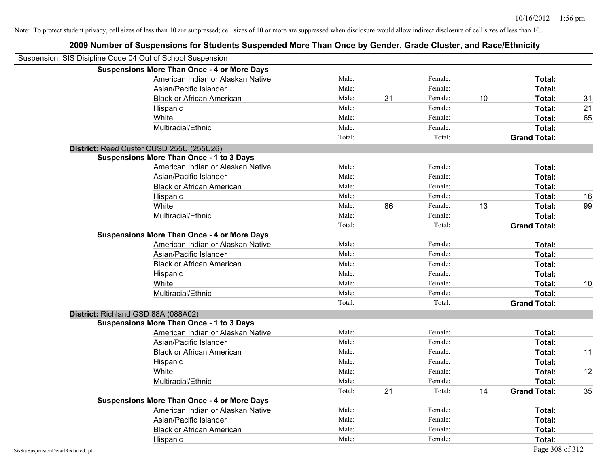|                                                            | 2009 Number of Suspensions for Students Suspended More Than Once by Gender, Grade Cluster, and Race/Ethnicity |        |    |         |    |                     |    |
|------------------------------------------------------------|---------------------------------------------------------------------------------------------------------------|--------|----|---------|----|---------------------|----|
| Suspension: SIS Disipline Code 04 Out of School Suspension |                                                                                                               |        |    |         |    |                     |    |
|                                                            | <b>Suspensions More Than Once - 4 or More Days</b>                                                            |        |    |         |    |                     |    |
|                                                            | American Indian or Alaskan Native                                                                             | Male:  |    | Female: |    | Total:              |    |
|                                                            | Asian/Pacific Islander                                                                                        | Male:  |    | Female: |    | Total:              |    |
|                                                            | <b>Black or African American</b>                                                                              | Male:  | 21 | Female: | 10 | Total:              | 31 |
|                                                            | Hispanic                                                                                                      | Male:  |    | Female: |    | Total:              | 21 |
|                                                            | White                                                                                                         | Male:  |    | Female: |    | Total:              | 65 |
|                                                            | Multiracial/Ethnic                                                                                            | Male:  |    | Female: |    | Total:              |    |
|                                                            |                                                                                                               | Total: |    | Total:  |    | <b>Grand Total:</b> |    |
|                                                            | District: Reed Custer CUSD 255U (255U26)                                                                      |        |    |         |    |                     |    |
|                                                            | <b>Suspensions More Than Once - 1 to 3 Days</b>                                                               |        |    |         |    |                     |    |
|                                                            | American Indian or Alaskan Native                                                                             | Male:  |    | Female: |    | Total:              |    |
|                                                            | Asian/Pacific Islander                                                                                        | Male:  |    | Female: |    | Total:              |    |
|                                                            | <b>Black or African American</b>                                                                              | Male:  |    | Female: |    | Total:              |    |
|                                                            | Hispanic                                                                                                      | Male:  |    | Female: |    | Total:              | 16 |
|                                                            | White                                                                                                         | Male:  | 86 | Female: | 13 | Total:              | 99 |
|                                                            | Multiracial/Ethnic                                                                                            | Male:  |    | Female: |    | Total:              |    |
|                                                            |                                                                                                               | Total: |    | Total:  |    | <b>Grand Total:</b> |    |
|                                                            | <b>Suspensions More Than Once - 4 or More Days</b>                                                            |        |    |         |    |                     |    |
|                                                            | American Indian or Alaskan Native                                                                             | Male:  |    | Female: |    | Total:              |    |
|                                                            | Asian/Pacific Islander                                                                                        | Male:  |    | Female: |    | Total:              |    |
|                                                            | <b>Black or African American</b>                                                                              | Male:  |    | Female: |    | Total:              |    |
|                                                            | Hispanic                                                                                                      | Male:  |    | Female: |    | Total:              |    |
|                                                            | White                                                                                                         | Male:  |    | Female: |    | Total:              | 10 |
|                                                            | Multiracial/Ethnic                                                                                            | Male:  |    | Female: |    | <b>Total:</b>       |    |
|                                                            |                                                                                                               | Total: |    | Total:  |    | <b>Grand Total:</b> |    |
| District: Richland GSD 88A (088A02)                        |                                                                                                               |        |    |         |    |                     |    |
|                                                            | <b>Suspensions More Than Once - 1 to 3 Days</b>                                                               |        |    |         |    |                     |    |
|                                                            | American Indian or Alaskan Native                                                                             | Male:  |    | Female: |    | Total:              |    |
|                                                            | Asian/Pacific Islander                                                                                        | Male:  |    | Female: |    | Total:              |    |
|                                                            | <b>Black or African American</b>                                                                              | Male:  |    | Female: |    | Total:              | 11 |
|                                                            | Hispanic                                                                                                      | Male:  |    | Female: |    | Total:              |    |
|                                                            | White                                                                                                         | Male:  |    | Female: |    | Total:              | 12 |
|                                                            | Multiracial/Ethnic                                                                                            | Male:  |    | Female: |    | Total:              |    |
|                                                            |                                                                                                               | Total: | 21 | Total:  | 14 | <b>Grand Total:</b> | 35 |
|                                                            | <b>Suspensions More Than Once - 4 or More Days</b>                                                            |        |    |         |    |                     |    |
|                                                            | American Indian or Alaskan Native                                                                             | Male:  |    | Female: |    | Total:              |    |
|                                                            | Asian/Pacific Islander                                                                                        | Male:  |    | Female: |    | Total:              |    |
|                                                            | <b>Black or African American</b>                                                                              | Male:  |    | Female: |    | Total:              |    |
|                                                            | Hispanic                                                                                                      | Male:  |    | Female: |    | Total:              |    |

#### SisStuSuspensionDetailRedacted.rpt Page 308 of 312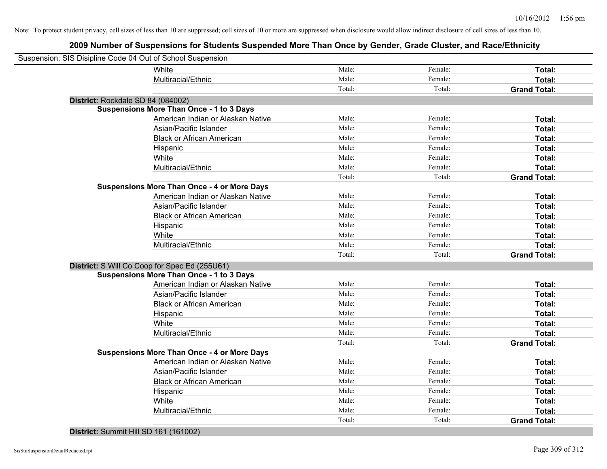## **2009 Number of Suspensions for Students Suspended More Than Once by Gender, Grade Cluster, and Race/Ethnicity**

| Suspension: SIS Disipline Code 04 Out of School Suspension |                                                    |        |         |                     |
|------------------------------------------------------------|----------------------------------------------------|--------|---------|---------------------|
|                                                            | White                                              | Male:  | Female: | Total:              |
|                                                            | Multiracial/Ethnic                                 | Male:  | Female: | Total:              |
|                                                            |                                                    | Total: | Total:  | <b>Grand Total:</b> |
| District: Rockdale SD 84 (084002)                          |                                                    |        |         |                     |
|                                                            | <b>Suspensions More Than Once - 1 to 3 Days</b>    |        |         |                     |
|                                                            | American Indian or Alaskan Native                  | Male:  | Female: | Total:              |
|                                                            | Asian/Pacific Islander                             | Male:  | Female: | Total:              |
|                                                            | <b>Black or African American</b>                   | Male:  | Female: | Total:              |
|                                                            | Hispanic                                           | Male:  | Female: | Total:              |
|                                                            | White                                              | Male:  | Female: | Total:              |
|                                                            | Multiracial/Ethnic                                 | Male:  | Female: | Total:              |
|                                                            |                                                    | Total: | Total:  | <b>Grand Total:</b> |
|                                                            | <b>Suspensions More Than Once - 4 or More Days</b> |        |         |                     |
|                                                            | American Indian or Alaskan Native                  | Male:  | Female: | Total:              |
|                                                            | Asian/Pacific Islander                             | Male:  | Female: | Total:              |
|                                                            | <b>Black or African American</b>                   | Male:  | Female: | Total:              |
|                                                            | Hispanic                                           | Male:  | Female: | Total:              |
|                                                            | White                                              | Male:  | Female: | Total:              |
|                                                            | Multiracial/Ethnic                                 | Male:  | Female: | Total:              |
|                                                            |                                                    | Total: | Total:  | <b>Grand Total:</b> |
|                                                            | District: S Will Co Coop for Spec Ed (255U61)      |        |         |                     |
|                                                            | <b>Suspensions More Than Once - 1 to 3 Days</b>    |        |         |                     |
|                                                            | American Indian or Alaskan Native                  | Male:  | Female: | Total:              |
|                                                            | Asian/Pacific Islander                             | Male:  | Female: | Total:              |
|                                                            | <b>Black or African American</b>                   | Male:  | Female: | Total:              |
|                                                            | Hispanic                                           | Male:  | Female: | Total:              |
|                                                            | White                                              | Male:  | Female: | Total:              |
|                                                            | Multiracial/Ethnic                                 | Male:  | Female: | Total:              |
|                                                            |                                                    | Total: | Total:  | <b>Grand Total:</b> |
|                                                            | <b>Suspensions More Than Once - 4 or More Days</b> |        |         |                     |
|                                                            | American Indian or Alaskan Native                  | Male:  | Female: | Total:              |
|                                                            | Asian/Pacific Islander                             | Male:  | Female: | Total:              |
|                                                            | <b>Black or African American</b>                   | Male:  | Female: | Total:              |
|                                                            | Hispanic                                           | Male:  | Female: | <b>Total:</b>       |
|                                                            | White                                              | Male:  | Female: | Total:              |
|                                                            | Multiracial/Ethnic                                 | Male:  | Female: | Total:              |
|                                                            |                                                    | Total: | Total:  | <b>Grand Total:</b> |
|                                                            |                                                    |        |         |                     |

#### **District:** Summit Hill SD 161 (161002)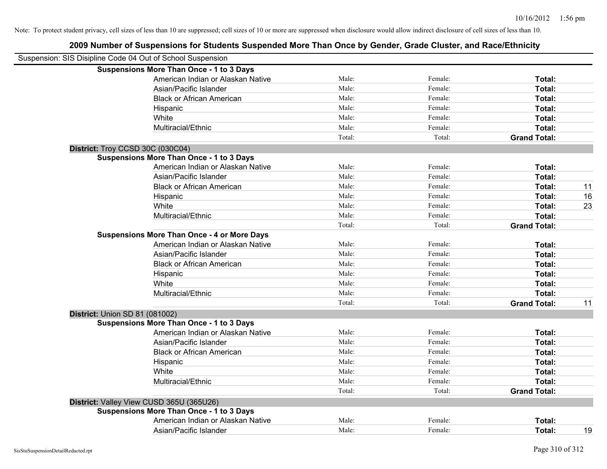|                                | 2009 Number of Suspensions for Students Suspended More Than Once by Gender, Grade Cluster, and Race/Ethnicity |        |         |                     |    |
|--------------------------------|---------------------------------------------------------------------------------------------------------------|--------|---------|---------------------|----|
|                                | Suspension: SIS Disipline Code 04 Out of School Suspension                                                    |        |         |                     |    |
|                                | <b>Suspensions More Than Once - 1 to 3 Days</b>                                                               |        |         |                     |    |
|                                | American Indian or Alaskan Native                                                                             | Male:  | Female: | Total:              |    |
|                                | Asian/Pacific Islander                                                                                        | Male:  | Female: | Total:              |    |
|                                | <b>Black or African American</b>                                                                              | Male:  | Female: | Total:              |    |
|                                | Hispanic                                                                                                      | Male:  | Female: | Total:              |    |
|                                | White                                                                                                         | Male:  | Female: | Total:              |    |
|                                | Multiracial/Ethnic                                                                                            | Male:  | Female: | Total:              |    |
|                                |                                                                                                               | Total: | Total:  | <b>Grand Total:</b> |    |
|                                | District: Troy CCSD 30C (030C04)                                                                              |        |         |                     |    |
|                                | <b>Suspensions More Than Once - 1 to 3 Days</b>                                                               |        |         |                     |    |
|                                | American Indian or Alaskan Native                                                                             | Male:  | Female: | Total:              |    |
|                                | Asian/Pacific Islander                                                                                        | Male:  | Female: | Total:              |    |
|                                | <b>Black or African American</b>                                                                              | Male:  | Female: | Total:              | 11 |
|                                | Hispanic                                                                                                      | Male:  | Female: | Total:              | 16 |
|                                | White                                                                                                         | Male:  | Female: | Total:              | 23 |
|                                | Multiracial/Ethnic                                                                                            | Male:  | Female: | Total:              |    |
|                                |                                                                                                               | Total: | Total:  | <b>Grand Total:</b> |    |
|                                | <b>Suspensions More Than Once - 4 or More Days</b>                                                            |        |         |                     |    |
|                                | American Indian or Alaskan Native                                                                             | Male:  | Female: | Total:              |    |
|                                | Asian/Pacific Islander                                                                                        | Male:  | Female: | Total:              |    |
|                                | <b>Black or African American</b>                                                                              | Male:  | Female: | Total:              |    |
|                                | Hispanic                                                                                                      | Male:  | Female: | Total:              |    |
|                                | White                                                                                                         | Male:  | Female: | Total:              |    |
|                                | Multiracial/Ethnic                                                                                            | Male:  | Female: | Total:              |    |
|                                |                                                                                                               | Total: | Total:  | <b>Grand Total:</b> | 11 |
| District: Union SD 81 (081002) |                                                                                                               |        |         |                     |    |
|                                | <b>Suspensions More Than Once - 1 to 3 Days</b>                                                               |        |         |                     |    |
|                                | American Indian or Alaskan Native                                                                             | Male:  | Female: | Total:              |    |
|                                | Asian/Pacific Islander                                                                                        | Male:  | Female: | Total:              |    |
|                                | <b>Black or African American</b>                                                                              | Male:  | Female: | Total:              |    |
|                                | Hispanic                                                                                                      | Male:  | Female: | Total:              |    |
|                                | White                                                                                                         | Male:  | Female: | Total:              |    |
|                                | Multiracial/Ethnic                                                                                            | Male:  | Female: | Total:              |    |
|                                |                                                                                                               | Total: | Total:  | <b>Grand Total:</b> |    |
|                                | District: Valley View CUSD 365U (365U26)                                                                      |        |         |                     |    |
|                                | <b>Suspensions More Than Once - 1 to 3 Days</b>                                                               |        |         |                     |    |
|                                | American Indian or Alaskan Native                                                                             | Male:  | Female: | Total:              |    |
|                                | Asian/Pacific Islander                                                                                        | Male:  | Female: | Total:              | 19 |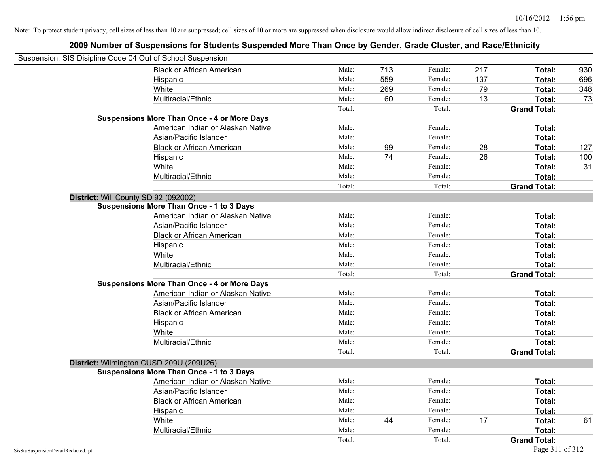|                                    | Suspension: SIS Disipline Code 04 Out of School Suspension |        |     |         |     |                     |     |
|------------------------------------|------------------------------------------------------------|--------|-----|---------|-----|---------------------|-----|
|                                    | <b>Black or African American</b>                           | Male:  | 713 | Female: | 217 | Total:              | 930 |
|                                    | Hispanic                                                   | Male:  | 559 | Female: | 137 | Total:              | 696 |
|                                    | White                                                      | Male:  | 269 | Female: | 79  | Total:              | 348 |
|                                    | Multiracial/Ethnic                                         | Male:  | 60  | Female: | 13  | Total:              | 73  |
|                                    |                                                            | Total: |     | Total:  |     | <b>Grand Total:</b> |     |
|                                    | <b>Suspensions More Than Once - 4 or More Days</b>         |        |     |         |     |                     |     |
|                                    | American Indian or Alaskan Native                          | Male:  |     | Female: |     | Total:              |     |
|                                    | Asian/Pacific Islander                                     | Male:  |     | Female: |     | Total:              |     |
|                                    | <b>Black or African American</b>                           | Male:  | 99  | Female: | 28  | Total:              | 127 |
|                                    | Hispanic                                                   | Male:  | 74  | Female: | 26  | Total:              | 100 |
|                                    | White                                                      | Male:  |     | Female: |     | Total:              | 31  |
|                                    | Multiracial/Ethnic                                         | Male:  |     | Female: |     | Total:              |     |
|                                    |                                                            | Total: |     | Total:  |     | <b>Grand Total:</b> |     |
|                                    | District: Will County SD 92 (092002)                       |        |     |         |     |                     |     |
|                                    | <b>Suspensions More Than Once - 1 to 3 Days</b>            |        |     |         |     |                     |     |
|                                    | American Indian or Alaskan Native                          | Male:  |     | Female: |     | Total:              |     |
|                                    | Asian/Pacific Islander                                     | Male:  |     | Female: |     | Total:              |     |
|                                    | <b>Black or African American</b>                           | Male:  |     | Female: |     | Total:              |     |
|                                    | Hispanic                                                   | Male:  |     | Female: |     | Total:              |     |
|                                    | White                                                      | Male:  |     | Female: |     | Total:              |     |
|                                    | Multiracial/Ethnic                                         | Male:  |     | Female: |     | Total:              |     |
|                                    |                                                            | Total: |     | Total:  |     | <b>Grand Total:</b> |     |
|                                    | <b>Suspensions More Than Once - 4 or More Days</b>         |        |     |         |     |                     |     |
|                                    | American Indian or Alaskan Native                          | Male:  |     | Female: |     | Total:              |     |
|                                    | Asian/Pacific Islander                                     | Male:  |     | Female: |     | Total:              |     |
|                                    | <b>Black or African American</b>                           | Male:  |     | Female: |     | Total:              |     |
|                                    | Hispanic                                                   | Male:  |     | Female: |     | Total:              |     |
|                                    | White                                                      | Male:  |     | Female: |     | Total:              |     |
|                                    | Multiracial/Ethnic                                         | Male:  |     | Female: |     | Total:              |     |
|                                    |                                                            | Total: |     | Total:  |     | <b>Grand Total:</b> |     |
|                                    | District: Wilmington CUSD 209U (209U26)                    |        |     |         |     |                     |     |
|                                    | <b>Suspensions More Than Once - 1 to 3 Days</b>            |        |     |         |     |                     |     |
|                                    | American Indian or Alaskan Native                          | Male:  |     | Female: |     | Total:              |     |
|                                    | Asian/Pacific Islander                                     | Male:  |     | Female: |     | Total:              |     |
|                                    | <b>Black or African American</b>                           | Male:  |     | Female: |     | Total:              |     |
|                                    | Hispanic                                                   | Male:  |     | Female: |     | Total:              |     |
|                                    | White                                                      | Male:  | 44  | Female: | 17  | Total:              | 61  |
|                                    | Multiracial/Ethnic                                         | Male:  |     | Female: |     | Total:              |     |
|                                    |                                                            | Total: |     | Total:  |     | <b>Grand Total:</b> |     |
| SisStuSuspensionDetailRedacted.rpt |                                                            |        |     |         |     | Page 311 of 312     |     |